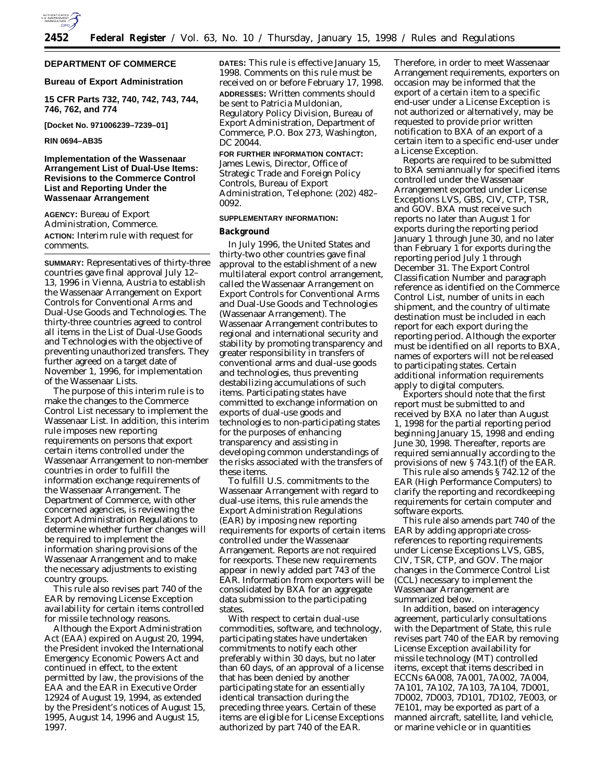

#### **DEPARTMENT OF COMMERCE**

#### **Bureau of Export Administration**

**15 CFR Parts 732, 740, 742, 743, 744, 746, 762, and 774**

**[Docket No. 971006239–7239–01]**

#### **RIN 0694–AB35**

#### **Implementation of the Wassenaar Arrangement List of Dual-Use Items: Revisions to the Commerce Control List and Reporting Under the Wassenaar Arrangement**

**AGENCY:** Bureau of Export Administration, Commerce. **ACTION:** Interim rule with request for comments.

**SUMMARY:** Representatives of thirty-three countries gave final approval July 12– 13, 1996 in Vienna, Austria to establish the Wassenaar Arrangement on Export Controls for Conventional Arms and Dual-Use Goods and Technologies. The thirty-three countries agreed to control all items in the List of Dual-Use Goods and Technologies with the objective of preventing unauthorized transfers. They further agreed on a target date of November 1, 1996, for implementation of the Wassenaar Lists.

The purpose of this interim rule is to make the changes to the Commerce Control List necessary to implement the Wassenaar List. In addition, this interim rule imposes new reporting requirements on persons that export certain items controlled under the Wassenaar Arrangement to non-member countries in order to fulfill the information exchange requirements of the Wassenaar Arrangement. The Department of Commerce, with other concerned agencies, is reviewing the Export Administration Regulations to determine whether further changes will be required to implement the information sharing provisions of the Wassenaar Arrangement and to make the necessary adjustments to existing country groups.

This rule also revises part 740 of the EAR by removing License Exception availability for certain items controlled for missile technology reasons.

Although the Export Administration Act (EAA) expired on August 20, 1994, the President invoked the International Emergency Economic Powers Act and continued in effect, to the extent permitted by law, the provisions of the EAA and the EAR in Executive Order 12924 of August 19, 1994, as extended by the President's notices of August 15, 1995, August 14, 1996 and August 15, 1997.

**DATES:** This rule is effective January 15, 1998. Comments on this rule must be received on or before February 17, 1998. **ADDRESSES:** Written comments should be sent to Patricia Muldonian, Regulatory Policy Division, Bureau of Export Administration, Department of Commerce, P.O. Box 273, Washington, DC 20044.

**FOR FURTHER INFORMATION CONTACT:** James Lewis, Director, Office of Strategic Trade and Foreign Policy Controls, Bureau of Export Administration, Telephone: (202) 482– 0092.

#### **SUPPLEMENTARY INFORMATION:**

#### **Background**

In July 1996, the United States and thirty-two other countries gave final approval to the establishment of a new multilateral export control arrangement, called the Wassenaar Arrangement on Export Controls for Conventional Arms and Dual-Use Goods and Technologies (Wassenaar Arrangement). The Wassenaar Arrangement contributes to regional and international security and stability by promoting transparency and greater responsibility in transfers of conventional arms and dual-use goods and technologies, thus preventing destabilizing accumulations of such items. Participating states have committed to exchange information on exports of dual-use goods and technologies to non-participating states for the purposes of enhancing transparency and assisting in developing common understandings of the risks associated with the transfers of these items.

To fulfill U.S. commitments to the Wassenaar Arrangement with regard to dual-use items, this rule amends the Export Administration Regulations (EAR) by imposing new reporting requirements for exports of certain items controlled under the Wassenaar Arrangement. Reports are not required for reexports. These new requirements appear in newly added part 743 of the EAR. Information from exporters will be consolidated by BXA for an aggregate data submission to the participating states.

With respect to certain dual-use commodities, software, and technology, participating states have undertaken commitments to notify each other preferably within 30 days, but no later than 60 days, of an approval of a license that has been denied by another participating state for an essentially identical transaction during the preceding three years. Certain of these items are eligible for License Exceptions authorized by part 740 of the EAR.

Therefore, in order to meet Wassenaar Arrangement requirements, exporters on occasion may be informed that the export of a certain item to a specific end-user under a License Exception is not authorized or alternatively, may be requested to provide prior written notification to BXA of an export of a certain item to a specific end-user under a License Exception.

Reports are required to be submitted to BXA semiannually for specified items controlled under the Wassenaar Arrangement exported under License Exceptions LVS, GBS, CIV, CTP, TSR, and GOV. BXA must receive such reports no later than August 1 for exports during the reporting period January 1 through June 30, and no later than February 1 for exports during the reporting period July 1 through December 31. The Export Control Classification Number and paragraph reference as identified on the Commerce Control List, number of units in each shipment, and the country of ultimate destination must be included in each report for each export during the reporting period. Although the exporter must be identified on all reports to BXA, names of exporters will not be released to participating states. Certain additional information requirements apply to digital computers.

Exporters should note that the first report must be submitted to and received by BXA no later than August 1, 1998 for the partial reporting period beginning January 15, 1998 and ending June 30, 1998. Thereafter, reports are required semiannually according to the provisions of new § 743.1(f) of the EAR.

This rule also amends § 742.12 of the EAR (High Performance Computers) to clarify the reporting and recordkeeping requirements for certain computer and software exports.

This rule also amends part 740 of the EAR by adding appropriate crossreferences to reporting requirements under License Exceptions LVS, GBS, CIV, TSR, CTP, and GOV. The major changes in the Commerce Control List (CCL) necessary to implement the Wassenaar Arrangement are summarized below.

In addition, based on interagency agreement, particularly consultations with the Department of State, this rule revises part 740 of the EAR by removing License Exception availability for missile technology (MT) controlled items, except that items described in ECCNs 6A008, 7A001, 7A002, 7A004, 7A101, 7A102, 7A103, 7A104, 7D001, 7D002, 7D003, 7D101, 7D102, 7E003, or 7E101, may be exported as part of a manned aircraft, satellite, land vehicle, or marine vehicle or in quantities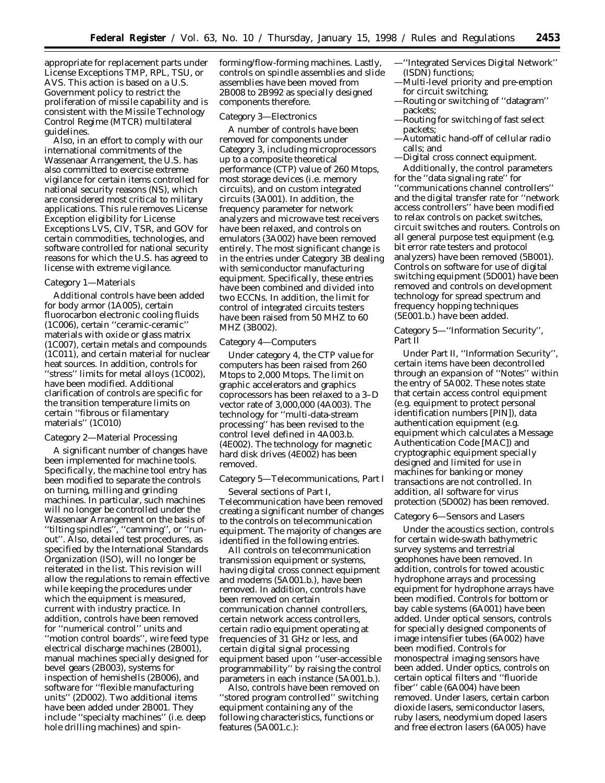appropriate for replacement parts under License Exceptions TMP, RPL, TSU, or AVS. This action is based on a U.S. Government policy to restrict the proliferation of missile capability and is consistent with the Missile Technology Control Regime (MTCR) multilateral guidelines.

Also, in an effort to comply with our international commitments of the Wassenaar Arrangement, the U.S. has also committed to exercise extreme vigilance for certain items controlled for national security reasons (NS), which are considered most critical to military applications. This rule removes License Exception eligibility for License Exceptions LVS, CIV, TSR, and GOV for certain commodities, technologies, and software controlled for national security reasons for which the U.S. has agreed to license with extreme vigilance.

#### *Category 1—Materials*

Additional controls have been added for body armor (1A005), certain fluorocarbon electronic cooling fluids (1C006), certain ''ceramic-ceramic'' materials with oxide or glass matrix (1C007), certain metals and compounds (1C011), and certain material for nuclear heat sources. In addition, controls for ''stress'' limits for metal alloys (1C002), have been modified. Additional clarification of controls are specific for the transition temperature limits on certain ''fibrous or filamentary materials'' (1C010)

#### *Category 2—Material Processing*

A significant number of changes have been implemented for machine tools. Specifically, the machine tool entry has been modified to separate the controls on turning, milling and grinding machines. In particular, such machines will no longer be controlled under the Wassenaar Arrangement on the basis of ''tilting spindles'', ''camming'', or ''runout''. Also, detailed test procedures, as specified by the International Standards Organization (ISO), will no longer be reiterated in the list. This revision will allow the regulations to remain effective while keeping the procedures under which the equipment is measured, current with industry practice. In addition, controls have been removed for ''numerical control'' units and ''motion control boards'', wire feed type electrical discharge machines (2B001), manual machines specially designed for bevel gears (2B003), systems for inspection of hemishells (2B006), and software for ''flexible manufacturing units'' (2D002). Two additional items have been added under 2B001. They include ''specialty machines'' (i.e. deep hole drilling machines) and spin-

forming/flow-forming machines. Lastly, controls on spindle assemblies and slide assemblies have been moved from 2B008 to 2B992 as specially designed components therefore.

#### *Category 3—Electronics*

A number of controls have been removed for components under Category 3, including microprocessors up to a composite theoretical performance (CTP) value of 260 Mtops, most storage devices (i.e. memory circuits), and on custom integrated circuits (3A001). In addition, the frequency parameter for network analyzers and microwave test receivers have been relaxed, and controls on emulators (3A002) have been removed entirely. The most significant change is in the entries under Category 3B dealing with semiconductor manufacturing equipment. Specifically, these entries have been combined and divided into two ECCNs. In addition, the limit for control of integrated circuits testers have been raised from 50 MHZ to 60 MHZ (3B002).

#### *Category 4—Computers*

Under category 4, the CTP value for computers has been raised from 260 Mtops to 2,000 Mtops. The limit on graphic accelerators and graphics coprocessors has been relaxed to a 3–D vector rate of 3,000,000 (4A003). The technology for ''multi-data-stream processing'' has been revised to the control level defined in 4A003.b. (4E002). The technology for magnetic hard disk drives (4E002) has been removed.

#### *Category 5—Telecommunications, Part I*

Several sections of Part I, Telecommunication have been removed creating a significant number of changes to the controls on telecommunication equipment. The majority of changes are identified in the following entries.

All controls on telecommunication transmission equipment or systems, having digital cross connect equipment and modems (5A001.b.), have been removed. In addition, controls have been removed on certain communication channel controllers, certain network access controllers, certain radio equipment operating at frequencies of 31 GHz or less, and certain digital signal processing equipment based upon ''user-accessible programmability'' by raising the control parameters in each instance (5A001.b.).

Also, controls have been removed on ''stored program controlled'' switching equipment containing any of the following characteristics, functions or features (5A001.c.):

- —''Integrated Services Digital Network'' (ISDN) functions;
- —Multi-level priority and pre-emption for circuit switching;
- —Routing or switching of ''datagram'' packets;
- —Routing for switching of fast select packets;
- —Automatic hand-off of cellular radio calls; and
- —Digital cross connect equipment.

Additionally, the control parameters for the ''data signaling rate'' for ''communications channel controllers'' and the digital transfer rate for ''network access controllers'' have been modified to relax controls on packet switches, circuit switches and routers. Controls on all general purpose test equipment (e.g. bit error rate testers and protocol analyzers) have been removed (5B001). Controls on software for use of digital switching equipment (5D001) have been removed and controls on development technology for spread spectrum and frequency hopping techniques (5E001.b.) have been added.

#### *Category 5—''Information Security'', Part II*

Under Part II, ''Information Security'', certain items have been decontrolled through an expansion of ''Notes'' within the entry of 5A002. These notes state that certain access control equipment (e.g. equipment to protect personal identification numbers [PIN]), data authentication equipment (e.g. equipment which calculates a Message Authentication Code [MAC]) and cryptographic equipment specially designed and limited for use in machines for banking or money transactions are not controlled. In addition, all software for virus protection (5D002) has been removed.

#### *Category 6—Sensors and Lasers*

Under the acoustics section, controls for certain wide-swath bathymetric survey systems and terrestrial geophones have been removed. In addition, controls for towed acoustic hydrophone arrays and processing equipment for hydrophone arrays have been modified. Controls for bottom or bay cable systems (6A001) have been added. Under optical sensors, controls for specially designed components of image intensifier tubes (6A002) have been modified. Controls for monospectral imaging sensors have been added. Under optics, controls on certain optical filters and ''fluoride fiber'' cable (6A004) have been removed. Under lasers, certain carbon dioxide lasers, semiconductor lasers, ruby lasers, neodymium doped lasers and free electron lasers (6A005) have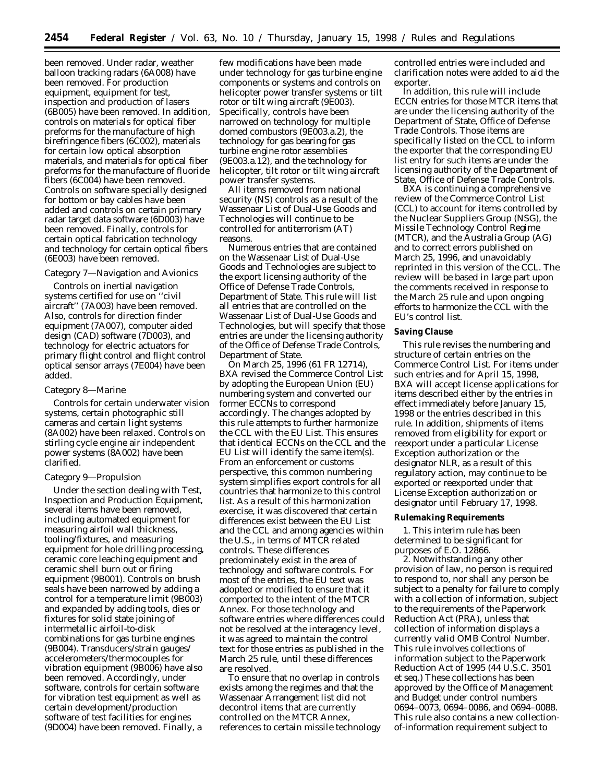been removed. Under radar, weather balloon tracking radars (6A008) have been removed. For production equipment, equipment for test, inspection and production of lasers (6B005) have been removed. In addition, controls on materials for optical fiber preforms for the manufacture of high birefringence fibers (6C002), materials for certain low optical absorption materials, and materials for optical fiber preforms for the manufacture of fluoride fibers (6C004) have been removed. Controls on software specially designed for bottom or bay cables have been added and controls on certain primary radar target data software (6D003) have been removed. Finally, controls for certain optical fabrication technology and technology for certain optical fibers (6E003) have been removed.

#### *Category 7—Navigation and Avionics*

Controls on inertial navigation systems certified for use on ''civil aircraft'' (7A003) have been removed. Also, controls for direction finder equipment (7A007), computer aided design (CAD) software (7D003), and technology for electric actuators for primary flight control and flight control optical sensor arrays (7E004) have been added.

#### *Category 8—Marine*

Controls for certain underwater vision systems, certain photographic still cameras and certain light systems (8A002) have been relaxed. Controls on stirling cycle engine air independent power systems (8A002) have been clarified.

#### *Category 9—Propulsion*

Under the section dealing with Test, Inspection and Production Equipment, several items have been removed, including automated equipment for measuring airfoil wall thickness, tooling/fixtures, and measuring equipment for hole drilling processing, ceramic core leaching equipment and ceramic shell burn out or firing equipment (9B001). Controls on brush seals have been narrowed by adding a control for a temperature limit (9B003) and expanded by adding tools, dies or fixtures for solid state joining of intermetallic airfoil-to-disk combinations for gas turbine engines (9B004). Transducers/strain gauges/ accelerometers/thermocouples for vibration equipment (9B006) have also been removed. Accordingly, under software, controls for certain software for vibration test equipment as well as certain development/production software of test facilities for engines (9D004) have been removed. Finally, a

few modifications have been made under technology for gas turbine engine components or systems and controls on helicopter power transfer systems or tilt rotor or tilt wing aircraft (9E003). Specifically, controls have been narrowed on technology for multiple domed combustors (9E003.a.2), the technology for gas bearing for gas turbine engine rotor assemblies (9E003.a.12), and the technology for helicopter, tilt rotor or tilt wing aircraft power transfer systems.

All items removed from national security (NS) controls as a result of the Wassenaar List of Dual-Use Goods and Technologies will continue to be controlled for antiterrorism (AT) reasons.

Numerous entries that are contained on the Wassenaar List of Dual-Use Goods and Technologies are subject to the export licensing authority of the Office of Defense Trade Controls, Department of State. This rule will list all entries that are controlled on the Wassenaar List of Dual-Use Goods and Technologies, but will specify that those entries are under the licensing authority of the Office of Defense Trade Controls, Department of State.

On March 25, 1996 (61 FR 12714), BXA revised the Commerce Control List by adopting the European Union (EU) numbering system and converted our former ECCNs to correspond accordingly. The changes adopted by this rule attempts to further harmonize the CCL with the EU List. This ensures that identical ECCNs on the CCL and the EU List will identify the same item(s). From an enforcement or customs perspective, this common numbering system simplifies export controls for all countries that harmonize to this control list. As a result of this harmonization exercise, it was discovered that certain differences exist between the EU List and the CCL and among agencies within the U.S., in terms of MTCR related controls. These differences predominately exist in the area of technology and software controls. For most of the entries, the EU text was adopted or modified to ensure that it comported to the intent of the MTCR Annex. For those technology and software entries where differences could not be resolved at the interagency level, it was agreed to maintain the control text for those entries as published in the March 25 rule, until these differences are resolved.

To ensure that no overlap in controls exists among the regimes and that the Wassenaar Arrangement list did not decontrol items that are currently controlled on the MTCR Annex, references to certain missile technology controlled entries were included and clarification notes were added to aid the exporter.

In addition, this rule will include ECCN entries for those MTCR items that are under the licensing authority of the Department of State, Office of Defense Trade Controls. Those items are specifically listed on the CCL to inform the exporter that the corresponding EU list entry for such items are under the licensing authority of the Department of State, Office of Defense Trade Controls.

BXA is continuing a comprehensive review of the Commerce Control List (CCL) to account for items controlled by the Nuclear Suppliers Group (NSG), the Missile Technology Control Regime (MTCR), and the Australia Group (AG) and to correct errors published on March 25, 1996, and unavoidably reprinted in this version of the CCL. The review will be based in large part upon the comments received in response to the March 25 rule and upon ongoing efforts to harmonize the CCL with the EU's control list.

#### **Saving Clause**

This rule revises the numbering and structure of certain entries on the Commerce Control List. For items under such entries and for April 15, 1998, BXA will accept license applications for items described either by the entries in effect immediately before January 15, 1998 or the entries described in this rule. In addition, shipments of items removed from eligibility for export or reexport under a particular License Exception authorization or the designator NLR, as a result of this regulatory action, may continue to be exported or reexported under that License Exception authorization or designator until February 17, 1998.

#### **Rulemaking Requirements**

1. This interim rule has been determined to be significant for purposes of E.O. 12866.

2. Notwithstanding any other provision of law, no person is required to respond to, nor shall any person be subject to a penalty for failure to comply with a collection of information, subject to the requirements of the Paperwork Reduction Act (PRA), unless that collection of information displays a currently valid OMB Control Number. This rule involves collections of information subject to the Paperwork Reduction Act of 1995 (44 U.S.C. 3501 *et seq.*) These collections has been approved by the Office of Management and Budget under control numbers 0694–0073, 0694–0086, and 0694–0088. This rule also contains a new collectionof-information requirement subject to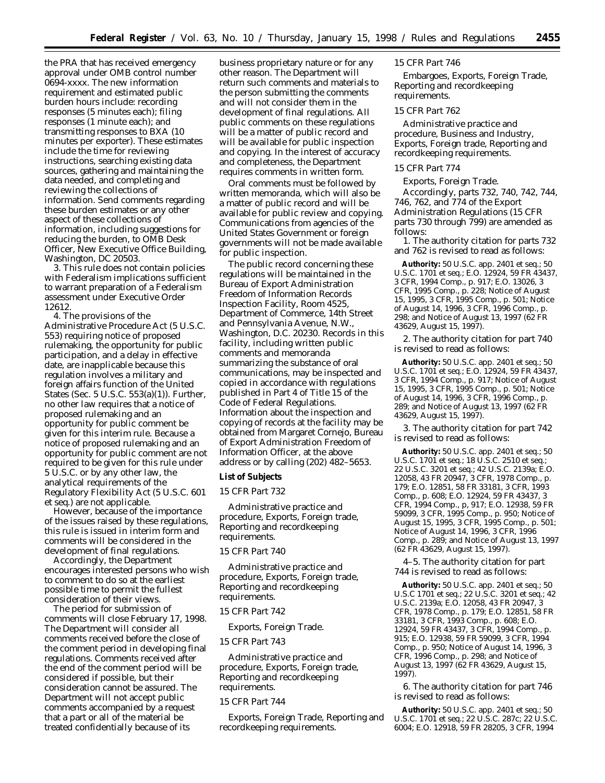the PRA that has received emergency approval under OMB control number 0694-xxxx. The new information requirement and estimated public burden hours include: recording responses (5 minutes each); filing responses (1 minute each); and transmitting responses to BXA (10 minutes per exporter). These estimates include the time for reviewing instructions, searching existing data sources, gathering and maintaining the data needed, and completing and reviewing the collections of information. Send comments regarding these burden estimates or any other aspect of these collections of information, including suggestions for reducing the burden, to OMB Desk Officer, New Executive Office Building, Washington, DC 20503.

3. This rule does not contain policies with Federalism implications sufficient to warrant preparation of a Federalism assessment under Executive Order 12612.

4. The provisions of the Administrative Procedure Act (5 U.S.C. 553) requiring notice of proposed rulemaking, the opportunity for public participation, and a delay in effective date, are inapplicable because this regulation involves a military and foreign affairs function of the United States (Sec. 5 U.S.C. 553(a)(1)). Further, no other law requires that a notice of proposed rulemaking and an opportunity for public comment be given for this interim rule. Because a notice of proposed rulemaking and an opportunity for public comment are not required to be given for this rule under 5 U.S.C. or by any other law, the analytical requirements of the Regulatory Flexibility Act (5 U.S.C. 601 *et seq.*) are not applicable.

However, because of the importance of the issues raised by these regulations, this rule is issued in interim form and comments will be considered in the development of final regulations.

Accordingly, the Department encourages interested persons who wish to comment to do so at the earliest possible time to permit the fullest consideration of their views.

The period for submission of comments will close February 17, 1998. The Department will consider all comments received before the close of the comment period in developing final regulations. Comments received after the end of the comment period will be considered if possible, but their consideration cannot be assured. The Department will not accept public comments accompanied by a request that a part or all of the material be treated confidentially because of its

business proprietary nature or for any other reason. The Department will return such comments and materials to the person submitting the comments and will not consider them in the development of final regulations. All public comments on these regulations will be a matter of public record and will be available for public inspection and copying. In the interest of accuracy and completeness, the Department requires comments in written form.

Oral comments must be followed by written memoranda, which will also be a matter of public record and will be available for public review and copying. Communications from agencies of the United States Government or foreign governments will not be made available for public inspection.

The public record concerning these regulations will be maintained in the Bureau of Export Administration Freedom of Information Records Inspection Facility, Room 4525, Department of Commerce, 14th Street and Pennsylvania Avenue, N.W., Washington, D.C. 20230. Records in this facility, including written public comments and memoranda summarizing the substance of oral communications, may be inspected and copied in accordance with regulations published in Part 4 of Title 15 of the Code of Federal Regulations. Information about the inspection and copying of records at the facility may be obtained from Margaret Cornejo, Bureau of Export Administration Freedom of Information Officer, at the above address or by calling (202) 482–5653.

#### **List of Subjects**

#### *15 CFR Part 732*

Administrative practice and procedure, Exports, Foreign trade, Reporting and recordkeeping requirements.

#### *15 CFR Part 740*

Administrative practice and procedure, Exports, Foreign trade, Reporting and recordkeeping requirements.

#### *15 CFR Part 742*

Exports, Foreign Trade.

#### *15 CFR Part 743*

Administrative practice and procedure, Exports, Foreign trade, Reporting and recordkeeping requirements.

#### *15 CFR Part 744*

Exports, Foreign Trade, Reporting and recordkeeping requirements.

#### *15 CFR Part 746*

Embargoes, Exports, Foreign Trade, Reporting and recordkeeping requirements.

#### *15 CFR Part 762*

Administrative practice and procedure, Business and Industry, Exports, Foreign trade, Reporting and recordkeeping requirements.

#### *15 CFR Part 774*

Exports, Foreign Trade.

Accordingly, parts 732, 740, 742, 744, 746, 762, and 774 of the Export Administration Regulations (15 CFR parts 730 through 799) are amended as follows:

1. The authority citation for parts 732 and 762 is revised to read as follows:

**Authority:** 50 U.S.C. app. 2401 *et seq.*; 50 U.S.C. 1701 *et seq.*; E.O. 12924, 59 FR 43437, 3 CFR, 1994 Comp., p. 917; E.O. 13026, 3 CFR, 1995 Comp., p. 228; Notice of August 15, 1995, 3 CFR, 1995 Comp., p. 501; Notice of August 14, 1996, 3 CFR, 1996 Comp., p. 298; and Notice of August 13, 1997 (62 FR 43629, August 15, 1997).

2. The authority citation for part 740 is revised to read as follows:

**Authority:** 50 U.S.C. app. 2401 *et seq.*; 50 U.S.C. 1701 *et seq.*; E.O. 12924, 59 FR 43437, 3 CFR, 1994 Comp., p. 917; Notice of August 15, 1995, 3 CFR, 1995 Comp., p. 501; Notice of August 14, 1996, 3 CFR, 1996 Comp., p. 289; and Notice of August 13, 1997 (62 FR 43629, August 15, 1997).

3. The authority citation for part 742 is revised to read as follows:

**Authority:** 50 U.S.C. app. 2401 *et seq.*; 50 U.S.C. 1701 *et seq.*; 18 U.S.C. 2510 *et seq.*; 22 U.S.C. 3201 *et seq.*; 42 U.S.C. 2139a; E.O. 12058, 43 FR 20947, 3 CFR, 1978 Comp., p. 179; E.O. 12851, 58 FR 33181, 3 CFR, 1993 Comp., p. 608; E.O. 12924, 59 FR 43437, 3 CFR, 1994 Comp., p, 917; E.O. 12938, 59 FR 59099, 3 CFR, 1995 Comp., p. 950; Notice of August 15, 1995, 3 CFR, 1995 Comp., p. 501; Notice of August 14, 1996, 3 CFR, 1996 Comp., p. 289; and Notice of August 13, 1997 (62 FR 43629, August 15, 1997).

4–5. The authority citation for part 744 is revised to read as follows:

**Authority:** 50 U.S.C. app. 2401 *et seq.*; 50 U.S.C 1701 *et seq.*; 22 U.S.C. 3201 *et seq.*; 42 U.S.C. 2139a; E.O. 12058, 43 FR 20947, 3 CFR, 1978 Comp., p. 179; E.O. 12851, 58 FR 33181, 3 CFR, 1993 Comp., p. 608; E.O. 12924, 59 FR 43437, 3 CFR, 1994 Comp., p. 915; E.O. 12938, 59 FR 59099, 3 CFR, 1994 Comp., p. 950; Notice of August 14, 1996, 3 CFR, 1996 Comp., p. 298; and Notice of August 13, 1997 (62 FR 43629, August 15, 1997).

6. The authority citation for part 746 is revised to read as follows:

**Authority:** 50 U.S.C. app. 2401 *et seq.*; 50 U.S.C. 1701 *et seq.*; 22 U.S.C. 287c; 22 U.S.C. 6004; E.O. 12918, 59 FR 28205, 3 CFR, 1994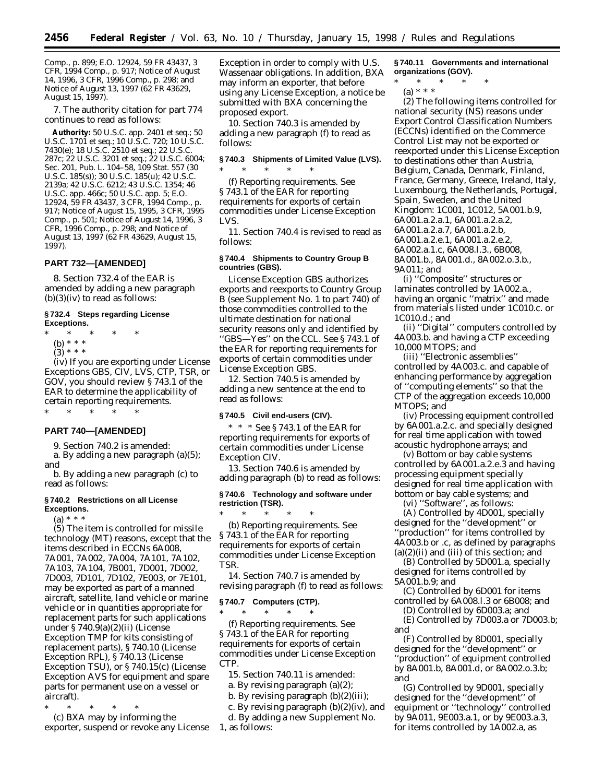Comp., p. 899; E.O. 12924, 59 FR 43437, 3 CFR, 1994 Comp., p. 917; Notice of August 14, 1996, 3 CFR, 1996 Comp., p. 298; and Notice of August 13, 1997 (62 FR 43629, August 15, 1997).

7. The authority citation for part 774 continues to read as follows:

**Authority:** 50 U.S.C. app. 2401 *et seq.*; 50 U.S.C. 1701 *et seq.*; 10 U.S.C. 720; 10 U.S.C. 7430(e); 18 U.S.C. 2510 *et seq.*; 22 U.S.C. 287c; 22 U.S.C. 3201 *et seq.*; 22 U.S.C. 6004; Sec. 201, Pub. L. 104–58, 109 Stat. 557 (30 U.S.C. 185(s)); 30 U.S.C. 185(u); 42 U.S.C. 2139a; 42 U.S.C. 6212; 43 U.S.C. 1354; 46 U.S.C. app. 466c; 50 U.S.C. app. 5; E.O. 12924, 59 FR 43437, 3 CFR, 1994 Comp., p. 917; Notice of August 15, 1995, 3 CFR, 1995 Comp., p. 501; Notice of August 14, 1996, 3 CFR, 1996 Comp., p. 298; and Notice of August 13, 1997 (62 FR 43629, August 15, 1997).

#### **PART 732—[AMENDED]**

8. Section 732.4 of the EAR is amended by adding a new paragraph  $(b)(3)(iv)$  to read as follows:

#### **§ 732.4 Steps regarding License Exceptions.**

\* \* \* \* \*

- (b) \* \* \*
- $(3) * * * *$

(iv) If you are exporting under License Exceptions GBS, CIV, LVS, CTP, TSR, or GOV, you should review § 743.1 of the EAR to determine the applicability of certain reporting requirements.

\* \* \* \* \*

#### **PART 740—[AMENDED]**

9. Section 740.2 is amended:

a. By adding a new paragraph (a)(5); and

b. By adding a new paragraph (c) to read as follows:

#### **§ 740.2 Restrictions on all License Exceptions.**

 $(a) * * * *$ 

(5) The item is controlled for missile technology (MT) reasons, except that the items described in ECCNs 6A008, 7A001, 7A002, 7A004, 7A101, 7A102, 7A103, 7A104, 7B001, 7D001, 7D002, 7D003, 7D101, 7D102, 7E003, or 7E101, may be exported as part of a manned aircraft, satellite, land vehicle or marine vehicle or in quantities appropriate for replacement parts for such applications under § 740.9(a)(2)(ii) (License Exception TMP for kits consisting of replacement parts), § 740.10 (License Exception RPL), § 740.13 (License Exception TSU), or § 740.15(c) (License Exception AVS for equipment and spare parts for permanent use on a vessel or aircraft).

\* \* \* \* \* (c) BXA may by informing the exporter, suspend or revoke any License Exception in order to comply with U.S. Wassenaar obligations. In addition, BXA may inform an exporter, that before using any License Exception, a notice be submitted with BXA concerning the proposed export.

10. Section 740.3 is amended by adding a new paragraph (f) to read as follows:

#### **§ 740.3 Shipments of Limited Value (LVS).**

\* \* \* \* \* (f) *Reporting requirements.* See § 743.1 of the EAR for reporting requirements for exports of certain commodities under License Exception LVS.

11. Section 740.4 is revised to read as follows:

#### **§ 740.4 Shipments to Country Group B countries (GBS).**

License Exception GBS authorizes exports and reexports to Country Group B (see Supplement No. 1 to part 740) of those commodities controlled to the ultimate destination for national security reasons only and identified by ''GBS—Yes'' on the CCL. See § 743.1 of the EAR for reporting requirements for exports of certain commodities under License Exception GBS.

12. Section 740.5 is amended by adding a new sentence at the end to read as follows:

#### **§ 740.5 Civil end-users (CIV).**

\* \* \* See § 743.1 of the EAR for reporting requirements for exports of certain commodities under License Exception CIV.

13. Section 740.6 is amended by adding paragraph (b) to read as follows:

#### **§ 740.6 Technology and software under restriction (TSR).**

\* \* \* \* \* (b) *Reporting requirements.* See § 743.1 of the EAR for reporting requirements for exports of certain commodities under License Exception TSR.

14. Section 740.7 is amended by revising paragraph (f) to read as follows:

#### **§ 740.7 Computers (CTP).**

\* \* \* \* \* (f) *Reporting requirements.* See § 743.1 of the EAR for reporting requirements for exports of certain commodities under License Exception CTP.

15. Section 740.11 is amended:

a. By revising paragraph (a)(2);

- b. By revising paragraph  $(b)(2)(iii)$ ;
- c. By revising paragraph  $(b)(2)(iv)$ , and

d. By adding a new Supplement No. 1, as follows:

**§ 740.11 Governments and international organizations (GOV).**

\* \* \* \* \*

(a) \* \* \* (2) The following items controlled for national security (NS) reasons under Export Control Classification Numbers (ECCNs) identified on the Commerce Control List may not be exported or reexported under this License Exception to destinations other than Austria, Belgium, Canada, Denmark, Finland, France, Germany, Greece, Ireland, Italy, Luxembourg, the Netherlands, Portugal, Spain, Sweden, and the United Kingdom: 1C001, 1C012, 5A001.b.9, 6A001.a.2.a.1, 6A001.a.2.a.2, 6A001.a.2.a.7, 6A001.a.2.b, 6A001.a.2.e.1, 6A001.a.2.e.2, 6A002.a.1.c, 6A008.l.3., 6B008, 8A001.b., 8A001.d., 8A002.o.3.b.,

9A011; and

(i) ''Composite'' structures or laminates controlled by 1A002.a., having an organic ''matrix'' and made from materials listed under 1C010.c. or 1C010.d.; and

(ii) ''Digital'' computers controlled by 4A003.b. and having a CTP exceeding 10,000 MTOPS; and

(iii) ''Electronic assemblies'' controlled by 4A003.c. and capable of enhancing performance by aggregation of ''computing elements'' so that the CTP of the aggregation exceeds 10,000 MTOPS; and

(iv) Processing equipment controlled by 6A001.a.2.c. and specially designed for real time application with towed acoustic hydrophone arrays; and

(v) Bottom or bay cable systems controlled by 6A001.a.2.e.3 and having processing equipment specially designed for real time application with bottom or bay cable systems; and

(vi) ''Software'', as follows:

(A) Controlled by 4D001, specially designed for the ''development'' or ''production'' for items controlled by 4A003.b or .c, as defined by paragraphs  $(a)(2)(ii)$  and  $(iii)$  of this section; and

(B) Controlled by 5D001.a, specially designed for items controlled by 5A001.b.9; and

(C) Controlled by 6D001 for items controlled by 6A008.l.3 or 6B008; and

(D) Controlled by 6D003.a; and (E) Controlled by 7D003.a or 7D003.b;

and (F) Controlled by 8D001, specially

designed for the ''development'' or ''production'' of equipment controlled by 8A001.b, 8A001.d, or 8A002.o.3.b; and

(G) Controlled by 9D001, specially designed for the ''development'' of equipment or ''technology'' controlled by 9A011, 9E003.a.1, or by 9E003.a.3, for items controlled by 1A002.a, as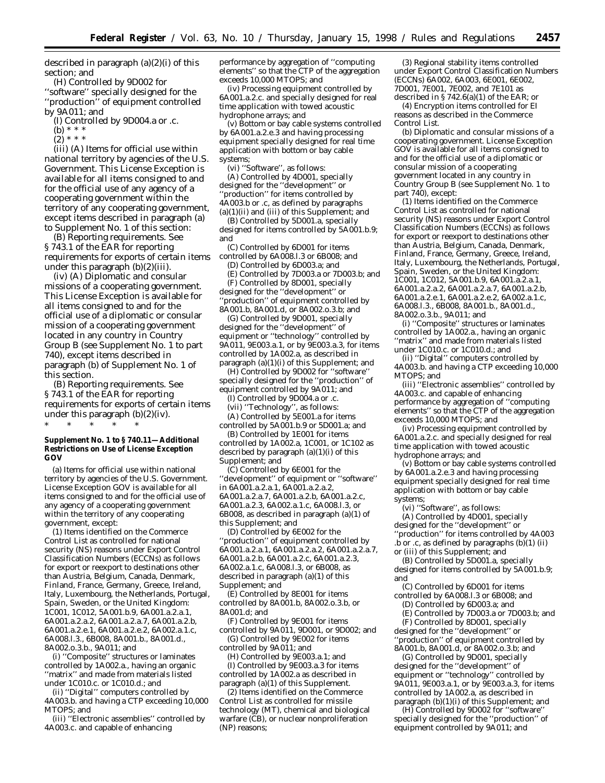described in paragraph  $(a)(2)(i)$  of this section; and

(H) Controlled by 9D002 for ''software'' specially designed for the ''production'' of equipment controlled by 9A011; and

(I) Controlled by 9D004.a or .c.

(b) \* \* \*

 $(2) * * * *$ 

(iii) (A) *Items for official use within national territory by agencies of the U.S. Government.* This License Exception is available for all items consigned to and for the official use of any agency of a cooperating government within the territory of any cooperating government, except items described in paragraph (a) to Supplement No. 1 of this section:

(B) *Reporting requirements.* See § 743.1 of the EAR for reporting requirements for exports of certain items under this paragraph  $(b)(2)(iii)$ .

(iv) (A) *Diplomatic and consular missions of a cooperating government.* This License Exception is available for all items consigned to and for the official use of a diplomatic or consular mission of a cooperating government located in any country in Country Group B (see Supplement No. 1 to part 740), except items described in paragraph (b) of Supplement No. 1 of this section.

(B) *Reporting requirements.* See § 743.1 of the EAR for reporting requirements for exports of certain items under this paragraph (b)(2)(iv). \* \* \* \* \*

#### **Supplement No. 1 to § 740.11—Additional Restrictions on Use of License Exception GOV**

(a) Items for official use within national territory by agencies of the U.S. Government. License Exception GOV is available for all items consigned to and for the official use of any agency of a cooperating government within the territory of any cooperating government, except:

(1) Items identified on the Commerce Control List as controlled for national security (NS) reasons under Export Control Classification Numbers (ECCNs) as follows for export or reexport to destinations other than Austria, Belgium, Canada, Denmark, Finland, France, Germany, Greece, Ireland, Italy, Luxembourg, the Netherlands, Portugal, Spain, Sweden, or the United Kingdom: 1C001, 1C012, 5A001.b.9, 6A001.a.2.a.1, 6A001.a.2.a.2, 6A001.a.2.a.7, 6A001.a.2.b, 6A001.a.2.e.1, 6A001.a.2.e.2, 6A002.a.1.c, 6A008.l.3., 6B008, 8A001.b., 8A001.d., 8A002.o.3.b., 9A011; and

(i) ''Composite'' structures or laminates controlled by 1A002.a., having an organic ''matrix'' and made from materials listed under 1C010.c. or 1C010.d.; and

(ii) ''Digital'' computers controlled by 4A003.b. and having a CTP exceeding 10,000 MTOPS; and

(iii) ''Electronic assemblies'' controlled by 4A003.c. and capable of enhancing

performance by aggregation of ''computing elements'' so that the CTP of the aggregation exceeds 10,000 MTOPS; and

(iv) Processing equipment controlled by 6A001.a.2.c. and specially designed for real time application with towed acoustic hydrophone arrays; and

(v) Bottom or bay cable systems controlled by 6A001.a.2.e.3 and having processing equipment specially designed for real time application with bottom or bay cable systems;

(vi) ''Software'', as follows:

(A) Controlled by 4D001, specially designed for the ''development'' or ''production'' for items controlled by 4A003.b or .c, as defined by paragraphs (a)(1)(ii) and (iii) of this Supplement; and

(B) Controlled by 5D001.a, specially designed for items controlled by 5A001.b.9; and

(C) Controlled by 6D001 for items

controlled by 6A008.l.3 or 6B008; and (D) Controlled by 6D003.a; and

(E) Controlled by 7D003.a or 7D003.b; and

(F) Controlled by 8D001, specially designed for the ''development'' or ''production'' of equipment controlled by 8A001.b, 8A001.d, or 8A002.o.3.b; and

(G) Controlled by 9D001, specially designed for the ''development'' of equipment or ''technology'' controlled by 9A011, 9E003.a.1, or by 9E003.a.3, for items controlled by 1A002.a, as described in paragraph  $(a)(1)(i)$  of this Supplement; and

(H) Controlled by 9D002 for ''software'' specially designed for the ''production'' of equipment controlled by 9A011; and

(I) Controlled by 9D004.a or .c.

(vii) ''Technology'', as follows:

(A) Controlled by 5E001.a for items controlled by 5A001.b.9 or 5D001.a; and

(B) Controlled by 1E001 for items controlled by 1A002.a, 1C001, or 1C102 as described by paragraph  $(a)(1)(i)$  of this Supplement; and

(C) Controlled by 6E001 for the ''development'' of equipment or ''software'' in 6A001.a.2.a.1, 6A001.a.2.a.2, 6A001.a.2.a.7, 6A001.a.2.b, 6A001.a.2.c, 6A001.a.2.3, 6A002.a.1.c, 6A008.l.3, or 6B008, as described in paragraph (a)(1) of this Supplement; and

(D) Controlled by 6E002 for the ''production'' of equipment controlled by 6A001.a.2.a.1, 6A001.a.2.a.2, 6A001.a.2.a.7, 6A001.a.2.b, 6A001.a.2.c, 6A001.a.2.3, 6A002.a.1.c, 6A008.l.3, or 6B008, as described in paragraph (a)(1) of this Supplement; and

(E) Controlled by 8E001 for items controlled by 8A001.b, 8A002.o.3.b, or 8A001.d; and

(F) Controlled by 9E001 for items controlled by  $9A011$ ,  $9D001$ , or  $9D002$ : and (G) Controlled by 9E002 for items

controlled by 9A011; and

(H) Controlled by 9E003.a.1; and (I) Controlled by 9E003.a.3 for items controlled by 1A002.a as described in paragraph  $(a)(1)$  of this Supplement.

(2) Items identified on the Commerce Control List as controlled for missile technology (MT), chemical and biological warfare (CB), or nuclear nonproliferation (NP) reasons;

(3) Regional stability items controlled under Export Control Classification Numbers (ECCNs) 6A002, 6A003, 6E001, 6E002, 7D001, 7E001, 7E002, and 7E101 as described in § 742.6(a)(1) of the EAR; or

(4) Encryption items controlled for EI reasons as described in the Commerce Control List.

(b) *Diplomatic and consular missions of a cooperating government.* License Exception GOV is available for all items consigned to and for the official use of a diplomatic or consular mission of a cooperating government located in any country in Country Group B (see Supplement No. 1 to part 740), except:

(1) Items identified on the Commerce Control List as controlled for national security (NS) reasons under Export Control Classification Numbers (ECCNs) as follows for export or reexport to destinations other than Austria, Belgium, Canada, Denmark, Finland, France, Germany, Greece, Ireland, Italy, Luxembourg, the Netherlands, Portugal, Spain, Sweden, or the United Kingdom: 1C001, 1C012, 5A001.b.9, 6A001.a.2.a.1, 6A001.a.2.a.2, 6A001.a.2.a.7, 6A001.a.2.b, 6A001.a.2.e.1, 6A001.a.2.e.2, 6A002.a.1.c, 6A008.l.3., 6B008, 8A001.b., 8A001.d., 8A002.o.3.b., 9A011; and

(i) ''Composite'' structures or laminates controlled by 1A002.a., having an organic ''matrix'' and made from materials listed under 1C010.c. or 1C010.d.; and

(ii) ''Digital'' computers controlled by 4A003.b. and having a CTP exceeding 10,000 MTOPS; and

(iii) ''Electronic assemblies'' controlled by 4A003.c. and capable of enhancing performance by aggregation of ''computing elements'' so that the CTP of the aggregation exceeds 10,000 MTOPS; and

(iv) Processing equipment controlled by 6A001.a.2.c. and specially designed for real time application with towed acoustic hydrophone arrays; and

(v) Bottom or bay cable systems controlled by 6A001.a.2.e.3 and having processing equipment specially designed for real time application with bottom or bay cable systems;

(vi) ''Software'', as follows:

(A) Controlled by 4D001, specially designed for the ''development'' or ''production'' for items controlled by 4A003  $\overrightarrow{b}$  or .c, as defined by paragraphs (b)(1) (ii) or (iii) of this Supplement; and

(B) Controlled by 5D001.a, specially designed for items controlled by 5A001.b.9; and

(C) Controlled by 6D001 for items controlled by 6A008.l.3 or 6B008; and

(D) Controlled by 6D003.a; and

(E) Controlled by 7D003.a or 7D003.b; and (F) Controlled by 8D001, specially

designed for the ''development'' or ''production'' of equipment controlled by 8A001.b, 8A001.d, or 8A002.o.3.b; and

(G) Controlled by 9D001, specially designed for the ''development'' of equipment or ''technology'' controlled by 9A011, 9E003.a.1, or by 9E003.a.3, for items controlled by 1A002.a, as described in paragraph (b)(1)(i) of this Supplement; and

(H) Controlled by 9D002 for ''software'' specially designed for the ''production'' of equipment controlled by 9A011; and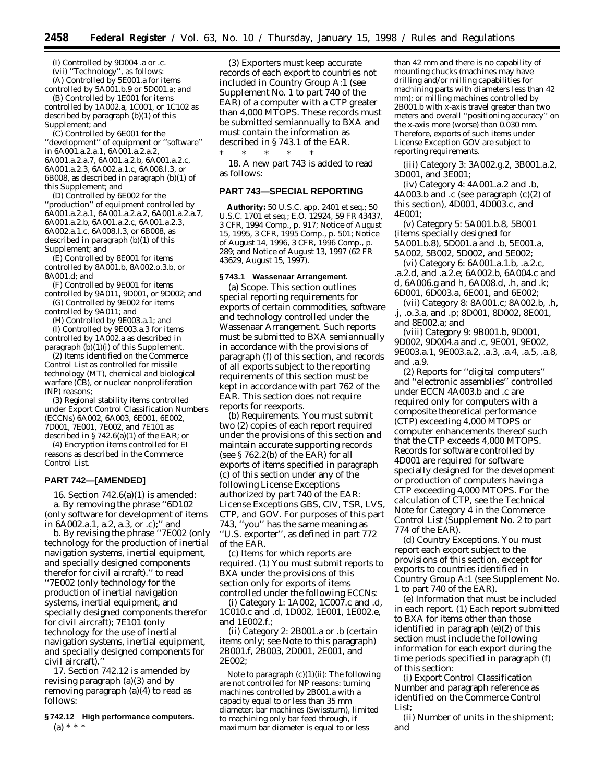(I) Controlled by 9D004 .a or .c. (vii) ''Technology'', as follows: (A) Controlled by 5E001.a for items

controlled by 5A001.b.9 or 5D001.a; and (B) Controlled by 1E001 for items controlled by 1A002.a, 1C001, or 1C102 as described by paragraph (b)(1) of this Supplement; and

(C) Controlled by 6E001 for the ''development'' of equipment or ''software'' in 6A001.a.2.a.1, 6A001.a.2.a.2, 6A001.a.2.a.7, 6A001.a.2.b, 6A001.a.2.c, 6A001.a.2.3, 6A002.a.1.c, 6A008.l.3, or 6B008, as described in paragraph (b)(1) of this Supplement; and

(D) Controlled by 6E002 for the ''production'' of equipment controlled by 6A001.a.2.a.1, 6A001.a.2.a.2, 6A001.a.2.a.7, 6A001.a.2.b, 6A001.a.2.c, 6A001.a.2.3, 6A002.a.1.c, 6A008.l.3, or 6B008, as described in paragraph (b)(1) of this Supplement; and

(E) Controlled by 8E001 for items controlled by 8A001.b, 8A002.o.3.b, or 8A001.d; and

(F) Controlled by 9E001 for items controlled by 9A011, 9D001, or 9D002; and (G) Controlled by 9E002 for items

controlled by 9A011; and

(H) Controlled by 9E003.a.1; and (I) Controlled by 9E003.a.3 for items

controlled by 1A002.a as described in paragraph  $(b)(1)(i)$  of this Supplement. (2) Items identified on the Commerce

Control List as controlled for missile technology (MT), chemical and biological warfare (CB), or nuclear nonproliferation (NP) reasons;

(3) Regional stability items controlled under Export Control Classification Numbers (ECCNs) 6A002, 6A003, 6E001, 6E002, 7D001, 7E001, 7E002, and 7E101 as described in  $\S 742.6(a)(1)$  of the EAR; or

(4) Encryption items controlled for EI reasons as described in the Commerce Control List.

#### **PART 742—[AMENDED]**

16. Section 742.6(a)(1) is amended: a. By removing the phrase ''6D102 (only software for development of items in 6A002.a.1, a.2, a.3, or .c);'' and

b. By revising the phrase ''7E002 (only technology for the production of inertial navigation systems, inertial equipment, and specially designed components therefor for civil aircraft).'' to read ''7E002 (only technology for the production of inertial navigation systems, inertial equipment, and specially designed components therefor for civil aircraft); 7E101 (only technology for the use of inertial navigation systems, inertial equipment, and specially designed components for civil aircraft).''

17. Section 742.12 is amended by revising paragraph (a)(3) and by removing paragraph (a)(4) to read as follows:

#### **§ 742.12 High performance computers.** (a) \* \* \*

(3) Exporters must keep accurate records of each export to countries not included in Country Group A:1 (see Supplement No. 1 to part 740 of the EAR) of a computer with a CTP greater than 4,000 MTOPS. These records must be submitted semiannually to BXA and must contain the information as described in § 743.1 of the EAR.

\* \* \* \* \* 18. A new part 743 is added to read as follows:

#### **PART 743—SPECIAL REPORTING**

**Authority:** 50 U.S.C. app. 2401 *et seq.*; 50 U.S.C. 1701 *et seq.*; E.O. 12924, 59 FR 43437, 3 CFR, 1994 Comp., p. 917; Notice of August 15, 1995, 3 CFR, 1995 Comp., p. 501; Notice of August 14, 1996, 3 CFR, 1996 Comp., p. 289; and Notice of August 13, 1997 (62 FR 43629, August 15, 1997).

#### **§ 743.1 Wassenaar Arrangement.**

(a) *Scope.* This section outlines special reporting requirements for exports of certain commodities, software and technology controlled under the Wassenaar Arrangement. Such reports must be submitted to BXA semiannually in accordance with the provisions of paragraph (f) of this section, and records of all exports subject to the reporting requirements of this section must be kept in accordance with part 762 of the EAR. This section does not require reports for reexports.

(b) *Requirements.* You must submit two (2) copies of each report required under the provisions of this section and maintain accurate supporting records (see § 762.2(b) of the EAR) for all exports of items specified in paragraph (c) of this section under any of the following License Exceptions authorized by part 740 of the EAR: License Exceptions GBS, CIV, TSR, LVS, CTP, and GOV. For purposes of this part 743, ''you'' has the same meaning as ''U.S. exporter'', as defined in part 772 of the EAR.

(c) *Items for which reports are required.* (1) You must submit reports to BXA under the provisions of this section only for exports of items controlled under the following ECCNs:

(i) *Category 1:* 1A002, 1C007.c and .d, 1C010.c and .d, 1D002, 1E001, 1E002.e, and 1E002.f.;

(ii) *Category 2:* 2B001.a or .b (certain items only; see Note to this paragraph) 2B001.f, 2B003, 2D001, 2E001, and 2E002;

*Note to paragraph (c)(1)(ii):* The following are not controlled for NP reasons: turning machines controlled by 2B001.a with a capacity equal to or less than 35 mm diameter; bar machines (Swissturn), limited to machining only bar feed through, if maximum bar diameter is equal to or less

than 42 mm and there is no capability of mounting chucks (machines may have drilling and/or milling capabilities for machining parts with diameters less than 42 mm); or milling machines controlled by 2B001.b with x-axis travel greater than two meters and overall ''positioning accuracy'' on the x-axis more (worse) than 0.030 mm. Therefore, exports of such items under License Exception GOV are subject to reporting requirements.

(iii) *Category 3:* 3A002.g.2, 3B001.a.2, 3D001, and 3E001;

(iv) *Category 4:* 4A001.a.2 and .b, 4A003.b and .c (see paragraph (c)(2) of this section), 4D001, 4D003.c, and 4E001;

(v) *Category 5:* 5A001.b.8, 5B001 (items specially designed for 5A001.b.8), 5D001.a and .b, 5E001.a, 5A002, 5B002, 5D002, and 5E002;

(vi) *Category 6:* 6A001.a.1.b, .a.2.c, .a.2.d, and .a.2.e; 6A002.b, 6A004.c and d, 6A006.g and h, 6A008.d, .h, and .k; 6D001, 6D003.a, 6E001, and 6E002;

(vii) *Category 8:* 8A001.c; 8A002.b, .h, .j, .o.3.a, and .p; 8D001, 8D002, 8E001, and 8E002.a; and

(viii) *Category 9:* 9B001.b, 9D001, 9D002, 9D004.a and .c, 9E001, 9E002, 9E003.a.1, 9E003.a.2, .a.3, .a.4, .a.5, .a.8, and .a.9.

(2) Reports for ''digital computers'' and ''electronic assemblies'' controlled under ECCN 4A003.b and .c are required only for computers with a composite theoretical performance (CTP) exceeding 4,000 MTOPS or computer enhancements thereof such that the CTP exceeds 4,000 MTOPS. Records for software controlled by 4D001 are required for software specially designed for the development or production of computers having a CTP exceeding 4,000 MTOPS. For the calculation of CTP, see the Technical Note for Category 4 in the Commerce Control List (Supplement No. 2 to part 774 of the EAR).

(d) *Country Exceptions.* You must report each export subject to the provisions of this section, except for exports to countries identified in Country Group A:1 (see Supplement No. 1 to part 740 of the EAR).

(e) *Information that must be included in each report.* (1) Each report submitted to BXA for items other than those identified in paragraph (e)(2) of this section must include the following information for each export during the time periods specified in paragraph (f) of this section:

(i) Export Control Classification Number and paragraph reference as identified on the Commerce Control List;

(ii) Number of units in the shipment; and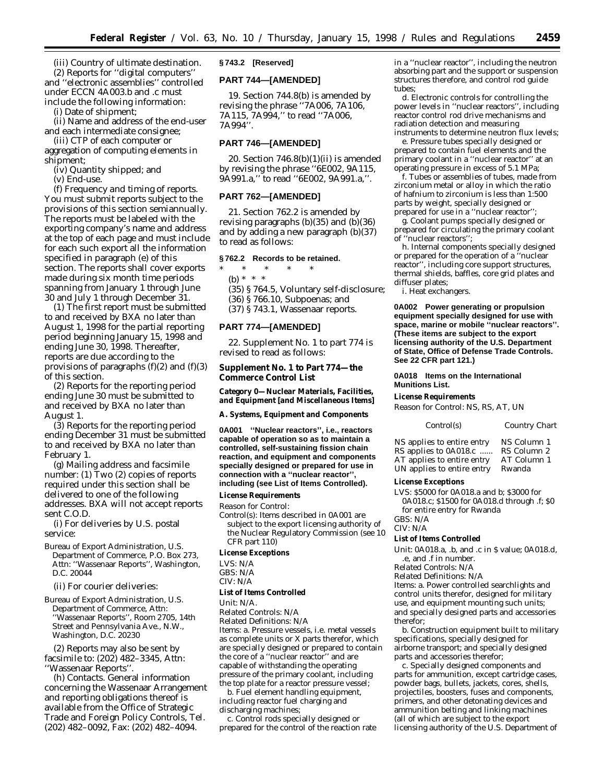(iii) Country of ultimate destination. (2) Reports for ''digital computers'' and ''electronic assemblies'' controlled under ECCN 4A003.b and .c must include the following information:

(i) Date of shipment;

(ii) Name and address of the end-user and each intermediate consignee;

(iii) CTP of each computer or aggregation of computing elements in shipment;

(iv) Quantity shipped; and

(v) End-use.

(f) *Frequency and timing of reports.* You must submit reports subject to the provisions of this section semiannually. The reports must be labeled with the exporting company's name and address at the top of each page and must include for each such export all the information specified in paragraph (e) of this section. The reports shall cover exports made during six month time periods spanning from January 1 through June 30 and July 1 through December 31.

(1) The first report must be submitted to and received by BXA no later than August 1, 1998 for the partial reporting period beginning January 15, 1998 and ending June 30, 1998. Thereafter, reports are due according to the provisions of paragraphs  $(f)(2)$  and  $(f)(3)$ of this section.

(2) Reports for the reporting period ending June 30 must be submitted to and received by BXA no later than August 1.

(3) Reports for the reporting period ending December 31 must be submitted to and received by BXA no later than February 1.

(g) *Mailing address and facsimile number:* (1) Two (2) copies of reports required under this section shall be delivered to one of the following addresses. BXA will not accept reports sent C.O.D.

(i) For deliveries by U.S. postal service:

Bureau of Export Administration, U.S. Department of Commerce, P.O. Box 273, Attn: ''Wassenaar Reports'', Washington, D.C. 20044

(ii) For courier deliveries:

Bureau of Export Administration, U.S. Department of Commerce, Attn: ''Wassenaar Reports'', Room 2705, 14th Street and Pennsylvania Ave., N.W., Washington, D.C. 20230

(2) Reports may also be sent by facsimile to: (202) 482–3345, Attn: ''Wassenaar Reports''.

(h) *Contacts.* General information concerning the Wassenaar Arrangement and reporting obligations thereof is available from the Office of Strategic Trade and Foreign Policy Controls, Tel. (202) 482–0092, Fax: (202) 482–4094.

#### **§ 743.2 [Reserved]**

#### **PART 744—[AMENDED]**

19. Section 744.8(b) is amended by revising the phrase ''7A006, 7A106, 7A115, 7A994,'' to read ''7A006, 7A994''.

#### **PART 746—[AMENDED]**

20. Section  $746.8(b)(1)(ii)$  is amended by revising the phrase ''6E002, 9A115, 9A991.a,'' to read ''6E002, 9A991.a,''.

#### **PART 762—[AMENDED]**

21. Section 762.2 is amended by revising paragraphs (b)(35) and (b)(36) and by adding a new paragraph (b)(37) to read as follows:

#### **§ 762.2 Records to be retained.**

\* \* \* \* \* (b) \* \* \* (35) § 764.5, Voluntary self-disclosure; (36) § 766.10, Subpoenas; and (37) § 743.1, Wassenaar reports.

#### **PART 774—[AMENDED]**

22. Supplement No. 1 to part 774 is revised to read as follows:

#### **Supplement No. 1 to Part 774—the Commerce Control List**

**Category 0—Nuclear Materials, Facilities, and Equipment [and Miscellaneous Items]**

**A. Systems, Equipment and Components**

**0A001 ''Nuclear reactors'', i.e., reactors capable of operation so as to maintain a controlled, self-sustaining fission chain reaction, and equipment and components specially designed or prepared for use in connection with a ''nuclear reactor'', including (see List of Items Controlled).**

#### **License Requirements**

*Reason for Control:*

*Control(s):* Items described in 0A001 are subject to the export licensing authority of the Nuclear Regulatory Commission (see 10 CFR part 110)

#### **License Exceptions**

LVS: N/A

GBS: N/A CIV: N/A

#### **List of Items Controlled**

*Unit:* N/A.

*Related Controls:* N/A

*Related Definitions:* N/A *Items:* a. Pressure vessels, i.e. metal vessels as complete units or X parts therefor, which are specially designed or prepared to contain the core of a ''nuclear reactor'' and are capable of withstanding the operating pressure of the primary coolant, including the top plate for a reactor pressure vessel;

b. Fuel element handling equipment, including reactor fuel charging and discharging machines;

c. Control rods specially designed or prepared for the control of the reaction rate in a ''nuclear reactor'', including the neutron absorbing part and the support or suspension structures therefore, and control rod guide tubes;

d. Electronic controls for controlling the power levels in ''nuclear reactors'', including reactor control rod drive mechanisms and radiation detection and measuring instruments to determine neutron flux levels;

e. Pressure tubes specially designed or prepared to contain fuel elements and the primary coolant in a ''nuclear reactor'' at an operating pressure in excess of 5.1 MPa;

f. Tubes or assemblies of tubes, made from zirconium metal or alloy in which the ratio of hafnium to zirconium is less than 1:500 parts by weight, specially designed or prepared for use in a ''nuclear reactor'';

g. Coolant pumps specially designed or prepared for circulating the primary coolant of ''nuclear reactors'';

h. Internal components specially designed or prepared for the operation of a ''nuclear reactor'', including core support structures, thermal shields, baffles, core grid plates and diffuser plates;

i. Heat exchangers.

**0A002 Power generating or propulsion equipment specially designed for use with space, marine or mobile ''nuclear reactors''. (These items are subject to the export licensing authority of the U.S. Department of State, Office of Defense Trade Controls. See 22 CFR part 121.)**

#### **0A018 Items on the International Munitions List.**

#### **License Requirements**

*Reason for Control:* NS, RS, AT, UN

| Control(s)                 | Country Chart |
|----------------------------|---------------|
| NS applies to entire entry | NS Column 1   |
| RS applies to 0A018.c      | RS Column 2   |
| AT applies to entire entry | AT Column 1   |
| UN applies to entire entry | Rwanda        |

#### **License Exceptions**

LVS: \$5000 for 0A018.a and b; \$3000 for 0A018.c; \$1500 for 0A018.d through .f; \$0 for entire entry for Rwanda GBS: N/A

CIV: N/A

#### **List of Items Controlled**

*Unit:* 0A018.a, .b, and .c in \$ value; 0A018.d, .e, and .f in number.

*Related Controls:* N/A

*Related Definitions:* N/A *Items:* a. Power controlled searchlights and control units therefor, designed for military use, and equipment mounting such units; and specially designed parts and accessories therefor;

b. Construction equipment built to military specifications, specially designed for airborne transport; and specially designed parts and accessories therefor;

c. Specially designed components and parts for ammunition, except cartridge cases, powder bags, bullets, jackets, cores, shells, projectiles, boosters, fuses and components, primers, and other detonating devices and ammunition belting and linking machines (all of which are subject to the export licensing authority of the U.S. Department of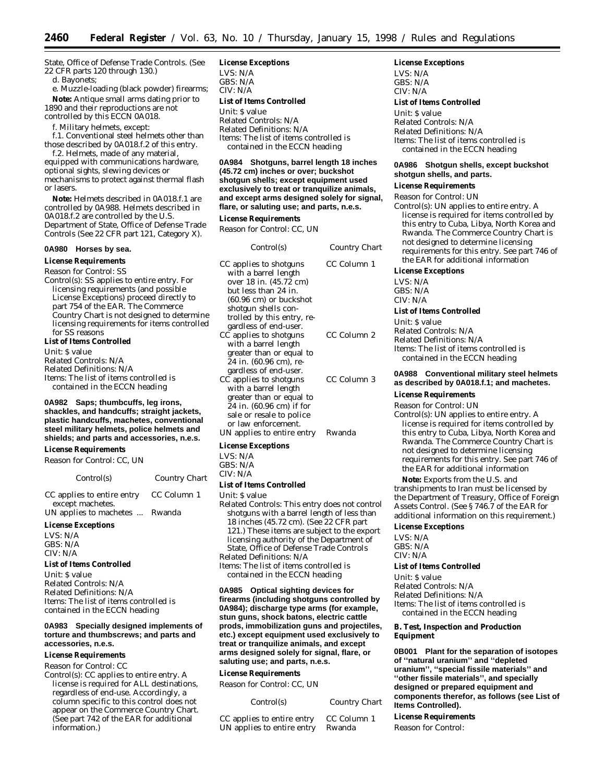State, Office of Defense Trade Controls. (See 22 CFR parts 120 through 130.)

d. Bayonets;

e. Muzzle-loading (black powder) firearms; **Note:** Antique small arms dating prior to 1890 and their reproductions are not controlled by this ECCN 0A018.

f. Military helmets, except:

f.1. Conventional steel helmets other than those described by 0A018.f.2 of this entry.

f.2. Helmets, made of any material, equipped with communications hardware, optional sights, slewing devices or mechanisms to protect against thermal flash or lasers.

**Note:** Helmets described in 0A018.f.1 are controlled by 0A988. Helmets described in 0A018.f.2 are controlled by the U.S. Department of State, Office of Defense Trade Controls (See 22 CFR part 121, Category X).

#### **0A980 Horses by sea.**

**License Requirements**

*Reason for Control:* SS

*Control(s):* SS applies to entire entry. For licensing requirements (and possible License Exceptions) proceed directly to part 754 of the EAR. The Commerce Country Chart is not designed to determine licensing requirements for items controlled for SS reasons

**List of Items Controlled**

*Unit:* \$ value

*Related Controls:* N/A

*Related Definitions:* N/A *Items:* The list of items controlled is contained in the ECCN heading

**0A982 Saps; thumbcuffs, leg irons, shackles, and handcuffs; straight jackets, plastic handcuffs, machetes, conventional steel military helmets, police helmets and shields; and parts and accessories, n.e.s.**

#### **License Requirements**

*Reason for Control:* CC, UN

| Control(s)                                     | Country Chart |
|------------------------------------------------|---------------|
| CC applies to entire entry<br>except machetes. | CC Column 1   |
| UN applies to machetes  Rwanda                 |               |

#### **License Exceptions**

LVS: N/A GBS: N/A CIV: N/A

#### **List of Items Controlled**

*Unit:* \$ value *Related Controls:* N/A *Related Definitions:* N/A *Items:* The list of items controlled is contained in the ECCN heading

#### **0A983 Specially designed implements of torture and thumbscrews; and parts and accessories, n.e.s.**

#### **License Requirements**

*Reason for Control:* CC

*Control(s):* CC applies to entire entry. A license is required for ALL destinations, regardless of end-use. Accordingly, a column specific to this control does not appear on the Commerce Country Chart. (See part 742 of the EAR for additional information.)

#### **License Exceptions**

LVS: N/A GBS: N/A CIV: N/A **List of Items Controlled** *Unit:* \$ value *Related Controls:* N/A

*Related Definitions:* N/A *Items:* The list of items controlled is contained in the ECCN heading

**0A984 Shotguns, barrel length 18 inches (45.72 cm) inches or over; buckshot shotgun shells; except equipment used exclusively to treat or tranquilize animals, and except arms designed solely for signal, flare, or saluting use; and parts, n.e.s.**

#### **License Requirements**

*Reason for Control:* CC, UN

| Control(s)                                                                                                                                                                                                                                                                                                                                                                                          | Country Chart |
|-----------------------------------------------------------------------------------------------------------------------------------------------------------------------------------------------------------------------------------------------------------------------------------------------------------------------------------------------------------------------------------------------------|---------------|
| CC applies to shotguns<br>with a barrel length<br>over 18 in. (45.72 cm)<br>but less than 24 in.<br>$(60.96 \text{ cm})$ or buckshot<br>shotgun shells con-<br>trolled by this entry, re-<br>gardless of end-user.                                                                                                                                                                                  | CC Column 1   |
| CC applies to shotguns<br>with a barrel length<br>greater than or equal to<br>24 in. (60.96 cm), re-<br>gardless of end-user.                                                                                                                                                                                                                                                                       | CC Column 2   |
| CC applies to shotguns<br>with a barrel length<br>greater than or equal to<br>24 in. (60.96 cm) if for<br>sale or resale to police<br>or law enforcement.                                                                                                                                                                                                                                           | CC Column 3   |
| UN applies to entire entry                                                                                                                                                                                                                                                                                                                                                                          | Rwanda        |
| <b>License Exceptions</b><br>LVS: N/A<br>GBS: N/A<br>CIV: N/A                                                                                                                                                                                                                                                                                                                                       |               |
| <b>List of Items Controlled</b>                                                                                                                                                                                                                                                                                                                                                                     |               |
| Unit: S value<br>Related Controls: This entry does not control<br>shotguns with a barrel length of less than<br>18 inches (45.72 cm). (See 22 CFR part<br>121.) These items are subject to the export<br>licensing authority of the Department of<br>State, Office of Defense Trade Controls<br>Related Definitions: N/A<br>Items: The list of items controlled is<br>contained in the ECCN heading |               |

**0A985 Optical sighting devices for firearms (including shotguns controlled by 0A984); discharge type arms (for example, stun guns, shock batons, electric cattle prods, immobilization guns and projectiles, etc.) except equipment used exclusively to treat or tranquilize animals, and except arms designed solely for signal, flare, or saluting use; and parts, n.e.s.**

#### **License Requirements**

*Reason for Control:* CC, UN

| CC applies to entire entry | CC Column 1 |
|----------------------------|-------------|
| UN applies to entire entry | Rwanda      |

#### **License Exceptions**

LVS: N/A GBS: N/A CIV: N/A

#### **List of Items Controlled**

*Unit:* \$ value *Related Controls:* N/A *Related Definitions:* N/A *Items:* The list of items controlled is contained in the ECCN heading

#### **0A986 Shotgun shells, except buckshot shotgun shells, and parts.**

#### **License Requirements**

*Reason for Control:* UN *Control(s):* UN applies to entire entry. A license is required for items controlled by this entry to Cuba, Libya, North Korea and Rwanda. The Commerce Country Chart is not designed to determine licensing requirements for this entry. See part 746 of the EAR for additional information

#### **License Exceptions**

LVS: N/A  $CRS: N/A$ CIV: N/A

#### **List of Items Controlled**

*Unit:* \$ value *Related Controls:* N/A *Related Definitions:* N/A *Items:* The list of items controlled is contained in the ECCN heading

#### **0A988 Conventional military steel helmets as described by 0A018.f.1; and machetes.**

#### **License Requirements**

*Reason for Control:* UN *Control(s):* UN applies to entire entry. A license is required for items controlled by this entry to Cuba, Libya, North Korea and Rwanda. The Commerce Country Chart is not designed to determine licensing requirements for this entry. See part 746 of the EAR for additional information

**Note:** Exports from the U.S. and transhipments to *Iran* must be licensed by the Department of Treasury, Office of Foreign Assets Control. (See § 746.7 of the EAR for additional information on this requirement.)

#### **License Exceptions**

LVS: N/A GBS: N/A CIV: N/A

#### **List of Items Controlled**

*Unit:* \$ value *Related Controls:* N/A *Related Definitions:* N/A *Items:* The list of items controlled is contained in the ECCN heading

#### **B. Test, Inspection and Production Equipment**

**0B001 Plant for the separation of isotopes of ''natural uranium'' and ''depleted uranium'', ''special fissile materials'' and ''other fissile materials'', and specially designed or prepared equipment and components therefor, as follows (see List of Items Controlled).**

#### **License Requirements**

*Reason for Control:*

*Control(s) Country Chart*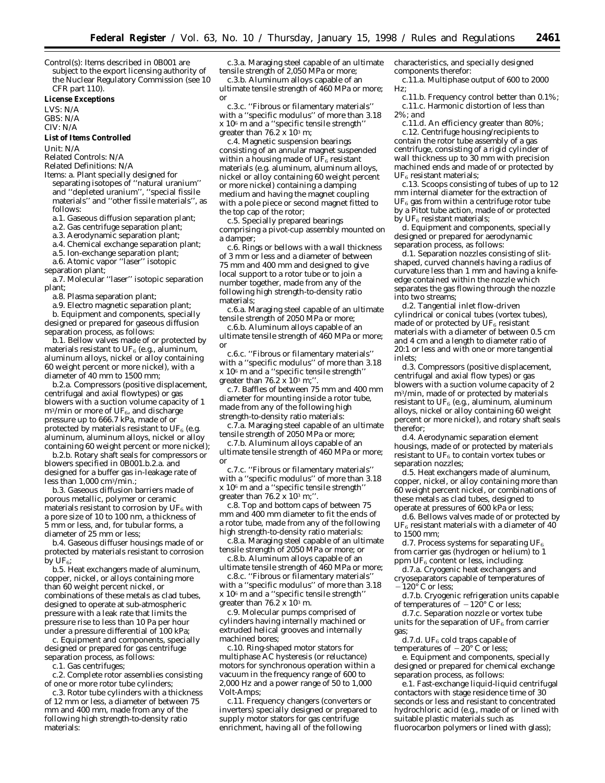*Control(s):* Items described in 0B001 are subject to the export licensing authority of the Nuclear Regulatory Commission (see 10 CFR part 110).

#### **License Exceptions**

LVS: N/A GBS: N/A CIV: N/A

#### **List of Items Controlled**

*Unit:* N/A

*Related Controls:* N/A

*Related Definitions:* N/A

*Items:* a. Plant specially designed for separating isotopes of ''natural uranium'' and ''depleted uranium'', ''special fissile materials'' and ''other fissile materials'', as follows:

a.1. Gaseous diffusion separation plant;

a.2. Gas centrifuge separation plant;

a.3. Aerodynamic separation plant;

a.4. Chemical exchange separation plant;

a.5. Ion-exchange separation plant;

a.6. Atomic vapor ''laser'' isotopic separation plant;

a.7. Molecular ''laser'' isotopic separation plant;

a.8. Plasma separation plant;

a.9. Electro magnetic separation plant;

b. Equipment and components, specially designed or prepared for gaseous diffusion separation process, as follows:

b.1. Bellow valves made of or protected by materials resistant to  $UF_6$  (e.g., aluminum, aluminum alloys, nickel or alloy containing 60 weight percent or more nickel), with a diameter of 40 mm to 1500 mm;

b.2.a. Compressors (positive displacement, centrifugal and axial flowtypes) or gas blowers with a suction volume capacity of 1  $m^3/m$ in or more of UF<sub>6</sub>, and discharge pressure up to 666.7 kPa, made of or protected by materials resistant to UF $_6$  (e.g. aluminum, aluminum alloys, nickel or alloy containing 60 weight percent or more nickel);

b.2.b. Rotary shaft seals for compressors or blowers specified in 0B001.b.2.a. and designed for a buffer gas in-leakage rate of less than 1,000 cm3/min.;

b.3. Gaseous diffusion barriers made of porous metallic, polymer or ceramic materials resistant to corrosion by  $UF_6$  with a pore size of 10 to 100 nm, a thickness of 5 mm or less, and, for tubular forms, a diameter of 25 mm or less;

b.4. Gaseous diffuser housings made of or protected by materials resistant to corrosion by  $UF_6$ ;

b.5. Heat exchangers made of aluminum, copper, nickel, or alloys containing more than 60 weight percent nickel, or combinations of these metals as clad tubes, designed to operate at sub-atmospheric pressure with a leak rate that limits the pressure rise to less than 10 Pa per hour under a pressure differential of 100 kPa;

c. Equipment and components, specially designed or prepared for gas centrifuge separation process, as follows:

c.1. Gas centrifuges;

c.2. Complete rotor assemblies consisting of one or more rotor tube cylinders;

c.3. Rotor tube cylinders with a thickness of 12 mm or less, a diameter of between 75 mm and 400 mm, made from any of the following high strength-to-density ratio materials:

c.3.a. Maraging steel capable of an ultimate tensile strength of 2,050 MPa or more;

c.3.b. Aluminum alloys capable of an ultimate tensile strength of 460 MPa or more; *or*

c.3.c. ''Fibrous or filamentary materials'' with a ''specific modulus'' of more than 3.18 x 106 m and a ''specific tensile strength'' greater than  $76.2 \times 10^3$  m;

c.4. Magnetic suspension bearings consisting of an annular magnet suspended within a housing made of  $U\tilde{F}_6$  resistant materials (e.g. aluminum, aluminum alloys, nickel or alloy containing 60 weight percent or more nickel) containing a damping medium and having the magnet coupling with a pole piece or second magnet fitted to the top cap of the rotor;

c.5. Specially prepared bearings comprising a pivot-cup assembly mounted on a damper;

c.6. Rings or bellows with a wall thickness of 3 mm or less and a diameter of between 75 mm and 400 mm and designed to give local support to a rotor tube or to join a number together, made from any of the following high strength-to-density ratio materials;

c.6.a. Maraging steel capable of an ultimate tensile strength of 2050 MPa or more;

c.6.b. Aluminum alloys capable of an ultimate tensile strength of 460 MPa or more; *or*

c.6.c. ''Fibrous or filamentary materials'' with a ''specific modulus'' of more than 3.18 x 106 m and a ''specific tensile strength'' greater than  $76.\overline{2} \times 10^3$  m;"

c.7. Baffles of between 75 mm and 400 mm diameter for mounting inside a rotor tube, made from any of the following high strength-to-density ratio materials:

c.7.a. Maraging steel capable of an ultimate tensile strength of 2050 MPa or more;

c.7.b. Aluminum alloys capable of an ultimate tensile strength of 460 MPa or more; *or*

c.7.c. ''Fibrous or filamentary materials'' with a ''specific modulus'' of more than 3.18 x 106 m and a ''specific tensile strength'' greater than  $76.2 \times 10^3$  m;".

c.8. Top and bottom caps of between 75 mm and 400 mm diameter to fit the ends of a rotor tube, made from any of the following high strength-to-density ratio materials:

c.8.a. Maraging steel capable of an ultimate tensile strength of 2050 MPa or more; *or*

c.8.b. Aluminum alloys capable of an ultimate tensile strength of 460 MPa or more;

c.8.c. ''Fibrous or filamentary materials'' with a ''specific modulus'' of more than 3.18 x 106 m and a ''specific tensile strength'' greater than  $76.\overrightarrow{2}$  x  $10^3$  m.

c.9. Molecular pumps comprised of cylinders having internally machined or extruded helical grooves and internally machined bores;

c.10. Ring-shaped motor stators for multiphase AC hysteresis (or reluctance) motors for synchronous operation within a vacuum in the frequency range of 600 to 2,000 Hz and a power range of 50 to 1,000 Volt-Amps;

c.11. Frequency changers (converters or inverters) specially designed or prepared to supply motor stators for gas centrifuge enrichment, having all of the following

characteristics, and specially designed components therefor:

c.11.a. Multiphase output of 600 to 2000 Hz;

c.11.b. Frequency control better than 0.1%; c.11.c. Harmonic distortion of less than 2%; *and*

c.11.d. An efficiency greater than 80%; c.12. Centrifuge housing/recipients to contain the rotor tube assembly of a gas centrifuge, consisting of a rigid cylinder of wall thickness up to 30 mm with precision machined ends and made of or protected by  $UF<sub>6</sub>$  resistant materials;

c.13. Scoops consisting of tubes of up to 12 mm internal diameter for the extraction of  $UF<sub>6</sub>$  gas from within a centrifuge rotor tube by a Pitot tube action, made of or protected by  $UF_6$  resistant materials;

d. Equipment and components, specially designed or prepared for aerodynamic separation process, as follows:

d.1. Separation nozzles consisting of slitshaped, curved channels having a radius of curvature less than 1 mm and having a knifeedge contained within the nozzle which separates the gas flowing through the nozzle into two streams;

d.2. Tangential inlet flow-driven cylindrical or conical tubes (vortex tubes), made of or protected by  $UF_6$  resistant materials with a diameter of between 0.5 cm and 4 cm and a length to diameter ratio of 20:1 or less and with one or more tangential inlets;

d.3. Compressors (positive displacement, centrifugal and axial flow types) or gas blowers with a suction volume capacity of 2 m3/min, made of or protected by materials resistant to UF<sub>6</sub> (e.g., aluminum, aluminum alloys, nickel or alloy containing 60 weight percent or more nickel), and rotary shaft seals therefor;

d.4. Aerodynamic separation element housings, made of or protected by materials resistant to  $UF_6$  to contain vortex tubes or separation nozzles;

d.5. Heat exchangers made of aluminum, copper, nickel, or alloy containing more than 60 weight percent nickel, or combinations of these metals as clad tubes, designed to operate at pressures of 600 kPa or less;

d.6. Bellows valves made of or protected by  $\rm UF_6$  resistant materials with a diameter of  $40$ to 1500 mm;

d.7. Process systems for separating  $UF_6$ from carrier gas (hydrogen or helium) to 1 ppm UF<sub>6</sub> content or less, including:

d.7.a. Cryogenic heat exchangers and cryoseparators capable of temperatures of  $-120^\circ$  C or less;

d.7.b. Cryogenic refrigeration units capable of temperatures of  $-120^{\circ}$  C or less;

d.7.c. Separation nozzle or vortex tube units for the separation of  $UF_6$  from carrier gas;

d.7.d. UF<sub>6</sub> cold traps capable of temperatures of  $-20^{\circ}$  C or less;

e. Equipment and components, specially designed or prepared for chemical exchange separation process, as follows:

e.1. Fast-exchange liquid-liquid centrifugal contactors with stage residence time of 30 seconds or less and resistant to concentrated hydrochloric acid (e.g., made of or lined with suitable plastic materials such as fluorocarbon polymers or lined with glass);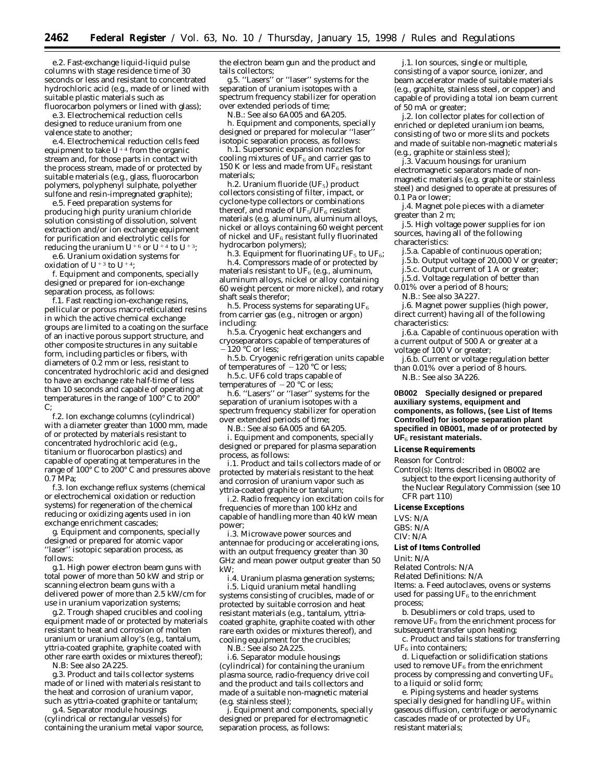e.2. Fast-exchange liquid-liquid pulse columns with stage residence time of 30 seconds or less and resistant to concentrated hydrochloric acid (e.g., made of or lined with suitable plastic materials such as

fluorocarbon polymers or lined with glass); e.3. Electrochemical reduction cells designed to reduce uranium from one valence state to another;

e.4. Electrochemical reduction cells feed equipment to take  $U^{+4}$  from the organic stream and, for those parts in contact with the process stream, made of or protected by suitable materials (e.g., glass, fluorocarbon polymers, polyphenyl sulphate, polyether sulfone and resin-impregnated graphite);

e.5. Feed preparation systems for producing high purity uranium chloride solution consisting of dissolution, solvent extraction and/or ion exchange equipment for purification and electrolytic cells for reducing the uranium  $U^{+6}$  or  $U^{+4}$  to  $U^{+3}$ ;

e.6. Uranium oxidation systems for oxidation of U<sup>+3</sup> to U<sup>+4</sup>;

f. Equipment and components, specially designed or prepared for ion-exchange separation process, as follows:

f.1. Fast reacting ion-exchange resins, pellicular or porous macro-reticulated resins in which the active chemical exchange groups are limited to a coating on the surface of an inactive porous support structure, and other composite structures in any suitable form, including particles or fibers, with diameters of 0.2 mm or less, resistant to concentrated hydrochloric acid and designed to have an exchange rate half-time of less than 10 seconds and capable of operating at temperatures in the range of 100° C to 200° C;

f.2. Ion exchange columns (cylindrical) with a diameter greater than 1000 mm, made of or protected by materials resistant to concentrated hydrochloric acid (e.g., titanium or fluorocarbon plastics) and capable of operating at temperatures in the range of 100° C to 200° C and pressures above 0.7 MPa;

f.3. Ion exchange reflux systems (chemical or electrochemical oxidation or reduction systems) for regeneration of the chemical reducing or oxidizing agents used in ion exchange enrichment cascades;

g. Equipment and components, specially designed or prepared for atomic vapor ''laser'' isotopic separation process, as follows:

g.1. High power electron beam guns with total power of more than 50 kW and strip or scanning electron beam guns with a delivered power of more than 2.5 kW/cm for use in uranium vaporization systems;

g.2. Trough shaped crucibles and cooling equipment made of or protected by materials resistant to heat and corrosion of molten uranium or uranium alloy's (e.g., tantalum, yttria-coated graphite, graphite coated with other rare earth oxides or mixtures thereof);

N.B: See also 2A225.

g.3. Product and tails collector systems made of or lined with materials resistant to the heat and corrosion of uranium vapor, such as yttria-coated graphite or tantalum;

g.4. Separator module housings (cylindrical or rectangular vessels) for containing the uranium metal vapor source, the electron beam gun and the product and tails collectors;

g.5. ''Lasers'' or ''laser'' systems for the separation of uranium isotopes with a spectrum frequency stabilizer for operation over extended periods of time;

N.B.: See also 6A005 and 6A205.

h. Equipment and components, specially designed or prepared for molecular ''laser'' isotopic separation process, as follows:

h.1. Supersonic expansion nozzles for cooling mixtures of  $UF_6$  and carrier gas to 150 K or less and made from UF<sub>6</sub> resistant materials;

h.2. Uranium fluoride (UF<sub>5</sub>) product collectors consisting of filter, impact, or cyclone-type collectors or combinations thereof, and made of  $UF_5/UF_6$  resistant materials (e.g. aluminum, aluminum alloys, nickel or alloys containing 60 weight percent of nickel and  $UF_6$  resistant fully fluorinated hydrocarbon polymers);

h.3. Equipment for fluorinating UF<sub>5</sub> to UF<sub>6</sub>;

h.4. Compressors made of or protected by materials resistant to UF $_6$  (e.g., aluminum, aluminum alloys, nickel or alloy containing 60 weight percent or more nickel), and rotary shaft seals therefor;

h.5. Process systems for separating  $UF_6$ from carrier gas (e.g., nitrogen or argon) including:

h.5.a. Cryogenic heat exchangers and cryoseparators capable of temperatures of  $-120$  °C or less;

h.5.b. Cryogenic refrigeration units capable of temperatures of  $-120$  °C or less;

h.5.c. UF6 cold traps capable of temperatures of  $-20$  °C or less;

h.6. ''Lasers'' or ''laser'' systems for the separation of uranium isotopes with a spectrum frequency stabilizer for operation over extended periods of time;

N.B.: See also 6A005 and 6A205.

i. Equipment and components, specially designed or prepared for plasma separation process, as follows:

i.1. Product and tails collectors made of or protected by materials resistant to the heat and corrosion of uranium vapor such as yttria-coated graphite or tantalum;

i.2. Radio frequency ion excitation coils for frequencies of more than 100 kHz and capable of handling more than 40 kW mean power;

i.3. Microwave power sources and antennae for producing or accelerating ions, with an output frequency greater than 30 GHz and mean power output greater than 50 kW;

i.4. Uranium plasma generation systems; i.5. Liquid uranium metal handling systems consisting of crucibles, made of or protected by suitable corrosion and heat resistant materials (e.g., tantalum, yttriacoated graphite, graphite coated with other rare earth oxides or mixtures thereof), and cooling equipment for the crucibles;

N.B.: See also 2A225. i.6. Separator module housings (cylindrical) for containing the uranium plasma source, radio-frequency drive coil and the product and tails collectors and

(e.g. stainless steel); j. Equipment and components, specially designed or prepared for electromagnetic separation process, as follows:

made of a suitable non-magnetic material

j.1. Ion sources, single or multiple, consisting of a vapor source, ionizer, and beam accelerator made of suitable materials (e.g., graphite, stainless steel, or copper) and capable of providing a total ion beam current of 50 mA or greater;

j.2. Ion collector plates for collection of enriched or depleted uranium ion beams, consisting of two or more slits and pockets and made of suitable non-magnetic materials (e.g., graphite or stainless steel);

j.3. Vacuum housings for uranium electromagnetic separators made of nonmagnetic materials (e.g. graphite or stainless steel) and designed to operate at pressures of 0.1 Pa or lower;

j.4. Magnet pole pieces with a diameter greater than 2 m;

j.5. High voltage power supplies for ion sources, having all of the following characteristics:

j.5.a. Capable of continuous operation; j.5.b. Output voltage of 20,000 V or greater; j.5.c. Output current of 1 A or greater;

j.5.d. Voltage regulation of better than

0.01% over a period of 8 hours; N.B.: See also 3A227.

j.6. Magnet power supplies (high power, direct current) having all of the following characteristics:

j.6.a. Capable of continuous operation with a current output of 500 A or greater at a voltage of 100 V or greater;

j.6.b. Current or voltage regulation better than 0.01% over a period of 8 hours. N.B.: See also 3A226.

**0B002 Specially designed or prepared auxiliary systems, equipment and components, as follows, (see List of Items Controlled) for isotope separation plant specified in 0B001, made of or protected by UF**6 **resistant materials.**

#### **License Requirements**

*Reason for Control:*

*Control(s):* Items described in 0B002 are subject to the export licensing authority of the Nuclear Regulatory Commission (see 10 CFR part 110)

#### **License Exceptions**

LVS: N/A GBS: N/A

CIV: N/A

#### **List of Items Controlled**

*Unit:* N/A

*Related Controls:* N/A

*Related Definitions:* N/A

*Items:* a. Feed autoclaves, ovens or systems used for passing  $UF_6$  to the enrichment process;

b. Desublimers or cold traps, used to remove  $UF_6$  from the enrichment process for subsequent transfer upon heating;

c. Product and tails stations for transferring  $\rm UF_6$  into containers;

d. Liquefaction or solidification stations used to remove  $UF_6$  from the enrichment process by compressing and converting UF6 to a liquid or solid form;

e. Piping systems and header systems specially designed for handling  $UF<sub>6</sub>$  within gaseous diffusion, centrifuge or aerodynamic cascades made of or protected by  $UF_6$ resistant materials;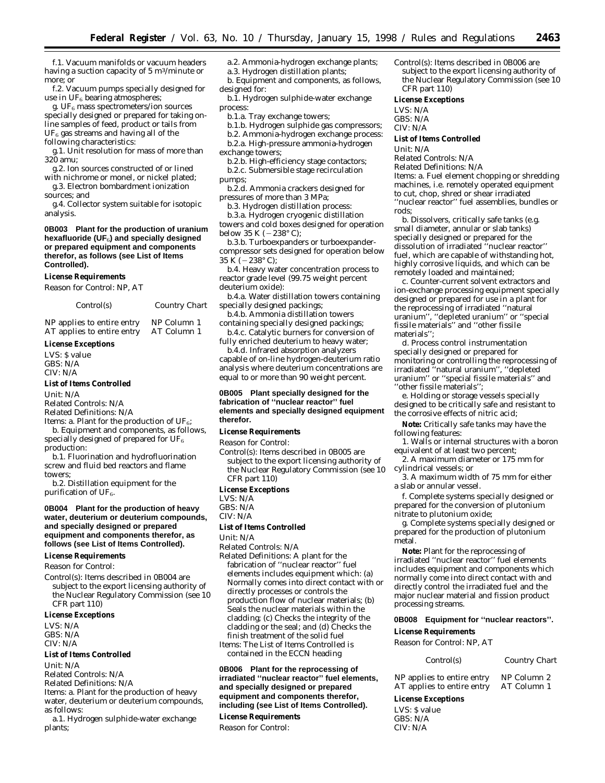f.1. Vacuum manifolds or vacuum headers having a suction capacity of 5 m<sup>3</sup>/minute or more; *or*

f.2. Vacuum pumps specially designed for use in  $UF_6$  bearing atmospheres;

g. UF $_6$  mass spectrometers/ion sources specially designed or prepared for taking online samples of feed, product or tails from  $UF<sub>6</sub>$  gas streams and having all of the following characteristics:

g.1. Unit resolution for mass of more than

- 320 amu; g.2. Ion sources constructed of or lined
- with nichrome or monel, or nickel plated; g.3. Electron bombardment ionization
- sources; and

g.4. Collector system suitable for isotopic analysis.

#### **0B003 Plant for the production of uranium hexafluoride (UF**6**) and specially designed or prepared equipment and components therefor, as follows (see List of Items Controlled).**

#### **License Requirements**

*Reason for Control:* NP, AT

*Control(s) Country Chart*

NP applies to entire entry NP Column 1<br>AT applies to entire entry AT Column 1 AT applies to entire entry

#### **License Exceptions**

LVS: \$ value GBS: N/A CIV: N/A

#### **List of Items Controlled**

*Unit:* N/A *Related Controls:* N/A

*Related Definitions:* N/A

*Items:* a. Plant for the production of UF<sub>6</sub>; b. Equipment and components, as follows, specially designed of prepared for  $\mathrm{UF}_6$ 

production:

b.1. Fluorination and hydrofluorination screw and fluid bed reactors and flame towers;

b.2. Distillation equipment for the purification of  $UF_6$ .

#### **0B004 Plant for the production of heavy water, deuterium or deuterium compounds, and specially designed or prepared equipment and components therefor, as follows (see List of Items Controlled).**

#### **License Requirements**

*Reason for Control:*

*Control(s):* Items described in 0B004 are subject to the export licensing authority of the Nuclear Regulatory Commission (see 10 CFR part 110)

#### **License Exceptions**

LVS: N/A GBS: N/A CIV: N/A

#### **List of Items Controlled**

*Unit:* N/A

*Related Controls:* N/A

*Related Definitions:* N/A

*Items:* a. Plant for the production of heavy water, deuterium or deuterium compounds, as follows:

a.1. Hydrogen sulphide-water exchange plants;

a.2. Ammonia-hydrogen exchange plants; a.3. Hydrogen distillation plants;

b. Equipment and components, as follows, designed for:

b.1. Hydrogen sulphide-water exchange process:

b.1.a. Tray exchange towers;

b.1.b. Hydrogen sulphide gas compressors;

b.2. Ammonia-hydrogen exchange process:

- b.2.a. High-pressure ammonia-hydrogen
- exchange towers;
- b.2.b. High-efficiency stage contactors; b.2.c. Submersible stage recirculation pumps;
- 
- b.2.d. Ammonia crackers designed for pressures of more than 3 MPa;

b.3. Hydrogen distillation process: b.3.a. Hydrogen cryogenic distillation towers and cold boxes designed for operation below 35 K ( $-238^{\circ}$  C);

b.3.b. Turboexpanders or turboexpandercompressor sets designed for operation below  $35 K (-238^{\circ} C)$ ;

b.4. Heavy water concentration process to reactor grade level (99.75 weight percent deuterium oxide):

b.4.a. Water distillation towers containing specially designed packings;

b.4.b. Ammonia distillation towers containing specially designed packings; b.4.c. Catalytic burners for conversion of

fully enriched deuterium to heavy water;

b.4.d. Infrared absorption analyzers capable of on-line hydrogen-deuterium ratio analysis where deuterium concentrations are equal to or more than 90 weight percent.

#### **0B005 Plant specially designed for the fabrication of ''nuclear reactor'' fuel elements and specially designed equipment therefor.**

#### **License Requirements**

*Reason for Control:*

*Control(s):* Items described in 0B005 are subject to the export licensing authority of the Nuclear Regulatory Commission (see 10 CFR part 110)

#### **License Exceptions**

LVS: N/A

GBS: N/A

#### CIV: N/A

#### **List of Items Controlled**

*Unit:* N/A

*Related Controls:* N/A

*Related Definitions:* A plant for the fabrication of ''nuclear reactor'' fuel elements includes equipment which: (a) Normally comes into direct contact with or directly processes or controls the production flow of nuclear materials; (b) Seals the nuclear materials within the cladding; (c) Checks the integrity of the cladding or the seal; *and* (d) Checks the finish treatment of the solid fuel *Items:* The List of Items Controlled is

contained in the ECCN heading

**0B006 Plant for the reprocessing of irradiated ''nuclear reactor'' fuel elements, and specially designed or prepared equipment and components therefor, including (see List of Items Controlled).**

**License Requirements** *Reason for Control:*

*Control(s):* Items described in 0B006 are subject to the export licensing authority of the Nuclear Regulatory Commission (see 10 CFR part 110)

#### **License Exceptions**

LVS: N/A GBS: N/A

CIV: N/A

#### **List of Items Controlled**

*Unit:* N/A

*Related Controls:* N/A

*Related Definitions:* N/A *Items:* a. Fuel element chopping or shredding machines, i.e. remotely operated equipment to cut, chop, shred or shear irradiated

''nuclear reactor'' fuel assemblies, bundles or rods; b. Dissolvers, critically safe tanks (e.g.

small diameter, annular or slab tanks) specially designed or prepared for the dissolution of irradiated ''nuclear reactor'' fuel, which are capable of withstanding hot, highly corrosive liquids, and which can be remotely loaded and maintained;

c. Counter-current solvent extractors and ion-exchange processing equipment specially designed or prepared for use in a plant for the reprocessing of irradiated ''natural uranium'', ''depleted uranium'' or ''special fissile materials'' and ''other fissile materials'';

d. Process control instrumentation specially designed or prepared for monitoring or controlling the reprocessing of irradiated ''natural uranium'', ''depleted uranium'' or ''special fissile materials'' and ''other fissile materials'';

e. Holding or storage vessels specially designed to be critically safe and resistant to the corrosive effects of nitric acid;

**Note:** Critically safe tanks may have the following features:

1. Walls or internal structures with a boron equivalent of at least two percent;

2. A maximum diameter or 175 mm for cylindrical vessels; or

3. A maximum width of 75 mm for either a slab or annular vessel.

f. Complete systems specially designed or prepared for the conversion of plutonium nitrate to plutonium oxide;

g. Complete systems specially designed or prepared for the production of plutonium metal.

**Note:** Plant for the reprocessing of irradiated ''nuclear reactor'' fuel elements includes equipment and components which normally come into direct contact with and directly control the irradiated fuel and the major nuclear material and fission product processing streams.

#### **0B008 Equipment for ''nuclear reactors''. License Requirements**

*Reason for Control:* NP, AT

#### *Control(s) Country Chart*

NP applies to entire entry NP Column 2<br>AT applies to entire entry AT Column 1 AT applies to entire entry

**License Exceptions** LVS: \$ value  $CRS: N/A$ CIV: N/A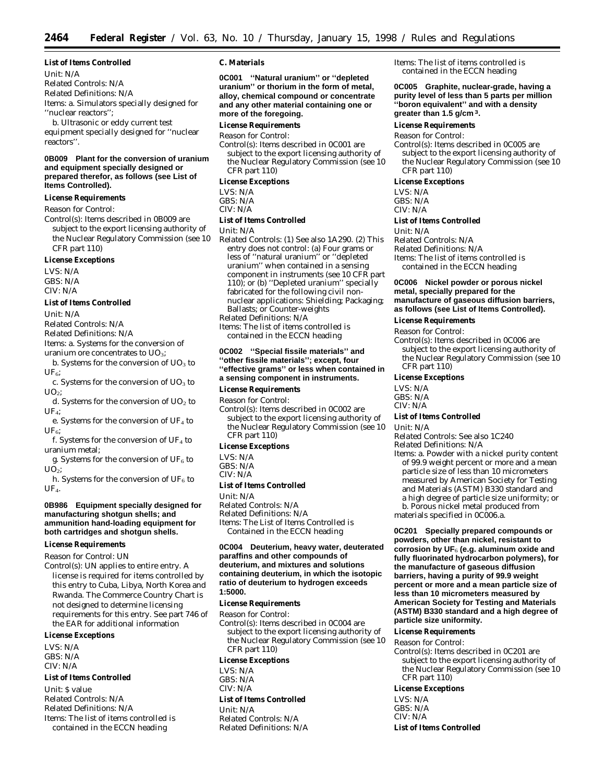#### **List of Items Controlled**

*Unit:* N/A *Related Controls:* N/A *Related Definitions:* N/A *Items:* a. Simulators specially designed for ''nuclear reactors'';

b. Ultrasonic or eddy current test equipment specially designed for ''nuclear reactors''.

#### **0B009 Plant for the conversion of uranium and equipment specially designed or prepared therefor, as follows (see List of Items Controlled).**

#### **License Requirements**

#### *Reason for Control:*

*Control(s):* Items described in 0B009 are subject to the export licensing authority of the Nuclear Regulatory Commission (see 10 CFR part 110)

#### **License Exceptions**

LVS: N/A GBS: N/A  $CIV·N/A$ 

#### **List of Items Controlled**

*Unit:* N/A

*Related Controls:* N/A

*Related Definitions:* N/A

- *Items:* a. Systems for the conversion of uranium ore concentrates to  $UO_3$ :
- b. Systems for the conversion of  $UO<sub>3</sub>$  to  $UF<sub>6</sub>;$
- c. Systems for the conversion of  $UO<sub>3</sub>$  to  $UO<sub>2</sub>$ :

d. Systems for the conversion of  $UO<sub>2</sub>$  to UF4;

e. Systems for the conversion of UF<sub>4</sub> to  $UF<sub>6</sub>;$ 

f. Systems for the conversion of  $UF_4$  to uranium metal;

g. Systems for the conversion of  $\mathrm{UF}_6$  to  $UO<sub>2</sub>$ ;

h. Systems for the conversion of  $UF_6$  to  $UFL$ 

#### **0B986 Equipment specially designed for manufacturing shotgun shells; and ammunition hand-loading equipment for both cartridges and shotgun shells.**

#### **License Requirements**

*Reason for Control:* UN

*Control(s):* UN applies to entire entry. A license is required for items controlled by this entry to Cuba, Libya, North Korea and Rwanda. The Commerce Country Chart is not designed to determine licensing requirements for this entry. See part 746 of the EAR for additional information

#### **License Exceptions**

LVS: N/A GBS: N/A CIV: N/A

#### **List of Items Controlled**

*Unit:* \$ value *Related Controls:* N/A *Related Definitions:* N/A *Items:* The list of items controlled is contained in the ECCN heading

#### **C. Materials**

**0C001 ''Natural uranium'' or ''depleted uranium'' or thorium in the form of metal, alloy, chemical compound or concentrate and any other material containing one or more of the foregoing.**

#### **License Requirements**

*Reason for Control:*

*Control(s):* Items described in 0C001 are subject to the export licensing authority of the Nuclear Regulatory Commission (see 10 CFR part 110)

#### **License Exceptions**

LVS: N/A GBS: N/A CIV: N/A

#### **List of Items Controlled**

#### *Unit:* N/A

*Related Controls:* (1) See also 1A290. (2) This entry does not control: (a) Four grams or less of ''natural uranium'' or ''depleted uranium'' when contained in a sensing component in instruments (see 10 CFR part 110); or (b) ''Depleted uranium'' specially fabricated for the following civil nonnuclear applications: Shielding; Packaging; Ballasts; or Counter-weights

*Related Definitions:* N/A

*Items:* The list of items controlled is contained in the ECCN heading

#### **0C002 ''Special fissile materials'' and ''other fissile materials''; except, four ''effective grams'' or less when contained in a sensing component in instruments.**

#### **License Requirements**

*Reason for Control:*

*Control(s):* Items described in 0C002 are subject to the export licensing authority of the Nuclear Regulatory Commission (see 10 CFR part 110)

#### **License Exceptions**

LVS: N/A  $GRS: N/A$ 

CIV: N/A

#### **List of Items Controlled**

*Unit:* N/A

*Related Controls:* N/A *Related Definitions:* N/A *Items:* The List of Items Controlled is Contained in the ECCN heading

#### **0C004 Deuterium, heavy water, deuterated paraffins and other compounds of deuterium, and mixtures and solutions containing deuterium, in which the isotopic ratio of deuterium to hydrogen exceeds 1:5000.**

#### **License Requirements**

*Reason for Control: Control(s):* Items described in 0C004 are subject to the export licensing authority of the Nuclear Regulatory Commission (see 10 CFR part 110) **License Exceptions**

#### LVS: N/A

GBS: N/A CIV: N/A **List of Items Controlled**

*Unit:* N/A *Related Controls:* N/A *Related Definitions:* N/A *Items:* The list of items controlled is contained in the ECCN heading

#### **0C005 Graphite, nuclear-grade, having a purity level of less than 5 parts per million ''boron equivalent'' and with a density greater than 1.5 g/cm 3.**

#### **License Requirements**

*Reason for Control:*

*Control(s):* Items described in 0C005 are subject to the export licensing authority of the Nuclear Regulatory Commission (see 10 CFR part 110)

#### **License Exceptions**

LVS: N/A GBS: N/A

CIV: N/A

#### **List of Items Controlled**

*Unit:* N/A

*Related Controls:* N/A *Related Definitions:* N/A *Items:* The list of items controlled is contained in the ECCN heading

#### **0C006 Nickel powder or porous nickel metal, specially prepared for the manufacture of gaseous diffusion barriers, as follows (see List of Items Controlled).**

#### **License Requirements**

*Reason for Control:*

*Control(s):* Items described in 0C006 are subject to the export licensing authority of the Nuclear Regulatory Commission (see 10 CFR part 110)

#### **License Exceptions**

LVS: N/A GBS: N/A

CIV: N/A

#### **List of Items Controlled**

*Unit:* N/A

*Related Controls:* See also 1C240

*Related Definitions:* N/A

*Items:* a. Powder with a nickel purity content of 99.9 weight percent or more and a mean particle size of less than 10 micrometers measured by American Society for Testing and Materials (ASTM) B330 standard and a high degree of particle size uniformity; *or* b. Porous nickel metal produced from materials specified in 0C006.a.

**0C201 Specially prepared compounds or powders, other than nickel, resistant to corrosion by UF**6 **(e.g. aluminum oxide and fully fluorinated hydrocarbon polymers), for the manufacture of gaseous diffusion barriers, having a purity of 99.9 weight percent or more and a mean particle size of less than 10 micrometers measured by American Society for Testing and Materials (ASTM) B330 standard and a high degree of particle size uniformity.**

#### **License Requirements**

*Reason for Control:*

*Control(s):* Items described in 0C201 are subject to the export licensing authority of the Nuclear Regulatory Commission (see 10 CFR part 110)

#### **License Exceptions**

LVS: N/A GBS: N/A CIV: N/A **List of Items Controlled**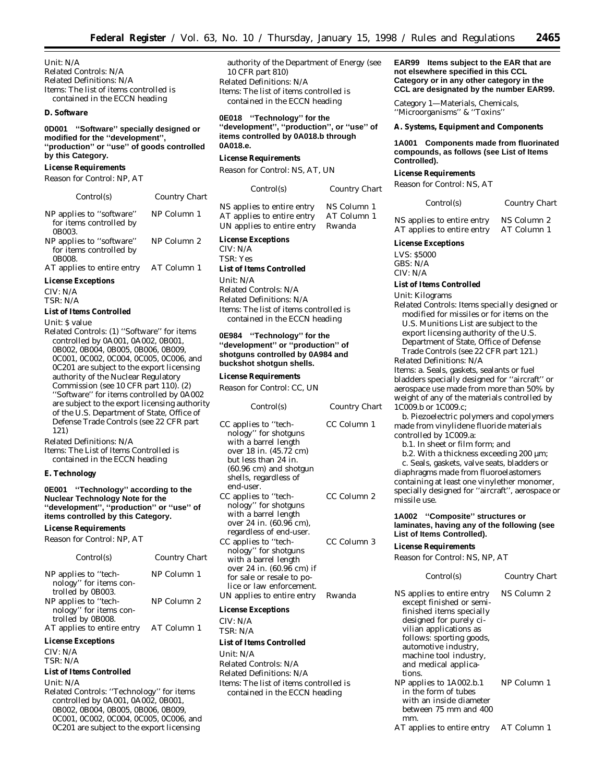*Unit:* N/A *Related Controls:* N/A *Related Definitions:* N/A *Items:* The list of items controlled is contained in the ECCN heading

#### **D. Software**

**0D001 ''Software'' specially designed or modified for the ''development'', ''production'' or ''use'' of goods controlled by this Category.**

#### **License Requirements**

*Reason for Control:* NP, AT

| Control(s)                                                    | Country Chart |
|---------------------------------------------------------------|---------------|
| NP applies to "software"<br>for items controlled by<br>0B003. | NP Column 1   |
| NP applies to "software"<br>for items controlled by<br>0B008. | NP Column 2   |
| AT applies to entire entry AT Column 1                        |               |
| <b>License Exceptions</b>                                     |               |

CIV: N/A TSR: N/A

#### **List of Items Controlled**

#### *Unit:* \$ value

*Related Controls:* (1) ''Software'' for items controlled by 0A001, 0A002, 0B001, 0B002, 0B004, 0B005, 0B006, 0B009, 0C001, 0C002, 0C004, 0C005, 0C006, and 0C201 are subject to the export licensing authority of the Nuclear Regulatory Commission (see 10 CFR part 110). (2) ''Software'' for items controlled by 0A002 are subject to the export licensing authority of the U.S. Department of State, Office of Defense Trade Controls (see 22 CFR part 121)

*Related Definitions:* N/A

*Items:* The List of Items Controlled is contained in the ECCN heading

#### **E. Technology**

**0E001 ''Technology'' according to the Nuclear Technology Note for the ''development'', ''production'' or ''use'' of items controlled by this Category.**

#### **License Requirements**

*Reason for Control:* NP, AT

| Control(s)                                                          | Country Chart |
|---------------------------------------------------------------------|---------------|
| NP applies to "tech-<br>nology" for items con-<br>trolled by 0B003. | NP Column 1   |
| NP applies to "tech-<br>nology" for items con-<br>trolled by 0B008. | NP Column 2   |
| AT applies to entire entry                                          | AT Column 1   |
| <b>License Exceptions</b>                                           |               |

*CIV:* N/A

*TSR:* N/A

#### **List of Items Controlled**

*Unit:* N/A

*Related Controls:* ''Technology'' for items controlled by 0A001, 0A002, 0B001, 0B002, 0B004, 0B005, 0B006, 0B009, 0C001, 0C002, 0C004, 0C005, 0C006, and 0C201 are subject to the export licensing

authority of the Department of Energy (see 10 CFR part 810) *Related Definitions:* N/A *Items:* The list of items controlled is contained in the ECCN heading

**0E018 ''Technology'' for the ''development'', ''production'', or ''use'' of items controlled by 0A018.b through 0A018.e.**

#### **License Requirements**

*Reason for Control:* NS, AT, UN

| Control(s)                 | Country Chart |
|----------------------------|---------------|
| NS applies to entire entry | NS Column 1   |
| AT applies to entire entry | AT Column 1   |
| UN applies to entire entry | Rwanda        |

#### **License Exceptions**

CIV: N/A TSR: Yes **List of Items Controlled** *Unit:* N/A

*Related Controls:* N/A *Related Definitions:* N/A *Items:* The list of items controlled is contained in the ECCN heading

**0E984 ''Technology'' for the ''development'' or ''production'' of shotguns controlled by 0A984 and buckshot shotgun shells.**

#### **License Requirements**

*Reason for Control:* CC, UN

| Control(s)                                                                                                                                                                                       | Country Chart |
|--------------------------------------------------------------------------------------------------------------------------------------------------------------------------------------------------|---------------|
| CC applies to "tech-<br>nology" for shotguns<br>with a barrel length<br>over 18 in. (45.72 cm)<br>but less than 24 in.<br>$(60.96 \text{ cm})$ and shotgun<br>shells, regardless of<br>end-user. | CC Column 1   |
| CC applies to "tech-<br>nology" for shotguns<br>with a barrel length<br>over 24 in. (60.96 cm),<br>regardless of end-user.                                                                       | CC Column 2   |
| CC applies to "tech-<br>nology" for shotguns<br>with a barrel length<br>over 24 in. (60.96 cm) if<br>for sale or resale to po-<br>lice or law enforcement.                                       | CC Column 3   |
| UN applies to entire entry                                                                                                                                                                       | Rwanda        |
| <b>License Exceptions</b>                                                                                                                                                                        |               |

CIV: N/A TSR: N/A

#### **List of Items Controlled**

*Unit:* N/A *Related Controls:* N/A *Related Definitions:* N/A *Items:* The list of items controlled is contained in the ECCN heading

**EAR99 Items subject to the EAR that are not elsewhere specified in this CCL Category or in any other category in the CCL are designated by the number EAR99.**

*Category 1—Materials, Chemicals, ''Microorganisms'' & ''Toxins''*

**A. Systems, Equipment and Components**

#### **1A001 Components made from fluorinated compounds, as follows (see List of Items Controlled).**

#### **License Requirements**

*Reason for Control:* NS, AT

| Control(s)                 | Country Chart |
|----------------------------|---------------|
| NS applies to entire entry | NS Column 2   |
| AT applies to entire entry | AT Column 1   |

## **License Exceptions**

LVS: \$5000 GBS: N/A

CIV: N/A

#### **List of Items Controlled**

*Unit:* Kilograms

*Related Controls:* Items specially designed or modified for missiles or for items on the U.S. Munitions List are subject to the export licensing authority of the U.S.

Department of State, Office of Defense Trade Controls (see 22 CFR part 121.) *Related Definitions:* N/A

*Items:* a. Seals, gaskets, sealants or fuel bladders specially designed for ''aircraft'' or aerospace use made from more than 50% by weight of any of the materials controlled by 1C009.b or 1C009.c;

b. Piezoelectric polymers and copolymers made from vinylidene fluoride materials controlled by 1C009.a:

b.1. In sheet or film form; *and*

b.2. With a thickness exceeding 200 µm;

c. Seals, gaskets, valve seats, bladders or diaphragms made from fluoroelastomers containing at least one vinylether monomer, specially designed for ''aircraft'', aerospace or missile use.

#### **1A002 ''Composite'' structures or laminates, having any of the following (see List of Items Controlled).**

#### **License Requirements**

*Reason for Control:* NS, NP, AT

#### *Control(s) Country Chart*

NS applies to entire entry except finished or semifinished items specially designed for purely civilian applications as follows: sporting goods, automotive industry, machine tool industry, and medical applications. NS Column 2 NP applies to 1A002.b.1 in the form of tubes with an inside diameter between 75 mm and 400 mm. NP Column 1 AT applies to entire entry AT Column 1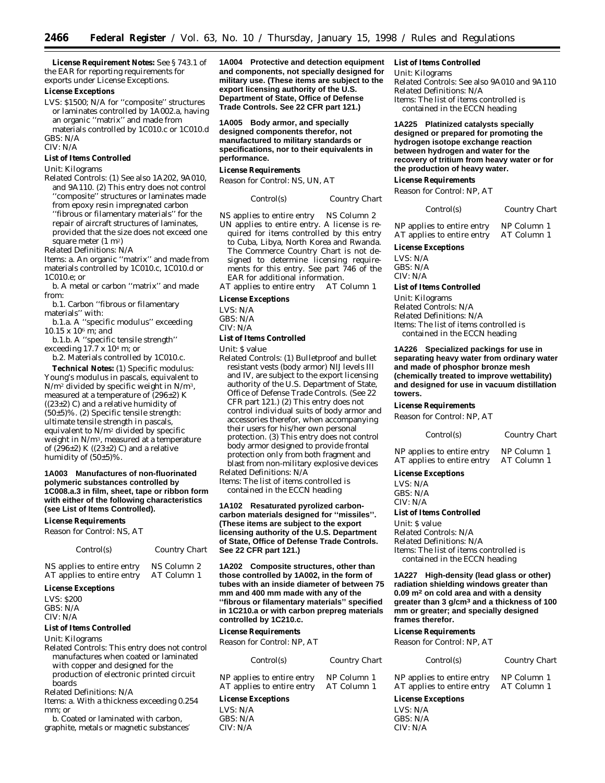**License Requirement Notes:** See § 743.1 of the EAR for reporting requirements for exports under License Exceptions.

#### **License Exceptions**

LVS: \$1500; N/A for ''composite'' structures or laminates controlled by 1A002.a, having an organic ''matrix'' and made from materials controlled by 1C010.c or 1C010.d GBS: N/A

CIV: N/A

#### **List of Items Controlled**

#### *Unit:* Kilograms

*Related Controls:* (1) See also 1A202, 9A010, and 9A110. (2) This entry does not control ''composite'' structures or laminates made from epoxy resin impregnated carbon ''fibrous or filamentary materials'' for the repair of aircraft structures of laminates, provided that the size does not exceed one

square meter (1 m2) *Related Definitions:* N/A

*Items:* a. An organic ''matrix'' and made from materials controlled by 1C010.c, 1C010.d or 1C010.e; *or*

b. A metal or carbon ''matrix'' and made from:

b.1. Carbon ''fibrous or filamentary materials'' with:

b.1.a. A ''specific modulus'' exceeding 10.15 x 106 m; *and*

b.1.b. A ''specific tensile strength'' exceeding 17.7 x 104 m; *or*

b.2. Materials controlled by 1C010.c.

**Technical Notes:** (1) Specific modulus: Young's modulus in pascals, equivalent to N/m2 divided by specific weight in N/m3, measured at a temperature of (296±2) K  $((23\pm2)$  C) and a relative humidity of (50±5)%. (2) Specific tensile strength: ultimate tensile strength in pascals, equivalent to N/m2 divided by specific weight in N/m3, measured at a temperature of (296 $\pm$ 2) K ((23 $\pm$ 2) C) and a relative humidity of (50±5)%.

#### **1A003 Manufactures of non-fluorinated polymeric substances controlled by 1C008.a.3 in film, sheet, tape or ribbon form with either of the following characteristics (see List of Items Controlled).**

#### **License Requirements**

*Reason for Control:* NS, AT

| Control(s)                 | <b>Country Chart</b> |
|----------------------------|----------------------|
| NS applies to entire entry | NS Column 2          |
| AT applies to entire entry | AT Column 1          |

#### **License Exceptions**

LVS: \$200 GBS: N/A CIV: N/A

#### **List of Items Controlled**

*Unit:* Kilograms

*Related Controls:* This entry does not control manufactures when coated or laminated with copper and designed for the production of electronic printed circuit boards

*Related Definitions:* N/A

*Items:* a. With a thickness exceeding 0.254 mm; *or*

b. Coated or laminated with carbon, graphite, metals or magnetic substances′

**1A004 Protective and detection equipment and components, not specially designed for military use. (These items are subject to the export licensing authority of the U.S. Department of State, Office of Defense Trade Controls. See 22 CFR part 121.)**

**1A005 Body armor, and specially designed components therefor, not manufactured to military standards or specifications, nor to their equivalents in performance.**

#### **License Requirements**

*Reason for Control:* NS, UN, AT

*Control(s) Country Chart*

NS applies to entire entry NS Column 2 UN applies to entire entry. A license is required for items controlled by this entry to Cuba, Libya, North Korea and Rwanda. The Commerce Country Chart is not designed to determine licensing requirements for this entry. See part 746 of the EAR for additional information.

AT applies to entire entry AT Column 1

#### **License Exceptions**

LVS: N/A GBS: N/A CIV: N/A

#### **List of Items Controlled**

*Unit:* \$ value

*Related Controls:* (1) Bulletproof and bullet resistant vests (body armor) NIJ levels III and IV, are subject to the export licensing authority of the U.S. Department of State, Office of Defense Trade Controls. (See 22 CFR part 121.) (2) This entry does not control individual suits of body armor and accessories therefor, when accompanying their users for his/her own personal protection. (3) This entry does not control body armor designed to provide frontal protection only from both fragment and blast from non-military explosive devices

*Related Definitions:* N/A *Items:* The list of items controlled is

contained in the ECCN heading

**1A102 Resaturated pyrolized carboncarbon materials designed for ''missiles''. (These items are subject to the export licensing authority of the U.S. Department of State, Office of Defense Trade Controls. See 22 CFR part 121.)**

**1A202 Composite structures, other than those controlled by 1A002, in the form of tubes with an inside diameter of between 75 mm and 400 mm made with any of the ''fibrous or filamentary materials'' specified in 1C210.a or with carbon prepreg materials controlled by 1C210.c.**

#### **License Requirements**

*Reason for Control:* NP, AT

| <i>Control(s)</i>                                        | Country Chart              |
|----------------------------------------------------------|----------------------------|
| NP applies to entire entry<br>AT applies to entire entry | NP Column 1<br>AT Column 1 |
|                                                          |                            |

## **License Exceptions**

LVS: N/A  $CRS: N/A$ CIV: N/A

#### **List of Items Controlled**

Unit: Kilograms *Related Controls:* See also 9A010 and 9A110 *Related Definitions:* N/A *Items:* The list of items controlled is contained in the ECCN heading

**1A225 Platinized catalysts specially designed or prepared for promoting the hydrogen isotope exchange reaction between hydrogen and water for the recovery of tritium from heavy water or for the production of heavy water.**

#### **License Requirements**

*Reason for Control:* NP, AT

| Control(s) | <b>Country Chart</b> |
|------------|----------------------|
|            |                      |

NP applies to entire entry NP Column 1<br>AT applies to entire entry AT Column 1 AT applies to entire entry

#### **License Exceptions**

LVS: N/A  $CRS: N/A$ CIV: N/A

#### **List of Items Controlled**

Unit: Kilograms *Related Controls:* N/A *Related Definitions:* N/A *Items:* The list of items controlled is contained in the ECCN heading

#### **1A226 Specialized packings for use in separating heavy water from ordinary water and made of phosphor bronze mesh (chemically treated to improve wettability) and designed for use in vacuum distillation towers.**

#### **License Requirements**

*Reason for Control:* NP, AT

| Control(s)                 | Country Chart |
|----------------------------|---------------|
| NP applies to entire entry | NP Column 1   |

AT applies to entire entry AT Column 1

#### **License Exceptions**

LVS: N/A GBS: N/A CIV: N/A

#### **List of Items Controlled**

*Unit:* \$ value *Related Controls:* N/A *Related Definitions:* N/A *Items:* The list of items controlled is contained in the ECCN heading

**1A227 High-density (lead glass or other) radiation shielding windows greater than 0.09 m2 on cold area and with a density greater than 3 g/cm3 and a thickness of 100 mm or greater; and specially designed frames therefor.**

#### **License Requirements**

*Reason for Control:* NP, AT

#### *Control(s) Country Chart*

| NP applies to entire entry | NP Column 1 |
|----------------------------|-------------|
| AT applies to entire entry | AT Column 1 |

**License Exceptions** LVS: N/A  $GRS: N/A$ 

CIV: N/A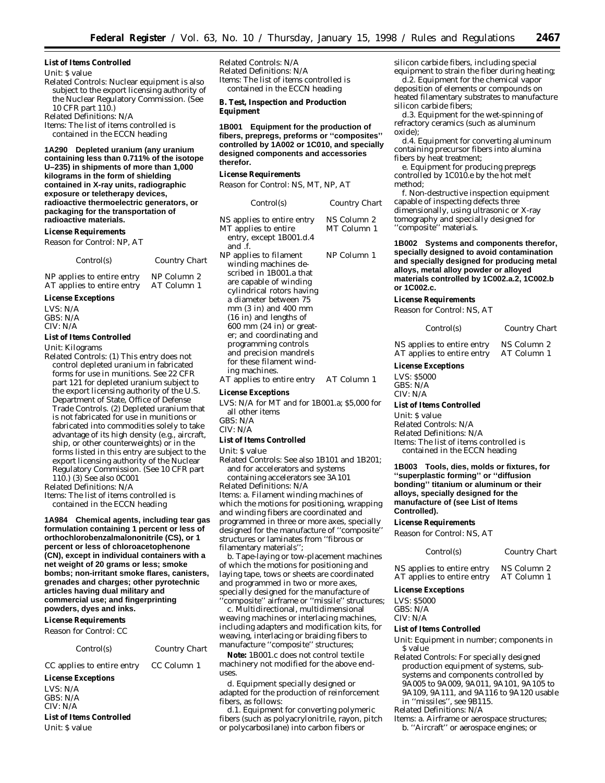#### **List of Items Controlled**

#### *Unit:* \$ value

- *Related Controls:* Nuclear equipment is also subject to the export licensing authority of the Nuclear Regulatory Commission. (See 10 CFR part 110.)
- *Related Definitions:* N/A

*Items:* The list of items controlled is contained in the ECCN heading

**1A290 Depleted uranium (any uranium containing less than 0.711% of the isotope U–235) in shipments of more than 1,000 kilograms in the form of shielding contained in X-ray units, radiographic exposure or teletherapy devices, radioactive thermoelectric generators, or packaging for the transportation of radioactive materials.**

#### **License Requirements**

*Reason for Control:* NP, AT

| Control(s)                 | Country Chart |
|----------------------------|---------------|
| NP applies to entire entry | NP Column 2   |

AT applies to entire entry AT Column 1

#### **License Exceptions**

LVS: N/A GBS: N/A CIV: N/A

#### **List of Items Controlled**

*Unit:* Kilograms

*Related Controls:* (1) This entry does not control depleted uranium in fabricated forms for use in munitions. See 22 CFR part 121 for depleted uranium subject to the export licensing authority of the U.S. Department of State, Office of Defense Trade Controls. (2) Depleted uranium that is not fabricated for use in munitions or fabricated into commodities solely to take advantage of its high density (e.g., aircraft, ship, or other counterweights) or in the forms listed in this entry are subject to the export licensing authority of the Nuclear Regulatory Commission. (See 10 CFR part 110.) (3) See also 0C001

*Related Definitions:* N/A

*Items:* The list of items controlled is contained in the ECCN heading

**1A984 Chemical agents, including tear gas formulation containing 1 percent or less of orthochlorobenzalmalononitrile (CS), or 1 percent or less of chloroacetophenone (CN), except in individual containers with a net weight of 20 grams or less; smoke bombs; non-irritant smoke flares, canisters, grenades and charges; other pyrotechnic articles having dual military and commercial use; and fingerprinting powders, dyes and inks.**

## **License Requirements**

*Reason for Control:* CC

#### *Control(s) Country Chart*

CC applies to entire entry CC Column 1

#### **License Exceptions**

LVS: N/A GBS: N/A CIV: N/A **List of Items Controlled**

*Unit:* \$ value

*Related Controls:* N/A *Related Definitions:* N/A *Items:* The list of items controlled is contained in the ECCN heading

**B. Test, Inspection and Production Equipment**

**1B001 Equipment for the production of fibers, prepregs, preforms or ''composites'' controlled by 1A002 or 1C010, and specially designed components and accessories therefor.**

#### **License Requirements**

*Reason for Control:* NS, MT, NP, AT

| Control(s)                                                                                                                                                                                                                                                                                                                                                                | <b>Country Chart</b>       |
|---------------------------------------------------------------------------------------------------------------------------------------------------------------------------------------------------------------------------------------------------------------------------------------------------------------------------------------------------------------------------|----------------------------|
| NS applies to entire entry<br>MT applies to entire<br>entry, except 1B001.d.4<br>and f.                                                                                                                                                                                                                                                                                   | NS Column 2<br>MT Column 1 |
| NP applies to filament<br>winding machines de-<br>scribed in 1B001.a that<br>are capable of winding<br>cylindrical rotors having<br>a diameter between 75<br>$mm(3 in)$ and 400 mm<br>$(16$ in) and lengths of<br>$600$ mm $(24$ in) or great-<br>er; and coordinating and<br>programming controls<br>and precision mandrels<br>for these filament wind-<br>ing machines. | NP Column 1                |
| AT applies to entire entry                                                                                                                                                                                                                                                                                                                                                | AT Column 1                |
|                                                                                                                                                                                                                                                                                                                                                                           |                            |

#### **License Exceptions**

*LVS:* N/A for MT and for 1B001.a; \$5,000 for all other items

*GBS:* N/A *CIV:* N/A

#### **List of Items Controlled**

*Unit:* \$ value

*Related Controls:* See also 1B101 and 1B201; and for accelerators and systems

containing accelerators see 3A101 *Related Definitions:* N/A *Items:* a. Filament winding machines of which the motions for positioning, wrapping and winding fibers are coordinated and programmed in three or more axes, specially designed for the manufacture of ''composite'' structures or laminates from ''fibrous or filamentary materials'';

b. Tape-laying or tow-placement machines of which the motions for positioning and laying tape, tows or sheets are coordinated and programmed in two or more axes, specially designed for the manufacture of composite" airframe or "missile" structures;

c. Multidirectional, multidimensional weaving machines or interlacing machines, including adapters and modification kits, for weaving, interlacing or braiding fibers to manufacture ''composite'' structures;

**Note:** 1B001.c does not control textile machinery not modified for the above enduses.

d. Equipment specially designed or adapted for the production of reinforcement fibers, as follows:

d.1. Equipment for converting polymeric fibers (such as polyacrylonitrile, rayon, pitch or polycarbosilane) into carbon fibers or

silicon carbide fibers, including special equipment to strain the fiber during heating;

d.2. Equipment for the chemical vapor deposition of elements or compounds on heated filamentary substrates to manufacture silicon carbide fibers;

d.3. Equipment for the wet-spinning of refractory ceramics (such as aluminum oxide);

d.4. Equipment for converting aluminum containing precursor fibers into alumina fibers by heat treatment;

e. Equipment for producing prepregs controlled by 1C010.e by the hot melt method;

f. Non-destructive inspection equipment capable of inspecting defects three dimensionally, using ultrasonic or X-ray tomography and specially designed for "composite" materials.

**1B002 Systems and components therefor, specially designed to avoid contamination and specially designed for producing metal alloys, metal alloy powder or alloyed materials controlled by 1C002.a.2, 1C002.b or 1C002.c.**

#### **License Requirements**

*Reason for Control:* NS, AT

| Control(s) | <b>Country Chart</b> |
|------------|----------------------|
|            |                      |

NS applies to entire entry NS Column 2 AT applies to entire entry AT Column 1

#### **License Exceptions**

LVS: \$5000 GBS: N/A CIV: N/A

#### **List of Items Controlled**

*Unit:* \$ value *Related Controls:* N/A *Related Definitions:* N/A *Items:* The list of items controlled is contained in the ECCN heading

**1B003 Tools, dies, molds or fixtures, for ''superplastic forming'' or ''diffusion bonding'' titanium or aluminum or their alloys, specially designed for the manufacture of (see List of Items Controlled).**

#### **License Requirements**

*Reason for Control:* NS, AT

*Control(s) Country Chart*

#### NS applies to entire entry NS Column 2<br>AT applies to entire entry AT Column 1 AT applies to entire entry

#### **License Exceptions**

*LVS: \$5000 GBS: N/A*

*CIV: N/A*

#### **List of Items Controlled**

- *Unit:* Equipment in number; components in \$ value
- *Related Controls:* For specially designed production equipment of systems, subsystems and components controlled by 9A005 to 9A009, 9A011, 9A101, 9A105 to 9A109, 9A111, and 9A116 to 9A120 usable in ''missiles'', see 9B115.
- *Related Definitions:* N/A

*Items:* a. Airframe or aerospace structures; b. ''Aircraft'' or aerospace engines; *or*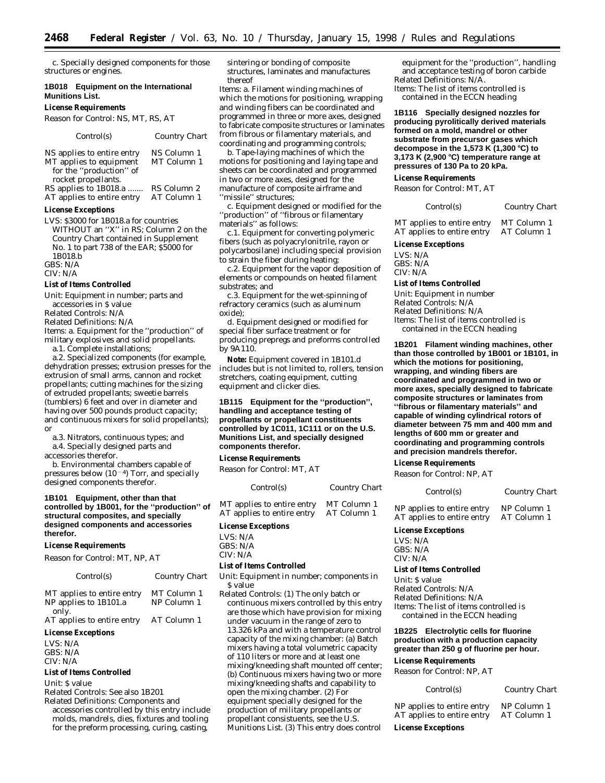c. Specially designed components for those structures or engines.

#### **1B018 Equipment on the International Munitions List.**

#### **License Requirements**

*Reason for Control:* NS, MT, RS, AT

| Control(s)                                                                       | <b>Country Chart</b>       |
|----------------------------------------------------------------------------------|----------------------------|
| NS applies to entire entry<br>MT applies to equipment<br>for the "production" of | NS Column 1<br>MT Column 1 |
| rocket propellants.<br>RS applies to 1B018.a                                     | RS Column 2                |

AT applies to entire entry AT Column 1

#### **License Exceptions**

LVS: \$3000 for 1B018.a for countries WITHOUT an ''X'' in RS; Column 2 on the Country Chart contained in Supplement No. 1 to part 738 of the EAR; \$5000 for 1B018.b

GBS: N/A

#### CIV: N/A

#### **List of Items Controlled**

*Unit:* Equipment in number; parts and accessories in \$ value

*Related Controls:* N/A

*Related Definitions:* N/A

*Items:* a. Equipment for the ''production'' of military explosives and solid propellants.

a.1. Complete installations;

a.2. Specialized components (for example, dehydration presses; extrusion presses for the extrusion of small arms, cannon and rocket propellants; cutting machines for the sizing of extruded propellants; sweetie barrels (tumblers) 6 feet and over in diameter and having over 500 pounds product capacity; and continuous mixers for solid propellants); or

a.3. Nitrators, continuous types; and

a.4. Specially designed parts and accessories therefor.

b. Environmental chambers capable of pressures below  $(10^{-4})$  Torr, and specially designed components therefor.

#### **1B101 Equipment, other than that controlled by 1B001, for the ''production'' of structural composites, and specially designed components and accessories therefor.**

#### **License Requirements**

*Reason for Control:* MT, NP, AT

| Control(s)                                                   | Country Chart              |
|--------------------------------------------------------------|----------------------------|
| MT applies to entire entry<br>NP applies to 1B101.a<br>only. | MT Column 1<br>NP Column 1 |
| AT applies to entire entry                                   | AT Column 1                |

#### **License Exceptions**

LVS: N/A GBS: N/A CIV: N/A

#### **List of Items Controlled**

*Unit:* \$ value

*Related Controls:* See also 1B201

*Related Definitions:* Components and accessories controlled by this entry include molds, mandrels, dies, fixtures and tooling for the preform processing, curing, casting,

sintering or bonding of composite structures, laminates and manufactures thereof

*Items:* a. Filament winding machines of which the motions for positioning, wrapping and winding fibers can be coordinated and programmed in three or more axes, designed to fabricate composite structures or laminates from fibrous or filamentary materials, and coordinating and programming controls;

b. Tape-laying machines of which the motions for positioning and laying tape and sheets can be coordinated and programmed in two or more axes, designed for the manufacture of composite airframe and "missile" structures;

c. Equipment designed or modified for the ''production'' of ''fibrous or filamentary materials'' as follows:

c.1. Equipment for converting polymeric fibers (such as polyacrylonitrile, rayon or polycarbosilane) including special provision to strain the fiber during heating;

c.2. Equipment for the vapor deposition of elements or compounds on heated filament substrates; and

c.3. Equipment for the wet-spinning of refractory ceramics (such as aluminum oxide);

d. Equipment designed or modified for special fiber surface treatment or for producing prepregs and preforms controlled by 9A110.

**Note:** Equipment covered in 1B101.d includes but is not limited to, rollers, tension stretchers, coating equipment, cutting equipment and clicker dies.

#### **1B115 Equipment for the ''production'', handling and acceptance testing of propellants or propellant constituents controlled by 1C011, 1C111 or on the U.S. Munitions List, and specially designed components therefor.**

#### **License Requirements**

*Reason for Control:* MT, AT

| Control(s)                                               | Country Chart              |              |
|----------------------------------------------------------|----------------------------|--------------|
| MT applies to entire entry<br>AT applies to entire entry | MT Column 1<br>AT Column 1 | NP a<br>AT a |
| License Exceptions                                       |                            | Licen        |
| LVS: N/A<br>GBS: N/A                                     |                            | LVS:<br>CDC. |

#### CIV: N/A

#### **List of Items Controlled**

*Unit:* Equipment in number; components in \$ value

*Related Controls:* (1) The only batch or continuous mixers controlled by this entry are those which have provision for mixing under vacuum in the range of zero to 13.326 kPa and with a temperature control capacity of the mixing chamber: (a) Batch mixers having a total volumetric capacity of 110 liters or more and at least one mixing/kneeding shaft mounted off center; (b) Continuous mixers having two or more mixing/kneeding shafts and capability to open the mixing chamber. (2) For equipment specially designed for the production of military propellants or propellant consistuents, see the U.S. Munitions List. (3) This entry does control

equipment for the ''production'', handling and acceptance testing of boron carbide *Related Definitions:* N/A. *Items:* The list of items controlled is

contained in the ECCN heading

**1B116 Specially designed nozzles for producing pyrolitically derived materials formed on a mold, mandrel or other substrate from precursor gases which decompose in the 1,573 K (1,300** ≥**C) to 3,173 K (2,900** ≥**C) temperature range at pressures of 130 Pa to 20 kPa.**

#### **License Requirements**

*Reason for Control:* MT, AT

| Control(s) | <b>Country Chart</b> |  |
|------------|----------------------|--|
|            |                      |  |

MT applies to entire entry MT Column 1<br>AT applies to entire entry AT Column 1 AT applies to entire entry

**License Exceptions** LVS: N/A GBS: N/A

 $CIV·N/A$ 

#### **List of Items Controlled**

*Unit:* Equipment in number *Related Controls:* N/A *Related Definitions:* N/A *Items:* The list of items controlled is contained in the ECCN heading

**1B201 Filament winding machines, other than those controlled by 1B001 or 1B101, in which the motions for positioning, wrapping, and winding fibers are coordinated and programmed in two or more axes, specially designed to fabricate composite structures or laminates from ''fibrous or filamentary materials'' and capable of winding cylindrical rotors of diameter between 75 mm and 400 mm and lengths of 600 mm or greater and coordinating and programming controls and precision mandrels therefor.**

#### **License Requirements**

*Reason for Control:* NP, AT

## *Control(s) Country Chart*

pplies to entire entry NP Column 1<br>pplies to entire entry AT Column 1 pplies to entire entry

#### **License Exceptions**

 $N/A$ GBS: N/A CIV: N/A

#### **List of Items Controlled**

*Unit:* \$ value *Related Controls:* N/A *Related Definitions:* N/A *Items:* The list of items controlled is contained in the ECCN heading

#### **1B225 Electrolytic cells for fluorine production with a production capacity greater than 250 g of fluorine per hour.**

#### **License Requirements**

*Reason for Control:* NP, AT

| Control(s) | <b>Country Chart</b> |  |
|------------|----------------------|--|
|------------|----------------------|--|

| <b>License Exceptions</b>                                |                            |
|----------------------------------------------------------|----------------------------|
| NP applies to entire entry<br>AT applies to entire entry | NP Column 1<br>AT Column 1 |
|                                                          |                            |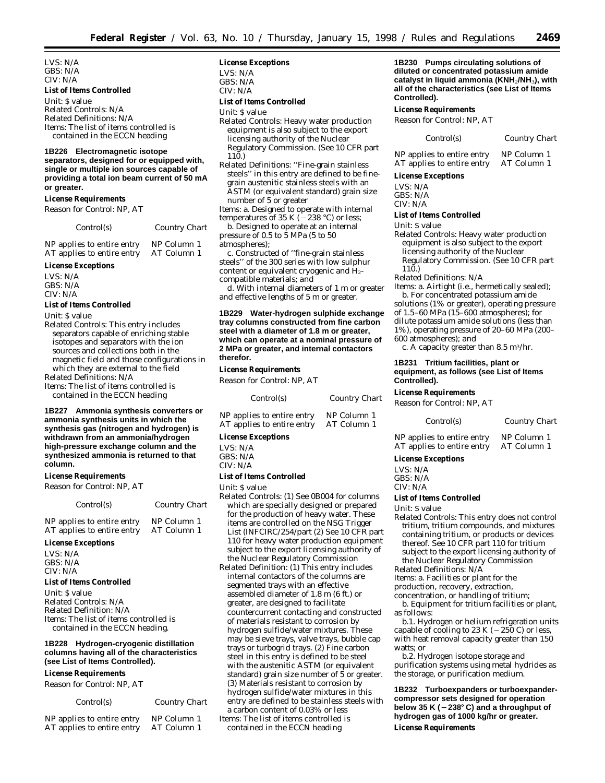LVS: N/A GBS: N/A CIV: N/A

#### **List of Items Controlled**

*Unit:* \$ value *Related Controls:* N/A *Related Definitions:* N/A *Items:* The list of items controlled is contained in the ECCN heading

#### **1B226 Electromagnetic isotope**

**separators, designed for or equipped with, single or multiple ion sources capable of providing a total ion beam current of 50 mA or greater.**

#### **License Requirements**

*Reason for Control:* NP, AT

#### *Control(s) Country Chart*

NP applies to entire entry NP Column 1<br>AT applies to entire entry AT Column 1 AT applies to entire entry

#### **License Exceptions**

LVS: N/A GBS: N/A CIV: N/A

#### **List of Items Controlled**

*Unit:* \$ value

*Related Controls:* This entry includes separators capable of enriching stable isotopes and separators with the ion sources and collections both in the magnetic field and those configurations in which they are external to the field *Related Definitions:* N/A

*Items:* The list of items controlled is contained in the ECCN heading

**1B227 Ammonia synthesis converters or ammonia synthesis units in which the synthesis gas (nitrogen and hydrogen) is withdrawn from an ammonia/hydrogen high-pressure exchange column and the synthesized ammonia is returned to that column.**

#### **License Requirements**

*Reason for Control:* NP, AT

| Control(s)                 | <b>Country Chart</b> |
|----------------------------|----------------------|
| ND applies to entire entry | $ND$ Column $1$      |

#### ' applies to entire entry NP Column 1<br>[ˈaɒɒlies to entire entry AT Column 1 AT applies to entire entry

#### **License Exceptions**

LVS: N/A GBS: N/A CIV: N/A

#### **List of Items Controlled**

*Unit:* \$ value *Related Controls:* N/A *Related Definition:* N/A *Items:* The list of items controlled is contained in the ECCN heading.

#### **1B228 Hydrogen-cryogenic distillation columns having all of the characteristics (see List of Items Controlled).**

#### **License Requirements**

*Reason for Control:* NP, AT

*Control(s) Country Chart*

| NP applies to entire entry | NP Column 1 |
|----------------------------|-------------|
| AT applies to entire entry | AT Column 1 |

#### **License Exceptions**

LVS: N/A  $GRS: N/A$ 

CIV: N/A

#### **List of Items Controlled**

*Unit:* \$ value

- *Related Controls:* Heavy water production equipment is also subject to the export licensing authority of the Nuclear Regulatory Commission. (See 10 CFR part 110.)
- *Related Definitions:* ''Fine-grain stainless steels'' in this entry are defined to be finegrain austenitic stainless steels with an ASTM (or equivalent standard) grain size number of 5 or greater

*Items:* a. Designed to operate with internal<br>temperatures of 35 K (–238 °C) or less;

b. Designed to operate at an internal pressure of 0.5 to 5 MPa (5 to 50 atmospheres);

c. Constructed of ''fine-grain stainless steels'' of the 300 series with low sulphur content or equivalent cryogenic and  $\overline{H}_{2}$ compatible materials; *and*

d. With internal diameters of 1 m or greater and effective lengths of 5 m or greater.

#### **1B229 Water-hydrogen sulphide exchange tray columns constructed from fine carbon steel with a diameter of 1.8 m or greater, which can operate at a nominal pressure of 2 MPa or greater, and internal contactors therefor.**

#### **License Requirements**

*Reason for Control:* NP, AT

| Control(s)                                               | Country Chart              |  |
|----------------------------------------------------------|----------------------------|--|
| NP applies to entire entry<br>AT applies to entire entry | NP Column 1<br>AT Column 1 |  |

## **License Exceptions**

LVS: N/A GBS: N/A

CIV: N/A

#### **List of Items Controlled**

*Unit:* \$ value

- *Related Controls:* (1) See 0B004 for columns which are specially designed or prepared for the production of heavy water. These items are controlled on the NSG Trigger List (INFCIRC/254/part (2) See 10 CFR part 110 for heavy water production equipment subject to the export licensing authority of the Nuclear Regulatory Commission
- *Related Definition:* (1) This entry includes internal contactors of the columns are segmented trays with an effective assembled diameter of 1.8 m (6 ft.) or greater, are designed to facilitate countercurrent contacting and constructed of materials resistant to corrosion by hydrogen sulfide/water mixtures. These may be sieve trays, valve trays, bubble cap trays or turbogrid trays. (2) Fine carbon steel in this entry is defined to be steel with the austenitic ASTM (or equivalent standard) grain size number of 5 or greater. (3) Materials resistant to corrosion by hydrogen sulfide/water mixtures in this entry are defined to be stainless steels with a carbon content of 0.03% or less

*Items:* The list of items controlled is contained in the ECCN heading

**1B230 Pumps circulating solutions of diluted or concentrated potassium amide catalyst in liquid ammonia (KNH**2**/NH**3**), with all of the characteristics (see List of Items Controlled).**

#### **License Requirements**

*Reason for Control:* NP, AT

| Control(s) | <b>Country Chart</b> |
|------------|----------------------|
|------------|----------------------|

| NP applies to entire entry | NP Column 1 |
|----------------------------|-------------|
| AT applies to entire entry | AT Column 1 |

#### **License Exceptions**

LVS: N/A GBS: N/A

CIV: N/A

#### **List of Items Controlled**

#### *Unit:* \$ value

- *Related Controls:* Heavy water production equipment is also subject to the export licensing authority of the Nuclear Regulatory Commission. (See 10 CFR part
- 110.) *Related Definitions:* N/A

*Items:* a. Airtight (i.e., hermetically sealed); b. For concentrated potassium amide

solutions (1% or greater), operating pressure of 1.5–60 MPa (15–600 atmospheres); for dilute potassium amide solutions (less than 1%), operating pressure of 20–60 MPa (200–

600 atmospheres); *and* c. A capacity greater than  $8.5 \text{ m}^3/\text{hr}$ .

**1B231 Tritium facilities, plant or equipment, as follows (see List of Items Controlled).**

#### **License Requirements**

*Reason for Control:* NP, AT

*Control(s) Country Chart*

|  | NP applies to entire entry |  | NP Column 1 |  |
|--|----------------------------|--|-------------|--|
|  | AT applies to entire entry |  | AT Column 1 |  |

**License Exceptions**

LVS: N/A GBS: N/A

CIV: N/A

#### **List of Items Controlled**

*Unit:* \$ value

*Related Controls:* This entry does not control tritium, tritium compounds, and mixtures containing tritium, or products or devices thereof. See 10 CFR part 110 for tritium subject to the export licensing authority of the Nuclear Regulatory Commission

*Related Definitions:* N/A

*Items:* a. Facilities or plant for the

production, recovery, extraction,

concentration, or handling of tritium;

b. Equipment for tritium facilities or plant, as follows:

b.1. Hydrogen or helium refrigeration units capable of cooling to 23 K  $(-250 \text{ C})$  or less, with heat removal capacity greater than 150 watts; *or*

b.2. Hydrogen isotope storage and purification systems using metal hydrides as the storage, or purification medium.

**1B232 Turboexpanders or turboexpandercompressor sets designed for operation below 35 K (**Ø**238**≥ **C) and a throughput of hydrogen gas of 1000 kg/hr or greater. License Requirements**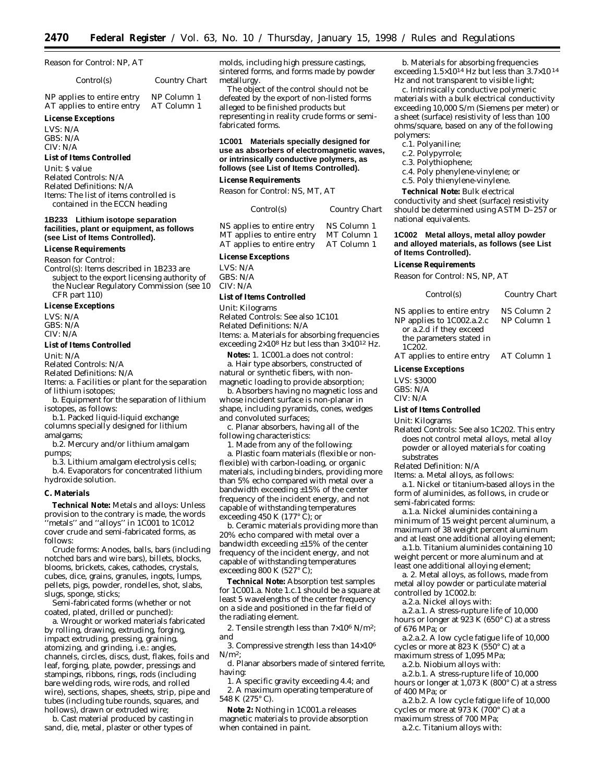*Reason for Control:* NP, AT

*Control(s) Country Chart*

NP applies to entire entry NP Column 1 AT applies to entire entry AT Column 1

#### **License Exceptions**

LVS: N/A GBS: N/A  $CIV·N/A$ 

#### **List of Items Controlled**

*Unit:* \$ value *Related Controls:* N/A *Related Definitions:* N/A *Items:* The list of items controlled is contained in the ECCN heading

#### **1B233 Lithium isotope separation facilities, plant or equipment, as follows (see List of Items Controlled).**

#### **License Requirements**

*Reason for Control:*

*Control(s):* Items described in 1B233 are subject to the export licensing authority of the Nuclear Regulatory Commission (see 10 CFR part 110)

#### **License Exceptions**

LVS: N/A GBS: N/A CIV: N/A

#### **List of Items Controlled**

*Unit:* N/A

*Related Controls:* N/A

*Related Definitions:* N/A

*Items:* a. Facilities or plant for the separation of lithium isotopes;

b. Equipment for the separation of lithium isotopes, as follows:

b.1. Packed liquid-liquid exchange columns specially designed for lithium amalgams;

b.2. Mercury and/or lithium amalgam pumps;

b.3. Lithium amalgam electrolysis cells; b.4. Evaporators for concentrated lithium hydroxide solution.

#### **C. Materials**

**Technical Note:** Metals and alloys: Unless provision to the contrary is made, the words 'metals" and "alloys" in 1C001 to 1C012 cover crude and semi-fabricated forms, as follows:

Crude forms: Anodes, balls, bars (including notched bars and wire bars), billets, blocks, blooms, brickets, cakes, cathodes, crystals, cubes, dice, grains, granules, ingots, lumps, pellets, pigs, powder, rondelles, shot, slabs, slugs, sponge, sticks;

Semi-fabricated forms (whether or not coated, plated, drilled or punched):

a. Wrought or worked materials fabricated by rolling, drawing, extruding, forging, impact extruding, pressing, graining, atomizing, and grinding, i.e.: angles, channels, circles, discs, dust, flakes, foils and leaf, forging, plate, powder, pressings and stampings, ribbons, rings, rods (including bare welding rods, wire rods, and rolled wire), sections, shapes, sheets, strip, pipe and tubes (including tube rounds, squares, and hollows), drawn or extruded wire;

b. Cast material produced by casting in sand, die, metal, plaster or other types of

molds, including high pressure castings, sintered forms, and forms made by powder metallurgy.

The object of the control should not be defeated by the export of non-listed forms alleged to be finished products but representing in reality crude forms or semifabricated forms.

#### **1C001 Materials specially designed for use as absorbers of electromagnetic waves, or intrinsically conductive polymers, as follows (see List of Items Controlled).**

#### **License Requirements**

*Reason for Control:* NS, MT, AT

| Control(s)              | Country Chart   |
|-------------------------|-----------------|
| applies to entire entry | $NG$ Column $1$ |

MT applies to entire entry AT applies to entire entry AT Column 1

#### **License Exceptions**

LVS: N/A GBS: N/A CIV: N/A

#### **List of Items Controlled**

*Unit:* Kilograms

*Related Controls:* See also 1C101

*Related Definitions:* N/A

*Items:* a. Materials for absorbing frequencies exceeding 2×108 Hz but less than 3×1012 Hz.

**Notes:** 1. 1C001.a does not control: a. Hair type absorbers, constructed of natural or synthetic fibers, with nonmagnetic loading to provide absorption;

b. Absorbers having no magnetic loss and whose incident surface is non-planar in shape, including pyramids, cones, wedges and convoluted surfaces;

c. Planar absorbers, having all of the following characteristics:

1. Made from any of the following:

a. Plastic foam materials (flexible or nonflexible) with carbon-loading, or organic materials, including binders, providing more than 5% echo compared with metal over a bandwidth exceeding ±15% of the center frequency of the incident energy, and not capable of withstanding temperatures exceeding 450 K (177° C); *or*

b. Ceramic materials providing more than 20% echo compared with metal over a bandwidth exceeding ±15% of the center frequency of the incident energy, and not capable of withstanding temperatures exceeding 800 K (527 $\degree$  C);

**Technical Note:** Absorption test samples for 1C001.a. Note 1.c.1 should be a square at least 5 wavelengths of the center frequency on a side and positioned in the far field of the radiating element.

2. Tensile strength less than  $7\times10^6$  N/m<sup>2</sup>; *and*

3. Compressive strength less than 14×106  $N/m^2$ ;

d. Planar absorbers made of sintered ferrite, having:

1. A specific gravity exceeding 4.4; *and* 2. A maximum operating temperature of 548 K (275° C).

**Note 2:** Nothing in 1C001.a releases magnetic materials to provide absorption when contained in paint.

b. Materials for absorbing frequencies exceeding 1.5×1014 Hz but less than 3.7×10 14 Hz and not transparent to visible light;

c. Intrinsically conductive polymeric materials with a bulk electrical conductivity exceeding 10,000 S/m (Siemens per meter) or a sheet (surface) resistivity of less than 100 ohms/square, based on any of the following polymers:

- c.1. Polyaniline;
- c.2. Polypyrrole;
- c.3. Polythiophene;
- c.4. Poly phenylene-vinylene; *or*
- c.5. Poly thienylene-vinylene.

**Technical Note:** Bulk electrical conductivity and sheet (surface) resistivity should be determined using ASTM D–257 or national equivalents.

#### **1C002 Metal alloys, metal alloy powder and alloyed materials, as follows (see List of Items Controlled).**

#### **License Requirements**

*Reason for Control:* NS, NP, AT

| Control(s)                                                                                                     | Country Chart              |
|----------------------------------------------------------------------------------------------------------------|----------------------------|
| NS applies to entire entry<br>NP applies to 1C002.a.2.c<br>or a.2.d if they exceed<br>the parameters stated in | NS Column 2<br>NP Column 1 |

1C202. AT applies to entire entry AT Column 1

#### **License Exceptions**

LVS: \$3000 GBS: N/A CIV: N/A

#### **List of Items Controlled**

*Unit:* Kilograms

*Related Controls:* See also 1C202. This entry does not control metal alloys, metal alloy powder or alloyed materials for coating substrates

*Related Definition:* N/A

*Items:* a. Metal alloys, as follows:

a.1. Nickel or titanium-based alloys in the form of aluminides, as follows, in crude or semi-fabricated forms:

a.1.a. Nickel aluminides containing a minimum of 15 weight percent aluminum, a maximum of 38 weight percent aluminum and at least one additional alloying element;

a.1.b. Titanium aluminides containing 10 weight percent or more aluminum and at least one additional alloying element;

a. 2. Metal alloys, as follows, made from metal alloy powder or particulate material controlled by 1C002.b:

a.2.a. Nickel alloys with:

a.2.a.1. A stress-rupture life of 10,000 hours or longer at 923 K (650° C) at a stress of 676 MPa; *or*

a.2.a.2. A low cycle fatigue life of 10,000 cycles or more at 823 K (550° C) at a maximum stress of 1,095 MPa;

a.2.b. Niobium alloys with:

a.2.b.1. A stress-rupture life of 10,000 hours or longer at 1,073 K (800° C) at a stress of 400 MPa; *or*

a.2.b.2. A low cycle fatigue life of 10,000 cycles or more at  $973$  K ( $700^{\circ}$  C) at a

maximum stress of 700 MPa;

a.2.c. Titanium alloys with:

NS applies to entire entry NS Column 1<br>MT applies to entire entry MT Column 1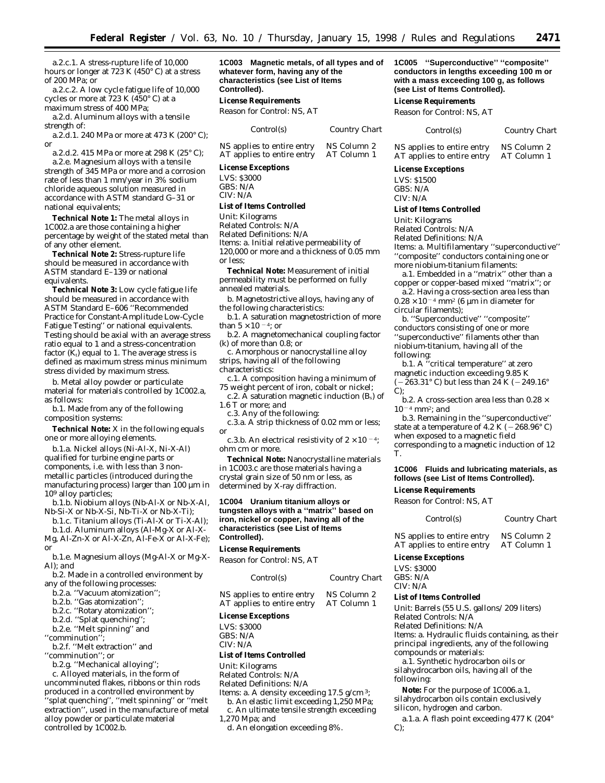a.2.c.1. A stress-rupture life of 10,000 hours or longer at 723 K (450° C) at a stress of 200 MPa; *or*

a.2.c.2. A low cycle fatigue life of 10,000 cycles or more at 723 K (450° C) at a maximum stress of 400 MPa;

a.2.d. Aluminum alloys with a tensile strength of:

a.2.d.1. 240 MPa or more at 473 K (200° C); *or*

a.2.d.2. 415 MPa or more at 298 K (25° C); a.2.e. Magnesium alloys with a tensile strength of 345 MPa or more and a corrosion rate of less than 1 mm/year in 3% sodium chloride aqueous solution measured in accordance with ASTM standard G–31 or national equivalents;

**Technical Note 1:** The metal alloys in 1C002.a are those containing a higher percentage by weight of the stated metal than of any other element.

**Technical Note 2:** Stress-rupture life should be measured in accordance with ASTM standard E–139 or national equivalents.

**Technical Note 3:** Low cycle fatigue life should be measured in accordance with ASTM Standard E–606 ''Recommended Practice for Constant-Amplitude Low-Cycle Fatigue Testing'' or national equivalents. Testing should be axial with an average stress ratio equal to 1 and a stress-concentration factor  $(K_t)$  equal to 1. The average stress is defined as maximum stress minus minimum stress divided by maximum stress.

b. Metal alloy powder or particulate material for materials controlled by 1C002.a, as follows:

b.1. Made from any of the following composition systems:

**Technical Note:** X in the following equals one or more alloying elements.

b.1.a. Nickel alloys (Ni-Al-X, Ni-X-Al) qualified for turbine engine parts or components, i.e. with less than 3 nonmetallic particles (introduced during the manufacturing process) larger than 100 µm in 109 alloy particles;

b.1.b. Niobium alloys (Nb-Al-X or Nb-X-Al, Nb-Si-X or Nb-X-Si, Nb-Ti-X or Nb-X-Ti);

b.1.c. Titanium alloys (Ti-Al-X or Ti-X-Al); b.1.d. Aluminum alloys (Al-Mg-X or Al-X-

Mg, Al-Zn-X or Al-X-Zn, Al-Fe-X or Al-X-Fe); *or*

b.1.e. Magnesium alloys (Mg-Al-X or Mg-X-Al); *and*

b.2. Made in a controlled environment by any of the following processes:

b.2.a. ''Vacuum atomization'';

b.2.b. ''Gas atomization'';

b.2.c. ''Rotary atomization'';

b.2.d. ''Splat quenching'';

b.2.e. ''Melt spinning'' and

''comminution'';

b.2.f. ''Melt extraction'' and ''comminution''; *or*

b.2.g. ''Mechanical alloying'';

c. Alloyed materials, in the form of uncomminuted flakes, ribbons or thin rods produced in a controlled environment by ''splat quenching'', ''melt spinning'' or ''melt extraction'', used in the manufacture of metal alloy powder or particulate material controlled by 1C002.b.

**1C003 Magnetic metals, of all types and of whatever form, having any of the characteristics (see List of Items Controlled).**

**License Requirements**

*Reason for Control:* NS, AT

| Control(s)                 | Country Ch |
|----------------------------|------------|
| NS applies to entire entry | NS Column: |
| AT applies to entire entry | AT Column  |

#### **License Exceptions**

LVS: \$3000 GBS: N/A CIV: N/A

#### **List of Items Controlled**

*Unit:* Kilograms

*Related Controls:* N/A

*Related Definitions:* N/A *Items:* a. Initial relative permeability of  $120,000$  or more and a thickness of  $0.05$  mm or less;

**Technical Note:** Measurement of initial permeability must be performed on fully annealed materials.

b. Magnetostrictive alloys, having any of the following characteristics:

b.1. A saturation magnetostriction of more than  $5 \times 10^{-4}$ ; *or* 

b.2. A magnetomechanical coupling factor (k) of more than 0.8; *or*

c. Amorphous or nanocrystalline alloy strips, having all of the following

characteristics:

c.1. A composition having a minimum of 75 weight percent of iron, cobalt or nickel;

c.2.  $\tilde{A}$  saturation magnetic induction (B<sub>s</sub>) of 1.6 T or more; *and*

c.3. Any of the following:

c.3.a. A strip thickness of 0.02 mm or less; *or*

c.3.b. An electrical resistivity of  $2 \times 10^{-4}$ ; ohm cm or more.

**Technical Note:** Nanocrystalline materials in 1C003.c are those materials having a crystal grain size of 50 nm or less, as determined by X-ray diffraction.

#### **1C004 Uranium titanium alloys or tungsten alloys with a ''matrix'' based on iron, nickel or copper, having all of the characteristics (see List of Items Controlled).**

#### **License Requirements**

*Reason for Control:* NS, AT

| <b>Country Chart</b> |
|----------------------|
|                      |

NS applies to entire entry AT applies to entire entry AT Column 1

#### **License Exceptions**

LVS: \$3000  $GRS: N/A$ 

CIV: N/A

#### **List of Items Controlled**

*Unit:* Kilograms

*Related Controls:* N/A *Related Definitions:* N/A

Items: a. A density exceeding 17.5 g/cm 3;

b. An elastic limit exceeding 1,250 MPa; c. An ultimate tensile strength exceeding

1,270 Mpa; *and*

d. An elongation exceeding 8%.

**1C005 ''Superconductive'' ''composite'' conductors in lengths exceeding 100 m or with a mass exceeding 100 g, as follows (see List of Items Controlled).**

#### **License Requirements**

*Reason for Control:* NS, AT

| art | Control(s)                                               | Country Chart              |
|-----|----------------------------------------------------------|----------------------------|
|     | NS applies to entire entry<br>AT applies to entire entry | NS Column 2<br>AT Column 1 |

#### **License Exceptions**

LVS: \$1500 GBS: N/A CIV: N/A

#### **List of Items Controlled**

*Unit:* Kilograms

*Related Controls:* N/A

*Related Definitions:* N/A

*Items:* a. Multifilamentary ''superconductive'' ''composite'' conductors containing one or

more niobium-titanium filaments: a.1. Embedded in a ''matrix'' other than a

copper or copper-based mixed ''matrix''; *or* a.2. Having a cross-section area less than

 $0.28\times 10^{-4}$  mm² (6  $\mu m$  in diameter for circular filaments);

b. ''Superconductive'' ''composite'' conductors consisting of one or more

''superconductive'' filaments other than niobium-titanium, having all of the

following:

b.1. A ''critical temperature'' at zero magnetic induction exceeding 9.85 K  $(-263.31^{\circ} \text{C})$  but less than 24 K  $(-249.16^{\circ})$ C);

b.2. A cross-section area less than 0.28  $\times$  $10^{-4}$  mm<sup>2</sup>; *and* 

b.3. Remaining in the ''superconductive'' state at a temperature of  $4.2$  K ( $-268.96^{\circ}$  C) when exposed to a magnetic field

corresponding to a magnetic induction of 12 T.

#### **1C006 Fluids and lubricating materials, as follows (see List of Items Controlled).**

**License Requirements**

*Reason for Control:* NS, AT

*Control(s) Country Chart*

NS applies to entire entry NS Column 2 AT applies to entire entry AT Column 1

#### **License Exceptions**

LVS: \$3000 GBS: N/A CIV: N/A

#### **List of Items Controlled**

*Unit:* Barrels (55 U.S. gallons/ 209 liters) *Related Controls:* N/A

*Related Definitions:* N/A

*Items:* a. Hydraulic fluids containing, as their principal ingredients, any of the following compounds or materials:

a.1. Synthetic hydrocarbon oils or silahydrocarbon oils, having all of the following:

**Note:** For the purpose of 1C006.a.1, silahydrocarbon oils contain exclusively silicon, hydrogen and carbon.

a.1.a. A flash point exceeding 477 K (204°  $C);$ 

| NS Column 2          |  |
|----------------------|--|
| $\Lambda T$ Column 1 |  |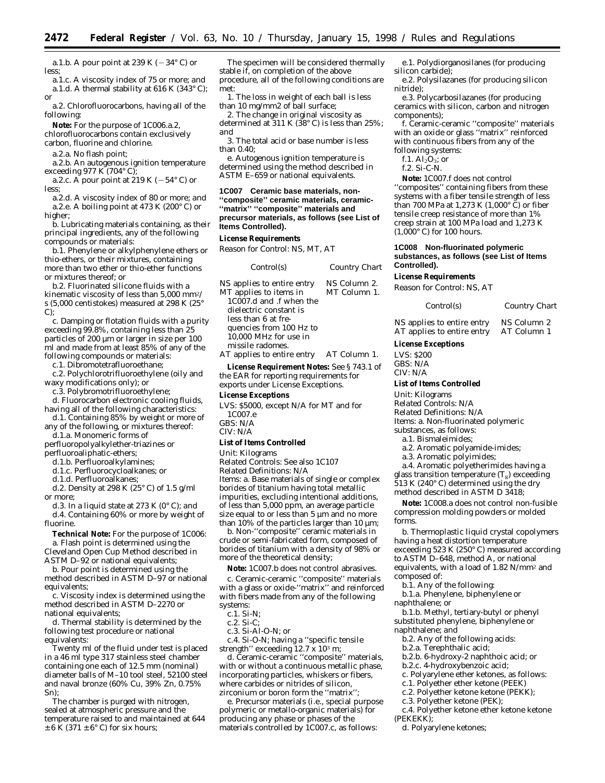a.1.b. A pour point at 239 K  $(-34^{\circ} \text{C})$  or less;

a.1.c. A viscosity index of 75 or more; *and* a.1.d. A thermal stability at  $616$  K (343 $^{\circ}$  C); *or*

a.2. Chlorofluorocarbons, having all of the following:

**Note:** For the purpose of 1C006.a.2,

chlorofluorocarbons contain exclusively carbon, fluorine and chlorine.

a.2.a. No flash point;

a.2.b. An autogenous ignition temperature exceeding 977 K (704° C);

a.2.c. A pour point at 219 K ( $-54^{\circ}$  C) or less;

a.2.d. A viscosity index of 80 or more; *and* a.2.e. A boiling point at 473 K (200° C) or higher;

b. Lubricating materials containing, as their principal ingredients, any of the following compounds or materials:

b.1. Phenylene or alkylphenylene ethers or thio-ethers, or their mixtures, containing more than two ether or thio-ether functions or mixtures thereof; *or*

b.2. Fluorinated silicone fluids with a kinematic viscosity of less than 5,000 mm2/ s (5,000 centistokes) measured at 298 K (25°  $C$ :

c. Damping or flotation fluids with a purity exceeding 99.8%, containing less than 25 particles of 200 µm or larger in size per 100 ml and made from at least 85% of any of the following compounds or materials:

c.1. Dibromotetrafluoroethane;

c.2. Polychlorotrifluoroethylene (oily and waxy modifications only); *or*

c.3. Polybromotrifluoroethylene;

d. Fluorocarbon electronic cooling fluids, having all of the following characteristics:

d.1. Containing 85% by weight or more of any of the following, or mixtures thereof:

d.1.a. Monomeric forms of

perfluoropolyalkylether-triazines or perfluoroaliphatic-ethers;

d.1.b. Perfluoroalkylamines;

d.1.c. Perfluorocycloalkanes; *or*

d.1.d. Perfluoroalkanes;

d.2. Density at 298 K (25° C) of 1.5 g/ml or more;

d.3. In a liquid state at 273 K (0° C); *and* d.4. Containing 60% or more by weight of fluorine.

**Technical Note:** For the purpose of 1C006: a. Flash point is determined using the Cleveland Open Cup Method described in

ASTM D–92 or national equivalents; b. Pour point is determined using the

method described in ASTM D–97 or national equivalents;

c. Viscosity index is determined using the method described in ASTM D–2270 or national equivalents;

d. Thermal stability is determined by the following test procedure or national equivalents:

Twenty ml of the fluid under test is placed in a 46 ml type 317 stainless steel chamber containing one each of 12.5 mm (nominal) diameter balls of M–10 tool steel, 52100 steel and naval bronze (60% Cu, 39% Zn, 0.75% Sn);

The chamber is purged with nitrogen, sealed at atmospheric pressure and the temperature raised to and maintained at 644  $\pm$  6 K (371  $\pm$  6° C) for six hours;

The specimen will be considered thermally stable if, on completion of the above procedure, all of the following conditions are met:

1. The loss in weight of each ball is less than 10 mg/mm2 of ball surface;

2. The change in original viscosity as determined at  $311 \text{ K}$  ( $38^{\circ}$  C) is less than 25%; *and*

3. The total acid or base number is less than 0.40;

e. Autogenous ignition temperature is determined using the method described in ASTM E–659 or national equivalents.

**1C007 Ceramic base materials, non- ''composite'' ceramic materials, ceramic- ''matrix'' ''composite'' materials and precursor materials, as follows (see List of Items Controlled).**

#### **License Requirements**

*Reason for Control:* NS, MT, AT

| Control(s)                                                                                                                                                                                               | Country Chart                |
|----------------------------------------------------------------------------------------------------------------------------------------------------------------------------------------------------------|------------------------------|
| NS applies to entire entry<br>MT applies to items in<br>1C007.d and .f when the<br>dielectric constant is<br>less than 6 at fre-<br>quencies from 100 Hz to<br>10,000 MHz for use in<br>missile radomes. | NS Column 2.<br>MT Column 1. |
|                                                                                                                                                                                                          |                              |

AT applies to entire entry AT Column 1.

**License Requirement Notes:** See § 743.1 of the EAR for reporting requirements for exports under License Exceptions.

#### **License Exceptions**

LVS: \$5000, except N/A for MT and for 1C007.e

GBS: N/A CIV: N/A

#### **List of Items Controlled**

*Unit:* Kilograms

*Related Controls:* See also 1C107

*Related Definitions:* N/A *Items:* a. Base materials of single or complex borides of titanium having total metallic impurities, excluding intentional additions, of less than 5,000 ppm, an average particle size equal to or less than 5 µm and no more

than 10% of the particles larger than 10  $\mu$ m; b. Non-''composite'' ceramic materials in crude or semi-fabricated form, composed of borides of titanium with a density of 98% or more of the theoretical density;

**Note:** 1C007.b does not control abrasives.

c. Ceramic-ceramic ''composite'' materials with a glass or oxide-''matrix'' and reinforced with fibers made from any of the following systems:

- c.1. Si-N;
- c.2. Si-C;

c.3. Si-Al-O-N; *or*

c.4. Si-O-N; having a ''specific tensile strength'' exceeding 12.7 x 103 m;

d. Ceramic-ceramic ''composite'' materials, with or without a continuous metallic phase, incorporating particles, whiskers or fibers, where carbides or nitrides of silicon, zirconium or boron form the ''matrix'';

e. Precursor materials (i.e., special purpose polymeric or metallo-organic materials) for producing any phase or phases of the materials controlled by 1C007.c, as follows:

e.1. Polydiorganosilanes (for producing silicon carbide);

e.2. Polysilazanes (for producing silicon nitride);

e.3. Polycarbosilazanes (for producing ceramics with silicon, carbon and nitrogen components);

f. Ceramic-ceramic ''composite'' materials with an oxide or glass ''matrix'' reinforced with continuous fibers from any of the following systems:

f.1.  $Al_2O_3$ ; *or* 

f.2. Si-C-N.

**Note:** 1C007.f does not control ''composites'' containing fibers from these systems with a fiber tensile strength of less than 700 MPa at 1,273 K (1,000° C) or fiber tensile creep resistance of more than 1% creep strain at 100 MPa load and 1,273 K  $(1,000^{\circ} \text{ C})$  for 100 hours.

#### **1C008 Non-fluorinated polymeric substances, as follows (see List of Items Controlled).**

#### **License Requirements**

*Reason for Control:* NS, AT

| Control(s) | <b>Country Chart</b> |
|------------|----------------------|
|            |                      |

NS applies to entire entry NS Column 2<br>AT applies to entire entry AT Column 1 AT applies to entire entry

#### **License Exceptions**

LVS: \$200 GBS: N/A

CIV: N/A

#### **List of Items Controlled**

*Unit:* Kilograms

*Related Controls:* N/A

*Related Definitions:* N/A

*Items:* a. Non-fluorinated polymeric

substances, as follows:

a.1. Bismaleimides;

a.2. Aromatic polyamide-imides;

a.3. Aromatic polyimides;

a.4. Aromatic polyetherimides having a

glass transition temperature  $(T_g)$  exceeding 513 K (240° C) determined using the dry

method described in ASTM D 3418;

**Note:** 1C008.a does not control non-fusible compression molding powders or molded forms.

b. Thermoplastic liquid crystal copolymers having a heat distortion temperature exceeding 523 K (250° C) measured according to ASTM D–648, method A, or national equivalents, with a load of 1.82 N/mm2 and composed of:

b.1. Any of the following:

b.1.a. Phenylene, biphenylene or naphthalene; or

b.1.b. Methyl, tertiary-butyl or phenyl

substituted phenylene, biphenylene or naphthalene; *and*

b.2. Any of the following acids:

b.2.a. Terephthalic acid;

b.2.b. 6-hydroxy-2 naphthoic acid; *or*

b.2.c. 4-hydroxybenzoic acid;

c.3. Polyether ketone (PEK);

d. Polyarylene ketones;

(PEKEKK);

c. Polyarylene ether ketones, as follows:

c.4. Polyether ketone ether ketone ketone

c.1. Polyether ether ketone (PEEK) c.2. Polyether ketone ketone (PEKK);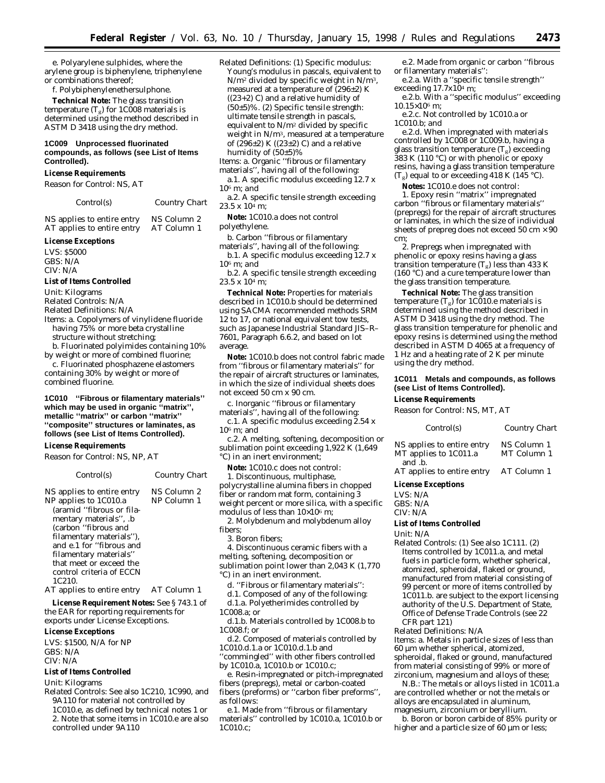e. Polyarylene sulphides, where the arylene group is biphenylene, triphenylene or combinations thereof;

f. Polybiphenylenethersulphone.

**Technical Note:** The glass transition temperature  $(T_g)$  for 1C008 materials is determined using the method described in ASTM D 3418 using the dry method.

#### **1C009 Unprocessed fluorinated compounds, as follows (see List of Items Controlled).**

#### **License Requirements**

*Reason for Control:* NS, AT

*Control(s) Country Chart*

NS applies to entire entry NS Column 2 AT applies to entire entry AT Column 1

#### **License Exceptions**

LVS: \$5000 GBS: N/A CIV: N/A

#### **List of Items Controlled**

*Unit:* Kilograms

*Related Controls:* N/A

*Related Definitions:* N/A

- *Items:* a. Copolymers of vinylidene fluoride having 75% or more beta crystalline structure without stretching;
- b. Fluorinated polyimides containing 10% by weight or more of combined fluorine;

c. Fluorinated phosphazene elastomers containing 30% by weight or more of combined fluorine.

#### **1C010 ''Fibrous or filamentary materials'' which may be used in organic ''matrix'', metallic ''matrix'' or carbon ''matrix'' ''composite'' structures or laminates, as follows (see List of Items Controlled).**

#### **License Requirements**

*Reason for Control:* NS, NP, AT

*Control(s) Country Chart* NS applies to entire entry NS Column 2 NP applies to 1C010.a (aramid ''fibrous or filamentary materials'', .b (carbon ''fibrous and filamentary materials''), and e.1 for ''fibrous and filamentary materials'' that meet or exceed the control criteria of ECCN 1C210. NP Column 1

AT applies to entire entry AT Column 1

**License Requirement Notes:** See § 743.1 of the EAR for reporting requirements for exports under License Exceptions.

#### **License Exceptions**

LVS: \$1500, N/A for NP GBS: N/A CIV: N/A

#### **List of Items Controlled**

*Unit:* Kilograms

- *Related Controls:* See also 1C210, 1C990, and 9A110 for material not controlled by 1C010.e, as defined by technical notes 1 or
	- 2. Note that some items in 1C010.e are also controlled under 9A110

*Related Definitions:* (1) Specific modulus: Young's modulus in pascals, equivalent to  $N/m^2$  divided by specific weight in  $N/m^3$ , measured at a temperature of (296±2) K ((23+2) C) and a relative humidity of  $(50±5)\%$ . (2) Specific tensile strength: ultimate tensile strength in pascals, equivalent to N/m2 divided by specific weight in N/m3, measured at a temperature of  $(296\pm2)$  K  $((23\pm2)$  C) and a relative humidity of (50±5)%

- *Items:* a. Organic ''fibrous or filamentary materials'', having all of the following:
- a.1. A specific modulus exceeding 12.7 x 106 m; *and*
- a.2. A specific tensile strength exceeding  $23.5 \times 10^{4}$  m;

**Note:** 1C010.a does not control polyethylene.

- b. Carbon ''fibrous or filamentary
- materials'', having all of the following: b.1. A specific modulus exceeding 12.7 x 106 m; *and*

b.2. A specific tensile strength exceeding  $23.5 \times 10^{4}$  m;

**Technical Note:** Properties for materials described in 1C010.b should be determined using SACMA recommended methods SRM 12 to 17, or national equivalent tow tests, such as Japanese Industrial Standard JIS–R– 7601, Paragraph 6.6.2, and based on lot average.

**Note:** 1C010.b does not control fabric made from ''fibrous or filamentary materials'' for the repair of aircraft structures or laminates, in which the size of individual sheets does not exceed 50 cm x 90 cm.

c. Inorganic ''fibrous or filamentary materials'', having all of the following:

c.1. A specific modulus exceeding 2.54 x  $10<sup>6</sup>$  m; and

c.2. A melting, softening, decomposition or sublimation point exceeding 1,922 K (1,649 °C) in an inert environment;

**Note:** 1C010.c does not control:

1. Discontinuous, multiphase, polycrystalline alumina fibers in chopped fiber or random mat form, containing 3 weight percent or more silica, with a specific modulus of less than  $10\times10^6$  m;

2. Molybdenum and molybdenum alloy fibers;

- 3. Boron fibers;
- 4. Discontinuous ceramic fibers with a melting, softening, decomposition or sublimation point lower than 2,043 K (1,770 °C) in an inert environment.
- d. ''Fibrous or filamentary materials'':
- d.1. Composed of any of the following:
- d.1.a. Polyetherimides controlled by
- 1C008.a; *or*

d.1.b. Materials controlled by 1C008.b to 1C008.f; *or*

d.2. Composed of materials controlled by 1C010.d.1.a or 1C010.d.1.b and ''commingled'' with other fibers controlled

by 1C010.a, 1C010.b or 1C010.c; e. Resin-impregnated or pitch-impregnated

fibers (prepregs), metal or carbon-coated fibers (preforms) or ''carbon fiber preforms'', as follows:

e.1. Made from ''fibrous or filamentary materials'' controlled by 1C010.a, 1C010.b or 1C010.c;

e.2. Made from organic or carbon ''fibrous or filamentary materials'':

e.2.a. With a ''specific tensile strength'' exceeding  $17.7x10^4$  m;

e.2.b. With a ''specific modulus'' exceeding  $10.15\times10^{6}$  m;

e.2.c. Not controlled by 1C010.a or 1C010.b; *and*

e.2.d. When impregnated with materials controlled by 1C008 or 1C009.b, having a glass transition temperature  $(T_g)$  exceeding 383 K (110 °C) or with phenolic or epoxy resins, having a glass transition temperature  $(T_g)$  equal to or exceeding 418 K (145 °C).

**Notes:** 1C010.e does not control:

1. Epoxy resin ''matrix'' impregnated carbon ''fibrous or filamentary materials'' (prepregs) for the repair of aircraft structures or laminates, in which the size of individual sheets of prepreg does not exceed 50  $\rm cm \times 90$ cm;

2. Prepregs when impregnated with phenolic or epoxy resins having a glass transition temperature  $(T_g)$  less than 433 K (160 °C) and a cure temperature lower than the glass transition temperature.

**Technical Note:** The glass transition temperature (T $_{\rm g}$ ) for 1C010.e materials is determined using the method described in ASTM D 3418 using the dry method. The glass transition temperature for phenolic and epoxy resins is determined using the method described in ASTM D 4065 at a frequency of 1 Hz and a heating rate of 2 K per minute using the dry method.

#### **1C011 Metals and compounds, as follows (see List of Items Controlled).**

#### **License Requirements**

*Reason for Control:* NS, MT, AT

| Control(s)                                                    | Country Chart              |
|---------------------------------------------------------------|----------------------------|
| NS applies to entire entry<br>MT applies to 1C011.a<br>and b. | NS Column 1<br>MT Column 1 |
| AT applies to entire entry                                    | AT Column 1                |

#### **License Exceptions**

| LVS: N/A |
|----------|
| GBS: N/A |
| CIV: N/A |

**List of Items Controlled**

*Unit:* N/A

*Related Controls:* (1) See also 1C111. (2) Items controlled by 1C011.a, and metal fuels in particle form, whether spherical, atomized, spheroidal, flaked or ground, manufactured from material consisting of 99 percent or more of items controlled by 1C011.b. are subject to the export licensing authority of the U.S. Department of State, Office of Defense Trade Controls (see 22 CFR part 121)

*Related Definitions:* N/A

*Items:* a. Metals in particle sizes of less than 60 µm whether spherical, atomized, spheroidal, flaked or ground, manufactured from material consisting of 99% or more of zirconium, magnesium and alloys of these;

N.B.: The metals or alloys listed in 1C011.a are controlled whether or not the metals or alloys are encapsulated in aluminum, magnesium, zirconium or beryllium.

b. Boron or boron carbide of 85% purity or higher and a particle size of 60 µm or less;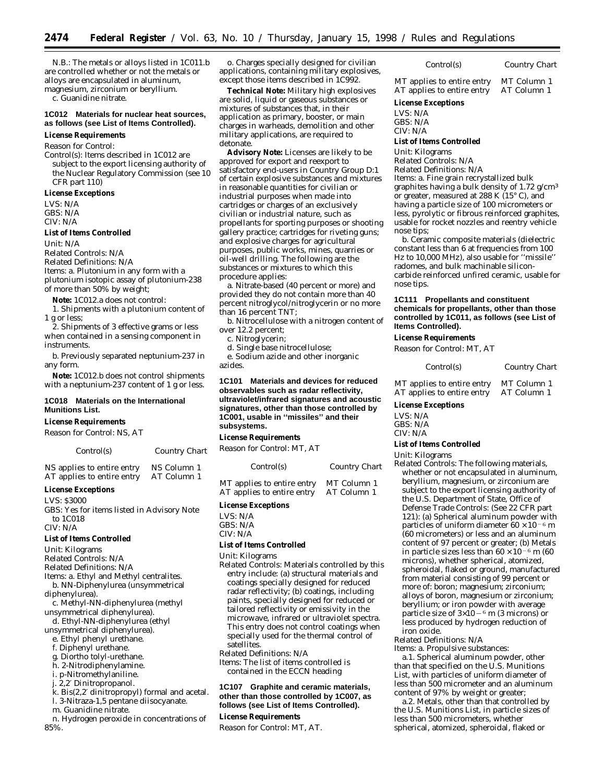N.B.: The metals or alloys listed in 1C011.b are controlled whether or not the metals or alloys are encapsulated in aluminum, magnesium, zirconium or beryllium.

c. Guanidine nitrate.

#### **1C012 Materials for nuclear heat sources, as follows (see List of Items Controlled).**

#### **License Requirements**

*Reason for Control:*

*Control(s):* Items described in 1C012 are subject to the export licensing authority of the Nuclear Regulatory Commission (see 10 CFR part 110)

#### **License Exceptions**

LVS: N/A GBS: N/A CIV: N/A

#### **List of Items Controlled**

*Unit:* N/A

*Related Controls:* N/A

*Related Definitions:* N/A

*Items:* a. Plutonium in any form with a plutonium isotopic assay of plutonium-238 of more than 50% by weight;

**Note:** 1C012.a does not control:

1. Shipments with a plutonium content of 1 g or less;

2. Shipments of 3 effective grams or less when contained in a sensing component in instruments.

b. Previously separated neptunium-237 in any form.

**Note:** 1C012.b does not control shipments with a neptunium-237 content of 1 g or less.

#### **1C018 Materials on the International Munitions List.**

#### **License Requirements**

*Reason for Control:* NS, AT

*Control(s) Country Chart*

NS applies to entire entry NS Column 1<br>AT applies to entire entry AT Column 1 AT applies to entire entry

#### **License Exceptions**

LVS: \$3000

GBS: Yes for items listed in Advisory Note to 1C018 CIV: N/A

#### **List of Items Controlled**

*Unit:* Kilograms

*Related Controls:* N/A

*Related Definitions:* N/A

*Items:* a. Ethyl and Methyl centralites.

b. NN-Diphenylurea (unsymmetrical diphenylurea).

c. Methyl-NN-diphenylurea (methyl unsymmetrical diphenylurea).

d. Ethyl-NN-diphenylurea (ethyl

unsymmetrical diphenylurea).

- e. Ethyl phenyl urethane.
- f. Diphenyl urethane.
- g. Diortho tolyl-urethane.
- h. 2-Nitrodiphenylamine.
- i. p-Nitromethylaniline.

j. 2,2′ Dinitropropanol.

- k. Bis(2,2′ dinitropropyl) formal and acetal. l. 3-Nitraza-1,5 pentane diisocyanate.
- 

m. Guanidine nitrate.

n. Hydrogen peroxide in concentrations of 85%.

o. Charges specially designed for civilian applications, containing military explosives, except those items described in 1C992.

**Technical Note:** Military high explosives are solid, liquid or gaseous substances or mixtures of substances that, in their application as primary, booster, or main charges in warheads, demolition and other military applications, are required to detonate.

**Advisory Note:** Licenses are likely to be approved for export and reexport to satisfactory end-users in Country Group D:1 of certain explosive substances and mixtures in reasonable quantities for civilian or industrial purposes when made into cartridges or charges of an exclusively civilian or industrial nature, such as propellants for sporting purposes or shooting gallery practice; cartridges for riveting guns; and explosive charges for agricultural purposes, public works, mines, quarries or oil-well drilling. The following are the substances or mixtures to which this procedure applies:

a. Nitrate-based (40 percent or more) and provided they do not contain more than 40 percent nitroglycol/nitroglycerin or no more than 16 percent TNT;

b. Nitrocellulose with a nitrogen content of over 12.2 percent;

c. Nitroglycerin;

d. Single base nitrocellulose;

e. Sodium azide and other inorganic azides.

**1C101 Materials and devices for reduced observables such as radar reflectivity, ultraviolet/infrared signatures and acoustic signatures, other than those controlled by 1C001, usable in ''missiles'' and their subsystems.**

#### **License Requirements**

*Reason for Control:* MT, AT

*Control(s) Country Chart*

LVS: N/A GBS: N/A

CIV: N/A

#### **List of Items Controlled**

*Unit:* Kilograms

*Related Controls:* Materials controlled by this entry include: (a) structural materials and coatings specially designed for reduced radar reflectivity; (b) coatings, including paints, specially designed for reduced or tailored reflectivity or emissivity in the microwave, infrared or ultraviolet spectra. This entry does not control coatings when specially used for the thermal control of satellites.

*Related Definitions:* N/A

*Items:* The list of items controlled is contained in the ECCN heading

#### **1C107 Graphite and ceramic materials, other than those controlled by 1C007, as follows (see List of Items Controlled).**

#### **License Requirements**

*Reason for Control:* MT, AT.

MT applies to entire entry MT Column 1<br>AT applies to entire entry AT Column 1 AT applies to entire entry

*Control(s) Country Chart*

#### **License Exceptions**

LVS: N/A GBS: N/A CIV: N/A

#### **List of Items Controlled**

*Unit:* Kilograms

*Related Controls:* N/A

*Related Definitions:* N/A

*Items:* a. Fine grain recrystallized bulk graphites having a bulk density of 1.72 g/cm3 or greater, measured at 288 K  $(15^{\circ} C)$ , and having a particle size of 100 micrometers or less, pyrolytic or fibrous reinforced graphites, usable for rocket nozzles and reentry vehicle nose tips;

b. Ceramic composite materials (dielectric constant less than 6 at frequencies from 100 Hz to 10,000 MHz), also usable for ''missile'' radomes, and bulk machinable siliconcarbide reinforced unfired ceramic, usable for nose tips.

#### **1C111 Propellants and constituent chemicals for propellants, other than those controlled by 1C011, as follows (see List of Items Controlled).**

#### **License Requirements**

*Reason for Control:* MT, AT

| Control(s) |  | Country Chart               |  |
|------------|--|-----------------------------|--|
|            |  | $\sim$ $\sim$ $\sim$ $\sim$ |  |

MT applies to entire entry MT Column 1 AT applies to entire entry AT Column 1

**License Exceptions**

LVS: N/A GBS: N/A CIV: N/A

#### **List of Items Controlled**

*Unit:* Kilograms

*Related Controls:* The following materials, whether or not encapsulated in aluminum, beryllium, magnesium, or zirconium are subject to the export licensing authority of the U.S. Department of State, Office of Defense Trade Controls: (See 22 CFR part 121): (a) Spherical aluminum powder with particles of uniform diameter  $60 \times 10^{-6}$  m (60 micrometers) or less and an aluminum content of 97 percent or greater; (b) Metals in particle sizes less than  $60 \times 10^{-6}$  m (60 microns), whether spherical, atomized, spheroidal, flaked or ground, manufactured from material consisting of 99 percent or more of: boron; magnesium; zirconium; alloys of boron, magnesium or zirconium; beryllium; or iron powder with average particle size of  $3\times10^{-6}$  m (3 microns) or less produced by hydrogen reduction of iron oxide.

*Related Definitions:* N/A

*Items: a. Propulsive substances:* 

a.1. Spherical aluminum powder, other than that specified on the U.S. Munitions List, with particles of uniform diameter of less than 500 micrometer and an aluminum content of 97% by weight or greater;

a.2. Metals, other than that controlled by the U.S. Munitions List, in particle sizes of less than 500 micrometers, whether spherical, atomized, spheroidal, flaked or

#### MT applies to entire entry MT Column 1 AT applies to entire entry AT Column 1

**License Exceptions**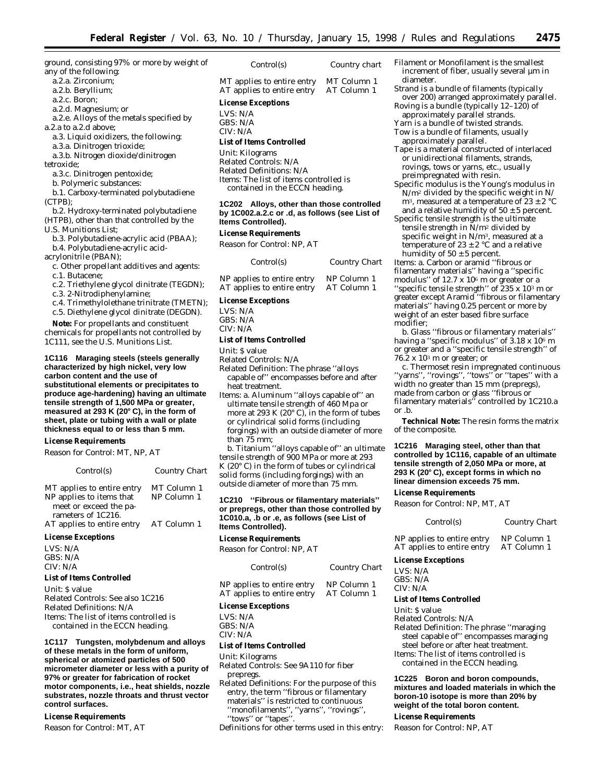ground, consisting 97% or more by weight of any of the following:

- a.2.a. Zirconium;
- a.2.b. Beryllium;
- a.2.c. Boron;
- a.2.d. Magnesium; *or*
- a.2.e. Alloys of the metals specified by a.2.a to a.2.d above;
- a.3. Liquid oxidizers, the following:
- a.3.a. Dinitrogen trioxide;

a.3.b. Nitrogen dioxide/dinitrogen

tetroxide;

- a.3.c. Dinitrogen pentoxide;
- b. Polymeric substances:

b.1. Carboxy-terminated polybutadiene (CTPB);

b.2. Hydroxy-terminated polybutadiene (HTPB), other than that controlled by the U.S. Munitions List;

- b.3. Polybutadiene-acrylic acid (PBAA);
- b.4. Polybutadiene-acrylic acid-

acrylonitrile (PBAN);

c. Other propellant additives and agents: c.1. Butacene;

- 
- c.2. Triethylene glycol dinitrate (TEGDN);

c.3. 2-Nitrodiphenylamine;

c.4. Trimethylolethane trinitrate (TMETN); c.5. Diethylene glycol dinitrate (DEGDN).

**Note:** For propellants and constituent chemicals for propellants not controlled by 1C111, see the U.S. Munitions List.

#### **1C116 Maraging steels (steels generally characterized by high nickel, very low carbon content and the use of substitutional elements or precipitates to produce age-hardening) having an ultimate tensile strength of 1,500 MPa or greater, measured at 293 K (20**≥ **C), in the form of sheet, plate or tubing with a wall or plate thickness equal to or less than 5 mm.**

#### **License Requirements**

*Reason for Control:* MT, NP, AT

| Control(s)                                                                       | <b>Country Chart</b>       |
|----------------------------------------------------------------------------------|----------------------------|
| MT applies to entire entry<br>NP applies to items that<br>meet or exceed the pa- | MT Column 1<br>NP Column 1 |
| rameters of 1C216.<br>AT applies to entire entry                                 | AT Column 1                |

#### **License Exceptions**

LVS: N/A GBS: N/A CIV: N/A

#### **List of Items Controlled**

*Unit:* \$ value *Related Controls:* See also 1C216 *Related Definitions:* N/A *Items:* The list of items controlled is contained in the ECCN heading.

**1C117 Tungsten, molybdenum and alloys of these metals in the form of uniform, spherical or atomized particles of 500 micrometer diameter or less with a purity of 97% or greater for fabrication of rocket motor components, i.e., heat shields, nozzle substrates, nozzle throats and thrust vector control surfaces.**

#### **License Requirements**

*Reason for Control:* MT, AT

*Control(s) Country chart*

MT applies to entire entry MT Column 1<br>AT applies to entire entry AT Column 1 AT applies to entire entry

#### **License Exceptions**

LVS: N/A

#### GBS: N/A CIV: N/A

#### **List of Items Controlled**

*Unit:* Kilograms

*Related Controls:* N/A *Related Definitions:* N/A *Items:* The list of items controlled is contained in the ECCN heading.

#### **1C202 Alloys, other than those controlled by 1C002.a.2.c or .d, as follows (see List of Items Controlled).**

#### **License Requirements**

*Reason for Control:* NP, AT

| Control(s)                 | Country Chart |
|----------------------------|---------------|
| NP applies to entire entry | NP Column 1   |
| AT applies to entire entry | AT Column 1   |

#### **License Exceptions**

LVS: N/A GBS: N/A CIV: N/A

#### **List of Items Controlled**

*Unit:* \$ value

*Related Controls:* N/A

- *Related Definition:* The phrase ''alloys capable of'' encompasses before and after heat treatment.
- *Items:* a. Aluminum ''alloys capable of'' an ultimate tensile strength of 460 Mpa or more at 293 K (20° C), in the form of tubes or cylindrical solid forms (including forgings) with an outside diameter of more than 75 mm;

b. Titanium ''alloys capable of'' an ultimate tensile strength of 900 MPa or more at 293 K  $(20^{\circ}$  C) in the form of tubes or cylindrical solid forms (including forgings) with an outside diameter of more than 75 mm.

#### **1C210 ''Fibrous or filamentary materials'' or prepregs, other than those controlled by 1C010.a, .b or .e, as follows (see List of Items Controlled).**

#### **License Requirements**

*Reason for Control:* NP, AT

| Control(s)                 | Country Chart |
|----------------------------|---------------|
| NP applies to entire entry | NP Column 1   |
| AT applies to entire entry | AT Column 1   |

#### **License Exceptions**

LVS: N/A GBS: N/A

CIV: N/A

#### **List of Items Controlled**

*Unit:* Kilograms

- *Related Controls:* See 9A110 for fiber prepregs.
- *Related Definitions:* For the purpose of this entry, the term ''fibrous or filamentary materials'' is restricted to continuous ''monofilaments'', ''yarns'', ''rovings'', ''tows'' or ''tapes''.

Definitions for other terms used in this entry:

- *Filament or Monofilament* is the smallest increment of fiber, usually several µm in diameter.
- *Strand* is a bundle of filaments (typically over 200) arranged approximately parallel.
- *Roving* is a bundle (typically 12–120) of approximately parallel strands. *Yarn* is a bundle of twisted strands.
- *Tow* is a bundle of filaments, usually approximately parallel.
- *Tape* is a material constructed of interlaced or unidirectional filaments, strands, rovings, tows or yarns, etc., usually preimpregnated with resin.
- *Specific modulus* is the Young's modulus in N/m2 divided by the specific weight in N/ m<sup>3</sup>, measured at a temperature of  $23 \pm 2$  °C and a relative humidity of  $50 \pm 5$  percent.
- *Specific tensile strength* is the ultimate tensile strength in N/m2 divided by specific weight in N/m<sup>3</sup>, measured at a temperature of  $23 \pm 2$  °C and a relative humidity of  $50 \pm 5$  percent.

*Items:* a. Carbon or aramid ''fibrous or filamentary materials'' having a ''specific modulus'' of 12.7 x 106 m or greater or a "specific tensile strength" of  $235 \times 10^3$  m or greater *except* Aramid ''fibrous or filamentary materials'' having 0.25 percent or more by weight of an ester based fibre surface modifier;

b. Glass ''fibrous or filamentary materials'' having a "specific modulus" of 3.18 x 10<sup>6</sup> m or greater and a ''specific tensile strength'' of 76.2 x 103 m or greater; *or*

c. Thermoset resin impregnated continuous ''yarns'', ''rovings'', ''tows'' or ''tapes'' with a width no greater than 15 mm (prepregs), made from carbon or glass ''fibrous or filamentary materials'' controlled by 1C210.a or .b.

**Technical Note:** The resin forms the matrix of the composite.

#### **1C216 Maraging steel, other than that controlled by 1C116, capable of an ultimate tensile strength of 2,050 MPa or more, at 293 K (20**≥ **C), except forms in which no linear dimension exceeds 75 mm.**

#### **License Requirements**

*Reason for Control:* NP, MT, AT

#### *Control(s) Country Chart*

NP applies to entire entry NP Column 1<br>AT applies to entire entry AT Column 1 AT applies to entire entry

#### **License Exceptions**

LVS: N/A GBS: N/A CIV: N/A

#### **List of Items Controlled**

*Unit:* \$ value

*Related Controls:* N/A

- *Related Definition:* The phrase ''maraging
- steel capable of'' encompasses maraging
- steel before or after heat treatment.

*Items:* The list of items controlled is contained in the ECCN heading.

**1C225 Boron and boron compounds, mixtures and loaded materials in which the boron-10 isotope is more than 20% by weight of the total boron content.**

#### **License Requirements**

*Reason for Control:* NP, AT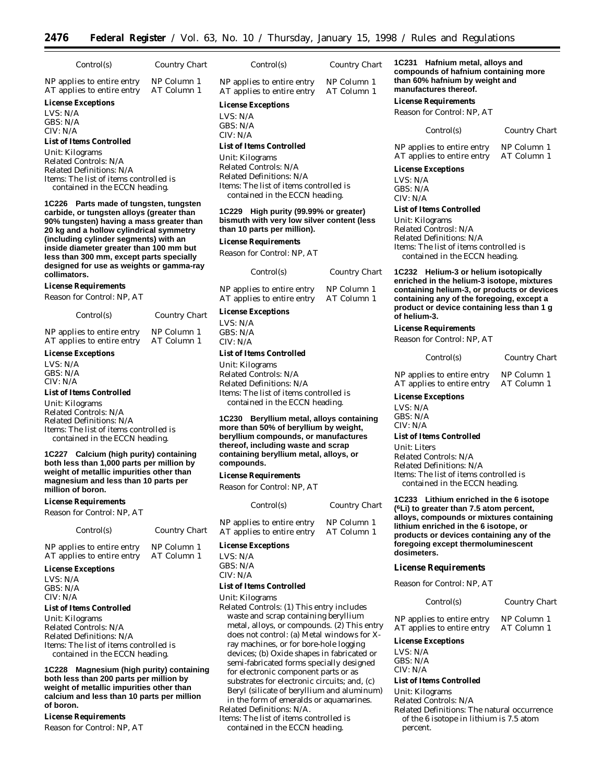| Control(s)                                                                                                                                                                                                                                                                                                 | Country Chart              | Control(s)                                                                                                                                                                                 | Country Chart              | 1C<br>COI                                        |
|------------------------------------------------------------------------------------------------------------------------------------------------------------------------------------------------------------------------------------------------------------------------------------------------------------|----------------------------|--------------------------------------------------------------------------------------------------------------------------------------------------------------------------------------------|----------------------------|--------------------------------------------------|
| NP applies to entire entry<br>AT applies to entire entry                                                                                                                                                                                                                                                   | NP Column 1<br>AT Column 1 | NP applies to entire entry<br>AT applies to entire entry                                                                                                                                   | NP Column 1<br>AT Column 1 | tha<br>ma                                        |
| <b>License Exceptions</b><br>LVS: N/A<br>GBS: N/A<br>CIV: N/A                                                                                                                                                                                                                                              |                            | <b>License Exceptions</b><br>LVS: N/A<br>GBS: N/A<br>CIV: N/A                                                                                                                              |                            | Lic<br>Re                                        |
| <b>List of Items Controlled</b><br>Unit: Kilograms<br>Related Controls: N/A<br>Related Definitions: N/A<br><i>Items:</i> The list of items controlled is<br>contained in the ECCN heading.                                                                                                                 |                            | <b>List of Items Controlled</b><br>Unit: Kilograms<br>Related Controls: N/A<br>Related Definitions: N/A<br><i>Items:</i> The list of items controlled is<br>contained in the ECCN heading. |                            | <b>NP</b><br>AT<br>Lic<br>LV<br>GB<br><b>CIN</b> |
| 1C226 Parts made of tungsten, tungsten<br>carbide, or tungsten alloys (greater than<br>90% tungsten) having a mass greater than<br>20 kg and a hollow cylindrical symmetry<br>(including cylinder segments) with an<br>inside diameter greater than 100 mm but<br>less than 300 mm, except parts specially |                            | 1C229 High purity (99.99% or greater)<br>bismuth with very low silver content (less<br>than 10 parts per million).<br><b>License Requirements</b><br>Reason for Control: NP, AT            |                            | Lis<br>Un<br>Re.<br>Re.<br>Ite<br>C              |

*Control(s) Country Chart* NP applies to entire entry NP Column 1<br>AT applies to entire entry AT Column 1 AT applies to entire entry

#### **License Exceptions**

LVS: N/A GBS: N/A CIV: N/A

#### **List of Items Controlled**

*Unit:* Kilograms *Related Controls:* N/A *Related Definitions:* N/A *Items:* The list of items controlled is contained in the ECCN heading.

#### **1C230 Beryllium metal, alloys containing more than 50% of beryllium by weight, beryllium compounds, or manufactures thereof, including waste and scrap containing beryllium metal, alloys, or compounds.**

#### **License Requirements**

*Reason for Control:* NP, AT

| Control(s)                 | Country Chart |
|----------------------------|---------------|
| NP applies to entire entry | NP Column 1   |
| AT applies to entire entry | AT Column 1   |

#### **License Exceptions**

LVS: N/A GBS: N/A CIV: N/A

#### **List of Items Controlled**

*Unit:* Kilograms

*Related Controls:* (1) This entry includes waste and scrap containing beryllium metal, alloys, or compounds. (2) This entry does not control: (a) Metal windows for Xray machines, or for bore-hole logging devices; (b) Oxide shapes in fabricated or semi-fabricated forms specially designed for electronic component parts or as substrates for electronic circuits; and, (c) Beryl (silicate of beryllium and aluminum) in the form of emeralds or aquamarines. *Related Definitions:* N/A.

*Items:* The list of items controlled is contained in the ECCN heading.

**1C231 Hafnium metal, alloys and compounds of hafnium containing more than 60% hafnium by weight and manufactures thereof.**

#### **License Requirements**

*Reason for Control:* NP, AT

#### *Control(s) Country Chart*

applies to entire entry NP Column 1<br>applies to entire entry AT Column 1 applies to entire entry

#### **License Exceptions**

 $S: N/A$  $S: N/A$  $V: N/A$ 

#### **List of Items Controlled**

*Unit:* Kilograms *Related Controsl:* N/A *Related Definitions:* N/A ms: The list of items controlled is contained in the ECCN heading.

**1C232 Helium-3 or helium isotopically enriched in the helium-3 isotope, mixtures containing helium-3, or products or devices containing any of the foregoing, except a product or device containing less than 1 g of helium-3.**

#### **License Requirements**

*Reason for Control:* NP, AT

*Control(s) Country Chart*

NP applies to entire entry NP Column 1 AT applies to entire entry AT Column 1

#### **License Exceptions**

LVS: N/A GBS: N/A CIV: N/A

#### **List of Items Controlled**

*Unit:* Liters *Related Controls:* N/A *Related Definitions:* N/A *Items:* The list of items controlled is contained in the ECCN heading.

**1C233 Lithium enriched in the 6 isotope (6Li) to greater than 7.5 atom percent, alloys, compounds or mixtures containing lithium enriched in the 6 isotope, or products or devices containing any of the foregoing except thermoluminescent dosimeters.**

#### **License Requirements**

*Reason for Control:* NP, AT

#### *Control(s) Country Chart*

NP applies to entire entry NP Column 1 AT applies to entire entry AT Column 1

#### **License Exceptions**

LVS: N/A GBS: N/A CIV: N/A

## **List of Items Controlled**

*Unit:* Kilograms

*Related Controls:* N/A

*Related Definitions:* The natural occurrence of the 6 isotope in lithium is 7.5 atom percent.

*Control(s) Country Chart*

NP applies to entire entry NP Column 1<br>AT applies to entire entry AT Column 1 AT applies to entire entry

## LVS: N/A

**million of boron. License Requirements** *Reason for Control:* NP, AT

#### **List of Items Controlled**

*Related Controls:* N/A *Related Definitions:* N/A *Items:* The list of items controlled is contained in the ECCN heading.

**1C228 Magnesium (high purity) containing both less than 200 parts per million by weight of metallic impurities other than calcium and less than 10 parts per million of boron.**

#### **License Requirements**

*Reason for Control:* NP, AT

# **License Exceptions**

**designed for use as weights or gamma-ray**

NP applies to entire entry NP Column 1<br>AT applies to entire entry AT Column 1

*Control(s) Country Chart*

**collimators.**

**License Requirements** *Reason for Control:* NP, AT

AT applies to entire entry **License Exceptions** LVS: N/A GBS: N/A CIV: N/A

**List of Items Controlled** *Unit:* Kilograms *Related Controls:* N/A *Related Definitions:* N/A

*Items:* The list of items controlled is contained in the ECCN heading.

**1C227 Calcium (high purity) containing both less than 1,000 parts per million by weight of metallic impurities other than magnesium and less than 10 parts per**

## $CRS: N/A$ CIV: N/A

# *Unit:* Kilograms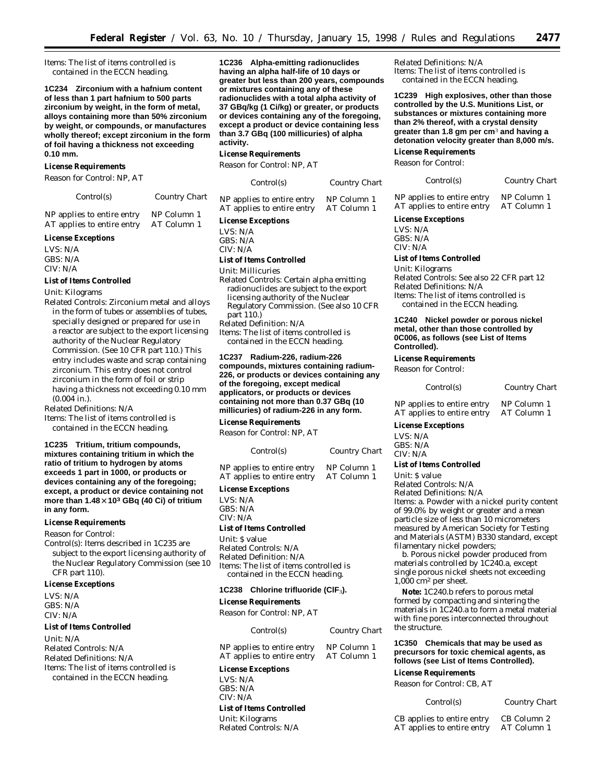*Items:* The list of items controlled is contained in the ECCN heading.

**1C234 Zirconium with a hafnium content of less than 1 part hafnium to 500 parts zirconium by weight, in the form of metal, alloys containing more than 50% zirconium by weight, or compounds, or manufactures wholly thereof; except zirconium in the form of foil having a thickness not exceeding 0.10 mm.**

#### **License Requirements**

*Reason for Control:* NP, AT

*Control(s) Country Chart*

| NP applies to entire entry | NP Column 1 |
|----------------------------|-------------|
| AT applies to entire entry | AT Column 1 |

#### **License Exceptions**

LVS: N/A GBS: N/A CIV: N/A

#### **List of Items Controlled**

*Unit:* Kilograms

*Related Controls:* Zirconium metal and alloys in the form of tubes or assemblies of tubes, specially designed or prepared for use in a reactor are subject to the export licensing authority of the Nuclear Regulatory Commission. (See 10 CFR part 110.) This entry includes waste and scrap containing zirconium. This entry does not control zirconium in the form of foil or strip having a thickness not exceeding 0.10 mm (0.004 in.).

*Related Definitions:* N/A

*Items:* The list of items controlled is contained in the ECCN heading.

**1C235 Tritium, tritium compounds, mixtures containing tritium in which the ratio of tritium to hydrogen by atoms exceeds 1 part in 1000, or products or devices containing any of the foregoing; except, a product or device containing not more than 1.48**µ**103 GBq (40 Ci) of tritium in any form.**

#### **License Requirements**

*Reason for Control:*

*Control(s):* Items described in 1C235 are subject to the export licensing authority of the Nuclear Regulatory Commission (see 10 CFR part 110).

#### **License Exceptions**

LVS: N/A GBS: N/A CIV: N/A

#### **List of Items Controlled**

*Unit:* N/A *Related Controls:* N/A *Related Definitions:* N/A *Items:* The list of items controlled is contained in the ECCN heading.

**1C236 Alpha-emitting radionuclides having an alpha half-life of 10 days or greater but less than 200 years, compounds or mixtures containing any of these radionuclides with a total alpha activity of 37 GBq/kg (1 Ci/kg) or greater, or products or devices containing any of the foregoing, except a product or device containing less than 3.7 GBq (100 millicuries) of alpha activity.**

#### **License Requirements**

*Reason for Control:* NP, AT

| Control(s)                 | Country Chart |
|----------------------------|---------------|
| NP applies to entire entry | NP Column 1   |
| AT applies to entire entry | AT Column 1   |

#### **License Exceptions**

LVS: N/A GBS: N/A

CIV: N/A

#### **List of Items Controlled**

*Unit:* Millicuries

*Related Controls:* Certain alpha emitting radionuclides are subject to the export licensing authority of the Nuclear Regulatory Commission. (See also 10 CFR part 110.) *Related Definition:* N/A *Items:* The list of items controlled is contained in the ECCN heading.

**1C237 Radium-226, radium-226 compounds, mixtures containing radium-226, or products or devices containing any of the foregoing, except medical applicators, or products or devices containing not more than 0.37 GBq (10 millicuries) of radium-226 in any form.**

#### **License Requirements**

*Reason for Control:* NP, AT

| Control(s)                 | <b>Country Chart</b> |
|----------------------------|----------------------|
| NP applies to entire entry | NP Column 1          |
| AT applies to entire entry | AT Column 1          |

#### **License Exceptions**

LVS: N/A

GBS: N/A CIV: N/A

#### **List of Items Controlled**

*Unit:* \$ value *Related Controls:* N/A *Related Definition:* N/A *Items:* The list of items controlled is contained in the ECCN heading.

#### **1C238 Chlorine trifluoride (ClF**3**).**

#### **License Requirements**

*Reason for Control:* NP, AT

| Control(s)                                               | Country Chart              |  |
|----------------------------------------------------------|----------------------------|--|
| NP applies to entire entry<br>AT applies to entire entry | NP Column 1<br>AT Column 1 |  |
| <b>License Exceptions</b>                                |                            |  |

LVS: N/A GBS: N/A CIV: N/A

#### **List of Items Controlled**

*Unit:* Kilograms *Related Controls:* N/A *Related Definitions:* N/A *Items:* The list of items controlled is contained in the ECCN heading.

**1C239 High explosives, other than those controlled by the U.S. Munitions List, or substances or mixtures containing more than 2% thereof, with a crystal density greater than 1.8 gm per cm**3 **and having a detonation velocity greater than 8,000 m/s.**

#### **License Requirements**

*Reason for Control:*

| Control(s) | Country Chart |
|------------|---------------|
|            |               |

| NP applies to entire entry | NP Column 1 |
|----------------------------|-------------|
| AT applies to entire entry | AT Column 1 |

#### **License Exceptions**

LVS: N/A GBS: N/A CIV: N/A

#### **List of Items Controlled**

*Unit:* Kilograms *Related Controls:* See also 22 CFR part 12 *Related Definitions:* N/A *Items:* The list of items controlled is contained in the ECCN heading.

#### **1C240 Nickel powder or porous nickel metal, other than those controlled by 0C006, as follows (see List of Items Controlled).**

#### **License Requirements**

*Reason for Control:*

*Control(s) Country Chart*

NP applies to entire entry NP Column 1<br>AT applies to entire entry AT Column 1 AT applies to entire entry

#### **License Exceptions**

LVS: N/A GBS: N/A CIV: N/A

#### **List of Items Controlled**

*Unit:* \$ value *Related Controls:* N/A *Related Definitions:* N/A *Items:* a. Powder with a nickel purity content of 99.0% by weight or greater and a mean particle size of less than 10 micrometers measured by American Society for Testing and Materials (ASTM) B330 standard, except filamentary nickel powders;

b. Porous nickel powder produced from materials controlled by 1C240.a, except single porous nickel sheets not exceeding 1,000 cm2 per sheet.

**Note:** 1C240.b refers to porous metal formed by compacting and sintering the materials in 1C240.a to form a metal material with fine pores interconnected throughout the structure.

#### **1C350 Chemicals that may be used as precursors for toxic chemical agents, as follows (see List of Items Controlled).**

#### **License Requirements**

*Reason for Control:* CB, AT

| Country Chart |  |
|---------------|--|
|               |  |

| CB applies to entire entry | CB Column 2 |
|----------------------------|-------------|
| AT applies to entire entry | AT Column 1 |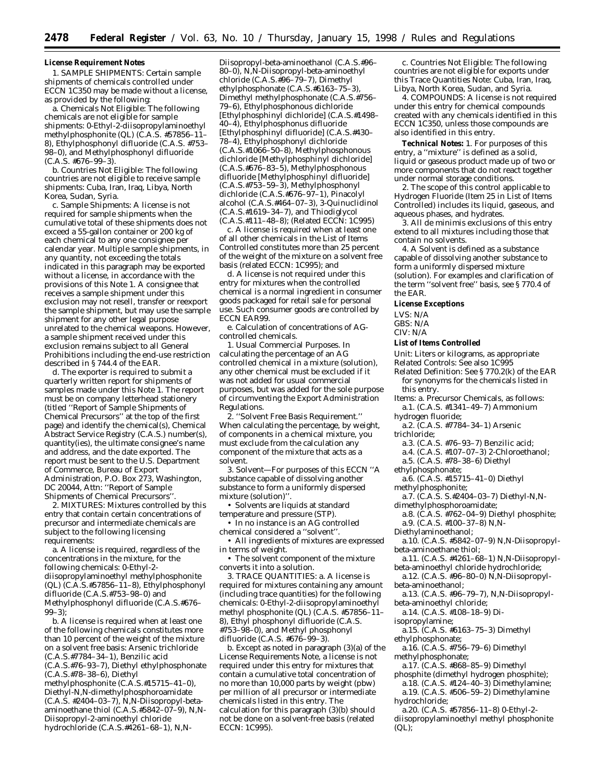#### **License Requirement Notes**

1. *SAMPLE SHIPMENTS:* Certain sample shipments of chemicals controlled under ECCN 1C350 may be made without a license, as provided by the following:

a. Chemicals Not Eligible: The following chemicals are *not* eligible for sample shipments: 0-Ethyl-2-diisopropylaminoethyl methylphosphonite (QL) (C.A.S. #57856–11– 8), Ethylphosphonyl difluoride (C.A.S. #753– 98–0), and Methylphosphonyl difluoride  $(C.A.S. #676-99-3)$ 

b. Countries Not Eligible: The following countries are *not* eligible to receive sample shipments: Cuba, Iran, Iraq, Libya, North Korea, Sudan, Syria.

c. Sample Shipments: A license is not required for sample shipments when the cumulative total of these shipments does not exceed a 55-gallon container or 200 kg of each chemical to any one consignee per calendar year. Multiple sample shipments, in any quantity, not exceeding the totals indicated in this paragraph may be exported without a license, in accordance with the provisions of this Note 1. A consignee that receives a sample shipment under this exclusion may not resell, transfer or reexport the sample shipment, but may use the sample shipment for any other legal purpose unrelated to the chemical weapons. However, a sample shipment received under this exclusion remains subject to all General Prohibitions including the end-use restriction described in § 744.4 of the EAR.

d. The exporter is required to submit a quarterly written report for shipments of samples made under this Note 1. The report must be on company letterhead stationery (titled ''Report of Sample Shipments of Chemical Precursors'' at the top of the first page) and identify the chemical(s), Chemical Abstract Service Registry (C.A.S.) number(s), quantity(ies), the ultimate consignee's name and address, and the date exported. The report must be sent to the U.S. Department of Commerce, Bureau of Export Administration, P.O. Box 273, Washington, DC 20044, Attn: ''Report of Sample Shipments of Chemical Precursors''.

2. *MIXTURES:* Mixtures controlled by this entry that contain certain concentrations of precursor and intermediate chemicals are subject to the following licensing requirements:

a. A license is required, regardless of the concentrations in the mixture, for the following chemicals: 0-Ethyl-2 diisopropylaminoethyl methylphosphonite (QL)  $(C.\overline{A}.S.#57856-11-8)$ , Ethylphosphonyl difluoride (C.A.S.#753–98–0) and Methylphosphonyl difluoride (C.A.S.#676–  $99-3$ ):

b. A license is required when at least one of the following chemicals constitutes more than 10 percent of the weight of the mixture on a solvent free basis: Arsenic trichloride (C.A.S.#7784–34–1), Benzilic acid (C.A.S.#76–93–7), Diethyl ethylphosphonate (C.A.S.#78–38–6), Diethyl methylphosphonite (C.A.S.#15715–41–0),

Diethyl-N,N-dimethylphosphoroamidate (C.A.S. #2404–03–7), N,N-Diisopropyl-betaaminoethane thiol (C.A.S.#5842–07–9), N,N-Diisopropyl-2-aminoethyl chloride hydrochloride (C.A.S.#4261–68–1), N,N-

Diisopropyl-beta-aminoethanol (C.A.S.#96– 80–0), N,N-Diisopropyl-beta-aminoethyl chloride (C.A.S.#96–79–7), Dimethyl ethylphosphonate (C.A.S.#6163–75–3), Dimethyl methylphosphonate (C.A.S.#756– 79–6), Ethylphosphonous dichloride [Ethylphosphinyl dichloride] (C.A.S.#1498– 40–4), Ethylphosphonus difluoride [Ethylphosphinyl difluoride] (C.A.S.#430– 78–4), Ethylphosphonyl dichloride (C.A.S.#1066–50–8), Methylphosphonous dichloride [Methylphosphinyl dichloride] (C.A.S.#676–83–5), Methylphosphonous difluoride [Methylphosphinyl difluoride] (C.A.S.#753–59–3), Methylphosphonyl dichloride (C.A.S.#676–97–1), Pinacolyl alcohol (C.A.S.#464–07–3), 3-Quinuclidinol (C.A.S.#1619–34–7), and Thiodiglycol (C.A.S.#111–48–8); (Related ECCN: 1C995)

c. A license is required when at least one of all other chemicals in the List of Items Controlled constitutes more than 25 percent of the weight of the mixture on a solvent free basis (related ECCN: 1C995); and

d. A license is not required under this entry for mixtures when the controlled chemical is a normal ingredient in consumer goods packaged for retail sale for personal use. Such consumer goods are controlled by ECCN EAR99.

e. Calculation of concentrations of AGcontrolled chemicals.

1. Usual Commercial Purposes. In calculating the percentage of an AG controlled chemical in a mixture (solution), any other chemical must be excluded if it was not added for usual commercial purposes, but was added for the sole purpose of circumventing the Export Administration Regulations.

2. ''Solvent Free Basis Requirement.'' When calculating the percentage, by weight, of components in a chemical mixture, you must exclude from the calculation any component of the mixture that acts as a solvent.

3. Solvent—For purposes of this ECCN ''A substance capable of dissolving another substance to form a uniformly dispersed mixture (solution)''.

• Solvents are liquids at standard temperature and pressure (STP).

• In no instance is an AG controlled chemical considered a ''solvent''.

• All ingredients of mixtures are expressed in terms of weight.

• The solvent component of the mixture converts it into a solution.

3. *TRACE QUANTITIES:* a. A license is required for mixtures containing any amount (including trace quantities) for the following chemicals: 0-Ethyl-2-diisopropylaminoethyl methyl phosphonite (QL) (C.A.S. #57856–11– 8), Ethyl phosphonyl difluoride (C.A.S. #753–98–0), and Methyl phosphonyl difluoride (C.A.S. #676–99–3).

b. Except as noted in paragraph (3)(a) of the License Requirements Note, a license is not required under this entry for mixtures that contain a cumulative total concentration of no more than 10,000 parts by weight (pbw) per million of all precursor or intermediate chemicals listed in this entry. The calculation for this paragraph (3)(b) should not be done on a solvent-free basis (related ECCN: 1C995).

c. Countries Not Eligible: The following countries are not eligible for exports under this Trace Quantities Note: Cuba, Iran, Iraq, Libya, North Korea, Sudan, and Syria.

4. *COMPOUNDS:* A license is not required under this entry for chemical compounds created with any chemicals identified in this ECCN 1C350, unless those compounds are also identified in this entry.

**Technical Notes:** 1. For purposes of this entry, a ''mixture'' is defined as a solid, liquid or gaseous product made up of two or more components that do not react together under normal storage conditions.

2. The scope of this control applicable to Hydrogen Fluoride (Item 25 in List of Items Controlled) includes its liquid, gaseous, and aqueous phases, and hydrates.

3. All *de minimis* exclusions of this entry extend to all mixtures including those that contain no solvents.

4. A Solvent is defined as a substance capable of dissolving another substance to form a uniformly dispersed mixture (solution). For examples and clarification of the term ''solvent free'' basis, see § 770.4 of the EAR.

#### **License Exceptions**

LVS: N/A

GBS: N/A

## CIV: N/A

#### **List of Items Controlled**

*Unit:* Liters or kilograms, as appropriate *Related Controls:* See also 1C995

- *Related Definition:* See § 770.2(k) of the EAR for synonyms for the chemicals listed in this entry.
- *Items:* a. Precursor Chemicals, as follows: a.1. (C.A.S. #1341–49–7) Ammonium
- hydrogen fluoride;
- a.2. (C.A.S. #7784–34–1) Arsenic
- trichloride;
	- a.3. (C.A.S. #76–93–7) Benzilic acid;
	- a.4. (C.A.S. #107–07–3) 2-Chloroethanol;
	- a.5. (C.A.S. #78–38–6) Diethyl
- ethylphosphonate;
- a.6. (C.A.S. #15715–41–0) Diethyl
- methylphosphonite;
- a.7. (C.A.S. S.#2404–03–7) Diethyl-N,N-
- dimethylphosphoroamidate; a.8. (C.A.S. #762–04–9) Diethyl phosphite;
- a.9. (C.A.S. #100–37–8) N,N-
- Diethylaminoethanol;
- a.10. (C.A.S. #5842–07–9) N,N-Diisopropylbeta-aminoethane thiol;
- a.11. (C.A.S. #4261–68–1) N,N-Diisopropylbeta-aminoethyl chloride hydrochloride;
- a.12. (C.A.S. #96–80–0) N,N-Diisopropylbeta-aminoethanol;
- a.13. (C.A.S. #96–79–7), N,N-Diisopropylbeta-aminoethyl chloride;
- a.14. (C.A.S. #108–18–9) Di-
- isopropylamine;
- a.15. (C.A.S. #6163–75–3) Dimethyl ethylphosphonate;
- a.16. (C.A.S. #756–79–6) Dimethyl methylphosphonate;
- a.17. (C.A.S. #868–85–9) Dimethyl
- phosphite (dimethyl hydrogen phosphite); a.18. (C.A.S. #124–40–3) Dimethylamine;
- a.19. (C.A.S. #506–59–2) Dimethylamine hydrochloride;
- a.20. (C.A.S. #57856–11–8) 0-Ethyl-2 diisopropylaminoethyl methyl phosphonite (QL);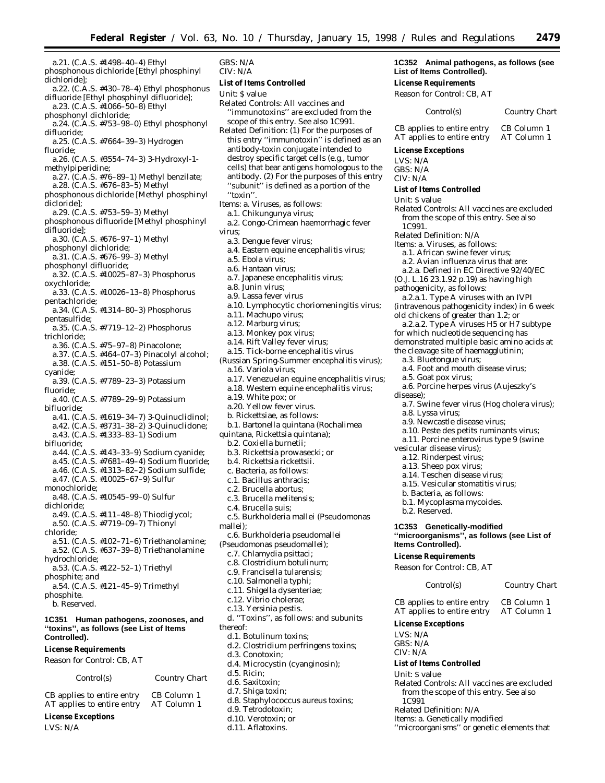- a.21. (C.A.S. #1498–40–4) Ethyl phosphonous dichloride [Ethyl phosphinyl dichloride]; a.22. (C.A.S. #430–78–4) Ethyl phosphonus difluoride [Ethyl phosphinyl difluoride]; a.23. (C.A.S. #1066–50–8) Ethyl phosphonyl dichloride; a.24. (C.A.S. #753–98–0) Ethyl phosphonyl difluoride; a.25. (C.A.S. #7664–39–3) Hydrogen fluoride; a.26. (C.A.S. #3554–74–3) 3-Hydroxyl-1 methylpiperidine; a.27. (C.A.S. #76–89–1) Methyl benzilate; a.28. (C.A.S. #676–83–5) Methyl phosphonous dichloride [Methyl phosphinyl dicloride]; a.29. (C.A.S. #753–59–3) Methyl phosphonous difluoride [Methyl phosphinyl difluoride]; a.30. (C.A.S. #676–97–1) Methyl phosphonyl dichloride; a.31. (C.A.S. #676–99–3) Methyl phosphonyl difluoride; a.32. (C.A.S. #10025–87–3) Phosphorus oxychloride; a.33. (C.A.S. #10026–13–8) Phosphorus pentachloride; a.34. (C.A.S. #1314–80–3) Phosphorus pentasulfide; a.35. (C.A.S. #7719–12–2) Phosphorus trichloride; a.36. (C.A.S. #75–97–8) Pinacolone; a.37. (C.A.S. #464–07–3) Pinacolyl alcohol; a.38. (C.A.S. #151–50–8) Potassium cyanide; a.39. (C.A.S. #7789–23–3) Potassium fluoride; a.40. (C.A.S. #7789–29–9) Potassium bifluoride;
- a.41. (C.A.S. #1619–34–7) 3-Quinuclidinol;
- a.42. (C.A.S. #3731–38–2) 3-Quinuclidone; a.43. (C.A.S. #1333–83–1) Sodium
- bifluoride;
- a.44. (C.A.S. #143–33–9) Sodium cyanide;
- a.45. (C.A.S. #7681–49–4) Sodium fluoride;
- a.46. (C.A.S. #1313–82–2) Sodium sulfide;
- a.47. (C.A.S. #10025–67–9) Sulfur
- monochloride;

a.48. (C.A.S. #10545–99–0) Sulfur

- dichloride; a.49. (C.A.S. #111–48–8) Thiodiglycol;
- a.50. (C.A.S. #7719–09–7) Thionyl
- chloride;

a.51. (C.A.S. #102–71–6) Triethanolamine; a.52. (C.A.S. #637–39–8) Triethanolamine

- hydrochloride;
- a.53. (C.A.S. #122–52–1) Triethyl phosphite; *and*
- a.54. (C.A.S. #121–45–9) Trimethyl
- phosphite. b. Reserved.

**1C351 Human pathogens, zoonoses, and ''toxins'', as follows (see List of Items Controlled).**

#### **License Requirements**

*Reason for Control:* CB, AT

| Control(s)                 | Country Chart |
|----------------------------|---------------|
| CB applies to entire entry | CB Column 1   |
| AT applies to entire entry | AT Column 1   |

- **License Exceptions**
- LVS: N/A

GBS: N/A CIV: N/A

#### **List of Items Controlled**

*Unit:* \$ value

- *Related Controls:* All vaccines and ''immunotoxins'' are excluded from the scope of this entry. See also 1C991.
- *Related Definition:* (1) For the purposes of this entry ''immunotoxin'' is defined as an antibody-toxin conjugate intended to destroy specific target cells (e.g., tumor cells) that bear antigens homologous to the antibody. (2) For the purposes of this entry "subunit" is defined as a portion of the ''toxin''.
- *Items:* a. Viruses, as follows:
	- a.1. Chikungunya virus;
- a.2. Congo-Crimean haemorrhagic fever virus;
- a.3. Dengue fever virus;
- a.4. Eastern equine encephalitis virus;
- a.5. Ebola virus;
- a.6. Hantaan virus;
- a.7. Japanese encephalitis virus;
- a.8. Junin virus;
- a.9. Lassa fever virus
- a.10. Lymphocytic choriomeningitis virus;
- a.11. Machupo virus;
- a.12. Marburg virus;
- a.13. Monkey pox virus;
- a.14. Rift Valley fever virus;
- a.15. Tick-borne encephalitis virus
- (Russian Spring-Summer encephalitis virus);
- a.16. Variola virus;
- a.17. Venezuelan equine encephalitis virus;
- a.18. Western equine encephalitis virus;
- a.19. White pox; *or*
- a.20. Yellow fever virus.
- b. Rickettsiae, as follows:
- b.1. Bartonella quintana (Rochalimea
- quintana, Rickettsia quintana);
	- b.2. Coxiella burnetii;
	- b.3. Rickettsia prowasecki; *or*
	- b.4. Rickettsia rickettsii.
	- c. Bacteria, as follows:
	- c.1. Bacillus anthracis;
	- c.2. Brucella abortus;
	- c.3. Brucella melitensis;
	- c.4. Brucella suis;
	- c.5. Burkholderia mallei (Pseudomonas
- mallei);
- c.6. Burkholderia pseudomallei
- (Pseudomonas pseudomallei);
	- c.7. Chlamydia psittaci;
	- c.8. Clostridium botulinum;
	- c.9. Francisella tularensis;
	- c.10. Salmonella typhi;
	- c.11. Shigella dysenteriae;
	- c.12. Vibrio cholerae;
	- c.13. Yersinia pestis. d. ''Toxins'', as follows: and subunits
- thereof:
- d.1. Botulinum toxins;
- d.2. Clostridium perfringens toxins;
- d.3. Conotoxin;
- d.4. Microcystin (cyanginosin);
- d.5. Ricin;
- d.6. Saxitoxin;
- d.7. Shiga toxin;
- d.8. Staphylococcus aureus toxins;
- d.9. Tetrodotoxin;
- d.10. Verotoxin; *or*
- d.11. Aflatoxins.

#### **1C352 Animal pathogens, as follows (see List of Items Controlled).**

**License Requirements**

Reason for Control: CB, AT

#### *Control(s) Country Chart*

CB applies to entire entry CB Column 1<br>AT applies to entire entry AT Column 1 AT applies to entire entry

**License Exceptions**

- LVS: N/A
- GBS: N/A CIV: N/A
- **List of Items Controlled**
- *Unit:* \$ value
- *Related Controls:* All vaccines are excluded from the scope of this entry. See also 1C991.
- *Related Definition:* N/A
- *Items:* a. Viruses, as follows:

pathogenicity, as follows:

a.3. Bluetongue virus;

a.5. Goat pox virus;

a.8. Lyssa virus;

b.2. Reserved.

**Items Controlled). License Requirements** *Reason for Control:* CB, AT

LVS: N/A GBS: N/A CIV: N/A

*Unit:* \$ value

1C991

vesicular disease virus); a.12. Rinderpest virus; a.13. Sheep pox virus; a.14. Teschen disease virus; a.15. Vesicular stomatitis virus; b. Bacteria, as follows: b.1. Mycoplasma mycoides.

disease);

a.1. African swine fever virus;

a.2. Avian influenza virus that are: a.2.a. Defined in EC Directive 92/40/EC (O.J. L.16 23.1.92 p.19) as having high

a.2.a.1. Type A viruses with an IVPI (intravenous pathogenicity index) in 6 week old chickens of greater than 1.2; *or*

a.4. Foot and mouth disease virus;

a.9. Newcastle disease virus;

**1C353 Genetically-modified**

AT applies to entire entry **License Exceptions**

**List of Items Controlled**

*Related Definition:* N/A *Items:* a. Genetically modified

a.6. Porcine herpes virus (Aujeszky's

a.10. Peste des petits ruminants virus; a.11. Porcine enterovirus type 9 (swine

**''microorganisms'', as follows (see List of**

CB applies to entire entry CB Column 1<br>AT applies to entire entry AT Column 1

*Related Controls:* All vaccines are excluded from the scope of this entry. See also

''microorganisms'' or genetic elements that

*Control(s) Country Chart*

a.7. Swine fever virus (Hog cholera virus);

a.2.a.2. Type A viruses H5 or H7 subtype for which nucleotide sequencing has demonstrated multiple basic amino acids at the cleavage site of haemagglutinin;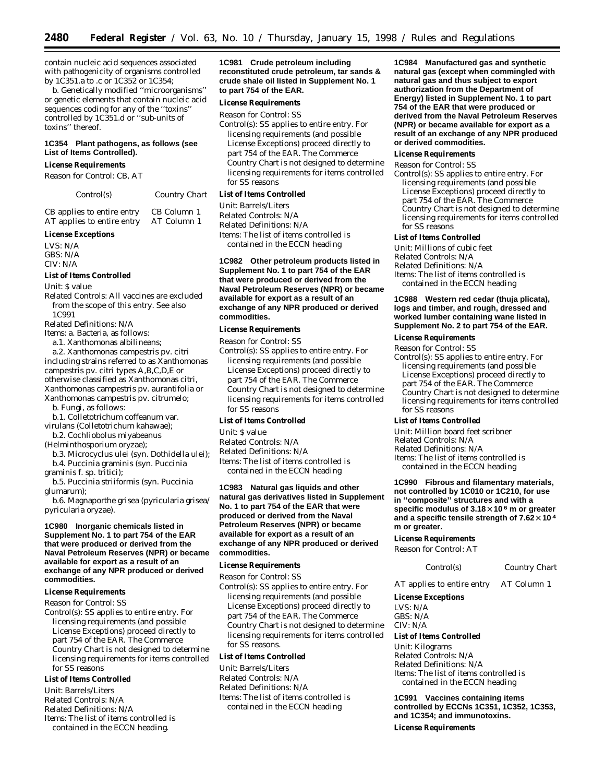contain nucleic acid sequences associated with pathogenicity of organisms controlled by 1C351.a to .c or 1C352 or 1C354;

b. Genetically modified ''microorganisms'' or genetic elements that contain nucleic acid sequences coding for any of the ''toxins'' controlled by 1C351.d or ''sub-units of toxins'' thereof.

#### **1C354 Plant pathogens, as follows (see List of Items Controlled).**

#### **License Requirements**

*Reason for Control:* CB, AT

*Control(s) Country Chart*

CB applies to entire entry CB Column 1<br>AT applies to entire entry AT Column 1 AT applies to entire entry

#### **License Exceptions**

LVS: N/A GBS: N/A CIV: N/A

#### **List of Items Controlled**

*Unit:* \$ value

*Related Controls:* All vaccines are excluded from the scope of this entry. See also 1C991

*Related Definitions:* N/A

*Items:* a. Bacteria, as follows:

a.1. Xanthomonas albilineans;

a.2. Xanthomonas campestris pv. citri including strains referred to as Xanthomonas campestris pv. citri types A,B,C,D,E or otherwise classified as Xanthomonas citri, Xanthomonas campestris pv. aurantifolia or Xanthomonas campestris pv. citrumelo;

b. Fungi, as follows:

- b.1. Colletotrichum coffeanum var.
- virulans (Colletotrichum kahawae); b.2. Cochliobolus miyabeanus
- (Helminthosporium oryzae);
- b.3. Microcyclus ulei (syn. Dothidella ulei); b.4. Puccinia graminis (syn. Puccinia
- graminis f. sp. tritici);

b.5. Puccinia striiformis (syn. Puccinia glumarum);

b.6. Magnaporthe grisea (pyricularia grisea/ pyricularia oryzae).

#### **1C980 Inorganic chemicals listed in Supplement No. 1 to part 754 of the EAR that were produced or derived from the Naval Petroleum Reserves (NPR) or became available for export as a result of an exchange of any NPR produced or derived commodities.**

#### **License Requirements**

*Reason for Control:* SS

*Control(s):* SS applies to entire entry. For licensing requirements (and possible License Exceptions) proceed directly to part 754 of the EAR. The Commerce Country Chart is not designed to determine licensing requirements for items controlled for SS reasons

#### **List of Items Controlled**

*Unit:* Barrels/Liters *Related Controls:* N/A *Related Definitions:* N/A *Items:* The list of items controlled is contained in the ECCN heading.

**1C981 Crude petroleum including reconstituted crude petroleum, tar sands & crude shale oil listed in Supplement No. 1 to part 754 of the EAR.**

#### **License Requirements**

*Reason for Control:* SS *Control(s):* SS applies to entire entry. For licensing requirements (and possible License Exceptions) proceed directly to part 754 of the EAR. The Commerce Country Chart is not designed to determine licensing requirements for items controlled for SS reasons

#### **List of Items Controlled**

*Unit:* Barrels/Liters *Related Controls:* N/A *Related Definitions:* N/A *Items:* The list of items controlled is contained in the ECCN heading

#### **1C982 Other petroleum products listed in Supplement No. 1 to part 754 of the EAR that were produced or derived from the Naval Petroleum Reserves (NPR) or became available for export as a result of an exchange of any NPR produced or derived commodities.**

#### **License Requirements**

*Reason for Control:* SS

*Control(s):* SS applies to entire entry. For licensing requirements (and possible License Exceptions) proceed directly to part 754 of the EAR. The Commerce Country Chart is not designed to determine licensing requirements for items controlled for SS reasons

#### **List of Items Controlled**

*Unit:* \$ value

*Related Controls:* N/A *Related Definitions:* N/A *Items:* The list of items controlled is contained in the ECCN heading

**1C983 Natural gas liquids and other natural gas derivatives listed in Supplement No. 1 to part 754 of the EAR that were produced or derived from the Naval Petroleum Reserves (NPR) or became available for export as a result of an exchange of any NPR produced or derived commodities.**

#### **License Requirements**

*Reason for Control:* SS

*Control(s):* SS applies to entire entry. For licensing requirements (and possible License Exceptions) proceed directly to part 754 of the EAR. The Commerce Country Chart is not designed to determine licensing requirements for items controlled for SS reasons.

#### **List of Items Controlled**

*Unit:* Barrels/Liters *Related Controls:* N/A *Related Definitions:* N/A *Items:* The list of items controlled is contained in the ECCN heading

**1C984 Manufactured gas and synthetic natural gas (except when commingled with natural gas and thus subject to export authorization from the Department of Energy) listed in Supplement No. 1 to part 754 of the EAR that were produced or derived from the Naval Petroleum Reserves (NPR) or became available for export as a result of an exchange of any NPR produced or derived commodities.**

#### **License Requirements**

*Reason for Control:* SS

*Control(s):* SS applies to entire entry. For licensing requirements (and possible License Exceptions) proceed directly to part 754 of the EAR. The Commerce Country Chart is not designed to determine licensing requirements for items controlled for SS reasons

#### **List of Items Controlled**

*Unit:* Millions of cubic feet *Related Controls:* N/A *Related Definitions:* N/A *Items:* The list of items controlled is contained in the ECCN heading

#### **1C988 Western red cedar (thuja plicata), logs and timber, and rough, dressed and worked lumber containing wane listed in Supplement No. 2 to part 754 of the EAR.**

#### **License Requirements**

*Reason for Control:* SS *Control(s):* SS applies to entire entry. For licensing requirements (and possible License Exceptions) proceed directly to part 754 of the EAR. The Commerce Country Chart is not designed to determine licensing requirements for items controlled for SS reasons

#### **List of Items Controlled**

*Unit:* Million board feet scribner *Related Controls:* N/A *Related Definitions:* N/A *Items:* The list of items controlled is contained in the ECCN heading

#### **1C990 Fibrous and filamentary materials, not controlled by 1C010 or 1C210, for use in ''composite'' structures and with a specific modulus of 3.18**µ**10 <sup>6</sup> m or greater** and a specific tensile strength of  $7.62 \times 10^4$ **m or greater.**

#### **License Requirements**

*Reason for Control:* AT

*Control(s) Country Chart*

AT applies to entire entry AT Column 1

#### **License Exceptions**

*LVS:* N/A *GBS:* N/A *CIV:* N/A

#### **List of Items Controlled**

*Unit:* Kilograms *Related Controls:* N/A *Related Definitions:* N/A *Items:* The list of items controlled is contained in the ECCN heading

**1C991 Vaccines containing items controlled by ECCNs 1C351, 1C352, 1C353, and 1C354; and immunotoxins.**

**License Requirements**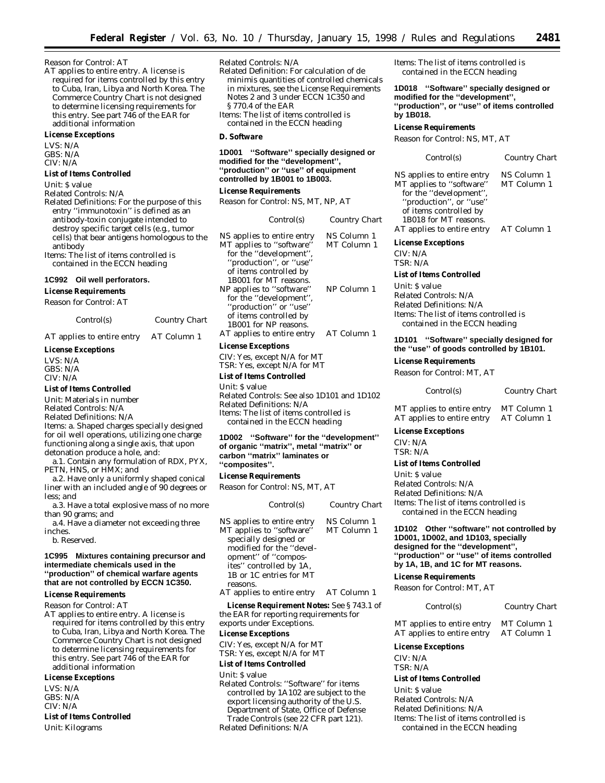#### *Reason for Control:* AT

AT applies to entire entry. A license is required for items controlled by this entry to Cuba, Iran, Libya and North Korea. The Commerce Country Chart is not designed to determine licensing requirements for this entry. See part 746 of the EAR for additional information

#### **License Exceptions**

LVS: N/A GBS: N/A CIV: N/A

#### **List of Items Controlled**

*Unit:* \$ value

*Related Controls:* N/A

*Related Definitions:* For the purpose of this entry ''immunotoxin'' is defined as an antibody-toxin conjugate intended to destroy specific target cells (e.g., tumor cells) that bear antigens homologous to the antibody

*Items:* The list of items controlled is contained in the ECCN heading

#### **1C992 Oil well perforators.**

**License Requirements**

*Reason for Control:* AT

| Control(s) | Country Chart |
|------------|---------------|
|            |               |

AT applies to entire entry AT Column 1

#### **License Exceptions**

LVS: N/A GBS: N/A CIV: N/A

#### **List of Items Controlled**

*Unit:* Materials in number

*Related Controls:* N/A

*Related Definitions:* N/A *Items:* a. Shaped charges specially designed

for oil well operations, utilizing one charge functioning along a single axis, that upon detonation produce a hole, and:

a.1. Contain any formulation of RDX, PYX, PETN, HNS, or HMX; *and*

a.2. Have only a uniformly shaped conical liner with an included angle of 90 degrees or less; *and*

a.3. Have a total explosive mass of no more than 90 grams; *and*

a.4. Have a diameter not exceeding three inches.

b. Reserved.

#### **1C995 Mixtures containing precursor and intermediate chemicals used in the ''production'' of chemical warfare agents that are not controlled by ECCN 1C350.**

#### **License Requirements**

*Reason for Control:* AT

AT applies to entire entry. A license is required for items controlled by this entry to Cuba, Iran, Libya and North Korea. The Commerce Country Chart is not designed to determine licensing requirements for this entry. See part 746 of the EAR for additional information

#### **License Exceptions**

LVS: N/A GBS: N/A CIV: N/A

**List of Items Controlled** *Unit:* Kilograms

*Related Controls:* N/A

*Related Definition:* For calculation of *de minimis* quantities of controlled chemicals in mixtures, see the License Requirements Notes 2 and 3 under ECCN 1C350 and § 770.4 of the EAR *Items:* The list of items controlled is

contained in the ECCN heading

#### **D. Software**

**1D001 ''Software'' specially designed or modified for the ''development'', ''production'' or ''use'' of equipment controlled by 1B001 to 1B003.**

**License Requirements**

*Reason for Control:* NS, MT, NP, AT

| Control(s)                 | Country Chart |
|----------------------------|---------------|
| NS applies to entire entry | NS Column 1   |
| MT applies to "software"   | MT Column 1   |
| for the "development",     |               |
| "production", or "use"     |               |
| of items controlled by     |               |
| 1B001 for MT reasons.      |               |
| NP applies to "software"   | NP Column 1   |
| for the "development",     |               |
| "production" or "use"      |               |
| of items controlled by     |               |
| 1B001 for NP reasons.      |               |
| AT applies to entire entry | AT Column 1   |

#### **License Exceptions**

CIV: Yes, except N/A for MT TSR: Yes, except N/A for MT

#### **List of Items Controlled**

*Unit:* \$ value

*Related Controls:* See also 1D101 and 1D102 *Related Definitions:* N/A *Items:* The list of items controlled is contained in the ECCN heading

#### **1D002 ''Software'' for the ''development'' of organic ''matrix'', metal ''matrix'' or carbon ''matrix'' laminates or ''composites''.**

#### **License Requirements**

*Reason for Control:* NS, MT, AT

| Control(s)                                                                                                                                                                                           | Country Chart              |
|------------------------------------------------------------------------------------------------------------------------------------------------------------------------------------------------------|----------------------------|
| NS applies to entire entry<br>MT applies to "software"<br>specially designed or<br>modified for the "devel-<br>opment" of "compos-<br>ites" controlled by 1A,<br>1B or 1C entries for MT<br>reasons. | NS Column 1<br>MT Column 1 |
|                                                                                                                                                                                                      |                            |

AT applies to entire entry AT Column 1

**License Requirement Notes:** See § 743.1 of the EAR for reporting requirements for exports under Exceptions.

#### **License Exceptions**

CIV: Yes, except N/A for MT

TSR: Yes, except N/A for MT

#### **List of Items Controlled**

*Unit:* \$ value

*Related Controls:* ''Software'' for items controlled by 1A102 are subject to the export licensing authority of the U.S. Department of State, Office of Defense Trade Controls (see 22 CFR part 121). *Related Definitions:* N/A

*Items:* The list of items controlled is contained in the ECCN heading

**1D018 ''Software'' specially designed or modified for the ''development'', ''production'', or ''use'' of items controlled by 1B018.**

#### **License Requirements**

*Reason for Control:* NS, MT, AT

*Control(s) Country Chart* NS applies to entire entry NS Column 1 MT Column 1

MT applies to ''software'' for the ''development'', ''production'', or ''use'' of items controlled by 1B018 for MT reasons. AT applies to entire entry AT Column 1

**License Exceptions**

CIV: N/A TSR: N/A

#### **List of Items Controlled**

*Unit:* \$ value *Related Controls:* N/A *Related Definitions:* N/A *Items:* The list of items controlled is contained in the ECCN heading

**1D101 ''Software'' specially designed for the ''use'' of goods controlled by 1B101.**

**License Requirements**

*Reason for Control:* MT, AT

| Control(s)          | <b>Country Chart</b> |
|---------------------|----------------------|
| ies to entire entry | MT Column 1          |

MT applies to entire entry MT Column 1<br>AT applies to entire entry AT Column 1 AT applies to entire entry

#### **License Exceptions**

CIV: N/A TSR: N/A

#### **List of Items Controlled**

*Unit:* \$ value *Related Controls:* N/A *Related Definitions:* N/A *Items:* The list of items controlled is contained in the ECCN heading

**1D102 Other ''software'' not controlled by 1D001, 1D002, and 1D103, specially designed for the ''development'', ''production'' or ''use'' of items controlled by 1A, 1B, and 1C for MT reasons.**

#### **License Requirements**

*Reason for Control:* MT, AT

#### *Control(s) Country Chart*

MT applies to entire entry MT Column 1 AT applies to entire entry AT Column 1

#### **License Exceptions**

CIV: N/A TSR: N/A

#### **List of Items Controlled**

*Unit:* \$ value *Related Controls:* N/A *Related Definitions:* N/A *Items:* The list of items controlled is contained in the ECCN heading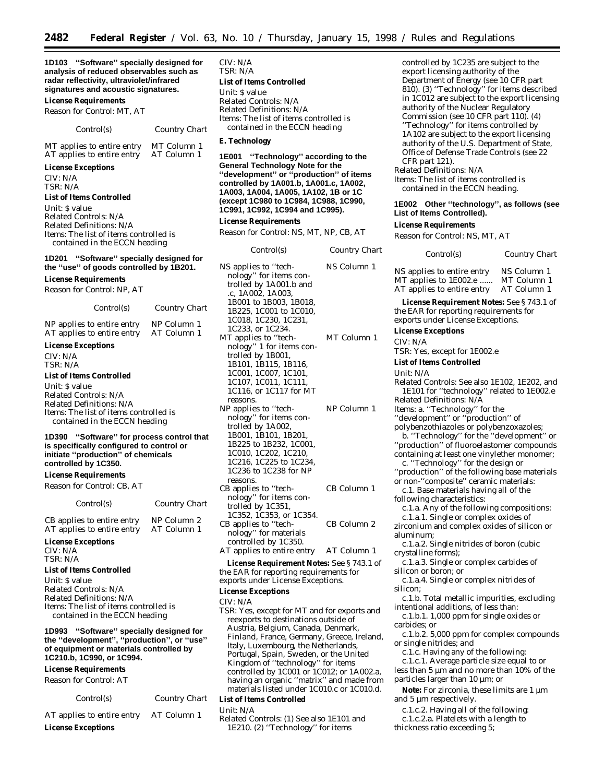**1D103 ''Software'' specially designed for analysis of reduced observables such as radar reflectivity, ultraviolet/infrared signatures and acoustic signatures.**

#### **License Requirements**

*Reason for Control:* MT, AT

#### *Control(s) Country Chart*

MT applies to entire entry MT Column 1 AT applies to entire entry AT Column 1

#### **License Exceptions**

CIV: N/A TSR: N/A

#### **List of Items Controlled**

*Unit:* \$ value *Related Controls:* N/A *Related Definitions:* N/A *Items:* The list of items controlled is contained in the ECCN heading

#### **1D201 ''Software'' specially designed for the ''use'' of goods controlled by 1B201.**

**License Requirements** *Reason for Control:* NP, AT

| <i>Control(s)</i>    | <b>Country Chart</b> |
|----------------------|----------------------|
| lies to entire entry | NP Column 1          |

NP applies to entire entry NP Column 1<br>AT applies to entire entry AT Column 1 AT applies to entire entry

#### **License Exceptions**

CIV: N/A TSR: N/A

#### **List of Items Controlled**

*Unit:* \$ value *Related Controls:* N/A *Related Definitions:* N/A *Items:* The list of items controlled is contained in the ECCN heading

#### **1D390 ''Software'' for process control that is specifically configured to control or initiate ''production'' of chemicals controlled by 1C350.**

#### **License Requirements**

*Reason for Control:* CB, AT

| Control(s)                                               | Country Chart              |
|----------------------------------------------------------|----------------------------|
| CB applies to entire entry<br>AT applies to entire entry | NP Column 2<br>AT Column 1 |
|                                                          |                            |

**License Exceptions** CIV: N/A TSR: N/A

#### **List of Items Controlled**

*Unit:* \$ value *Related Controls:* N/A *Related Definitions:* N/A *Items:* The list of items controlled is contained in the ECCN heading

#### **1D993 ''Software'' specially designed for the ''development'', ''production'', or ''use'' of equipment or materials controlled by 1C210.b, 1C990, or 1C994.**

**License Requirements**

*Reason for Control:* AT

|  | Control(s) |  |
|--|------------|--|
|--|------------|--|

## *Control(s) Country Chart*

AT applies to entire entry AT Column 1

**License Exceptions**

CIV: N/A TSR: N/A **List of Items Controlled**

*Unit:* \$ value *Related Controls:* N/A *Related Definitions:* N/A *Items:* The list of items controlled is contained in the ECCN heading

#### **E. Technology**

**1E001 ''Technology'' according to the General Technology Note for the ''development'' or ''production'' of items controlled by 1A001.b, 1A001.c, 1A002, 1A003, 1A004, 1A005, 1A102, 1B or 1C (except 1C980 to 1C984, 1C988, 1C990, 1C991, 1C992, 1C994 and 1C995).**

#### **License Requirements**

*Reason for Control:* NS, MT, NP, CB, AT

| Control(s)                                                                                                                                                                                                   | Country Chart |
|--------------------------------------------------------------------------------------------------------------------------------------------------------------------------------------------------------------|---------------|
| NS applies to "tech-<br>nology" for items con-<br>trolled by 1A001.b and<br>.c, 1A002, 1A003,<br>1B001 to 1B003, 1B018,<br>1B225, 1C001 to 1C010,<br>1C018, 1C230, 1C231,<br>1C233, or 1C234.                | NS Column 1   |
| MT applies to "tech-<br>nology" 1 for items con-<br>trolled by 1B001,<br>1B101, 1B115, 1B116,<br>1C001, 1C007, 1C101,<br>1C107, 1C011, 1C111,<br>1C116, or 1C117 for MT<br>reasons.                          | MT Column 1   |
| NP applies to "tech-<br>nology" for items con-<br>trolled by 1A002,<br>1B001, 1B101, 1B201,<br>1B225 to 1B232, 1C001,<br>1C010, 1C202, 1C210,<br>1C216, 1C225 to 1C234,<br>1C236 to 1C238 for NP<br>reasons. | NP Column 1   |
| CB applies to "tech-<br>nology" for items con-<br>trolled by 1C351,<br>1C352, 1C353, or 1C354.                                                                                                               | CB Column 1   |
| CB applies to "tech-<br>nology" for materials<br>controlled by 1C350.                                                                                                                                        | CB Column 2   |
| AT applies to entire entry                                                                                                                                                                                   | AT Column 1   |

**License Requirement Notes:** See § 743.1 of the EAR for reporting requirements for exports under License Exceptions.

#### **License Exceptions**

CIV: N/A

TSR: Yes, except for MT and for exports and reexports to destinations outside of Austria, Belgium, Canada, Denmark, Finland, France, Germany, Greece, Ireland, Italy, Luxembourg, the Netherlands, Portugal, Spain, Sweden, or the United Kingdom of ''technology'' for items controlled by 1C001 or 1C012; or 1A002.a, having an organic ''matrix'' and made from materials listed under 1C010.c or 1C010.d.

## **List of Items Controlled**

- *Unit:* N/A
- *Related Controls:* (1) See also 1E101 and 1E210. (2) ''Technology'' for items

controlled by 1C235 are subject to the export licensing authority of the Department of Energy (see 10 CFR part 810). (3) ''Technology'' for items described in 1C012 are subject to the export licensing authority of the Nuclear Regulatory Commission (see 10 CFR part 110). (4) ''Technology'' for items controlled by 1A102 are subject to the export licensing authority of the U.S. Department of State, Office of Defense Trade Controls (see 22 CFR part 121).

*Related Definitions:* N/A

*Items:* The list of items controlled is contained in the ECCN heading.

#### **1E002 Other ''technology'', as follows (see List of Items Controlled).**

#### **License Requirements**

*Reason for Control:* NS, MT, AT

| Control(s)                                                                        | Country Chart                             |
|-----------------------------------------------------------------------------------|-------------------------------------------|
| NS applies to entire entry<br>MT applies to 1E002.e<br>AT applies to entire entry | NS Column 1<br>MT Column 1<br>AT Column 1 |
| <b>License Requirement Notes:</b> See §743.1 of<br>$\mathbf{a}$ map $\mathbf{a}$  |                                           |

the EAR for reporting requirements for exports under License Exceptions.

#### **License Exceptions**

CIV: N/A

- TSR: Yes, except for 1E002.e
- **List of Items Controlled**

*Unit:* N/A

- *Related Controls:* See also 1E102, 1E202, and 1E101 for ''technology'' related to 1E002.e *Related Definitions:* N/A *Items:* a. ''Technology'' for the
- 
- ''development'' or ''production'' of
- polybenzothiazoles or polybenzoxazoles; b. ''Technology'' for the ''development'' or
- ''production'' of fluoroelastomer compounds containing at least one vinylether monomer;
- c. ''Technology'' for the design or
- ''production'' of the following base materials or non-''composite'' ceramic materials:
- c.1. Base materials having all of the
- following characteristics:
- c.1.a. Any of the following compositions:

c.1.a.1. Single or complex oxides of zirconium and complex oxides of silicon or aluminum;

- c.1.a.2. Single nitrides of boron (cubic crystalline forms);
- c.1.a.3. Single or complex carbides of silicon or boron; *or*
- c.1.a.4. Single or complex nitrides of silicon;
- c.1.b. Total metallic impurities, excluding intentional additions, of less than:
- c.1.b.1. 1,000 ppm for single oxides or carbides; *or*
- c.1.b.2. 5,000 ppm for complex compounds or single nitrides; *and*
- c.1.c. Having any of the following:
- c.1.c.1. Average particle size equal to or less than 5 µm and no more than 10% of the particles larger than 10 µm; *or*
- **Note:** For zirconia, these limits are 1 µm and 5 µm respectively.
- c.1.c.2. Having all of the following:
- c.1.c.2.a. Platelets with a length to
- thickness ratio exceeding 5;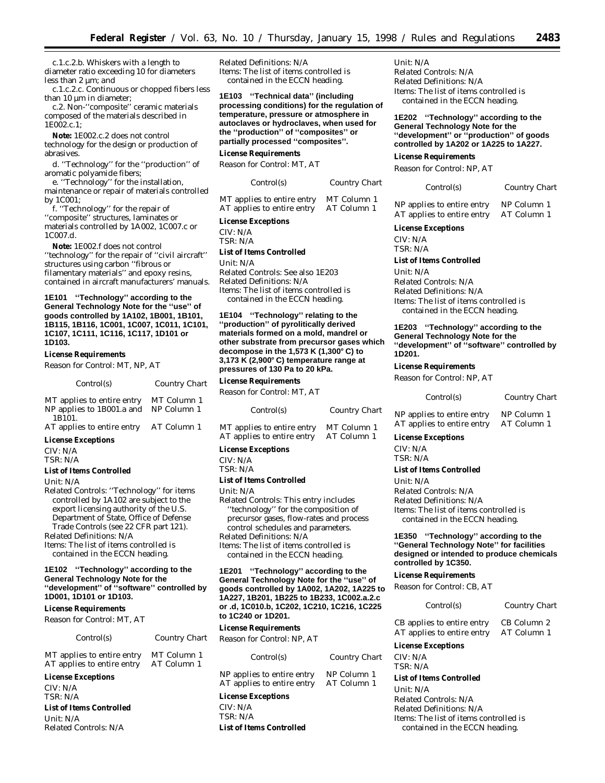$Country$  *Chart* 

c.1.c.2.b. Whiskers with a length to diameter ratio exceeding 10 for diameters less than 2 µm; *and*

c.1.c.2.c. Continuous or chopped fibers less than 10  $\mu$ m in diameter;

c.2. Non-''composite'' ceramic materials composed of the materials described in 1E002.c.1;

**Note:** 1E002.c.2 does not control technology for the design or production of abrasives.

d. ''Technology'' for the ''production'' of aromatic polyamide fibers;

e. ''Technology'' for the installation, maintenance or repair of materials controlled by 1C001;

f. ''Technology'' for the repair of ''composite'' structures, laminates or materials controlled by 1A002, 1C007.c or 1C007.d.

**Note:** 1E002.f does not control ''technology'' for the repair of ''civil aircraft'' structures using carbon ''fibrous or filamentary materials'' and epoxy resins, contained in aircraft manufacturers' manuals.

**1E101 ''Technology'' according to the General Technology Note for the ''use'' of goods controlled by 1A102, 1B001, 1B101, 1B115, 1B116, 1C001, 1C007, 1C011, 1C101, 1C107, 1C111, 1C116, 1C117, 1D101 or 1D103.**

#### **License Requirements**

*Reason for Control:* MT, NP, AT

| Control(s)                                                        | Country Chart              |
|-------------------------------------------------------------------|----------------------------|
| MT applies to entire entry<br>NP applies to 1B001.a and<br>1B101. | MT Column 1<br>NP Column 1 |

| AT applies to entire entry | AT Column 1 |
|----------------------------|-------------|
| <b>License Exceptions</b>  |             |

CIV: N/A

TSR: N/A

#### **List of Items Controlled**

*Unit:* N/A

*Related Controls:* ''Technology'' for items controlled by 1A102 are subject to the export licensing authority of the U.S. Department of State, Office of Defense Trade Controls (see 22 CFR part 121).

*Related Definitions:* N/A

*Items:* The list of items controlled is contained in the ECCN heading.

#### **1E102 ''Technology'' according to the General Technology Note for the ''development'' of ''software'' controlled by 1D001, 1D101 or 1D103.**

#### **License Requirements**

*Reason for Control:* MT, AT

| Control(s) | <b>Country Chart</b> |
|------------|----------------------|
|            |                      |

MT applies to entire entry MT Column 1 AT applies to entire entry AT Column 1

#### **License Exceptions**

CIV: N/A TSR: N/A

**List of Items Controlled**

*Unit:* N/A *Related Controls:* N/A *Related Definitions:* N/A *Items:* The list of items controlled is contained in the ECCN heading.

**1E103 ''Technical data'' (including processing conditions) for the regulation of temperature, pressure or atmosphere in autoclaves or hydroclaves, when used for the ''production'' of ''composites'' or partially processed ''composites''.**

#### **License Requirements**

*Reason for Control:* MT, AT

| Control(s) |  |
|------------|--|
|------------|--|

MT applies to entire entry MT Column 1 AT applies to entire entry AT Column 1

#### **License Exceptions**

CIV: N/A TSR: N/A

#### **List of Items Controlled**

*Unit:* N/A

*Related Controls:* See also 1E203 *Related Definitions:* N/A *Items:* The list of items controlled is contained in the ECCN heading.

**1E104 ''Technology'' relating to the ''production'' of pyrolitically derived materials formed on a mold, mandrel or other substrate from precursor gases which decompose in the 1,573 K (1,300**≥ **C) to 3,173 K (2,900**≥ **C) temperature range at pressures of 130 Pa to 20 kPa.**

#### **License Requirements**

*Reason for Control:* MT, AT

*Control(s) Country Chart*

MT applies to entire entry MT Column 1<br>AT applies to entire entry AT Column 1 AT applies to entire entry

#### **License Exceptions**

CIV: N/A

TSR: N/A

#### **List of Items Controlled**

*Unit:* N/A

*Related Controls:* This entry includes ''technology'' for the composition of precursor gases, flow-rates and process control schedules and parameters. *Related Definitions:* N/A *Items:* The list of items controlled is contained in the ECCN heading.

**1E201 ''Technology'' according to the General Technology Note for the ''use'' of goods controlled by 1A002, 1A202, 1A225 to 1A227, 1B201, 1B225 to 1B233, 1C002.a.2.c or .d, 1C010.b, 1C202, 1C210, 1C216, 1C225 to 1C240 or 1D201.**

#### **License Requirements**

*Reason for Control:* NP, AT

| Control(s)                 | Country Chart |
|----------------------------|---------------|
| NP applies to entire entry | NP Column 1   |
| AT applies to entire entry | AT Column 1   |

#### **License Exceptions**

CIV: N/A TSR: N/A **List of Items Controlled**

#### *Unit:* N/A

*Related Controls:* N/A *Related Definitions:* N/A *Items:* The list of items controlled is contained in the ECCN heading.

**1E202 ''Technology'' according to the General Technology Note for the ''development'' or ''production'' of goods controlled by 1A202 or 1A225 to 1A227.**

#### **License Requirements**

*Reason for Control:* NP, AT

| Control(s) | Country Chart |
|------------|---------------|
|            |               |

NP applies to entire entry NP Column 1 AT applies to entire entry AT Column 1

#### **License Exceptions**

CIV: N/A TSR: N/A

## **List of Items Controlled**

*Unit:* N/A *Related Controls:* N/A *Related Definitions:* N/A *Items:* The list of items controlled is contained in the ECCN heading.

#### **1E203 ''Technology'' according to the General Technology Note for the ''development'' of ''software'' controlled by 1D201.**

#### **License Requirements**

*Reason for Control:* NP, AT

## *Control(s) Country Chart*

NP applies to entire entry NP Column 1 AT applies to entire entry AT Column 1

#### **License Exceptions**

CIV: N/A TSR: N/A

#### **List of Items Controlled**

*Unit:* N/A *Related Controls:* N/A *Related Definitions:* N/A *Items:* The list of items controlled is contained in the ECCN heading.

#### **1E350 ''Technology'' according to the ''General Technology Note'' for facilities designed or intended to produce chemicals controlled by 1C350.**

#### **License Requirements**

*Reason for Control:* CB, AT

#### *Control(s) Country Chart*

CB applies to entire entry CB Column 2 AT applies to entire entry AT Column 1

**License Exceptions**

CIV: N/A TSR: N/A

#### **List of Items Controlled**

*Unit:* N/A *Related Controls:* N/A *Related Definitions:* N/A *Items:* The list of items controlled is contained in the ECCN heading.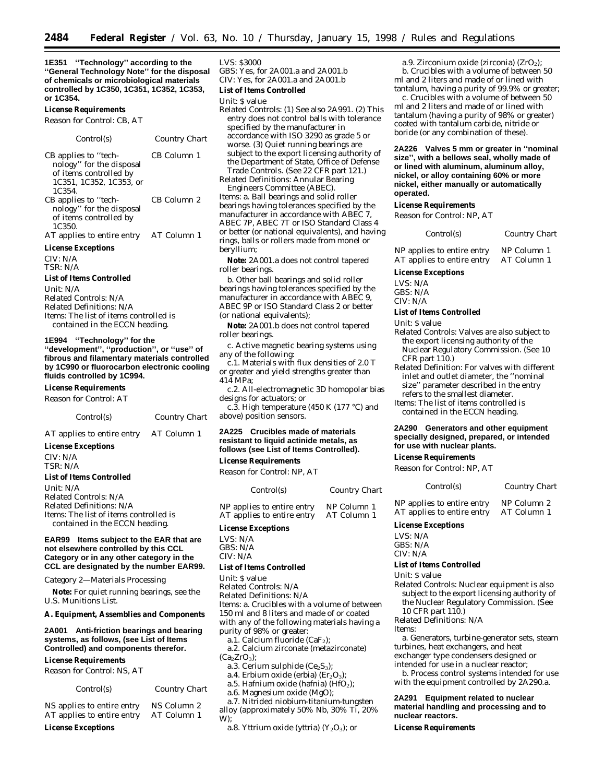**1E351 ''Technology'' according to the ''General Technology Note'' for the disposal of chemicals or microbiological materials controlled by 1C350, 1C351, 1C352, 1C353, or 1C354.**

#### **License Requirements**

*Reason for Control:* CB, AT

| Control(s)                                                                                                                 | Country Chart |
|----------------------------------------------------------------------------------------------------------------------------|---------------|
| CB applies to "tech-<br>nology" for the disposal<br>of items controlled by<br>1C351, 1C352, 1C353, or<br>1C <sub>354</sub> | CB Column 1   |
| CB applies to "tech-<br>nology" for the disposal<br>of items controlled by<br>1C <sub>350</sub>                            | CB Column 2   |
| AT applies to entire entry                                                                                                 | AT Column 1   |
| <b>License Exceptions</b>                                                                                                  |               |
| CITTI NTIA                                                                                                                 |               |

CIV: N/A TSR: N/A

#### **List of Items Controlled**

*Unit:* N/A *Related Controls:* N/A *Related Definitions:* N/A *Items:* The list of items controlled is contained in the ECCN heading.

#### **1E994 ''Technology'' for the**

**''development'', ''production'', or ''use'' of fibrous and filamentary materials controlled by 1C990 or fluorocarbon electronic cooling fluids controlled by 1C994.**

#### **License Requirements**

*Reason for Control:* AT

| Control(s) | <b>Country Chart</b> |
|------------|----------------------|
|            |                      |

AT applies to entire entry AT Column 1

#### **License Exceptions**

CIV: N/A TSR: N/A **List of Items Controlled** *Unit:* N/A

*Related Controls:* N/A *Related Definitions:* N/A *Items:* The list of items controlled is contained in the ECCN heading.

#### **EAR99 Items subject to the EAR that are not elsewhere controlled by this CCL Category or in any other category in the CCL are designated by the number EAR99.**

#### *Category 2—Materials Processing*

**Note:** For quiet running bearings, see the U.S. Munitions List.

#### **A. Equipment, Assemblies and Components**

**2A001 Anti-friction bearings and bearing systems, as follows, (see List of Items Controlled) and components therefor.**

#### **License Requirements**

*Reason for Control:* NS, AT

*Control(s) Country Chart*

| AT applies to entire entry | AT Column 1 |
|----------------------------|-------------|
| NS applies to entire entry | NS Column 2 |

#### **License Exceptions**

#### LVS: \$3000

GBS: Yes, for 2A001.a and 2A001.b CIV: Yes, for 2A001.a and 2A001.b

## **List of Items Controlled**

#### *Unit:* \$ value

- *Related Controls:* (1) See also 2A991. (2) This entry does not control balls with tolerance specified by the manufacturer in accordance with ISO 3290 as grade 5 or worse. (3) Quiet running bearings are subject to the export licensing authority of the Department of State, Office of Defense Trade Controls. (See 22 CFR part 121.)
- *Related Definitions:* Annular Bearing Engineers Committee (ABEC).

*Items:* a. Ball bearings and solid roller bearings having tolerances specified by the manufacturer in accordance with ABEC 7, ABEC 7P, ABEC 7T or ISO Standard Class 4 or better (or national equivalents), and having rings, balls or rollers made from monel or beryllium;

**Note:** 2A001.a does not control tapered roller bearings.

b. Other ball bearings and solid roller bearings having tolerances specified by the manufacturer in accordance with ABEC 9, ABEC 9P or ISO Standard Class 2 or better (or national equivalents);

**Note:** 2A001.b does not control tapered roller bearings.

c. Active magnetic bearing systems using any of the following:

c.1. Materials with flux densities of 2.0 T or greater and yield strengths greater than 414 MPa;

c.2. All-electromagnetic 3D homopolar bias designs for actuators; *or*

c.3. High temperature (450 K (177 °C) and above) position sensors.

#### **2A225 Crucibles made of materials resistant to liquid actinide metals, as follows (see List of Items Controlled).**

#### **License Requirements**

*Reason for Control:* NP, AT

| Control(s)                                               | <b>Country Chart</b>       |
|----------------------------------------------------------|----------------------------|
| NP applies to entire entry<br>AT applies to entire entry | NP Column 1<br>AT Column 1 |
| Liaanaa Exaantiana                                       |                            |

#### **License Exceptions**

LVS: N/A GBS: N/A CIV: N/A

#### **List of Items Controlled**

*Unit:* \$ value

*Related Controls:* N/A

*Related Definitions:* N/A *Items:* a. Crucibles with a volume of between 150 ml and 8 liters and made of or coated with any of the following materials having a purity of 98% or greater:

a.1. Calcium fluoride (CaF<sub>2</sub>);

a.2. Calcium zirconate (metazirconate)  $(Ca<sub>2</sub>ZrO<sub>3</sub>)$ ;

- a.3. Cerium sulphide  $(Ce<sub>2</sub>S<sub>3</sub>)$ :
- a.4. Erbium oxide (erbia) ( $Er<sub>2</sub>O<sub>3</sub>$ );
- a.5. Hafnium oxide (hafnia)  $(HfO<sub>2</sub>)$ ;
- a.6. Magnesium oxide (MgO);
- a.7. Nitrided niobium-titanium-tungsten

alloy (approximately 50% Nb, 30% Ti, 20% W);

a.8. Yttrium oxide (yttria) (Y<sub>2</sub>O<sub>3</sub>); *or* 

#### a.9. Zirconium oxide (zirconia)  $(ZrO<sub>2</sub>)$ ; b. Crucibles with a volume of between 50 ml and 2 liters and made of or lined with tantalum, having a purity of 99.9% or greater;

c. Crucibles with a volume of between 50 ml and 2 liters and made of or lined with tantalum (having a purity of 98% or greater) coated with tantalum carbide, nitride or boride (or any combination of these).

**2A226 Valves 5 mm or greater in ''nominal size'', with a bellows seal, wholly made of or lined with aluminum, aluminum alloy, nickel, or alloy containing 60% or more nickel, either manually or automatically operated.**

#### **License Requirements**

*Reason for Control:* NP, AT

*Control(s) Country Chart*

NP applies to entire entry NP Column 1<br>AT applies to entire entry AT Column 1 AT applies to entire entry

#### **License Exceptions**

LVS: N/A

GBS: N/A

CIV: N/A

#### **List of Items Controlled**

*Unit:* \$ value

- *Related Controls:* Valves are also subject to the export licensing authority of the Nuclear Regulatory Commission. (See 10  $CFR$  part  $110.$ )
- *Related Definition:* For valves with different inlet and outlet diameter, the ''nominal size'' parameter described in the entry refers to the smallest diameter.
- *Items:* The list of items controlled is contained in the ECCN heading.

#### **2A290 Generators and other equipment specially designed, prepared, or intended for use with nuclear plants.**

#### **License Requirements**

*Reason for Control:* NP, AT

*Control(s) Country Chart* NP applies to entire entry NP Column 2<br>AT applies to entire entry AT Column 1 AT applies to entire entry

#### **License Exceptions**

LVS: N/A GBS: N/A

#### CIV: N/A

#### **List of Items Controlled**

*Unit:* \$ value

*Related Controls:* Nuclear equipment is also subject to the export licensing authority of the Nuclear Regulatory Commission. (See 10 CFR part 110.)

*Related Definitions:* N/A

**nuclear reactors. License Requirements**

#### Items:

a. Generators, turbine-generator sets, steam turbines, heat exchangers, and heat exchanger type condensers designed or intended for use in a nuclear reactor;

b. Process control systems intended for use with the equipment controlled by 2A290.a.

**2A291 Equipment related to nuclear material handling and processing and to**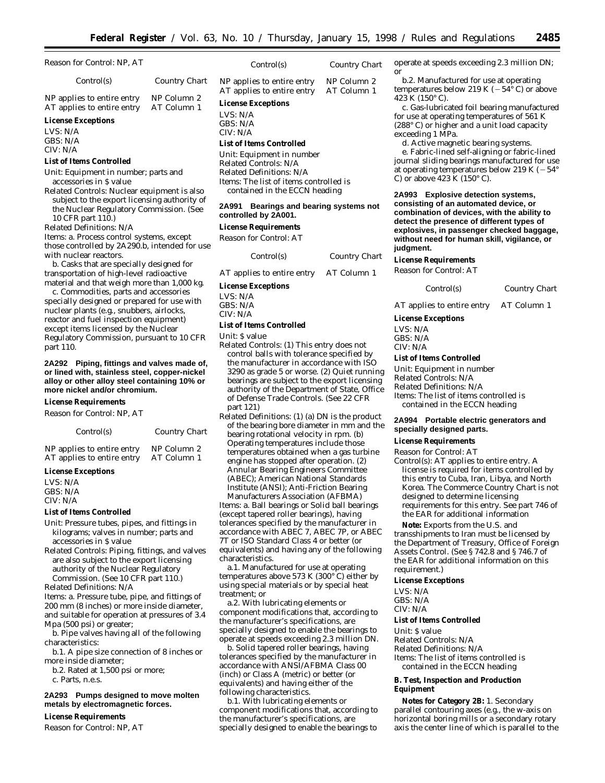$Country$  *Chart* 

| Reason for Control: NP, AT                                                                         |                            | Control(s)                                                       |
|----------------------------------------------------------------------------------------------------|----------------------------|------------------------------------------------------------------|
| Control(s)                                                                                         | Country Chart              | NP applies to entire entry<br>AT applies to entire entry         |
| NP applies to entire entry<br>AT applies to entire entry                                           | NP Column 2<br>AT Column 1 | <b>License Exceptions</b>                                        |
| <b>License Exceptions</b><br>LVS: N/A                                                              |                            | LVS: $N/A$<br>GBS: N/A<br>CIV: N/A                               |
| GBS: N/A<br>CIV: N/A                                                                               |                            | <b>List of Items Controlled</b>                                  |
| <b>List of Items Controlled</b>                                                                    |                            | Unit: Equipment in number<br>Related Controls: N/A               |
| Unit: Equipment in number; parts and<br>accessories in \$ value                                    |                            | Related Definitions: N/A<br><i>Items:</i> The list of items cont |
| <i>Related Controls:</i> Nuclear equipment is also<br>subject to the export licensing authority of |                            | contained in the ECCN he                                         |
| the Nuclear Regulatory Commission. (See<br>10 CFR part 110.)                                       |                            | <b>Bearings and bear</b><br>2A991<br>controlled by 2A001.        |
| Related Definitions: N/A                                                                           |                            | <b>License Requirements</b>                                      |
| <i>Items: a. Process control systems, except</i><br>those controlled by 2A290.b, intended for use  |                            | Reason for Control: AT                                           |
| with nuclear reactors.                                                                             |                            | Control(s)                                                       |

b. Casks that are specially designed for transportation of high-level radioactive material and that weigh more than 1,000 kg.

c. Commodities, parts and accessories specially designed or prepared for use with nuclear plants (e.g., snubbers, airlocks, reactor and fuel inspection equipment) except items licensed by the Nuclear Regulatory Commission, pursuant to 10 CFR part 110.

#### **2A292 Piping, fittings and valves made of, or lined with, stainless steel, copper-nickel alloy or other alloy steel containing 10% or more nickel and/or chromium.**

**License Requirements**

*Reason for Control:* NP, AT

| Control(s)                 | Country Chart |
|----------------------------|---------------|
| NP applies to entire entry | NP Column 2   |
| AT applies to entire entry | AT Column 1   |

#### **License Exceptions**

LVS: N/A GBS: N/A CIV: N/A

#### **List of Items Controlled**

*Unit:* Pressure tubes, pipes, and fittings in kilograms; valves in number; parts and accessories in \$ value

*Related Controls:* Piping, fittings, and valves are also subject to the export licensing authority of the Nuclear Regulatory Commission. (See 10 CFR part 110.)

*Related Definitions:* N/A

*Items:* a. Pressure tube, pipe, and fittings of 200 mm (8 inches) or more inside diameter, and suitable for operation at pressures of 3.4 Mpa (500 psi) or greater;

b. Pipe valves having all of the following characteristics:

b.1. A pipe size connection of 8 inches or more inside diameter;

b.2. Rated at 1,500 psi or more; c. Parts, n.e.s.

#### **2A293 Pumps designed to move molten metals by electromagnetic forces.**

#### **License Requirements**

*Reason for Control:* NP, AT

| Control(s)            | Country Cha |
|-----------------------|-------------|
| plies to entire entry | NP Column 2 |

ry AT Column 1

*Related Definitions:* N/A ontrolled is V heading

# **Paaring systems not**

*Control(s) Country Chart*

AT applies to entire entry AT Column 1

#### **License Exceptions**

LVS: N/A GBS: N/A CIV: N/A

#### **List of Items Controlled**

*Unit:* \$ value

- *Related Controls:* (1) This entry does not control balls with tolerance specified by the manufacturer in accordance with ISO 3290 as grade 5 or worse. (2) Quiet running bearings are subject to the export licensing authority of the Department of State, Office of Defense Trade Controls. (See 22 CFR part 121)
- *Related Definitions:* (1) (a) DN is the product of the bearing bore diameter in mm and the bearing rotational velocity in rpm. (b) Operating temperatures include those temperatures obtained when a gas turbine engine has stopped after operation. (2) Annular Bearing Engineers Committee (ABEC); American National Standards Institute (ANSI); Anti-Friction Bearing Manufacturers Association (AFBMA)

*Items:* a. Ball bearings or Solid ball bearings (except tapered roller bearings), having tolerances specified by the manufacturer in accordance with ABEC 7, ABEC 7P, or ABEC 7T or ISO Standard Class 4 or better (or equivalents) and having any of the following characteristics.

a.1. Manufactured for use at operating temperatures above 573 K (300 $^{\circ}$ C) either by using special materials or by special heat treatment; *or*

a.2. With lubricating elements or component modifications that, according to the manufacturer's specifications, are specially designed to enable the bearings to operate at speeds exceeding 2.3 million DN.

b. Solid tapered roller bearings, having tolerances specified by the manufacturer in accordance with ANSI/AFBMA Class 00 (inch) or Class A (metric) or better (or equivalents) and having either of the following characteristics.

b.1. With lubricating elements or component modifications that, according to the manufacturer's specifications, are specially designed to enable the bearings to

operate at speeds exceeding 2.3 million DN; *or*

b.2. Manufactured for use at operating temperatures below 219 K ( $-54^{\circ}$  C) or above 423 K (150° C).

c. Gas-lubricated foil bearing manufactured for use at operating temperatures of 561 K (288° C) or higher and a unit load capacity exceeding 1 MPa.

d. Active magnetic bearing systems.

e. Fabric-lined self-aligning or fabric-lined journal sliding bearings manufactured for use at operating temperatures below 219 K  $(-54^{\circ})$ C) or above 423 K (150 $\degree$  C).

**2A993 Explosive detection systems, consisting of an automated device, or combination of devices, with the ability to detect the presence of different types of explosives, in passenger checked baggage, without need for human skill, vigilance, or**

#### **License Requirements**

*Reason for Control:* AT

*Control(s) Country Chart*

AT applies to entire entry AT Column 1

#### **License Exceptions**

LVS: N/A GBS: N/A CIV: N/A

#### **List of Items Controlled**

*Unit:* Equipment in number *Related Controls:* N/A *Related Definitions:* N/A *Items:* The list of items controlled is contained in the ECCN heading

#### **2A994 Portable electric generators and specially designed parts.**

#### **License Requirements**

*Reason for Control:* AT

*Control(s):* AT applies to entire entry. A license is required for items controlled by this entry to Cuba, Iran, Libya, and North Korea. The Commerce Country Chart is not designed to determine licensing requirements for this entry. See part 746 of the EAR for additional information

**Note:** Exports from the U.S. and transshipments to Iran must be licensed by the Department of Treasury, Office of Foreign Assets Control. (See § 742.8 and § 746.7 of the EAR for additional information on this requirement.)

#### **License Exceptions**

LVS: N/A GBS: N/A CIV: N/A

#### **List of Items Controlled**

*Unit:* \$ value

*Related Controls:* N/A *Related Definitions:* N/A *Items:* The list of items controlled is contained in the ECCN heading

#### **B. Test, Inspection and Production Equipment**

**Notes for Category 2B:** 1. Secondary parallel contouring axes (e.g., the w-axis on horizontal boring mills or a secondary rotary axis the center line of which is parallel to the

# **judgment.**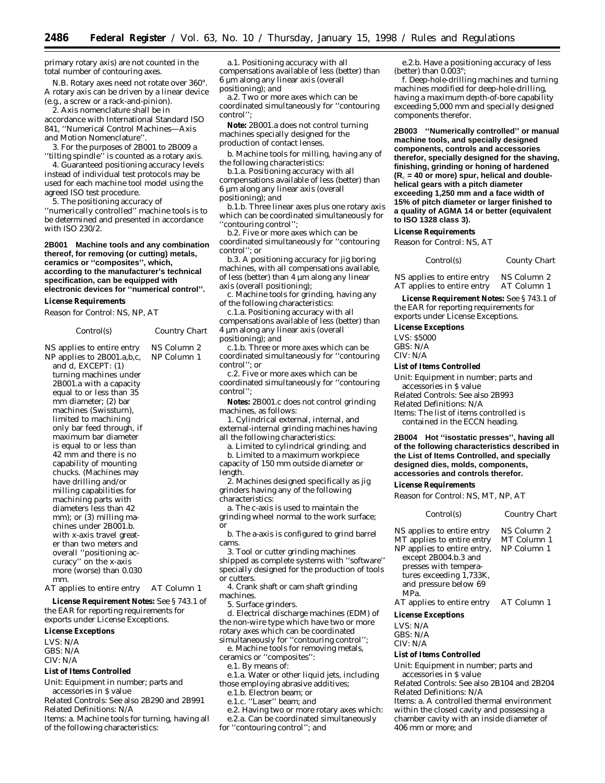primary rotary axis) are not counted in the total number of contouring axes.

N.B. Rotary axes need not rotate over 360°. A rotary axis can be driven by a linear device (e.g., a screw or a rack-and-pinion).

2. Axis nomenclature shall be in

accordance with International Standard ISO 841, ''Numerical Control Machines—Axis and Motion Nomenclature''.

3. For the purposes of 2B001 to 2B009 a ''tilting spindle'' is counted as a rotary axis.

4. Guaranteed positioning accuracy levels instead of individual test protocols may be used for each machine tool model using the agreed ISO test procedure.

5. The positioning accuracy of ''numerically controlled'' machine tools is to be determined and presented in accordance with ISO 230/2.

**2B001 Machine tools and any combination thereof, for removing (or cutting) metals, ceramics or ''composites'', which, according to the manufacturer's technical specification, can be equipped with electronic devices for ''numerical control''.**

#### **License Requirements**

*Reason for Control:* NS, NP, AT

*Control(s) Country Chart*

NS applies to entire entry NS Column 2 NP applies to 2B001.a,b,c, NP Column 1

and d, EXCEPT: (1) turning machines under 2B001.a with a capacity equal to or less than 35 mm diameter; (2) bar machines (Swissturn), limited to machining only bar feed through, if maximum bar diameter is equal to or less than 42 mm and there is no capability of mounting chucks. (Machines may have drilling and/or milling capabilities for machining parts with diameters less than 42 mm); or (3) milling machines under 2B001.b. with x-axis travel greater than two meters and overall ''positioning accuracy'' on the x-axis more (worse) than 0.030 mm.

AT applies to entire entry AT Column 1

**License Requirement Notes:** See § 743.1 of the EAR for reporting requirements for exports under License Exceptions.

#### **License Exceptions**

LVS: N/A GBS: N/A CIV: N/A

#### **List of Items Controlled**

*Unit:* Equipment in number; parts and accessories in \$ value

*Related Controls:* See also 2B290 and 2B991 *Related Definitions:* N/A

*Items:* a. Machine tools for turning, having all of the following characteristics:

a.1. Positioning accuracy with all compensations available of less (better) than 6 µm along any linear axis (overall positioning); *and*

a.2. Two or more axes which can be coordinated simultaneously for ''contouring control'';

**Note:** 2B001.a does not control turning machines specially designed for the production of contact lenses.

b. Machine tools for milling, having any of the following characteristics:

b.1.a. Positioning accuracy with all compensations available of less (better) than 6 µm along any linear axis (overall positioning); *and*

b.1.b. Three linear axes plus one rotary axis which can be coordinated simultaneously for 'contouring control";

b.2. Five or more axes which can be coordinated simultaneously for ''contouring control''; *or*

b.3. A positioning accuracy for jig boring machines, with all compensations available, of less (better) than 4 µm along any linear axis (overall positioning);

c. Machine tools for grinding, having any of the following characteristics:

c.1.a. Positioning accuracy with all compensations available of less (better) than 4 µm along any linear axis (overall positioning); *and*

c.1.b. Three or more axes which can be coordinated simultaneously for ''contouring control''; *or*

c.2. Five or more axes which can be coordinated simultaneously for ''contouring control'';

**Notes:** 2B001.c does not control grinding machines, as follows:

1. Cylindrical external, internal, and external-internal grinding machines having all the following characteristics:

a. Limited to cylindrical grinding; *and*

b. Limited to a maximum workpiece capacity of 150 mm outside diameter or length.

2. Machines designed specifically as jig grinders having any of the following characteristics:

a. The c-axis is used to maintain the grinding wheel normal to the work surface; *or*

b. The a-axis is configured to grind barrel cams.

3. Tool or cutter grinding machines shipped as complete systems with ''software'' specially designed for the production of tools or cutters.

4. Crank shaft or cam shaft grinding machines.

5. Surface grinders.

d. Electrical discharge machines (EDM) of the non-wire type which have two or more rotary axes which can be coordinated simultaneously for ''contouring control'';

e. Machine tools for removing metals,

ceramics or ''composites'': e.1. By means of:

e.1.a. Water or other liquid jets, including those employing abrasive additives;

e.1.b. Electron beam; *or*

e.1.c. ''Laser'' beam; *and*

e.2. Having two or more rotary axes which: e.2.a. Can be coordinated simultaneously

for ''contouring control''; *and*

e.2.b. Have a positioning accuracy of less (better) than 0.003°;

f. Deep-hole-drilling machines and turning machines modified for deep-hole-drilling, having a maximum depth-of-bore capability exceeding 5,000 mm and specially designed components therefor.

**2B003 ''Numerically controlled'' or manual machine tools, and specially designed components, controls and accessories therefor, specially designed for the shaving, finishing, grinding or honing of hardened (R**c **= 40 or more) spur, helical and doublehelical gears with a pitch diameter exceeding 1,250 mm and a face width of 15% of pitch diameter or larger finished to a quality of AGMA 14 or better (equivalent to ISO 1328 class 3).**

#### **License Requirements**

Reason for Control: NS, AT

| Control(s) | <b>County Chart</b> |
|------------|---------------------|
|            |                     |

| NS applies to entire entry | NS Column 2 |
|----------------------------|-------------|
| AT applies to entire entry | AT Column 1 |

**License Requirement Notes:** See § 743.1 of the EAR for reporting requirements for exports under License Exceptions.

**License Exceptions**

#### LVS: \$5000

GBS: N/A CIV: N/A

#### **List of Items Controlled**

*Unit:* Equipment in number; parts and

accessories in \$ value

*Related Controls:* See also 2B993

*Related Definitions:* N/A

*Items:* The list of items controlled is contained in the ECCN heading.

#### **2B004 Hot ''isostatic presses'', having all of the following characteristics described in the List of Items Controlled, and specially designed dies, molds, components, accessories and controls therefor.**

#### **License Requirements**

*Reason for Control:* NS, MT, NP, AT

*Control(s) Country Chart*

| NS applies to entire entry  | NS Column 2 |
|-----------------------------|-------------|
| MT applies to entire entry  | MT Column 1 |
| NP applies to entire entry, | NP Column 1 |
| except 2B004.b.3 and        |             |
| presses with tempera-       |             |
| tures exceeding 1,733K,     |             |
| and pressure below 69       |             |
| MPa.                        |             |
| AT applies to entire entry  | AT Column 1 |

#### **License Exceptions**

LVS: N/A GBS: N/A CIV: N/A

#### **List of Items Controlled**

*Unit:* Equipment in number; parts and accessories in \$ value

*Related Controls:* See also 2B104 and 2B204 *Related Definitions:* N/A

*Items:* a. A controlled thermal environment within the closed cavity and possessing a chamber cavity with an inside diameter of 406 mm or more; *and*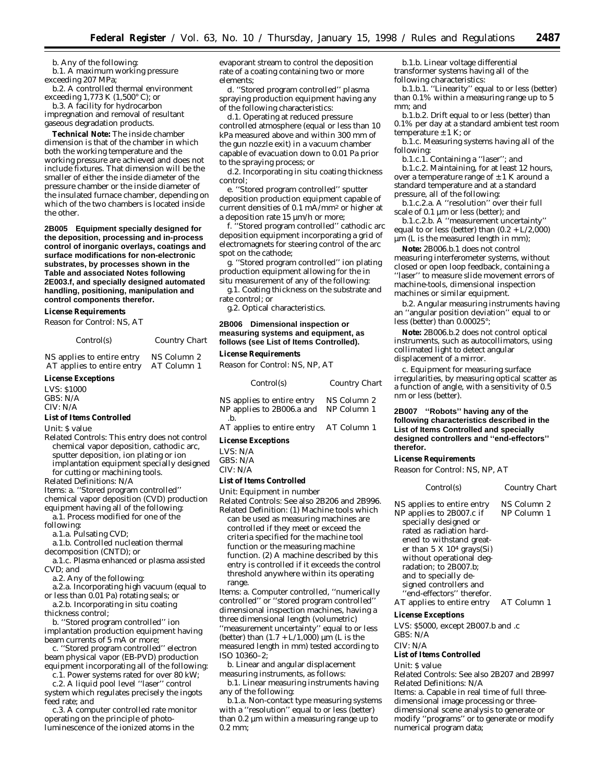b. Any of the following:

b.1. A maximum working pressure exceeding 207 MPa; b.2. A controlled thermal environment

exceeding 1,773 K (1,500° C); *or*

b.3. A facility for hydrocarbon impregnation and removal of resultant gaseous degradation products.

**Technical Note:** The inside chamber dimension is that of the chamber in which both the working temperature and the working pressure are achieved and does not include fixtures. That dimension will be the smaller of either the inside diameter of the pressure chamber or the inside diameter of the insulated furnace chamber, depending on which of the two chambers is located inside the other.

**2B005 Equipment specially designed for the deposition, processing and in-process control of inorganic overlays, coatings and surface modifications for non-electronic substrates, by processes shown in the Table and associated Notes following 2E003.f, and specially designed automated handling, positioning, manipulation and control components therefor.**

#### **License Requirements**

*Reason for Control:* NS, AT

| Control(s)                 | Country Chart |
|----------------------------|---------------|
| NS applies to entire entry | NS Column 2   |
| AT applies to entire entry | AT Column 1   |

#### **License Exceptions**

LVS: \$1000 GBS: N/A CIV: N/A

#### **List of Items Controlled**

*Unit:* \$ value

*Related Controls:* This entry does not control chemical vapor deposition, cathodic arc, sputter deposition, ion plating or ion implantation equipment specially designed for cutting or machining tools.

*Related Definitions:* N/A

- *Items:* a. ''Stored program controlled''
- chemical vapor deposition (CVD) production equipment having all of the following:
- a.1. Process modified for one of the
- following:

a.1.a. Pulsating CVD;

a.1.b. Controlled nucleation thermal decomposition (CNTD); *or*

a.1.c. Plasma enhanced or plasma assisted CVD; *and*

a.2. Any of the following:

- a.2.a. Incorporating high vacuum (equal to or less than 0.01 Pa) rotating seals; *or*
- a.2.b. Incorporating *in situ* coating thickness control;

b. ''Stored program controlled'' ion implantation production equipment having

beam currents of 5 mA or more; c. ''Stored program controlled'' electron beam physical vapor (EB-PVD) production equipment incorporating all of the following:

c.1. Power systems rated for over 80 kW;

c.2. A liquid pool level ''laser'' control system which regulates precisely the ingots feed rate; *and*

c.3. A computer controlled rate monitor operating on the principle of photoluminescence of the ionized atoms in the

evaporant stream to control the deposition rate of a coating containing two or more elements;

d. ''Stored program controlled'' plasma spraying production equipment having any of the following characteristics:

d.1. Operating at reduced pressure controlled atmosphere (equal or less than 10 kPa measured above and within 300 mm of the gun nozzle exit) in a vacuum chamber capable of evacuation down to 0.01 Pa prior to the spraying process; *or*

d.2. Incorporating *in situ* coating thickness control;

e. ''Stored program controlled'' sputter deposition production equipment capable of current densities of 0.1 mA/mm2 or higher at a deposition rate 15  $\mu$ m/h or more;

f. ''Stored program controlled'' cathodic arc deposition equipment incorporating a grid of electromagnets for steering control of the arc spot on the cathode;

g. ''Stored program controlled'' ion plating production equipment allowing for the *in situ* measurement of any of the following:

g.1. Coating thickness on the substrate and rate control; *or*

g.2. Optical characteristics.

#### **2B006 Dimensional inspection or measuring systems and equipment, as follows (see List of Items Controlled).**

#### **License Requirements**

*Reason for Control:* NS, NP, AT

| Control(s)                                                          | Country Chart |
|---------------------------------------------------------------------|---------------|
| NS applies to entire entry<br>NP applies to 2B006.a and NP Column 1 | NS Column 2   |
| $\cdot$ b.<br>AT applies to entire entry AT Column 1                |               |
| <b>License Exceptions</b>                                           |               |
| LVS: N/A                                                            |               |

GBS: N/A CIV: N/A

#### **List of Items Controlled**

*Unit:* Equipment in number

*Related Controls:* See also 2B206 and 2B996. *Related Definition:* (1) Machine tools which can be used as measuring machines are controlled if they meet or exceed the criteria specified for the machine tool function or the measuring machine function. (2) A machine described by this entry is controlled if it exceeds the control threshold anywhere within its operating range.

*Items:* a. Computer controlled, ''numerically controlled'' or ''stored program controlled'' dimensional inspection machines, having a three dimensional length (volumetric) ''measurement uncertainty'' equal to or less (better) than  $(1.7 + L/1,000)$  µm (L is the measured length in mm) tested according to ISO 10360–2;

b. Linear and angular displacement measuring instruments, as follows:

b.1. Linear measuring instruments having any of the following:

b.1.a. Non-contact type measuring systems with a ''resolution'' equal to or less (better) than 0.2 µm within a measuring range up to 0.2 mm;

b.1.b. Linear voltage differential transformer systems having all of the following characteristics:

b.1.b.1. ''Linearity'' equal to or less (better) than 0.1% within a measuring range up to 5 mm; *and*

b.1.b.2. Drift equal to or less (better) than 0.1% per day at a standard ambient test room temperature ± 1 K; *or*

b.1.c. Measuring systems having all of the following:

b.1.c.1. Containing a ''laser''; *and*

b.1.c.2. Maintaining, for at least 12 hours, over a temperature range of  $\pm$  1 K around a standard temperature and at a standard pressure, all of the following:

b.1.c.2.a. A ''resolution'' over their full scale of 0.1 µm or less (better); *and*

b.1.c.2.b. A ''measurement uncertainty'' equal to or less (better) than  $(0.2 + L/2,000)$ µm (L is the measured length in mm);

**Note:** 2B006.b.1 does not control measuring interferometer systems, without closed or open loop feedback, containing a ''laser'' to measure slide movement errors of machine-tools, dimensional inspection machines or similar equipment.

b.2. Angular measuring instruments having an ''angular position deviation'' equal to or less (better) than 0.00025°;

**Note:** 2B006.b.2 does not control optical instruments, such as autocollimators, using collimated light to detect angular displacement of a mirror.

c. Equipment for measuring surface irregularities, by measuring optical scatter as a function of angle, with a sensitivity of 0.5 nm or less (better).

#### **2B007 ''Robots'' having any of the following characteristics described in the List of Items Controlled and specially designed controllers and ''end-effectors'' therefor.**

#### **License Requirements**

*Reason for Control:* NS, NP, AT

*Control(s) Country Chart*

NS applies to entire entry NS Column 2 NP applies to 2B007.c if specially designed or rated as radiation hardened to withstand greater than 5 X 104 grays(Si) without operational degradation; to 2B007.b; and to specially designed controllers and "end-effectors" therefor. NP Column 1 AT applies to entire entry AT Column 1

#### **License Exceptions**

LVS: \$5000, except 2B007.b and .c GBS: N/A

CIV: N/A

#### **List of Items Controlled**

#### *Unit:* \$ value

*Related Controls:* See also 2B207 and 2B997 *Related Definitions:* N/A *Items:* a. Capable in real time of full threedimensional image processing or threedimensional scene analysis to generate or modify ''programs'' or to generate or modify numerical program data;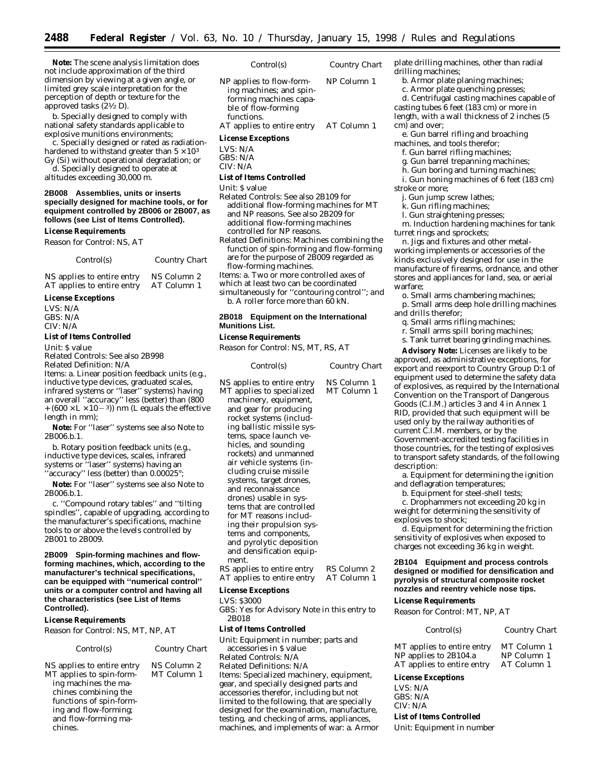**Note:** The scene analysis limitation does not include approximation of the third dimension by viewing at a given angle, or limited grey scale interpretation for the perception of depth or texture for the approved tasks (21⁄2 D).

b. Specially designed to comply with national safety standards applicable to explosive munitions environments;

c. Specially designed or rated as radiationhardened to withstand greater than  $5 \times 10^3$ Gy (Si) without operational degradation; *or*

d. Specially designed to operate at altitudes exceeding 30,000 m.

#### **2B008 Assemblies, units or inserts specially designed for machine tools, or for equipment controlled by 2B006 or 2B007, as follows (see List of Items Controlled).**

### **License Requirements**

*Reason for Control:* NS, AT

| Control(s) | Country Chart |
|------------|---------------|
|            |               |

NS applies to entire entry NS Column 2 AT applies to entire entry AT Column 1

# **License Exceptions**

LVS: N/A GBS: N/A CIV: N/A

# **List of Items Controlled**

*Unit:* \$ value

*Related Controls:* See also 2B998 *Related Definition:* N/A

*Items:* a. Linear position feedback units (e.g., inductive type devices, graduated scales, infrared systems or ''laser'' systems) having an overall ''accuracy'' less (better) than (800  $+$  (600  $\times$  L  $\times$  10  $-$  3)) nm (L equals the effective length in mm);

**Note:** For ''laser'' systems see also Note to 2B006.b.1.

b. Rotary position feedback units (e.g., inductive type devices, scales, infrared systems or ''laser'' systems) having an ''accuracy'' less (better) than 0.00025°;

**Note:** For ''laser'' systems see also Note to 2B006.b.1.

c. ''Compound rotary tables'' and ''tilting spindles'', capable of upgrading, according to the manufacturer's specifications, machine tools to or above the levels controlled by 2B001 to 2B009.

**2B009 Spin-forming machines and flowforming machines, which, according to the manufacturer's technical specifications, can be equipped with ''numerical control'' units or a computer control and having all the characteristics (see List of Items Controlled).**

# **License Requirements**

*Reason for Control:* NS, MT, NP, AT

# *Control(s) Country Chart*

MT Column 1

NS applies to entire entry NS Column 2 MT applies to spin-forming machines the machines combining the functions of spin-forming and flow-forming; and flow-forming machines.

- *Control(s) Country Chart*
- NP applies to flow-forming machines; and spinforming machines capable of flow-forming functions. NP Column 1 AT applies to entire entry AT Column 1

#### **License Exceptions**

LVS: N/A

GBS: N/A CIV: N/A

#### **List of Items Controlled**

*Unit:* \$ value

- *Related Controls:* See also 2B109 for additional flow-forming machines for MT and NP reasons. See also 2B209 for additional flow-forming machines controlled for NP reasons.
- *Related Definitions:* Machines combining the function of spin-forming and flow-forming are for the purpose of 2B009 regarded as flow-forming machines.
- *Items:* a. Two or more controlled axes of
- which at least two can be coordinated

simultaneously for ''contouring control''; *and* b. A roller force more than 60 kN.

# **2B018 Equipment on the International Munitions List.**

# **License Requirements**

*Reason for Control:* NS, MT, RS, AT

| NS Column 1<br>NS applies to entire entry<br>MT Column 1<br>MT applies to specialized<br>machinery, equipment,<br>and gear for producing<br>rocket systems (includ-                                                                                                                                                                                                                                       | Country Chart |
|-----------------------------------------------------------------------------------------------------------------------------------------------------------------------------------------------------------------------------------------------------------------------------------------------------------------------------------------------------------------------------------------------------------|---------------|
| ing ballistic missile sys-<br>tems, space launch ve-<br>hicles, and sounding<br>rockets) and unmanned<br>air vehicle systems (in-<br>cluding cruise missile<br>systems, target drones,<br>and reconnaissance<br>drones) usable in sys-<br>tems that are controlled<br>for MT reasons includ-<br>ing their propulsion sys-<br>tems and components,<br>and pyrolytic deposition<br>and densification equip- |               |
| ment.<br>RS Column 2<br>RS applies to entire entry<br>AT applies to entire entry<br>AT Column 1                                                                                                                                                                                                                                                                                                           |               |

# **License Exceptions**

LVS: \$3000

GBS: Yes for Advisory Note in this entry to 2B018

# **List of Items Controlled**

*Unit:* Equipment in number; parts and accessories in \$ value *Related Controls:* N/A *Related Definitions:* N/A *Items:* Specialized machinery, equipment, gear, and specially designed parts and accessories therefor, including but not limited to the following, that are specially designed for the examination, manufacture, testing, and checking of arms, appliances, machines, and implements of war: a. Armor plate drilling machines, other than radial drilling machines;

- b. Armor plate planing machines;
- c. Armor plate quenching presses;

d. Centrifugal casting machines capable of casting tubes 6 feet (183 cm) or more in length, with a wall thickness of 2 inches (5 cm) and over;

e. Gun barrel rifling and broaching

machines, and tools therefor;

- f. Gun barrel rifling machines;
- g. Gun barrel trepanning machines;
- h. Gun boring and turning machines;
- i. Gun honing machines of 6 feet (183 cm) stroke or more;
- j. Gun jump screw lathes;
- k. Gun rifling machines;

l. Gun straightening presses;

m. Induction hardening machines for tank turret rings and sprockets;

n. Jigs and fixtures and other metalworking implements or accessories of the kinds exclusively designed for use in the manufacture of firearms, ordnance, and other stores and appliances for land, sea, or aerial warfare;

o. Small arms chambering machines;

- p. Small arms deep hole drilling machines and drills therefor;
- q. Small arms rifling machines;
- r. Small arms spill boring machines;
- s. Tank turret bearing grinding machines.

**Advisory Note:** Licenses are likely to be approved, as administrative exceptions, for export and reexport to Country Group D:1 of equipment used to determine the safety data of explosives, as required by the International Convention on the Transport of Dangerous Goods (C.I.M.) articles 3 and 4 in Annex 1 RID, provided that such equipment will be used only by the railway authorities of current C.I.M. members, or by the Government-accredited testing facilities in those countries, for the testing of explosives to transport safety standards, of the following description:

a. Equipment for determining the ignition and deflagration temperatures;

b. Equipment for steel-shell tests;

c. Drophammers not exceeding 20 kg in weight for determining the sensitivity of explosives to shock;

d. Equipment for determining the friction sensitivity of explosives when exposed to charges not exceeding 36 kg in weight.

# **2B104 Equipment and process controls designed or modified for densification and pyrolysis of structural composite rocket nozzles and reentry vehicle nose tips.**

# **License Requirements**

*Reason for Control:* MT, NP, AT

*Control(s) Country Chart*

| MT applies to entire entry | MT Column 1 |
|----------------------------|-------------|
| NP applies to 2B104.a      | NP Column 1 |
| AT applies to entire entry | AT Column 1 |

#### **License Exceptions**

LVS: N/A GBS: N/A CIV: N/A

#### **List of Items Controlled**

*Unit:* Equipment in number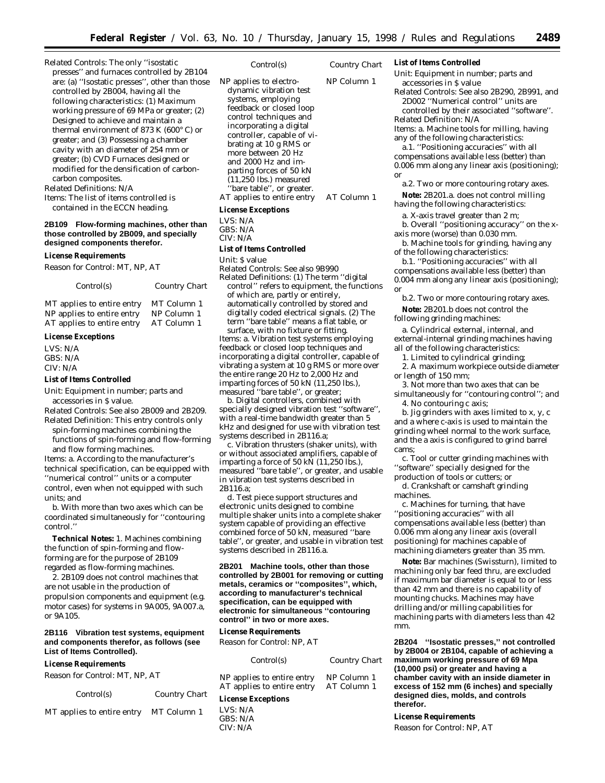*Related Controls:* The only ''isostatic presses'' and furnaces controlled by 2B104 are: (a) ''Isostatic presses'', other than those controlled by 2B004, having all the following characteristics: (1) Maximum working pressure of 69 MPa or greater; (2) Designed to achieve and maintain a thermal environment of 873 K (600° C) or greater; *and* (3) Possessing a chamber cavity with an diameter of 254 mm or greater; (b) CVD Furnaces designed or modified for the densification of carboncarbon composites. *Related Definitions:* N/A

*Items:* The list of items controlled is

contained in the ECCN heading.

# **2B109 Flow-forming machines, other than those controlled by 2B009, and specially designed components therefor.**

#### **License Requirements**

*Reason for Control:* MT, NP, AT

| Control(s) | Country Chart |
|------------|---------------|
|            |               |

MT applies to entire entry MT Column 1 NP applies to entire entry NP Column 1 AT applies to entire entry AT Column 1

## **License Exceptions**

LVS: N/A GBS: N/A CIV: N/A

#### **List of Items Controlled**

*Unit:* Equipment in number; parts and accessories in \$ value.

*Related Controls:* See also 2B009 and 2B209. *Related Definition:* This entry controls only

spin-forming machines combining the functions of spin-forming and flow-forming and flow forming machines.

*Items:* a. According to the manufacturer's technical specification, can be equipped with ''numerical control'' units or a computer control, even when not equipped with such units; *and*

b. With more than two axes which can be coordinated simultaneously for ''contouring control.''

**Technical Notes:** 1. Machines combining the function of spin-forming and flowforming are for the purpose of 2B109 regarded as flow-forming machines.

2. 2B109 does not control machines that are not usable in the production of propulsion components and equipment (e.g. motor cases) for systems in 9A005, 9A007.a, or 9A105.

# **2B116 Vibration test systems, equipment and components therefor, as follows (see List of Items Controlled).**

#### **License Requirements**

*Reason for Control:* MT, NP, AT

*Control(s) Country Chart*

|  | Country Chart |  |
|--|---------------|--|
|--|---------------|--|

MT applies to entire entry MT Column 1

*Control(s) Country Chart*

NP applies to electrodynamic vibration test systems, employing feedback or closed loop control techniques and incorporating a digital controller, capable of vibrating at 10 g RMS or more between 20 Hz and 2000 Hz and imparting forces of 50 kN  $(11,250$  lbs.) measured 'bare table'', or greater. NP Column 1 AT applies to entire entry AT Column 1

# **License Exceptions**

 $LVS·N/A$ GBS: N/A

CIV: N/A

# **List of Items Controlled**

*Unit:* \$ value

*Related Controls:* See also 9B990

*Related Definitions:* (1) The term ''digital control'' refers to equipment, the functions of which are, partly or entirely, automatically controlled by stored and digitally coded electrical signals. (2) The term ''bare table'' means a flat table, or surface, with no fixture or fitting.

*Items:* a. Vibration test systems employing feedback or closed loop techniques and incorporating a digital controller, capable of vibrating a system at 10 g RMS or more over the entire range 20 Hz to 2,000 Hz and imparting forces of 50 kN (11,250 lbs.), measured ''bare table'', or greater;

b. Digital controllers, combined with specially designed vibration test ''software'', with a real-time bandwidth greater than 5 kHz and designed for use with vibration test systems described in 2B116.a;

c. Vibration thrusters (shaker units), with or without associated amplifiers, capable of imparting a force of 50 kN  $(11,250 \text{ lbs.})$ , measured ''bare table'', or greater, and usable in vibration test systems described in 2B116.a;

d. Test piece support structures and electronic units designed to combine multiple shaker units into a complete shaker system capable of providing an effective combined force of 50 kN, measured ''bare table'', or greater, and usable in vibration test systems described in 2B116.a.

**2B201 Machine tools, other than those controlled by 2B001 for removing or cutting metals, ceramics or ''composites'', which, according to manufacturer's technical specification, can be equipped with electronic for simultaneous ''contouring control'' in two or more axes.**

#### **License Requirements**

*Reason for Control:* NP, AT

| Control(s)                                               | Country Chart              | maxim<br>(10,000) |
|----------------------------------------------------------|----------------------------|-------------------|
| NP applies to entire entry<br>AT applies to entire entry | NP Column 1<br>AT Column 1 | chamb<br>excess   |
| <b>License Exceptions</b>                                |                            | design<br>therefr |

# LVS: N/A  $CRS: N/A$ CIV: N/A

**List of Items Controlled**

*Unit:* Equipment in number; parts and accessories in \$ value

*Related Controls:* See also 2B290, 2B991, and 2D002 ''Numerical control'' units are controlled by their associated ''software''. *Related Definition:* N/A

*Items:* a. Machine tools for milling, having any of the following characteristics:

a.1. ''Positioning accuracies'' with all compensations available less (better) than 0.006 mm along any linear axis (positioning); *or*

a.2. Two or more contouring rotary axes. **Note:** 2B201.a. does not control milling

having the following characteristics: a. X-axis travel greater than 2 m;

b. Overall ''positioning accuracy'' on the xaxis more (worse) than 0.030 mm.

b. Machine tools for grinding, having any of the following characteristics:

b.1. ''Positioning accuracies'' with all compensations available less (better) than 0.004 mm along any linear axis (positioning); *or*

b.2. Two or more contouring rotary axes.

**Note:** 2B201.b does not control the following grinding machines:

a. Cylindrical external, internal, and external-internal grinding machines having all of the following characteristics:

1. Limited to cylindrical grinding;

2. A maximum workpiece outside diameter or length of 150 mm;

3. Not more than two axes that can be simultaneously for ''contouring control''; *and*

4. No contouring c axis; b. Jig grinders with axes limited to x, y, c

and a where c-axis is used to maintain the grinding wheel normal to the work surface, and the a axis is configured to grind barrel cams;

c. Tool or cutter grinding machines with ''software'' specially designed for the production of tools or cutters; *or*

d. Crankshaft or camshaft grinding machines.

c. Machines for turning, that have ''positioning accuracies'' with all compensations available less (better) than 0.006 mm along any linear axis (overall positioning) for machines capable of machining diameters greater than 35 mm.

**Note:** Bar machines (Swissturn), limited to machining only bar feed thru, are excluded if maximum bar diameter is equal to or less than 42 mm and there is no capability of mounting chucks. Machines may have drilling and/or milling capabilities for machining parts with diameters less than 42 mm.

**2B204 ''Isostatic presses,'' not controlled by 2B004 or 2B104, capable of achieving a maximum working pressure of 69 Mpa (10,000 psi) or greater and having a er cavity with an inside diameter in example 3 of 152 mm (6 inches) and specially ded dies, molds, and controls therefor.**

#### **License Requirements**

*Reason for Control:* NP, AT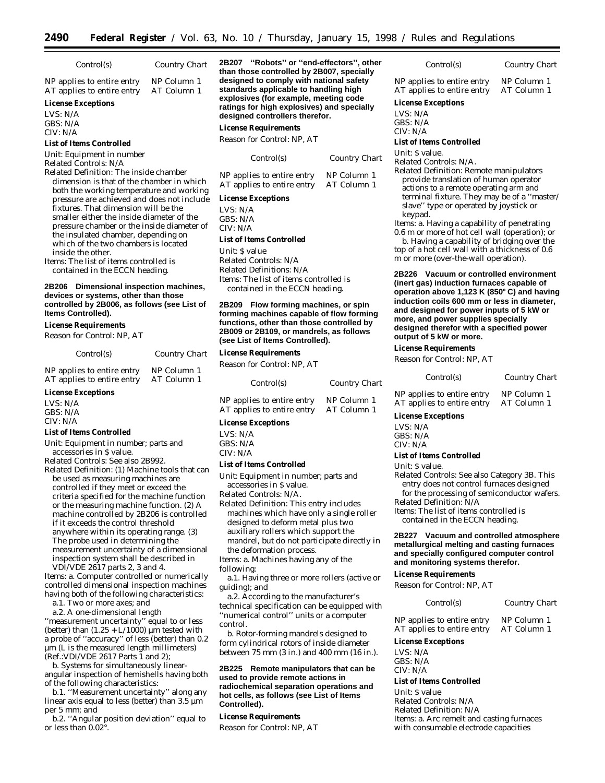| Control(s)                                                                                                                      | Country Chart              | 2B207 "Robots" or "end-effectors", other<br>than those controlled by 2B007, specially |                            | Control(s)                                                                         |
|---------------------------------------------------------------------------------------------------------------------------------|----------------------------|---------------------------------------------------------------------------------------|----------------------------|------------------------------------------------------------------------------------|
| NP applies to entire entry<br>AT applies to entire entry                                                                        | NP Column 1<br>AT Column 1 | designed to comply with national safety<br>standards applicable to handling high      |                            | NP applies to entire ent<br>AT applies to entire en                                |
| <b>License Exceptions</b>                                                                                                       |                            | explosives (for example, meeting code<br>ratings for high explosives) and specially   |                            | <b>License Exceptions</b>                                                          |
| LVS: $N/A$                                                                                                                      |                            | designed controllers therefor.                                                        |                            | LVS: N/A                                                                           |
| GBS: N/A<br>CIV: N/A                                                                                                            |                            | <b>License Requirements</b>                                                           |                            | GBS: N/A<br>CIV: N/A                                                               |
| <b>List of Items Controlled</b>                                                                                                 |                            | Reason for Control: NP. AT                                                            |                            | <b>List of Items Controlled</b>                                                    |
| Unit: Equipment in number<br>Related Controls: N/A                                                                              |                            | Control(s)                                                                            | Country Chart              | <i>Unit:</i> S value.<br>Related Controls: N/A.                                    |
| Related Definition: The inside chamber<br>dimension is that of the chamber in which<br>hoth the working temperature and working |                            | NP applies to entire entry<br>AT applies to entire entry                              | NP Column 1<br>AT Column 1 | <b>Related Definition: Rem</b><br>provide translation of<br>actions to a remote op |

both the workin pressure are achieved and does not include fixtures. That dimension will be the smaller either the inside diameter of the pressure chamber or the inside diameter of the insulated chamber, depending on which of the two chambers is located inside the other.

*Items:* The list of items controlled is contained in the ECCN heading.

# **2B206 Dimensional inspection machines, devices or systems, other than those controlled by 2B006, as follows (see List of Items Controlled).**

# **License Requirements**

*Reason for Control:* NP, AT

*Control(s) Country Chart*

| NP applies to entire entry | NP Column 1 |
|----------------------------|-------------|
| AT applies to entire entry | AT Column 1 |

# **License Exceptions**

LVS: N/A GBS: N/A CIV: N/A

#### **List of Items Controlled**

*Unit:* Equipment in number; parts and accessories in \$ value.

*Related Controls:* See also 2B992. *Related Definition:* (1) Machine tools that can be used as measuring machines are controlled if they meet or exceed the criteria specified for the machine function or the measuring machine function. (2) A machine controlled by 2B206 is controlled if it exceeds the control threshold anywhere within its operating range. (3) The probe used in determining the

measurement uncertainty of a dimensional inspection system shall be described in VDI/VDE 2617 parts 2, 3 and 4.

*Items:* a. Computer controlled or numerically controlled dimensional inspection machines having both of the following characteristics:

a.1. Two or more axes; *and* a.2. A one-dimensional length

''measurement uncertainty'' equal to or less (better) than  $(1.25 + L/1000)$  µm tested with a probe of ''accuracy'' of less (better) than 0.2 µm (L is the measured length millimeters) (Ref.:VDI/VDE 2617 Parts 1 and 2);

b. Systems for simultaneously linearangular inspection of hemishells having both of the following characteristics:

b.1. ''Measurement uncertainty'' along any linear axis equal to less (better) than  $3.5 \mu m$ per 5 mm; *and*

b.2. ''Angular position deviation'' equal to or less than 0.02°.

# **License Exceptions**

LVS: N/A GBS: N/A CIV: N/A

#### **List of Items Controlled**

*Unit:* \$ value *Related Controls:* N/A *Related Definitions:* N/A *Items:* The list of items controlled is contained in the ECCN heading.

# **2B209 Flow forming machines, or spin forming machines capable of flow forming functions, other than those controlled by 2B009 or 2B109, or mandrels, as follows (see List of Items Controlled).**

#### **License Requirements**

*Reason for Control:* NP, AT

| Control(s)                 | Country Chart |
|----------------------------|---------------|
| NP applies to entire entry | NP Column 1   |
| AT applies to entire entry | AT Column 1   |

# **License Exceptions**

LVS: N/A GBS: N/A CIV: N/A

#### **List of Items Controlled**

*Unit:* Equipment in number; parts and accessories in \$ value.

*Related Controls:* N/A.

*Related Definition:* This entry includes machines which have only a single roller designed to deform metal plus two auxiliary rollers which support the mandrel, but do not participate directly in the deformation process.

*Items:* a. Machines having any of the following:

a.1. Having three or more rollers (active or guiding); *and*

a.2. According to the manufacturer's technical specification can be equipped with ''numerical control'' units or a computer control.

b. Rotor-forming mandrels designed to form cylindrical rotors of inside diameter between 75 mm (3 in.) and 400 mm (16 in.).

**2B225 Remote manipulators that can be used to provide remote actions in radiochemical separation operations and hot cells, as follows (see List of Items Controlled).**

# **License Requirements**

*Reason for Control:* NP, AT

# entry NP Column 1 entry AT Column 1

*Related Definition:* Remote manipulators of human operator operating arm and terminal fixture. They may be of a ''master/ slave'' type or operated by joystick or keypad.

*Items:* a. Having a capability of penetrating 0.6 m or more of hot cell wall (operation); *or*

b. Having a capability of bridging over the top of a hot cell wall with a thickness of 0.6 m or more (over-the-wall operation).

**2B226 Vacuum or controlled environment (inert gas) induction furnaces capable of operation above 1,123 K (850**≥ **C) and having induction coils 600 mm or less in diameter, and designed for power inputs of 5 kW or more, and power supplies specially designed therefor with a specified power output of 5 kW or more.**

# **License Requirements**

*Reason for Control:* NP, AT

#### *Control(s) Country Chart*

NP applies to entire entry NP Column 1<br>AT applies to entire entry AT Column 1

AT applies to entire entry

### **License Exceptions**

LVS: N/A GBS: N/A CIV: N/A

## **List of Items Controlled**

### *Unit:* \$ value.

*Related Controls:* See also Category 3B. This entry does not control furnaces designed for the processing of semiconductor wafers.

*Related Definition:* N/A *Items:* The list of items controlled is

contained in the ECCN heading.

# **2B227 Vacuum and controlled atmosphere metallurgical melting and casting furnaces and specially configured computer control and monitoring systems therefor.**

# **License Requirements**

*Reason for Control:* NP, AT

*Control(s) Country Chart*

NP applies to entire entry NP Column 1<br>AT applies to entire entry AT Column 1 AT applies to entire entry

# **License Exceptions**

LVS: N/A GBS: N/A CIV: N/A

**List of Items Controlled**

*Unit:* \$ value *Related Controls:* N/A *Related Definition:* N/A *Items:* a. Arc remelt and casting furnaces with consumable electrode capacities

 $Country$  *Chart*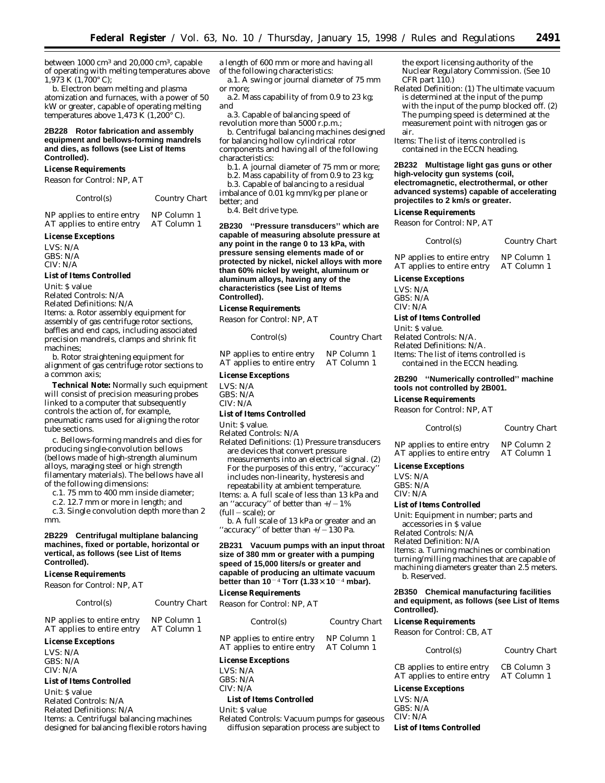between 1000 cm3 and 20,000 cm3, capable of operating with melting temperatures above  $1,973 \text{ K } (1,700^{\circ} \text{ C});$ 

b. Electron beam melting and plasma atomization and furnaces, with a power of 50 kW or greater, capable of operating melting temperatures above 1,473  $\hat{K}$  (1,200 $\degree$  C).

# **2B228 Rotor fabrication and assembly equipment and bellows-forming mandrels and dies, as follows (see List of Items Controlled).**

## **License Requirements**

*Reason for Control:* NP, AT

*Control(s) Country Chart*

NP applies to entire entry NP Column 1<br>AT applies to entire entry AT Column 1 AT applies to entire entry

#### **License Exceptions**

LVS: N/A GBS: N/A CIV: N/A

#### **List of Items Controlled**

*Unit:* \$ value

*Related Controls:* N/A

*Related Definitions:* N/A *Items:* a. Rotor assembly equipment for assembly of gas centrifuge rotor sections, baffles and end caps, including associated precision mandrels, clamps and shrink fit machines;

b. Rotor straightening equipment for alignment of gas centrifuge rotor sections to a common axis;

**Technical Note:** Normally such equipment will consist of precision measuring probes linked to a computer that subsequently controls the action of, for example, pneumatic rams used for aligning the rotor tube sections.

c. Bellows-forming mandrels and dies for producing single-convolution bellows (bellows made of high-strength aluminum alloys, maraging steel or high strength filamentary materials). The bellows have all of the following dimensions:

c.1. 75 mm to 400 mm inside diameter;

c.2. 12.7 mm or more in length; *and*

c.3. Single convolution depth more than 2 mm.

# **2B229 Centrifugal multiplane balancing machines, fixed or portable, horizontal or vertical, as follows (see List of Items Controlled).**

#### **License Requirements**

*Reason for Control:* NP, AT

| Control(s)                                               | Country Chart              |  |
|----------------------------------------------------------|----------------------------|--|
| NP applies to entire entry<br>AT applies to entire entry | NP Column 1<br>AT Column 1 |  |

#### **License Exceptions**

LVS: N/A  $CRS: N/A$ CIV: N/A

#### **List of Items Controlled**

*Unit:* \$ value *Related Controls:* N/A *Related Definitions:* N/A *Items:* a. Centrifugal balancing machines designed for balancing flexible rotors having

a length of 600 mm or more and having all of the following characteristics:

a.1. A swing or journal diameter of 75 mm or more;

a.2. Mass capability of from 0.9 to 23 kg; *and*

a.3. Capable of balancing speed of revolution more than 5000 r.p.m.;

b. Centrifugal balancing machines designed for balancing hollow cylindrical rotor components and having all of the following characteristics:

b.1. A journal diameter of 75 mm or more; b.2. Mass capability of from 0.9 to 23 kg;

b.3. Capable of balancing to a residual

imbalance of 0.01 kg mm/kg per plane or

better; *and* b.4. Belt drive type.

**2B230 ''Pressure transducers'' which are capable of measuring absolute pressure at any point in the range 0 to 13 kPa, with pressure sensing elements made of or protected by nickel, nickel alloys with more than 60% nickel by weight, aluminum or aluminum alloys, having any of the characteristics (see List of Items Controlled).**

# **License Requirements**

*Reason for Control:* NP, AT

# *Control(s) Country Chart*

NP applies to entire entry NP Column 1<br>AT applies to entire entry AT Column 1 AT applies to entire entry

# **License Exceptions**

LVS: N/A GBS: N/A CIV: N/A

# **List of Items Controlled**

*Unit:* \$ value.

- *Related Controls:* N/A
- *Related Definitions:* (1) Pressure transducers are devices that convert pressure measurements into an electrical signal. (2) For the purposes of this entry, "accuracy includes non-linearity, hysteresis and repeatability at ambient temperature.

*Items:* a. A full scale of less than 13 kPa and an "accuracy" of better than  $+/-1\%$  $(full-scale)$ ; *or* 

b. A full scale of 13 kPa or greater and an "accuracy" of better than  $+/-130$  Pa.

**2B231 Vacuum pumps with an input throat size of 380 mm or greater with a pumping speed of 15,000 liters/s or greater and capable of producing an ultimate vacuum better than 10**<sup>-4</sup> **Torr (1.33**  $\times$  10<sup>-4</sup> mbar).

# **License Requirements**

| Control(s)                 | Country Chart |
|----------------------------|---------------|
| NP applies to entire entry | NP Column 1   |
| AT applies to entire entry | AT Column 1   |

### **License Exceptions**

LVS: N/A GBS: N/A CIV: N/A

# **List of Items Controlled**

# *Unit:* \$ value

*Related Controls:* Vacuum pumps for gaseous diffusion separation process are subject to

the export licensing authority of the Nuclear Regulatory Commission. (See 10 CFR part  $110$ .)

*Related Definition:* (1) The ultimate vacuum is determined at the input of the pump with the input of the pump blocked off. (2) The pumping speed is determined at the measurement point with nitrogen gas or air.

*Items:* The list of items controlled is contained in the ECCN heading.

**2B232 Multistage light gas guns or other high-velocity gun systems (coil, electromagnetic, electrothermal, or other advanced systems) capable of accelerating projectiles to 2 km/s or greater.**

# **License Requirements**

*Reason for Control:* NP, AT

#### *Control(s) Country Chart*

NP applies to entire entry NP Column 1<br>AT applies to entire entry AT Column 1 AT applies to entire entry

**License Exceptions**

LVS: N/A GBS: N/A CIV: N/A

#### **List of Items Controlled**

*Unit:* \$ value. *Related Controls:* N/A. *Related Definitions:* N/A. *Items:* The list of items controlled is contained in the ECCN heading.

# **2B290 ''Numerically controlled'' machine tools not controlled by 2B001.**

**License Requirements**

*Reason for Control:* NP, AT

| Control(s) |  | Country Chart |  |
|------------|--|---------------|--|
|            |  |               |  |

NP applies to entire entry NP Column 2<br>AT applies to entire entry AT Column 1 AT applies to entire entry

# **License Exceptions**

LVS: N/A GBS: N/A CIV: N/A

#### **List of Items Controlled**

*Unit:* Equipment in number; parts and accessories in \$ value

*Related Controls:* N/A

*Related Definition:* N/A

*Items:* a. Turning machines or combination turning/milling machines that are capable of machining diameters greater than 2.5 meters. b. Reserved.

# **2B350 Chemical manufacturing facilities and equipment, as follows (see List of Items Controlled).**

# **License Requirements**

*Reason for Control:* CB, AT

# *Control(s) Country Chart*

CB applies to entire entry CB Column 3<br>AT applies to entire entry AT Column 1 AT applies to entire entry

# **License Exceptions**

LVS: N/A GBS: N/A CIV: N/A **List of Items Controlled**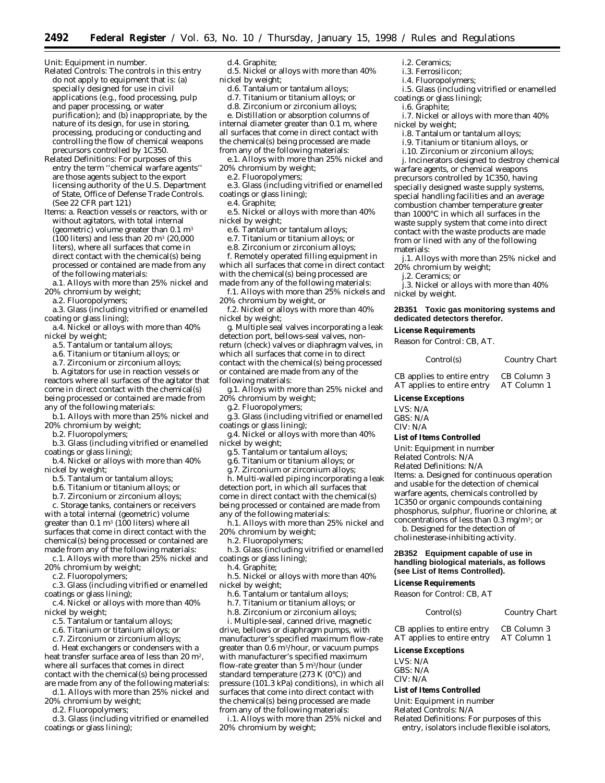*Unit:* Equipment in number.

- *Related Controls:* The controls in this entry do not apply to equipment that is: (a) specially designed for use in civil applications (e.g., food processing, pulp and paper processing, or water purification); and (b) inappropriate, by the nature of its design, for use in storing, processing, producing or conducting and controlling the flow of chemical weapons precursors controlled by 1C350.
- *Related Definitions:* For purposes of this entry the term ''chemical warfare agents'' are those agents subject to the export licensing authority of the U.S. Department of State, Office of Defense Trade Controls. (See 22 CFR part 121)
- *Items:* a. Reaction vessels or reactors, with or without agitators, with total internal (geometric) volume greater than  $0.1 \text{ m}^3$  $(100$  liters) and less than 20 m<sup>3</sup>  $(20.000)$ liters), where all surfaces that come in direct contact with the chemical(s) being processed or contained are made from any of the following materials:
- a.1. Alloys with more than 25% nickel and 20% chromium by weight;
- a.2. Fluoropolymers;
- a.3. Glass (including vitrified or enamelled coating or glass lining);
- a.4. Nickel or alloys with more than 40% nickel by weight;
	- a.5. Tantalum or tantalum alloys;
	- a.6. Titanium or titanium alloys; *or*
	- a.7. Zirconium or zirconium alloys;

b. Agitators for use in reaction vessels or reactors where all surfaces of the agitator that come in direct contact with the chemical(s) being processed or contained are made from any of the following materials:

- b.1. Alloys with more than 25% nickel and 20% chromium by weight;
- b.2. Fluoropolymers;
- b.3. Glass (including vitrified or enamelled coatings or glass lining);
- b.4. Nickel or alloys with more than 40% nickel by weight;
	- b.5. Tantalum or tantalum alloys;
	- b.6. Titanium or titanium alloys; *or*
	- b.7. Zirconium or zirconium alloys;

c. Storage tanks, containers or receivers with a total internal (geometric) volume greater than  $0.1 \text{ m}^3$  (100 liters) where all surfaces that come in direct contact with the chemical(s) being processed or contained are made from any of the following materials:

c.1. Alloys with more than 25% nickel and 20% chromium by weight;

- c.2. Fluoropolymers;
- c.3. Glass (including vitrified or enamelled coatings or glass lining);
- c.4. Nickel or alloys with more than 40% nickel by weight;
	- c.5. Tantalum or tantalum alloys;
	- c.6. Titanium or titanium alloys; *or*
	- c.7. Zirconium or zirconium alloys;

d. Heat exchangers or condensers with a heat transfer surface area of less than 20 m2, where all surfaces that comes in direct contact with the chemical(s) being processed

are made from any of the following materials: d.1. Alloys with more than 25% nickel and 20% chromium by weight;

d.2. Fluoropolymers;

d.3. Glass (including vitrified or enamelled coatings or glass lining);

# d.4. Graphite;

- d.5. Nickel or alloys with more than 40% nickel by weight;
	- d.6. Tantalum or tantalum alloys;
	- d.7. Titanium or titanium alloys; *or*
	- d.8. Zirconium or zirconium alloys;

e. Distillation or absorption columns of internal diameter greater than 0.1 m, where

all surfaces that come in direct contact with the chemical(s) being processed are made from any of the following materials:

- e.1. Alloys with more than 25% nickel and 20% chromium by weight;
- e.2. Fluoropolymers;

e.3. Glass (including vitrified or enamelled coatings or glass lining);

- e.4. Graphite;
- e.5. Nickel or alloys with more than 40% nickel by weight;
	- e.6. Tantalum or tantalum alloys;
	- e.7. Titanium or titanium alloys; *or*
	- e.8. Zirconium or zirconium alloys;
	- f. Remotely operated filling equipment in

which all surfaces that come in direct contact with the chemical(s) being processed are made from any of the following materials:

- f.1. Alloys with more than 25% nickels and 20% chromium by weight, or
- f.2. Nickel or alloys with more than 40% nickel by weight;

g. Multiple seal valves incorporating a leak detection port, bellows-seal valves, nonreturn (check) valves or diaphragm valves, in which all surfaces that come in to direct contact with the chemical(s) being processed or contained are made from any of the following materials:

g.1. Alloys with more than 25% nickel and 20% chromium by weight;

- g.2. Fluoropolymers;
- g.3. Glass (including vitrified or enamelled coatings or glass lining);
- g.4. Nickel or alloys with more than 40% nickel by weight;
	- g.5. Tantalum or tantalum alloys;

g.6. Titanium or titanium alloys; *or*

g.7. Zirconium or zirconium alloys;

h. Multi-walled piping incorporating a leak detection port, in which all surfaces that come in direct contact with the chemical(s) being processed or contained are made from any of the following materials:

h.1. Alloys with more than 25% nickel and 20% chromium by weight;

h.2. Fluoropolymers;

h.3. Glass (including vitrified or enamelled coatings or glass lining);

- h.4. Graphite;
- h.5. Nickel or alloys with more than 40% nickel by weight;
	- h.6. Tantalum or tantalum alloys;
	- h.7. Titanium or titanium alloys; *or*
	- h.8. Zirconium or zirconium alloys;

i. Multiple-seal, canned drive, magnetic drive, bellows or diaphragm pumps, with manufacturer's specified maximum flow-rate greater than 0.6 m3/hour, or vacuum pumps with manufacturer's specified maximum flow-rate greater than 5 m3/hour (under standard temperature (273 K  $(0^{\circ}C)$ ) and pressure (101.3 kPa) conditions), in which all surfaces that come into direct contact with the chemical(s) being processed are made from any of the following materials:

i.1. Alloys with more than 25% nickel and 20% chromium by weight;

- i.2. Ceramics;
- i.3. Ferrosilicon;
- i.4. Fluoropolymers;
- i.5. Glass (including vitrified or enamelled coatings or glass lining);
- i.6. Graphite;

i.7. Nickel or alloys with more than 40% nickel by weight;

- i.8. Tantalum or tantalum alloys;
- i.9. Titanium or titanium alloys, or
- i.10. Zirconium or zirconium alloys;

j. Incinerators designed to destroy chemical warfare agents, or chemical weapons precursors controlled by 1C350, having specially designed waste supply systems, special handling facilities and an average combustion chamber temperature greater than 1000°C in which all surfaces in the waste supply system that come into direct contact with the waste products are made from or lined with any of the following materials:

j.1. Alloys with more than 25% nickel and 20% chromium by weight;

j.2. Ceramics; *or*

j.3. Nickel or alloys with more than 40% nickel by weight.

# **2B351 Toxic gas monitoring systems and dedicated detectors therefor.**

**License Requirements**

Reason for Control: CB, AT.

*Control(s) Country Chart*

CB applies to entire entry CB Column 3<br>AT applies to entire entry AT Column 1 AT applies to entire entry

# **License Exceptions**

LVS: N/A GBS: N/A

#### **List of Items Controlled**

*Unit:* Equipment in number

*Related Controls:* N/A

*Related Definitions:* N/A

*Items:* a. Designed for continuous operation and usable for the detection of chemical warfare agents, chemicals controlled by 1C350 or organic compounds containing phosphorus, sulphur, fluorine or chlorine, at concentrations of less than 0.3 mg/m3; *or*

b. Designed for the detection of cholinesterase-inhibiting activity.

# **2B352 Equipment capable of use in handling biological materials, as follows (see List of Items Controlled).**

CB applies to entire entry CB Column 3 AT applies to entire entry AT Column 1

*Related Definitions:* For purposes of this entry, isolators include flexible isolators,

*Control(s) Country Chart*

# **License Requirements** *Reason for Control:* CB, AT

**License Exceptions**

**List of Items Controlled** *Unit:* Equipment in number *Related Controls:* N/A

LVS: N/A GBS: N/A CIV: N/A

CIV: N/A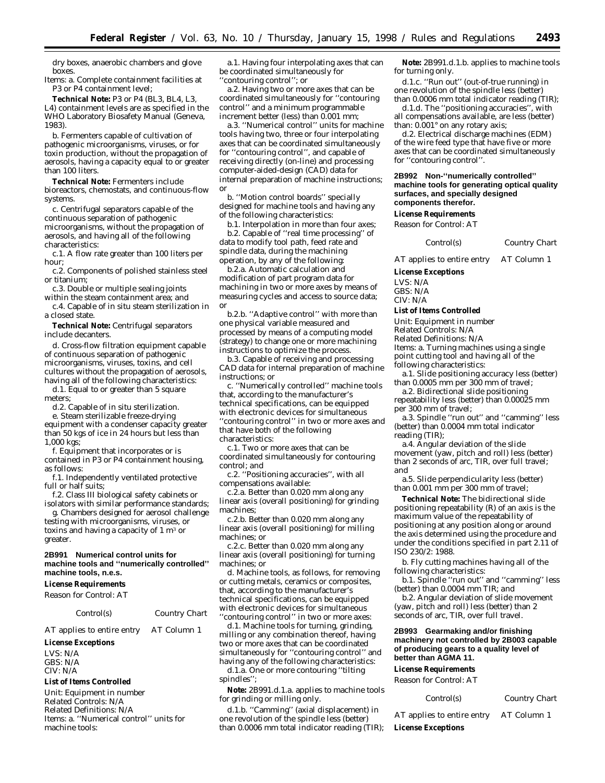dry boxes, anaerobic chambers and glove boxes.

*Items:* a. Complete containment facilities at P3 or P4 containment level;

**Technical Note:** P3 or P4 (BL3, BL4, L3, L4) containment levels are as specified in the WHO Laboratory Biosafety Manual (Geneva, 1983).

b. Fermenters capable of cultivation of pathogenic microorganisms, viruses, or for toxin production, without the propagation of aerosols, having a capacity equal to or greater than 100 liters.

**Technical Note:** Fermenters include bioreactors, chemostats, and continuous-flow systems.

c. Centrifugal separators capable of the continuous separation of pathogenic microorganisms, without the propagation of aerosols, and having all of the following characteristics:

c.1. A flow rate greater than 100 liters per hour;

c.2. Components of polished stainless steel or titanium;

c.3. Double or multiple sealing joints

within the steam containment area; *and* c.4. Capable of *in situ* steam sterilization in a closed state.

**Technical Note:** Centrifugal separators include decanters.

d. Cross-flow filtration equipment capable of continuous separation of pathogenic microorganisms, viruses, toxins, and cell cultures without the propagation of aerosols, having all of the following characteristics:

d.1. Equal to or greater than 5 square meters;

d.2. Capable of *in situ* sterilization.

e. Steam sterilizable freeze-drying equipment with a condenser capacity greater than 50 kgs of ice in 24 hours but less than 1,000 kgs;

f. Equipment that incorporates or is contained in P3 or P4 containment housing, as follows:

f.1. Independently ventilated protective full or half suits;

f.2. Class III biological safety cabinets or isolators with similar performance standards;

g. Chambers designed for aerosol challenge testing with microorganisms, viruses, or toxins and having a capacity of 1  $\mathrm{m}^{_3}$  or greater.

## **2B991 Numerical control units for machine tools and ''numerically controlled'' machine tools, n.e.s.**

#### **License Requirements**

*Reason for Control:* AT

#### *Control(s) Country Chart*

AT applies to entire entry AT Column 1

**License Exceptions**

LVS: N/A GBS: N/A CIV: N/A

#### **List of Items Controlled**

*Unit:* Equipment in number *Related Controls:* N/A *Related Definitions:* N/A *Items:* a. ''Numerical control'' units for machine tools:

a.1. Having four interpolating axes that can be coordinated simultaneously for ''contouring control''; or

a.2. Having two or more axes that can be coordinated simultaneously for ''contouring control'' and a minimum programmable increment better (less) than 0.001 mm;

a.3. ''Numerical control'' units for machine tools having two, three or four interpolating axes that can be coordinated simultaneously for ''contouring control'', and capable of receiving directly (on-line) and processing computer-aided-design (CAD) data for internal preparation of machine instructions; *or*

b. ''Motion control boards'' specially designed for machine tools and having any of the following characteristics:

b.1. Interpolation in more than four axes; b.2. Capable of ''real time processing'' of data to modify tool path, feed rate and spindle data, during the machining operation, by any of the following:

b.2.a. Automatic calculation and modification of part program data for machining in two or more axes by means of measuring cycles and access to source data; *or*

b.2.b. ''Adaptive control'' with more than one physical variable measured and processed by means of a computing model (strategy) to change one or more machining instructions to optimize the process.

b.3. Capable of receiving and processing CAD data for internal preparation of machine instructions; *or*

c. ''Numerically controlled'' machine tools that, according to the manufacturer's technical specifications, can be equipped with electronic devices for simultaneous ''contouring control'' in two or more axes and that have both of the following characteristics:

c.1. Two or more axes that can be coordinated simultaneously for contouring control; *and*

c.2. ''Positioning accuracies'', with all compensations available:

c.2.a. Better than 0.020 mm along any linear axis (overall positioning) for grinding machines;

c.2.b. Better than 0.020 mm along any linear axis (overall positioning) for milling machines; *or*

c.2.c. Better than 0.020 mm along any linear axis (overall positioning) for turning machines; *or*

d. Machine tools, as follows, for removing or cutting metals, ceramics or composites, that, according to the manufacturer's technical specifications, can be equipped with electronic devices for simultaneous ''contouring control'' in two or more axes:

d.1. Machine tools for turning, grinding, milling or any combination thereof, having two or more axes that can be coordinated simultaneously for ''contouring control'' and having any of the following characteristics: d.1.a. One or more contouring ''tilting spindles'';

**Note:** 2B991.d.1.a. applies to machine tools for grinding or milling only.

d.1.b. ''Camming'' (axial displacement) in one revolution of the spindle less (better) than 0.0006 mm total indicator reading (TIR);

**Note:** 2B991.d.1.b. applies to machine tools for turning only.

d.1.c. ''Run out'' (out-of-true running) in one revolution of the spindle less (better) than 0.0006 mm total indicator reading (TIR); d.1.d. The ''positioning accuracies'', with

all compensations available, are less (better) than: 0.001° on any rotary axis;

d.2. Electrical discharge machines (EDM) of the wire feed type that have five or more axes that can be coordinated simultaneously for ''contouring control''.

**2B992 Non-''numerically controlled'' machine tools for generating optical quality surfaces, and specially designed components therefor.**

# **License Requirements**

*Reason for Control:* AT

#### *Control(s) Country Chart*

AT applies to entire entry AT Column 1

**License Exceptions** LVS: N/A

GBS: N/A

# CIV: N/A

# **List of Items Controlled**

*Unit:* Equipment in number

*Related* Controls: N/A

*Related* Definitions: N/A

*Items:* a. Turning machines using a single point cutting tool and having all of the

following characteristics:

a.1. Slide positioning accuracy less (better)

than 0.0005 mm per 300 mm of travel;

a.2. Bidirectional slide positioning repeatability less (better) than 0.00025 mm per 300 mm of travel;

a.3. Spindle ''run out'' and ''camming'' less (better) than 0.0004 mm total indicator reading (TIR);

a.4. Angular deviation of the slide movement (yaw, pitch and roll) less (better) than 2 seconds of arc, TIR, over full travel; *and*

a.5. Slide perpendicularity less (better) than 0.001 mm per 300 mm of travel;

**Technical Note:** The bidirectional slide positioning repeatability (R) of an axis is the maximum value of the repeatability of positioning at any position along or around the axis determined using the procedure and under the conditions specified in part 2.11 of ISO 230/2: 1988.

b. Fly cutting machines having all of the following characteristics:

b.1. Spindle ''run out'' and ''camming'' less (better) than 0.0004 mm TIR; *and*

b.2. Angular deviation of slide movement (yaw, pitch and roll) less (better) than 2 seconds of arc, TIR, over full travel.

# **2B993 Gearmaking and/or finishing machinery not controlled by 2B003 capable of producing gears to a quality level of better than AGMA 11.**

#### **License Requirements**

*Reason for Control:* AT *Control(s) Country Chart*

| ג(s) | Country Chart |  |
|------|---------------|--|
|      |               |  |

AT applies to entire entry AT Column 1 **License Exceptions**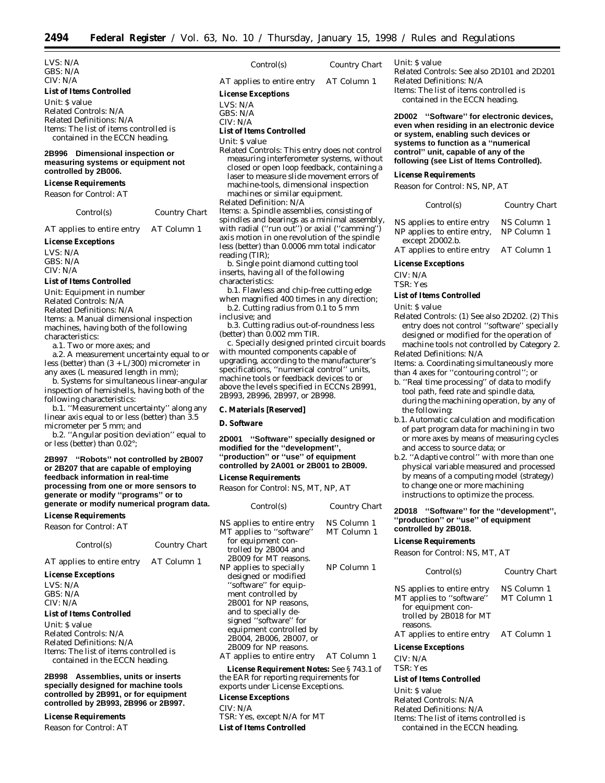LVS: N/A GBS: N/A CIV: N/A

# **List of Items Controlled**

*Unit:* \$ value *Related Controls:* N/A *Related Definitions:* N/A *Items:* The list of items controlled is contained in the ECCN heading.

# **2B996 Dimensional inspection or measuring systems or equipment not controlled by 2B006.**

# **License Requirements**

*Reason for Control:* AT

*Control(s) Country Chart*

AT applies to entire entry AT Column 1

# **License Exceptions**

LVS: N/A GBS: N/A CIV: N/A

# **List of Items Controlled**

*Unit:* Equipment in number *Related Controls:* N/A

*Related Definitions:* N/A

*Items:* a. Manual dimensional inspection machines, having both of the following characteristics:

a.1. Two or more axes; *and*

a.2. A measurement uncertainty equal to or less (better) than  $(3 + L/300)$  micrometer in any axes (L measured length in mm);

b. Systems for simultaneous linear-angular inspection of hemishells, having both of the following characteristics:

b.1. ''Measurement uncertainty'' along any linear axis equal to or less (better) than 3.5 micrometer per 5 mm; *and*

b.2. ''Angular position deviation'' equal to or less (better) than 0.02°;

**2B997 ''Robots'' not controlled by 2B007 or 2B207 that are capable of employing feedback information in real-time processing from one or more sensors to generate or modify ''programs'' or to generate or modify numerical program data.**

# **License Requirements**

*Reason for Control:* AT

| Control(s)                 | <b>Country Chart</b> |
|----------------------------|----------------------|
| AT applies to entire entry | AT Column 1          |

# **License Exceptions**

LVS: N/A GBS: N/A CIV: N/A

# **List of Items Controlled**

*Unit:* \$ value *Related Controls:* N/A *Related Definitions:* N/A *Items:* The list of items controlled is contained in the ECCN heading.

**2B998 Assemblies, units or inserts specially designed for machine tools controlled by 2B991, or for equipment controlled by 2B993, 2B996 or 2B997.**

# **License Requirements**

*Reason for Control:* AT

*Control(s) Country Chart*

- AT applies to entire entry AT Column 1
- **License Exceptions**
- LVS: N/A
- GBS: N/A

#### CIV: N/A **List of Items Controlled**

*Unit:* \$ value

*Related Controls:* This entry does not control measuring interferometer systems, without closed or open loop feedback, containing a laser to measure slide movement errors of machine-tools, dimensional inspection machines or similar equipment.

*Related Definition:* N/A *Items:* a. Spindle assemblies, consisting of spindles and bearings as a minimal assembly, with radial ("run out") or axial ("camming") axis motion in one revolution of the spindle less (better) than 0.0006 mm total indicator reading (TIR);

b. Single point diamond cutting tool inserts, having all of the following characteristics:

- b.1. Flawless and chip-free cutting edge when magnified 400 times in any direction;
- b.2. Cutting radius from 0.1 to 5 mm inclusive; *and*

b.3. Cutting radius out-of-roundness less (better) than 0.002 mm TIR.

c. Specially designed printed circuit boards with mounted components capable of upgrading, according to the manufacturer's specifications, ''numerical control'' units, machine tools or feedback devices to or above the levels specified in ECCNs 2B991, 2B993, 2B996, 2B997, or 2B998.

# **C. Materials [Reserved]**

# **D. Software**

**2D001 ''Software'' specially designed or modified for the ''development'', ''production'' or ''use'' of equipment controlled by 2A001 or 2B001 to 2B009.**

# **License Requirements**

*Reason for Control:* NS, MT, NP, AT

| Control(s)                                                                                                                     | Country Chart              |  |
|--------------------------------------------------------------------------------------------------------------------------------|----------------------------|--|
| NS applies to entire entry<br>MT applies to "software"                                                                         | NS Column 1<br>MT Column 1 |  |
| for equipment con-<br>trolled by 2B004 and<br>2B009 for MT reasons.                                                            |                            |  |
| NP applies to specially<br>designed or modified                                                                                | NP Column 1                |  |
| "software" for equip-<br>ment controlled by                                                                                    |                            |  |
| 2B001 for NP reasons,<br>and to specially de-<br>signed "software" for                                                         |                            |  |
| equipment controlled by<br>2B004, 2B006, 2B007, or                                                                             |                            |  |
| 2B009 for NP reasons.<br>AT applies to entire entry                                                                            | AT Column 1                |  |
| <b>License Requirement Notes:</b> See §743.1 of<br>the EAR for reporting requirements for<br>exports under License Exceptions. |                            |  |
|                                                                                                                                |                            |  |

# **License Exceptions** CIV: N/A

TSR: Yes, except N/A for MT **List of Items Controlled**

# *Unit:* \$ value

*Related Controls:* See also 2D101 and 2D201 *Related Definitions:* N/A *Items:* The list of items controlled is contained in the ECCN heading.

# **2D002 ''Software'' for electronic devices, even when residing in an electronic device or system, enabling such devices or systems to function as a ''numerical control'' unit, capable of any of the following (see List of Items Controlled).**

# **License Requirements**

*Reason for Control:* NS, NP, AT

| Control(s)                                                                   | Country Chart              |
|------------------------------------------------------------------------------|----------------------------|
| NS applies to entire entry<br>NP applies to entire entry,<br>except 2D002.b. | NS Column 1<br>NP Column 1 |
| AT applies to entire entry                                                   | AT Column 1                |

#### **License Exceptions**

CIV: N/A

TSR: Yes

#### **List of Items Controlled**

*Unit:* \$ value

*Related Controls:* (1) See also 2D202. (2) This entry does not control ''software'' specially designed or modified for the operation of machine tools not controlled by Category 2.

*Related Definitions:* N/A *Items:* a. Coordinating simultaneously more than 4 axes for ''contouring control''; *or*

- b. ''Real time processing'' of data to modify tool path, feed rate and spindle data, during the machining operation, by any of the following:
- b.1. Automatic calculation and modification of part program data for machining in two or more axes by means of measuring cycles and access to source data; *or*
- b.2. ''Adaptive control'' with more than one physical variable measured and processed by means of a computing model (strategy) to change one or more machining instructions to optimize the process.

## **2D018 ''Software'' for the ''development'', ''production'' or ''use'' of equipment controlled by 2B018.**

#### **License Requirements**

*Reason for Control:* NS, MT, AT

| Control(s)                                                                                                                                        | Country Chart                             |
|---------------------------------------------------------------------------------------------------------------------------------------------------|-------------------------------------------|
| NS applies to entire entry<br>MT applies to "software"<br>for equipment con-<br>trolled by 2B018 for MT<br>reasons.<br>AT applies to entire entry | NS Column 1<br>MT Column 1<br>AT Column 1 |
| <b>License Exceptions</b>                                                                                                                         |                                           |
| CIV: N/A                                                                                                                                          |                                           |
| TSR: Yes                                                                                                                                          |                                           |
| <b>List of Items Controlled</b>                                                                                                                   |                                           |

*Unit:* \$ value *Related Controls:* N/A Related Definitions: N/A *Items:* The list of items controlled is contained in the ECCN heading.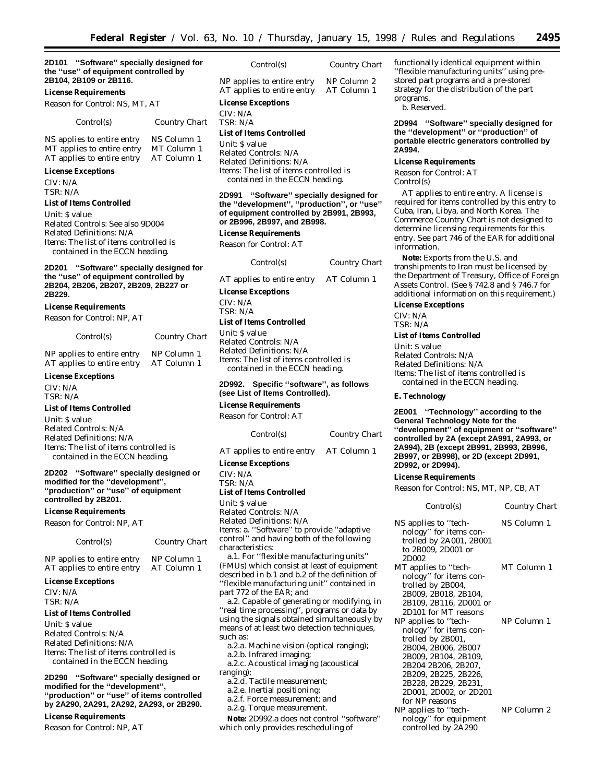## **2D101 ''Software'' specially designed for the ''use'' of equipment controlled by 2B104, 2B109 or 2B116.**

#### **License Requirements**

*Reason for Control:* NS, MT, AT

#### *Control(s) Country Chart*

NS applies to entire entry NS Column 1 MT applies to entire entry MT Column 1 AT applies to entire entry AT Column 1

# **License Exceptions**

CIV: N/A TSR: N/A

#### **List of Items Controlled**

*Unit:* \$ value *Related Controls:* See also 9D004 Related Definitions: N/A *Items:* The list of items controlled is contained in the ECCN heading.

# **2D201 ''Software'' specially designed for the ''use'' of equipment controlled by 2B204, 2B206, 2B207, 2B209, 2B227 or 2B229.**

#### **License Requirements**

*Reason for Control:* NP, AT

| Control(s)                 | Country Chart |
|----------------------------|---------------|
| NP applies to entire entry | NP Column 1   |
| AT applies to entire entry | AT Column 1   |

# **License Exceptions**

CIV: N/A TSR: N/A

#### **List of Items Controlled**

*Unit:* \$ value *Related Controls:* N/A *Related Definitions:* N/A *Items:* The list of items controlled is contained in the ECCN heading.

# **2D202 ''Software'' specially designed or modified for the ''development'', ''production'' or ''use'' of equipment controlled by 2B201.**

**License Requirements**

*Reason for Control:* NP, AT

| Control(s) | <b>Country Chart</b> |
|------------|----------------------|
|------------|----------------------|

NP applies to entire entry NP Column 1 AT applies to entire entry AT Column 1

# **License Exceptions**

CIV: N/A TSR: N/A

# **List of Items Controlled**

*Unit:* \$ value *Related Controls:* N/A *Related Definitions:* N/A *Items:* The list of items controlled is contained in the ECCN heading.

**2D290 ''Software'' specially designed or modified for the ''development'', ''production'' or ''use'' of items controlled by 2A290, 2A291, 2A292, 2A293, or 2B290.**

# **License Requirements**

*Reason for Control:* NP, AT

| Control(s) | <b>Country Chart</b> |
|------------|----------------------|
|            |                      |

NP applies to entire entry NP Column 2<br>AT applies to entire entry AT Column 1 AT applies to entire entry

# **License Exceptions**

CIV: N/A TSR: N/A

# **List of Items Controlled**

*Unit:* \$ value *Related Controls:* N/A *Related Definitions:* N/A *Items:* The list of items controlled is contained in the ECCN heading.

# **2D991 ''Software'' specially designed for the ''development'', ''production'', or ''use'' of equipment controlled by 2B991, 2B993, or 2B996, 2B997, and 2B998.**

#### **License Requirements**

*Reason for Control:* AT

| Control(s)                             | Country Chart |
|----------------------------------------|---------------|
| AT applies to entire entry AT Column 1 |               |
| <b>License Exceptions</b>              |               |
| CIV: N/A                               |               |
| $TSR \cdot N/A$                        |               |

## **List of Items Controlled**

*Unit:* \$ value *Related Controls:* N/A *Related Definitions:* N/A *Items:* The list of items controlled is contained in the ECCN heading.

# **2D992. Specific ''software'', as follows (see List of Items Controlled).**

# **License Requirements**

*Reason for Control:* AT

| Control(s)                 | <b>Country Chart</b> |
|----------------------------|----------------------|
| AT applies to entire entry | AT Column 1          |

#### **License Exceptions**

CIV: N/A TSR: N/A

# **List of Items Controlled**

*Unit:* \$ value *Related Controls:* N/A *Related Definitions:* N/A *Items:* a. ''Software'' to provide ''adaptive control'' and having both of the following characteristics:

a.1. For ''flexible manufacturing units'' (FMUs) which consist at least of equipment described in b.1 and b.2 of the definition of ''flexible manufacturing unit'' contained in part 772 of the EAR; *and*

a.2. Capable of generating or modifying, in ''real time processing'', programs or data by using the signals obtained simultaneously by means of at least two detection techniques, such as:

a.2.a. Machine vision (optical ranging);

a.2.b. Infrared imaging; a.2.c. Acoustical imaging (acoustical

- ranging); a.2.d. Tactile measurement;
	- a.2.e. Inertial positioning;
	- a.2.f. Force measurement; *and*
	- a.2.g. Torque measurement.

**Note:** 2D992.a does not control ''software'' which only provides rescheduling of

functionally identical equipment within ''flexible manufacturing units'' using prestored part programs and a pre-stored strategy for the distribution of the part programs.

b. Reserved.

**2D994 ''Software'' specially designed for the ''development'' or ''production'' of portable electric generators controlled by 2A994.**

#### **License Requirements**

*Reason for Control:* AT *Control(s)*

AT applies to entire entry. A license is required for items controlled by this entry to Cuba, Iran, Libya, and North Korea. The Commerce Country Chart is not designed to determine licensing requirements for this entry. See part 746 of the EAR for additional information.

**Note:** Exports from the U.S. and transhipments to *Iran* must be licensed by the Department of Treasury, Office of Foreign Assets Control. (See § 742.8 and § 746.7 for additional information on this requirement.)

#### **License Exceptions**

CIV: N/A TSR: N/A

### **List of Items Controlled**

*Unit:* \$ value *Related Controls:* N/A *Related Definitions:* N/A *Items:* The list of items controlled is contained in the ECCN heading.

#### **E. Technology**

**2E001 ''Technology'' according to the General Technology Note for the ''development'' of equipment or ''software'' controlled by 2A (except 2A991, 2A993, or 2A994), 2B (except 2B991, 2B993, 2B996, 2B997, or 2B998), or 2D (except 2D991, 2D992, or 2D994).**

#### **License Requirements**

*Reason for Control:* NS, MT, NP, CB, AT

| Control(s)                                                                                                                                                                                                                             | Country Chart |
|----------------------------------------------------------------------------------------------------------------------------------------------------------------------------------------------------------------------------------------|---------------|
| NS applies to ''tech-<br>nology" for items con-<br>trolled by 2A001, 2B001<br>to 2B009, 2D001 or<br>2D002                                                                                                                              | NS Column 1   |
| MT applies to ''tech-<br>nology" for items con-<br>trolled by 2B004,<br>2B009, 2B018, 2B104,<br>2B109, 2B116, 2D001 or<br>2D101 for MT reasons                                                                                         | MT Column 1   |
| NP applies to ''tech-<br>nology" for items con-<br>trolled by 2B001,<br>2B004, 2B006, 2B007<br>2B009, 2B104, 2B109,<br>2B204 2B206, 2B207,<br>2B209, 2B225, 2B226,<br>2B228, 2B229, 2B231,<br>2D001, 2D002, or 2D201<br>for NP reasons | NP Column 1   |
| NP applies to "tech-<br>nology" for equipment<br>controlled by 2A290                                                                                                                                                                   | NP Column 2   |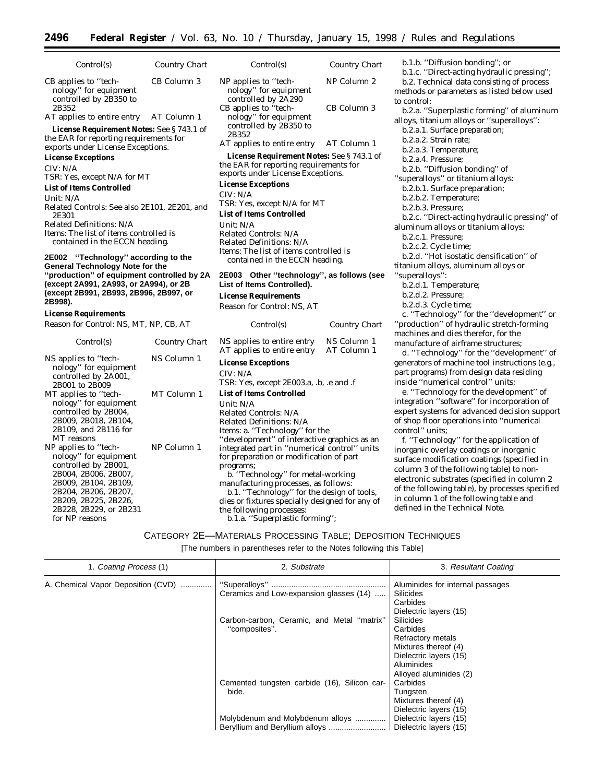$Country$  *Chart* 

NP Column 2

CB Column 3

| Control(s)                                                                                                                          | Country Chart | Control(s)                                                                                   |
|-------------------------------------------------------------------------------------------------------------------------------------|---------------|----------------------------------------------------------------------------------------------|
| CB applies to "tech-<br>nology" for equipment<br>controlled by 2B350 to<br>2B352                                                    | CB Column 3   | NP applies to "tech-<br>nology" for equipment<br>controlled by 2A290<br>CB applies to "tech- |
| AT applies to entire entry AT Column 1<br><b>License Requirement Notes:</b> See §743.1 of<br>the EAR for reporting requirements for |               | nology" for equipment<br>controlled by 2B350 to<br>2B352<br>AT applies to entire entr        |
| exports under License Exceptions.                                                                                                   |               |                                                                                              |
| <b>License Exceptions</b><br>CIV: N/A<br>TSR: Yes, except N/A for MT                                                                |               | <b>License Requirement N</b><br>the EAR for reporting requ<br>exports under License Ex-      |
| <b>List of Items Controlled</b>                                                                                                     |               | <b>License Exceptions</b>                                                                    |
| Unit: $N/A$                                                                                                                         |               | CIV: N/A                                                                                     |
| Related Controls: See also 2E101, 2E201, and                                                                                        |               | TSR: Yes, except N/A for                                                                     |
| 2E301                                                                                                                               |               | <b>List of Items Controlled</b>                                                              |
| Related Definitions: N/A                                                                                                            |               | Unit: $N/A$                                                                                  |
| <i>Items:</i> The list of items controlled is                                                                                       |               | Related Controls: N/A                                                                        |
| contained in the ECCN heading.                                                                                                      |               | Related Definitions: N/A                                                                     |
| 2E002 "Technology" according to the<br><b>General Technology Note for the</b>                                                       |               | <i>Items:</i> The list of items co<br>contained in the ECCN                                  |
| "production" of equipment controlled by 2A<br>(except 2A991, 2A993, or 2A994), or 2B                                                |               | 2E003 Other "technolo<br>List of Items Controlled).                                          |
| (except 2B991, 2B993, 2B996, 2B997, or                                                                                              |               | <b>License Requirements</b>                                                                  |
| 2B998).                                                                                                                             |               | Reason for Control: NS, A                                                                    |
| <b>License Requirements</b>                                                                                                         |               |                                                                                              |
| Reason for Control: NS, MT, NP, CB, AT                                                                                              |               | Control(s)                                                                                   |
| Control(s)                                                                                                                          | Country Chart | NS applies to entire entry<br>AT applies to entire entr                                      |
| NS applies to "tech-<br>nology" for equipment<br>controlled by 2A001,                                                               | NS Column 1   | <b>License Exceptions</b><br>CIV: N/A                                                        |

MT Column 1

NP Column 1

2B001 to 2B009

MT applies to ''technology'' for equipment controlled by 2B004, 2B009, 2B018, 2B104, 2B109, and 2B116 for

MT reasons

NP applies to ''technology'' for equipment controlled by 2B001, 2B004, 2B006, 2B007, 2B009, 2B104, 2B109, 2B204, 2B206, 2B207, 2B209, 2B225, 2B226, 2B228, 2B229, or 2B231 for NP reasons

350 to entry AT Column 1 **Lient Notes:** See § 743.1 of g requirements for se Exceptions. A for MT **lled** *Related Controls:* N/A *Related Definitions:* N/A  $ms$  controlled is  $ECCN$  heading.

## **2E003 Other ''technology'', as follows (see** blied).

*Reason for Control:* NS, AT

|   | Control(s)                                                                                                                                                                                                                                                     | Country Chart              |
|---|----------------------------------------------------------------------------------------------------------------------------------------------------------------------------------------------------------------------------------------------------------------|----------------------------|
| t | NS applies to entire entry<br>AT applies to entire entry                                                                                                                                                                                                       | NS Column 1<br>AT Column 1 |
|   | <b>License Exceptions</b><br>CIV: N/A<br>TSR: Yes, except 2E003.a, .b, .e and .f                                                                                                                                                                               |                            |
|   | <b>List of Items Controlled</b>                                                                                                                                                                                                                                |                            |
|   | Unit: N/A<br>Related Controls: N/A<br>Related Definitions: N/A<br><i>Items: a.</i> "Technology" for the<br>"development" of interactive graphics as an<br>integrated part in "numerical control" units<br>for preparation or modification of part<br>programs; |                            |
|   | b. "Technology" for metal-working<br>manufacturing processes, as follows:<br>b.1. "Technology" for the design of tools,<br>dies or fixtures specially designed for any of<br>the following processes:<br>b.1.a. "Superplastic forming";                        |                            |

b.1.c. ''Direct-acting hydraulic pressing''; b.2. Technical data consisting of process methods or parameters as listed below used to control: b.2.a. ''Superplastic forming'' of aluminum alloys, titanium alloys or ''superalloys'': b.2.a.1. Surface preparation; b.2.a.2. Strain rate; b.2.a.3. Temperature; b.2.a.4. Pressure; b.2.b. ''Diffusion bonding'' of ''superalloys'' or titanium alloys: b.2.b.1. Surface preparation; b.2.b.2. Temperature; b.2.b.3. Pressure; b.2.c. ''Direct-acting hydraulic pressing'' of aluminum alloys or titanium alloys: b.2.c.1. Pressure; b.2.c.2. Cycle time; b.2.d. ''Hot isostatic densification'' of titanium alloys, aluminum alloys or ''superalloys'': b.2.d.1. Temperature; b.2.d.2. Pressure; b.2.d.3. Cycle time;

b.1.b. ''Diffusion bonding''; *or*

c. ''Technology'' for the ''development'' or ''production'' of hydraulic stretch-forming machines and dies therefor, for the manufacture of airframe structures;

d. ''Technology'' for the ''development'' of generators of machine tool instructions (e.g., part programs) from design data residing inside ''numerical control'' units;

e. ''Technology for the development'' of integration ''software'' for incorporation of expert systems for advanced decision support of shop floor operations into ''numerical control'' units;

f. ''Technology'' for the application of inorganic overlay coatings or inorganic surface modification coatings (specified in column 3 of the following table) to nonelectronic substrates (specified in column 2 of the following table), by processes specified in column 1 of the following table and defined in the Technical Note.

CATEGORY 2E—MATERIALS PROCESSING TABLE; DEPOSITION TECHNIQUES [The numbers in parentheses refer to the Notes following this Table]

| Trine numbers in parentheses refer to the Notes following this Table |  |  |  |  |
|----------------------------------------------------------------------|--|--|--|--|
|----------------------------------------------------------------------|--|--|--|--|

| 1. Coating Process (1)             | 2. Substrate                                 | 3. Resultant Coating             |
|------------------------------------|----------------------------------------------|----------------------------------|
| A. Chemical Vapor Deposition (CVD) |                                              | Aluminides for internal passages |
|                                    | Ceramics and Low-expansion glasses (14)      | Silicides                        |
|                                    |                                              | Carbides                         |
|                                    |                                              | Dielectric layers (15)           |
|                                    | Carbon-carbon, Ceramic, and Metal "matrix"   | <b>Silicides</b>                 |
|                                    | "composites".                                | Carbides                         |
|                                    |                                              | Refractory metals                |
|                                    |                                              | Mixtures thereof (4)             |
|                                    |                                              | Dielectric layers (15)           |
|                                    |                                              | Aluminides                       |
|                                    |                                              | Alloyed aluminides (2)           |
|                                    | Cemented tungsten carbide (16), Silicon car- | Carbides                         |
|                                    | bide.                                        | Tungsten                         |
|                                    |                                              | Mixtures thereof (4)             |
|                                    |                                              | Dielectric layers (15)           |
|                                    | Molybdenum and Molybdenum alloys             | Dielectric layers (15)           |
|                                    |                                              | Dielectric layers (15)           |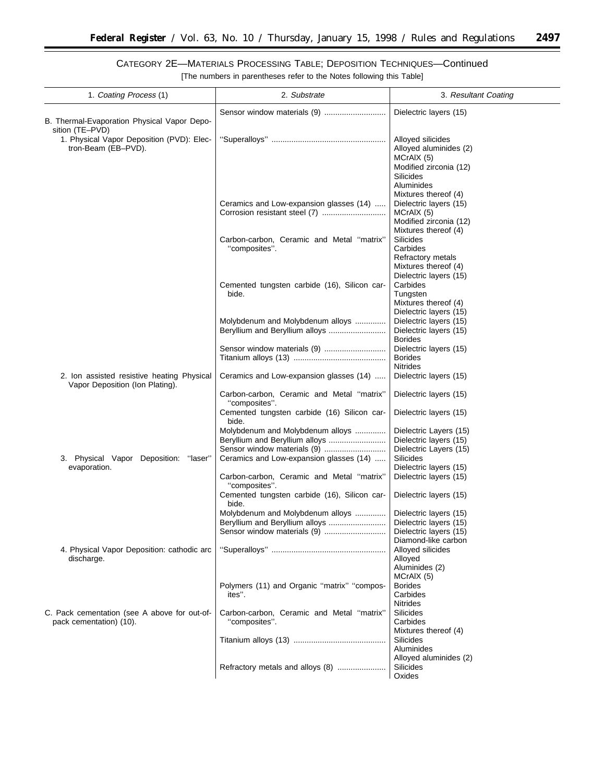۰

| 1. Coating Process (1)                                                        | 2. Substrate                                                                                      | 3. Resultant Coating                                                                                                                   |
|-------------------------------------------------------------------------------|---------------------------------------------------------------------------------------------------|----------------------------------------------------------------------------------------------------------------------------------------|
| B. Thermal-Evaporation Physical Vapor Depo-<br>sition (TE-PVD)                |                                                                                                   | Dielectric layers (15)                                                                                                                 |
| 1. Physical Vapor Deposition (PVD): Elec-<br>tron-Beam (EB-PVD).              |                                                                                                   | Alloyed silicides<br>Alloyed aluminides (2)<br>MCrAIX (5)<br>Modified zirconia (12)<br>Silicides<br>Aluminides<br>Mixtures thereof (4) |
|                                                                               | Ceramics and Low-expansion glasses (14)                                                           | Dielectric layers (15)<br>MCrAIX (5)<br>Modified zirconia (12)<br>Mixtures thereof (4)                                                 |
|                                                                               | Carbon-carbon, Ceramic and Metal "matrix"<br>"composites".                                        | Silicides<br>Carbides<br>Refractory metals<br>Mixtures thereof (4)<br>Dielectric layers (15)                                           |
|                                                                               | Cemented tungsten carbide (16), Silicon car-<br>bide.                                             | Carbides<br>Tungsten<br>Mixtures thereof (4)<br>Dielectric layers (15)                                                                 |
|                                                                               | Molybdenum and Molybdenum alloys<br>Beryllium and Beryllium alloys                                | Dielectric layers (15)<br>Dielectric layers (15)<br><b>Borides</b>                                                                     |
|                                                                               |                                                                                                   | Dielectric layers (15)<br><b>Borides</b><br><b>Nitrides</b>                                                                            |
| 2. Ion assisted resistive heating Physical<br>Vapor Deposition (Ion Plating). | Ceramics and Low-expansion glasses (14)<br>Carbon-carbon, Ceramic and Metal "matrix"              | Dielectric layers (15)<br>Dielectric layers (15)                                                                                       |
|                                                                               | "composites".<br>Cemented tungsten carbide (16) Silicon car-<br>bide.                             | Dielectric layers (15)                                                                                                                 |
|                                                                               | Molybdenum and Molybdenum alloys<br>Beryllium and Beryllium alloys<br>Sensor window materials (9) | Dielectric Layers (15)<br>Dielectric layers (15)<br>Dielectric Layers (15)                                                             |
| Physical Vapor Deposition: "laser"<br>3.<br>evaporation.                      | Ceramics and Low-expansion glasses (14)<br>Carbon-carbon, Ceramic and Metal "matrix"              | Silicides<br>Dielectric layers (15)<br>Dielectric layers (15)                                                                          |
|                                                                               | "composites".<br>Cemented tungsten carbide (16), Silicon car-<br>bide.                            | Dielectric layers (15)                                                                                                                 |
|                                                                               | Molybdenum and Molybdenum alloys<br>Sensor window materials (9)                                   | Dielectric layers (15)<br>Dielectric layers (15)<br>Dielectric layers (15)<br>Diamond-like carbon                                      |
| 4. Physical Vapor Deposition: cathodic arc<br>discharge.                      |                                                                                                   | Alloyed silicides<br>Alloyed<br>Aluminides (2)<br>MCrAIX (5)                                                                           |
|                                                                               | Polymers (11) and Organic "matrix" "compos-<br>ites".                                             | <b>Borides</b><br>Carbides<br><b>Nitrides</b>                                                                                          |
| C. Pack cementation (see A above for out-of-<br>pack cementation) (10).       | Carbon-carbon, Ceramic and Metal "matrix"<br>"composites".                                        | Silicides<br>Carbides<br>Mixtures thereof (4)                                                                                          |
|                                                                               |                                                                                                   | Silicides<br>Aluminides<br>Alloyed aluminides (2)                                                                                      |
|                                                                               | Refractory metals and alloys (8)                                                                  | Silicides<br>Oxides                                                                                                                    |

# CATEGORY 2E—MATERIALS PROCESSING TABLE; DEPOSITION TECHNIQUES—Continued [The numbers in parentheses refer to the Notes following this Table]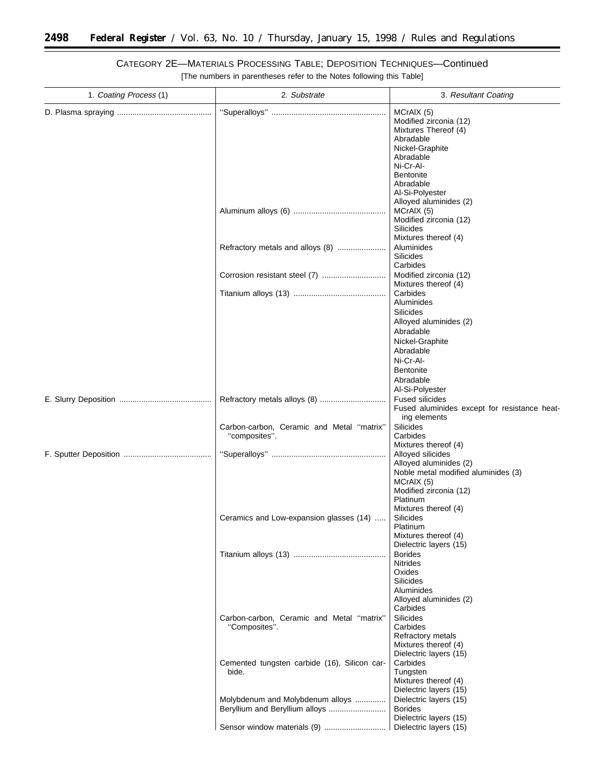Ξ

| 1. Coating Process (1) | 2. Substrate                                               | 3. Resultant Coating                                                                                                                                                                                 |
|------------------------|------------------------------------------------------------|------------------------------------------------------------------------------------------------------------------------------------------------------------------------------------------------------|
|                        |                                                            | MCrAIX (5)<br>Modified zirconia (12)<br>Mixtures Thereof (4)<br>Abradable<br>Nickel-Graphite<br>Abradable<br>Ni-Cr-Al-<br><b>Bentonite</b><br>Abradable<br>Al-Si-Polyester<br>Alloyed aluminides (2) |
|                        |                                                            | MCrAIX (5)<br>Modified zirconia (12)<br>Silicides<br>Mixtures thereof (4)                                                                                                                            |
|                        | Refractory metals and alloys (8)                           | Aluminides<br>Silicides                                                                                                                                                                              |
|                        |                                                            | Carbides<br>Modified zirconia (12)                                                                                                                                                                   |
|                        |                                                            | Mixtures thereof (4)<br>Carbides<br>Aluminides<br><b>Silicides</b>                                                                                                                                   |
|                        |                                                            | Alloyed aluminides (2)<br>Abradable<br>Nickel-Graphite<br>Abradable<br>Ni-Cr-Al-<br><b>Bentonite</b><br>Abradable<br>Al-Si-Polyester                                                                 |
|                        |                                                            | <b>Fused silicides</b><br>Fused aluminides except for resistance heat-<br>ing elements                                                                                                               |
|                        | Carbon-carbon, Ceramic and Metal "matrix"<br>"composites". | Silicides<br>Carbides<br>Mixtures thereof (4)                                                                                                                                                        |
|                        |                                                            | Alloyed silicides<br>Alloyed aluminides (2)<br>Noble metal modified aluminides (3)<br>MCrAIX (5)<br>Modified zirconia (12)<br>Platinum<br>Mixtures thereof (4)                                       |
|                        | Ceramics and Low-expansion glasses (14)                    | Silicides<br>Platinum<br>Mixtures thereof (4)<br>Dielectric layers (15)                                                                                                                              |
|                        |                                                            | <b>Borides</b><br><b>Nitrides</b><br>Oxides<br>Silicides<br>Aluminides<br>Alloyed aluminides (2)<br>Carbides                                                                                         |
|                        | Carbon-carbon, Ceramic and Metal "matrix"<br>"Composites". | Silicides<br>Carbides<br>Refractory metals<br>Mixtures thereof (4)<br>Dielectric layers (15)                                                                                                         |
|                        | Cemented tungsten carbide (16), Silicon car-<br>bide.      | Carbides<br>Tungsten<br>Mixtures thereof (4)<br>Dielectric layers (15)                                                                                                                               |
|                        | Molybdenum and Molybdenum alloys                           | Dielectric layers (15)<br><b>Borides</b><br>Dielectric layers (15)                                                                                                                                   |
|                        |                                                            | Dielectric layers (15)                                                                                                                                                                               |

CATEGORY 2E—MATERIALS PROCESSING TABLE; DEPOSITION TECHNIQUES—Continued [The numbers in parentheses refer to the Notes following this Table]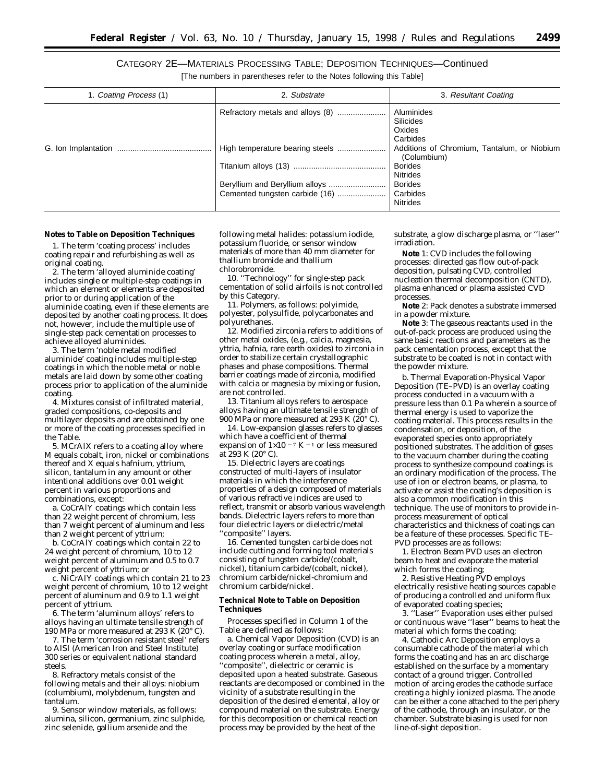CATEGORY 2E—MATERIALS PROCESSING TABLE; DEPOSITION TECHNIQUES—Continued

[The numbers in parentheses refer to the Notes following this Table]

| 1. Coating Process (1) | 2. Substrate                     | 3. Resultant Coating                                       |
|------------------------|----------------------------------|------------------------------------------------------------|
|                        | Refractory metals and alloys (8) | Aluminides<br>Silicides<br>Oxides<br>Carbides              |
|                        |                                  | Additions of Chromium, Tantalum, or Niobium<br>(Columbium) |
|                        |                                  | <b>Borides</b><br><b>Nitrides</b>                          |
|                        | Beryllium and Beryllium alloys   | <b>Borides</b><br>Carbides<br>Nitrides                     |

#### **Notes to Table on Deposition Techniques**

1. The term 'coating process' includes coating repair and refurbishing as well as original coating.

2. The term 'alloyed aluminide coating' includes single or multiple-step coatings in which an element or elements are deposited prior to or during application of the aluminide coating, even if these elements are deposited by another coating process. It does not, however, include the multiple use of single-step pack cementation processes to achieve alloyed aluminides.

3. The term 'noble metal modified aluminide' coating includes multiple-step coatings in which the noble metal or noble metals are laid down by some other coating process prior to application of the aluminide coating.

4. Mixtures consist of infiltrated material, graded compositions, co-deposits and multilayer deposits and are obtained by one or more of the coating processes specified in the Table.

5. MCrAlX refers to a coating alloy where M equals cobalt, iron, nickel or combinations thereof and X equals hafnium, yttrium, silicon, tantalum in any amount or other intentional additions over 0.01 weight percent in various proportions and combinations, except:

a. CoCrAlY coatings which contain less than 22 weight percent of chromium, less than 7 weight percent of aluminum and less than 2 weight percent of yttrium;

b. CoCrAlY coatings which contain 22 to 24 weight percent of chromium, 10 to 12 weight percent of aluminum and 0.5 to 0.7 weight percent of yttrium; *or*

c. NiCrAlY coatings which contain 21 to 23 weight percent of chromium, 10 to 12 weight percent of aluminum and 0.9 to 1.1 weight percent of yttrium.

6. The term 'aluminum alloys' refers to alloys having an ultimate tensile strength of 190 MPa or more measured at 293 K (20° C).

7. The term 'corrosion resistant steel' refers to AISI (American Iron and Steel Institute) 300 series or equivalent national standard steels.

8. Refractory metals consist of the following metals and their alloys: niobium (columbium), molybdenum, tungsten and tantalum.

9. Sensor window materials, as follows: alumina, silicon, germanium, zinc sulphide, zinc selenide, gallium arsenide and the

following metal halides: potassium iodide, potassium fluoride, or sensor window materials of more than 40 mm diameter for thallium bromide and thallium chlorobromide.

10. ''Technology'' for single-step pack cementation of solid airfoils is not controlled by this Category.

11. Polymers, as follows: polyimide, polyester, polysulfide, polycarbonates and polyurethanes.

12. Modified zirconia refers to additions of other metal oxides, (e.g., calcia, magnesia, yttria, hafnia, rare earth oxides) to zirconia in order to stabilize certain crystallographic phases and phase compositions. Thermal barrier coatings made of zirconia, modified with calcia or magnesia by mixing or fusion, are not controlled.

13. Titanium alloys refers to aerospace alloys having an ultimate tensile strength of 900 MPa or more measured at 293 K (20° C).

14. Low-expansion glasses refers to glasses which have a coefficient of thermal expansion of  $1\times10^{-7}$  K <sup>-1</sup> or less measured at 293 K (20° C).

15. Dielectric layers are coatings constructed of multi-layers of insulator materials in which the interference properties of a design composed of materials of various refractive indices are used to reflect, transmit or absorb various wavelength bands. Dielectric layers refers to more than four dielectric layers or dielectric/metal "composite" layers.

16. Cemented tungsten carbide does not include cutting and forming tool materials consisting of tungsten carbide/(cobalt, nickel), titanium carbide/(cobalt, nickel), chromium carbide/nickel-chromium and chromium carbide/nickel.

## **Technical Note to Table on Deposition Techniques**

Processes specified in Column 1 of the Table are defined as follows:

a. Chemical Vapor Deposition (CVD) is an overlay coating or surface modification coating process wherein a metal, alloy, ''composite'', dielectric or ceramic is deposited upon a heated substrate. Gaseous reactants are decomposed or combined in the vicinity of a substrate resulting in the deposition of the desired elemental, alloy or compound material on the substrate. Energy for this decomposition or chemical reaction process may be provided by the heat of the

substrate, a glow discharge plasma, or ''laser'' irradiation.

**Note** 1: CVD includes the following processes: directed gas flow out-of-pack deposition, pulsating CVD, controlled nucleation thermal decomposition (CNTD), plasma enhanced or plasma assisted CVD processes.

**Note** 2: Pack denotes a substrate immersed in a powder mixture.

**Note** 3: The gaseous reactants used in the out-of-pack process are produced using the same basic reactions and parameters as the pack cementation process, except that the substrate to be coated is not in contact with the powder mixture.

b. Thermal Evaporation-Physical Vapor Deposition (TE–PVD) is an overlay coating process conducted in a vacuum with a pressure less than 0.1 Pa wherein a source of thermal energy is used to vaporize the coating material. This process results in the condensation, or deposition, of the evaporated species onto appropriately positioned substrates. The addition of gases to the vacuum chamber during the coating process to synthesize compound coatings is an ordinary modification of the process. The use of ion or electron beams, or plasma, to activate or assist the coating's deposition is also a common modification in this technique. The use of monitors to provide inprocess measurement of optical characteristics and thickness of coatings can be a feature of these processes. Specific TE– PVD processes are as follows:

1. Electron Beam PVD uses an electron beam to heat and evaporate the material which forms the coating;

2. Resistive Heating PVD employs electrically resistive heating sources capable of producing a controlled and uniform flux of evaporated coating species;

3. ''Laser'' Evaporation uses either pulsed or continuous wave ''laser'' beams to heat the material which forms the coating;

4. Cathodic Arc Deposition employs a consumable cathode of the material which forms the coating and has an arc discharge established on the surface by a momentary contact of a ground trigger. Controlled motion of arcing erodes the cathode surface creating a highly ionized plasma. The anode can be either a cone attached to the periphery of the cathode, through an insulator, or the chamber. Substrate biasing is used for non line-of-sight deposition.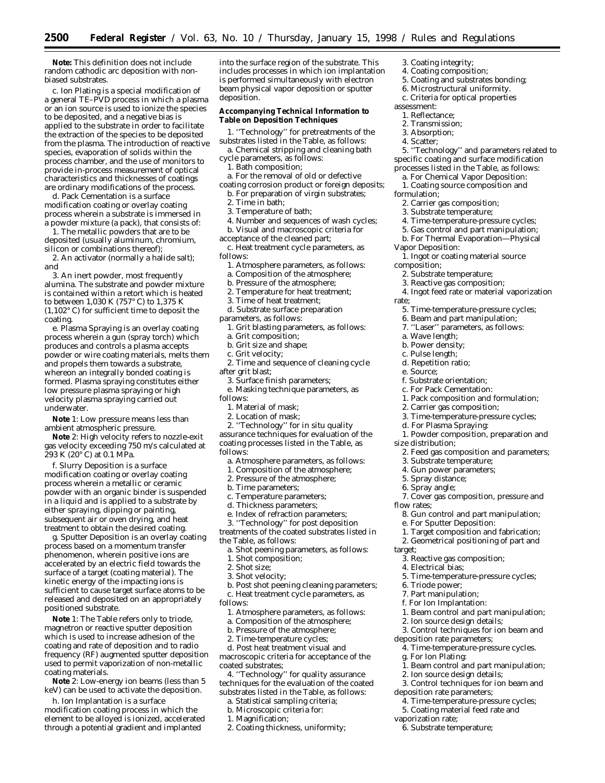**Note:** This definition does not include random cathodic arc deposition with nonbiased substrates.

c. Ion Plating is a special modification of a general TE–PVD process in which a plasma or an ion source is used to ionize the species to be deposited, and a negative bias is applied to the substrate in order to facilitate the extraction of the species to be deposited from the plasma. The introduction of reactive species, evaporation of solids within the process chamber, and the use of monitors to provide in-process measurement of optical characteristics and thicknesses of coatings are ordinary modifications of the process.

d. Pack Cementation is a surface modification coating or overlay coating process wherein a substrate is immersed in a powder mixture (a pack), that consists of:

1. The metallic powders that are to be deposited (usually aluminum, chromium, silicon or combinations thereof);

2. An activator (normally a halide salt); *and*

3. An inert powder, most frequently alumina. The substrate and powder mixture is contained within a retort which is heated to between 1,030 K (757° C) to 1,375 K (1,102° C) for sufficient time to deposit the coating.

e. Plasma Spraying is an overlay coating process wherein a gun (spray torch) which produces and controls a plasma accepts powder or wire coating materials, melts them and propels them towards a substrate, whereon an integrally bonded coating is formed. Plasma spraying constitutes either low pressure plasma spraying or high velocity plasma spraying carried out underwater.

**Note** 1: Low pressure means less than ambient atmospheric pressure.

**Note** 2: High velocity refers to nozzle-exit gas velocity exceeding 750 m/s calculated at  $293 K (20^{\circ} C)$  at 0.1 MPa.

f. Slurry Deposition is a surface modification coating or overlay coating process wherein a metallic or ceramic powder with an organic binder is suspended in a liquid and is applied to a substrate by either spraying, dipping or painting, subsequent air or oven drying, and heat treatment to obtain the desired coating.

g. Sputter Deposition is an overlay coating process based on a momentum transfer phenomenon, wherein positive ions are accelerated by an electric field towards the surface of a target (coating material). The kinetic energy of the impacting ions is sufficient to cause target surface atoms to be released and deposited on an appropriately positioned substrate.

**Note** 1: The Table refers only to triode, magnetron or reactive sputter deposition which is used to increase adhesion of the coating and rate of deposition and to radio frequency (RF) augmented sputter deposition used to permit vaporization of non-metallic coating materials.

**Note** 2: Low-energy ion beams (less than 5 keV) can be used to activate the deposition.

h. Ion Implantation is a surface modification coating process in which the element to be alloyed is ionized, accelerated through a potential gradient and implanted

into the surface region of the substrate. This includes processes in which ion implantation is performed simultaneously with electron beam physical vapor deposition or sputter deposition.

#### **Accompanying Technical Information to Table on Deposition Techniques**

1. ''Technology'' for pretreatments of the substrates listed in the Table, as follows:

a. Chemical stripping and cleaning bath cycle parameters, as follows:

1. Bath composition;

a. For the removal of old or defective coating corrosion product or foreign deposits;

- b. For preparation of virgin substrates;
	- 2. Time in bath;
	- 3. Temperature of bath;
	- 4. Number and sequences of wash cycles;
- b. Visual and macroscopic criteria for

acceptance of the cleaned part;

c. Heat treatment cycle parameters, as follows:

- 1. Atmosphere parameters, as follows:
- a. Composition of the atmosphere;
- b. Pressure of the atmosphere;
- 2. Temperature for heat treatment;
- 3. Time of heat treatment;
- d. Substrate surface preparation

parameters, as follows:

- 1. Grit blasting parameters, as follows:
- a. Grit composition;
- b. Grit size and shape;

c. Grit velocity;

- 2. Time and sequence of cleaning cycle after grit blast;
	- 3. Surface finish parameters;
- e. Masking technique parameters, as follows:
	- 1. Material of mask;
	- 2. Location of mask;
	- 2. ''Technology'' for in situ quality

assurance techniques for evaluation of the coating processes listed in the Table, as follows:

- a. Atmosphere parameters, as follows:
- 1. Composition of the atmosphere;
- 2. Pressure of the atmosphere;
- b. Time parameters;
- c. Temperature parameters;
- d. Thickness parameters;
- e. Index of refraction parameters;

3. ''Technology'' for post deposition treatments of the coated substrates listed in

the Table, as follows: a. Shot peening parameters, as follows:

- 1. Shot composition;
- 2. Shot size;
- 3. Shot velocity;

b. Post shot peening cleaning parameters;

c. Heat treatment cycle parameters, as follows:

- 1. Atmosphere parameters, as follows:
- a. Composition of the atmosphere;

b. Pressure of the atmosphere;

2. Time-temperature cycles;

d. Post heat treatment visual and macroscopic criteria for acceptance of the coated substrates;

4. ''Technology'' for quality assurance techniques for the evaluation of the coated substrates listed in the Table, as follows:

- a. Statistical sampling criteria;
- b. Microscopic criteria for:
- 1. Magnification;
- 2. Coating thickness, uniformity;
- 3. Coating integrity;
- 4. Coating composition;
- 5. Coating and substrates bonding; 6. Microstructural uniformity.
- c. Criteria for optical properties
- assessment:
	- 1. Reflectance;
- 2. Transmission;
- 3. Absorption;
- 4. Scatter;

5. ''Technology'' and parameters related to specific coating and surface modification processes listed in the Table, as follows:

- 
- a. For Chemical Vapor Deposition: 1. Coating source composition and
- formulation;
	- 2. Carrier gas composition;
	- 3. Substrate temperature;
	- 4. Time-temperature-pressure cycles;
- 5. Gas control and part manipulation;
- b. For Thermal Evaporation—Physical
- Vapor Deposition:

1. Ingot or coating material source composition;

- 2. Substrate temperature;
- 3. Reactive gas composition;
- 4. Ingot feed rate or material vaporization
- rate;
	- 5. Time-temperature-pressure cycles;
	- 6. Beam and part manipulation;
	- 7. ''Laser'' parameters, as follows:

1. Pack composition and formulation;

3. Time-temperature-pressure cycles;

1. Powder composition, preparation and

2. Feed gas composition and parameters;

7. Cover gas composition, pressure and

8. Gun control and part manipulation;

1. Target composition and fabrication; 2. Geometrical positioning of part and

5. Time-temperature-pressure cycles;

1. Beam control and part manipulation;

3. Control techniques for ion beam and

1. Beam control and part manipulation;

3. Control techniques for ion beam and

4. Time-temperature-pressure cycles; 5. Coating material feed rate and

4. Time-temperature-pressure cycles.

a. Wave length;

f. Substrate orientation; c. For Pack Cementation:

2. Carrier gas composition;

d. For Plasma Spraying:

3. Substrate temperature; 4. Gun power parameters; 5. Spray distance; 6. Spray angle;

e. For Sputter Deposition:

3. Reactive gas composition;

2. Ion source design details;

2. Ion source design details;

deposition rate parameters;

deposition rate parameters;

6. Substrate temperature;

g. For Ion Plating:

vaporization rate;

4. Electrical bias;

6. Triode power; 7. Part manipulation; f. For Ion Implantation:

- 
- b. Power density; c. Pulse length; d. Repetition ratio;

e. Source;

size distribution;

flow rates;

target;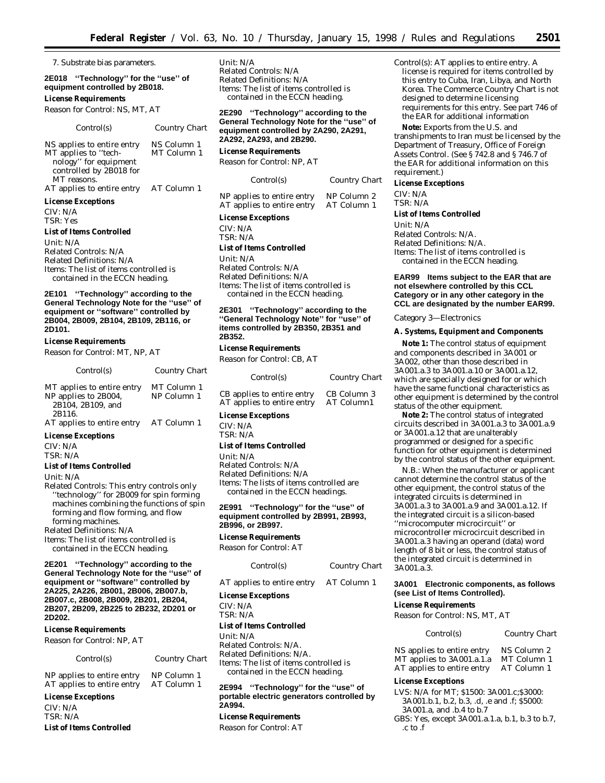$Country$  *Chart* 

7. Substrate bias parameters.

# **2E018 ''Technology'' for the ''use'' of equipment controlled by 2B018.**

# **License Requirements**

*Reason for Control:* NS, MT, AT

| Control(s)                 | Country Chart |
|----------------------------|---------------|
| NS applies to entire entry | NS Column 1   |
| MT applies to "tech-       | MT Column 1   |
| nology" for equipment      |               |
| controlled by 2B018 for    |               |
| MT reasons.                |               |
| AT applies to entire entry | AT Column 1   |

## **License Exceptions**

CIV: N/A TSR: Yes

#### **List of Items Controlled**

*Unit:* N/A *Related Controls:* N/A *Related Definitions:* N/A *Items:* The list of items controlled is contained in the ECCN heading.

**2E101 ''Technology'' according to the General Technology Note for the ''use'' of equipment or ''software'' controlled by 2B004, 2B009, 2B104, 2B109, 2B116, or 2D101.**

# **License Requirements**

*Reason for Control:* MT, NP, AT

| Control(s)                                                              | <b>Country Chart</b>       |
|-------------------------------------------------------------------------|----------------------------|
| MT applies to entire entry<br>NP applies to 2B004,<br>2B104, 2B109, and | MT Column 1<br>NP Column 1 |
| 2B116.<br>AT applies to entire entry<br>Tissanas Darsamilana            | AT Column 1                |

#### **License Exceptions**

CIV: N/A TSR: N/A

#### **List of Items Controlled**

*Unit:* N/A

*Related Controls:* This entry controls only ''technology'' for 2B009 for spin forming machines combining the functions of spin forming and flow forming, and flow forming machines. *Related Definitions:* N/A

*Items:* The list of items controlled is contained in the ECCN heading.

**2E201 ''Technology'' according to the General Technology Note for the ''use'' of equipment or ''software'' controlled by 2A225, 2A226, 2B001, 2B006, 2B007.b, 2B007.c, 2B008, 2B009, 2B201, 2B204, 2B207, 2B209, 2B225 to 2B232, 2D201 or 2D202.**

# **License Requirements**

*Reason for Control:* NP, AT

#### *Control(s) Country Chart*

# NP applies to entire entry NP Column 1<br>AT applies to entire entry AT Column 1 AT applies to entire entry

**License Exceptions**

# CIV: N/A TSR: N/A

**List of Items Controlled**

*Unit:* N/A *Related Controls:* N/A *Related Definitions:* N/A *Items:* The list of items controlled is contained in the ECCN heading.

**2E290 ''Technology'' according to the General Technology Note for the ''use'' of equipment controlled by 2A290, 2A291, 2A292, 2A293, and 2B290.**

**License Requirements**

*Reason for Control:* NP, AT

| Control(s) |  |
|------------|--|
|            |  |

NP applies to entire entry NP Column 2<br>AT applies to entire entry AT Column 1 AT applies to entire entry

#### **License Exceptions**

CIV: N/A TSR: N/A

# **List of Items Controlled**

*Unit:* N/A *Related Controls:* N/A Related Definitions: N/A *Items:* The list of items controlled is contained in the ECCN heading.

# **2E301 ''Technology'' according to the ''General Technology Note'' for ''use'' of items controlled by 2B350, 2B351 and 2B352.**

**License Requirements**

*Reason for Control:* CB, AT

| Control(s)                 | Country Chart |
|----------------------------|---------------|
| CB applies to entire entry | CB Column 3   |
| AT applies to entire entry | AT Column1    |

# **License Exceptions**

CIV: N/A TSR: N/A

#### **List of Items Controlled**

*Unit:* N/A

*Related Controls:* N/A *Related Definitions:* N/A *Items:* The lists of items controlled are contained in the ECCN headings.

## **2E991 ''Technology'' for the ''use'' of equipment controlled by 2B991, 2B993, 2B996, or 2B997.**

# **License Requirements**

*Reason for Control:* AT

| Control(s) |  |
|------------|--|
|------------|--|

AT applies to entire entry AT Column 1

**License Exceptions**

CIV: N/A

TSR: N/A

# **List of Items Controlled**

*Unit:* N/A *Related Controls:* N/A. *Related Definitions:* N/A. *Items:* The list of items controlled is contained in the ECCN heading.

# **2E994 ''Technology'' for the ''use'' of portable electric generators controlled by 2A994.**

# **License Requirements**

*Reason for Control:* AT

*Control(s):* AT applies to entire entry. A license is required for items controlled by this entry to Cuba, Iran, Libya, and North Korea. The Commerce Country Chart is not designed to determine licensing requirements for this entry. See part 746 of the EAR for additional information

**Note:** Exports from the U.S. and transhipments to Iran must be licensed by the Department of Treasury, Office of Foreign Assets Control. (See § 742.8 and § 746.7 of the EAR for additional information on this requirement.)

# **License Exceptions**

CIV: N/A TSR: N/A

#### **List of Items Controlled**

*Unit:* N/A *Related Controls:* N/A. *Related Definitions:* N/A. *Items:* The list of items controlled is

contained in the ECCN heading.

# **EAR99 Items subject to the EAR that are not elsewhere controlled by this CCL Category or in any other category in the CCL are designated by the number EAR99.**

*Category 3—Electronics*

# **A. Systems, Equipment and Components**

**Note 1:** The control status of equipment and components described in 3A001 or 3A002, other than those described in 3A001.a.3 to 3A001.a.10 or 3A001.a.12, which are specially designed for or which have the same functional characteristics as other equipment is determined by the control status of the other equipment.

**Note 2:** The control status of integrated circuits described in 3A001.a.3 to 3A001.a.9 or 3A001.a.12 that are unalterably programmed or designed for a specific function for other equipment is determined by the control status of the other equipment.

N.B.: When the manufacturer or applicant cannot determine the control status of the other equipment, the control status of the integrated circuits is determined in 3A001.a.3 to 3A001.a.9 and 3A001.a.12. If the integrated circuit is a silicon-based ''microcomputer microcircuit'' or microcontroller microcircuit described in 3A001.a.3 having an operand (data) word length of 8 bit or less, the control status of the integrated circuit is determined in 3A001.a.3.

# **3A001 Electronic components, as follows (see List of Items Controlled).**

# **License Requirements**

# *Control(s) Country Chart*

NS applies to entire entry NS Column 2<br>MT applies to 3A001.a.1.a MT Column 1 MT applies to 3A001.a.1.a MT Column 1<br>AT applies to entire entry AT Column 1 AT applies to entire entry

# **License Exceptions**

LVS: N/A for MT; \$1500: 3A001.c;\$3000: 3A001.b.1, b.2, b.3, .d, .e and .f; \$5000: 3A001.a, and .b.4 to b.7 GBS: Yes, except 3A001.a.1.a, b.1, b.3 to b.7, .c to .f

 $Country$  *Chart* 

*Reason for Control:* NS, MT, AT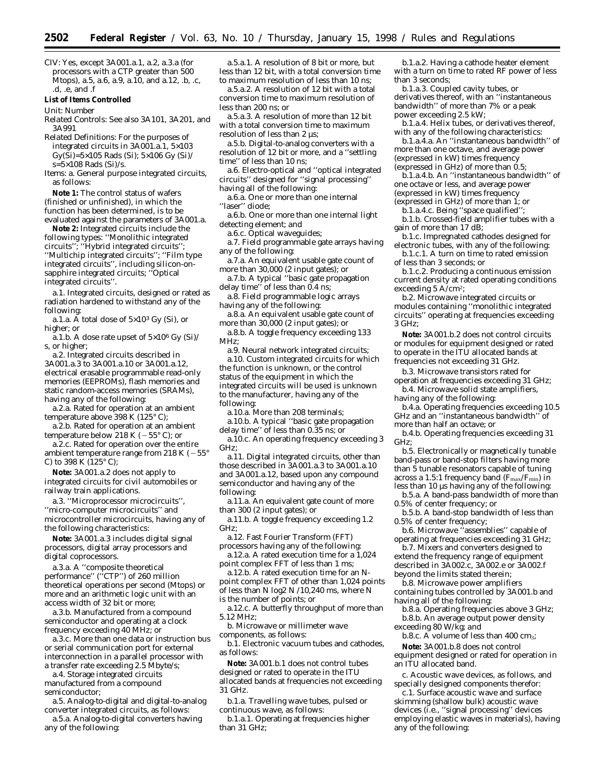CIV: Yes, except 3A001.a.1, a.2, a.3.a (for processors with a CTP greater than 500 Mtops), a.5, a.6, a.9, a.10, and a.12, .b, .c, .d, .e, and .f

#### **List of Items Controlled**

*Unit:* Number

*Related Controls:* See also 3A101, 3A201, and 3A991

*Related Definitions:* For the purposes of integrated circuits in  $3A001.a.1, 5\times103$  $Gy(Si)=5\times105$  Rads (Si);  $5\times106$  Gy (Si)/  $s=5\times108$  Rads (Si)/s.

*Items:* a. General purpose integrated circuits, as follows:

**Note 1:** The control status of wafers (finished or unfinished), in which the function has been determined, is to be evaluated against the parameters of 3A001.a.

**Note 2:** Integrated circuits include the following types: ''Monolithic integrated circuits''; ''Hybrid integrated circuits''; ''Multichip integrated circuits''; ''Film type integrated circuits'', including silicon-onsapphire integrated circuits; ''Optical integrated circuits''.

a.1. Integrated circuits, designed or rated as radiation hardened to withstand any of the following:

a.1.a.  $\overline{A}$  total dose of  $5\times10^3$  Gy (Si), or higher; *or*

a.1.b. A dose rate upset of  $5\times10^6$  Gy (Si)/ s, or higher;

a.2. Integrated circuits described in 3A001.a.3 to 3A001.a.10 or 3A001.a.12, electrical erasable programmable read-only memories (EEPROMs), flash memories and static random-access memories (SRAMs), having any of the following:

a.2.a. Rated for operation at an ambient temperature above 398 K (125° C);

a.2.b. Rated for operation at an ambient temperature below 218 K  $(-55^{\circ} C)$ ; or

a.2.c. Rated for operation over the entire ambient temperature range from 218 K  $(-55^{\circ}$ C) to 398 K  $(125^{\circ} C)$ ;

**Note:** 3A001.a.2 does not apply to integrated circuits for civil automobiles or railway train applications.

a.3. ''Microprocessor microcircuits'', ''micro-computer microcircuits'' and microcontroller microcircuits, having any of the following characteristics:

**Note:** 3A001.a.3 includes digital signal processors, digital array processors and digital coprocessors.

a.3.a. A ''composite theoretical performance" ("CTP") of 260 million theoretical operations per second (Mtops) or more and an arithmetic logic unit with an access width of 32 bit or more;

a.3.b. Manufactured from a compound semiconductor and operating at a clock frequency exceeding 40 MHz; *or*

a.3.c. More than one data or instruction bus or serial communication port for external interconnection in a parallel processor with a transfer rate exceeding 2.5 Mbyte/s;

a.4. Storage integrated circuits manufactured from a compound semiconductor;

a.5. Analog-to-digital and digital-to-analog converter integrated circuits, as follows: a.5.a. Analog-to-digital converters having

any of the following:

a.5.a.1. A resolution of 8 bit or more, but less than 12 bit, with a total conversion time to maximum resolution of less than 10 ns;

a.5.a.2. A resolution of 12 bit with a total conversion time to maximum resolution of less than 200 ns; *or*

a.5.a.3. A resolution of more than 12 bit with a total conversion time to maximum resolution of less than 2 µs;

a.5.b. Digital-to-analog converters with a resolution of 12 bit or more, and a ''settling time'' of less than 10 ns;

a.6. Electro-optical and ''optical integrated circuits'' designed for ''signal processing'' having all of the following:

a.6.a. One or more than one internal ''laser'' diode;

a.6.b. One or more than one internal light detecting element; *and*

a.6.c. Optical waveguides;

a.7. Field programmable gate arrays having any of the following:

a.7.a. An equivalent usable gate count of more than 30,000 (2 input gates); *or*

a.7.b. A typical ''basic gate propagation delay time'' of less than 0.4 ns;

a.8. Field programmable logic arrays having any of the following:

a.8.a. An equivalent usable gate count of more than 30,000 (2 input gates); *or*

a.8.b. A toggle frequency exceeding 133 MHz;

a.9. Neural network integrated circuits; a.10. Custom integrated circuits for which the function is unknown, or the control status of the equipment in which the integrated circuits will be used is unknown to the manufacturer, having any of the following:

a.10.a. More than 208 terminals;

a.10.b. A typical ''basic gate propagation delay time'' of less than 0.35 ns; *or*

a.10.c. An operating frequency exceeding 3 GHz;

a.11. Digital integrated circuits, other than those described in 3A001.a.3 to 3A001.a.10 and 3A001.a.12, based upon any compound semiconductor and having any of the following:

a.11.a. An equivalent gate count of more than 300 (2 input gates); *or*

a.11.b. A toggle frequency exceeding 1.2 GHz;

a.12. Fast Fourier Transform (FFT) processors having any of the following:

a.12.a. A rated execution time for a 1,024 point complex FFT of less than 1 ms;

a.12.b. A rated execution time for an Npoint complex FFT of other than 1,024 points of less than N log2 N /10,240 ms, where N is the number of points; *or*

a.12.c. A butterfly throughput of more than 5.12 MHz;

b. Microwave or millimeter wave components, as follows:

b.1. Electronic vacuum tubes and cathodes, as follows:

**Note:** 3A001.b.1 does not control tubes designed or rated to operate in the ITU allocated bands at frequencies not exceeding 31 GHz.

b.1.a. Travelling wave tubes, pulsed or continuous wave, as follows:

b.1.a.1. Operating at frequencies higher than 31 GHz;

b.1.a.2. Having a cathode heater element with a turn on time to rated RF power of less than 3 seconds;

b.1.a.3. Coupled cavity tubes, or derivatives thereof, with an ''instantaneous bandwidth'' of more than 7% or a peak power exceeding 2.5 kW;

b.1.a.4. Helix tubes, or derivatives thereof, with any of the following characteristics:

b.1.a.4.a. An ''instantaneous bandwidth'' of more than one octave, and average power (expressed in kW) times frequency (expressed in GHz) of more than 0.5;

b.1.a.4.b. An ''instantaneous bandwidth'' of one octave or less, and average power (expressed in kW) times frequency

(expressed in GHz) of more than 1; *or*

b.1.a.4.c. Being ''space qualified''; b.1.b. Crossed-field amplifier tubes with a

gain of more than 17 dB;

b.1.c. Impregnated cathodes designed for electronic tubes, with any of the following:

b.1.c.1. A turn on time to rated emission of less than 3 seconds; *or*

b.1.c.2. Producing a continuous emission current density at rated operating conditions exceeding 5 A/cm2;

b.2. Microwave integrated circuits or modules containing ''monolithic integrated circuits'' operating at frequencies exceeding 3 GHz;

**Note:** 3A001.b.2 does not control circuits or modules for equipment designed or rated to operate in the ITU allocated bands at frequencies not exceeding 31 GHz.

b.3. Microwave transistors rated for operation at frequencies exceeding 31 GHz; b.4. Microwave solid state amplifiers,

having any of the following:

b.4.a. Operating frequencies exceeding 10.5 GHz and an ''instantaneous bandwidth'' of more than half an octave; *or*

b.4.b. Operating frequencies exceeding 31 GHz;

b.5. Electronically or magnetically tunable band-pass or band-stop filters having more than 5 tunable resonators capable of tuning across a 1.5:1 frequency band ( $F_{\text{max}}/F_{\text{min}}$ ) in less than 10 µs having any of the following:

b.5.a. A band-pass bandwidth of more than 0.5% of center frequency; *or*

b.5.b. A band-stop bandwidth of less than 0.5% of center frequency;

b.6. Microwave ''assemblies'' capable of operating at frequencies exceeding 31 GHz;

b.7. Mixers and converters designed to extend the frequency range of equipment described in 3A002.c, 3A002.e or 3A002.f

beyond the limits stated therein; b.8. Microwave power amplifiers containing tubes controlled by 3A001.b and

having all of the following: b.8.a. Operating frequencies above 3 GHz; b.8.b. An average output power density

exceeding 80 W/kg; *and*

b.8.c. A volume of less than 400 cm<sub>3</sub>;

**Note:** 3A001.b.8 does not control equipment designed or rated for operation in an ITU allocated band.

c. Acoustic wave devices, as follows, and specially designed components therefor:

c.1. Surface acoustic wave and surface skimming (shallow bulk) acoustic wave devices (i.e., ''signal processing'' devices employing elastic waves in materials), having any of the following: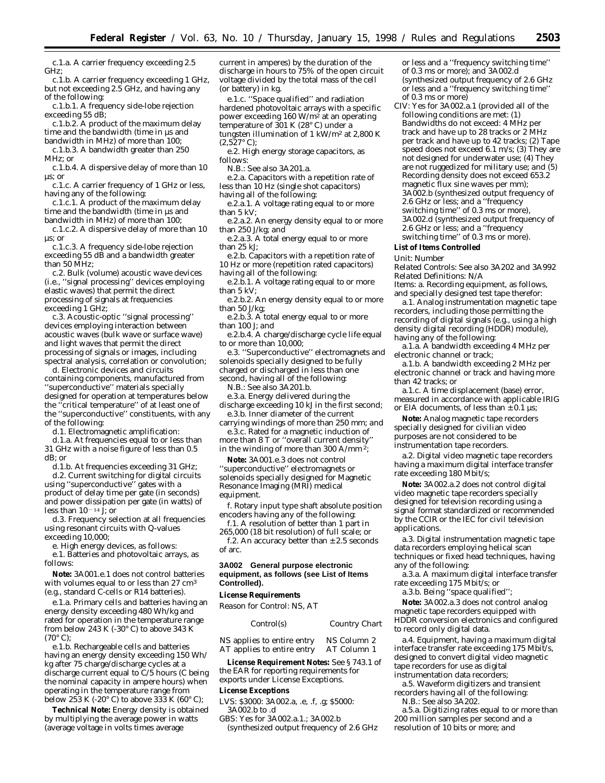c.1.a. A carrier frequency exceeding 2.5 GHz;

c.1.b. A carrier frequency exceeding 1 GHz, but not exceeding 2.5 GHz, and having any of the following:

c.1.b.1. A frequency side-lobe rejection exceeding 55 dB;

c.1.b.2. A product of the maximum delay time and the bandwidth (time in µs and bandwidth in MHz) of more than 100;

c.1.b.3. A bandwidth greater than 250 MHz; *or*

c.1.b.4. A dispersive delay of more than 10 µs; *or*

c.1.c. A carrier frequency of 1 GHz or less, having any of the following:

c.1.c.1. A product of the maximum delay time and the bandwidth (time in µs and bandwidth in MHz) of more than 100;

c.1.c.2. A dispersive delay of more than 10 µs; *or*

c.1.c.3. A frequency side-lobe rejection exceeding 55 dB and a bandwidth greater than 50 MHz;

c.2. Bulk (volume) acoustic wave devices (i.e., ''signal processing'' devices employing elastic waves) that permit the direct processing of signals at frequencies exceeding 1 GHz;

c.3. Acoustic-optic ''signal processing'' devices employing interaction between acoustic waves (bulk wave or surface wave) and light waves that permit the direct processing of signals or images, including spectral analysis, correlation or convolution;

d. Electronic devices and circuits containing components, manufactured from ''superconductive'' materials specially designed for operation at temperatures below the ''critical temperature'' of at least one of the ''superconductive'' constituents, with any of the following:

d.1. Electromagnetic amplification:

d.1.a. At frequencies equal to or less than 31 GHz with a noise figure of less than 0.5 dB; *or*

d.1.b. At frequencies exceeding 31 GHz;

d.2. Current switching for digital circuits using ''superconductive'' gates with a product of delay time per gate (in seconds) and power dissipation per gate (in watts) of less than  $10^{-14}$  J; or

d.3. Frequency selection at all frequencies using resonant circuits with Q-values exceeding 10,000;

e. High energy devices, as follows: e.1. Batteries and photovoltaic arrays, as follows:

**Note:** 3A001.e.1 does not control batteries with volumes equal to or less than 27 cm<sup>3</sup> (e.g., standard C-cells or R14 batteries).

e.1.a. Primary cells and batteries having an energy density exceeding 480 Wh/kg and rated for operation in the temperature range from below 243 K (-30 $\degree$  C) to above 343 K  $(70^{\circ} \text{ C})$ ;

e.1.b. Rechargeable cells and batteries having an energy density exceeding 150 Wh/ kg after 75 charge/discharge cycles at a discharge current equal to  $C/5$  hours (C being the nominal capacity in ampere hours) when operating in the temperature range from below 253 K (-20 $\degree$  C) to above 333 K (60 $\degree$  C);

**Technical Note:** Energy density is obtained by multiplying the average power in watts (average voltage in volts times average

current in amperes) by the duration of the discharge in hours to 75% of the open circuit voltage divided by the total mass of the cell (or battery) in kg.

e.1.c. ''Space qualified'' and radiation hardened photovoltaic arrays with a specific power exceeding 160  $W/m^2$  at an operating temperature of 301 K (28° C) under a tungsten illumination of 1 kW/m2 at 2,800 K  $(2,527^{\circ} \text{ C});$ 

e.2. High energy storage capacitors, as follows:

N.B.: See also 3A201.a.

e.2.a. Capacitors with a repetition rate of less than 10 Hz (single shot capacitors)

having all of the following: e.2.a.1. A voltage rating equal to or more than 5 kV;

e.2.a.2. An energy density equal to or more than 250 J/kg; *and*

e.2.a.3. A total energy equal to or more than 25 kJ;

e.2.b. Capacitors with a repetition rate of 10 Hz or more (repetition rated capacitors)

having all of the following:

e.2.b.1. A voltage rating equal to or more than 5 kV;

e.2.b.2. An energy density equal to or more than 50 J/kg;

e.2.b.3. A total energy equal to or more than 100 J; *and*

e.2.b.4. A charge/discharge cycle life equal to or more than 10,000;

e.3. ''Superconductive'' electromagnets and solenoids specially designed to be fully charged or discharged in less than one second, having all of the following:

N.B.: See also 3A201.b.

e.3.a. Energy delivered during the discharge exceeding 10 kJ in the first second; e.3.b. Inner diameter of the current

carrying windings of more than 250 mm; *and* e.3.c. Rated for a magnetic induction of

more than 8 T or ''overall current density'' in the winding of more than 300 A/mm<sup>2</sup>;

**Note:** 3A001.e.3 does not control ''superconductive'' electromagnets or solenoids specially designed for Magnetic Resonance Imaging (MRI) medical equipment.

f. Rotary input type shaft absolute position encoders having any of the following:

f.1. A resolution of better than 1 part in 265,000 (18 bit resolution) of full scale; *or* f.2. An accuracy better than  $\pm$  2.5 seconds of arc.

# **3A002 General purpose electronic equipment, as follows (see List of Items Controlled).**

#### **License Requirements**

*Reason for Control*: NS, AT

| <i>Control(s)</i> | Country Chart |
|-------------------|---------------|
|                   |               |

NS applies to entire entry NS Column 2 AT applies to entire entry AT Column 1

**License Requirement Notes:** See § 743.1 of the EAR for reporting requirements for exports under License Exceptions.

#### **License Exceptions**

LVS: \$3000: 3A002.a, .e, .f, .g; \$5000: 3A002.b to .d

GBS: Yes for 3A002.a.1.; 3A002.b (synthesized output frequency of 2.6 GHz or less and a ''frequency switching time'' of 0.3 ms or more); and 3A002.d (synthesized output frequency of 2.6 GHz or less and a ''frequency switching time'' of 0.3 ms or more)

CIV: Yes for 3A002.a.1 (provided all of the following conditions are met: (1) Bandwidths do not exceed: 4 MHz per track and have up to 28 tracks or 2 MHz per track and have up to 42 tracks; (2) Tape speed does not exceed 6.1 m/s; (3) They are not designed for underwater use; (4) They are not ruggedized for military use; *and* (5) Recording density does not exceed 653.2 magnetic flux sine waves per mm); 3A002.b (synthesized output frequency of 2.6 GHz or less; and a ''frequency switching time'' of 0.3 ms or more), 3A002.d (synthesized output frequency of 2.6 GHz or less; and a ''frequency switching time'' of 0.3 ms or more).

# **List of Items Controlled**

*Unit:* Number

*Related Controls:* See also 3A202 and 3A992 *Related Definitions:* N/A

*Items:* a. Recording equipment, as follows, and specially designed test tape therefor:

a.1. Analog instrumentation magnetic tape recorders, including those permitting the recording of digital signals (e.g., using a high density digital recording (HDDR) module), having any of the following:

a.1.a. A bandwidth exceeding 4 MHz per electronic channel or track;

a.1.b. A bandwidth exceeding 2 MHz per electronic channel or track and having more than 42 tracks; *or*

a.1.c. A time displacement (base) error, measured in accordance with applicable IRIG or EIA documents, of less than  $\pm$  0.1  $\mu$ s;

**Note:** Analog magnetic tape recorders specially designed for civilian video purposes are not considered to be instrumentation tape recorders.

a.2. Digital video magnetic tape recorders having a maximum digital interface transfer rate exceeding 180 Mbit/s;

**Note:** 3A002.a.2 does not control digital video magnetic tape recorders specially designed for television recording using a signal format standardized or recommended by the CCIR or the IEC for civil television applications.

a.3. Digital instrumentation magnetic tape data recorders employing helical scan techniques or fixed head techniques, having any of the following:

a.3.a. A maximum digital interface transfer rate exceeding 175 Mbit/s; *or*

a.3.b. Being ''space qualified'';

**Note:** 3A002.a.3 does not control analog magnetic tape recorders equipped with HDDR conversion electronics and configured to record only digital data.

a.4. Equipment, having a maximum digital interface transfer rate exceeding 175 Mbit/s, designed to convert digital video magnetic tape recorders for use as digital instrumentation data recorders;

a.5. Waveform digitizers and transient recorders having all of the following:

N.B.: See also 3A202.

a.5.a. Digitizing rates equal to or more than 200 million samples per second and a resolution of 10 bits or more; *and*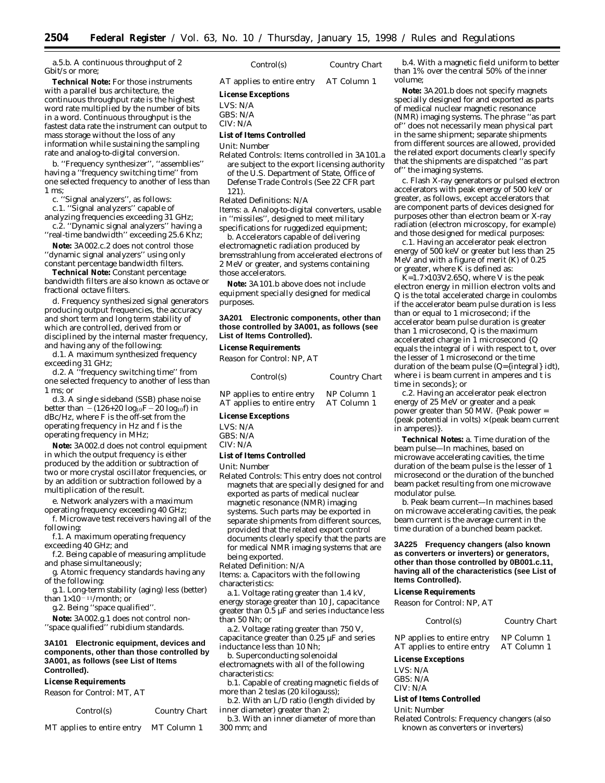a.5.b. A continuous throughput of 2 Gbit/s or more;

**Technical Note:** For those instruments with a parallel bus architecture, the continuous throughput rate is the highest word rate multiplied by the number of bits in a word. Continuous throughput is the fastest data rate the instrument can output to mass storage without the loss of any information while sustaining the sampling rate and analog-to-digital conversion.

b. ''Frequency synthesizer'', ''assemblies'' having a ''frequency switching time'' from one selected frequency to another of less than 1 ms;

c. ''Signal analyzers'', as follows:

c.1. ''Signal analyzers'' capable of

analyzing frequencies exceeding 31 GHz; c.2. ''Dynamic signal analyzers'' having a

''real-time bandwidth'' exceeding 25.6 Khz; **Note:** 3A002.c.2 does not control those

''dynamic signal analyzers'' using only constant percentage bandwidth filters.

**Technical Note:** Constant percentage bandwidth filters are also known as octave or fractional octave filters.

d. Frequency synthesized signal generators producing output frequencies, the accuracy and short term and long term stability of which are controlled, derived from or disciplined by the internal master frequency, and having any of the following:

d.1. A maximum synthesized frequency exceeding 31 GHz;

d.2. A ''frequency switching time'' from one selected frequency to another of less than 1 ms; *or*

d.3. A single sideband (SSB) phase noise better than  $-(126+20 \log_{10}F-20 \log_{10}f)$  in dBc/Hz, where F is the off-set from the operating frequency in Hz and f is the operating frequency in MHz;

**Note:** 3A002.d does not control equipment in which the output frequency is either produced by the addition or subtraction of two or more crystal oscillator frequencies, or by an addition or subtraction followed by a multiplication of the result.

e. Network analyzers with a maximum operating frequency exceeding 40 GHz;

f. Microwave test receivers having all of the following:

f.1. A maximum operating frequency exceeding 40 GHz; *and*

f.2. Being capable of measuring amplitude and phase simultaneously;

g. Atomic frequency standards having any of the following:

g.1. Long-term stability (aging) less (better) than  $1\times10^{-11}$ /month; *or* 

g.2. Being ''space qualified''.

**Note:** 3A002.g.1 does not control non- ''space qualified'' rubidium standards.

## **3A101 Electronic equipment, devices and components, other than those controlled by 3A001, as follows (see List of Items Controlled).**

#### **License Requirements**

*Reason for Control:* MT, AT

*Control(s) Country Chart*

MT applies to entire entry MT Column 1

AT applies to entire entry AT Column 1

#### **License Exceptions**

LVS: N/A

GBS: N/A

# CIV: N/A

# **List of Items Controlled**

*Unit:* Number

*Related Controls:* Items controlled in 3A101.a are subject to the export licensing authority of the U.S. Department of State, Office of Defense Trade Controls (See 22 CFR part 121).

# *Related Definitions:* N/A

*Items:* a. Analog-to-digital converters, usable in ''missiles'', designed to meet military specifications for ruggedized equipment;

b. Accelerators capable of delivering electromagnetic radiation produced by bremsstrahlung from accelerated electrons of 2 MeV or greater, and systems containing those accelerators.

**Note:** 3A101.b above does not include equipment specially designed for medical purposes.

## **3A201 Electronic components, other than those controlled by 3A001, as follows (see List of Items Controlled).**

# **License Requirements**

*Reason for Control:* NP, AT

| Control(s)                 | Country Chart |
|----------------------------|---------------|
| NP applies to entire entry | NP Column 1   |
| AT applies to entire entry | AT Column 1   |

# **License Exceptions**

| LVS: N/A |  |
|----------|--|
| GBS: N/A |  |
| CIV: N/A |  |

# **List of Items Controlled**

*Unit:* Number

*Related Controls:* This entry does not control magnets that are specially designed for and exported as parts of medical nuclear magnetic resonance (NMR) imaging systems. Such parts may be exported in separate shipments from different sources, provided that the related export control documents clearly specify that the parts are for medical NMR imaging systems that are being exported.

*Related Definition:* N/A

*Items:* a. Capacitors with the following characteristics:

a.1. Voltage rating greater than 1.4 kV, energy storage greater than 10 J, capacitance greater than 0.5 µF and series inductance less than 50 Nh; *or*

a.2. Voltage rating greater than 750 V, capacitance greater than 0.25 µF and series inductance less than 10 Nh;

b. Superconducting solenoidal electromagnets with all of the following characteristics:

b.1. Capable of creating magnetic fields of more than 2 teslas (20 kilogauss);

b.2. With an L/D ratio (length divided by inner diameter) greater than 2;

b.3. With an inner diameter of more than 300 mm; *and*

b.4. With a magnetic field uniform to better than 1% over the central 50% of the inner volume;

**Note:** 3A201.b does not specify magnets specially designed for and exported as parts of medical nuclear magnetic resonance (NMR) imaging systems. The phrase ''as part of'' does not necessarily mean physical part in the same shipment; separate shipments from different sources are allowed, provided the related export documents clearly specify that the shipments are dispatched ''as part of'' the imaging systems.

c. Flash X-ray generators or pulsed electron accelerators with peak energy of 500 keV or greater, as follows, except accelerators that are component parts of devices designed for purposes other than electron beam or X-ray radiation (electron microscopy, for example) and those designed for medical purposes:

c.1. Having an accelerator peak electron energy of 500 keV or greater but less than 25 MeV and with a figure of merit (K) of 0.25 or greater, where  $\overline{K}$  is defined as:

 $K=1.7\times103V2.65Q$ , where V is the peak electron energy in million electron volts and Q is the total accelerated charge in coulombs if the accelerator beam pulse duration is less than or equal to 1 microsecond; if the accelerator beam pulse duration is greater than 1 microsecond, Q is the maximum accelerated charge in 1 microsecond {Q equals the integral of i with respect to t, over the lesser of 1 microsecond or the time duration of the beam pulse (Q={integral} idt), where i is beam current in amperes and t is time in seconds}; *or*

c.2. Having an accelerator peak electron energy of 25 MeV or greater and a peak power greater than 50 MW. {Peak power = (peak potential in volts)  $\times$  (peak beam current in amperes)}.

**Technical Notes:** a. Time duration of the beam pulse—In machines, based on microwave accelerating cavities, the time duration of the beam pulse is the lesser of 1 microsecond or the duration of the bunched beam packet resulting from one microwave modulator pulse.

b. Peak beam current—In machines based on microwave accelerating cavities, the peak beam current is the average current in the time duration of a bunched beam packet.

**3A225 Frequency changers (also known as converters or inverters) or generators, other than those controlled by 0B001.c.11, having all of the characteristics (see List of Items Controlled).**

#### **License Requirements**

*Reason for Control:* NP, AT

*Control(s) Country Chart*

NP applies to entire entry NP Column 1<br>AT applies to entire entry AT Column 1 AT applies to entire entry

#### **License Exceptions**

LVS: N/A GBS: N/A CIV: N/A

#### **List of Items Controlled**

*Unit:* Number

*Related Controls:* Frequency changers (also known as converters or inverters)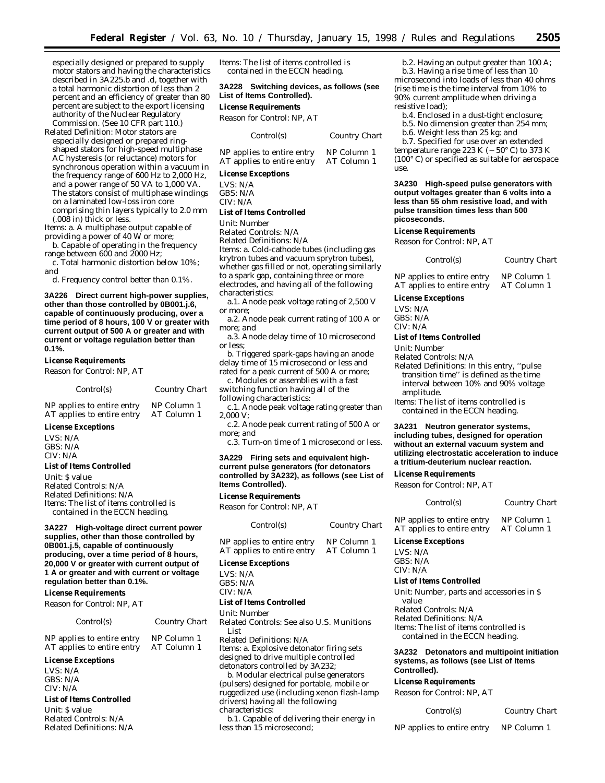especially designed or prepared to supply motor stators and having the characteristics described in 3A225.b and .d, together with a total harmonic distortion of less than 2 percent and an efficiency of greater than 80 percent are subject to the export licensing authority of the Nuclear Regulatory Commission. (See 10 CFR part 110.)

*Related Definition:* Motor stators are especially designed or prepared ringshaped stators for high-speed multiphase AC hysteresis (or reluctance) motors for synchronous operation within a vacuum in the frequency range of 600 Hz to 2,000 Hz, and a power range of 50 VA to 1,000 VA. The stators consist of multiphase windings on a laminated low-loss iron core comprising thin layers typically to 2.0 mm (.008 in) thick or less.

*Items:* a. A multiphase output capable of providing a power of 40 W or more;

b. Capable of operating in the frequency range between 600 and 2000 Hz;

c. Total harmonic distortion below 10%; *and*

d. Frequency control better than 0.1%.

**3A226 Direct current high-power supplies, other than those controlled by 0B001.j.6, capable of continuously producing, over a time period of 8 hours, 100 V or greater with current output of 500 A or greater and with current or voltage regulation better than 0.1%.**

#### **License Requirements**

*Reason for Control:* NP, AT

| Control(s) | Country Chart |
|------------|---------------|
|------------|---------------|

| NP applies to entire entry | NP Column 1 |
|----------------------------|-------------|
| AT applies to entire entry | AT Column 1 |

# **License Exceptions**

LVS: N/A GBS: N/A CIV: N/A

#### **List of Items Controlled**

*Unit:* \$ value *Related Controls:* N/A *Related Definitions:* N/A *Items:* The list of items controlled is contained in the ECCN heading.

# **3A227 High-voltage direct current power supplies, other than those controlled by 0B001.j.5, capable of continuously producing, over a time period of 8 hours, 20,000 V or greater with current output of 1 A or greater and with current or voltage regulation better than 0.1%.**

#### **License Requirements**

*Reason for Control:* NP, AT

# *Control(s) Country Chart*

NP applies to entire entry NP Column 1<br>AT applies to entire entry AT Column 1 AT applies to entire entry

#### **License Exceptions**

LVS: N/A GBS: N/A CIV: N/A

# **List of Items Controlled**

*Unit:* \$ value *Related Controls:* N/A *Related Definitions:* N/A *Items:* The list of items controlled is contained in the ECCN heading.

**3A228 Switching devices, as follows (see List of Items Controlled).**

# **License Requirements**

*Reason for Control:* NP, AT

*Control(s) Country Chart*

NP applies to entire entry NP Column 1<br>AT applies to entire entry AT Column 1 AT applies to entire entry

#### **License Exceptions**

LVS: N/A GBS: N/A CIV: N/A

#### **List of Items Controlled**

*Unit:* Number

*Related Controls:* N/A

*Related Definitions:* N/A *Items:* a. Cold-cathode tubes (including gas krytron tubes and vacuum sprytron tubes), whether gas filled or not, operating similarly to a spark gap, containing three or more electrodes, and having all of the following characteristics:

a.1. Anode peak voltage rating of 2,500 V or more;

a.2. Anode peak current rating of 100 A or more; *and*

a.3. Anode delay time of 10 microsecond or less;

b. Triggered spark-gaps having an anode delay time of 15 microsecond or less and rated for a peak current of 500 A or more;

c. Modules or assemblies with a fast

switching function having all of the following characteristics:

c.1. Anode peak voltage rating greater than 2,000 V;

c.2. Anode peak current rating of 500 A or more; and

c.3. Turn-on time of 1 microsecond or less.

# **3A229 Firing sets and equivalent highcurrent pulse generators (for detonators controlled by 3A232), as follows (see List of Items Controlled).**

# **License Requirements**

*Reason for Control:* NP, AT

| Control(s)                                               | Country Chart              |
|----------------------------------------------------------|----------------------------|
| NP applies to entire entry<br>AT applies to entire entry | NP Column 1<br>AT Column 1 |
|                                                          |                            |

# **License Exceptions**

LVS: N/A GBS: N/A CIV: N/A

# **List of Items Controlled**

*Unit:* Number

*Related Controls:* See also U.S. Munitions List

*Related Definitions:* N/A *Items:* a. Explosive detonator firing sets designed to drive multiple controlled detonators controlled by 3A232;

b. Modular electrical pulse generators (pulsers) designed for portable, mobile or ruggedized use (including xenon flash-lamp drivers) having all the following characteristics:

b.1. Capable of delivering their energy in less than 15 microsecond;

b.2. Having an output greater than 100 A; b.3. Having a rise time of less than 10 microsecond into loads of less than 40 ohms (rise time is the time interval from 10% to 90% current amplitude when driving a resistive load);

b.4. Enclosed in a dust-tight enclosure;

b.5. No dimension greater than 254 mm;

b.6. Weight less than 25 kg; *and*

b.7. Specified for use over an extended temperature range 223 K ( $-50^{\circ}$  C) to 373 K  $(100^{\circ} \text{ C})$  or specified as suitable for aerospace use.

**3A230 High-speed pulse generators with output voltages greater than 6 volts into a less than 55 ohm resistive load, and with pulse transition times less than 500 picoseconds.**

#### **License Requirements**

*Reason for Control:* NP, AT

*Control(s) Country Chart*

NP applies to entire entry NP Column 1 AT applies to entire entry AT Column 1

#### **License Exceptions**

LVS: N/A

GBS: N/A CIV: N/A

# **List of Items Controlled**

*Unit:* Number

#### *Related Controls:* N/A

*Related Definitions:* In this entry, ''pulse transition time'' is defined as the time interval between 10% and 90% voltage amplitude.

*Items:* The list of items controlled is contained in the ECCN heading.

**3A231 Neutron generator systems, including tubes, designed for operation without an external vacuum system and utilizing electrostatic acceleration to induce a tritium-deuterium nuclear reaction.**

# **License Requirements**

*Reason for Control:* NP, AT

*Control(s) Country Chart*

NP applies to entire entry NP Column 1 AT applies to entire entry AT Column 1

#### **License Exceptions**

LVS: N/A GBS: N/A

# CIV: N/A

# **List of Items Controlled**

*Unit:* Number, parts and accessories in \$ value

*Related Controls:* N/A *Related Definitions:* N/A *Items:* The list of items controlled is contained in the ECCN heading.

# **3A232 Detonators and multipoint initiation systems, as follows (see List of Items Controlled).**

# **License Requirements**

*Reason for Control:* NP, AT

| Control(s) | Country Chart |
|------------|---------------|
|------------|---------------|

- NP applies to entire entry NP Column 1
	-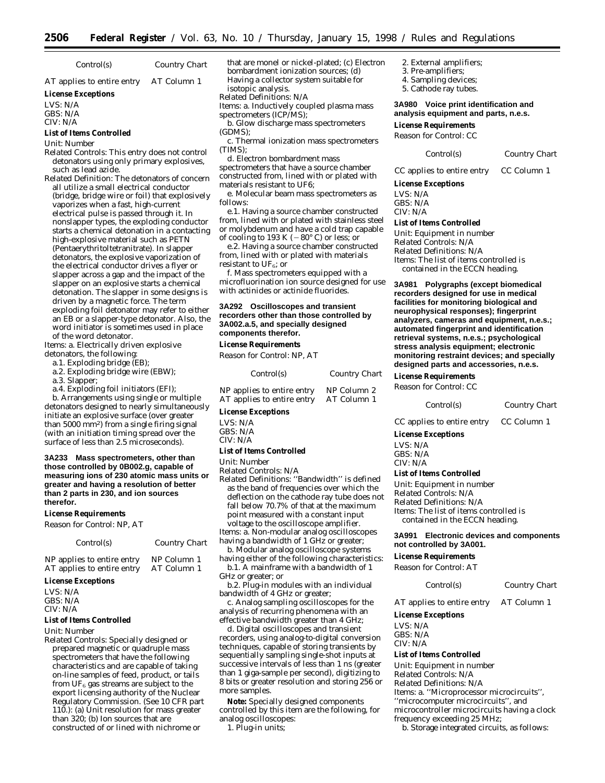*Control(s) Country Chart*

AT applies to entire entry AT Column 1

**License Exceptions**

LVS: N/A GBS: N/A

## CIV: N/A

**List of Items Controlled**

#### *Unit:* Number

*Related Controls:* This entry does not control detonators using only primary explosives, such as lead azide.

*Related Definition:* The detonators of concern all utilize a small electrical conductor (bridge, bridge wire or foil) that explosively vaporizes when a fast, high-current electrical pulse is passed through it. In nonslapper types, the exploding conductor starts a chemical detonation in a contacting high-explosive material such as PETN (Pentaerythritoltetranitrate). In slapper detonators, the explosive vaporization of the electrical conductor drives a flyer or slapper across a gap and the impact of the slapper on an explosive starts a chemical detonation. The slapper in some designs is driven by a magnetic force. The term exploding foil detonator may refer to either an EB or a slapper-type detonator. Also, the word initiator is sometimes used in place of the word detonator.

*Items:* a. Electrically driven explosive detonators, the following:

- a.1. Exploding bridge (EB);
- a.2. Exploding bridge wire (EBW);
- a.3. Slapper;

a.4. Exploding foil initiators (EFI);

b. Arrangements using single or multiple detonators designed to nearly simultaneously initiate an explosive surface (over greater than 5000 mm2) from a single firing signal (with an initiation timing spread over the surface of less than 2.5 microseconds).

**3A233 Mass spectrometers, other than those controlled by 0B002.g, capable of measuring ions of 230 atomic mass units or greater and having a resolution of better than 2 parts in 230, and ion sources therefor.**

#### **License Requirements**

*Reason for Control:* NP, AT

| Control(s) | <b>Country Chart</b> |
|------------|----------------------|
|            |                      |

NP applies to entire entry NP Column 1<br>AT applies to entire entry AT Column 1 AT applies to entire entry

#### **License Exceptions**

LVS: N/A GBS: N/A CIV: N/A

# **List of Items Controlled**

*Unit:* Number

*Related Controls:* Specially designed or prepared magnetic or quadruple mass spectrometers that have the following characteristics and are capable of taking on-line samples of feed, product, or tails from  $UF_6$  gas streams are subject to the export licensing authority of the Nuclear Regulatory Commission. (See 10 CFR part 110.): (a) Unit resolution for mass greater than 320; (b) Ion sources that are constructed of or lined with nichrome or

that are monel or nickel-plated; (c) Electron bombardment ionization sources; (d) Having a collector system suitable for isotopic analysis.

*Related Definitions:* N/A

*Items:* a. Inductively coupled plasma mass spectrometers (ICP/MS);

b. Glow discharge mass spectrometers (GDMS);

c. Thermal ionization mass spectrometers (TIMS);

d. Electron bombardment mass

spectrometers that have a source chamber constructed from, lined with or plated with materials resistant to UF6;

e. Molecular beam mass spectrometers as follows:

e.1. Having a source chamber constructed from, lined with or plated with stainless steel or molybdenum and have a cold trap capable of cooling to 193 K ( $-80^\circ$  C) or less; or

e.2. Having a source chamber constructed from, lined with or plated with materials resistant to  $UF_6$ ; or

f. Mass spectrometers equipped with a microfluorination ion source designed for use with actinides or actinide fluorides.

## **3A292 Oscilloscopes and transient recorders other than those controlled by 3A002.a.5, and specially designed components therefor.**

#### **License Requirements**

*Reason for Control:* NP, AT

| Control(s)                 | <b>Country Chart</b> |
|----------------------------|----------------------|
| NP applies to entire entry | NP Column 2          |
| AT applies to entire entry | AT Column 1          |

# **License Exceptions**

LVS: N/A GBS: N/A CIV: N/A

#### **List of Items Controlled**

*Unit:* Number

*Related Controls:* N/A *Related Definitions:* ''Bandwidth'' is defined

as the band of frequencies over which the deflection on the cathode ray tube does not fall below 70.7% of that at the maximum point measured with a constant input voltage to the oscilloscope amplifier.

*Items:* a. Non-modular analog oscilloscopes having a bandwidth of 1 GHz or greater;

b. Modular analog oscilloscope systems having either of the following characteristics:

b.1. A mainframe with a bandwidth of 1 GHz or greater; *or*

b.2. Plug-in modules with an individual bandwidth of 4 GHz or greater;

c. Analog sampling oscilloscopes for the analysis of recurring phenomena with an effective bandwidth greater than 4 GHz;

d. Digital oscilloscopes and transient recorders, using analog-to-digital conversion techniques, capable of storing transients by sequentially sampling single-shot inputs at successive intervals of less than 1 ns (greater than 1 giga-sample per second), digitizing to 8 bits or greater resolution and storing 256 or more samples.

**Note:** Specially designed components controlled by this item are the following, for analog oscilloscopes:

1. Plug-in units;

- 2. External amplifiers; 3. Pre-amplifiers;
- 
- 4. Sampling devices; 5. Cathode ray tubes.
- 

**3A980 Voice print identification and analysis equipment and parts, n.e.s.**

#### **License Requirements**

*Reason for Control:* CC

#### *Control(s) Country Chart*

CC applies to entire entry CC Column 1

# **License Exceptions**

LVS: N/A GBS: N/A

CIV: N/A

# **List of Items Controlled**

*Unit:* Equipment in number *Related Controls:* N/A *Related Definitions:* N/A *Items:* The list of items controlled is contained in the ECCN heading.

**3A981 Polygraphs (except biomedical recorders designed for use in medical facilities for monitoring biological and neurophysical responses); fingerprint analyzers, cameras and equipment, n.e.s.; automated fingerprint and identification retrieval systems, n.e.s.; psychological stress analysis equipment; electronic monitoring restraint devices; and specially designed parts and accessories, n.e.s.**

# **License Requirements**

*Reason for Control:* CC

```
Control(s) Country Chart
```
CC applies to entire entry CC Column 1

# **License Exceptions**

LVS: N/A GBS: N/A CIV: N/A

#### **List of Items Controlled**

*Unit:* Equipment in number *Related Controls:* N/A *Related Definitions:* N/A *Items:* The list of items controlled is contained in the ECCN heading.

# **3A991 Electronic devices and components not controlled by 3A001.**

# **License Requirements**

*Reason for Control:* AT

*Control(s) Country Chart*

AT applies to entire entry AT Column 1

**License Exceptions** LVS: N/A GBS: N/A CIV: N/A

#### **List of Items Controlled**

*Unit:* Equipment in number *Related Controls:* N/A *Related Definitions:* N/A *Items:* a. ''Microprocessor microcircuits'', ''microcomputer microcircuits'', and microcontroller microcircuits having a clock frequency exceeding 25 MHz;

b. Storage integrated circuits, as follows: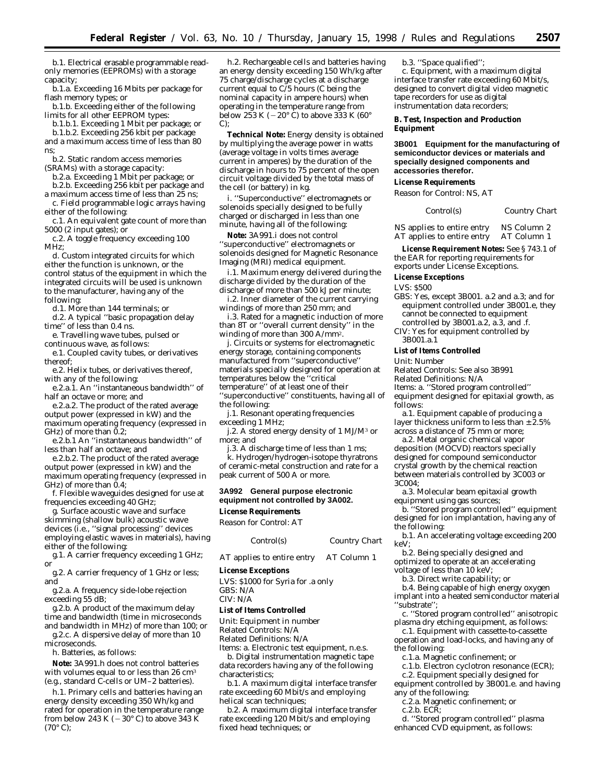b.1. Electrical erasable programmable readonly memories (EEPROMs) with a storage capacity;

b.1.a. Exceeding 16 Mbits per package for flash memory types; *or*

b.1.b. Exceeding either of the following limits for all other EEPROM types:

b.1.b.1. Exceeding 1 Mbit per package; *or* b.1.b.2. Exceeding 256 kbit per package and a maximum access time of less than 80 ns;

b.2. Static random access memories (SRAMs) with a storage capacity:

b.2.a. Exceeding 1 Mbit per package; *or*

b.2.b. Exceeding 256 kbit per package and

a maximum access time of less than 25 ns; c. Field programmable logic arrays having

either of the following: c.1. An equivalent gate count of more than 5000 (2 input gates); *or*

c.2. A toggle frequency exceeding 100 MHz;

d. Custom integrated circuits for which either the function is unknown, or the control status of the equipment in which the integrated circuits will be used is unknown to the manufacturer, having any of the following:

d.1. More than 144 terminals; or

d.2. A typical ''basic propagation delay time'' of less than 0.4 ns.

e. Travelling wave tubes, pulsed or continuous wave, as follows:

e.1. Coupled cavity tubes, or derivatives thereof;

e.2. Helix tubes, or derivatives thereof, with any of the following:

e.2.a.1. An ''instantaneous bandwidth'' of half an octave or more; and

e.2.a.2. The product of the rated average output power (expressed in kW) and the maximum operating frequency (expressed in GHz) of more than 0.2;

e.2.b.1 An ''instantaneous bandwidth'' of less than half an octave; and

e.2.b.2. The product of the rated average output power (expressed in kW) and the maximum operating frequency (expressed in GHz) of more than 0.4;

f. Flexible waveguides designed for use at frequencies exceeding 40 GHz;

g. Surface acoustic wave and surface skimming (shallow bulk) acoustic wave devices (i.e., ''signal processing'' devices employing elastic waves in materials), having either of the following:

g.1. A carrier frequency exceeding 1 GHz; or

g.2. A carrier frequency of 1 GHz or less; and

g.2.a. A frequency side-lobe rejection exceeding 55 dB;

g.2.b. A product of the maximum delay time and bandwidth (time in microseconds and bandwidth in MHz) of more than 100; or

g.2.c. A dispersive delay of more than 10 microseconds.

h. Batteries, as follows:

**Note:** 3A991.h does not control batteries with volumes equal to or less than 26 cm<sup>3</sup> (e.g., standard C-cells or UM–2 batteries).

h.1. Primary cells and batteries having an energy density exceeding 350 Wh/kg and rated for operation in the temperature range from below 243 K ( $-30^{\circ}$  C) to above 343 K  $(70^{\circ} C)$ ;

h.2. Rechargeable cells and batteries having an energy density exceeding 150 Wh/kg after 75 charge/discharge cycles at a discharge current equal to C/5 hours (C being the nominal capacity in ampere hours) when operating in the temperature range from below 253 K ( $-20^\circ$  C) to above 333 K (60°  $C)$ ;

**Technical Note:** Energy density is obtained by multiplying the average power in watts (average voltage in volts times average current in amperes) by the duration of the discharge in hours to 75 percent of the open circuit voltage divided by the total mass of the cell (or battery) in kg.

i. ''Superconductive'' electromagnets or solenoids specially designed to be fully charged or discharged in less than one minute, having all of the following:

**Note:** 3A991.i does not control ''superconductive'' electromagnets or solenoids designed for Magnetic Resonance Imaging (MRI) medical equipment.

i.1. Maximum energy delivered during the discharge divided by the duration of the discharge of more than 500 kJ per minute;

i.2. Inner diameter of the current carrying windings of more than 250 mm; and

i.3. Rated for a magnetic induction of more than 8T or ''overall current density'' in the winding of more than 300 A/mm2.

j. Circuits or systems for electromagnetic energy storage, containing components manufactured from ''superconductive'' materials specially designed for operation at temperatures below the ''critical temperature'' of at least one of their ''superconductive'' constituents, having all of the following:

j.1. Resonant operating frequencies exceeding 1 MHz;

j.2. A stored energy density of 1 MJ/M3 or more; and

j.3. A discharge time of less than 1 ms;

k. Hydrogen/hydrogen-isotope thyratrons of ceramic-metal construction and rate for a peak current of 500 A or more.

# **3A992 General purpose electronic equipment not controlled by 3A002.**

**License Requirements**

*Reason for Control:* AT

| Control(s) | Country Chart |
|------------|---------------|
|            |               |

# **License Exceptions**

LVS: \$1000 for Syria for .a only GBS: N/A

# CIV: N/A

### **List of Items Controlled**

*Unit:* Equipment in number

*Related Controls:* N/A

*Related Definitions:* N/A

*Items:* a. Electronic test equipment, n.e.s. b. Digital instrumentation magnetic tape

data recorders having any of the following characteristics;

b.1. A maximum digital interface transfer rate exceeding 60 Mbit/s and employing helical scan techniques;

b.2. A maximum digital interface transfer rate exceeding 120 Mbit/s and employing fixed head techniques; or

b.3. ''Space qualified'';

c. Equipment, with a maximum digital interface transfer rate exceeding 60 Mbit/s, designed to convert digital video magnetic tape recorders for use as digital instrumentation data recorders;

# **B. Test, Inspection and Production Equipment**

**3B001 Equipment for the manufacturing of semiconductor devices or materials and specially designed components and accessories therefor.**

#### **License Requirements**

*Reason for Control:* NS, AT

| Control(s) | Country Chart |
|------------|---------------|
|------------|---------------|

NS applies to entire entry NS Column 2 AT applies to entire entry AT Column 1

**License Requirement Notes:** See § 743.1 of the EAR for reporting requirements for exports under License Exceptions.

**License Exceptions**

LVS: \$500

- GBS: Yes, except 3B001. a.2 and a.3; and for equipment controlled under 3B001.e, they cannot be connected to equipment controlled by 3B001.a.2, a.3, and .f.
- CIV: Yes for equipment controlled by 3B001.a.1

# **List of Items Controlled**

*Unit:* Number

*Related Controls:* See also 3B991

*Related Definitions:* N/A

*Items:* a. ''Stored program controlled''

equipment designed for epitaxial growth, as follows:

a.1. Equipment capable of producing a layer thickness uniform to less than  $\pm 2.5\%$ across a distance of 75 mm or more;

a.2. Metal organic chemical vapor deposition (MOCVD) reactors specially designed for compound semiconductor crystal growth by the chemical reaction between materials controlled by 3C003 or 3C004;

a.3. Molecular beam epitaxial growth equipment using gas sources;

b. ''Stored program controlled'' equipment designed for ion implantation, having any of the following:

b.1. An accelerating voltage exceeding 200 keV;

b.2. Being specially designed and optimized to operate at an accelerating voltage of less than 10 keV;

b.3. Direct write capability; or

b.4. Being capable of high energy oxygen implant into a heated semiconductor material ''substrate'';

c. ''Stored program controlled'' anisotropic plasma dry etching equipment, as follows:

c.1. Equipment with cassette-to-cassette operation and load-locks, and having any of

the following:

c.1.a. Magnetic confinement; or

c.1.b. Electron cyclotron resonance (ECR);

c.2. Equipment specially designed for

equipment controlled by 3B001.e. and having any of the following:

c.2.a. Magnetic confinement; or

c.2.b. ECR;

d. ''Stored program controlled'' plasma enhanced CVD equipment, as follows:

AT applies to entire entry AT Column 1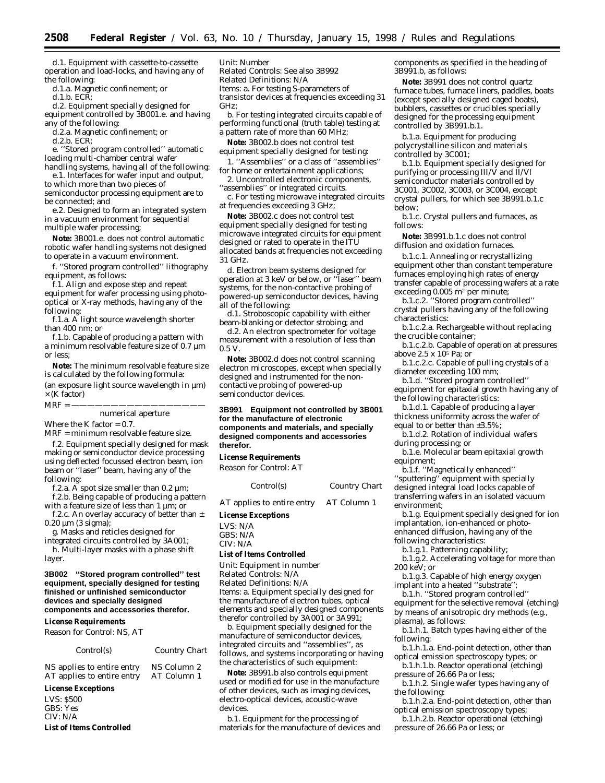d.1. Equipment with cassette-to-cassette operation and load-locks, and having any of the following:

d.1.a. Magnetic confinement; or

d.1.b. ECR;

d.2. Equipment specially designed for equipment controlled by 3B001.e. and having any of the following:

d.2.a. Magnetic confinement; or

d.2.b. ECR;

e. ''Stored program controlled'' automatic loading multi-chamber central wafer handling systems, having all of the following:

e.1. Interfaces for wafer input and output, to which more than two pieces of

semiconductor processing equipment are to be connected; and

e.2. Designed to form an integrated system in a vacuum environment for sequential multiple wafer processing;

**Note:** 3B001.e. does not control automatic robotic wafer handling systems not designed to operate in a vacuum environment.

f. ''Stored program controlled'' lithography equipment, as follows:

f.1. Align and expose step and repeat equipment for wafer processing using photooptical or X-ray methods, having any of the following:

f.1.a. A light source wavelength shorter than 400 nm; *or*

f.1.b. Capable of producing a pattern with a minimum resolvable feature size of 0.7 µm or less;

**Note:** The minimum resolvable feature size is calculated by the following formula:

(an exposure light source wavelength in µm)  $\times$  (K factor)

# $MRF = -$

# numerical aperture

Where the K factor  $= 0.7$ .

MRF = minimum resolvable feature size.

f.2. Equipment specially designed for mask making or semiconductor device processing using deflected focussed electron beam, ion beam or ''laser'' beam, having any of the following:

f.2.a. A spot size smaller than 0.2  $\mu$ m;

f.2.b. Being capable of producing a pattern with a feature size of less than 1 µm; or

f.2.c. An overlay accuracy of better than  $\pm$ 0.20 µm (3 sigma);

g. Masks and reticles designed for integrated circuits controlled by 3A001;

h. Multi-layer masks with a phase shift layer.

## **3B002 ''Stored program controlled'' test equipment, specially designed for testing finished or unfinished semiconductor devices and specially designed components and accessories therefor.**

#### **License Requirements**

*Reason for Control:* NS, AT

# *Control(s) Country Chart*

NS applies to entire entry NS Column 2<br>AT applies to entire entry AT Column 1 AT applies to entire entry

# **License Exceptions**

LVS: \$500 GBS: Yes CIV: N/A **List of Items Controlled** *Unit:* Number

*Related Controls:* See also 3B992

*Related Definitions:* N/A

*Items:* a. For testing S-parameters of transistor devices at frequencies exceeding 31 GHz;

b. For testing integrated circuits capable of performing functional (truth table) testing at a pattern rate of more than 60 MHz;

**Note:** 3B002.b does not control test

equipment specially designed for testing: 1. ''Assemblies'' or a class of ''assemblies''

for home or entertainment applications;

2. Uncontrolled electronic components, ''assemblies'' or integrated circuits.

c. For testing microwave integrated circuits at frequencies exceeding 3 GHz;

**Note:** 3B002.c does not control test equipment specially designed for testing microwave integrated circuits for equipment designed or rated to operate in the ITU allocated bands at frequencies not exceeding 31 GHz.

d. Electron beam systems designed for operation at 3 keV or below, or ''laser'' beam systems, for the non-contactive probing of powered-up semiconductor devices, having all of the following:

d.1. Stroboscopic capability with either beam-blanking or detector strobing; and

d.2. An electron spectrometer for voltage measurement with a resolution of less than 0.5 V.

**Note:** 3B002.d does not control scanning electron microscopes, except when specially designed and instrumented for the noncontactive probing of powered-up semiconductor devices.

# **3B991 Equipment not controlled by 3B001 for the manufacture of electronic components and materials, and specially designed components and accessories therefor.**

**License Requirements**

*Reason for Control:* AT

*Control(s) Country Chart*

AT applies to entire entry AT Column 1

#### **License Exceptions**

LVS: N/A GBS: N/A CIV: N/A

#### **List of Items Controlled**

*Unit:* Equipment in number *Related Controls:* N/A *Related Definitions:* N/A *Items:* a. Equipment specially designed for the manufacture of electron tubes, optical elements and specially designed components therefor controlled by 3A001 or 3A991;

b. Equipment specially designed for the manufacture of semiconductor devices, integrated circuits and ''assemblies'', as follows, and systems incorporating or having the characteristics of such equipment:

**Note:** 3B991.b also controls equipment used or modified for use in the manufacture of other devices, such as imaging devices, electro-optical devices, acoustic-wave devices.

b.1. Equipment for the processing of materials for the manufacture of devices and components as specified in the heading of 3B991.b, as follows:

**Note:** 3B991 does not control quartz furnace tubes, furnace liners, paddles, boats (except specially designed caged boats), bubblers, cassettes or crucibles specially designed for the processing equipment controlled by 3B991.b.1.

b.1.a. Equipment for producing polycrystalline silicon and materials controlled by 3C001;

b.1.b. Equipment specially designed for purifying or processing III/V and II/VI semiconductor materials controlled by 3C001, 3C002, 3C003, or 3C004, except crystal pullers, for which see 3B991.b.1.c below;

b.1.c. Crystal pullers and furnaces, as follows:

**Note:** 3B991.b.1.c does not control diffusion and oxidation furnaces.

b.1.c.1. Annealing or recrystallizing equipment other than constant temperature furnaces employing high rates of energy transfer capable of processing wafers at a rate exceeding  $0.005$  m<sup>2</sup> per minute;

b.1.c.2. ''Stored program controlled'' crystal pullers having any of the following characteristics:

b.1.c.2.a. Rechargeable without replacing the crucible container;

b.1.c.2.b. Capable of operation at pressures above 2.5 x 105 Pa; *or*

b.1.c.2.c. Capable of pulling crystals of a diameter exceeding 100 mm;

b.1.d. ''Stored program controlled'' equipment for epitaxial growth having any of the following characteristics:

b.1.d.1. Capable of producing a layer thickness uniformity across the wafer of equal to or better than ±3.5%;

b.1.d.2. Rotation of individual wafers during processing; *or*

b.1.e. Molecular beam epitaxial growth equipment;

b.1.f. ''Magnetically enhanced'' ''sputtering'' equipment with specially designed integral load locks capable of transferring wafers in an isolated vacuum environment;

b.1.g. Equipment specially designed for ion implantation, ion-enhanced or photoenhanced diffusion, having any of the following characteristics:

b.1.g.1. Patterning capability;

b.1.g.2. Accelerating voltage for more than 200 keV; *or*

b.1.g.3. Capable of high energy oxygen implant into a heated "substrate"

b.1.h. ''Stored program controlled'' equipment for the selective removal (etching) by means of anisotropic dry methods (e.g., plasma), as follows:

b.1.h.1. Batch types having either of the following:

b.1.h.1.a. End-point detection, other than optical emission spectroscopy types; or

b.1.h.1.b. Reactor operational (etching) pressure of 26.66 Pa or less;

b.1.h.2. Single wafer types having any of the following:

b.1.h.2.a. End-point detection, other than optical emission spectroscopy types;

b.1.h.2.b. Reactor operational (etching) pressure of 26.66 Pa or less; or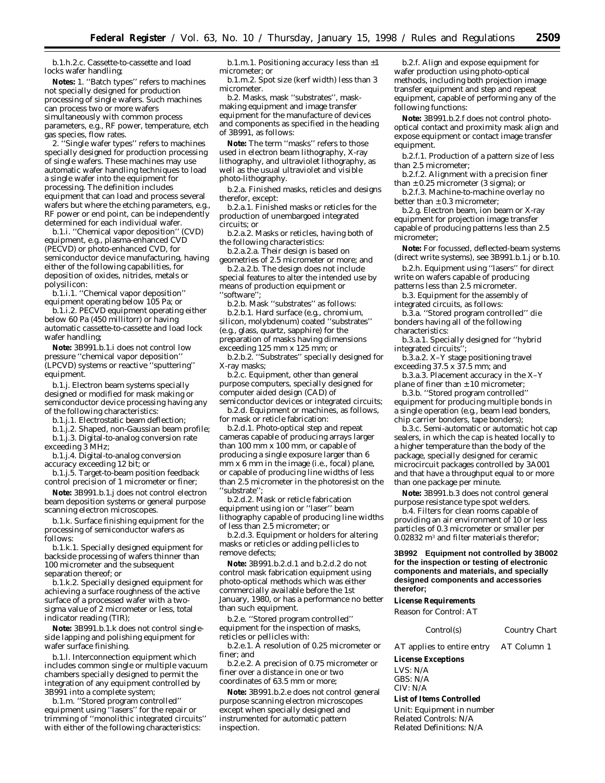b.1.h.2.c. Cassette-to-cassette and load locks wafer handling;

**Notes:** 1. ''Batch types'' refers to machines not specially designed for production processing of single wafers. Such machines can process two or more wafers simultaneously with common process parameters, e.g., RF power, temperature, etch gas species, flow rates.

2. ''Single wafer types'' refers to machines specially designed for production processing of single wafers. These machines may use automatic wafer handling techniques to load a single wafer into the equipment for processing. The definition includes equipment that can load and process several wafers but where the etching parameters, e.g. RF power or end point, can be independently determined for each individual wafer.

b.1.i. ''Chemical vapor deposition'' (CVD) equipment, e.g., plasma-enhanced CVD (PECVD) or photo-enhanced CVD, for semiconductor device manufacturing, having either of the following capabilities, for deposition of oxides, nitrides, metals or polysilicon:

b.1.i.1. ''Chemical vapor deposition'' equipment operating below 105 Pa; *or*

b.1.i.2. PECVD equipment operating either below 60 Pa (450 millitorr) or having automatic cassette-to-cassette and load lock wafer handling;

**Note:** 3B991.b.1.i does not control low pressure ''chemical vapor deposition'' (LPCVD) systems or reactive ''sputtering'' equipment.

b.1.j. Electron beam systems specially designed or modified for mask making or semiconductor device processing having any of the following characteristics:

b.1.j.1. Electrostatic beam deflection;

b.1.j.2. Shaped, non-Gaussian beam profile; b.1.j.3. Digital-to-analog conversion rate

exceeding 3 MHz; b.1.j.4. Digital-to-analog conversion accuracy exceeding 12 bit; *or*

b.1.j.5. Target-to-beam position feedback control precision of 1 micrometer or finer;

**Note:** 3B991.b.1.j does not control electron beam deposition systems or general purpose scanning electron microscopes.

b.1.k. Surface finishing equipment for the processing of semiconductor wafers as follows:

b.1.k.1. Specially designed equipment for backside processing of wafers thinner than 100 micrometer and the subsequent separation thereof; *or*

b.1.k.2. Specially designed equipment for achieving a surface roughness of the active surface of a processed wafer with a twosigma value of 2 micrometer or less, total indicator reading (TIR);

**Note:** 3B991.b.1.k does not control singleside lapping and polishing equipment for wafer surface finishing.

b.1.l. Interconnection equipment which includes common single or multiple vacuum chambers specially designed to permit the integration of any equipment controlled by 3B991 into a complete system;

b.1.m. ''Stored program controlled'' equipment using ''lasers'' for the repair or trimming of ''monolithic integrated circuits'' with either of the following characteristics:

b.1.m.1. Positioning accuracy less than  $\pm 1$ micrometer; *or*

b.1.m.2. Spot size (kerf width) less than 3 micrometer.

b.2. Masks, mask ''substrates'', maskmaking equipment and image transfer equipment for the manufacture of devices and components as specified in the heading of 3B991, as follows:

**Note:** The term ''masks'' refers to those used in electron beam lithography, X-ray lithography, and ultraviolet lithography, as well as the usual ultraviolet and visible photo-lithography.

b.2.a. Finished masks, reticles and designs therefor, except:

b.2.a.1. Finished masks or reticles for the production of unembargoed integrated circuits; *or*

b.2.a.2. Masks or reticles, having both of the following characteristics:

b.2.a.2.a. Their design is based on geometries of 2.5 micrometer or more; and

b.2.a.2.b. The design does not include special features to alter the intended use by means of production equipment or ''software'';

b.2.b. Mask ''substrates'' as follows:

b.2.b.1. Hard surface (e.g., chromium, silicon, molybdenum) coated ''substrates'' (e.g., glass, quartz, sapphire) for the preparation of masks having dimensions exceeding 125 mm x 125 mm; *or*

b.2.b.2. ''Substrates'' specially designed for X-ray masks;

b.2.c. Equipment, other than general purpose computers, specially designed for computer aided design (CAD) of semiconductor devices or integrated circuits;

b.2.d. Equipment or machines, as follows, for mask or reticle fabrication:

b.2.d.1. Photo-optical step and repeat cameras capable of producing arrays larger than 100 mm x 100 mm, or capable of producing a single exposure larger than 6 mm x 6 mm in the image (i.e., focal) plane, or capable of producing line widths of less than 2.5 micrometer in the photoresist on the 'substrate'

b.2.d.2. Mask or reticle fabrication equipment using ion or ''laser'' beam lithography capable of producing line widths of less than 2.5 micrometer; or

b.2.d.3. Equipment or holders for altering masks or reticles or adding pellicles to remove defects;

**Note:** 3B991.b.2.d.1 and b.2.d.2 do not control mask fabrication equipment using photo-optical methods which was either commercially available before the 1st January, 1980, or has a performance no better than such equipment.

b.2.e. ''Stored program controlled'' equipment for the inspection of masks, reticles or pellicles with:

b.2.e.1. A resolution of 0.25 micrometer or finer; and

b.2.e.2. A precision of 0.75 micrometer or finer over a distance in one or two coordinates of 63.5 mm or more;

**Note:** 3B991.b.2.e does not control general purpose scanning electron microscopes except when specially designed and instrumented for automatic pattern inspection.

b.2.f. Align and expose equipment for wafer production using photo-optical methods, including both projection image transfer equipment and step and repeat equipment, capable of performing any of the following functions:

**Note:** 3B991.b.2.f does not control photooptical contact and proximity mask align and expose equipment or contact image transfer equipment.

b.2.f.1. Production of a pattern size of less than 2.5 micrometer;

b.2.f.2. Alignment with a precision finer than  $\pm$  0.25 micrometer (3 sigma); or

b.2.f.3. Machine-to-machine overlay no better than  $\pm$  0.3 micrometer:

b.2.g. Electron beam, ion beam or X-ray equipment for projection image transfer capable of producing patterns less than 2.5 micrometer;

**Note:** For focussed, deflected-beam systems (direct write systems), see 3B991.b.1.j or b.10.

b.2.h. Equipment using ''lasers'' for direct write on wafers capable of producing patterns less than 2.5 micrometer.

b.3. Equipment for the assembly of integrated circuits, as follows:

b.3.a. ''Stored program controlled'' die bonders having all of the following characteristics:

b.3.a.1. Specially designed for ''hybrid integrated circuits"

b.3.a.2. X–Y stage positioning travel exceeding 37.5 x 37.5 mm; and

b.3.a.3. Placement accuracy in the X–Y plane of finer than  $\pm$  10 micrometer;

b.3.b. ''Stored program controlled'' equipment for producing multiple bonds in a single operation (e.g., beam lead bonders, chip carrier bonders, tape bonders);

b.3.c. Semi-automatic or automatic hot cap sealers, in which the cap is heated locally to a higher temperature than the body of the package, specially designed for ceramic microcircuit packages controlled by 3A001 and that have a throughput equal to or more than one package per minute.

**Note:** 3B991.b.3 does not control general purpose resistance type spot welders.

b.4. Filters for clean rooms capable of providing an air environment of 10 or less particles of 0.3 micrometer or smaller per 0.02832 m3 and filter materials therefor;

## **3B992 Equipment not controlled by 3B002 for the inspection or testing of electronic components and materials, and specially designed components and accessories therefor;**

# **License Requirements**

*Reason for Control:* AT

*Control(s) Country Chart*

AT applies to entire entry AT Column 1

**License Exceptions**

LVS: N/A

GBS: N/A

CIV: N/A

**List of Items Controlled** *Unit:* Equipment in number

*Related Controls:* N/A *Related Definitions:* N/A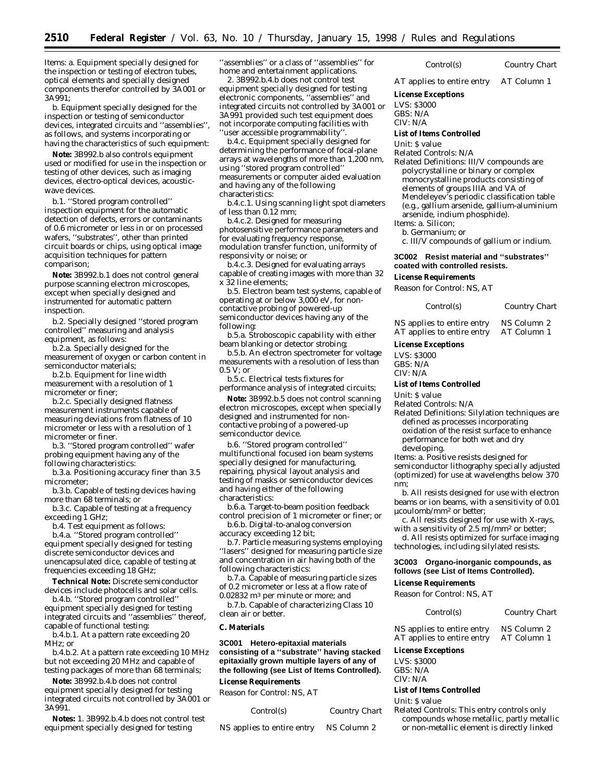*Items:* a. Equipment specially designed for the inspection or testing of electron tubes, optical elements and specially designed components therefor controlled by 3A001 or 3A991;

b. Equipment specially designed for the inspection or testing of semiconductor devices, integrated circuits and ''assemblies'', as follows, and systems incorporating or having the characteristics of such equipment:

**Note:** 3B992.b also controls equipment used or modified for use in the inspection or testing of other devices, such as imaging devices, electro-optical devices, acousticwave devices.

b.1. ''Stored program controlled'' inspection equipment for the automatic detection of defects, errors or contaminants of 0.6 micrometer or less in or on processed wafers, ''substrates'', other than printed circuit boards or chips, using optical image acquisition techniques for pattern comparison;

**Note:** 3B992.b.1 does not control general purpose scanning electron microscopes, except when specially designed and instrumented for automatic pattern inspection.

b.2. Specially designed ''stored program controlled'' measuring and analysis equipment, as follows:

b.2.a. Specially designed for the measurement of oxygen or carbon content in semiconductor materials;

b.2.b. Equipment for line width measurement with a resolution of 1 micrometer or finer;

b.2.c. Specially designed flatness measurement instruments capable of measuring deviations from flatness of 10 micrometer or less with a resolution of 1 micrometer or finer.

b.3. ''Stored program controlled'' wafer probing equipment having any of the following characteristics:

b.3.a. Positioning accuracy finer than 3.5 micrometer;

b.3.b. Capable of testing devices having more than 68 terminals; *or*

b.3.c. Capable of testing at a frequency exceeding 1 GHz;

b.4. Test equipment as follows:

b.4.a. ''Stored program controlled'' equipment specially designed for testing discrete semiconductor devices and unencapsulated dice, capable of testing at frequencies exceeding 18 GHz;

**Technical Note:** Discrete semiconductor devices include photocells and solar cells.

b.4.b. ''Stored program controlled'' equipment specially designed for testing integrated circuits and ''assemblies'' thereof, capable of functional testing:

b.4.b.1. At a pattern rate exceeding 20 MHz; or

b.4.b.2. At a pattern rate exceeding 10 MHz but not exceeding 20 MHz and capable of testing packages of more than 68 terminals;

**Note:** 3B992.b.4.b does not control equipment specially designed for testing integrated circuits not controlled by 3A001 or 3A991.

**Notes:** 1. 3B992.b.4.b does not control test equipment specially designed for testing

'assemblies'' or a class of "assemblies" for home and entertainment applications.

2. 3B992.b.4.b does not control test equipment specially designed for testing electronic components, ''assemblies'' and integrated circuits not controlled by 3A001 or 3A991 provided such test equipment does not incorporate computing facilities with ''user accessible programmability''.

b.4.c. Equipment specially designed for determining the performance of focal-plane arrays at wavelengths of more than 1,200 nm, using ''stored program controlled'' measurements or computer aided evaluation and having any of the following characteristics:

b.4.c.1. Using scanning light spot diameters of less than 0.12 mm;

b.4.c.2. Designed for measuring photosensitive performance parameters and for evaluating frequency response, modulation transfer function, uniformity of responsivity or noise; or

b.4.c.3. Designed for evaluating arrays capable of creating images with more than 32 x 32 line elements;

b.5. Electron beam test systems, capable of operating at or below 3,000 eV, for noncontactive probing of powered-up semiconductor devices having any of the following:

b.5.a. Stroboscopic capability with either beam blanking or detector strobing;

b.5.b. An electron spectrometer for voltage measurements with a resolution of less than 0.5 V; or

b.5.c. Electrical tests fixtures for performance analysis of integrated circuits;

**Note:** 3B992.b.5 does not control scanning electron microscopes, except when specially designed and instrumented for noncontactive probing of a powered-up semiconductor device.

b.6. ''Stored program controlled'' multifunctional focused ion beam systems specially designed for manufacturing, repairing, physical layout analysis and testing of masks or semiconductor devices and having either of the following characteristics:

b.6.a. Target-to-beam position feedback control precision of 1 micrometer or finer; or b.6.b. Digital-to-analog conversion

accuracy exceeding 12 bit;

b.7. Particle measuring systems employing "lasers" designed for measuring particle size and concentration in air having both of the following characteristics:

b.7.a. Capable of measuring particle sizes of 0.2 micrometer or less at a flow rate of 0.02832 m3 per minute or more; and

b.7.b. Capable of characterizing Class 10 clean air or better.

# **C. Materials**

**3C001 Hetero-epitaxial materials consisting of a ''substrate'' having stacked epitaxially grown multiple layers of any of the following (see List of Items Controlled).**

# **License Requirements**

*Reason for Control:* NS, AT

| Control(s)                 | Country Chart |
|----------------------------|---------------|
| NS applies to entire entry | NS Column 2   |

*Control(s) Country Chart*

AT applies to entire entry AT Column 1

**License Exceptions**

LVS: \$3000

GBS: N/A

 $CIV·N/A$ 

#### **List of Items Controlled**

*Unit:* \$ value

*Related Controls:* N/A

*Related Definitions:* III/V compounds are polycrystalline or binary or complex monocrystalline products consisting of elements of groups IIIA and VA of Mendeleyev's periodic classification table (e.g., gallium arsenide, gallium-aluminium arsenide, indium phosphide).

*Items:* a. Silicon;

b. Germanium; *or*

c. III/V compounds of gallium or indium.

# **3C002 Resist material and ''substrates'' coated with controlled resists.**

#### **License Requirements**

*Reason for Control:* NS, AT

*Control(s) Country Chart*

NS applies to entire entry NS Column 2<br>AT applies to entire entry AT Column 1 AT applies to entire entry

#### **License Exceptions**

LVS: \$3000 GBS: N/A  $CIV·N/A$ 

## **List of Items Controlled**

*Unit:* \$ value

*Related Controls:* N/A

*Related Definitions:* Silylation techniques are defined as processes incorporating oxidation of the resist surface to enhance performance for both wet and dry developing.

*Items:* a. Positive resists designed for

semiconductor lithography specially adjusted (optimized) for use at wavelengths below 370 nm;

b. All resists designed for use with electron beams or ion beams, with a sensitivity of 0.01 µcoulomb/mm2 or better;

c. All resists designed for use with X-rays, with a sensitivity of 2.5 mJ/mm<sup>2</sup> or better;

d. All resists optimized for surface imaging technologies, including silylated resists.

# **3C003 Organo-inorganic compounds, as follows (see List of Items Controlled).**

#### **License Requirements**

*Reason for Control:* NS, AT

| Control(s) | Country Chart |
|------------|---------------|
|            |               |

NS applies to entire entry NS Column 2 AT applies to entire entry AT Column 1

# **License Exceptions**

LVS: \$3000 GBS: N/A CIV: N/A

#### **List of Items Controlled**

*Unit:* \$ value

*Related Controls:* This entry controls only compounds whose metallic, partly metallic or non-metallic element is directly linked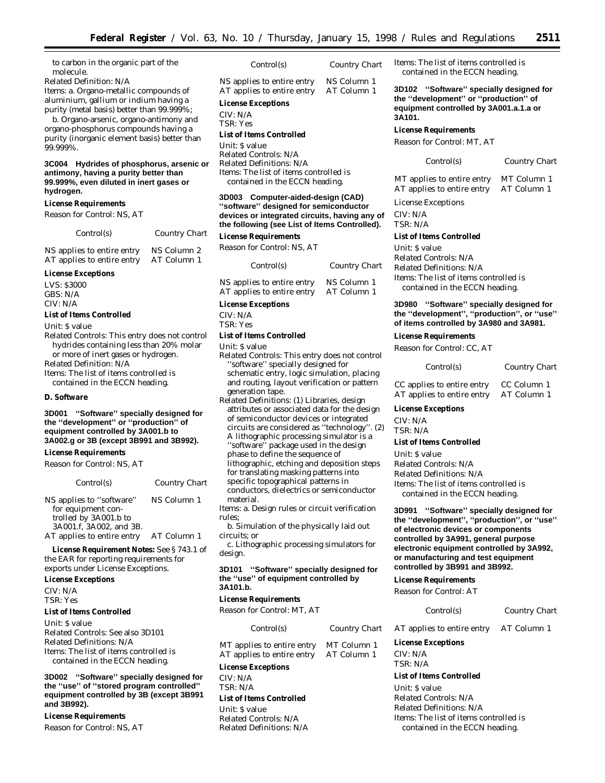to carbon in the organic part of the molecule.

# *Related Definition:* N/A

*Items:* a. Organo-metallic compounds of aluminium, gallium or indium having a purity (metal basis) better than 99.999%;

b. Organo-arsenic, organo-antimony and organo-phosphorus compounds having a purity (inorganic element basis) better than 99.999%.

# **3C004 Hydrides of phosphorus, arsenic or antimony, having a purity better than 99.999%, even diluted in inert gases or hydrogen.**

## **License Requirements**

*Reason for Control:* NS, AT

| Control(s)                 | <b>Country Chart</b> |
|----------------------------|----------------------|
| NS applies to entire entry | NS Column 2          |
| AT applies to entire entry | AT Column 1          |

#### **License Exceptions**

LVS: \$3000 GBS: N/A CIV: N/A

# **List of Items Controlled**

*Unit:* \$ value

*Related Controls:* This entry does not control hydrides containing less than 20% molar or more of inert gases or hydrogen. *Related Definition:* N/A *Items:* The list of items controlled is contained in the ECCN heading.

# **D. Software**

# **3D001 ''Software'' specially designed for the ''development'' or ''production'' of equipment controlled by 3A001.b to 3A002.g or 3B (except 3B991 and 3B992).**

#### **License Requirements**

*Reason for Control:* NS, AT

| Control(s)                 | Country Chart |
|----------------------------|---------------|
| NS applies to "software"   | NS Column 1   |
| for equipment con-         |               |
| trolled by 3A001.b to      |               |
| 3A001.f, 3A002, and 3B.    |               |
| AT applies to entire entry | AT Column 1   |

**License Requirement Notes:** See § 743.1 of

the EAR for reporting requirements for exports under License Exceptions.

# **License Exceptions**

CIV: N/A TSR: Yes

# **List of Items Controlled**

*Unit:* \$ value *Related Controls:* See also 3D101 *Related Definitions:* N/A *Items:* The list of items controlled is contained in the ECCN heading.

**3D002 ''Software'' specially designed for the ''use'' of ''stored program controlled'' equipment controlled by 3B (except 3B991 and 3B992).**

# **License Requirements**

*Reason for Control:* NS, AT

| Control(s)                 | <b>Country Chart</b> |
|----------------------------|----------------------|
| NS applies to entire entry | NS Column 1          |
| AT applies to entire entry | AT Column 1          |

# **License Exceptions**

CIV: N/A

TSR: Yes

## **List of Items Controlled**

*Unit:* \$ value *Related Controls:* N/A *Related Definitions:* N/A *Items:* The list of items controlled is contained in the ECCN heading.

# **3D003 Computer-aided-design (CAD) ''software'' designed for semiconductor devices or integrated circuits, having any of the following (see List of Items Controlled).**

# **License Requirements**

*Reason for Control:* NS, AT

| Control(s)                 | Country Chart |
|----------------------------|---------------|
| NS applies to entire entry | NS Column 1   |
| AT applies to entire entry | AT Column 1   |

#### **License Exceptions**

CIV: N/A TSR: Yes

# **List of Items Controlled**

*Unit:* \$ value

- *Related Controls:* This entry does not control ''software'' specially designed for schematic entry, logic simulation, placing and routing, layout verification or pattern generation tape.
- *Related Definitions:* (1) Libraries, design attributes or associated data for the design of semiconductor devices or integrated circuits are considered as ''technology''. (2) A lithographic processing simulator is a ''software'' package used in the design phase to define the sequence of lithographic, etching and deposition steps for translating masking patterns into specific topographical patterns in conductors, dielectrics or semiconductor

material.

*Items:* a. Design rules or circuit verification rules;

b. Simulation of the physically laid out circuits; *or*

c. Lithographic processing simulators for design.

# **3D101 ''Software'' specially designed for the ''use'' of equipment controlled by 3A101.b.**

#### **License Requirements**

*Reason for Control:* MT, AT

| Control(s)                 | Country Chart | A <sub>1</sub> |
|----------------------------|---------------|----------------|
| MT applies to entire entry | MT Column 1   | Lic            |
| AT applies to entire entry | AT Column 1   | СF             |
|                            |               | тc             |

# **License Exceptions** CIV: N/A

TSR: N/A

# **List of Items Controlled**

*Unit:* \$ value *Related Controls:* N/A *Related Definitions:* N/A *Items:* The list of items controlled is contained in the ECCN heading.

**3D102 ''Software'' specially designed for the ''development'' or ''production'' of equipment controlled by 3A001.a.1.a or 3A101.**

# **License Requirements**

*Reason for Control:* MT, AT

*Control(s) Country Chart*

MT applies to entire entry MT Column 1 AT applies to entire entry AT Column 1

License Exceptions CIV: N/A TSR: N/A

#### **List of Items Controlled**

*Unit:* \$ value *Related Controls:* N/A *Related Definitions:* N/A *Items:* The list of items controlled is contained in the ECCN heading.

# **3D980 ''Software'' specially designed for the ''development'', ''production'', or ''use'' of items controlled by 3A980 and 3A981.**

**License Requirements**

*Reason for Control:* CC, AT

| Control(s)                 | Country Chart |
|----------------------------|---------------|
| CC applies to entire entry | CC Column 1   |
| AT applies to entire entry | AT Column 1   |

**License Exceptions**

CIV: N/A TSR: N/A

#### **List of Items Controlled**

*Unit:* \$ value *Related Controls:* N/A *Related Definitions:* N/A *Items:* The list of items controlled is contained in the ECCN heading.

**3D991 ''Software'' specially designed for the ''development'', ''production'', or ''use'' of electronic devices or components controlled by 3A991, general purpose electronic equipment controlled by 3A992, or manufacturing and test equipment controlled by 3B991 and 3B992.**

## **License Requirements**

*Reason for Control:* AT

#### *Control(s) Country Chart*

applies to entire entry AT Column 1

# **License Exceptions**

 $V: N/A$ TSR: N/A

## **List of Items Controlled**

*Unit:* \$ value *Related Controls:* N/A *Related Definitions:* N/A *Items:* The list of items controlled is contained in the ECCN heading.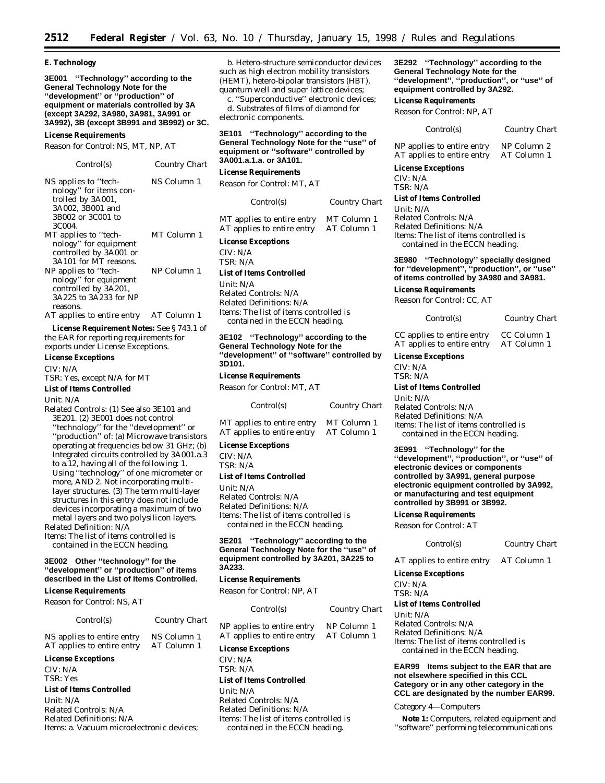#### **E. Technology**

**3E001 ''Technology'' according to the General Technology Note for the ''development'' or ''production'' of equipment or materials controlled by 3A (except 3A292, 3A980, 3A981, 3A991 or 3A992), 3B (except 3B991 and 3B992) or 3C.**

#### **License Requirements**

*Reason for Control:* NS, MT, NP, AT

| Control(s)                                                                                                             | Country Chart |
|------------------------------------------------------------------------------------------------------------------------|---------------|
| NS applies to "tech-<br>nology" for items con-<br>trolled by 3A001,<br>3A002, 3B001 and<br>3B002 or 3C001 to<br>3C004. | NS Column 1   |
| MT applies to "tech-<br>nology" for equipment<br>controlled by 3A001 or<br>3A101 for MT reasons.                       | MT Column 1   |
| NP applies to "tech-<br>nology" for equipment<br>controlled by 3A201,<br>3A225 to 3A233 for NP<br>reasons.             | NP Column 1   |
| AT applies to entire entry                                                                                             | AT Column 1   |

**License Requirement Notes:** See § 743.1 of the EAR for reporting requirements for exports under License Exceptions.

**License Exceptions**

CIV: N/A

TSR: Yes, except N/A for MT

**List of Items Controlled**

*Unit:* N/A

*Related Controls:* (1) See also 3E101 and 3E201. (2) 3E001 does not control ''technology'' for the ''development'' or ''production'' of: (a) Microwave transistors operating at frequencies below 31 GHz; (b) Integrated circuits controlled by 3A001.a.3 to a.12, having all of the following: 1. Using ''technology'' of one micrometer or more, AND 2. Not incorporating multilayer structures. (3) The term multi-layer structures in this entry does not include devices incorporating a maximum of two metal layers and two polysilicon layers. *Related Definition:* N/A

*Items:* The list of items controlled is contained in the ECCN heading.

# **3E002 Other ''technology'' for the ''development'' or ''production'' of items described in the List of Items Controlled.**

#### **License Requirements**

*Reason for Control:* NS, AT

*Control(s) Country Chart* NS applies to entire entry NS Column 1 AT applies to entire entry AT Column 1

# **License Exceptions**

CIV: N/A TSR: Yes

# **List of Items Controlled**

*Unit:* N/A *Related Controls:* N/A *Related Definitions:* N/A *Items:* a. Vacuum microelectronic devices;

b. Hetero-structure semiconductor devices such as high electron mobility transistors (HEMT), hetero-bipolar transistors (HBT), quantum well and super lattice devices;

c. ''Superconductive'' electronic devices; d. Substrates of films of diamond for electronic components.

# **3E101 ''Technology'' according to the General Technology Note for the ''use'' of equipment or ''software'' controlled by 3A001.a.1.a. or 3A101.**

### **License Requirements**

*Reason for Control:* MT, AT

| Control(s)                 | Country Chart |
|----------------------------|---------------|
| MT applies to entire entry | MT Column 1   |
| AT applies to entire entry | AT Column 1   |

#### **License Exceptions**

CIV: N/A TSR: N/A

**List of Items Controlled** *Unit:* N/A *Related Controls:* N/A *Related Definitions:* N/A *Items:* The list of items controlled is contained in the ECCN heading.

# **3E102 ''Technology'' according to the General Technology Note for the ''development'' of ''software'' controlled by 3D101.**

#### **License Requirements**

*Reason for Control:* MT, AT

| Control(s)                 | Country Chart |
|----------------------------|---------------|
| MT applies to entire entry | MT Column 1   |
| AT applies to entire entry | AT Column 1   |

# **License Exceptions**

CIV: N/A TSR: N/A

#### **List of Items Controlled**

*Unit*: N/A *Related Controls*: N/A *Related Definitions*: N/A *Items*: The list of items controlled is contained in the ECCN heading.

# **3E201 ''Technology'' according to the General Technology Note for the ''use'' of equipment controlled by 3A201, 3A225 to 3A233.**

# **License Requirements**

*Reason for Control*: NP, AT

| Control(s)                 | Country Chart |
|----------------------------|---------------|
| NP applies to entire entry | NP Column 1   |
| AT applies to entire entry | AT Column 1   |

#### **License Exceptions**

CIV: N/A TSR: N/A

# **List of Items Controlled**

*Unit*: N/A *Related Controls*: N/A *Related Definitions*: N/A *Items*: The list of items controlled is contained in the ECCN heading.

**3E292 ''Technology'' according to the General Technology Note for the ''development'', ''production'', or ''use'' of equipment controlled by 3A292.**

#### **License Requirements**

*Reason for Control*: NP, AT

# *Control(s) Country Chart*

NP applies to entire entry NP Column 2<br>AT applies to entire entry AT Column 1 AT applies to entire entry

# **License Exceptions**

CIV: N/A TSR: N/A

# **List of Items Controlled**

*Unit*: N/A *Related Controls*: N/A *Related Definitions*: N/A *Items*: The list of items controlled is contained in the ECCN heading.

# **3E980 ''Technology'' specially designed for ''development'', ''production'', or ''use'' of items controlled by 3A980 and 3A981.**

#### **License Requirements**

*Reason for Control*: CC, AT

#### *Control(s) Country Chart*

CC applies to entire entry CC Column 1 AT applies to entire entry AT Column 1

# **License Exceptions** CIV: N/A

TSR: N/A

**List of Items Controlled** *Unit*: N/A *Related Controls*: N/A *Related Definitions*: N/A *Items*: The list of items controlled is contained in the ECCN heading.

**3E991 ''Technology'' for the ''development'', ''production'', or ''use'' of electronic devices or components controlled by 3A991, general purpose electronic equipment controlled by 3A992, or manufacturing and test equipment controlled by 3B991 or 3B992.**

#### **License Requirements**

*Reason for Control*: AT

# *Control(s) Country Chart*

AT applies to entire entry AT Column 1

**License Exceptions**

CIV: N/A TSR: N/A

#### **List of Items Controlled**

*Unit*: N/A *Related Controls*: N/A *Related Definitions*: N/A *Items*: The list of items controlled is contained in the ECCN heading.

# **EAR99 Items subject to the EAR that are not elsewhere specified in this CCL Category or in any other category in the CCL are designated by the number EAR99.**

*Category 4—Computers*

**Note 1:** Computers, related equipment and ''software'' performing telecommunications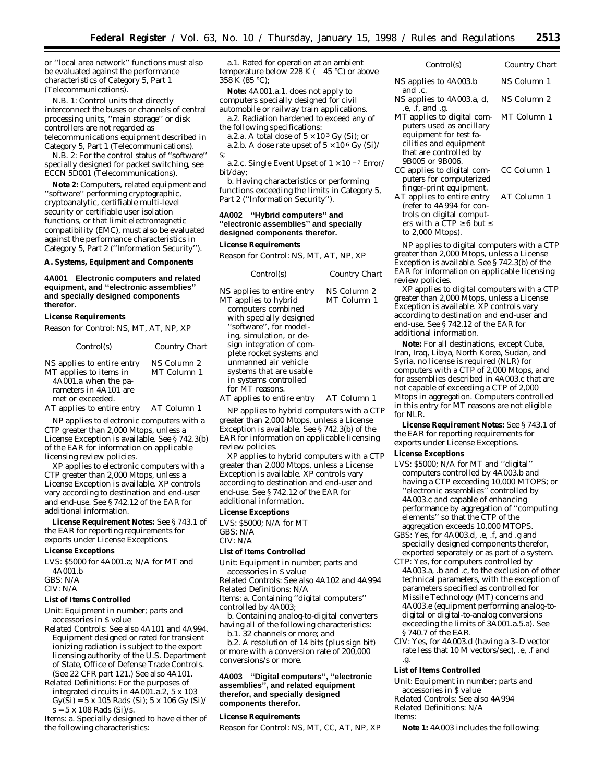or ''local area network'' functions must also be evaluated against the performance characteristics of Category 5, Part 1 (Telecommunications).

N.B. 1: Control units that directly interconnect the buses or channels of central processing units, ''main storage'' or disk controllers are not regarded as telecommunications equipment described in Category 5, Part 1 (Telecommunications).

N.B. 2: For the control status of ''software'' specially designed for packet switching, see ECCN 5D001 (Telecommunications).

**Note 2:** Computers, related equipment and ''software'' performing cryptographic, cryptoanalytic, certifiable multi-level security or certifiable user isolation functions, or that limit electromagnetic compatibility (EMC), must also be evaluated against the performance characteristics in Category 5, Part 2 (''Information Security'').

#### **A. Systems, Equipment and Components**

# **4A001 Electronic computers and related equipment, and ''electronic assemblies'' and specially designed components therefor.**

#### **License Requirements**

*Reason for Control:* NS, MT, AT, NP, XP

| Control(s)                                                                                                                | Country Chart              |
|---------------------------------------------------------------------------------------------------------------------------|----------------------------|
| NS applies to entire entry<br>MT applies to items in<br>4A001.a when the pa-<br>rameters in 4A101 are<br>met or exceeded. | NS Column 2<br>MT Column 1 |
| AT applies to entire entry                                                                                                | AT Column 1                |

NP applies to electronic computers with a CTP greater than 2,000 Mtops, unless a License Exception is available. See § 742.3(b) of the EAR for information on applicable licensing review policies.

XP applies to electronic computers with a CTP greater than 2,000 Mtops, unless a License Exception is available. XP controls vary according to destination and end-user and end-use. See § 742.12 of the EAR for additional information.

**License Requirement Notes:** See § 743.1 of the EAR for reporting requirements for exports under License Exceptions.

#### **License Exceptions**

LVS: \$5000 for 4A001.a; N/A for MT and 4A001.b

GBS: N/A

CIV: N/A

# **List of Items Controlled**

*Unit:* Equipment in number; parts and accessories in \$ value

*Related Controls:* See also 4A101 and 4A994. Equipment designed or rated for transient ionizing radiation is subject to the export licensing authority of the U.S. Department of State, Office of Defense Trade Controls. (See 22 CFR part 121.) See also 4A101.

*Related Definitions:* For the purposes of integrated circuits in 4A001.a.2, 5 x 103  $Gy(Si) = 5 \times 105$  Rads (Si);  $5 \times 106$  Gy (Si)/  $s = 5 \times 108$  Rads (Si)/s.

*Items:* a. Specially designed to have either of the following characteristics:

a.1. Rated for operation at an ambient temperature below 228 K ( $-45\ {\rm ^o C}$  ) or above 358 K (85 °C);

**Note:** 4A001.a.1. does not apply to computers specially designed for civil automobile or railway train applications. a.2. Radiation hardened to exceed any of

the following specifications:

a.2.a. A total dose of  $5 \times 10^3$  Gy (Si); or a.2.b. A dose rate upset of  $5 \times 10^6$  Gy (Si)/ s;

a.2.c. Single Event Upset of  $1 \times 10^{-7}$  Error/ bit/day;

b. Having characteristics or performing functions exceeding the limits in Category 5, Part 2 (''Information Security'').

# **4A002 ''Hybrid computers'' and ''electronic assemblies'' and specially designed components therefor.**

#### **License Requirements**

*Reason for Control:* NS, MT, AT, NP, XP

| Control(s)                                                                                                                                                                                                                                                                                                                                    | Country Chart                             |
|-----------------------------------------------------------------------------------------------------------------------------------------------------------------------------------------------------------------------------------------------------------------------------------------------------------------------------------------------|-------------------------------------------|
| NS applies to entire entry<br>MT applies to hybrid<br>computers combined<br>with specially designed<br>"software", for model-<br>ing, simulation, or de-<br>sign integration of com-<br>plete rocket systems and<br>unmanned air vehicle<br>systems that are usable<br>in systems controlled<br>for MT reasons.<br>AT applies to entire entry | NS Column 2<br>MT Column 1<br>AT Column 1 |
|                                                                                                                                                                                                                                                                                                                                               |                                           |

NP applies to hybrid computers with a CTP greater than 2,000 Mtops, unless a License Exception is available. See § 742.3(b) of the EAR for information on applicable licensing review policies.

XP applies to hybrid computers with a CTP greater than 2,000 Mtops, unless a License Exception is available. XP controls vary according to destination and end-user and end-use. See § 742.12 of the EAR for additional information.

#### **License Exceptions**

LVS: \$5000; N/A for MT GBS: N/A CIV: N/A

#### **List of Items Controlled**

*Unit:* Equipment in number; parts and

accessories in \$ value *Related Controls:* See also 4A102 and 4A994

*Related Definitions:* N/A

*Items:* a. Containing ''digital computers'' controlled by 4A003;

b. Containing analog-to-digital converters having all of the following characteristics:

b.1. 32 channels or more; *and*

b.2. A resolution of 14 bits (plus sign bit) or more with a conversion rate of 200,000 conversions/s or more.

## **4A003 ''Digital computers'', ''electronic assemblies'', and related equipment therefor, and specially designed components therefor.**

# **License Requirements**

*Reason for Control:* NS, MT, CC, AT, NP, XP

| Control(s)                                                     | Country Chart |
|----------------------------------------------------------------|---------------|
| NS applies to 4A003.b                                          | NS Column 1   |
| and .c.<br>NS applies to 4A003.a, d,                           | NS Column 2   |
| .e, .f, and .g.<br>MT applies to digital com-                  | MT Column 1   |
| puters used as ancillary<br>equipment for test fa-             |               |
| cilities and equipment                                         |               |
| that are controlled by<br>9B005 or 9B006.                      |               |
| CC applies to digital com-<br>puters for computerized          | CC Column 1   |
| finger-print equipment.<br>AT applies to entire entry          | AT Column 1   |
| (refer to 4A994 for con-                                       |               |
| trols on digital comput-<br>ers with a CTP $\geq 6$ but $\leq$ |               |
| to 2,000 Mtops).                                               |               |

NP applies to digital computers with a CTP greater than 2,000 Mtops, unless a License Exception is available. See § 742.3(b) of the EAR for information on applicable licensing review policies.

XP applies to digital computers with a CTP greater than 2,000 Mtops, unless a License Exception is available. XP controls vary according to destination and end-user and end-use. See § 742.12 of the EAR for additional information.

**Note:** For all destinations, except Cuba, Iran, Iraq, Libya, North Korea, Sudan, and Syria, no license is required (NLR) for computers with a CTP of 2,000 Mtops, and for assemblies described in 4A003.c that are not capable of exceeding a CTP of 2,000 Mtops in aggregation. Computers controlled in this entry for MT reasons are not eligible for NLR.

**License Requirement Notes:** See § 743.1 of the EAR for reporting requirements for exports under License Exceptions.

# **License Exceptions**

- LVS: \$5000; N/A for MT and ''digital'' computers controlled by 4A003.b and having a CTP exceeding 10,000 MTOPS; or ''electronic assemblies'' controlled by 4A003.c and capable of enhancing performance by aggregation of ''computing elements'' so that the CTP of the aggregation exceeds 10,000 MTOPS.
- GBS: Yes, for 4A003.d, .e, .f, and .g and specially designed components therefor, exported separately or as part of a system.
- CTP: Yes, for computers controlled by 4A003.a, .b and .c, to the exclusion of other technical parameters, with the exception of parameters specified as controlled for Missile Technology (MT) concerns and 4A003.e (equipment performing analog-todigital or digital-to-analog conversions exceeding the limits of 3A001.a.5.a). See § 740.7 of the EAR.
- CIV: Yes, for 4A003.d (having a 3–D vector rate less that 10 M vectors/sec), .e, .f and .g.

#### **List of Items Controlled**

*Unit:* Equipment in number; parts and accessories in \$ value *Related Controls:* See also 4A994

*Related Definitions:* N/A

*Items:*

**Note 1:** 4A003 includes the following: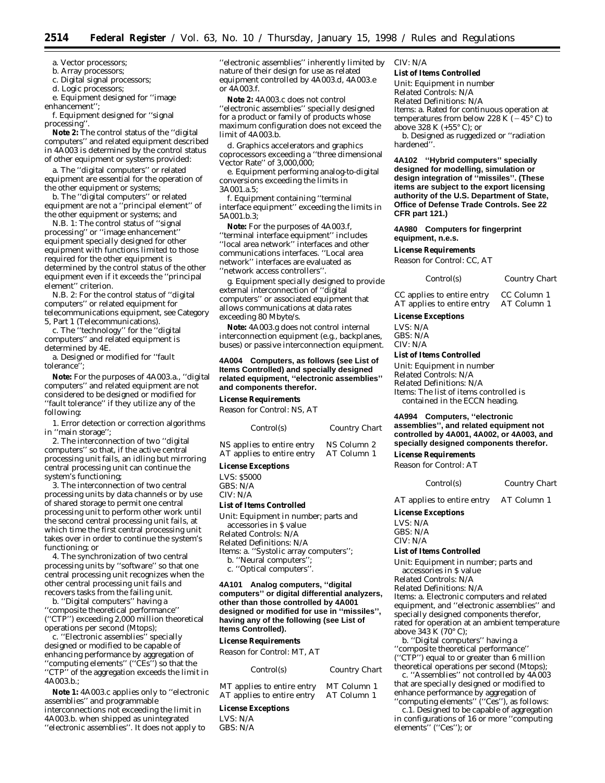a. Vector processors;

b. Array processors;

c. Digital signal processors;

d. Logic processors;

e. Equipment designed for ''image enhancement'';

f. Equipment designed for ''signal processing''.

**Note 2:** The control status of the ''digital computers'' and related equipment described in 4A003 is determined by the control status of other equipment or systems provided:

a. The ''digital computers'' or related equipment are essential for the operation of the other equipment or systems;

b. The ''digital computers'' or related equipment are not a ''principal element'' of the other equipment or systems; *and*

N.B. 1: The control status of ''signal processing'' or ''image enhancement'' equipment specially designed for other equipment with functions limited to those required for the other equipment is determined by the control status of the other equipment even if it exceeds the ''principal element'' criterion.

N.B. 2: For the control status of ''digital computers'' or related equipment for telecommunications equipment, see Category 5, Part 1 (Telecommunications).

c. The ''technology'' for the ''digital computers'' and related equipment is determined by 4E.

a. Designed or modified for ''fault tolerance'';

**Note:** For the purposes of 4A003.a., ''digital computers'' and related equipment are not considered to be designed or modified for ''fault tolerance'' if they utilize any of the following:

1. Error detection or correction algorithms in ''main storage'';

2. The interconnection of two ''digital computers'' so that, if the active central processing unit fails, an idling but mirroring central processing unit can continue the system's functioning;

3. The interconnection of two central processing units by data channels or by use of shared storage to permit one central processing unit to perform other work until the second central processing unit fails, at which time the first central processing unit takes over in order to continue the system's functioning; or

4. The synchronization of two central processing units by ''software'' so that one central processing unit recognizes when the other central processing unit fails and recovers tasks from the failing unit.

b. ''Digital computers'' having a ''composite theoretical performance'' (''CTP'') exceeding 2,000 million theoretical operations per second (Mtops);

c. ''Electronic assemblies'' specially designed or modified to be capable of enhancing performance by aggregation of ''computing elements'' (''CEs'') so that the ''CTP'' of the aggregation exceeds the limit in 4A003.b.;

**Note 1:** 4A003.c applies only to ''electronic assemblies'' and programmable interconnections not exceeding the limit in 4A003.b. when shipped as unintegrated ''electronic assemblies''. It does not apply to

''electronic assemblies'' inherently limited by nature of their design for use as related equipment controlled by 4A003.d, 4A003.e or 4A003.f.

**Note 2:** 4A003.c does not control ''electronic assemblies'' specially designed for a product or family of products whose maximum configuration does not exceed the limit of 4A003.b.

d. Graphics accelerators and graphics coprocessors exceeding a ''three dimensional Vector Rate'' of 3,000,000;

e. Equipment performing analog-to-digital conversions exceeding the limits in 3A001.a.5;

f. Equipment containing ''terminal interface equipment'' exceeding the limits in 5A001.b.3;

**Note:** For the purposes of 4A003.f, ''terminal interface equipment'' includes ''local area network'' interfaces and other communications interfaces. ''Local area network'' interfaces are evaluated as ''network access controllers''.

g. Equipment specially designed to provide external interconnection of ''digital computers'' or associated equipment that allows communications at data rates exceeding 80 Mbyte/s.

**Note:** 4A003.g does not control internal interconnection equipment (e.g., backplanes, buses) or passive interconnection equipment.

**4A004 Computers, as follows (see List of Items Controlled) and specially designed related equipment, ''electronic assemblies'' and components therefor.**

**License Requirements**

Reason for Control: NS, AT

| Control(s)                 | <b>Country Chart</b> |
|----------------------------|----------------------|
| NS applies to entire entry | NS Column 2          |
| AT applies to entire entry | AT Column 1          |

# **License Exceptions**

LVS: \$5000 GBS: N/A CIV: N/A

#### **List of Items Controlled**

*Unit:* Equipment in number; parts and accessories in \$ value *Related Controls:* N/A *Related Definitions:* N/A *Items:* a. ''Systolic array computers''; b. "Neural computers"

c. ''Optical computers''.

**4A101 Analog computers, ''digital computers'' or digital differential analyzers, other than those controlled by 4A001 designed or modified for use in ''missiles'', having any of the following (see List of Items Controlled).**

**License Requirements**

*Reason for Control:* MT, AT

*Control(s) Country Chart*

MT applies to entire entry MT Column 1 AT applies to entire entry AT Column 1

# **License Exceptions**

LVS: N/A GBS: N/A

## CIV: N/A

#### **List of Items Controlled**

*Unit:* Equipment in number *Related Controls:* N/A *Related Definitions:* N/A *Items:* a. Rated for continuous operation at temperatures from below 228 K  $(-45^{\circ} C)$  to above 328 K (+55° C); or

b. Designed as ruggedized or ''radiation hardened''.

**4A102 ''Hybrid computers'' specially designed for modelling, simulation or design integration of ''missiles''. (These items are subject to the export licensing authority of the U.S. Department of State, Office of Defense Trade Controls. See 22 CFR part 121.)**

# **4A980 Computers for fingerprint equipment, n.e.s.**

#### **License Requirements**

*Reason for Control:* CC, AT

|  | Control(s) | Country Chart |
|--|------------|---------------|
|--|------------|---------------|

CC applies to entire entry CC Column 1 AT applies to entire entry AT Column 1

## **License Exceptions**

LVS: N/A GBS: N/A CIV: N/A

# **List of Items Controlled**

*Unit:* Equipment in number *Related Controls:* N/A *Related Definitions:* N/A *Items:* The list of items controlled is contained in the ECCN heading.

**4A994 Computers, ''electronic assemblies'', and related equipment not controlled by 4A001, 4A002, or 4A003, and specially designed components therefor.**

# **License Requirements**

*Reason for Control:* AT

*Control(s) Country Chart*

AT applies to entire entry AT Column 1

**License Exceptions**

LVS: N/A GBS: N/A CIV: N/A

## **List of Items Controlled**

*Unit:* Equipment in number; parts and accessories in \$ value

*Related Controls:* N/A

*Related Definitions:* N/A

*Items:* a. Electronic computers and related equipment, and ''electronic assemblies'' and specially designed components therefor, rated for operation at an ambient temperature above  $343 \text{ K}$  (70 $\textdegree$  C);

b. ''Digital computers'' having a ''composite theoretical performance'' (''CTP'') equal to or greater than 6 million theoretical operations per second (Mtops);

c. ''Assemblies'' not controlled by 4A003 that are specially designed or modified to enhance performance by aggregation of "computing elements" ("Ces"), as follows:

c.1. Designed to be capable of aggregation in configurations of 16 or more ''computing elements'' (''Ces''); or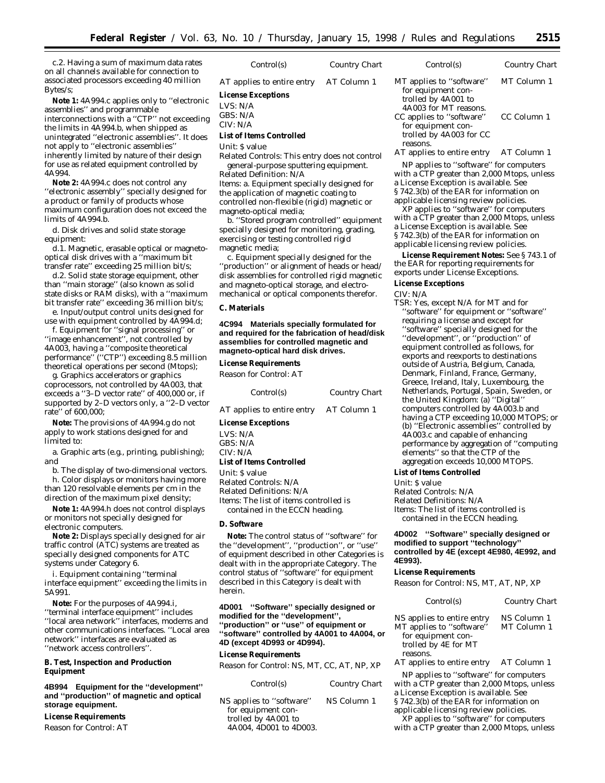c.2. Having a sum of maximum data rates on all channels available for connection to associated processors exceeding 40 million Bytes/s;

**Note 1:** 4A994.c applies only to ''electronic assemblies'' and programmable interconnections with a ''CTP'' not exceeding the limits in 4A994.b, when shipped as unintegrated ''electronic assemblies''. It does not apply to ''electronic assemblies'' inherently limited by nature of their design for use as related equipment controlled by 4A994.

**Note 2:** 4A994.c does not control any ''electronic assembly'' specially designed for a product or family of products whose maximum configuration does not exceed the limits of 4A994.b.

d. Disk drives and solid state storage equipment:

d.1. Magnetic, erasable optical or magnetooptical disk drives with a ''maximum bit transfer rate'' exceeding 25 million bit/s;

d.2. Solid state storage equipment, other than ''main storage'' (also known as solid state disks or RAM disks), with a ''maximum bit transfer rate'' exceeding 36 million bit/s;

e. Input/output control units designed for use with equipment controlled by 4A994.d;

f. Equipment for ''signal processing'' or ''image enhancement'', not controlled by 4A003, having a ''composite theoretical performance'' (''CTP'') exceeding 8.5 million theoretical operations per second (Mtops);

g. Graphics accelerators or graphics coprocessors, not controlled by 4A003, that exceeds a ''3–D vector rate'' of 400,000 or, if supported by 2–D vectors only, a ''2–D vector rate'' of 600,000;

**Note:** The provisions of 4A994.g do not apply to work stations designed for and limited to:

a. Graphic arts (e.g., printing, publishing); *and*

b. The display of two-dimensional vectors. h. Color displays or monitors having more than 120 resolvable elements per cm in the direction of the maximum pixel density;

**Note 1:** 4A994.h does not control displays or monitors not specially designed for electronic computers.

**Note 2:** Displays specially designed for air traffic control (ATC) systems are treated as specially designed components for ATC systems under Category 6.

i. Equipment containing ''terminal interface equipment'' exceeding the limits in 5A991.

**Note:** For the purposes of 4A994.i, ''terminal interface equipment'' includes ''local area network'' interfaces, modems and other communications interfaces. ''Local area network'' interfaces are evaluated as ''network access controllers''.

# **B. Test, Inspection and Production Equipment**

**4B994 Equipment for the ''development'' and ''production'' of magnetic and optical storage equipment.**

# **License Requirements**

*Reason for Control:* AT

# *Control(s) Country Chart*

*AT applies to entire entry* AT Column 1

# **License Exceptions**

LVS: N/A GBS: N/A

CIV: N/A

# **List of Items Controlled**

*Unit:* \$ value

*Related Controls:* This entry does not control general-purpose sputtering equipment. *Related Definition:* N/A

*Items:* a. Equipment specially designed for the application of magnetic coating to controlled non-flexible (rigid) magnetic or magneto-optical media;

b. ''Stored program controlled'' equipment specially designed for monitoring, grading, exercising or testing controlled rigid magnetic media;

c. Equipment specially designed for the ''production'' or alignment of heads or head/ disk assemblies for controlled rigid magnetic and magneto-optical storage, and electromechanical or optical components therefor.

# **C. Materials**

**4C994 Materials specially formulated for and required for the fabrication of head/disk assemblies for controlled magnetic and magneto-optical hard disk drives.**

# **License Requirements**

*Reason for Control:* AT

| Control(s) |  | <b>Country Chart</b> |
|------------|--|----------------------|
|------------|--|----------------------|

*AT applies to entire entry* AT Column 1

**License Exceptions**

LVS: N/A GBS: N/A

CIV: N/A

# **List of Items Controlled**

*Unit:* \$ value

*Related Controls:* N/A *Related Definitions:* N/A

*Items:* The list of items controlled is contained in the ECCN heading.

#### **D. Software**

**Note:** The control status of ''software'' for the ''development'', ''production'', or ''use'' of equipment described in other Categories is dealt with in the appropriate Category. The control status of ''software'' for equipment described in this Category is dealt with herein.

**4D001 ''Software'' specially designed or modified for the ''development'', ''production'' or ''use'' of equipment or ''software'' controlled by 4A001 to 4A004, or 4D (except 4D993 or 4D994).**

#### **License Requirements**

*Reason for Control:* NS, MT, CC, AT, NP, XP

| Control(s)                                                                                      | Country Chart |
|-------------------------------------------------------------------------------------------------|---------------|
| NS applies to "software"<br>for equipment con-<br>trolled by 4A001 to<br>4A004. 4D001 to 4D003. | NS Column 1   |

| MT applies to "software"               | MT Column 1 |
|----------------------------------------|-------------|
| for equipment con-                     |             |
| trolled by 4A001 to                    |             |
| 4A003 for MT reasons.                  |             |
| CC applies to "software"               | CC Column 1 |
| for equipment con-                     |             |
| trolled by 4A003 for CC                |             |
| reasons.                               |             |
| $\mathbf{r}$ . The set of $\mathbf{r}$ |             |

*Control(s) Country Chart*

AT applies to entire entry AT Column 1

NP applies to ''software'' for computers with a CTP greater than 2,000 Mtops, unless a License Exception is available. See § 742.3(b) of the EAR for information on applicable licensing review policies.

XP applies to ''software'' for computers with a CTP greater than 2,000 Mtops, unless a License Exception is available. See § 742.3(b) of the EAR for information on applicable licensing review policies.

**License Requirement Notes:** See § 743.1 of the EAR for reporting requirements for exports under License Exceptions.

#### **License Exceptions**

CIV: N/A

TSR: Yes, except N/A for MT and for ''software'' for equipment or ''software'' requiring a license and *except* for ''software'' specially designed for the ''development'', or ''production'' of equipment controlled as follows, for exports and reexports to destinations outside of Austria, Belgium, Canada, Denmark, Finland, France, Germany, Greece, Ireland, Italy, Luxembourg, the Netherlands, Portugal, Spain, Sweden, or the United Kingdom: (a) ''Digital'' computers controlled by 4A003.b and having a CTP exceeding 10,000 MTOPS; or (b) ''Electronic assemblies'' controlled by 4A003.c and capable of enhancing performance by aggregation of ''computing elements'' so that the CTP of the aggregation exceeds 10,000 MTOPS.

#### **List of Items Controlled**

*Unit:* \$ value *Related Controls:* N/A *Related Definitions:* N/A *Items:* The list of items controlled is contained in the ECCN heading.

# **4D002 ''Software'' specially designed or modified to support ''technology'' controlled by 4E (except 4E980, 4E992, and 4E993).**

# **License Requirements**

*Reason for Control:* NS, MT, AT, NP, XP

| Control(s)                                                                                           | Country Chart              |
|------------------------------------------------------------------------------------------------------|----------------------------|
| NS applies to entire entry<br>MT applies to "software"<br>for equipment con-<br>trolled by 4E for MT | NS Column 1<br>MT Column 1 |

reasons.

AT applies to entire entry AT Column 1

NP applies to ''software'' for computers with a CTP greater than 2,000 Mtops, unless a License Exception is available. See § 742.3(b) of the EAR for information on

applicable licensing review policies.

XP applies to ''software'' for computers with a CTP greater than 2,000 Mtops, unless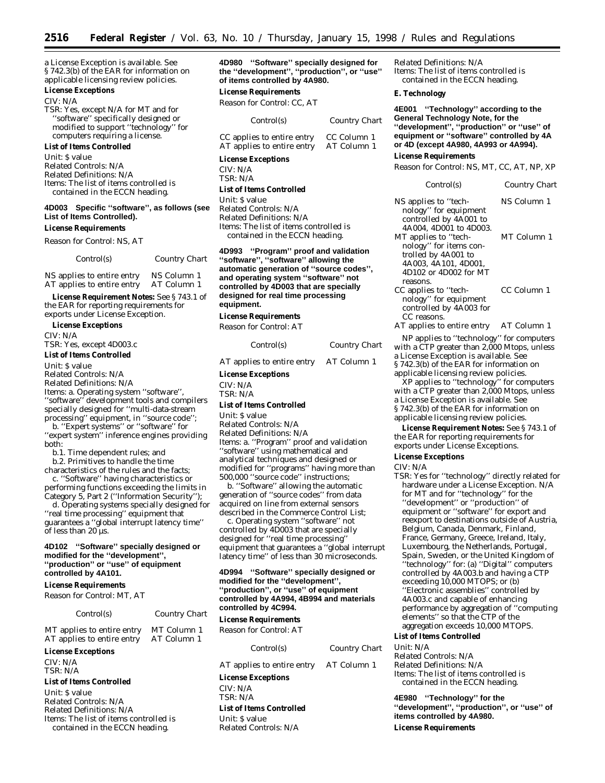a License Exception is available. See § 742.3(b) of the EAR for information on applicable licensing review policies.

# **License Exceptions**

CIV: N/A

TSR: Yes, except N/A for MT and for ''software'' specifically designed or modified to support ''technology'' for computers requiring a license.

# **List of Items Controlled**

*Unit:* \$ value *Related Controls:* N/A *Related Definitions:* N/A *Items:* The list of items controlled is

contained in the ECCN heading.

# **4D003 Specific ''software'', as follows (see List of Items Controlled).**

# **License Requirements**

*Reason for Control:* NS, AT

| Control(s)                                                                                                      | Country Chart                                   |
|-----------------------------------------------------------------------------------------------------------------|-------------------------------------------------|
| the company of the same state and a second company of the same state of the same of the same of the same of the | $\mathbf{M} \mathbf{C} \cdot \mathbf{C}$ . 1. 1 |

NS applies to entire entry NS Column 1<br>AT applies to entire entry AT Column 1  $AT$  applies to entire entry

**License Requirement Notes:** See § 743.1 of the EAR for reporting requirements for exports under License Exception.

**License Exceptions**

CIV: N/A

TSR: Yes, except 4D003.c

**List of Items Controlled**

*Unit:* \$ value

*Related Controls:* N/A

*Related Definitions:* N/A

*Items:* a. Operating system ''software'', ''software'' development tools and compilers

specially designed for ''multi-data-stream processing'' equipment, in ''source code''; b. ''Expert systems'' or ''software'' for

''expert system'' inference engines providing both:

b.1. Time dependent rules; and

b.2. Primitives to handle the time characteristics of the rules and the facts;

c. ''Software'' having characteristics or performing functions exceeding the limits in Category 5, Part 2 (''Information Security'');

d. Operating systems specially designed for ''real time processing'' equipment that guarantees a ''global interrupt latency time'' of less than 20 µs.

# **4D102 ''Software'' specially designed or modified for the ''development'', ''production'' or ''use'' of equipment controlled by 4A101.**

#### **License Requirements**

*Reason for Control:* MT, AT

| Control(s)                                               | <b>Country Chart</b>       | controll<br><b>License</b> |
|----------------------------------------------------------|----------------------------|----------------------------|
| MT applies to entire entry<br>AT applies to entire entry | MT Column 1<br>AT Column 1 | Reason                     |
| <b>License Exceptions</b>                                |                            |                            |
| CIV: N/A<br>TSR: N/A                                     |                            | $AT$ app                   |
| <b>List of Items Controlled</b>                          |                            | License                    |
| Unit: S value<br>Related Controls: N/A                   |                            | CIV: N/<br>TSR: N/<br>-- - |

*Related Definitions:* N/A *Items:* The list of items controlled is contained in the ECCN heading.

**4D980 ''Software'' specially designed for the ''development'', ''production'', or ''use'' of items controlled by 4A980.**

# **License Requirements**

*Reason for Control:* CC, AT

| Control(s)                 | <b>Country Chart</b> |
|----------------------------|----------------------|
| CC applies to entire entry | CC Column 1          |
| AT applies to entire entry | AT Column 1          |

#### **License Exceptions**

CIV: N/A TSR: N/A

#### **List of Items Controlled**

*Unit:* \$ value *Related Controls:* N/A *Related Definitions:* N/A *Items:* The list of items controlled is contained in the ECCN heading.

**4D993 ''Program'' proof and validation ''software'', ''software'' allowing the automatic generation of ''source codes'', and operating system ''software'' not controlled by 4D003 that are specially designed for real time processing equipment.**

## **License Requirements**

*Reason for Control:* AT

| Control(s)                             | Country Chart |
|----------------------------------------|---------------|
| AT applies to entire entry AT Column 1 |               |
| License Exceptions                     |               |
| CIV: N/A                               |               |
| TSR: N/A                               |               |
| List of Items Controlled               |               |

*Unit:* \$ value

*Related Controls:* N/A *Related Definitions:* N/A *Items:* a. ''Program'' proof and validation ''software'' using mathematical and analytical techniques and designed or modified for ''programs'' having more than 500,000 ''source code'' instructions;

b. ''Software'' allowing the automatic generation of ''source codes'' from data acquired on line from external sensors described in the Commerce Control List;

c. Operating system ''software'' not controlled by 4D003 that are specially designed for ''real time processing'' equipment that guarantees a ''global interrupt latency time'' of less than 30 microseconds.

# **4D994 ''Software'' specially designed or modified for the ''development'', ''production'', or ''use'' of equipment controlled by 4A994, 4B994 and materials controlled by 4C994.**

# **License Requirements**

for *Control:* AT

*Control(s) Country Chart*

lies to entire entry AT Column 1

# **Exceptions**

 $\mathsf A$  $\Delta$ 

# **List of Items Controlled**

*Unit:* \$ value *Related Controls:* N/A *Related Definitions:* N/A *Items:* The list of items controlled is contained in the ECCN heading.

#### **E. Technology**

**4E001 ''Technology'' according to the General Technology Note, for the ''development'', ''production'' or ''use'' of equipment or ''software'' controlled by 4A or 4D (except 4A980, 4A993 or 4A994).**

#### **License Requirements**

*Reason for Control:* NS, MT, CC, AT, NP, XP

| Control(s)                                      | Country Chart |
|-------------------------------------------------|---------------|
| NS applies to "tech-                            | NS Column 1   |
| nology" for equipment<br>controlled by 4A001 to |               |
| 4A004, 4D001 to 4D003.                          |               |
| MT applies to "tech-                            | MT Column 1   |
| nology" for items con-                          |               |
| trolled by 4A001 to                             |               |
| 4A003, 4A101, 4D001,                            |               |
| 4D102 or 4D002 for MT                           |               |
| reasons.                                        |               |
| CC applies to ''tech-                           | CC Column 1   |
| nology" for equipment                           |               |
| controlled by 4A003 for                         |               |
| CC reasons.                                     |               |
| AT applies to entire entry                      | AT Column 1   |

NP applies to ''technology'' for computers with a  $\overline{CTP}$  greater than 2,000 Mtops, unless a License Exception is available. See § 742.3(b) of the EAR for information on applicable licensing review policies.

XP applies to ''technology'' for computers with a CTP greater than 2,000 Mtops, unless a License Exception is available. See § 742.3(b) of the EAR for information on applicable licensing review policies.

**License Requirement Notes:** See § 743.1 of the EAR for reporting requirements for exports under License Exceptions.

# **License Exceptions**

#### CIV: N/A

TSR: Yes for ''technology'' directly related for hardware under a License Exception. N/A for MT and for ''technology'' for the ''development'' or ''production'' of equipment or ''software'' for export and reexport to destinations outside of Austria, Belgium, Canada, Denmark, Finland, France, Germany, Greece, Ireland, Italy, Luxembourg, the Netherlands, Portugal, Spain, Sweden, or the United Kingdom of ''technology'' for: (a) ''Digital'' computers controlled by 4A003.b and having a CTP exceeding 10,000 MTOPS; or (b) ''Electronic assemblies'' controlled by 4A003.c and capable of enhancing performance by aggregation of ''computing elements'' so that the CTP of the aggregation exceeds 10,000 MTOPS.

# **List of Items Controlled**

*Unit:* N/A

*Related Controls:* N/A *Related Definitions:* N/A *Items:* The list of items controlled is contained in the ECCN heading.

**4E980 ''Technology'' for the ''development'', ''production'', or ''use'' of items controlled by 4A980.**

**License Requirements**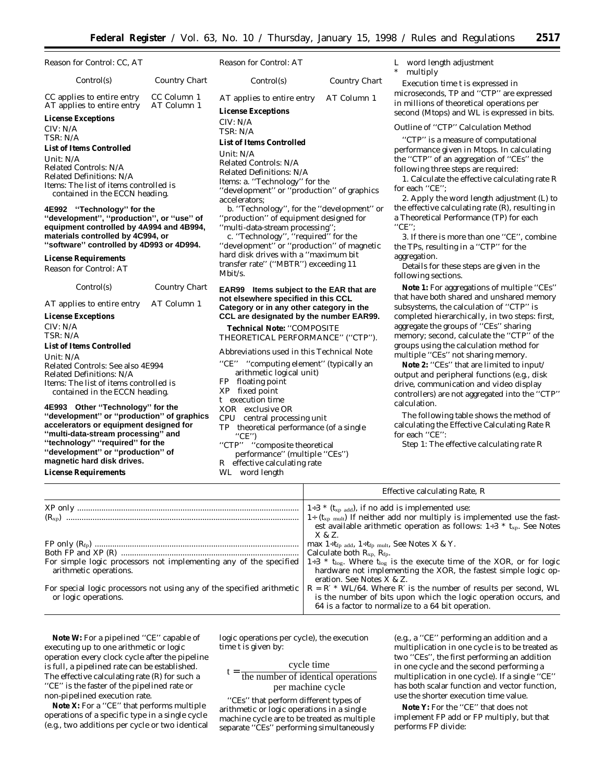| Reason for Control: CC, AT                                                                                                                                    |                            | Reason for Control: AT                                                                                                 |               | I<br>*                                    |
|---------------------------------------------------------------------------------------------------------------------------------------------------------------|----------------------------|------------------------------------------------------------------------------------------------------------------------|---------------|-------------------------------------------|
| Control(s)                                                                                                                                                    | <b>Country Chart</b>       | Control(s)                                                                                                             | Country Chart |                                           |
| CC applies to entire entry<br>AT applies to entire entry                                                                                                      | CC Column 1<br>AT Column 1 | AT applies to entire entry                                                                                             | AT Column 1   | r<br>i                                    |
|                                                                                                                                                               |                            | <b>License Exceptions</b>                                                                                              |               | S                                         |
| <b>License Exceptions</b><br>CIV: N/A<br>TSR: N/A                                                                                                             |                            | CIV: N/A<br>TSR: N/A                                                                                                   |               | $\epsilon$                                |
| <b>List of Items Controlled</b>                                                                                                                               |                            | <b>List of Items Controlled</b>                                                                                        |               |                                           |
| Unit: N/A<br>Related Controls: N/A<br><i>Related Definitions</i> : N/A<br><i>Items:</i> The list of items controlled is                                       |                            | Unit: $N/A$<br>Related Controls: N/A<br>Related Definitions: N/A<br>Items: a. "Technology" for the                     |               | F<br>t<br>f<br>f                          |
| contained in the ECCN heading.                                                                                                                                |                            | "development" or "production" of graphics<br>accelerators:                                                             |               |                                           |
| 4E992 "Technology" for the<br>"development", "production", or "use" of<br>equipment controlled by 4A994 and 4B994,                                            |                            | b. "Technology", for the "development" or<br>"production" of equipment designed for<br>"multi-data-stream processing"; |               | t<br>a<br>$\epsilon$                      |
| materials controlled by 4C994, or<br>"software" controlled by 4D993 or 4D994.                                                                                 |                            | c. "Technology", "required" for the<br>"development" or "production" of magnetic                                       |               |                                           |
|                                                                                                                                                               |                            | hard disk drives with a "maximum bit                                                                                   |               | t<br>a                                    |
| <b>License Requirements</b><br>Reason for Control: AT                                                                                                         |                            | transfer rate" ("MBTR") exceeding 11<br>Mbit/s.                                                                        |               | f                                         |
| Control(s)                                                                                                                                                    | Country Chart              | EAR99 Items subject to the EAR that are                                                                                |               |                                           |
| AT applies to entire entry                                                                                                                                    | AT Column 1                | not elsewhere specified in this CCL<br>Category or in any other category in the                                        |               | t<br>S                                    |
| <b>License Exceptions</b>                                                                                                                                     |                            | CCL are designated by the number EAR99.                                                                                |               | $\mathbf c$                               |
| CIV: N/A<br>TSR: N/A                                                                                                                                          |                            | <b>Technical Note: "COMPOSITE</b><br>THEORETICAL PERFORMANCE" ("CTP").                                                 |               | a<br>r                                    |
| <b>List of Items Controlled</b>                                                                                                                               |                            | Abbreviations used in this Technical Note                                                                              |               | g                                         |
| Unit: $N/A$<br>Related Controls: See also 4E994<br><i>Related Definitions</i> : N/A<br><i>Items:</i> The list of items controlled is                          |                            | "CE" "computing element" (typically an<br>arithmetic logical unit)<br>FP  <br>floating point                           |               | $\mathbf{r}$<br>$\mathbf C$<br>$\epsilon$ |
| contained in the ECCN heading.                                                                                                                                |                            | XP.<br>fixed point<br>t execution time                                                                                 |               | $\mathsf{C}$                              |
| 4E993 Other "Technology" for the<br>"development" or "production" of graphics<br>accelerators or equipment designed for<br>"multi-data-stream processing" and |                            | XOR exclusive OR<br>CPU central processing unit<br>TP<br>theoretical performance (of a single<br>C <sub>E</sub>        |               | $\mathsf{C}$<br>C<br>f                    |
| "technology" "required" for the<br>"development" or "production" of<br>magnetic hard disk drives.                                                             |                            | "CTP" "composite theoretical<br>performance" (multiple "CEs")<br>R offective calculating rate                          |               |                                           |

# **License Requirements**

- R effective calculating rate
- WL word length

L word length adjustment

multiply

Execution time t is expressed in microseconds, TP and ''CTP'' are expressed in millions of theoretical operations per second (Mtops) and WL is expressed in bits.

# *Outline of ''CTP'' Calculation Method*

''CTP'' is a measure of computational performance given in Mtops. In calculating he "CTP" of an aggregation of "CEs" the following three steps are required:

1. Calculate the effective calculating rate R or each "CE";

2. Apply the word length adjustment (L) to he effective calculating rate (R), resulting in Theoretical Performance (TP) for each  $'CE$ ";

3. If there is more than one ''CE'', combine the TPs, resulting in a ''CTP'' for the aggregation.

Details for these steps are given in the ollowing sections.

**Note 1:** For aggregations of multiple ''CEs'' hat have both shared and unshared memory subsystems, the calculation of ''CTP'' is completed hierarchically, in two steps: first, aggregate the groups of ''CEs'' sharing memory; second, calculate the ''CTP'' of the groups using the calculation method for multiple ''CEs'' not sharing memory.

Note 2: "CEs" that are limited to input/ output and peripheral functions (e.g., disk drive, communication and video display controllers) are not aggregated into the ''CTP'' calculation.

The following table shows the method of calculating the Effective Calculating Rate R for each ''CE'':

Step 1: *The effective calculating rate R*

|                                                                                                | Effective calculating Rate, R                                                                                                                                                                                                                         |
|------------------------------------------------------------------------------------------------|-------------------------------------------------------------------------------------------------------------------------------------------------------------------------------------------------------------------------------------------------------|
|                                                                                                | 1÷3 * ( $t_{xp \text{ add}}$ ), if no add is implemented use:<br>1÷ ( $t_{xp \text{ mult}}$ ) If neither add nor multiply is implemented use the fast-<br>est available arithmetic operation as follows: 1+3 $*$ t <sub>xp</sub> . See Notes<br>X & Z |
|                                                                                                | max 1÷t <sub>fp</sub> add, 1÷t <sub>fp</sub> mult. See Notes X & Y.<br>Calculate both $R_{xo.}$ $R_{fv.}$                                                                                                                                             |
| For simple logic processors not implementing any of the specified<br>arithmetic operations.    | 1+3 $*$ t <sub>log</sub> . Where t <sub>log</sub> is the execute time of the XOR, or for logic<br>hardware not implementing the XOR, the fastest simple logic op-<br>eration. See Notes X & Z.                                                        |
| For special logic processors not using any of the specified arithmetic<br>or logic operations. | $R = R' * WL/64$ . Where R' is the number of results per second, WL<br>is the number of <i>bits</i> upon which the logic operation occurs, and<br>64 is a factor to normalize to a 64 bit operation.                                                  |

**Note W:** For a pipelined ''CE'' capable of executing up to one arithmetic or logic operation every clock cycle after the pipeline is full, a pipelined rate can be established. The effective calculating rate (R) for such a ''CE'' is the faster of the pipelined rate or non-pipelined execution rate.

**Note X:** For a ''CE'' that performs multiple operations of a specific type in a single cycle (e.g., two additions per cycle or two identical logic operations per cycle), the execution time t is given by:

t per machin e cycle = cycle time<br>the number of identical operations

''CEs'' that perform different types of arithmetic or logic operations in a single machine cycle are to be treated as multiple separate ''CEs'' performing simultaneously

(e.g., a ''CE'' performing an addition and a multiplication in one cycle is to be treated as two ''CEs'', the first performing an addition in one cycle and the second performing a multiplication in one cycle). If a single ''CE'' has both scalar function and vector function, use the shorter execution time value.

**Note Y:** For the ''CE'' that does not implement FP add or FP multiply, but that performs FP divide: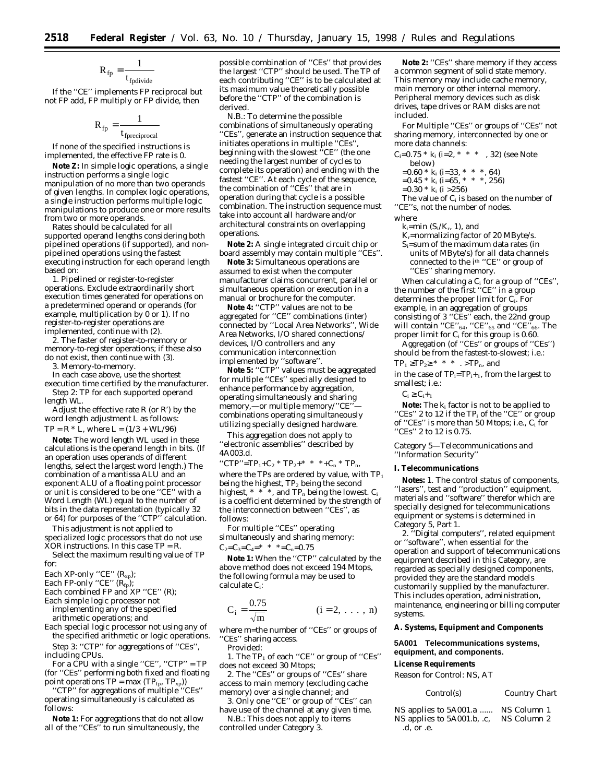$$
R_{\text{fp}} = \frac{1}{t_{\text{fpdivide}}}
$$

If the ''CE'' implements FP reciprocal but not FP add, FP multiply or FP divide, then

$$
R_{\text{fp}} = \frac{1}{t_{\text{fpreciprocal}}}
$$

If none of the specified instructions is implemented, the effective FP rate is 0.

**Note Z:** In simple logic operations, a single instruction performs a single logic manipulation of no more than two operands of given lengths. In complex logic operations, a single instruction performs multiple logic manipulations to produce one or more results from two or more operands.

Rates should be calculated for all supported operand lengths considering both pipelined operations (if supported), and nonpipelined operations using the fastest executing instruction for each operand length based on:

1. Pipelined or register-to-register operations. Exclude extraordinarily short execution times generated for operations on a predetermined operand or operands (for example, multiplication by 0 or 1). If no register-to-register operations are implemented, continue with (2).

2. The faster of register-to-memory or memory-to-register operations; if these also do not exist, then continue with (3).

3. Memory-to-memory.

In each case above, use the shortest execution time certified by the manufacturer. Step 2: *TP for each supported operand length WL.*

Adjust the effective rate  $R$  (or  $R'$ ) by the word length adjustment L as follows:

 $TP = R * L$ , where  $L = (1/3 + WL/96)$ 

**Note:** The word length WL used in these calculations is the operand length in bits. (If an operation uses operands of different lengths, select the largest word length.) The combination of a mantissa ALU and an exponent ALU of a floating point processor or unit is considered to be one ''CE'' with a Word Length (WL) equal to the number of bits in the data representation (typically 32 or 64) for purposes of the ''CTP'' calculation.

This adjustment is not applied to specialized logic processors that do not use XOR instructions. In this case TP = R.

Select the maximum resulting value of TP for:

Each XP-only ''CE'' (R<sub>xp</sub>);

Each FP-only ''CE'' (R<sub>fp</sub>);

Each combined FP and XP "CE" (R);

Each simple logic processor not implementing any of the specified arithmetic operations; and

Each special logic processor not using any of the specified arithmetic or logic operations. Step 3: *''CTP'' for aggregations of ''CEs'',*

*including CPUs.*

For a CPU with a single ''CE'', ''CTP'' = TP (for ''CEs'' performing both fixed and floating point operations  $TP = max (TP_{fp}, TP_{xp}))$ 

''CTP'' for aggregations of multiple ''CEs'' operating simultaneously is calculated as follows:

**Note 1:** For aggregations that do not allow all of the ''CEs'' to run simultaneously, the

possible combination of ''CEs'' that provides the largest ''CTP'' should be used. The TP of each contributing ''CE'' is to be calculated at its maximum value theoretically possible before the ''CTP'' of the combination is derived.

N.B.: To determine the possible combinations of simultaneously operating ''CEs'', generate an instruction sequence that initiates operations in multiple ''CEs'', beginning with the slowest ''CE'' (the one needing the largest number of cycles to complete its operation) and ending with the fastest ''CE''. At each cycle of the sequence, the combination of ''CEs'' that are in operation during that cycle is a possible combination. The instruction sequence must take into account all hardware and/or architectural constraints on overlapping operations.

**Note 2:** A single integrated circuit chip or board assembly may contain multiple ''CEs''.

**Note 3:** Simultaneous operations are assumed to exist when the computer manufacturer claims concurrent, parallel or simultaneous operation or execution in a manual or brochure for the computer.

Note 4: "CTP" values are not to be aggregated for ''CE'' combinations (inter) connected by ''Local Area Networks'', Wide Area Networks, I/O shared connections/ devices, I/O controllers and any communication interconnection implemented by ''software''.

**Note 5:** ''CTP'' values must be aggregated for multiple ''CEs'' specially designed to enhance performance by aggregation, operating simultaneously and sharing memory,--or multiple memory/"CE" combinations operating simultaneously utilizing specially designed hardware.

This aggregation does not apply to ''electronic assemblies'' described by 4A003.d.

"CTP"=TP<sub>1</sub>+C<sub>2</sub> \* TP<sub>2</sub>+\* \* \*+C<sub>n</sub> \* TP<sub>n</sub>, where the TPs are ordered by value, with  $TP<sub>1</sub>$ being the highest,  $TP_2$  being the second highest,  $* * *$ , and  $TP_n$  being the lowest.  $C_i$ is a coefficient determined by the strength of the interconnection between ''CEs'', as follows:

For multiple ''CEs'' operating simultaneously and sharing memory:  $C_2=C_3=C_4=$ \* \* \* = $C_n=0.75$ 

**Note 1:** When the ''CTP'' calculated by the above method does not exceed 194 Mtops, the following formula may be used to calculate Ci:

$$
C_i = \frac{0.75}{\sqrt{m}}
$$
 (*i* = 2, ..., *n*)

where m=the number of ''CEs'' or groups of ''CEs'' sharing access.

Provided:

1. The TP<sub>1</sub> of each "CE" or group of "CEs" does not exceed 30 Mtops;

2. The ''CEs'' or groups of ''CEs'' share access to main memory (excluding cache memory) over a single channel; and

3. Only one ''CE'' or group of ''CEs'' can have use of the channel at any given time.

N.B.: This does not apply to items controlled under Category 3.

Note 2: "CEs" share memory if they access a common segment of solid state memory. This memory may include cache memory, main memory or other internal memory. Peripheral memory devices such as disk drives, tape drives or RAM disks are not included.

For Multiple ''CEs'' or groups of ''CEs'' not sharing memory, interconnected by one or more data channels:

| $C_i = 0.75 * k_i$ (i=2, * * * , 32) (see Note        |
|-------------------------------------------------------|
| below)                                                |
| $=0.60 * k_i$ (i=33, * * *, 64)                       |
| $=0.45 * k_i$ (i=65, * * * . 256)                     |
| $=0.30 * k_i$ (i > 256)                               |
| The value of C <sub>i</sub> is based on the number of |
|                                                       |

''CE''s, not the number of nodes. where

- $k_i=min (S_i/K_r, 1)$ , and  $\rm K_{r}$  =normalizing factor of 20 MByte/s.
- Si=sum of the maximum data rates (in units of MByte/s) for all data channels connected to the ith ''CE'' or group of ''CEs'' sharing memory.

When calculating a  $\text{C}_\text{i}$  for a group of ''CEs'', the number of the first ''CE'' in a group determines the proper limit for Ci. For example, in an aggregation of groups consisting of 3 ''CEs'' each, the 22nd group will contain ''CE''64, ''CE''65 and ''CE''66. The proper limit for Ci for this group is 0.60.

Aggregation (of ''CEs'' or groups of ''CEs'') should be from the fastest-to-slowest; i.e.:

 $TP_1 \ge TP_2 \ge$  \* \* \* . >TP<sub>n</sub>, and

in the case of  $TP_i=TP_i+1$ , from the largest to smallest; i.e.:

 $C_i \geq C_{i+1}$ 

**Note:** The ki factor is not to be applied to "CEs" 2 to 12 if the TP<sub>i</sub> of the "CE" or group of "CEs" is more than 50 Mtops; i.e., C<sub>i</sub> for "CEs" 2 to 12 is 0.75.

*Category 5—Telecommunications and ''Information Security''*

#### **I. Telecommunications**

**Notes:** 1. The control status of components, ''lasers'', test and ''production'' equipment, materials and ''software'' therefor which are specially designed for telecommunications equipment or systems is determined in Category 5, Part 1.

2. ''Digital computers'', related equipment or ''software'', when essential for the operation and support of telecommunications equipment described in this Category, are regarded as specially designed components, provided they are the standard models customarily supplied by the manufacturer. This includes operation, administration, maintenance, engineering or billing computer systems.

# **A. Systems, Equipment and Components**

**5A001 Telecommunications systems, equipment, and components.**

#### **License Requirements**

*Reason for Control:* NS, AT

| Control(s) | Country Chart |
|------------|---------------|
|------------|---------------|

| NS applies to 5A001.a      | NS Column 1 |
|----------------------------|-------------|
| NS applies to 5A001.b, .c, | NS Column 2 |
| .d. or .e.                 |             |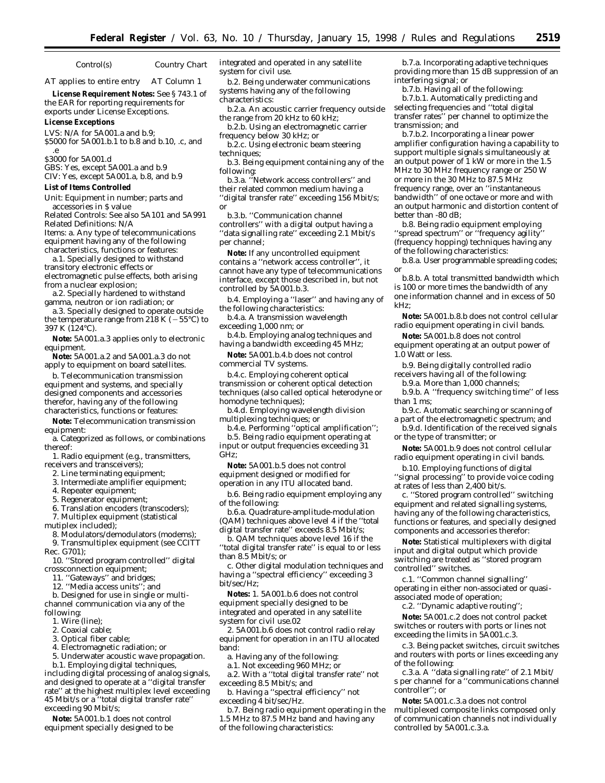# *Control(s) Country Chart*

AT applies to entire entry AT Column 1

**License Requirement Notes:** See § 743.1 of the EAR for reporting requirements for exports under License Exceptions.

#### **License Exceptions**

LVS: N/A for 5A001.a and b.9; \$5000 for 5A001.b.1 to b.8 and b.10, .c, and

.e \$3000 for 5A001.d

GBS: Yes, except 5A001.a and b.9

CIV: Yes, except 5A001.a, b.8, and b.9

# **List of Items Controlled**

*Unit:* Equipment in number; parts and accessories in \$ value

*Related Controls:* See also 5A101 and 5A991 *Related Definitions:* N/A *Items:* a. Any type of telecommunications

equipment having any of the following characteristics, functions or features: a.1. Specially designed to withstand

transitory electronic effects or electromagnetic pulse effects, both arising from a nuclear explosion;

a.2. Specially hardened to withstand gamma, neutron or ion radiation; *or*

a.3. Specially designed to operate outside the temperature range from 218 K ( $-55^{\circ}$ C) to 397 K (124°C).

**Note:** 5A001.a.3 applies only to electronic equipment.

**Note:** 5A001.a.2 and 5A001.a.3 do not apply to equipment on board satellites.

b. Telecommunication transmission equipment and systems, and specially designed components and accessories therefor, having any of the following characteristics, functions or features:

**Note:** Telecommunication transmission equipment:

a. Categorized as follows, or combinations thereof:

1. Radio equipment (e.g., transmitters, receivers and transceivers);

- 2. Line terminating equipment;
- 3. Intermediate amplifier equipment;

4. Repeater equipment;

5. Regenerator equipment;

6. Translation encoders (transcoders);

7. Multiplex equipment (statistical

mutiplex included);

8. Modulators/demodulators (modems);

9. Transmultiplex equipment (see CCITT Rec. G701);

10. ''Stored program controlled'' digital crossconnection equipment;

11. ''Gateways'' and bridges;

12. ''Media access units''; and

b. Designed for use in single or multichannel communication via any of the following:

1. Wire (line);

2. Coaxial cable;

3. Optical fiber cable;

4. Electromagnetic radiation; or

5. Underwater acoustic wave propagation.

b.1. Employing digital techniques, including digital processing of analog signals, and designed to operate at a ''digital transfer rate'' at the highest multiplex level exceeding 45 Mbit/s or a ''total digital transfer rate'' exceeding 90 Mbit/s;

**Note:** 5A001.b.1 does not control equipment specially designed to be integrated and operated in any satellite system for civil use.

b.2. Being underwater communications systems having any of the following characteristics:

b.2.a. An acoustic carrier frequency outside the range from 20 kHz to 60 kHz;

- b.2.b. Using an electromagnetic carrier frequency below 30 kHz; or
- b.2.c. Using electronic beam steering techniques;
- b.3. Being equipment containing any of the following:

b.3.a. ''Network access controllers'' and their related common medium having a ''digital transfer rate'' exceeding 156 Mbit/s; or

b.3.b. ''Communication channel controllers'' with a digital output having a ''data signalling rate'' exceeding 2.1 Mbit/s per channel;

**Note:** If any uncontrolled equipment contains a ''network access controller'', it cannot have any type of telecommunications interface, except those described in, but not controlled by 5A001.b.3.

b.4. Employing a ''laser'' and having any of the following characteristics:

b.4.a. A transmission wavelength exceeding 1,000 nm; or

b.4.b. Employing analog techniques and having a bandwidth exceeding 45 MHz;

**Note:** 5A001.b.4.b does not control commercial TV systems.

b.4.c. Employing coherent optical transmission or coherent optical detection techniques (also called optical heterodyne or homodyne techniques);

b.4.d. Employing wavelength division multiplexing techniques; or

b.4.e. Performing ''optical amplification''; b.5. Being radio equipment operating at input or output frequencies exceeding 31 GHz;

**Note:** 5A001.b.5 does not control equipment designed or modified for operation in any ITU allocated band.

b.6. Being radio equipment employing any of the following:

b.6.a. Quadrature-amplitude-modulation (QAM) techniques above level 4 if the ''total digital transfer rate'' exceeds 8.5 Mbit/s;

b. QAM techniques above level 16 if the ''total digital transfer rate'' is equal to or less than 8.5 Mbit/s; or

c. Other digital modulation techniques and having a ''spectral efficiency'' exceeding 3 bit/sec/Hz;

**Notes:** 1. 5A001.b.6 does not control equipment specially designed to be integrated and operated in any satellite system for civil use.02

2. 5A001.b.6 does not control radio relay equipment for operation in an ITU allocated band:

a. Having any of the following:

a.1. Not exceeding 960 MHz; or

a.2. With a ''total digital transfer rate'' not exceeding 8.5 Mbit/s; and

b. Having a ''spectral efficiency'' not exceeding 4 bit/sec/Hz.

b.7. Being radio equipment operating in the 1.5 MHz to 87.5 MHz band and having any of the following characteristics:

b.7.a. Incorporating adaptive techniques providing more than 15 dB suppression of an interfering signal; or

b.7.b. Having all of the following: b.7.b.1. Automatically predicting and selecting frequencies and ''total digital transfer rates'' per channel to optimize the transmission; and

b.7.b.2. Incorporating a linear power amplifier configuration having a capability to support multiple signals simultaneously at an output power of 1 kW or more in the 1.5 MHz to 30 MHz frequency range or 250 W or more in the 30 MHz to 87.5 MHz frequency range, over an ''instantaneous bandwidth'' of one octave or more and with an output harmonic and distortion content of better than -80 dB;

b.8. Being radio equipment employing ''spread spectrum'' or ''frequency agility'' (frequency hopping) techniques having any of the following characteristics:

b.8.a. User programmable spreading codes; or

b.8.b. A total transmitted bandwidth which is 100 or more times the bandwidth of any one information channel and in excess of 50 kHz;

**Note:** 5A001.b.8.b does not control cellular radio equipment operating in civil bands.

**Note:** 5A001.b.8 does not control equipment operating at an output power of 1.0 Watt or less.

b.9. Being digitally controlled radio receivers having all of the following:

b.9.a. More than 1,000 channels;

b.9.b. A ''frequency switching time'' of less than 1 ms;

b.9.c. Automatic searching or scanning of a part of the electromagnetic spectrum; and

b.9.d. Identification of the received signals or the type of transmitter; or

**Note:** 5A001.b.9 does not control cellular radio equipment operating in civil bands.

b.10. Employing functions of digital ''signal processing'' to provide voice coding at rates of less than 2,400 bit/s.

c. ''Stored program controlled'' switching equipment and related signalling systems, having any of the following characteristics, functions or features, and specially designed components and accessories therefor:

**Note:** Statistical multiplexers with digital input and digital output which provide switching are treated as ''stored program controlled'' switches.

c.1. ''Common channel signalling'' operating in either non-associated or quasiassociated mode of operation;

c.2. ''Dynamic adaptive routing'';

**Note:** 5A001.c.2 does not control packet switches or routers with ports or lines not exceeding the limits in 5A001.c.3.

c.3. Being packet switches, circuit switches and routers with ports or lines exceeding any of the following:

c.3.a. A ''data signalling rate'' of 2.1 Mbit/ s per channel for a ''communications channel controller''; or

**Note:** 5A001.c.3.a does not control multiplexed composite links composed only of communication channels not individually controlled by 5A001.c.3.a.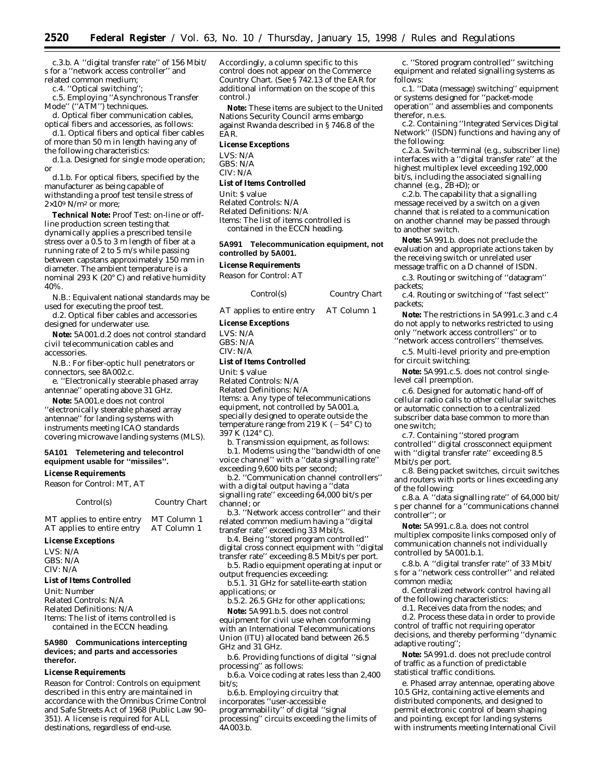c.3.b. A ''digital transfer rate'' of 156 Mbit/ s for a ''network access controller'' and related common medium;

c.4. ''Optical switching'';

c.5. Employing ''Asynchronous Transfer Mode'' (''ATM'') techniques.

d. Optical fiber communication cables, optical fibers and accessories, as follows:

d.1. Optical fibers and optical fiber cables of more than 50 m in length having any of

the following characteristics: d.1.a. Designed for single mode operation; or

d.1.b. For optical fibers, specified by the manufacturer as being capable of withstanding a proof test tensile stress of  $2\times10^9$  N/m<sup>2</sup> or more:

**Technical Note:** Proof Test: on-line or offline production screen testing that dynamically applies a prescribed tensile stress over a 0.5 to 3 m length of fiber at a running rate of 2 to 5 m/s while passing between capstans approximately 150 mm in diameter. The ambient temperature is a nominal 293 K (20° C) and relative humidity 40%.

N.B.: Equivalent national standards may be used for executing the proof test.

d.2. Optical fiber cables and accessories designed for underwater use.

**Note:** 5A001.d.2 does not control standard civil telecommunication cables and accessories.

N.B.: For fiber-optic hull penetrators or connectors, see 8A002.c.

e. ''Electronically steerable phased array antennae'' operating above 31 GHz.

**Note:** 5A001.e does not control ''electronically steerable phased array antennae'' for landing systems with instruments meeting ICAO standards covering microwave landing systems (MLS).

# **5A101 Telemetering and telecontrol equipment usable for ''missiles''.**

# **License Requirements**

Reason for Control: MT, AT

 $Country$  *Chart* 

MT applies to entire entry MT Column 1<br>AT applies to entire entry AT Column 1 AT applies to entire entry

## **License Exceptions**

LVS: N/A GBS: N/A CIV: N/A

# **List of Items Controlled**

*Unit:* Number *Related Controls:* N/A *Related Definitions:* N/A *Items:* The list of items controlled is contained in the ECCN heading.

#### **5A980 Communications intercepting devices; and parts and accessories therefor.**

# **License Requirements**

*Reason for Control:* Controls on equipment described in this entry are maintained in accordance with the Omnibus Crime Control and Safe Streets Act of 1968 (Public Law 90– 351). A license is required for ALL destinations, regardless of end-use.

Accordingly, a column specific to this control does not appear on the Commerce Country Chart. (See § 742.13 of the EAR for additional information on the scope of this control.)

**Note:** These items are subject to the United Nations Security Council arms embargo against Rwanda described in § 746.8 of the EAR.

# **License Exceptions**

LVS: N/A GBS: N/A CIV: N/A

# **List of Items Controlled**

*Unit:* \$ value *Related Controls:* N/A *Related Definitions:* N/A *Items:* The list of items controlled is contained in the ECCN heading.

**5A991 Telecommunication equipment, not controlled by 5A001.**

# **License Requirements**

*Reason for Control:* AT

| Control(s) | Country Chart |
|------------|---------------|
|------------|---------------|

AT applies to entire entry AT Column 1

#### **License Exceptions**

LVS: N/A GBS: N/A  $CIV·N/A$ 

# **List of Items Controlled**

*Unit:* \$ value

*Related Controls:* N/A *Related Definitions:* N/A *Items:* a. Any type of telecommunications equipment, not controlled by 5A001.a, specially designed to operate outside the temperature range from 219 K ( $-54^{\circ}$  C) to 397 K (124° C).

b. Transmission equipment, as follows: b.1. Modems using the ''bandwidth of one voice channel'' with a ''data signalling rate'' exceeding 9,600 bits per second;

b.2. ''Communication channel controllers'' with a digital output having a ''data signalling rate'' exceeding 64,000 bit/s per channel; or

b.3. ''Network access controller'' and their related common medium having a ''digital transfer rate'' exceeding 33 Mbit/s.

b.4. Being ''stored program controlled'' digital cross connect equipment with ''digital transfer rate'' exceeding 8.5 Mbit/s per port.

b.5. Radio equipment operating at input or output frequencies exceeding:

b.5.1. 31 GHz for satellite-earth station applications; or

b.5.2. 26.5 GHz for other applications;

**Note:** 5A991.b.5. does not control equipment for civil use when conforming with an International Telecommunications Union (ITU) allocated band between 26.5 GHz and 31 GHz.

b.6. Providing functions of digital ''signal processing'' as follows:

b.6.a. Voice coding at rates less than 2,400 bit/s;

b.6.b. Employing circuitry that

incorporates ''user-accessible

programmability'' of digital ''signal processing'' circuits exceeding the limits of 4A003.b.

c. ''Stored program controlled'' switching equipment and related signalling systems as follows:

c.1. ''Data (message) switching'' equipment or systems designed for ''packet-mode operation'' and assemblies and components therefor, n.e.s.

c.2. Containing ''Integrated Services Digital Network'' (ISDN) functions and having any of the following:

c.2.a. Switch-terminal (e.g., subscriber line) interfaces with a ''digital transfer rate'' at the highest multiplex level exceeding 192,000 bit/s, including the associated signalling channel (e.g.,  $\check{Z}B+D$ ); or

c.2.b. The capability that a signalling message received by a switch on a given channel that is related to a communication on another channel may be passed through to another switch.

**Note:** 5A991.b. does not preclude the evaluation and appropriate actions taken by the receiving switch or unrelated user message traffic on a D channel of ISDN.

c.3. Routing or switching of ''datagram'' packets;

c.4. Routing or switching of ''fast select'' packets;

**Note:** The restrictions in 5A991.c.3 and c.4 do not apply to networks restricted to using only ''network access controllers'' or to ''network access controllers'' themselves.

c.5. Multi-level priority and pre-emption for circuit switching;

**Note:** 5A991.c.5. does not control singlelevel call preemption.

c.6. Designed for automatic hand-off of cellular radio calls to other cellular switches or automatic connection to a centralized subscriber data base common to more than one switch;

c.7. Containing ''stored program controlled'' digital crossconnect equipment with ''digital transfer rate'' exceeding 8.5 Mbit/s per port.

c.8. Being packet switches, circuit switches and routers with ports or lines exceeding any of the following:

c.8.a. A ''data signalling rate'' of 64,000 bit/ s per channel for a ''communications channel controller''; or

**Note:** 5A991.c.8.a. does not control multiplex composite links composed only of communication channels not individually controlled by 5A001.b.1.

c.8.b. A ''digital transfer rate'' of 33 Mbit/ s for a ''network cess controller'' and related common media;

d. Centralized network control having all of the following characteristics:

d.1. Receives data from the nodes; and

d.2. Process these data in order to provide control of traffic not requiring operator decisions, and thereby performing ''dynamic adaptive routing'';

**Note:** 5A991.d. does not preclude control of traffic as a function of predictable statistical traffic conditions.

e. Phased array antennae, operating above 10.5 GHz, containing active elements and distributed components, and designed to permit electronic control of beam shaping and pointing, except for landing systems with instruments meeting International Civil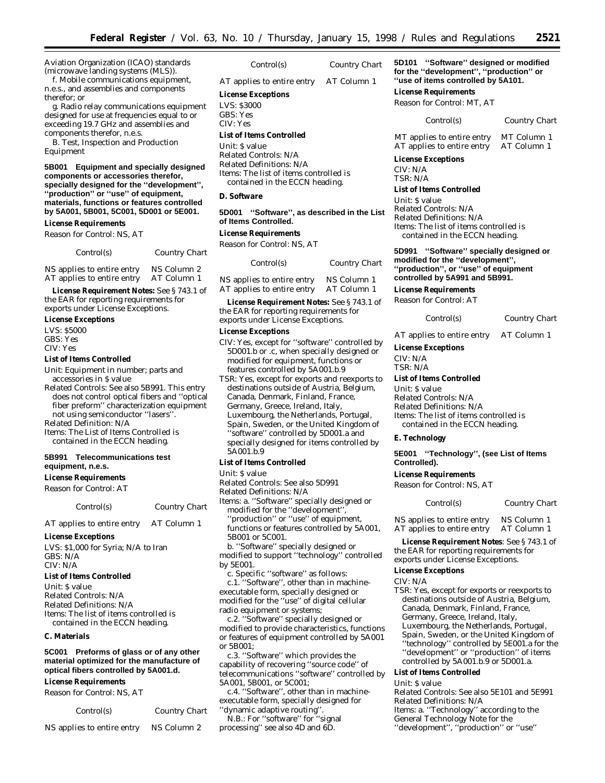Aviation Organization (ICAO) standards (microwave landing systems (MLS)).

f. Mobile communications equipment, n.e.s., and assemblies and components therefor; *or*

g. Radio relay communications equipment designed for use at frequencies equal to or exceeding 19.7 GHz and assemblies and components therefor, n.e.s.

B. Test, Inspection and Production Equipment

**5B001 Equipment and specially designed components or accessories therefor, specially designed for the ''development'', ''production'' or ''use'' of equipment, materials, functions or features controlled by 5A001, 5B001, 5C001, 5D001 or 5E001.**

#### **License Requirements**

*Reason for Control:* NS, AT

| Control(s) | <b>Country Chart</b> |
|------------|----------------------|
|            |                      |

NS applies to entire entry NS Column 2 AT applies to entire entry AT Column 1

**License Requirement Notes:** See § 743.1 of the EAR for reporting requirements for exports under License Exceptions.

#### **License Exceptions**

LVS: \$5000 GBS: Yes

CIV: Yes

#### **List of Items Controlled**

*Unit:* Equipment in number; parts and accessories in \$ value

*Related Controls:* See also 5B991. This entry does not control optical fibers and ''optical fiber preform'' characterization equipment not using semiconductor ''lasers''.

*Related Definition:* N/A

*Items:* The List of Items Controlled is contained in the ECCN heading.

# **5B991 Telecommunications test equipment, n.e.s.**

#### **License Requirements**

*Reason for Control:* AT

*Control(s) Country Chart*

AT applies to entire entry AT Column 1

# **License Exceptions**

LVS: \$1,000 for Syria; N/A to Iran GBS: N/A CIV: N/A

#### **List of Items Controlled**

*Unit:* \$ value *Related Controls:* N/A *Related Definitions*: N/A *Items:* The list of items controlled is contained in the ECCN heading.

#### **C. Materials**

**5C001 Preforms of glass or of any other material optimized for the manufacture of optical fibers controlled by 5A001.d.**

# **License Requirements**

*Reason for Control:* NS, AT

| <i>Control(s)</i>          | <b>Country Chart</b> |  |
|----------------------------|----------------------|--|
| NS applies to entire entry | NS Column 2          |  |

| Country Chart |
|---------------|
|               |

AT applies to entire entry AT Column 1

## **License Exceptions**

LVS: \$3000 GBS: Yes

CIV: Yes

#### **List of Items Controlled**

*Unit:* \$ value *Related Controls:* N/A *Related Definitions:* N/A *Items:* The list of items controlled is contained in the ECCN heading.

## **D. Software**

**5D001 ''Software'', as described in the List of Items Controlled.**

# **License Requirements**

*Reason for Control:* NS, AT

| Control(s)                 | Country Chart |
|----------------------------|---------------|
| NS applies to entire entry | NS Column 1   |
| AT applies to entire entry | AT Column 1   |

**License Requirement Notes:** See § 743.1 of the EAR for reporting requirements for exports under License Exceptions.

## **License Exceptions**

- CIV: Yes, except for ''software'' controlled by 5D001.b or .c, when specially designed or modified for equipment, functions or features controlled by 5A001.b.9
- TSR: Yes, except for exports and reexports to destinations outside of Austria, Belgium, Canada, Denmark, Finland, France, Germany, Greece, Ireland, Italy, Luxembourg, the Netherlands, Portugal, Spain, Sweden, or the United Kingdom of ''software'' controlled by 5D001.a and specially designed for items controlled by 5A001.b.9

# **List of Items Controlled**

*Unit:* \$ value

*Related Controls:* See also 5D991

*Related Definitions:* N/A

*Items:* a. ''Software'' specially designed or modified for the ''development'',

''production'' or ''use'' of equipment, functions or features controlled by 5A001, 5B001 or 5C001.

b. ''Software'' specially designed or modified to support ''technology'' controlled by 5E001.

c. Specific ''software'' as follows: c.1. ''Software'', other than in machineexecutable form, specially designed or modified for the ''use'' of digital cellular radio equipment or systems;

c.2. ''Software'' specially designed or modified to provide characteristics, functions or features of equipment controlled by 5A001 or 5B001;

c.3. ''Software'' which provides the capability of recovering ''source code'' of telecommunications ''software'' controlled by 5A001, 5B001, or 5C001;

c.4. ''Software'', other than in machineexecutable form, specially designed for ''dynamic adaptive routing''.

N.B.: For ''software'' for ''signal processing'' see also 4D and 6D.

**5D101 ''Software'' designed or modified for the ''development'', ''production'' or ''use of items controlled by 5A101.**

#### **License Requirements**

*Reason for Control*: MT, AT

*Control(s) Country Chart*

MT applies to entire entry MT Column 1<br>AT applies to entire entry AT Column 1 AT applies to entire entry

# **License Exceptions**

CIV: N/A TSR: N/A

**List of Items Controlled**

*Unit*: \$ value *Related Controls*: N/A *Related Definitions*: N/A *Items:* The list of items controlled is contained in the ECCN heading.

**5D991 ''Software'' specially designed or modified for the ''development'', ''production'', or ''use'' of equipment controlled by 5A991 and 5B991.**

# **License Requirements**

*Reason for Control*: AT

#### *Control(s) Country Chart*

AT applies to entire entry AT Column 1

**License Exceptions**

CIV: N/A TSR: N/A

#### **List of Items Controlled**

*Unit*: \$ value *Related Controls*: N/A *Related Definitions*: N/A *Items:* The list of items controlled is

contained in the ECCN heading.

# **E. Technology**

**5E001 ''Technology'', (see List of Items Controlled).**

#### **License Requirements**

*Reason for Control*: NS, AT

*Control(s) Country Chart*

NS applies to entire entry NS Column 1<br>AT applies to entire entry AT Column 1 AT applies to entire entry

**License Requirement Notes**: See § 743.1 of the EAR for reporting requirements for exports under License Exceptions.

# **License Exceptions**

CIV: N/A

TSR: Yes, except for exports or reexports to destinations outside of Austria, Belgium, Canada, Denmark, Finland, France, Germany, Greece, Ireland, Italy, Luxembourg, the Netherlands, Portugal, Spain, Sweden, or the United Kingdom of ''technology'' controlled by 5E001.a for the ''development'' or ''production'' of items controlled by 5A001.b.9 or 5D001.a.

# **List of Items Controlled**

*Unit*: \$ value

*Related Controls*: See also 5E101 and 5E991 *Related Definitions*: N/A

*Items*: a. ''Technology'' according to the

- General Technology Note for the
- ''development'', ''production'' or ''use''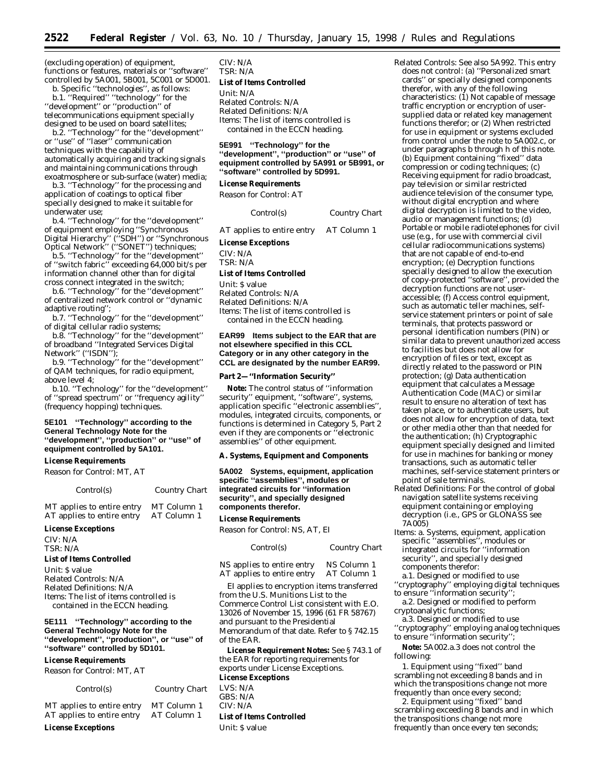(excluding operation) of equipment, functions or features, materials or ''software'' controlled by 5A001, 5B001, 5C001 or 5D001.

b. Specific ''technologies'', as follows: b.1. ''Required'' ''technology'' for the ''development'' or ''production'' of telecommunications equipment specially designed to be used on board satellites;

b.2. ''Technology'' for the ''development'' or ''use'' of ''laser'' communication techniques with the capability of automatically acquiring and tracking signals and maintaining communications through exoatmosphere or sub-surface (water) media;

b.3. ''Technology'' for the processing and application of coatings to optical fiber specially designed to make it suitable for underwater use;

b.4. ''Technology'' for the ''development'' of equipment employing ''Synchronous Digital Hierarchy'' (''SDH'') or ''Synchronous Optical Network'' (''SONET'') techniques;

b.5. ''Technology'' for the ''development'' of ''switch fabric'' exceeding 64,000 bit/s per information channel other than for digital cross connect integrated in the switch;

b.6. ''Technology'' for the ''development'' of centralized network control or ''dynamic adaptive routing'';

b.7. ''Technology'' for the ''development'' of digital cellular radio systems;

b.8. ''Technology'' for the ''development'' of broadband ''Integrated Services Digital Network" ("ISDN");

b.9. ''Technology'' for the ''development'' of QAM techniques, for radio equipment, above level 4;

b.10. ''Technology'' for the ''development'' of ''spread spectrum'' or ''frequency agility'' (frequency hopping) techniques.

# **5E101 ''Technology'' according to the General Technology Note for the ''development'', ''production'' or ''use'' of equipment controlled by 5A101.**

# **License Requirements**

*Reason for Control:* MT, AT

# *Control(s) Country Chart*

# MT applies to entire entry MT Column 1<br>AT applies to entire entry AT Column 1 AT applies to entire entry

**License Exceptions**

CIV: N/A TSR: N/A

# **List of Items Controlled**

*Unit:* \$ value *Related Controls:* N/A *Related Definitions:* N/A *Items:* The list of items controlled is contained in the ECCN heading.

# **5E111 ''Technology'' according to the General Technology Note for the ''development'', ''production'', or ''use'' of ''software'' controlled by 5D101.**

# **License Requirements**

*Reason for Control:* MT, AT

| Control(s)                                               | Country Chart              |
|----------------------------------------------------------|----------------------------|
| MT applies to entire entry<br>AT applies to entire entry | MT Column 1<br>AT Column 1 |
|                                                          |                            |

**License Exceptions**

CIV: N/A TSR: N/A **List of Items Controlled** *Unit:* N/A

*Related Controls:* N/A *Related Definitions:* N/A *Items:* The list of items controlled is contained in the ECCN heading.

# **5E991 ''Technology'' for the ''development'', ''production'' or ''use'' of equipment controlled by 5A991 or 5B991, or ''software'' controlled by 5D991.**

# **License Requirements**

*Reason for Control:* AT

| Control(s)                             | Country Chart |
|----------------------------------------|---------------|
| AT applies to entire entry AT Column 1 |               |
| <b>License Exceptions</b>              |               |
| CIV: N/A                               |               |

TSR: N/A

# **List of Items Controlled**

*Unit:* \$ value *Related Controls:* N/A *Related Definitions:* N/A *Items:* The list of items controlled is contained in the ECCN heading.

# **EAR99 Items subject to the EAR that are not elsewhere specified in this CCL Category or in any other category in the CCL are designated by the number EAR99.**

#### **Part 2—''Information Security''**

**Note:** The control status of ''information security'' equipment, ''software'', systems, application specific ''electronic assemblies'', modules, integrated circuits, components, or functions is determined in Category 5, Part 2 even if they are components or ''electronic assemblies'' of other equipment.

#### **A. Systems, Equipment and Components**

**5A002 Systems, equipment, application specific ''assemblies'', modules or integrated circuits for ''information security'', and specially designed components therefor.**

#### **License Requirements**

*Reason for Control:* NS, AT, EI

| Control(s)                 | Country Chart |
|----------------------------|---------------|
| NS applies to entire entry | NS Column 1   |
| AT applies to entire entry | AT Column 1   |

EI applies to encryption items transferred from the U.S. Munitions List to the Commerce Control List consistent with E.O. 13026 of November 15, 1996 (61 FR 58767) and pursuant to the Presidential Memorandum of that date. Refer to § 742.15 of the EAR.

**License Requirement Notes:** See § 743.1 of the EAR for reporting requirements for exports under License Exceptions. **License Exceptions** LVS: N/A

GBS: N/A CIV: N/A

# **List of Items Controlled** *Unit:* \$ value

*Related Controls:* See also 5A992. This entry does not control: (a) ''Personalized smart cards'' or specially designed components therefor, with any of the following characteristics: (1) Not capable of message traffic encryption or encryption of usersupplied data or related key management functions therefor; or (2) When restricted for use in equipment or systems excluded from control under the note to 5A002.c, or under paragraphs b through h of this note. (b) Equipment containing ''fixed'' data compression or coding techniques; (c) Receiving equipment for radio broadcast, pay television or similar restricted audience television of the consumer type, without digital encryption and where digital decryption is limited to the video, audio or management functions; (d) Portable or mobile radiotelephones for civil use (e.g., for use with commercial civil cellular radiocommunications systems) that are not capable of end-to-end encryption; (e) Decryption functions specially designed to allow the execution of copy-protected ''software'', provided the decryption functions are not useraccessible; (f) Access control equipment, such as automatic teller machines, selfservice statement printers or point of sale terminals, that protects password or personal identification numbers (PIN) or similar data to prevent unauthorized access to facilities but does not allow for encryption of files or text, except as directly related to the password or PIN protection; (g) Data authentication equipment that calculates a Message Authentication Code (MAC) or similar result to ensure no alteration of text has taken place, or to authenticate users, but does not allow for encryption of data, text or other media other than that needed for the authentication; (h) Cryptographic equipment specially designed and limited for use in machines for banking or money transactions, such as automatic teller machines, self-service statement printers or point of sale terminals.

- *Related Definitions:* For the control of global navigation satellite systems receiving equipment containing or employing decryption (i.e., GPS or GLONASS see 7A005)
- *Items:* a. Systems, equipment, application specific ''assemblies'', modules or integrated circuits for ''information security'', and specially designed components therefor: a.1. Designed or modified to use

''cryptography'' employing digital techniques

to ensure ''information security''; a.2. Designed or modified to perform

cryptoanalytic functions;

a.3. Designed or modified to use ''cryptography'' employing analog techniques to ensure "information security"

**Note:** 5A002.a.3 does not control the following:

1. Equipment using ''fixed'' band scrambling not exceeding 8 bands and in which the transpositions change not more frequently than once every second;

2. Equipment using ''fixed'' band scrambling exceeding 8 bands and in which the transpositions change not more frequently than once every ten seconds;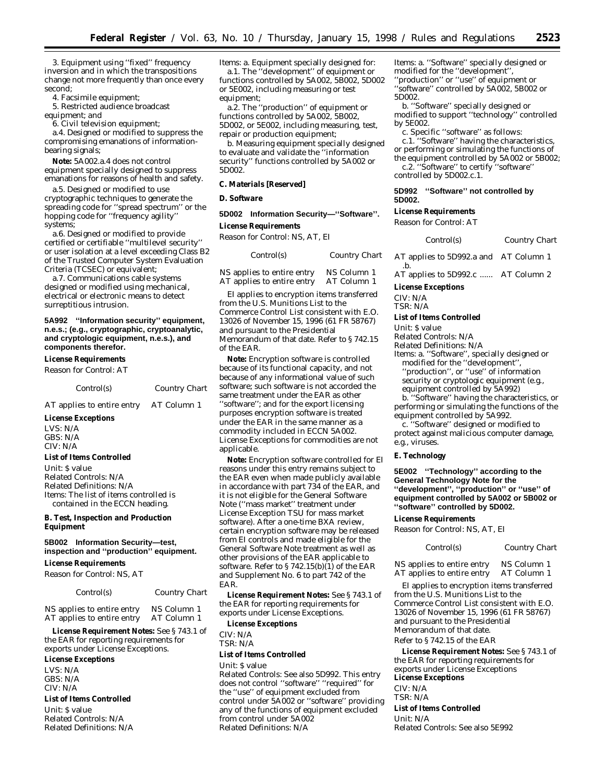3. Equipment using ''fixed'' frequency inversion and in which the transpositions change not more frequently than once every second;

4. Facsimile equipment;

5. Restricted audience broadcast equipment; *and*

6. Civil television equipment;

a.4. Designed or modified to suppress the compromising emanations of informationbearing signals;

**Note:** 5A002.a.4 does not control equipment specially designed to suppress emanations for reasons of health and safety.

a.5. Designed or modified to use cryptographic techniques to generate the spreading code for ''spread spectrum'' or the hopping code for ''frequency agility'' systems;

a.6. Designed or modified to provide certified or certifiable ''multilevel security'' or user isolation at a level exceeding Class B2 of the Trusted Computer System Evaluation Criteria (TCSEC) or equivalent;

a.7. Communications cable systems designed or modified using mechanical, electrical or electronic means to detect surreptitious intrusion.

# **5A992 ''Information security'' equipment, n.e.s.; (e.g., cryptographic, cryptoanalytic, and cryptologic equipment, n.e.s.), and components therefor.**

### **License Requirements**

*Reason for Control:* AT

| Control(s) | <b>Country Chart</b> |
|------------|----------------------|
|------------|----------------------|

AT applies to entire entry AT Column 1

## **License Exceptions**

LVS: N/A GBS: N/A CIV: N/A

## **List of Items Controlled**

*Unit:* \$ value *Related Controls:* N/A *Related Definitions:* N/A *Items:* The list of items controlled is contained in the ECCN heading.

# **B. Test, Inspection and Production Equipment**

# **5B002 Information Security—test, inspection and ''production'' equipment.**

## **License Requirements**

*Reason for Control:* NS, AT

*Control(s) Country Chart*

NS applies to entire entry NS Column 1<br>AT applies to entire entry AT Column 1 AT applies to entire entry

**License Requirement Notes:** See § 743.1 of the EAR for reporting requirements for exports under License Exceptions.

#### **License Exceptions**

LVS: N/A GBS: N/A CIV: N/A

# **List of Items Controlled**

*Unit:* \$ value *Related Controls:* N/A *Related Definitions:* N/A *Items:* a. Equipment specially designed for: a.1. The ''development'' of equipment or functions controlled by 5A002, 5B002, 5D002 or 5E002, including measuring or test equipment;

a.2. The ''production'' of equipment or functions controlled by 5A002, 5B002, 5D002, or 5E002, including measuring, test, repair or production equipment;

b. Measuring equipment specially designed to evaluate and validate the ''information security'' functions controlled by 5A002 or 5D002.

# **C. Materials [Reserved]**

#### **D. Software**

# **5D002 Information Security—''Software''.**

# **License Requirements**

*Reason for Control:* NS, AT, EI

| Control(s)                 | Country Chart |
|----------------------------|---------------|
| NS applies to entire entry | NS Column 1   |
| AT applies to entire entry | AT Column 1   |

EI applies to encryption items transferred from the U.S. Munitions List to the Commerce Control List consistent with E.O. 13026 of November 15, 1996 (61 FR 58767) and pursuant to the Presidential Memorandum of that date. Refer to § 742.15 of the EAR.

**Note:** Encryption software is controlled because of its functional capacity, and not because of any informational value of such software; such software is not accorded the same treatment under the EAR as other ''software''; and for the export licensing purposes encryption software is treated under the EAR in the same manner as a commodity included in ECCN 5A002. License Exceptions for commodities are not applicable.

**Note:** Encryption software controlled for EI reasons under this entry remains subject to the EAR even when made publicly available in accordance with part 734 of the EAR, and it is not eligible for the General Software Note (''mass market'' treatment under License Exception TSU for mass market software). After a one-time BXA review, certain encryption software may be released from EI controls and made eligible for the General Software Note treatment as well as other provisions of the EAR applicable to software. Refer to  $\S 742.15(b)(1)$  of the EAR and Supplement No. 6 to part 742 of the EAR.

**License Requirement Notes:** See § 743.1 of the EAR for reporting requirements for exports under License Exceptions.

# **License Exceptions**

CIV: N/A

TSR: N/A

# **List of Items Controlled**

*Unit:* \$ value

*Related Controls:* See also 5D992. This entry does not control ''software'' ''required'' for the ''use'' of equipment excluded from control under 5A002 or ''software'' providing any of the functions of equipment excluded from control under 5A002 *Related Definitions:* N/A

*Items:* a. ''Software'' specially designed or modified for the ''development'', ''production'' or ''use'' of equipment or ''software'' controlled by 5A002, 5B002 or 5D002.

b. ''Software'' specially designed or modified to support ''technology'' controlled by 5E002.

c. Specific ''software'' as follows:

c.1. ''Software'' having the characteristics, or performing or simulating the functions of the equipment controlled by 5A002 or 5B002;

c.2. ''Software'' to certify ''software''

controlled by 5D002.c.1.

# **5D992 ''Software'' not controlled by 5D002.**

# **License Requirements**

*Reason for Control:* AT

# *Control(s) Country Chart*

AT applies to 5D992.a and AT Column 1 .b.

AT applies to 5D992.c ...... AT Column 2

### **License Exceptions**

CIV: N/A TSR: N/A

#### **List of Items Controlled**

*Unit:* \$ value

*Related Controls:* N/A

*Related Definitions:* N/A

*Items:* a. ''Software'', specially designed or modified for the ''development'', ''production'', or ''use'' of information security or cryptologic equipment (e.g.,

equipment controlled by 5A992)

b. ''Software'' having the characteristics, or performing or simulating the functions of the equipment controlled by 5A992.

c. ''Software'' designed or modified to protect against malicious computer damage, e.g., viruses.

#### **E. Technology**

**5E002 ''Technology'' according to the General Technology Note for the ''development'', ''production'' or ''use'' of equipment controlled by 5A002 or 5B002 or ''software'' controlled by 5D002.**

#### **License Requirements**

*Reason for Control:* NS, AT, EI

# *Control(s) Country Chart*

NS applies to entire entry NS Column 1 AT applies to entire entry AT Column 1

EI applies to encryption items transferred from the U.S. Munitions List to the Commerce Control List consistent with E.O. 13026 of November 15, 1996 (61 FR 58767) and pursuant to the Presidential Memorandum of that date.

#### Refer to § 742.15 of the EAR

**License Requirement Notes:** See § 743.1 of the EAR for reporting requirements for exports under License Exceptions **License Exceptions**

CIV: N/A

TSR: N/A

# **List of Items Controlled**

*Unit:* N/A *Related Controls:* See also 5E992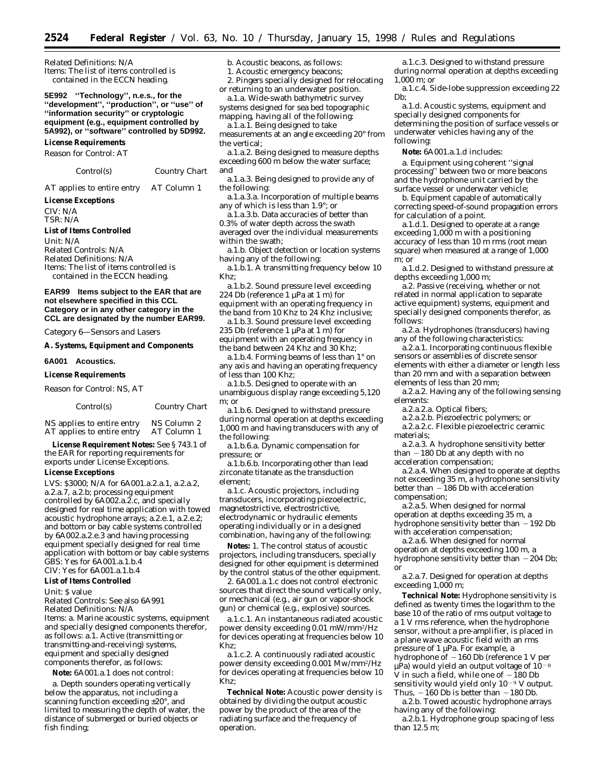*Related Definitions:* N/A *Items:* The list of items controlled is contained in the ECCN heading.

**5E992 ''Technology'', n.e.s., for the ''development'', ''production'', or ''use'' of ''information security'' or cryptologic equipment (e.g., equipment controlled by 5A992), or ''software'' controlled by 5D992. License Requirements**

*Reason for Control:* AT

*Control(s) Country Chart*

AT applies to entire entry AT Column 1

#### **License Exceptions**

CIV: N/A TSR: N/A

**List of Items Controlled**

*Unit:* N/A *Related Controls:* N/A *Related Definitions:* N/A *Items:* The list of items controlled is contained in the ECCN heading.

**EAR99 Items subject to the EAR that are not elsewhere specified in this CCL Category or in any other category in the CCL are designated by the number EAR99.**

*Category 6—Sensors and Lasers*

#### **A. Systems, Equipment and Components**

**6A001 Acoustics.**

**License Requirements**

*Reason for Control:* NS, AT

| Control(s)                 | <i>Country Chart</i> |
|----------------------------|----------------------|
| NS annlies to entire entry | NS Column 2          |

NS applies to entire entry NS Column 2 AT applies to entire entry AT Column 1 **License Requirement Notes:** See § 743.1 of

the EAR for reporting requirements for exports under License Exceptions.

# **License Exceptions**

LVS: \$3000; N/A for 6A001.a.2.a.1, a.2.a.2, a.2.a.7, a.2.b; processing equipment controlled by 6A002.a.2.c, and specially designed for real time application with towed acoustic hydrophone arrays; a.2.e.1, a.2.e.2; and bottom or bay cable systems controlled by 6A002.a.2.e.3 and having processing equipment specially designed for real time application with bottom or bay cable systems GBS: Yes for 6A001.a.1.b.4 CIV: Yes for 6A001.a.1.b.4

#### **List of Items Controlled**

*Unit:* \$ value

*Related Controls:* See also 6A991

*Related Definitions:* N/A *Items:* a. Marine acoustic systems, equipment and specially designed components therefor, as follows: a.1. Active (transmitting or transmitting-and-receiving) systems, equipment and specially designed components therefor, as follows:

**Note:** 6A001.a.1 does not control:

a. Depth sounders operating vertically below the apparatus, not including a scanning function exceeding ±20°, and limited to measuring the depth of water, the distance of submerged or buried objects or fish finding;

b. Acoustic beacons, as follows:

1. Acoustic emergency beacons; 2. Pingers specially designed for relocating

or returning to an underwater position.

a.1.a. Wide-swath bathymetric survey systems designed for sea bed topographic mapping, having all of the following:

a.1.a.1. Being designed to take measurements at an angle exceeding 20° from the vertical;

a.1.a.2. Being designed to measure depths exceeding 600 m below the water surface; and

a.1.a.3. Being designed to provide any of the following:

a.1.a.3.a. Incorporation of multiple beams any of which is less than 1.9°; or

a.1.a.3.b. Data accuracies of better than 0.3% of water depth across the swath averaged over the individual measurements within the swath;

a.1.b. Object detection or location systems having any of the following:

a.1.b.1. A transmitting frequency below 10 Khz;

a.1.b.2. Sound pressure level exceeding 224 Db (reference 1 µPa at 1 m) for equipment with an operating frequency in the band from 10 Khz to 24 Khz inclusive;

a.1.b.3. Sound pressure level exceeding 235 Db (reference 1 µPa at 1 m) for equipment with an operating frequency in the band between 24 Khz and 30 Khz;

a.1.b.4. Forming beams of less than 1° on any axis and having an operating frequency of less than 100 Khz;

a.1.b.5. Designed to operate with an unambiguous display range exceeding 5,120 m; *or*

a.1.b.6. Designed to withstand pressure during normal operation at depths exceeding 1,000 m and having transducers with any of the following:

a.1.b.6.a. Dynamic compensation for pressure; *or*

a.1.b.6.b. Incorporating other than lead zirconate titanate as the transduction element;

a.1.c. Acoustic projectors, including transducers, incorporating piezoelectric, magnetostrictive, electrostrictive, electrodynamic or hydraulic elements operating individually or in a designed combination, having any of the following:

**Notes:** 1. The control status of acoustic projectors, including transducers, specially designed for other equipment is determined by the control status of the other equipment.

2. 6A001.a.1.c does not control electronic sources that direct the sound vertically only, or mechanical (e.g., air gun or vapor-shock gun) or chemical (e.g., explosive) sources.

a.1.c.1. An instantaneous radiated acoustic power density exceeding 0.01 mW/mm2/Hz for devices operating at frequencies below 10 Khz;

a.1.c.2. A continuously radiated acoustic power density exceeding 0.001 Mw/mm2/Hz for devices operating at frequencies below 10 Khz;

**Technical Note:** Acoustic power density is obtained by dividing the output acoustic power by the product of the area of the radiating surface and the frequency of operation.

a.1.c.3. Designed to withstand pressure during normal operation at depths exceeding 1,000 m; or

a.1.c.4. Side-lobe suppression exceeding 22 Db;

a.1.d. Acoustic systems, equipment and specially designed components for determining the position of surface vessels or underwater vehicles having any of the following:

**Note:** 6A001.a.1.d includes:

a. Equipment using coherent ''signal processing'' between two or more beacons and the hydrophone unit carried by the surface vessel or underwater vehicle;

b. Equipment capable of automatically correcting speed-of-sound propagation errors for calculation of a point.

a.1.d.1. Designed to operate at a range exceeding 1,000 m with a positioning accuracy of less than 10 m rms (root mean square) when measured at a range of 1,000 m; or

a.1.d.2. Designed to withstand pressure at depths exceeding 1,000 m;

a.2. Passive (receiving, whether or not related in normal application to separate active equipment) systems, equipment and specially designed components therefor, as follows:

a.2.a. Hydrophones (transducers) having any of the following characteristics:

a.2.a.1. Incorporating continuous flexible sensors or assemblies of discrete sensor elements with either a diameter or length less than 20 mm and with a separation between elements of less than 20 mm;

a.2.a.2. Having any of the following sensing elements:

a.2.a.2.a. Optical fibers;

a.2.a.2.b. Piezoelectric polymers; or

a.2.a.2.c. Flexible piezoelectric ceramic materials;

a.2.a.3. A hydrophone sensitivity better than  $-180$  Db at any depth with no acceleration compensation;

a.2.a.4. When designed to operate at depths not exceeding 35 m, a hydrophone sensitivity better than  $-186$  Db with acceleration compensation;

a.2.a.5. When designed for normal operation at depths exceeding 35 m, a hydrophone sensitivity better than  $-192$  Db with acceleration compensation;

a.2.a.6. When designed for normal operation at depths exceeding 100 m, a hydrophone sensitivity better than  $-204$  Db; *or*

a.2.a.7. Designed for operation at depths exceeding 1,000 m;

**Technical Note:** Hydrophone sensitivity is defined as twenty times the logarithm to the base 10 of the ratio of rms output voltage to a 1 V rms reference, when the hydrophone sensor, without a pre-amplifier, is placed in a plane wave acoustic field with an rms pressure of 1 µPa. For example, a hydrophone of  $-160$  Db (reference 1 V per  $\mu$ Pa) would yield an output voltage of 10<sup>-8</sup> V in such a field, while one of  $-180$  Db sensitivity would yield only  $10^{-9}$  V output. Thus,  $-160$  Db is better than  $-180$  Db.

a.2.b. Towed acoustic hydrophone arrays having any of the following:

a.2.b.1. Hydrophone group spacing of less than 12.5 m;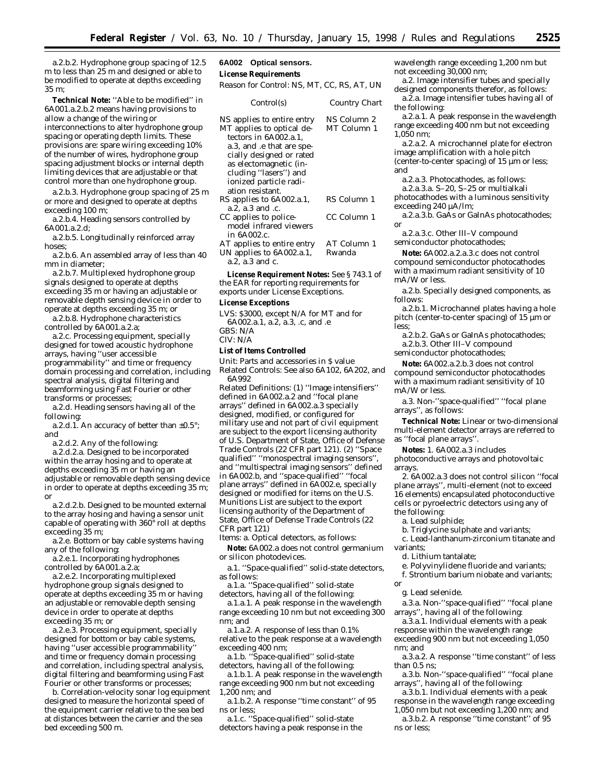a.2.b.2. Hydrophone group spacing of 12.5 m to less than 25 m and designed or able to be modified to operate at depths exceeding 35 m;

**Technical Note:** ''Able to be modified'' in 6A001.a.2.b.2 means having provisions to allow a change of the wiring or interconnections to alter hydrophone group spacing or operating depth limits. These provisions are: spare wiring exceeding 10% of the number of wires, hydrophone group spacing adjustment blocks or internal depth limiting devices that are adjustable or that control more than one hydrophone group.

a.2.b.3. Hydrophone group spacing of 25 m or more and designed to operate at depths exceeding 100 m;

a.2.b.4. Heading sensors controlled by 6A001.a.2.d;

a.2.b.5. Longitudinally reinforced array hoses;

a.2.b.6. An assembled array of less than 40 mm in diameter;

a.2.b.7. Multiplexed hydrophone group signals designed to operate at depths exceeding 35 m or having an adjustable or removable depth sensing device in order to operate at depths exceeding 35 m; *or*

a.2.b.8. Hydrophone characteristics controlled by 6A001.a.2.a;

a.2.c. Processing equipment, specially designed for towed acoustic hydrophone arrays, having ''user accessible programmability'' and time or frequency domain processing and correlation, including spectral analysis, digital filtering and beamforming using Fast Fourier or other transforms or processes;

a.2.d. Heading sensors having all of the following:

a.2.d.1. An accuracy of better than  $\pm 0.5^{\circ}$ ; *and*

a.2.d.2. Any of the following:

a.2.d.2.a. Designed to be incorporated within the array hosing and to operate at depths exceeding 35 m or having an adjustable or removable depth sensing device in order to operate at depths exceeding 35 m; *or*

a.2.d.2.b. Designed to be mounted external to the array hosing and having a sensor unit capable of operating with 360° roll at depths exceeding 35 m;

a.2.e. Bottom or bay cable systems having any of the following:

a.2.e.1. Incorporating hydrophones controlled by 6A001.a.2.a;

a.2.e.2. Incorporating multiplexed hydrophone group signals designed to operate at depths exceeding 35 m or having an adjustable or removable depth sensing device in order to operate at depths exceeding 35 m; or

a.2.e.3. Processing equipment, specially designed for bottom or bay cable systems, having ''user accessible programmability'' and time or frequency domain processing and correlation, including spectral analysis, digital filtering and beamforming using Fast Fourier or other transforms or processes;

b. Correlation-velocity sonar log equipment designed to measure the horizontal speed of the equipment carrier relative to the sea bed at distances between the carrier and the sea bed exceeding 500 m.

# **6A002 Optical sensors.**

# **License Requirements**

*Reason for Control:* NS, MT, CC, RS, AT, UN

| Control(s)                                                                                                                                                                                                                                 | Country Chart              |
|--------------------------------------------------------------------------------------------------------------------------------------------------------------------------------------------------------------------------------------------|----------------------------|
| NS applies to entire entry<br>MT applies to optical de-<br>tectors in 6A002.a.1.<br>a.3, and .e that are spe-<br>cially designed or rated<br>as electomagnetic (in-<br>cluding "lasers") and<br>ionized particle radi-<br>ation resistant. | NS Column 2<br>MT Column 1 |
| RS applies to 6A002.a.1,<br>a.2. a.3 and .c.                                                                                                                                                                                               | RS Column 1                |
| CC applies to police-<br>model infrared viewers<br>in 6A002.c.                                                                                                                                                                             | CC Column 1                |
| AT applies to entire entry<br>UN applies to 6A002.a.1,<br>a.2, a.3 and c.                                                                                                                                                                  | AT Column 1<br>Rwanda      |

**License Requirement Notes:** See § 743.1 of the EAR for reporting requirements for

exports under License Exceptions.

#### **License Exceptions**

LVS: \$3000, *except* N/A for MT and for 6A002.a.1, a.2, a.3, .c, and .e GBS: N/A CIV: N/A

# **List of Items Controlled**

*Unit:* Parts and accessories in \$ value *Related Controls:* See also 6A102, 6A202, and 6A992

*Related Definitions:* (1) ''Image intensifiers'' defined in 6A002.a.2 and ''focal plane arrays'' defined in 6A002.a.3 specially designed, modified, or configured for military use and not part of civil equipment are subject to the export licensing authority of U.S. Department of State, Office of Defense Trade Controls (22 CFR part 121). (2) ''Space qualified'' ''monospectral imaging sensors'', and ''multispectral imaging sensors'' defined in 6A002.b, and ''space-qualified'' ''focal plane arrays'' defined in 6A002.e, specially designed or modified for items on the U.S. Munitions List are subject to the export licensing authority of the Department of State, Office of Defense Trade Controls (22 CFR part 121)

*Items:* a. Optical detectors, as follows:

**Note:** 6A002.a does not control germanium or silicon photodevices.

a.1. ''Space-qualified'' solid-state detectors, as follows:

a.1.a. ''Space-qualified'' solid-state detectors, having all of the following:

a.1.a.1. A peak response in the wavelength range exceeding 10 nm but not exceeding 300 nm; and

a.1.a.2. A response of less than 0.1% relative to the peak response at a wavelength exceeding 400 nm;

a.1.b. ''Space-qualified'' solid-state detectors, having all of the following:

a.1.b.1. A peak response in the wavelength range exceeding 900 nm but not exceeding 1,200 nm; and

a.1.b.2. A response ''time constant'' of 95 ns or less;

a.1.c. ''Space-qualified'' solid-state detectors having a peak response in the

wavelength range exceeding 1,200 nm but not exceeding 30,000 nm;

a.2. Image intensifier tubes and specially designed components therefor, as follows:

a.2.a. Image intensifier tubes having all of the following:

a.2.a.1. A peak response in the wavelength range exceeding 400 nm but not exceeding 1,050 nm;

a.2.a.2. A microchannel plate for electron image amplification with a hole pitch (center-to-center spacing) of 15 µm or less; and

a.2.a.3. Photocathodes, as follows:

a.2.a.3.a. S–20, S–25 or multialkali photocathodes with a luminous sensitivity exceeding 240 µA/lm;

a.2.a.3.b. GaAs or GaInAs photocathodes; or

a.2.a.3.c. Other III–V compound semiconductor photocathodes;

**Note:** 6A002.a.2.a.3.c does not control compound semiconductor photocathodes with a maximum radiant sensitivity of 10 mA/W or less.

a.2.b. Specially designed components, as follows:

a.2.b.1. Microchannel plates having a hole pitch (center-to-center spacing) of 15 µm or less;

a.2.b.2. GaAs or GaInAs photocathodes; a.2.b.3. Other III–V compound semiconductor photocathodes;

**Note:** 6A002.a.2.b.3 does not control compound semiconductor photocathodes with a maximum radiant sensitivity of 10 mA/W or less.

a.3. Non-''space-qualified'' ''focal plane arrays'', as follows:

**Technical Note:** Linear or two-dimensional multi-element detector arrays are referred to as ''focal plane arrays''.

**Notes:** 1. 6A002.a.3 includes photoconductive arrays and photovoltaic arrays.

2. 6A002.a.3 does not control silicon ''focal plane arrays'', multi-element (not to exceed 16 elements) encapsulated photoconductive cells or pyroelectric detectors using any of the following:

a. Lead sulphide;

b. Triglycine sulphate and variants;

c. Lead-lanthanum-zirconium titanate and variants;

d. Lithium tantalate;

e. Polyvinylidene fluoride and variants;

f. Strontium barium niobate and variants; *or*

g. Lead selenide.

a.3.a. Non-''space-qualified'' ''focal plane arrays'', having all of the following:

a.3.a.1. Individual elements with a peak response within the wavelength range exceeding 900 nm but not exceeding 1,050 nm; and

a.3.a.2. A response ''time constant'' of less than 0.5 ns;

a.3.b. Non-''space-qualified'' ''focal plane arrays'', having all of the following:

a.3.b.1. Individual elements with a peak response in the wavelength range exceeding

1,050 nm but not exceeding 1,200 nm; and a.3.b.2. A response ''time constant'' of 95 ns or less;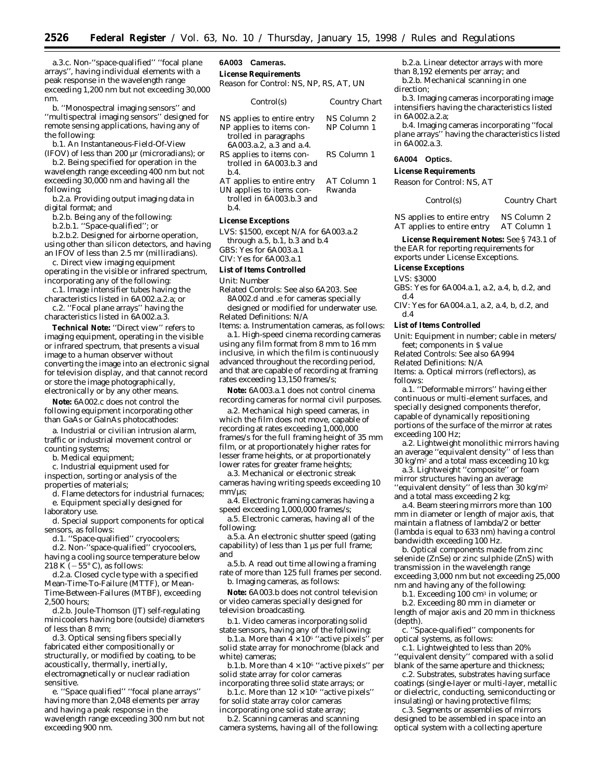a.3.c. Non-''space-qualified'' ''focal plane arrays'', having individual elements with a peak response in the wavelength range exceeding 1,200 nm but not exceeding 30,000 nm.

b. ''Monospectral imaging sensors'' and ''multispectral imaging sensors'' designed for remote sensing applications, having any of the following:

b.1. An Instantaneous-Field-Of-View (IFOV) of less than 200 µr (microradians); or

b.2. Being specified for operation in the wavelength range exceeding 400 nm but not exceeding 30,000 nm and having all the following;

b.2.a. Providing output imaging data in digital format; *and*

b.2.b. Being any of the following:

b.2.b.1. ''Space-qualified''; or

b.2.b.2. Designed for airborne operation, using other than silicon detectors, and having an IFOV of less than 2.5 mr (milliradians).

c. Direct view imaging equipment operating in the visible or infrared spectrum, incorporating any of the following:

c.1. Image intensifier tubes having the characteristics listed in 6A002.a.2.a; or

c.2. ''Focal plane arrays'' having the characteristics listed in 6A002.a.3.

**Technical Note:** ''Direct view'' refers to imaging equipment, operating in the visible or infrared spectrum, that presents a visual image to a human observer without converting the image into an electronic signal for television display, and that cannot record or store the image photographically, electronically or by any other means.

**Note:** 6A002.c does not control the following equipment incorporating other than GaAs or GaInAs photocathodes:

a. Industrial or civilian intrusion alarm, traffic or industrial movement control or counting systems;

b. Medical equipment;

c. Industrial equipment used for inspection, sorting or analysis of the properties of materials;

d. Flame detectors for industrial furnaces; e. Equipment specially designed for laboratory use.

d. Special support components for optical sensors, as follows:

d.1. ''Space-qualified'' cryocoolers;

d.2. Non-''space-qualified'' cryocoolers, having a cooling source temperature below 218 K  $(-55^{\circ} \text{ C})$ , as follows:

d.2.a. Closed cycle type with a specified Mean-Time-To-Failure (MTTF), or Mean-Time-Between-Failures (MTBF), exceeding 2,500 hours;

d.2.b. Joule-Thomson (JT) self-regulating minicoolers having bore (outside) diameters of less than 8 mm;

d.3. Optical sensing fibers specially fabricated either compositionally or structurally, or modified by coating, to be acoustically, thermally, inertially, electromagnetically or nuclear radiation sensitive.

e. ''Space qualified'' ''focal plane arrays'' having more than 2,048 elements per array and having a peak response in the wavelength range exceeding 300 nm but not exceeding 900 nm.

# **6A003 Cameras.**

**License Requirements** *Reason for Control:* NS, NP, RS, AT, UN

| Control(s)                                          | Country Chart |
|-----------------------------------------------------|---------------|
| NS applies to entire entry                          | NS Column 2   |
| NP applies to items con-                            | NP Column 1   |
| trolled in paragraphs                               |               |
| 6A003.a.2, a.3 and a.4.<br>RS applies to items con- | RS Column 1   |
| trolled in 6A003.b.3 and                            |               |
| h.4.                                                | AT Column 1   |
| AT applies to entire entry                          |               |
| UN applies to items con-                            | Rwanda        |
| trolled in 6A003.b.3 and                            |               |
| b.4.                                                |               |

#### **License Exceptions**

LVS: \$1500, except N/A for 6A003.a.2 through a.5, b.1, b.3 and b.4 GBS: Yes for 6A003.a.1

CIV: Yes for 6A003.a.1

#### **List of Items Controlled**

*Unit:* Number

*Related Controls:* See also 6A203. See 8A002.d and .e for cameras specially designed or modified for underwater use. *Related Definitions:* N/A

*Items:* a. Instrumentation cameras, as follows: a.1. High-speed cinema recording cameras using any film format from 8 mm to 16 mm inclusive, in which the film is continuously advanced throughout the recording period, and that are capable of recording at framing rates exceeding 13,150 frames/s;

**Note:** 6A003.a.1 does not control cinema recording cameras for normal civil purposes.

a.2. Mechanical high speed cameras, in which the film does not move, capable of recording at rates exceeding 1,000,000 frames/s for the full framing height of 35 mm film, or at proportionately higher rates for lesser frame heights, or at proportionately lower rates for greater frame heights;

a.3. Mechanical or electronic streak cameras having writing speeds exceeding 10  $mm/us$ :

a.4. Electronic framing cameras having a speed exceeding 1,000,000 frames/s;

a.5. Electronic cameras, having all of the following:

a.5.a. An electronic shutter speed (gating capability) of less than 1 µs per full frame; and

a.5.b. A read out time allowing a framing rate of more than 125 full frames per second. b. Imaging cameras, as follows:

**Note:** 6A003.b does not control television or video cameras specially designed for

television broadcasting.

b.1. Video cameras incorporating solid state sensors, having any of the following:

b.1.a. More than  $4 \times 10^6$  "active pixels" per solid state array for monochrome (black and white) cameras;

b.1.b. More than  $4 \times 10^6$  "active pixels" per solid state array for color cameras

incorporating three solid state arrays; or b.1.c. More than  $12 \times 10^6$  "active pixels" for solid state array color cameras incorporating one solid state array;

b.2. Scanning cameras and scanning camera systems, having all of the following:

b.2.a. Linear detector arrays with more than 8,192 elements per array; and b.2.b. Mechanical scanning in one

direction;

b.3. Imaging cameras incorporating image intensifiers having the characteristics listed in 6A002.a.2.a;

b.4. Imaging cameras incorporating ''focal plane arrays'' having the characteristics listed in 6A002.a.3.

#### **6A004 Optics.**

**License Requirements**

*Reason for Control:* NS, AT

*Control(s) Country Chart*

NS applies to entire entry NS Column 2<br>AT applies to entire entry AT Column 1 AT applies to entire entry

**License Requirement Notes:** See § 743.1 of the EAR for reporting requirements for exports under License Exceptions.

#### **License Exceptions**

LVS: \$3000

GBS: Yes for 6A004.a.1, a.2, a.4, b, d.2, and d.4

CIV: Yes for 6A004.a.1, a.2, a.4, b, d.2, and d.4

#### **List of Items Controlled**

*Unit:* Equipment in number; cable in meters/ feet; components in \$ value

*Related Controls:* See also 6A994

*Related Definitions:* N/A

*Items:* a. Optical mirrors (reflectors), as follows:

a.1. ''Deformable mirrors'' having either continuous or multi-element surfaces, and specially designed components therefor, capable of dynamically repositioning portions of the surface of the mirror at rates exceeding 100 Hz;

a.2. Lightweight monolithic mirrors having an average ''equivalent density'' of less than  $30 \text{ kg/m}^2$  and a total mass exceeding 10 kg;

a.3. Lightweight ''composite'' or foam mirror structures having an average ''equivalent density'' of less than 30 kg/m2 and a total mass exceeding 2 kg;

a.4. Beam steering mirrors more than 100 mm in diameter or length of major axis, that maintain a flatness of lambda/2 or better (lambda is equal to 633 nm) having a control bandwidth exceeding 100 Hz.

b. Optical components made from zinc selenide (ZnSe) or zinc sulphide (ZnS) with transmission in the wavelength range exceeding 3,000 nm but not exceeding 25,000 nm and having any of the following:

b.1. Exceeding 100 cm3 in volume; or

b.2. Exceeding 80 mm in diameter or length of major axis and 20 mm in thickness (depth).

c. ''Space-qualified'' components for optical systems, as follows:

c.1. Lightweighted to less than 20% ''equivalent density'' compared with a solid blank of the same aperture and thickness;

c.2. Substrates, substrates having surface coatings (single-layer or multi-layer, metallic or dielectric, conducting, semiconducting or insulating) or having protective films;

c.3. Segments or assemblies of mirrors designed to be assembled in space into an optical system with a collecting aperture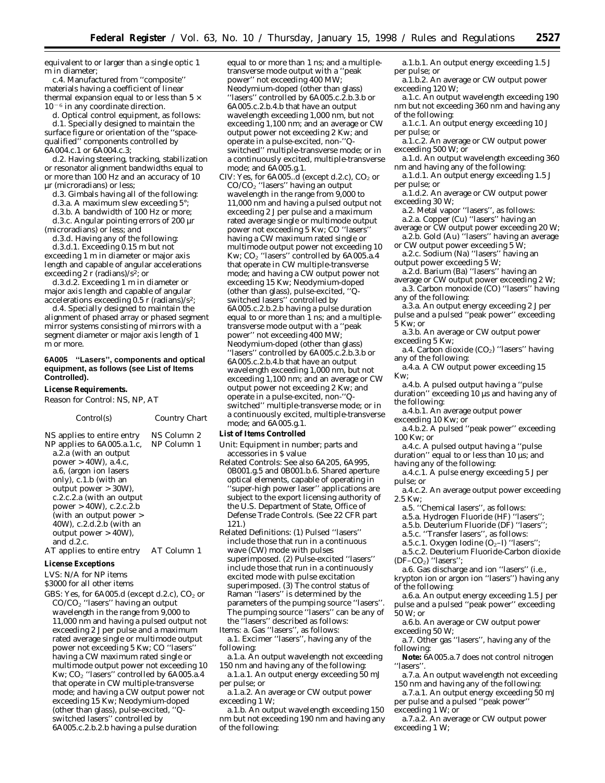equivalent to or larger than a single optic 1 m in diameter;

c.4. Manufactured from ''composite'' materials having a coefficient of linear thermal expansion equal to or less than  $5 \times$  $10<sup>-6</sup>$  in any coordinate direction.

d. Optical control equipment, as follows: d.1. Specially designed to maintain the surface figure or orientation of the ''spacequalified'' components controlled by 6A004.c.1 or 6A004.c.3;

d.2. Having steering, tracking, stabilization or resonator alignment bandwidths equal to or more than 100 Hz and an accuracy of 10 µr (microradians) or less;

d.3. Gimbals having all of the following:

d.3.a. A maximum slew exceeding 5°;

d.3.b. A bandwidth of 100 Hz or more; d.3.c. Angular pointing errors of 200  $\mu$ r

(microradians) or less; *and* d.3.d. Having any of the following:

d.3.d.1. Exceeding 0.15 m but not exceeding 1 m in diameter or major axis length and capable of angular accelerations exceeding 2 r (radians)/ $s^2$ ; or

d.3.d.2. Exceeding 1 m in diameter or major axis length and capable of angular accelerations exceeding 0.5 r (radians)/s2;

d.4. Specially designed to maintain the alignment of phased array or phased segment mirror systems consisting of mirrors with a segment diameter or major axis length of 1 m or more.

#### **6A005 ''Lasers'', components and optical equipment, as follows (see List of Items Controlled).**

#### **License Requirements.**

*Reason for Control:* NS, NP, AT

| Control(s)                                                                                                                                                                                                                                                                                                                                              | Country Chart              |
|---------------------------------------------------------------------------------------------------------------------------------------------------------------------------------------------------------------------------------------------------------------------------------------------------------------------------------------------------------|----------------------------|
| NS applies to entire entry<br>NP applies to 6A005.a.1.c.<br>a.2.a (with an output<br>power $>$ 40W), a.4.c,<br>a.6, (argon ion lasers<br>only), c.1.b (with an<br>output power $>$ 30W),<br>c.2.c.2.a (with an output<br>power $> 40W$ ), c.2.c.2.b<br>(with an output power ><br>$40W$ , c.2.d.2.b (with an<br>output power $> 40W$ ),<br>and $d.2.c.$ | NS Column 2<br>NP Column 1 |
| AT applies to entire entry                                                                                                                                                                                                                                                                                                                              | AT Column 1                |

#### **License Exceptions**

LVS: N/A for NP items

\$3000 for all other items

GBS: Yes, for  $6A005.d$  (except d.2.c),  $CO<sub>2</sub>$  or CO/CO2 ''lasers'' having an output wavelength in the range from 9,000 to 11,000 nm and having a pulsed output not exceeding 2 J per pulse and a maximum rated average single or multimode output power not exceeding 5 Kw; CO "lasers" having a CW maximum rated single or multimode output power not exceeding 10 Kw; CO2 ''lasers'' controlled by 6A005.a.4 that operate in CW multiple-transverse mode; and having a CW output power not exceeding 15 Kw; Neodymium-doped (other than glass), pulse-excited, ''Qswitched lasers" controlled by 6A005.c.2.b.2.b having a pulse duration

equal to or more than 1 ns; and a multipletransverse mode output with a ''peak power'' not exceeding 400 MW; Neodymium-doped (other than glass) ''lasers'' controlled by 6A005.c.2.b.3.b or 6A005.c.2.b.4.b that have an output wavelength exceeding 1,000 nm, but not exceeding 1,100 nm; and an average or CW output power not exceeding 2 Kw; and operate in a pulse-excited, non-''Qswitched'' multiple-transverse mode; or in a continuously excited, multiple-transverse mode; and 6A005.g.1.

CIV: Yes, for  $6A005$ ..d (except d.2.c),  $CO<sub>2</sub>$  or  $CO/CO<sub>2</sub>$  "lasers" having an output wavelength in the range from 9,000 to 11,000 nm and having a pulsed output not exceeding 2 J per pulse and a maximum rated average single or multimode output power not exceeding 5 Kw; CO ''lasers'' having a CW maximum rated single or multimode output power not exceeding 10 Kw;  $CO<sub>2</sub>$  "lasers" controlled by  $6A005.a.4$ that operate in CW multiple-transverse mode; and having a CW output power not exceeding 15 Kw; Neodymium-doped (other than glass), pulse-excited, ''Qswitched lasers'' controlled by 6A005.c.2.b.2.b having a pulse duration equal to or more than 1 ns; and a multipletransverse mode output with a ''peak power'' not exceeding 400 MW; Neodymium-doped (other than glass) ''lasers'' controlled by 6A005.c.2.b.3.b or 6A005.c.2.b.4.b that have an output wavelength exceeding 1,000 nm, but not exceeding 1,100 nm; and an average or CW output power not exceeding 2 Kw; and operate in a pulse-excited, non-''Qswitched'' multiple-transverse mode; or in a continuously excited, multiple-transverse mode; and 6A005.g.1.

#### **List of Items Controlled**

- *Unit:* Equipment in number; parts and accessories in \$ value
- *Related Controls:* See also 6A205, 6A995, 0B001.g.5 and 0B001.b.6. Shared aperture optical elements, capable of operating in ''super-high power laser'' applications are subject to the export licensing authority of the U.S. Department of State, Office of Defense Trade Controls. (See 22 CFR part 121.)
- *Related Definitions:* (1) Pulsed ''lasers'' include those that run in a continuous wave (CW) mode with pulses superimposed. (2) Pulse-excited ''lasers'' include those that run in a continuously excited mode with pulse excitation superimposed. (3) The control status of Raman ''lasers'' is determined by the parameters of the pumping source "lasers". The pumping source ''lasers'' can be any of the ''lasers'' described as follows: *Items:* a. Gas ''lasers'', as follows:

a.1. Excimer ''lasers'', having any of the following:

a.1.a. An output wavelength not exceeding 150 nm and having any of the following:

a.1.a.1. An output energy exceeding 50 mJ per pulse; *or*

a.1.a.2. An average or CW output power exceeding 1 W;

a.1.b. An output wavelength exceeding 150 nm but not exceeding 190 nm and having any of the following:

a.1.b.1. An output energy exceeding 1.5 J per pulse; *or*

a.1.b.2. An average or CW output power exceeding 120 W;

a.1.c. An output wavelength exceeding 190 nm but not exceeding 360 nm and having any of the following:

a.1.c.1. An output energy exceeding 10 J per pulse; or

a.1.c.2. An average or CW output power exceeding 500 W; or

- a.1.d. An output wavelength exceeding 360 nm and having any of the following:
- a.1.d.1. An output energy exceeding 1.5 J per pulse; or
- a.1.d.2. An average or CW output power exceeding 30 W;

a.2. Metal vapor ''lasers'', as follows:

a.2.a. Copper (Cu) ''lasers'' having an

average or CW output power exceeding 20 W; a.2.b. Gold (Au) ''lasers'' having an average

or CW output power exceeding 5 W;

a.2.c. Sodium (Na) ''lasers'' having an output power exceeding 5 W;

a.2.d. Barium (Ba) ''lasers'' having an average or CW output power exceeding 2 W;

- a.3. Carbon monoxide (CO) ''lasers'' having any of the following:
- a.3.a. An output energy exceeding 2 J per pulse and a pulsed ''peak power'' exceeding 5 Kw; or

a.3.b. An average or CW output power exceeding 5 Kw;

a.4. Carbon dioxide  $(CO<sub>2</sub>)$  "lasers" having any of the following:

a.4.a. A CW output power exceeding 15 Kw;

a.4.b. A pulsed output having a ''pulse duration'' exceeding 10 µs and having any of the following:

a.4.b.1. An average output power exceeding 10 Kw; *or*

a.4.b.2. A pulsed ''peak power'' exceeding 100 Kw; *or*

a.4.c. A pulsed output having a ''pulse duration'' equal to or less than 10 µs; and

having any of the following: a.4.c.1. A pulse energy exceeding 5 J per pulse; *or*

a.4.c.2. An average output power exceeding 2.5 Kw;

a.5. ''Chemical lasers'', as follows:

a.5.a. Hydrogen Fluoride (HF) ''lasers'';

a.5.b. Deuterium Fluoride (DF) ''lasers'';

- a.5.c. ''Transfer lasers'', as follows:
- a.5.c.1. Oxygen Iodine  $(O_2-I)$  "lasers";

a.5.c.2. Deuterium Fluoride-Carbon dioxide

(DF–CO2) ''lasers'';

a.6. Gas discharge and ion ''lasers'' (i.e.,

krypton ion or argon ion ''lasers'') having any of the following:

a.6.a. An output energy exceeding 1.5 J per pulse and a pulsed ''peak power'' exceeding 50 W; or

a.6.b. An average or CW output power exceeding 50 W;

a.7. Other gas ''lasers'', having any of the following:

**Note:** 6A005.a.7 does not control nitrogen ''lasers''.

a.7.a. An output wavelength not exceeding 150 nm and having any of the following:

a.7.a.1. An output energy exceeding 50 mJ per pulse and a pulsed ''peak power''

exceeding 1 W; or

a.7.a.2. An average or CW output power exceeding 1 W;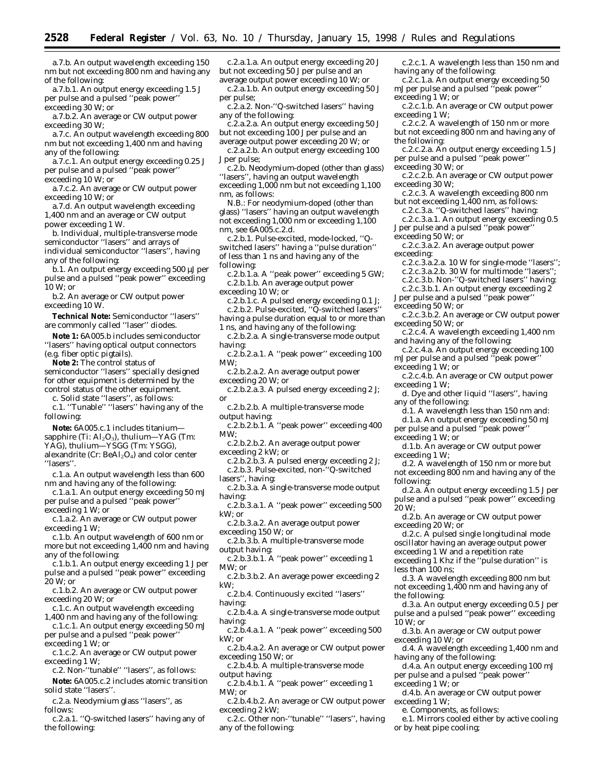a.7.b. An output wavelength exceeding 150 nm but not exceeding 800 nm and having any of the following:

a.7.b.1. An output energy exceeding 1.5 J per pulse and a pulsed ''peak power'' exceeding 30 W; or

a.7.b.2. An average or CW output power exceeding 30 W;

a.7.c. An output wavelength exceeding 800 nm but not exceeding 1,400 nm and having any of the following:

a.7.c.1. An output energy exceeding 0.25 J per pulse and a pulsed ''peak power'' exceeding 10 W; or

a.7.c.2. An average or CW output power exceeding 10 W; or

a.7.d. An output wavelength exceeding 1,400 nm and an average or CW output power exceeding 1 W.

b. Individual, multiple-transverse mode semiconductor ''lasers'' and arrays of individual semiconductor ''lasers'', having any of the following:

b.1. An output energy exceeding 500 µJ per pulse and a pulsed ''peak power'' exceeding 10 W; or

b.2. An average or CW output power exceeding 10 W.

**Technical Note:** Semiconductor ''lasers'' are commonly called ''laser'' diodes.

**Note 1:** 6A005.b includes semiconductor ''lasers'' having optical output connectors (e.g. fiber optic pigtails).

**Note 2:** The control status of semiconductor ''lasers'' specially designed for other equipment is determined by the control status of the other equipment.

c. Solid state ''lasers'', as follows: c.1. ''Tunable'' ''lasers'' having any of the

- following: **Note:** 6A005.c.1 includes titanium—
- sapphire (Ti: Al<sub>2</sub>O<sub>3</sub>), thulium—YAG (Tm:
- YAG), thulium—YSGG (Tm: YSGG), alexandrite (Cr: BeAl<sub>2</sub>O<sub>4</sub>) and color center

''lasers''.

c.1.a. An output wavelength less than 600 nm and having any of the following:

c.1.a.1. An output energy exceeding 50 mJ per pulse and a pulsed ''peak power'' exceeding 1 W; or

c.1.a.2. An average or CW output power exceeding 1 W;

c.1.b. An output wavelength of 600 nm or more but not exceeding 1,400 nm and having any of the following:

c.1.b.1. An output energy exceeding 1 J per pulse and a pulsed ''peak power'' exceeding 20 W; or

c.1.b.2. An average or CW output power exceeding 20 W; or

c.1.c. An output wavelength exceeding 1,400 nm and having any of the following:

c.1.c.1. An output energy exceeding 50 mJ per pulse and a pulsed ''peak power''

exceeding 1 W; or c.1.c.2. An average or CW output power

exceeding 1 W; c.2. Non-''tunable'' ''lasers'', as follows:

**Note:** 6A005.c.2 includes atomic transition solid state ''lasers''.

c.2.a. Neodymium glass ''lasers'', as follows:

c.2.a.1. ''Q-switched lasers'' having any of the following:

c.2.a.1.a. An output energy exceeding 20 J but not exceeding 50 J per pulse and an average output power exceeding 10 W; or

c.2.a.1.b. An output energy exceeding 50 J per pulse;

c.2.a.2. Non-''Q-switched lasers'' having any of the following:

c.2.a.2.a. An output energy exceeding 50 J but not exceeding 100 J per pulse and an average output power exceeding 20 W; or

c.2.a.2.b. An output energy exceeding 100 J per pulse;

c.2.b. Neodymium-doped (other than glass) "lasers", having an output wavelength exceeding 1,000 nm but not exceeding 1,100 nm, as follows:

N.B.: For neodymium-doped (other than glass) ''lasers'' having an output wavelength not exceeding 1,000 nm or exceeding 1,100 nm, see 6A005.c.2.d.

c.2.b.1. Pulse-excited, mode-locked, ''Qswitched lasers'' having a ''pulse duration'' of less than 1 ns and having any of the following:

c.2.b.1.a. A ''peak power'' exceeding 5 GW; c.2.b.1.b. An average output power

exceeding 10 W; or

c.2.b.1.c. A pulsed energy exceeding 0.1 J; c.2.b.2. Pulse-excited, ''Q-switched lasers''

having a pulse duration equal to or more than 1 ns, and having any of the following:

c.2.b.2.a. A single-transverse mode output having:

c.2.b.2.a.1. A ''peak power'' exceeding 100  $MW·$ 

c.2.b.2.a.2. An average output power exceeding 20 W; or

c.2.b.2.a.3. A pulsed energy exceeding 2 J;

or c.2.b.2.b. A multiple-transverse mode

output having:

c.2.b.2.b.1. A ''peak power'' exceeding 400 MW;

c.2.b.2.b.2. An average output power exceeding 2 kW; or

c.2.b.2.b.3. A pulsed energy exceeding 2 J; c.2.b.3. Pulse-excited, non-''Q-switched lasers'', having:

c.2.b.3.a. A single-transverse mode output having:

c.2.b.3.a.1. A ''peak power'' exceeding 500 kW; or

c.2.b.3.a.2. An average output power exceeding 150 W; or

c.2.b.3.b. A multiple-transverse mode output having:

c.2.b.3.b.1. A ''peak power'' exceeding 1 MW; or

c.2.b.3.b.2. An average power exceeding 2 kW;

c.2.b.4. Continuously excited ''lasers'' having:

c.2.b.4.a. A single-transverse mode output having:

c.2.b.4.a.1. A ''peak power'' exceeding 500 kW; or

c.2.b.4.a.2. An average or CW output power exceeding 150 W; or

c.2.b.4.b. A multiple-transverse mode output having:

c.2.b.4.b.1. A ''peak power'' exceeding 1 MW; or

c.2.b.4.b.2. An average or CW output power exceeding 2 kW;

c.2.c. Other non-''tunable'' ''lasers'', having any of the following:

c.2.c.1. A wavelength less than 150 nm and having any of the following:

c.2.c.1.a. An output energy exceeding 50 mJ per pulse and a pulsed ''peak power'' exceeding 1 W; or

c.2.c.1.b. An average or CW output power exceeding 1 W;

c.2.c.2. A wavelength of 150 nm or more but not exceeding 800 nm and having any of the following:

c.2.c.2.a. An output energy exceeding 1.5 J per pulse and a pulsed ''peak power'' exceeding 30 W; or

c.2.c.2.b. An average or CW output power exceeding 30 W;

c.2.c.3. A wavelength exceeding 800 nm but not exceeding 1,400 nm, as follows:

c.2.c.3.a. ''Q-switched lasers'' having:

c.2.c.3.a.1. An output energy exceeding 0.5 J per pulse and a pulsed ''peak power''

exceeding 50 W; or

c.2.c.3.a.2. An average output power exceeding:

c.2.c.3.a.2.a. 10 W for single-mode ''lasers'';

c.2.c.3.a.2.b. 30 W for multimode ''lasers'';

c.2.c.3.b. Non-''Q-switched lasers'' having:

c.2.c.3.b.1. An output energy exceeding 2

- J per pulse and a pulsed ''peak power''
- exceeding 50 W; or

c.2.c.3.b.2. An average or CW output power exceeding 50 W; or

c.2.c.4. A wavelength exceeding 1,400 nm and having any of the following:

c.2.c.4.a. An output energy exceeding 100 mJ per pulse and a pulsed ''peak power''

exceeding 1 W; or

c.2.c.4.b. An average or CW output power exceeding 1 W;

d. Dye and other liquid ''lasers'', having any of the following:

- d.1. A wavelength less than 150 nm and:
- d.1.a. An output energy exceeding 50 mJ per pulse and a pulsed ''peak power''

exceeding 1 W; or

less than 100 ns;

the following:

exceeding 10 W; or

exceeding 1 W; or

exceeding 1 W;

having any of the following:

e. Components, as follows:

or by heat pipe cooling;

10 W; or

d.1.b. An average or CW output power exceeding 1 W;

d.2. A wavelength of 150 nm or more but not exceeding 800 nm and having any of the following:

d.2.a. An output energy exceeding 1.5 J per pulse and a pulsed ''peak power'' exceeding 20 W;

d.2.b. An average or CW output power exceeding 20 W; or

d.2.c. A pulsed single longitudinal mode oscillator having an average output power

d.3. A wavelength exceeding 800 nm but not exceeding 1,400 nm and having any of

d.3.a. An output energy exceeding 0.5 J per pulse and a pulsed ''peak power'' exceeding

d.4. A wavelength exceeding 1,400 nm and

d.4.a. An output energy exceeding 100 mJ per pulse and a pulsed ''peak power''

e.1. Mirrors cooled either by active cooling

d.4.b. An average or CW output power

d.3.b. An average or CW output power

exceeding 1 W and a repetition rate exceeding 1 Khz if the ''pulse duration'' is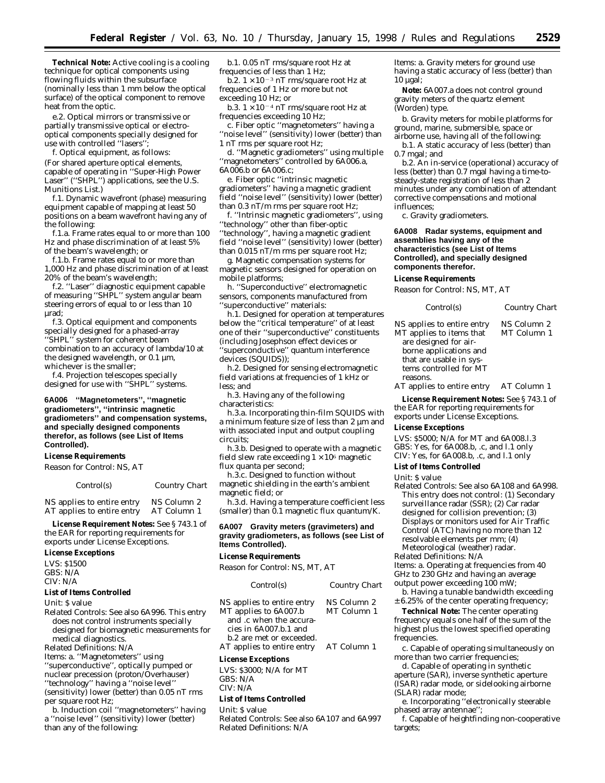**Technical Note:** Active cooling is a cooling technique for optical components using flowing fluids within the subsurface (nominally less than 1 mm below the optical surface) of the optical component to remove heat from the optic.

e.2. Optical mirrors or transmissive or partially transmissive optical or electrooptical components specially designed for use with controlled ''lasers'';

f. Optical equipment, as follows: (For shared aperture optical elements, capable of operating in ''Super-High Power Laser'' (''SHPL'') applications, see the U.S. Munitions List.)

f.1. Dynamic wavefront (phase) measuring equipment capable of mapping at least 50 positions on a beam wavefront having any of the following:

f.1.a. Frame rates equal to or more than 100 Hz and phase discrimination of at least 5% of the beam's wavelength; or

f.1.b. Frame rates equal to or more than 1,000 Hz and phase discrimination of at least 20% of the beam's wavelength;

f.2. ''Laser'' diagnostic equipment capable of measuring ''SHPL'' system angular beam steering errors of equal to or less than 10 µrad;

f.3. Optical equipment and components specially designed for a phased-array ''SHPL'' system for coherent beam combination to an accuracy of lambda/10 at the designed wavelength, or  $0.1 \mu m$ , whichever is the smaller;

f.4. Projection telescopes specially designed for use with ''SHPL'' systems.

**6A006 ''Magnetometers'', ''magnetic gradiometers'', ''intrinsic magnetic gradiometers'' and compensation systems, and specially designed components therefor, as follows (see List of Items Controlled).**

#### **License Requirements**

*Reason for Control:* NS, AT

#### *Control(s) Country Chart*

NS applies to entire entry NS Column 2<br>AT applies to entire entry AT Column 1 AT applies to entire entry

**License Requirement Notes:** See § 743.1 of the EAR for reporting requirements for exports under License Exceptions.

# **License Exceptions**

LVS: \$1500 GBS: N/A CIV: N/A

# **List of Items Controlled**

*Unit*: \$ value

*Related Controls*: See also 6A996. This entry does not control instruments specially designed for biomagnetic measurements for medical diagnostics.

*Related Definitions*: N/A

*Items*: a. ''Magnetometers'' using ''superconductive'', optically pumped or nuclear precession (proton/Overhauser) ''technology'' having a ''noise level''  $(sensitivity)$  lower (better) than 0.05 nT rms per square root Hz;

b. Induction coil ''magnetometers'' having a ''noise level'' (sensitivity) lower (better) than any of the following:

b.1. 0.05 nT rms/square root Hz at frequencies of less than 1 Hz;

b.2.  $1 \times 10^{-3}$  nT rms/square root Hz at frequencies of 1 Hz or more but not exceeding 10 Hz; or

b.3.  $1 \times 10^{-4}$  nT rms/square root Hz at frequencies exceeding 10 Hz;

c. Fiber optic ''magnetometers'' having a ''noise level'' (sensitivity) lower (better) than 1 nT rms per square root Hz;

d. ''Magnetic gradiometers'' using multiple ''magnetometers'' controlled by 6A006.a, 6A006.b or 6A006.c;

e. Fiber optic ''intrinsic magnetic gradiometers'' having a magnetic gradient field ''noise level'' (sensitivity) lower (better) than 0.3 nT/m rms per square root Hz;

f. ''Intrinsic magnetic gradiometers'', using ''technology'' other than fiber-optic ''technology'', having a magnetic gradient field ''noise level'' (sensitivity) lower (better) than 0.015 nT/m rms per square root Hz;

g. Magnetic compensation systems for magnetic sensors designed for operation on mobile platforms;

h. ''Superconductive'' electromagnetic sensors, components manufactured from ''superconductive'' materials:

h.1. Designed for operation at temperatures below the ''critical temperature'' of at least one of their ''superconductive'' constituents (including Josephson effect devices or ''superconductive'' quantum interference devices (SQUIDS));

h.2. Designed for sensing electromagnetic field variations at frequencies of 1 kHz or less; and

h.3. Having any of the following characteristics:

h.3.a. Incorporating thin-film SQUIDS with a minimum feature size of less than 2 µm and with associated input and output coupling circuits;

h.3.b. Designed to operate with a magnetic field slew rate exceeding  $1 \times 10^6$  magnetic flux quanta per second;

h.3.c. Designed to function without magnetic shielding in the earth's ambient magnetic field; or

h.3.d. Having a temperature coefficient less (smaller) than 0.1 magnetic flux quantum/K.

#### **6A007 Gravity meters (gravimeters) and gravity gradiometers, as follows (see List of Items Controlled).**

# **License Requirements**

*Reason for Control:* NS, MT, AT

| Control(s)                                             | Country Chart              |
|--------------------------------------------------------|----------------------------|
| NS applies to entire entry<br>MT applies to 6A007.b    | NS Column 2<br>MT Column 1 |
| and .c when the accura-<br>cies in 6A007.b.1 and       |                            |
| b.2 are met or exceeded.<br>AT applies to entire entry | AT Column 1                |

#### **License Exceptions**

LVS: \$3000; N/A for MT GBS: N/A CIV: N/A

#### **List of Items Controlled**

#### *Unit:* \$ value

*Related Controls:* See also 6A107 and 6A997 *Related Definitions:* N/A

*Items:* a. Gravity meters for ground use having a static accuracy of less (better) than  $10 \mu gal$ ;

**Note:** 6A007.a does not control ground gravity meters of the quartz element (Worden) type.

b. Gravity meters for mobile platforms for ground, marine, submersible, space or

airborne use, having all of the following: b.1. A static accuracy of less (better) than 0.7 mgal; and

b.2. An in-service (operational) accuracy of less (better) than 0.7 mgal having a time-tosteady-state registration of less than 2 minutes under any combination of attendant corrective compensations and motional influences;

c. Gravity gradiometers.

**6A008 Radar systems, equipment and assemblies having any of the characteristics (see List of Items Controlled), and specially designed components therefor.**

#### **License Requirements**

*Reason for Control:* NS, MT, AT

| Control(s) | <b>Country Chart</b> |
|------------|----------------------|
|------------|----------------------|

NS applies to entire entry NS Column 2 MT applies to items that are designed for airborne applications and that are usable in systems controlled for MT reasons. MT Column 1

AT applies to entire entry AT Column 1

**License Requirement Notes:** See § 743.1 of the EAR for reporting requirements for exports under License Exceptions.

# **License Exceptions**

LVS: \$5000; N/A for MT and 6A008.l.3 GBS: Yes, for 6A008.b, .c, and l.1 only CIV: Yes, for 6A008.b, .c, and l.1 only

**List of Items Controlled**

### *Unit:* \$ value

*Related Controls:* See also 6A108 and 6A998. This entry does not control: (1) Secondary surveillance radar (SSR); (2) Car radar designed for collision prevention; (3) Displays or monitors used for Air Traffic Control (ATC) having no more than 12 resolvable elements per mm; (4) Meteorological (weather) radar. *Related Definitions:* N/A *Items:* a. Operating at frequencies from 40 GHz to 230 GHz and having an average

output power exceeding 100 mW;

b. Having a tunable bandwidth exceeding ± 6.25% of the center operating frequency;

**Technical Note:** The center operating frequency equals one half of the sum of the highest plus the lowest specified operating frequencies.

c. Capable of operating simultaneously on more than two carrier frequencies;

d. Capable of operating in synthetic aperture (SAR), inverse synthetic aperture (ISAR) radar mode, or sidelooking airborne (SLAR) radar mode;

e. Incorporating ''electronically steerable phased array antennae"

f. Capable of heightfinding non-cooperative targets;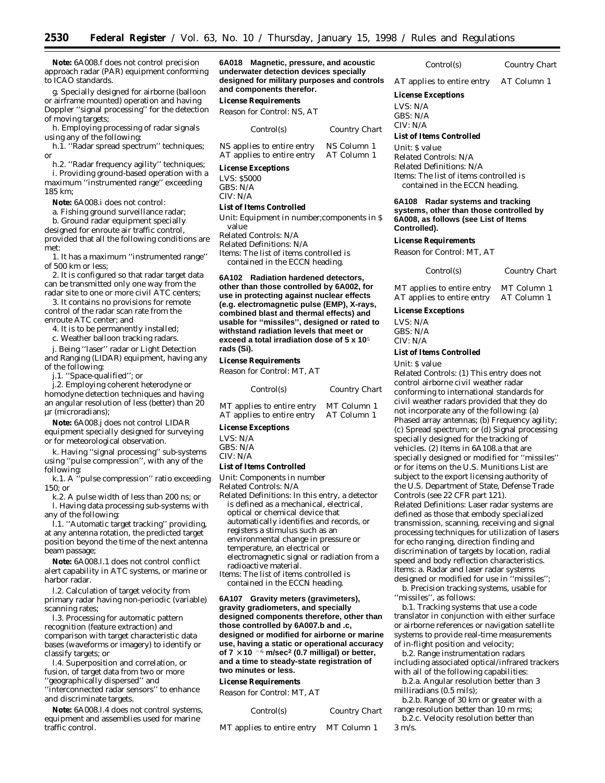**Note:** 6A008.f does not control precision approach radar (PAR) equipment conforming to ICAO standards.

g. Specially designed for airborne (balloon or airframe mounted) operation and having Doppler ''signal processing'' for the detection of moving targets;

h. Employing processing of radar signals using any of the following:

h.1. ''Radar spread spectrum'' techniques; or

h.2. ''Radar frequency agility'' techniques; i. Providing ground-based operation with a maximum ''instrumented range'' exceeding 185 km;

**Note:** 6A008.i does not control:

a. Fishing ground surveillance radar;

b. Ground radar equipment specially designed for enroute air traffic control, provided that all the following conditions are met:

1. It has a maximum ''instrumented range'' of 500 km or less;

2. It is configured so that radar target data can be transmitted only one way from the radar site to one or more civil ATC centers;

3. It contains no provisions for remote control of the radar scan rate from the enroute ATC center; and

4. It is to be permanently installed;

c. Weather balloon tracking radars.

j. Being ''laser'' radar or Light Detection and Ranging (LIDAR) equipment, having any of the following:

j.1. ''Space-qualified''; or

j.2. Employing coherent heterodyne or homodyne detection techniques and having an angular resolution of less (better) than 20 µr (microradians);

**Note:** 6A008.j does not control LIDAR equipment specially designed for surveying or for meteorological observation.

k. Having ''signal processing'' sub-systems using ''pulse compression'', with any of the following:

k.1. A ''pulse compression'' ratio exceeding 150; or

k.2. A pulse width of less than 200 ns; or l. Having data processing sub-systems with any of the following:

l.1. ''Automatic target tracking'' providing, at any antenna rotation, the predicted target position beyond the time of the next antenna beam passage;

**Note:** 6A008.l.1 does not control conflict alert capability in ATC systems, or marine or harbor radar.

l.2. Calculation of target velocity from primary radar having non-periodic (variable) scanning rates;

l.3. Processing for automatic pattern recognition (feature extraction) and comparison with target characteristic data bases (waveforms or imagery) to identify or classify targets; or

l.4. Superposition and correlation, or fusion, of target data from two or more ''geographically dispersed'' and

''interconnected radar sensors'' to enhance and discriminate targets.

**Note:** 6A008.l.4 does not control systems, equipment and assemblies used for marine traffic control.

**6A018 Magnetic, pressure, and acoustic underwater detection devices specially designed for military purposes and controls and components therefor.**

**License Requirements**

*Reason for Control:* NS, AT

| Control(s)                 | Country Chart |
|----------------------------|---------------|
| NS applies to entire entry | NS Column 1   |
| AT applies to entire entry | AT Column 1   |

#### **License Exceptions**

LVS: \$5000 GBS: N/A CIV: N/A

#### **List of Items Controlled**

*Unit:* Equipment in number; components in \$

value *Related Controls:* N/A *Related Definitions:* N/A *Items:* The list of items controlled is contained in the ECCN heading.

**6A102 Radiation hardened detectors, other than those controlled by 6A002, for use in protecting against nuclear effects (e.g. electromagnetic pulse (EMP), X-rays, combined blast and thermal effects) and usable for ''missiles'', designed or rated to withstand radiation levels that meet or exceed a total irradiation dose of 5 x 10**5 **rads (Si).**

# **License Requirements**

*Reason for Control:* MT, AT

| Control(s)                 | Country Chart |
|----------------------------|---------------|
| MT applies to entire entry | MT Column 1   |

| $\ldots$ applies to entrie entry $\ldots$ . $\ldots$ column $\ldots$ |             |
|----------------------------------------------------------------------|-------------|
| AT applies to entire entry                                           | AT Column 1 |

# **License Exceptions**

LVS: N/A GBS: N/A CIV: N/A

#### **List of Items Controlled**

*Unit:* Components in number

*Related Controls:* N/A

*Related Definitions:* In this entry, a detector is defined as a mechanical, electrical, optical or chemical device that automatically identifies and records, or registers a stimulus such as an environmental change in pressure or temperature, an electrical or electromagnetic signal or radiation from a radioactive material.

*Items:* The list of items controlled is contained in the ECCN heading.

**6A107 Gravity meters (gravimeters), gravity gradiometers, and specially designed components therefore, other than those controlled by 6A007.b and .c, designed or modified for airborne or marine use, having a static or operational accuracy** of  $7 \times 10^{-6}$  m/sec<sup>2</sup> (0.7 milligal) or better, **and a time to steady-state registration of two minutes or less.**

#### **License Requirements**

*Reason for Control:* MT, AT

*Control(s) Country Chart*

MT applies to entire entry MT Column 1

*Control(s) Country Chart*

AT applies to entire entry AT Column 1

# **License Exceptions**

LVS: N/A

GBS: N/A

#### CIV: N/A

#### **List of Items Controlled**

*Unit:* \$ value *Related Controls:* N/A *Related Definitions:* N/A *Items:* The list of items controlled is contained in the ECCN heading.

**6A108 Radar systems and tracking systems, other than those controlled by 6A008, as follows (see List of Items Controlled).**

#### **License Requirements**

*Reason for Control:* MT, AT

| Control(s)                 | Country Chart |
|----------------------------|---------------|
| MT applies to entire entry | MT Column 1   |
| AT applies to entire entry | AT Column 1   |

#### **License Exceptions**

LVS: N/A GBS: N/A

CIV: N/A

# **List of Items Controlled**

*Unit:* \$ value

*Related Controls:* (1) This entry does not control airborne civil weather radar conforming to international standards for civil weather radars provided that they do not incorporate any of the following: (a) Phased array antennas; (b) Frequency agility; (c) Spread spectrum; or (d) Signal processing specially designed for the tracking of vehicles. (2) Items in 6A108.a that are specially designed or modified for ''missiles'' or for items on the U.S. Munitions List are subject to the export licensing authority of the U.S. Department of State, Defense Trade Controls (see 22 CFR part 121). *Related Definitions:* Laser radar systems are defined as those that embody specialized transmission, scanning, receiving and signal processing techniques for utilization of lasers for echo ranging, direction finding and discrimination of targets by location, radial speed and body reflection characteristics. *Items:* a. Radar and laser radar systems designed or modified for use in ''missiles''; b. Precision tracking systems, usable for

''missiles'', as follows:

b.1. Tracking systems that use a code translator in conjunction with either surface or airborne references or navigation satellite systems to provide real-time measurements of in-flight position and velocity;

b.2. Range instrumentation radars including associated optical/infrared trackers with all of the following capabilities:

b.2.a. Angular resolution better than 3 milliradians (0.5 mils);

b.2.b. Range of 30 km or greater with a range resolution better than 10 m rms;

b.2.c. Velocity resolution better than 3 m/s.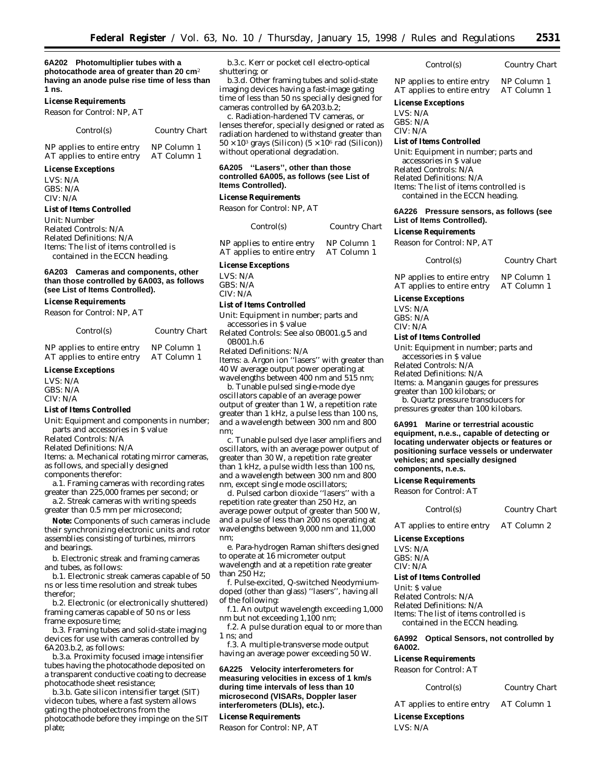**6A202 Photomultiplier tubes with a photocathode area of greater than 20 cm**2 **having an anode pulse rise time of less than 1 ns.**

#### **License Requirements**

*Reason for Control:* NP, AT

| Control(s) | Country Chart |
|------------|---------------|
|            |               |

NP applies to entire entry NP Column 1<br>AT applies to entire entry AT Column 1 AT applies to entire entry

# **License Exceptions**

LVS: N/A GBS: N/A CIV: N/A

#### **List of Items Controlled**

*Unit:* Number *Related Controls:* N/A *Related Definitions:* N/A *Items:* The list of items controlled is contained in the ECCN heading.

#### **6A203 Cameras and components, other than those controlled by 6A003, as follows (see List of Items Controlled).**

#### **License Requirements**

*Reason for Control:* NP, AT

| Control(s) | Country Chart |
|------------|---------------|
|            |               |

| NP applies to entire entry | NP Column 1 |
|----------------------------|-------------|
| AT applies to entire entry | AT Column 1 |

#### **License Exceptions**

LVS: N/A  $CRS: N/A$ CIV: N/A

#### **List of Items Controlled**

*Unit:* Equipment and components in number; parts and accessories in \$ value

*Related Controls:* N/A

*Related Definitions:* N/A

*Items:* a. Mechanical rotating mirror cameras, as follows, and specially designed components therefor:

a.1. Framing cameras with recording rates greater than 225,000 frames per second; or

a.2. Streak cameras with writing speeds greater than 0.5 mm per microsecond;

**Note:** Components of such cameras include their synchronizing electronic units and rotor assemblies consisting of turbines, mirrors and bearings.

b. Electronic streak and framing cameras and tubes, as follows:

b.1. Electronic streak cameras capable of 50 ns or less time resolution and streak tubes therefor;

b.2. Electronic (or electronically shuttered) framing cameras capable of 50 ns or less frame exposure time;

b.3. Framing tubes and solid-state imaging devices for use with cameras controlled by 6A203.b.2, as follows:

b.3.a. Proximity focused image intensifier tubes having the photocathode deposited on a transparent conductive coating to decrease photocathode sheet resistance;

b.3.b. Gate silicon intensifier target (SIT) videcon tubes, where a fast system allows gating the photoelectrons from the photocathode before they impinge on the SIT plate;

b.3.c. Kerr or pocket cell electro-optical shuttering; or

b.3.d. Other framing tubes and solid-state imaging devices having a fast-image gating time of less than 50 ns specially designed for cameras controlled by 6A203.b.2;

c. Radiation-hardened TV cameras, or lenses therefor, specially designed or rated as radiation hardened to withstand greater than  $50 \times 10^3$  grays (Silicon)  $(5 \times 10^6 \text{ rad (Silicon)})$ without operational degradation.

#### **6A205 ''Lasers'', other than those controlled 6A005, as follows (see List of Items Controlled).**

#### **License Requirements**

*Reason for Control:* NP, AT

| Control(s)                 | <b>Country Chart</b> |
|----------------------------|----------------------|
| NP applies to entire entry | NP Column 1          |
| AT applies to entire entry | AT Column 1          |

#### **License Exceptions**

LVS: N/A GBS: N/A CIV: N/A

# **List of Items Controlled**

*Unit:* Equipment in number; parts and accessories in \$ value

*Related Controls:* See also 0B001.g.5 and 0B001.h.6

*Related Definitions:* N/A

*Items:* a. Argon ion ''lasers'' with greater than 40 W average output power operating at wavelengths between 400 nm and 515 nm;

b. Tunable pulsed single-mode dye oscillators capable of an average power output of greater than 1 W, a repetition rate greater than 1 kHz, a pulse less than 100 ns, and a wavelength between 300 nm and 800 nm;

c. Tunable pulsed dye laser amplifiers and oscillators, with an average power output of greater than 30 W, a repetition rate greater than 1 kHz, a pulse width less than 100 ns, and a wavelength between 300 nm and 800 nm, except single mode oscillators;

d. Pulsed carbon dioxide ''lasers'' with a repetition rate greater than 250 Hz, an average power output of greater than 500 W, and a pulse of less than 200 ns operating at wavelengths between 9,000 nm and 11,000 nm;

e. Para-hydrogen Raman shifters designed to operate at 16 micrometer output wavelength and at a repetition rate greater than 250 Hz;

f. Pulse-excited, Q-switched Neodymiumdoped (other than glass) ''lasers'', having all of the following:

f.1. An output wavelength exceeding 1,000 nm but not exceeding 1,100 nm;

f.2. A pulse duration equal to or more than 1 ns; *and*

f.3. A multiple-transverse mode output having an average power exceeding 50 W.

#### **6A225 Velocity interferometers for measuring velocities in excess of 1 km/s during time intervals of less than 10 microsecond (VISARs, Doppler laser interferometers (DLIs), etc.).**

# **License Requirements**

*Reason for Control:* NP, AT

*Control(s) Country Chart*

NP applies to entire entry NP Column 1<br>AT applies to entire entry AT Column 1 AT applies to entire entry

# **License Exceptions**

LVS: N/A GBS: N/A CIV: N/A

# **List of Items Controlled**

*Unit:* Equipment in number; parts and accessories in \$ value *Related Controls:* N/A *Related Definitions:* N/A *Items:* The list of items controlled is contained in the ECCN heading.

#### **6A226 Pressure sensors, as follows (see List of Items Controlled).**

**License Requirements**

*Reason for Control:* NP, AT

| Control(s)                                               | Country Chart              |
|----------------------------------------------------------|----------------------------|
| NP applies to entire entry<br>AT applies to entire entry | NP Column 1<br>AT Column 1 |
|                                                          |                            |

#### **License Exceptions**

LVS: N/A GBS: N/A CIV: N/A

#### **List of Items Controlled**

*Unit:* Equipment in number; parts and accessories in \$ value *Related Controls:* N/A

*Related Definitions:* N/A

*Items:* a. Manganin gauges for pressures greater than 100 kilobars; *or*

b. Quartz pressure transducers for pressures greater than 100 kilobars.

**6A991 Marine or terrestrial acoustic equipment, n.e.s., capable of detecting or locating underwater objects or features or positioning surface vessels or underwater vehicles; and specially designed components, n.e.s.**

#### **License Requirements**

*Reason for Control:* AT

*Control(s) Country Chart*

AT applies to entire entry AT Column 2

**License Exceptions**

LVS: N/A GBS: N/A

CIV: N/A

#### **List of Items Controlled**

*Unit:* \$ value *Related Controls:* N/A *Related Definitions:* N/A *Items:* The list of items controlled is contained in the ECCN heading.

#### **6A992 Optical Sensors, not controlled by 6A002.**

#### **License Requirements**

*Reason for Control:* AT

*Control(s) Country Chart*

AT applies to entire entry AT Column 1 **License Exceptions**

LVS: N/A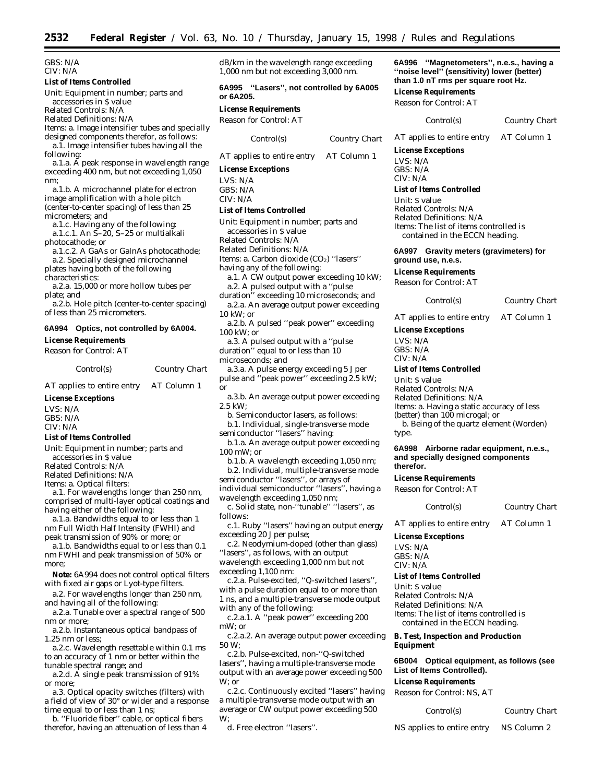GBS: N/A CIV: N/A

#### **List of Items Controlled**

*Unit:* Equipment in number; parts and accessories in \$ value

*Related Controls:* N/A

*Related Definitions:* N/A

*Items:* a. Image intensifier tubes and specially designed components therefor, as follows: a.1. Image intensifier tubes having all the

following:

a.1.a. A peak response in wavelength range exceeding 400 nm, but not exceeding 1,050 nm;

a.1.b. A microchannel plate for electron image amplification with a hole pitch (center-to-center spacing) of less than 25 micrometers; and

a.1.c. Having any of the following: a.1.c.1. An S–20, S–25 or multialkali photocathode; or

a.1.c.2. A GaAs or GaInAs photocathode; a.2. Specially designed microchannel

plates having both of the following characteristics:

a.2.a. 15,000 or more hollow tubes per plate; and

a.2.b. Hole pitch (center-to-center spacing) of less than 25 micrometers.

# **6A994 Optics, not controlled by 6A004.**

**License Requirements**

*Reason for Control:* AT

*Control(s) Country Chart*

AT applies to entire entry AT Column 1

#### **License Exceptions**

LVS: N/A GBS: N/A CIV: N/A

#### **List of Items Controlled**

*Unit:* Equipment in number; parts and accessories in \$ value

*Related Controls:* N/A

*Related Definitions:* N/A

*Items:* a. Optical filters:

a.1. For wavelengths longer than 250 nm,

comprised of multi-layer optical coatings and having either of the following:

a.1.a. Bandwidths equal to or less than 1 nm Full Width Half Intensity (FWHI) and peak transmission of 90% or more; or

a.1.b. Bandwidths equal to or less than 0.1 nm FWHI and peak transmission of 50% or more;

**Note:** 6A994 does not control optical filters with fixed air gaps or Lyot-type filters.

a.2. For wavelengths longer than 250 nm, and having all of the following:

a.2.a. Tunable over a spectral range of 500 nm or more;

a.2.b. Instantaneous optical bandpass of 1.25 nm or less;

a.2.c. Wavelength resettable within 0.1 ms to an accuracy of 1 nm or better within the tunable spectral range; and

a.2.d. A single peak transmission of 91% or more;

a.3. Optical opacity switches (filters) with a field of view of 30° or wider and a response time equal to or less than 1 ns;

b. ''Fluoride fiber'' cable, or optical fibers therefor, having an attenuation of less than 4 dB/km in the wavelength range exceeding 1,000 nm but not exceeding 3,000 nm.

**6A995 ''Lasers'', not controlled by 6A005 or 6A205. License Requirements**

*Reason for Control:* AT

*Control(s) Country Chart* AT applies to entire entry AT Column 1

# **License Exceptions**

LVS: N/A GBS: N/A CIV: N/A

#### **List of Items Controlled**

*Unit:* Equipment in number; parts and accessories in \$ value

*Related Controls:* N/A

*Related Definitions:* N/A

*Items: a. Carbon dioxide (CO<sub>2</sub>)* "lasers"

having any of the following:

a.1. A CW output power exceeding 10 kW; a.2. A pulsed output with a ''pulse

duration'' exceeding 10 microseconds; *and* a.2.a. An average output power exceeding  $10 \text{ kW} \cdot \text{or}$ 

a.2.b. A pulsed ''peak power'' exceeding 100 kW; or

a.3. A pulsed output with a ''pulse duration'' equal to or less than 10

microseconds; and

a.3.a. A pulse energy exceeding 5 J per pulse and ''peak power'' exceeding 2.5 kW; or

a.3.b. An average output power exceeding 2.5 kW;

b. Semiconductor lasers, as follows:

b.1. Individual, single-transverse mode semiconductor ''lasers'' having:

b.1.a. An average output power exceeding 100 mW; or

b.1.b. A wavelength exceeding 1,050 nm; b.2. Individual, multiple-transverse mode semiconductor ''lasers'', or arrays of individual semiconductor ''lasers'', having a wavelength exceeding 1,050 nm;

c. Solid state, non-''tunable'' ''lasers'', as follows:

c.1. Ruby ''lasers'' having an output energy exceeding 20 J per pulse;

c.2. Neodymium-doped (other than glass) ''lasers'', as follows, with an output wavelength exceeding 1,000 nm but not exceeding 1,100 nm:

c.2.a. Pulse-excited, ''Q-switched lasers'', with a pulse duration equal to or more than 1 ns, and a multiple-transverse mode output with any of the following:

c.2.a.1. A ''peak power'' exceeding 200 mW; or

c.2.a.2. An average output power exceeding 50 W;

c.2.b. Pulse-excited, non-''Q-switched lasers'', having a multiple-transverse mode output with an average power exceeding 500 W; or

c.2.c. Continuously excited ''lasers'' having a multiple-transverse mode output with an average or CW output power exceeding 500 W;

d. Free electron ''lasers''.

**6A996 ''Magnetometers'', n.e.s., having a ''noise level'' (sensitivity) lower (better) than 1.0 nT rms per square root Hz.**

#### **License Requirements**

*Reason for Control:* AT

*Control(s) Country Chart*

AT applies to entire entry AT Column 1

**License Exceptions** LVS: N/A

GBS: N/A CIV: N/A

#### **List of Items Controlled**

*Unit:* \$ value *Related Controls:* N/A *Related Definitions:* N/A *Items:* The list of items controlled is contained in the ECCN heading.

**6A997 Gravity meters (gravimeters) for ground use, n.e.s.**

#### **License Requirements**

*Reason for Control:* AT

#### *Control(s) Country Chart*

AT applies to entire entry AT Column 1

**License Exceptions**

LVS: N/A GBS: N/A CIV: N/A

# **List of Items Controlled**

*Unit:* \$ value

*Related Controls:* N/A

*Related Definitions:* N/A *Items:* a. Having a static accuracy of less

(better) than 100 microgal; or

b. Being of the quartz element (Worden) type.

#### **6A998 Airborne radar equipment, n.e.s., and specially designed components therefor.**

AT applies to entire entry AT Column 1

# **License Requirements**

*Reason for Control:* AT

**License Exceptions**

**List of Items Controlled**

**List of Items Controlled). License Requirements** *Reason for Control:* NS, AT

*Items:* The list of items controlled is contained in the ECCN heading. **B. Test, Inspection and Production**

**6B004 Optical equipment, as follows (see**

NS applies to entire entry NS Column 2

*Control(s) Country Chart*

LVS: N/A GBS: N/A CIV: N/A

*Unit:* \$ value *Related Controls:* N/A *Related Definitions:* N/A

**Equipment**

*Control(s) Country Chart*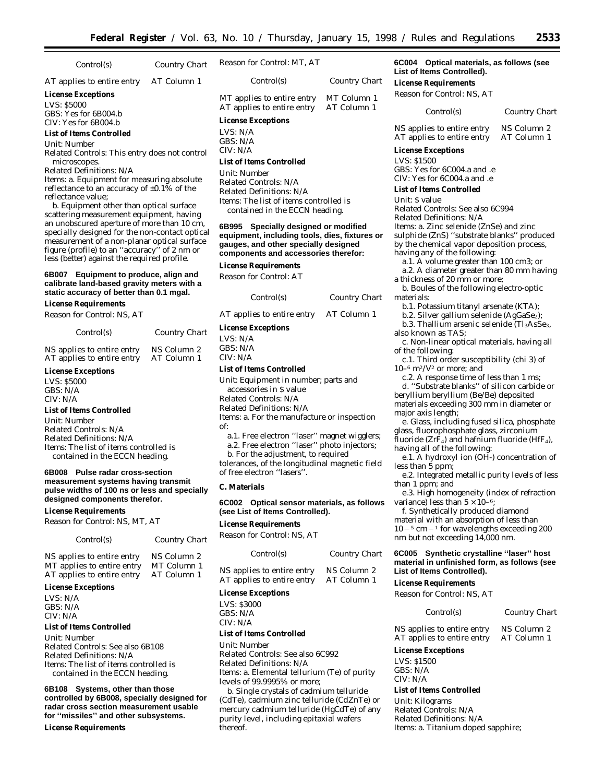| Control(s)                                                                                                                                                                                                                                                                                                                                                                                                                                                                                                                                                           | Country Chart | Reason for Control: MT, AT                                                                                                                   |                                                                                                                                                                                                                                                                                                                                                                                                                                                                                                                                                                                                                                                                            | 6C004 Optical materials, as follows (see<br>List of Items Controlled).                                                               |                            |
|----------------------------------------------------------------------------------------------------------------------------------------------------------------------------------------------------------------------------------------------------------------------------------------------------------------------------------------------------------------------------------------------------------------------------------------------------------------------------------------------------------------------------------------------------------------------|---------------|----------------------------------------------------------------------------------------------------------------------------------------------|----------------------------------------------------------------------------------------------------------------------------------------------------------------------------------------------------------------------------------------------------------------------------------------------------------------------------------------------------------------------------------------------------------------------------------------------------------------------------------------------------------------------------------------------------------------------------------------------------------------------------------------------------------------------------|--------------------------------------------------------------------------------------------------------------------------------------|----------------------------|
| AT applies to entire entry                                                                                                                                                                                                                                                                                                                                                                                                                                                                                                                                           | AT Column 1   | Control(s)                                                                                                                                   | Country Chart                                                                                                                                                                                                                                                                                                                                                                                                                                                                                                                                                                                                                                                              | <b>License Requirements</b>                                                                                                          |                            |
| <b>License Exceptions</b><br><b>LVS: \$5000</b>                                                                                                                                                                                                                                                                                                                                                                                                                                                                                                                      |               | MT applies to entire entry<br>AT applies to entire entry                                                                                     | MT Column 1<br>AT Column 1                                                                                                                                                                                                                                                                                                                                                                                                                                                                                                                                                                                                                                                 | Reason for Control: NS, AT                                                                                                           |                            |
| GBS: Yes for 6B004.b<br>CIV: Yes for 6B004.b                                                                                                                                                                                                                                                                                                                                                                                                                                                                                                                         |               | <b>License Exceptions</b>                                                                                                                    |                                                                                                                                                                                                                                                                                                                                                                                                                                                                                                                                                                                                                                                                            | Control(s)                                                                                                                           | Country Chart              |
| <b>List of Items Controlled</b><br>Unit: Number                                                                                                                                                                                                                                                                                                                                                                                                                                                                                                                      |               | LVS: N/A<br>GBS: N/A                                                                                                                         |                                                                                                                                                                                                                                                                                                                                                                                                                                                                                                                                                                                                                                                                            | NS applies to entire entry<br>AT applies to entire entry                                                                             | NS Column 2<br>AT Column 1 |
|                                                                                                                                                                                                                                                                                                                                                                                                                                                                                                                                                                      |               | CIV: N/A                                                                                                                                     |                                                                                                                                                                                                                                                                                                                                                                                                                                                                                                                                                                                                                                                                            | <b>License Exceptions</b>                                                                                                            |                            |
| Related Controls: This entry does not control<br>microscopes.<br><b>Related Definitions: N/A</b><br><i>Items: a. Equipment for measuring absolute</i><br>reflectance to an accuracy of $\pm 0.1\%$ of the<br>reflectance value:<br>b. Equipment other than optical surface<br>scattering measurement equipment, having<br>an unobscured aperture of more than 10 cm,<br>specially designed for the non-contact optical<br>measurement of a non-planar optical surface<br>figure (profile) to an "accuracy" of 2 nm or<br>less (better) against the required profile. |               | <b>List of Items Controlled</b><br>Unit: Number<br>Related Controls: N/A<br>Related Definitions: N/A<br>6B995<br><b>License Requirements</b> | LVS: \$1500<br>GBS: Yes for 6C004.a and .e<br>CIV: Yes for 6C004.a and .e<br><b>List of Items Controlled</b><br>Unit: S value<br><i>Items:</i> The list of items controlled is<br>Related Controls: See also 6C994<br>contained in the ECCN heading.<br>Related Definitions: N/A<br>Specially designed or modified<br><i>Items: a. Zinc selenide (ZnSe) and zinc</i><br>equipment, including tools, dies, fixtures or<br>sulphide (ZnS) "substrate blanks" produced<br>by the chemical vapor deposition process,<br>gauges, and other specially designed<br>having any of the following:<br>components and accessories therefor:<br>a.1. A volume greater than 100 cm3; or |                                                                                                                                      |                            |
| Equipment to produce, align and<br>6B007<br>calibrate land-based gravity meters with a<br>static accuracy of better than 0.1 mgal.                                                                                                                                                                                                                                                                                                                                                                                                                                   |               | Reason for Control: AT<br>Control(s)                                                                                                         | Country Chart                                                                                                                                                                                                                                                                                                                                                                                                                                                                                                                                                                                                                                                              | a.2. A diameter greater than 80 mm having<br>a thickness of 20 mm or more;<br>b. Boules of the following electro-optic<br>materials: |                            |
| <b>License Requirements</b>                                                                                                                                                                                                                                                                                                                                                                                                                                                                                                                                          |               |                                                                                                                                              |                                                                                                                                                                                                                                                                                                                                                                                                                                                                                                                                                                                                                                                                            | b.1. Potassium titanyl arsenate (KTA);                                                                                               |                            |
| Reason for Control: NS, AT                                                                                                                                                                                                                                                                                                                                                                                                                                                                                                                                           |               | AT applies to entire entry                                                                                                                   | AT Column 1                                                                                                                                                                                                                                                                                                                                                                                                                                                                                                                                                                                                                                                                | b.2. Silver gallium selenide (AgGaSe2);                                                                                              |                            |
| Control(s)                                                                                                                                                                                                                                                                                                                                                                                                                                                                                                                                                           | Country Chart | <b>License Exceptions</b><br>LVS: N/A                                                                                                        |                                                                                                                                                                                                                                                                                                                                                                                                                                                                                                                                                                                                                                                                            | b.3. Thallium arsenic selenide $(Tl_3AsSe_3)$ .<br>also known as TAS;<br>c Non-linear optical materials having all                   |                            |

NS applies to entire entry NS Column 2<br>AT applies to entire entry AT Column 1 AT applies to entire entry

#### **License Exceptions**

LVS: \$5000 GBS: N/A CIV: N/A

#### **List of Items Controlled**

*Unit:* Number *Related Controls:* N/A *Related Definitions:* N/A *Items:* The list of items controlled is contained in the ECCN heading.

#### **6B008 Pulse radar cross-section measurement systems having transmit pulse widths of 100 ns or less and specially designed components therefor.**

**License Requirements**

*Reason for Control:* NS, MT, AT

#### *Control(s) Country Chart*

| NS applies to entire entry | NS Column 2 |
|----------------------------|-------------|
| MT applies to entire entry | MT Column 1 |
| AT applies to entire entry | AT Column 1 |

# **License Exceptions**

LVS: N/A GBS: N/A CIV: N/A

# **List of Items Controlled**

*Unit:* Number *Related Controls:* See also 6B108 *Related Definitions:* N/A *Items:* The list of items controlled is contained in the ECCN heading.

**6B108 Systems, other than those controlled by 6B008, specially designed for radar cross section measurement usable for ''missiles'' and other subsystems.**

**License Requirements**

| $\sim$ $\sim$ $\sim$ $\sim$ $\sim$ $\sim$ $\sim$ | LVS: N/A |
|--------------------------------------------------|----------|
| NS Column 2                                      | GBS: N/A |

# CIV: N/A

# **List of Items Controlled**

*Unit:* Equipment in number; parts and accessories in \$ value

*Related Controls:* N/A

*Related Definitions:* N/A

*Items:* a. For the manufacture or inspection of:

- a.1. Free electron ''laser'' magnet wigglers;
- a.2. Free electron ''laser'' photo injectors;

b. For the adjustment, to required tolerances, of the longitudinal magnetic field of free electron ''lasers''.

#### **C. Materials**

#### **6C002 Optical sensor materials, as follows (see List of Items Controlled).**

#### **License Requirements**

*Reason for Control:* NS, AT

| Control(s)                 | Country Chart |
|----------------------------|---------------|
| NS applies to entire entry | NS Column 2   |
| AT applies to entire entry | AT Column 1   |

#### **License Exceptions**

LVS: \$3000 GBS: N/A CIV: N/A

# **List of Items Controlled**

*Unit:* Number *Related Controls:* See also 6C992

*Related Definitions:* N/A *Items:* a. Elemental tellurium (Te) of purity levels of 99.9995% or more;

b. Single crystals of cadmium telluride (CdTe), cadmium zinc telluride (CdZnTe) or mercury cadmium telluride (HgCdTe) of any purity level, including epitaxial wafers thereof.

c. Non-linear optical materials, having all of the following:

c.1. Third order susceptibility (chi 3) of 10–6 m<sup>2</sup>/V<sup>2</sup> or more; and

c.2. A response time of less than 1 ms; d. ''Substrate blanks'' of silicon carbide or beryllium beryllium (Be/Be) deposited materials exceeding 300 mm in diameter or major axis length;

e. Glass, including fused silica, phosphate glass, fluorophosphate glass, zirconium fluoride ( $ZrF_4$ ) and hafnium fluoride (HfF<sub>4</sub>), having all of the following:

e.1. A hydroxyl ion (OH-) concentration of less than 5 ppm;

e.2. Integrated metallic purity levels of less than 1 ppm; and

e.3. High homogeneity (index of refraction variance) less than  $5 \times 10^{-6}$ ;

f. Synthetically produced diamond material with an absorption of less than  $10 - 5$  cm  $-1$  for wavelengths exceeding 200 nm but not exceeding 14,000 nm.

#### **6C005 Synthetic crystalline ''laser'' host material in unfinished form, as follows (see List of Items Controlled).**

#### **License Requirements**

*Reason for Control:* NS, AT

*Control(s) Country Chart*

NS applies to entire entry NS Column 2 AT applies to entire entry AT Column 1

# **License Exceptions**

LVS: \$1500 GBS: N/A CIV: N/A

#### **List of Items Controlled**

*Unit:* Kilograms *Related Controls:* N/A *Related Definitions:* N/A *Items:* a. Titanium doped sapphire;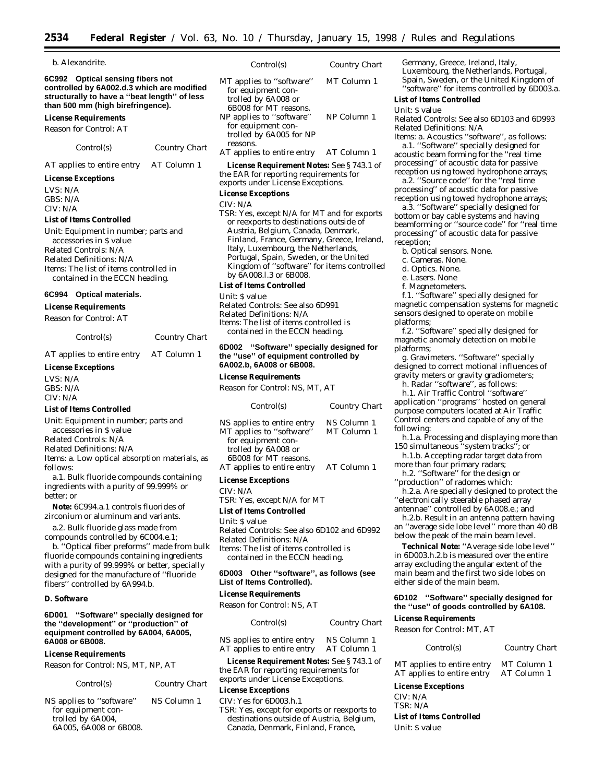| b. Alexandrite.                                                                                                                                                                                         |                      | Control(s)                                                                                                                                                                                                                                                                           | Country Chart |                      |
|---------------------------------------------------------------------------------------------------------------------------------------------------------------------------------------------------------|----------------------|--------------------------------------------------------------------------------------------------------------------------------------------------------------------------------------------------------------------------------------------------------------------------------------|---------------|----------------------|
| 6C992 Optical sensing fibers not<br>controlled by 6A002.d.3 which are modified<br>structurally to have a "beat length" of less<br>than 500 mm (high birefringence).                                     |                      | MT applies to "software"<br>for equipment con-<br>trolled by 6A008 or<br>6B008 for MT reasons.                                                                                                                                                                                       | MT Column 1   | L                    |
| <b>License Requirements</b>                                                                                                                                                                             |                      | NP applies to "software"                                                                                                                                                                                                                                                             | NP Column 1   | L<br>$\overline{k}$  |
| Reason for Control: AT                                                                                                                                                                                  |                      | for equipment con-<br>trolled by 6A005 for NP                                                                                                                                                                                                                                        |               | $\overline{R}$<br>It |
| Control(s)                                                                                                                                                                                              | Country Chart        | reasons.<br>AT applies to entire entry                                                                                                                                                                                                                                               | AT Column 1   | a                    |
| AT applies to entire entry                                                                                                                                                                              | AT Column 1          | <b>License Requirement Notes:</b> See §743.1 of                                                                                                                                                                                                                                      |               | p                    |
| <b>License Exceptions</b>                                                                                                                                                                               |                      | the EAR for reporting requirements for<br>exports under License Exceptions.                                                                                                                                                                                                          |               | $\Gamma$             |
| LVS: N/A<br>GBS: N/A<br>CIV: N/A                                                                                                                                                                        |                      | <b>License Exceptions</b><br>CIV: N/A                                                                                                                                                                                                                                                |               | p<br>$\Gamma$        |
| <b>List of Items Controlled</b>                                                                                                                                                                         |                      | TSR: Yes, except N/A for MT and for exports                                                                                                                                                                                                                                          |               | b                    |
| Unit: Equipment in number; parts and<br>accessories in \$ value<br>Related Controls: N/A<br>Related Definitions: N/A<br><i>Items:</i> The list of items controlled in<br>contained in the ECCN heading. |                      | or reexports to destinations outside of<br>Austria, Belgium, Canada, Denmark,<br>Finland, France, Germany, Greece, Ireland,<br>Italy, Luxembourg, the Netherlands,<br>Portugal, Spain, Sweden, or the United<br>Kingdom of "software" for items controlled<br>by 6A008.1.3 or 6B008. |               | b<br>p<br>r.         |
|                                                                                                                                                                                                         |                      | <b>List of Items Controlled</b>                                                                                                                                                                                                                                                      |               |                      |
| 6C994 Optical materials.<br><b>License Requirements</b><br>Reason for Control: AT                                                                                                                       |                      | Unit: S value<br>Related Controls: See also 6D991<br>Related Definitions: N/A<br><i>Items:</i> The list of items controlled is                                                                                                                                                       |               | n<br>S(<br>p         |
| Control(s)                                                                                                                                                                                              | <b>Country Chart</b> | contained in the ECCN heading.                                                                                                                                                                                                                                                       |               |                      |
| AT applies to entire entry                                                                                                                                                                              | AT Column 1          | 6D002 "Software" specially designed for<br>the "use" of equipment controlled by                                                                                                                                                                                                      |               | n<br>p               |
| <b>License Exceptions</b>                                                                                                                                                                               |                      | 6A002.b, 6A008 or 6B008.                                                                                                                                                                                                                                                             |               | d                    |
| LVS: N/A                                                                                                                                                                                                |                      | <b>License Requirements</b>                                                                                                                                                                                                                                                          |               | g                    |

*Reason for Control:* NS, MT, AT

| Control(s)                                             | Country Chart              |
|--------------------------------------------------------|----------------------------|
| NS applies to entire entry<br>MT applies to "software" | NS Column 1<br>MT Column 1 |
| for equipment con-                                     |                            |
| trolled by 6A008 or<br>6B008 for MT reasons.           |                            |
| AT applies to entire entry                             | AT Column 1                |

#### **License Exceptions**

CIV: N/A TSR: Yes, except N/A for MT

#### **List of Items Controlled**

*Unit:* \$ value

*Related Controls:* See also 6D102 and 6D992 *Related Definitions:* N/A *Items:* The list of items controlled is contained in the ECCN heading.

#### **6D003 Other ''software'', as follows (see List of Items Controlled).**

#### **License Requirements**

Reason for Control: NS, AT

| Control(s)                 | Country Chart |
|----------------------------|---------------|
| NS applies to entire entry | NS Column 1   |
| AT applies to entire entry | AT Column 1   |

**License Requirement Notes:** See § 743.1 of the EAR for reporting requirements for exports under License Exceptions.

#### **License Exceptions**

CIV: Yes for 6D003.h.1 TSR: Yes, except for exports or reexports to destinations outside of Austria, Belgium, Canada, Denmark, Finland, France,

Germany, Greece, Ireland, Italy, Luxembourg, the Netherlands, Portugal, Spain, Sweden, or the United Kingdom of ''software'' for items controlled by 6D003.a.

#### **List of Items Controlled**

#### *Unit*: \$ value

*Related Controls*: See also 6D103 and 6D993 *Related Definitions*: N/A

*Items: a. Acoustics ''software'', as follows:* a.1. ''Software'' specially designed for coustic beam forming for the "real time processing'' of acoustic data for passive eception using towed hydrophone arrays;

a.2. ''Source code'' for the ''real time processing'' of acoustic data for passive eception using towed hydrophone arrays;

a.3. ''Software'' specially designed for ottom or bay cable systems and having beamforming or ''source code'' for ''real time processing'' of acoustic data for passive eception;

- b. Optical sensors. None.
- c. Cameras. None.
- d. Optics. None.
- e. Lasers. None
- f. Magnetometers.

f.1. ''Software'' specially designed for magnetic compensation systems for magnetic ensors designed to operate on mobile platforms;

f.2. ''Software'' specially designed for magnetic anomaly detection on mobile platforms;

g. Gravimeters. ''Software'' specially lesigned to correct motional influences of gravity meters or gravity gradiometers;

h. Radar ''software'', as follows:

h.1. Air Traffic Control ''software'' application ''programs'' hosted on general purpose computers located at Air Traffic Control centers and capable of any of the following:

h.1.a. Processing and displaying more than 150 simultaneous ''system tracks''; or

h.1.b. Accepting radar target data from more than four primary radars;

h.2. ''Software'' for the design or

''production'' of radomes which:

h.2.a. Are specially designed to protect the ''electronically steerable phased array antennae'' controlled by 6A008.e.; and

h.2.b. Result in an antenna pattern having an ''average side lobe level'' more than 40 dB below the peak of the main beam level.

**Technical Note:** ''Average side lobe level'' in 6D003.h.2.b is measured over the entire array excluding the angular extent of the main beam and the first two side lobes on either side of the main beam.

# **6D102 ''Software'' specially designed for the ''use'' of goods controlled by 6A108. License Requirements**

# *Reason for Control*: MT, AT

*Control(s) Country Chart*

MT applies to entire entry MT Column 1<br>AT applies to entire entry AT Column 1 AT applies to entire entry

# **License Exceptions**

CIV: N/A TSR: N/A

**List of Items Controlled** *Unit*: \$ value

# for equipment controlled by 6A004, 6A005, 6A008 or 6B008.

# LVS: N/A GBS: N/A

#### **List of Items Controlled**

*Unit:* Equipment in number; parts and

a.1. Bulk fluoride compounds containing ingredients with a purity of 99.999% or better; or

**Note:** 6C994.a.1 controls fluorides of

a.2. Bulk fluoride glass made from

b. ''Optical fiber preforms'' made from bulk fluoride compounds containing ingredients with a purity of 99.999% or better, specially designed for the manufacture of ''fluoride fibers'' controlled by 6A994.b.

#### **D. Software**

# **6D001 ''Software'' specially designed for**

*Reason for Control:* NS, MT, NP, AT

*Control(s) Country Chart*

NS applies to ''software'' NS Column 1

 $CIV·N/A$ 

accessories in \$ value

*Related Controls:* N/A

*Related Definitions:* N/A

*Items:* a. Low optical absorption materials, as follows:

zirconium or aluminum and variants.

compounds controlled by 6C004.e.1;

# **the ''development'' or ''production'' of equipment controlled by 6A004, 6A005, 6A008 or 6B008.**

**License Requirements**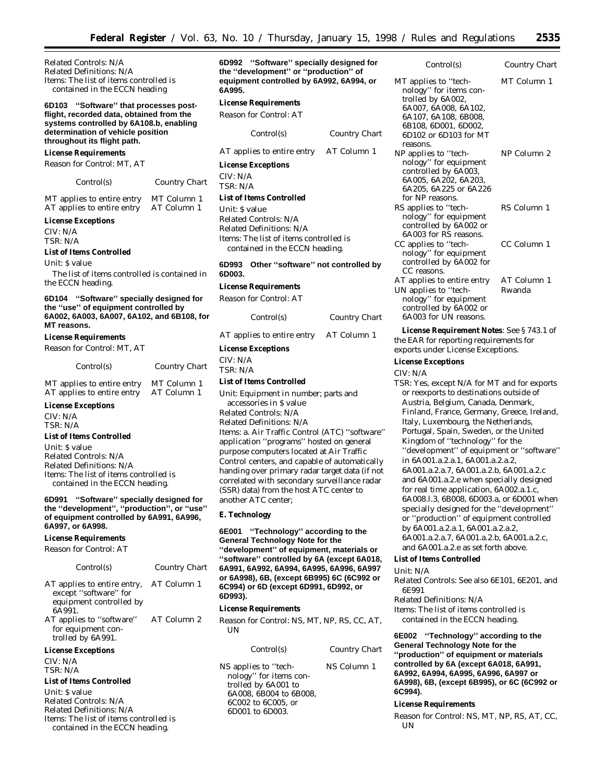*Related Controls*: N/A *Related Definitions*: N/A *Items*: The list of items controlled is contained in the ECCN heading

#### **6D103 ''Software'' that processes postflight, recorded data, obtained from the systems controlled by 6A108.b, enabling determination of vehicle position throughout its flight path.**

#### **License Requirements**

*Reason for Control*: MT, AT

| Control(s) |  |
|------------|--|
|------------|--|

MT applies to entire entry MT Column 1 AT applies to entire entry AT Column 1

 $Country$  *Chart* 

#### **License Exceptions**

CIV: N/A TSR: N/A

#### **List of Items Controlled**

*Unit*: \$ value

The list of items controlled is contained in the ECCN heading.

**6D104 ''Software'' specially designed for the ''use'' of equipment controlled by 6A002, 6A003, 6A007, 6A102, and 6B108, for MT reasons.**

#### **License Requirements**

*Reason for Control*: MT, AT

| Control(s)                 | <b>Country Chart</b> |
|----------------------------|----------------------|
| MT applies to entire entry | MT Column 1          |
| AT applies to entire entry | AT Column 1          |

# **License Exceptions**

CIV: N/A TSR: N/A

**List of Items Controlled** *Unit*: \$ value *Related Controls*: N/A *Related Definitions*: N/A

*Items*: The list of items controlled is contained in the ECCN heading.

**6D991 ''Software'' specially designed for the ''development'', ''production'', or ''use'' of equipment controlled by 6A991, 6A996, 6A997, or 6A998.**

# **License Requirements**

*Reason for Control*: AT

| Control(s)                                                                               | Country Chart |
|------------------------------------------------------------------------------------------|---------------|
| AT applies to entire entry,<br>except "software" for<br>equipment controlled by<br>6A991 | AT Column 1   |
| AT applies to "software"<br>for equipment con-<br>trolled by 6A991.                      | AT Column 2   |
| <b>License Exceptions</b>                                                                |               |
| CIV: N/A                                                                                 |               |
| TSR: N/A                                                                                 |               |
| List of Items Controlled                                                                 |               |

*Unit*: \$ value *Related Controls*: N/A *Related Definitions*: N/A *Items*: The list of items controlled is contained in the ECCN heading.

**6D992 ''Software'' specially designed for the ''development'' or ''production'' of equipment controlled by 6A992, 6A994, or 6A995.**

**License Requirements** *Reason for Control*: AT *Control(s) Country Chart* AT applies to entire entry AT Column 1 **License Exceptions** CIV: N/A TSR: N/A **List of Items Controlled** *Unit*: \$ value *Related Controls*: N/A *Related Definitions*: N/A *Items*: The list of items controlled is contained in the ECCN heading. **6D993 Other ''software'' not controlled by 6D003. License Requirements**

| Reason for Control: AT |  |
|------------------------|--|
|                        |  |

*Control(s) Country Chart* AT applies to entire entry AT Column 1 **License Exceptions** CIV: N/A TSR: N/A

#### **List of Items Controlled**

*Unit*: Equipment in number; parts and accessories in \$ value *Related Controls*: N/A *Related Definitions*: N/A *Items*: a. Air Traffic Control (ATC) ''software'' application ''programs'' hosted on general purpose computers located at Air Traffic Control centers, and capable of automatically handing over primary radar target data (if not correlated with secondary surveillance radar (SSR) data) from the host ATC center to another ATC center;

#### **E. Technology**

**6E001 ''Technology'' according to the General Technology Note for the ''development'' of equipment, materials or ''software'' controlled by 6A (except 6A018, 6A991, 6A992, 6A994, 6A995, 6A996, 6A997 or 6A998), 6B, (except 6B995) 6C (6C992 or 6C994) or 6D (except 6D991, 6D992, or 6D993).**

#### **License Requirements**

*Reason for Control: NS, MT, NP, RS, CC, AT, UN*

| Control(s)                                                                                                                               | Country Chart |
|------------------------------------------------------------------------------------------------------------------------------------------|---------------|
| NS applies to "tech-<br>nology" for items con-<br>trolled by 6A001 to<br>6A008, 6B004 to 6B008,<br>6C002 to 6C005, or<br>6D001 to 6D003. | NS Column 1   |

| Control(s)                                                                                                                                                                       | Country Chart         |
|----------------------------------------------------------------------------------------------------------------------------------------------------------------------------------|-----------------------|
| MT applies to "tech-<br>nology" for items con-<br>trolled by 6A002,<br>6A007, 6A008, 6A102,<br>6A107, 6A108, 6B008,<br>6B108, 6D001, 6D002,<br>6D102 or 6D103 for MT<br>reasons. | MT Column 1           |
| NP applies to "tech-<br>nology" for equipment<br>controlled by 6A003,<br>6A005, 6A202, 6A203,<br>6A205, 6A225 or 6A226<br>for NP reasons.                                        | NP Column 2           |
| RS applies to "tech-<br>nology" for equipment<br>controlled by 6A002 or<br>6A003 for RS reasons.                                                                                 | RS Column 1           |
| CC applies to "tech-<br>nology" for equipment<br>controlled by 6A002 for<br>CC reasons.                                                                                          | CC Column 1           |
| AT applies to entire entry<br>UN applies to "tech-<br>nology" for equipment<br>controlled by 6A002 or<br>6A003 for UN reasons.                                                   | AT Column 1<br>Rwanda |

**License Requirement Notes**: See § 743.1 of the EAR for reporting requirements for exports under License Exceptions.

#### **License Exceptions**

CIV: N/A

TSR: Yes, except N/A for MT and for exports or reexports to destinations outside of Austria, Belgium, Canada, Denmark, Finland, France, Germany, Greece, Ireland, Italy, Luxembourg, the Netherlands, Portugal, Spain, Sweden, or the United Kingdom of ''technology'' for the ''development'' of equipment or ''software'' in 6A001.a.2.a.1, 6A001.a.2.a.2, 6A001.a.2.a.7, 6A001.a.2.b, 6A001.a.2.c and 6A001.a.2.e when specially designed for real time application, 6A002.a.1.c, 6A008.l.3, 6B008, 6D003.a, or 6D001 when specially designed for the ''development'' or ''production'' of equipment controlled by 6A001.a.2.a.1, 6A001.a.2.a.2, 6A001.a.2.a.7, 6A001.a.2.b, 6A001.a.2.c, and 6A001.a.2.e as set forth above.

#### **List of Items Controlled**

# *Unit*: N/A

*Related Controls*: See also 6E101, 6E201, and 6E991

*Related Definitions*: N/A *Items*: The list of items controlled is contained in the ECCN heading.

**6E002 ''Technology'' according to the General Technology Note for the ''production'' of equipment or materials controlled by 6A (except 6A018, 6A991, 6A992, 6A994, 6A995, 6A996, 6A997 or 6A998), 6B, (except 6B995), or 6C (6C992 or 6C994).**

# **License Requirements**

*Reason for Control:* NS, MT, NP, RS, AT, CC, UN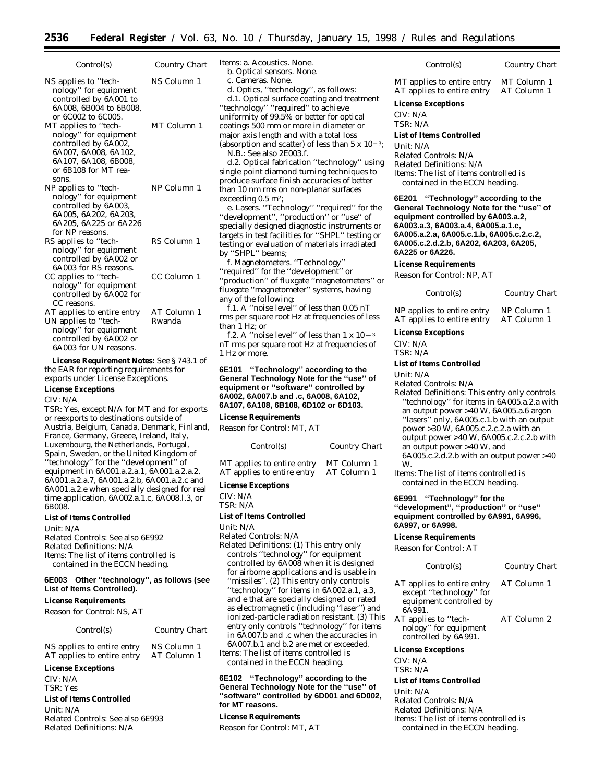| Control(s)                                                                                                                                             | Country Chart         |
|--------------------------------------------------------------------------------------------------------------------------------------------------------|-----------------------|
| NS applies to "tech-<br>nology" for equipment<br>controlled by 6A001 to<br>6A008, 6B004 to 6B008,<br>or 6C002 to 6C005.                                | NS Column 1           |
| MT applies to "tech-<br>nology" for equipment<br>controlled by 6A002,<br>6A007, 6A008, 6A102,<br>6A107, 6A108, 6B008,<br>or 6B108 for MT rea-<br>sons. | MT Column 1           |
| NP applies to "tech-<br>nology" for equipment<br>controlled by 6A003.<br>6A005, 6A202, 6A203,<br>6A205, 6A225 or 6A226<br>for NP reasons.              | NP Column 1           |
| RS applies to "tech-<br>nology" for equipment<br>controlled by 6A002 or<br>6A003 for RS reasons.                                                       | RS Column 1           |
| CC applies to "tech-<br>nology" for equipment<br>controlled by 6A002 for<br>CC reasons.                                                                | CC Column 1           |
| AT applies to entire entry<br>UN applies to "tech-<br>nology" for equipment<br>controlled by 6A002 or<br>6A003 for UN reasons.                         | AT Column 1<br>Rwanda |

**License Requirement Notes:** See § 743.1 of the EAR for reporting requirements for exports under License Exceptions.

#### **License Exceptions**

#### CIV: N/A

TSR: Yes, except N/A for MT and for exports or reexports to destinations outside of Austria, Belgium, Canada, Denmark, Finland, France, Germany, Greece, Ireland, Italy, Luxembourg, the Netherlands, Portugal, Spain, Sweden, or the United Kingdom of ''technology'' for the ''development'' of equipment in 6A001.a.2.a.1, 6A001.a.2.a.2, 6A001.a.2.a.7, 6A001.a.2.b, 6A001.a.2.c and 6A001.a.2.e when specially designed for real time application, 6A002.a.1.c, 6A008.l.3, or 6B008.

#### **List of Items Controlled**

*Unit:* N/A *Related Controls:* See also 6E992 *Related Definitions:* N/A *Items:* The list of items controlled is

contained in the ECCN heading. **6E003 Other ''technology'', as follows (see**

# **List of Items Controlled).**

**License Requirements**

*Reason for Control:* NS, AT

| Control(s)                                               | Country Chart              |
|----------------------------------------------------------|----------------------------|
| NS applies to entire entry<br>AT applies to entire entry | NS Column 1<br>AT Column 1 |
| <b>License Exceptions</b>                                |                            |

CIV: N/A TSR: Yes

#### **List of Items Controlled**

*Unit:* N/A *Related Controls:* See also 6E993 *Related Definitions:* N/A

*Items:* a. Acoustics. None. b. Optical sensors. None.

c. Cameras. None.

d. Optics, ''technology'', as follows:

d.1. Optical surface coating and treatment

''technology'' ''required'' to achieve uniformity of 99.5% or better for optical coatings 500 mm or more in diameter or major axis length and with a total loss (absorption and scatter) of less than  $5 \times 10^{-3}$ ;

N.B.: See also 2E003.f.

d.2. Optical fabrication ''technology'' using single point diamond turning techniques to produce surface finish accuracies of better than 10 nm rms on non-planar surfaces exceeding 0.5 m<sup>2</sup>;

e. Lasers. ''Technology'' ''required'' for the ''development'', ''production'' or ''use'' of specially designed diagnostic instruments or targets in test facilities for ''SHPL'' testing or testing or evaluation of materials irradiated by ''SHPL'' beams;

f. Magnetometers. ''Technology'' ''required'' for the ''development'' or ''production'' of fluxgate ''magnetometers'' or fluxgate ''magnetometer'' systems, having any of the following:

f.1. A ''noise level'' of less than 0.05 nT rms per square root Hz at frequencies of less than 1 Hz; or

f.2. A "noise level" of less than 1 x  $10-3$ nT rms per square root Hz at frequencies of 1 Hz or more.

**6E101 ''Technology'' according to the General Technology Note for the ''use'' of equipment or ''software'' controlled by 6A002, 6A007.b and .c, 6A008, 6A102, 6A107, 6A108, 6B108, 6D102 or 6D103.**

#### **License Requirements**

*Reason for Control:* MT, AT

*Control(s) Country Chart*

MT applies to entire entry MT Column 1<br>AT applies to entire entry AT Column 1 AT applies to entire entry

#### **License Exceptions**

CIV: N/A

TSR: N/A

### **List of Items Controlled**

*Unit:* N/A

*Related Controls:* N/A *Related Definitions:* (1) This entry only controls ''technology'' for equipment controlled by 6A008 when it is designed for airborne applications and is usable in ''missiles''. (2) This entry only controls ''technology'' for items in 6A002.a.1, a.3, and e that are specially designed or rated as electromagnetic (including ''laser'') and ionized-particle radiation resistant. (3) This entry only controls ''technology'' for items in 6A007.b and .c when the accuracies in

6A007.b.1 and b.2 are met or exceeded. *Items:* The list of items controlled is contained in the ECCN heading.

**6E102 ''Technology'' according to the General Technology Note for the ''use'' of ''software'' controlled by 6D001 and 6D002, for MT reasons.**

#### **License Requirements**

*Reason for Control:* MT, AT

| Control(s)                 | Country Chart |
|----------------------------|---------------|
| MT applies to entire entry | MT Column 1   |
| AT applies to entire entry | AT Column 1   |

#### **License Exceptions**

CIV: N/A TSR: N/A

#### **List of Items Controlled**

*Unit:* N/A *Related Controls:* N/A *Related Definitions:* N/A *Items:* The list of items controlled is contained in the ECCN heading.

**6E201 ''Technology'' according to the General Technology Note for the ''use'' of equipment controlled by 6A003.a.2, 6A003.a.3, 6A003.a.4, 6A005.a.1.c, 6A005.a.2.a, 6A005.c.1.b, 6A005.c.2.c.2, 6A005.c.2.d.2.b, 6A202, 6A203, 6A205, 6A225 or 6A226.**

#### **License Requirements**

*Reason for Control:* NP, AT

| Control(s) | Country Chart |
|------------|---------------|
|            |               |

| NP applies to entire entry | NP Column 1 |
|----------------------------|-------------|
| AT applies to entire entry | AT Column 1 |

**License Exceptions**

CIV: N/A TSR: N/A

#### **List of Items Controlled**

*Unit:* N/A

- *Related Controls:* N/A
- *Related Definitions:* This entry only controls ''technology'' for items in 6A005.a.2.a with an output power >40 W, 6A005.a.6 argon ''lasers'' only, 6A005.c.1.b with an output power >30 W, 6A005.c.2.c.2.a with an output power >40 W, 6A005.c.2.c.2.b with an output power >40 W, and
- 6A005.c.2.d.2.b with an output power >40 W.
- *Items:* The list of items controlled is contained in the ECCN heading.

#### **6E991 ''Technology'' for the ''development'', ''production'' or ''use'' equipment controlled by 6A991, 6A996, 6A997, or 6A998.**

#### **License Requirements**

*Reason for Control:* AT

| Control(s)                                                                                 | Country Chart |
|--------------------------------------------------------------------------------------------|---------------|
| AT applies to entire entry<br>except "technology" for<br>equipment controlled by<br>6A991. | AT Column 1   |
| AT applies to "tech-<br>nology" for equipment<br>controlled by 6A991.                      | AT Column 2   |
|                                                                                            |               |

# **License Exceptions**

CIV: N/A TSR: N/A

**List of Items Controlled**

*Unit:* N/A *Related Controls:* N/A *Related Definitions:* N/A *Items:* The list of items controlled is contained in the ECCN heading.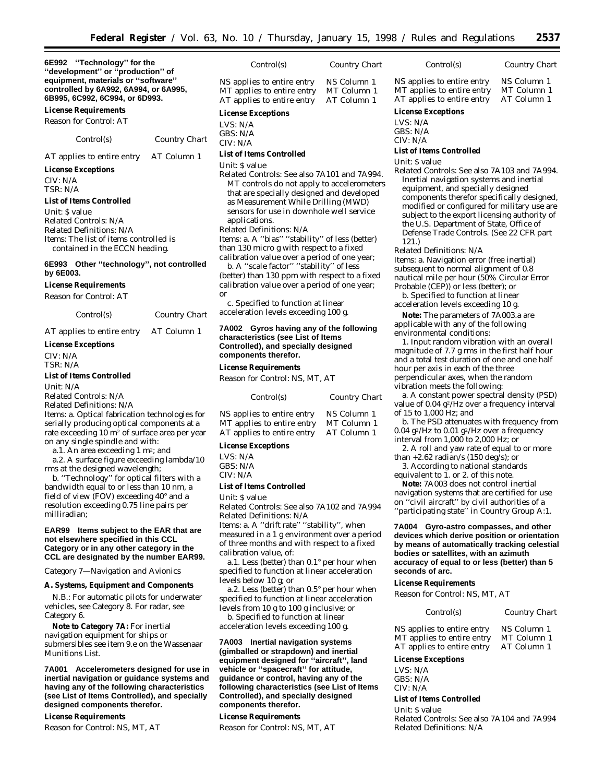*Control(s) Country Chart*

**6E992 ''Technology'' for the ''development'' or ''production'' of equipment, materials or ''software'' controlled by 6A992, 6A994, or 6A995, 6B995, 6C992, 6C994, or 6D993.**

**License Requirements**

*Reason for Control:* AT

*Control(s) Country Chart*

AT applies to entire entry AT Column 1

#### **License Exceptions**

CIV: N/A TSR: N/A

#### **List of Items Controlled**

*Unit:* \$ value *Related Controls:* N/A *Related Definitions:* N/A *Items:* The list of items controlled is contained in the ECCN heading.

#### **6E993 Other ''technology'', not controlled by 6E003.**

#### **License Requirements**

*Reason for Control:* AT

*Control(s) Country Chart*

AT applies to entire entry AT Column 1

#### **License Exceptions**

CIV: N/A TSR: N/A

#### **List of Items Controlled**

*Unit:* N/A

# *Related Controls:* N/A

*Related Definitions:* N/A

*Items:* a. Optical fabrication technologies for serially producing optical components at a rate exceeding 10 m2 of surface area per year on any single spindle and with:

a.1. An area exceeding 1 m2; and

a.2. A surface figure exceeding lambda/10 rms at the designed wavelength;

b. ''Technology'' for optical filters with a bandwidth equal to or less than 10 nm, a field of view (FOV) exceeding 40° and a resolution exceeding 0.75 line pairs per milliradian;

#### **EAR99 Items subject to the EAR that are not elsewhere specified in this CCL Category or in any other category in the CCL are designated by the number EAR99.**

*Category 7—Navigation and Avionics*

#### **A. Systems, Equipment and Components**

N.B.: For automatic pilots for underwater vehicles, see Category 8. For radar, see Category 6.

**Note to Category 7A:** For inertial navigation equipment for ships or submersibles see item 9.e on the Wassenaar Munitions List.

**7A001 Accelerometers designed for use in inertial navigation or guidance systems and having any of the following characteristics (see List of Items Controlled), and specially designed components therefor.**

#### **License Requirements**

*Reason for Control:* NS, MT, AT

| <b>License Exceptions</b>                                                              |                                           |
|----------------------------------------------------------------------------------------|-------------------------------------------|
| NS applies to entire entry<br>MT applies to entire entry<br>AT applies to entire entry | NS Column 1<br>MT Column 1<br>AT Column 1 |
|                                                                                        |                                           |

LVS: N/A GBS: N/A CIV: N/A

# **List of Items Controlled**

*Unit:* \$ value

*Related Controls:* See also 7A101 and 7A994. MT controls do not apply to accelerometers that are specially designed and developed as Measurement While Drilling (MWD) sensors for use in downhole well service applications.

*Related Definitions:* N/A

*Items:* a. A ''bias'' ''stability'' of less (better) than 130 micro g with respect to a fixed calibration value over a period of one year;

b. A ''scale factor'' ''stability'' of less (better) than 130 ppm with respect to a fixed calibration value over a period of one year; *or*

c. Specified to function at linear acceleration levels exceeding 100 g.

#### **7A002 Gyros having any of the following characteristics (see List of Items Controlled), and specially designed components therefor.**

#### **License Requirements**

*Reason for Control:* NS, MT, AT

| Control(s)                 | Country Chart |
|----------------------------|---------------|
| NS applies to entire entry | NS Column 1   |
| MT applies to entire entry | MT Column 1   |
| AT applies to entire entry | AT Column 1   |

#### **License Exceptions**

LVS: N/A  $CRS: N/A$ CIV: N/A

#### **List of Items Controlled**

*Unit:* \$ value

*Related Controls:* See also 7A102 and 7A994 *Related Definitions:* N/A

*Items:* a. A ''drift rate'' ''stability'', when measured in a 1 g environment over a period of three months and with respect to a fixed calibration value, of:

a.1. Less (better) than 0.1° per hour when specified to function at linear acceleration levels below 10 g; or

a.2. Less (better) than 0.5° per hour when specified to function at linear acceleration levels from 10 g to 100 g inclusive; or

b. Specified to function at linear

acceleration levels exceeding 100 g.

#### **7A003 Inertial navigation systems (gimballed or strapdown) and inertial equipment designed for ''aircraft'', land vehicle or ''spacecraft'' for attitude, guidance or control, having any of the following characteristics (see List of Items Controlled), and specially designed components therefor.**

#### **License Requirements**

*Reason for Control:* NS, MT, AT

#### NS applies to entire entry NS Column 1<br>MT applies to entire entry MT Column 1 MT applies to entire entry MT Column 1<br>AT applies to entire entry AT Column 1 AT applies to entire entry

#### **License Exceptions**

LVS: N/A GBS: N/A

CIV: N/A

#### **List of Items Controlled**

*Unit:* \$ value

*Related Controls:* See also 7A103 and 7A994. Inertial navigation systems and inertial equipment, and specially designed components therefor specifically designed, modified or configured for military use are subject to the export licensing authority of the U.S. Department of State, Office of Defense Trade Controls. (See 22 CFR part 121.)

*Control(s) Country Chart*

*Related Definitions:* N/A

*Items:* a. Navigation error (free inertial) subsequent to normal alignment of 0.8 nautical mile per hour (50% Circular Error Probable (CEP)) or less (better); or

b. Specified to function at linear acceleration levels exceeding 10 g.

**Note:** The parameters of 7A003.a are applicable with any of the following environmental conditions:

1. Input random vibration with an overall magnitude of 7.7 g rms in the first half hour and a total test duration of one and one half hour per axis in each of the three perpendicular axes, when the random vibration meets the following:

a. A constant power spectral density (PSD) value of 0.04 g<sup>2</sup>/Hz over a frequency interval of 15 to 1,000 Hz; and

b. The PSD attenuates with frequency from 0.04  $g^2$ /Hz to 0.01  $g^2$ /Hz over a frequency interval from 1,000 to 2,000 Hz; or

2. A roll and yaw rate of equal to or more than  $+2.62$  radian/s (150 deg/s); or

3. According to national standards equivalent to  $\check{1}$ . or 2. of this note.

**Note:** 7A003 does not control inertial navigation systems that are certified for use on ''civil aircraft'' by civil authorities of a ''participating state'' in Country Group A:1.

**7A004 Gyro-astro compasses, and other devices which derive position or orientation by means of automatically tracking celestial bodies or satellites, with an azimuth accuracy of equal to or less (better) than 5 seconds of arc.**

#### **License Requirements**

*Reason for Control:* NS, MT, AT

| Control(s) | Country Chart |
|------------|---------------|
|            |               |

| NS applies to entire entry | NS Column 1 |
|----------------------------|-------------|
| MT applies to entire entry | MT Column 1 |
| AT applies to entire entry | AT Column 1 |

#### **License Exceptions**

LVS: N/A GBS: N/A CIV: N/A

**List of Items Controlled** *Unit:* \$ value

*Related Controls:* See also 7A104 and 7A994 *Related Definitions:* N/A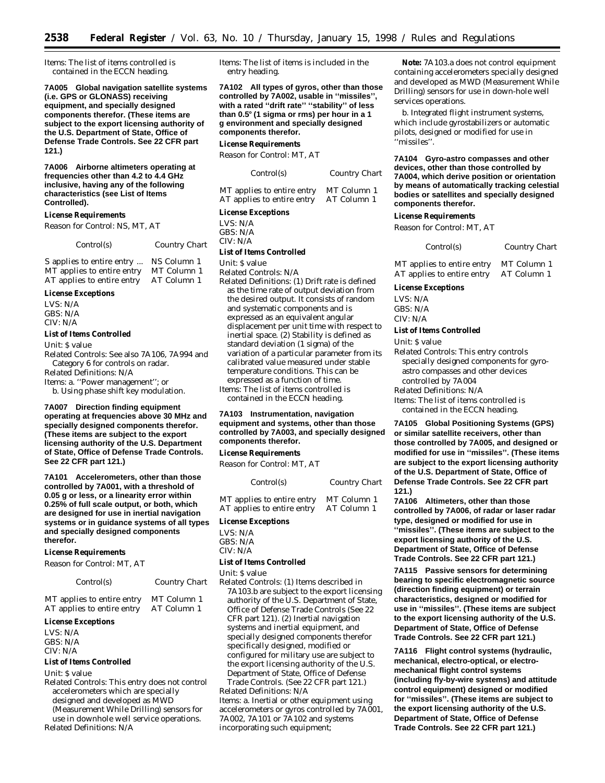*Items:* The list of items controlled is contained in the ECCN heading.

**7A005 Global navigation satellite systems (i.e. GPS or GLONASS) receiving equipment, and specially designed components therefor. (These items are subject to the export licensing authority of the U.S. Department of State, Office of Defense Trade Controls. See 22 CFR part 121.)**

**7A006 Airborne altimeters operating at frequencies other than 4.2 to 4.4 GHz inclusive, having any of the following characteristics (see List of Items Controlled).**

#### **License Requirements**

*Reason for Control:* NS, MT, AT

*Control(s) Country Chart*

S applies to entire entry ... NS Column 1<br>MT applies to entire entry MT Column 1 MT applies to entire entry AT applies to entire entry AT Column 1

# **License Exceptions**

LVS: N/A GBS: N/A CIV: N/A

### **List of Items Controlled**

*Unit:* \$ value

*Related Controls:* See also 7A106, 7A994 and Category 6 for controls on radar. *Related Definitions:* N/A *Items:* a. ''Power management''; or b. Using phase shift key modulation.

**7A007 Direction finding equipment operating at frequencies above 30 MHz and specially designed components therefor. (These items are subject to the export licensing authority of the U.S. Department of State, Office of Defense Trade Controls. See 22 CFR part 121.)**

**7A101 Accelerometers, other than those controlled by 7A001, with a threshold of 0.05 g or less, or a linearity error within 0.25% of full scale output, or both, which are designed for use in inertial navigation systems or in guidance systems of all types and specially designed components therefor.**

#### **License Requirements**

*Reason for Control:* MT, AT

*Control(s) Country Chart*

MT applies to entire entry MT Column 1<br>AT applies to entire entry AT Column 1 AT applies to entire entry

#### **License Exceptions**

LVS: N/A GBS: N/A CIV: N/A

#### **List of Items Controlled**

*Unit:* \$ value

*Related Controls:* This entry does not control accelerometers which are specially designed and developed as MWD (Measurement While Drilling) sensors for use in downhole well service operations. *Related Definitions:* N/A

*Items:* The list of items is included in the entry heading.

**7A102 All types of gyros, other than those controlled by 7A002, usable in ''missiles'', with a rated ''drift rate'' ''stability'' of less than 0.5**≥ **(1 sigma or rms) per hour in a 1 g environment and specially designed components therefor.**

#### **License Requirements**

*Reason for Control:* MT, AT

| Control(s)                 | Country Chart |
|----------------------------|---------------|
| MT applies to entire entry | MT Column 1   |
| AT applies to entire entry | AT Column 1   |

#### **License Exceptions**

LVS: N/A GBS: N/A

CIV: N/A

#### **List of Items Controlled**

*Unit:* \$ value

*Related Controls:* N/A *Related Definitions:* (1) Drift rate is defined as the time rate of output deviation from the desired output. It consists of random and systematic components and is expressed as an equivalent angular displacement per unit time with respect to inertial space. (2) Stability is defined as standard deviation (1 sigma) of the variation of a particular parameter from its calibrated value measured under stable temperature conditions. This can be expressed as a function of time. *Items:* The list of items controlled is contained in the ECCN heading.

#### **7A103 Instrumentation, navigation equipment and systems, other than those controlled by 7A003, and specially designed components therefor.**

#### **License Requirements**

*Reason for Control:* MT, AT

| Control(s)                 | Country Chart |
|----------------------------|---------------|
| MT applies to entire entry | MT Column 1   |
| AT applies to entire entry | AT Column 1   |

#### **License Exceptions**

LVS: N/A

#### GBS: N/A

#### CIV: N/A **List of Items Controlled**

*Unit:* \$ value

*Related Controls:* (1) Items described in 7A103.b are subject to the export licensing authority of the U.S. Department of State, Office of Defense Trade Controls (See 22 CFR part 121). (2) Inertial navigation systems and inertial equipment, and specially designed components therefor specifically designed, modified or configured for military use are subject to the export licensing authority of the U.S. Department of State, Office of Defense Trade Controls. (See 22 CFR part 121.) *Related Definitions:* N/A *Items:* a. Inertial or other equipment using accelerometers or gyros controlled by 7A001,

7A002, 7A101 or 7A102 and systems incorporating such equipment;

**Note:** 7A103.a does not control equipment containing accelerometers specially designed and developed as MWD (Measurement While Drilling) sensors for use in down-hole well services operations.

b. Integrated flight instrument systems, which include gyrostabilizers or automatic pilots, designed or modified for use in ''missiles''.

**7A104 Gyro-astro compasses and other devices, other than those controlled by 7A004, which derive position or orientation by means of automatically tracking celestial bodies or satellites and specially designed components therefor.**

#### **License Requirements**

*Reason for Control:* MT, AT

*Control(s) Country Chart*

MT applies to entire entry MT Column 1 AT applies to entire entry AT Column 1

#### **License Exceptions**

LVS: N/A GBS: N/A CIV: N/A

#### **List of Items Controlled**

*Unit:* \$ value

*Related Controls:* This entry controls specially designed components for gyroastro compasses and other devices controlled by 7A004

*Related Definitions:* N/A

*Items:* The list of items controlled is contained in the ECCN heading.

**7A105 Global Positioning Systems (GPS) or similar satellite receivers, other than those controlled by 7A005, and designed or modified for use in ''missiles''. (These items are subject to the export licensing authority of the U.S. Department of State, Office of Defense Trade Controls. See 22 CFR part 121.)**

**7A106 Altimeters, other than those controlled by 7A006, of radar or laser radar type, designed or modified for use in ''missiles''. (These items are subject to the export licensing authority of the U.S. Department of State, Office of Defense Trade Controls. See 22 CFR part 121.)**

**7A115 Passive sensors for determining bearing to specific electromagnetic source (direction finding equipment) or terrain characteristics, designed or modified for use in ''missiles''. (These items are subject to the export licensing authority of the U.S. Department of State, Office of Defense Trade Controls. See 22 CFR part 121.)**

**7A116 Flight control systems (hydraulic, mechanical, electro-optical, or electromechanical flight control systems (including fly-by-wire systems) and attitude control equipment) designed or modified for ''missiles''. (These items are subject to the export licensing authority of the U.S. Department of State, Office of Defense Trade Controls. See 22 CFR part 121.)**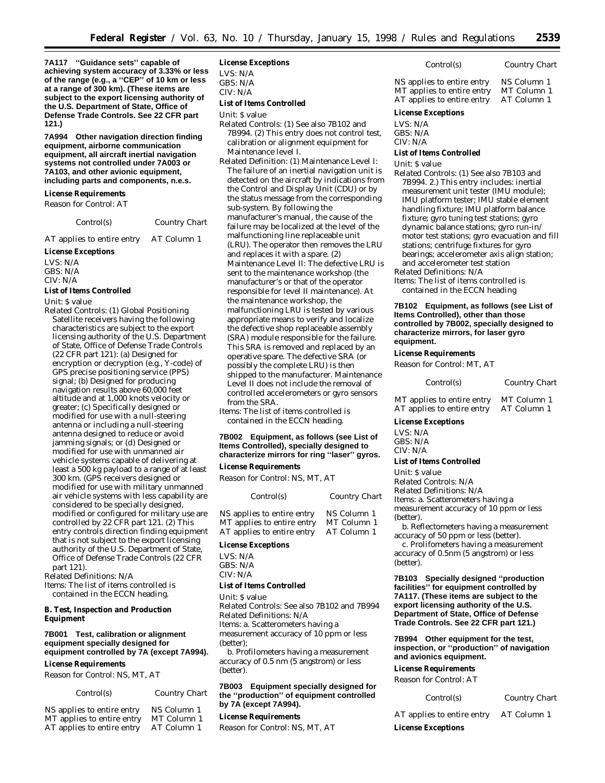**7A117 ''Guidance sets'' capable of achieving system accuracy of 3.33% or less of the range (e.g., a ''CEP'' of 10 km or less at a range of 300 km). (These items are subject to the export licensing authority of the U.S. Department of State, Office of Defense Trade Controls. See 22 CFR part 121.)**

**7A994 Other navigation direction finding equipment, airborne communication equipment, all aircraft inertial navigation systems not controlled under 7A003 or 7A103, and other avionic equipment, including parts and components, n.e.s.**

#### **License Requirements**

*Reason for Control:* AT

*Control(s) Country Chart*

AT applies to entire entry AT Column 1

#### **License Exceptions**

LVS: N/A GBS: N/A CIV: N/A

### **List of Items Controlled**

*Unit:* \$ value

*Related Controls:* (1) Global Positioning Satellite receivers having the following characteristics are subject to the export licensing authority of the U.S. Department of State, Office of Defense Trade Controls (22 CFR part 121): (a) Designed for encryption or decryption (e.g., Y-code) of GPS precise positioning service (PPS) signal; (b) Designed for producing navigation results above 60,000 feet altitude and at 1,000 knots velocity or greater; (c) Specifically designed or modified for use with a null-steering antenna or including a null-steering antenna designed to reduce or avoid jamming signals; or (d) Designed or modified for use with unmanned air vehicle systems capable of delivering at least a 500 kg payload to a range of at least 300 km. (GPS receivers designed or modified for use with military unmanned air vehicle systems with less capability are considered to be specially designed, modified or configured for military use are controlled by 22 CFR part 121. (2) This entry controls direction finding equipment that is not subject to the export licensing authority of the U.S. Department of State, Office of Defense Trade Controls (22 CFR part 121).

*Related Definitions:* N/A *Items:* The list of items controlled is contained in the ECCN heading.

#### **B. Test, Inspection and Production Equipment**

#### **7B001 Test, calibration or alignment equipment specially designed for equipment controlled by 7A (except 7A994).**

#### **License Requirements**

*Reason for Control:* NS, MT, AT

| Control(s)                 | <b>Country Chart</b> |
|----------------------------|----------------------|
| NS applies to entire entry | NS Column 1          |

| $\sim$ applies to eight charge | $110$ Cordinii 1 |
|--------------------------------|------------------|
| MT applies to entire entry     | MT Column 1      |
| AT applies to entire entry     | AT Column 1      |

#### **License Exceptions**

LVS: N/A

GBS: N/A

CIV: N/A

### **List of Items Controlled**

*Unit:* \$ value

- *Related Controls:* (1) See also 7B102 and 7B994. (2) This entry does not control test, calibration or alignment equipment for Maintenance level I.
- *Related Definition:* (1) Maintenance Level I: The failure of an inertial navigation unit is detected on the aircraft by indications from the Control and Display Unit (CDU) or by the status message from the corresponding sub-system. By following the manufacturer's manual, the cause of the failure may be localized at the level of the malfunctioning line replaceable unit (LRU). The operator then removes the LRU and replaces it with a spare. (2) Maintenance Level II: The defective LRU is sent to the maintenance workshop (the manufacturer's or that of the operator responsible for level II maintenance). At the maintenance workshop, the malfunctioning LRU is tested by various appropriate means to verify and localize the defective shop replaceable assembly (SRA) module responsible for the failure. This SRA is removed and replaced by an operative spare. The defective SRA (or possibly the complete LRU) is then shipped to the manufacturer. Maintenance Level II does not include the removal of controlled accelerometers or gyro sensors from the SRA.

*Items:* The list of items controlled is contained in the ECCN heading.

#### **7B002 Equipment, as follows (see List of Items Controlled), specially designed to characterize mirrors for ring ''laser'' gyros.**

**License Requirements**

*Reason for Control:* NS, MT, AT

| Control(s)                 | Country Chart |
|----------------------------|---------------|
| NS applies to entire entry | NS Column 1   |
| MT applies to entire entry | MT Column 1   |
| AT applies to entire entry | AT Column 1   |

#### **License Exceptions**

LVS: N/A GBS: N/A CIV: N/A

#### **List of Items Controlled**

*Unit:* \$ value

*Related Controls:* See also 7B102 and 7B994 *Related Definitions:* N/A *Items:* a. Scatterometers having a measurement accuracy of 10 ppm or less

(better); b. Profilometers having a measurement

accuracy of 0.5 nm (5 angstrom) or less (better).

#### **7B003 Equipment specially designed for the ''production'' of equipment controlled by 7A (except 7A994).**

#### **License Requirements**

*Reason for Control:* NS, MT, AT

| Control(s)                                               | Country Chart              |
|----------------------------------------------------------|----------------------------|
| NS applies to entire entry<br>MT applies to entire entry | NS Column 1<br>MT Column 1 |
| AT applies to entire entry                               | AT Column 1                |

# **License Exceptions**

LVS: N/A GBS: N/A

CIV: N/A

# **List of Items Controlled**

*Unit:* \$ value

*Related Controls:* (1) See also 7B103 and 7B994. 2.) This entry includes: inertial measurement unit tester (IMU module); IMU platform tester; IMU stable element handling fixture; IMU platform balance fixture; gyro tuning test stations; gyro dynamic balance stations; gyro run-in/ motor test stations; gyro evacuation and fill stations; centrifuge fixtures for gyro bearings; accelerometer axis align station; and accelerometer test station

*Related Definitions:* N/A

*Items:* The list of items controlled is contained in the ECCN heading

**7B102 Equipment, as follows (see List of Items Controlled), other than those controlled by 7B002, specially designed to characterize mirrors, for laser gyro equipment.**

# **License Requirements**

*Reason for Control:* MT, AT

| Control(s) | Country Chart |  |
|------------|---------------|--|
|            |               |  |

| MT applies to entire entry | M              |
|----------------------------|----------------|
| AT applies to entire entry | A <sup>1</sup> |

T Column 1 Column 1

**License Exceptions**

#### LVS: N/A GBS: N/A

CIV: N/A

#### **List of Items Controlled**

*Unit:* \$ value *Related Controls:* N/A *Related Definitions:* N/A *Items:* a. Scatterometers having a measurement accuracy of 10 ppm or less (better).

b. Reflectometers having a measurement accuracy of 50 ppm or less (better).

c. Prolifometers having a measurement accuracy of 0.5nm (5 angstrom) or less (better).

**7B103 Specially designed ''production facilities'' for equipment controlled by 7A117. (These items are subject to the export licensing authority of the U.S. Department of State, Office of Defense Trade Controls. See 22 CFR part 121.)**

**7B994 Other equipment for the test, inspection, or ''production'' of navigation and avionics equipment.**

# **License Requirements**

*Reason for Control:* AT

| Control(s) | Country Chart |
|------------|---------------|
|------------|---------------|

AT applies to entire entry AT Column 1

**License Exceptions**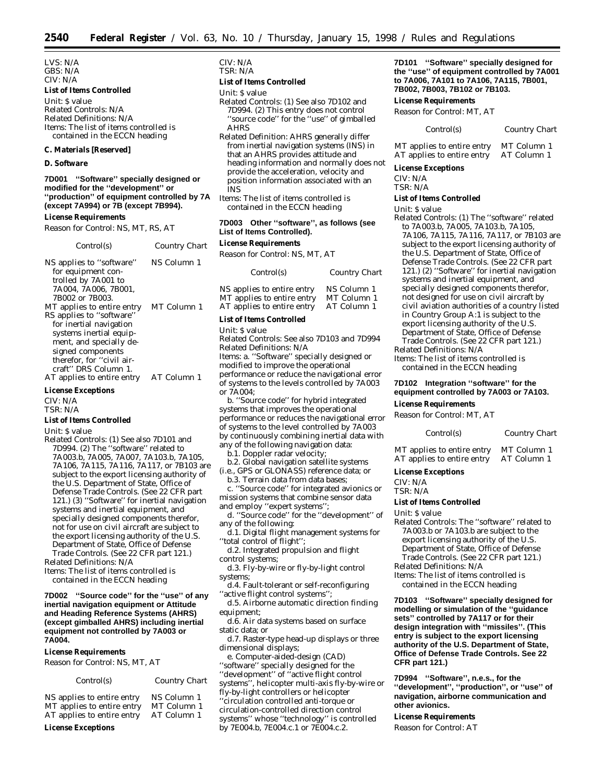LVS: N/A GBS: N/A CIV: N/A

#### **List of Items Controlled**

*Unit:* \$ value *Related Controls:* N/A *Related Definitions:* N/A *Items:* The list of items controlled is contained in the ECCN heading

#### **C. Materials [Reserved]**

#### **D. Software**

#### **7D001 ''Software'' specially designed or modified for the ''development'' or ''production'' of equipment controlled by 7A (except 7A994) or 7B (except 7B994).**

#### **License Requirements**

*Reason for Control:* NS, MT, RS, AT

| Control(s)                 | Country Chart |
|----------------------------|---------------|
| NS applies to "software"   | NS Column 1   |
| for equipment con-         |               |
| trolled by 7A001 to        |               |
| 7A004. 7A006. 7B001.       |               |
| 7B002 or 7B003.            |               |
| MT applies to entire entry | MT Column 1   |
| RS applies to "software"   |               |
| for inertial navigation    |               |
| systems inertial equip-    |               |
| ment, and specially de-    |               |
| signed components          |               |
| therefor, for "civil air-  |               |
| craft" DRS Column 1.       |               |
| AT applies to entire entry | AT Column 1   |

# **License Exceptions**

CIV: N/A

TSR: N/A

#### **List of Items Controlled**

- *Unit:* \$ value
- *Related Controls:* (1) See also 7D101 and 7D994. (2) The ''software'' related to 7A003.b, 7A005, 7A007, 7A103.b, 7A105, 7A106, 7A115, 7A116, 7A117, or 7B103 are subject to the export licensing authority of the U.S. Department of State, Office of Defense Trade Controls. (See 22 CFR part 121.) (3) ''Software'' for inertial navigation systems and inertial equipment, and specially designed components therefor, not for use on civil aircraft are subject to the export licensing authority of the U.S. Department of State, Office of Defense Trade Controls. (See 22 CFR part 121.) *Related Definitions:* N/A
- *Items:* The list of items controlled is

contained in the ECCN heading **7D002 ''Source code'' for the ''use'' of any**

**inertial navigation equipment or Attitude and Heading Reference Systems (AHRS) (except gimballed AHRS) including inertial equipment not controlled by 7A003 or 7A004.**

#### **License Requirements**

*Reason for Control:* NS, MT, AT

*Control(s) Country Chart*

| NS applies to entire entry | NS Column 1 |
|----------------------------|-------------|
| MT applies to entire entry | MT Column 1 |
| AT applies to entire entry | AT Column 1 |

#### **License Exceptions**

CIV: N/A TSR: N/A

#### **List of Items Controlled**

*Unit:* \$ value

- *Related Controls:* (1) See also 7D102 and 7D994. (2) This entry does not control 'source code'' for the "use" of gimballed AHRS
- *Related Definition:* AHRS generally differ from inertial navigation systems (INS) in that an AHRS provides attitude and heading information and normally does not provide the acceleration, velocity and position information associated with an INS
- *Items:* The list of items controlled is contained in the ECCN heading

### **7D003 Other ''software'', as follows (see List of Items Controlled).**

# **License Requirements**

*Reason for Control:* NS, MT, AT

| Control(s)                 | Country Chart |
|----------------------------|---------------|
| NS applies to entire entry | NS Column 1   |
| MT applies to entire entry | MT Column 1   |
| AT applies to entire entry | AT Column 1   |

#### **List of Items Controlled**

*Unit:* \$ value

*Related Controls:* See also 7D103 and 7D994 *Related Definitions:* N/A *Items:* a. ''Software'' specially designed or modified to improve the operational performance or reduce the navigational error of systems to the levels controlled by 7A003 or 7A004;

b. ''Source code'' for hybrid integrated systems that improves the operational performance or reduces the navigational error of systems to the level controlled by 7A003 by continuously combining inertial data with any of the following navigation data:

- b.1. Doppler radar velocity;
- b.2. Global navigation satellite systems (i.e., GPS or GLONASS) reference data; or

b.3. Terrain data from data bases; c. ''Source code'' for integrated avionics or mission systems that combine sensor data and employ ''expert systems'';

- d. ''Source code'' for the ''development'' of any of the following:
- d.1. Digital flight management systems for ''total control of flight'';
- d.2. Integrated propulsion and flight control systems;
- d.3. Fly-by-wire or fly-by-light control systems;
- d.4. Fault-tolerant or self-reconfiguring ''active flight control systems'';
- d.5. Airborne automatic direction finding equipment;
- d.6. Air data systems based on surface static data; or
- d.7. Raster-type head-up displays or three dimensional displays;

e. Computer-aided-design (CAD) ''software'' specially designed for the ''development'' of ''active flight control systems'', helicopter multi-axis fly-by-wire or fly-by-light controllers or helicopter ''circulation controlled anti-torque or circulation-controlled direction control systems'' whose ''technology'' is controlled by 7E004.b, 7E004.c.1 or 7E004.c.2.

**7D101 ''Software'' specially designed for the ''use'' of equipment controlled by 7A001 to 7A006, 7A101 to 7A106, 7A115, 7B001, 7B002, 7B003, 7B102 or 7B103.**

#### **License Requirements**

*Reason for Control:* MT, AT

| Control(s) | Country Chart |
|------------|---------------|
|            |               |

MT applies to entire entry MT Column 1<br>AT applies to entire entry AT Column 1 AT applies to entire entry

**License Exceptions**

CIV: N/A TSR: N/A

# **List of Items Controlled**

#### *Unit:* \$ value

*Related Controls:* (1) The ''software'' related to 7A003.b, 7A005, 7A103.b, 7A105, 7A106, 7A115, 7A116, 7A117, or 7B103 are subject to the export licensing authority of the U.S. Department of State, Office of Defense Trade Controls. (See 22 CFR part 121.) (2) ''Software'' for inertial navigation systems and inertial equipment, and specially designed components therefor, not designed for use on civil aircraft by civil aviation authorities of a country listed in Country Group A:1 is subject to the export licensing authority of the U.S. Department of State, Office of Defense Trade Controls. (See 22 CFR part 121.) *Related Definitions:* N/A

*Items:* The list of items controlled is

contained in the ECCN heading

# **7D102 Integration ''software'' for the equipment controlled by 7A003 or 7A103.**

# **License Requirements**

*Reason for Control:* MT, AT

|                                                          | $\epsilon$                 |
|----------------------------------------------------------|----------------------------|
| MT applies to entire entry<br>AT applies to entire entry | MT Column 1<br>AT Column 1 |

*Control(s) Country Chart*

**License Exceptions**

CIV: N/A

TSR: N/A

#### **List of Items Controlled**

*Unit:* \$ value

- *Related Controls:* The ''software'' related to 7A003.b or 7A103.b are subject to the export licensing authority of the U.S. Department of State, Office of Defense
- Trade Controls. (See 22 CFR part 121.)
- *Related Definitions:* N/A
- *Items:* The list of items controlled is contained in the ECCN heading

**7D103 ''Software'' specially designed for modelling or simulation of the ''guidance sets'' controlled by 7A117 or for their design integration with ''missiles''. (This entry is subject to the export licensing authority of the U.S. Department of State, Office of Defense Trade Controls. See 22 CFR part 121.)**

**7D994 ''Software'', n.e.s., for the ''development'', ''production'', or ''use'' of navigation, airborne communication and other avionics.**

#### **License Requirements**

*Reason for Control:* AT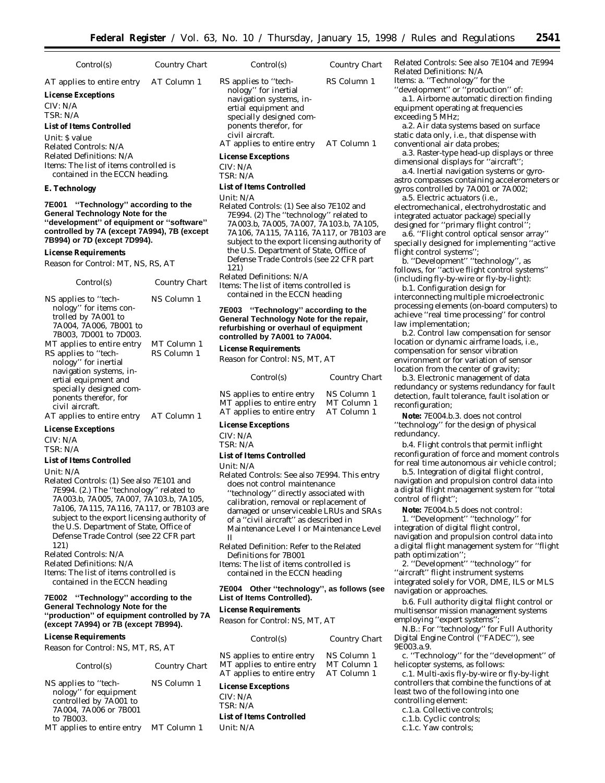| Control(s)                                                                                                                                                                                                  | Country Chart              | <i>Control(s)</i>                                                                                                                              |
|-------------------------------------------------------------------------------------------------------------------------------------------------------------------------------------------------------------|----------------------------|------------------------------------------------------------------------------------------------------------------------------------------------|
| AT applies to entire entry<br><b>License Exceptions</b><br>CIV: N/A<br>TSR: N/A<br><b>List of Items Controlled</b>                                                                                          | AT Column 1                | RS applies to "tech<br>nology" for inert<br>navigation syster<br>ertial equipment<br>specially designe<br>ponents therefor,<br>civil aircraft. |
| Unit: S value<br>Related Controls: N/A                                                                                                                                                                      |                            | AT applies to entir                                                                                                                            |
| Related Definitions: N/A<br><i>Items:</i> The list of items controlled is<br>contained in the ECCN heading.                                                                                                 |                            | <b>License Exceptions</b><br>CIV: N/A<br>TSR: N/A                                                                                              |
| E. Technology                                                                                                                                                                                               |                            | <b>List of Items Contro</b>                                                                                                                    |
| "Technology" according to the<br>7E001<br><b>General Technology Note for the</b><br>"development" of equipment or "software"<br>controlled by 7A (except 7A994), 7B (except<br>7B994) or 7D (except 7D994). |                            | Unit: N/A<br>Related Controls: (1<br>7E994. (2) The "t<br>7A003.b, 7A005,<br>7A106, 7A115, 7.<br>subject to the exp                            |
| <b>License Requirements</b>                                                                                                                                                                                 |                            | the U.S. Departm                                                                                                                               |
| Reason for Control: MT, NS, RS, AT                                                                                                                                                                          |                            | Defense Trade Co<br>121)                                                                                                                       |
| Control(s)                                                                                                                                                                                                  | Country Chart              | <b>Related Definitions</b><br>Items: The list of ite<br>contained in the                                                                       |
| NS applies to "tech-<br>nology" for items con-<br>trolled by 7A001 to<br>7A004, 7A006, 7B001 to<br>7B003, 7D001 to 7D003.                                                                                   | NS Column 1                | <b>7E003</b><br>"Technolo<br><b>General Technolog</b><br>refurbishing or ove<br>controlled by 7A00                                             |
| MT applies to entire entry<br>RS applies to "tech-<br>nology" for inertial                                                                                                                                  | MT Column 1<br>RS Column 1 | <b>License Requireme</b><br>Reason for Control.                                                                                                |
| navigation systems, in-<br>ertial equipment and<br>specially designed com-                                                                                                                                  |                            | <i>Control(s)</i>                                                                                                                              |
| ponents therefor, for<br>civil aircraft.<br>AT applies to entire entry AT Column 1                                                                                                                          |                            | NS applies to entir<br>MT applies to entir<br>AT applies to entir                                                                              |
| <b>License Exceptions</b>                                                                                                                                                                                   |                            | <b>License Exceptions</b>                                                                                                                      |
| CIV: N/A<br>TSR: N/A                                                                                                                                                                                        |                            | CIV: N/A<br>TSR: N/A                                                                                                                           |
| <b>List of Items Controlled</b>                                                                                                                                                                             |                            | <b>List of Items Control</b>                                                                                                                   |
| Unit: $N/A$<br>Related Controls: (1) See also 7E101 and<br>7E994. (2.) The "technology" related to<br>7A003.b, 7A005, 7A007, 7A103.b, 7A105,<br>7a106 7A115 7A116 7A117 or 7B103 are                        |                            | Unit: $N/A$<br><b>Related Controls: S</b><br>does not control:<br>"technology" dir<br>calibration, remo                                        |

- 7a106, 7A115, 7A116, 7A117, or 7B103 are subject to the export licensing authority of the U.S. Department of State, Office of Defense Trade Control (see 22 CFR part 121) *Related Controls:* N/A
- 
- *Related Definitions:* N/A *Items:* The list of items controlled is

# contained in the ECCN heading **7E002 ''Technology'' according to the General Technology Note for the**

# **''production'' of equipment controlled by 7A (except 7A994) or 7B (except 7B994).**

**License Requirements** *Reason for Control:* NS, MT, RS, AT

| Control(s)                                                                                                    | Country Chart | .<br>MТ<br>AT                  |
|---------------------------------------------------------------------------------------------------------------|---------------|--------------------------------|
| NS applies to "tech-<br>nology" for equipment<br>controlled by 7A001 to<br>7A004, 7A006 or 7B001<br>to 7B003. | NS Column 1   | Lic<br><b>CIM</b><br>TS<br>Lis |
| MT applies to entire entry                                                                                    | MT Column 1   | Un                             |

| Control(s)                                                                                                                                                             | Country Chart |
|------------------------------------------------------------------------------------------------------------------------------------------------------------------------|---------------|
| RS applies to "tech-<br>nology" for inertial<br>navigation systems, in-<br>ertial equipment and<br>specially designed com-<br>ponents therefor, for<br>civil aircraft. | RS Column 1   |
| AT applies to entire entry AT Column 1                                                                                                                                 |               |
| I iconeo Fycantione                                                                                                                                                    |               |

#### rolled

*Related Controls:* (1) See also 7E102 and technology" related to 7A003.b, 7A005, 7A007, 7A103.b, 7A105, A116, 7A117, or 7B103 are port licensing authority of nent of State, Office of ontrols (see 22 CFR part *Related Definitions:* N/A

tems controlled is ECCN heading

#### **7E003 ''Technology'' according to the General Technology Note for the repair, rerhaul of equipment controlled by 7A001 to 7A004.**

#### ents

*Reason for Control:* NS, MT, AT

| Control(s)                 | Country Chart |
|----------------------------|---------------|
| NS applies to entire entry | NS Column 1   |
| MT applies to entire entry | MT Column 1   |
| AT applies to entire entry | AT Column 1   |

### **List** of Items

*Related Controls:* See also 7E994. This entry maintenance rectly associated with oval or replacement of damaged or unserviceable LRUs and SRAs of a ''civil aircraft'' as described in Maintenance Level I or Maintenance Level II

*Related Definition:* Refer to the Related Definitions for 7B001

*Items:* The list of items controlled is contained in the ECCN heading

#### **7E004 Other ''technology'', as follows (see List of Items Controlled).**

#### **License Requirements**

*Reason for Control:* NS, MT, AT

| Control(s)                                                                             | Country Chart                             |  |
|----------------------------------------------------------------------------------------|-------------------------------------------|--|
| NS applies to entire entry<br>MT applies to entire entry<br>AT applies to entire entry | NS Column 1<br>MT Column 1<br>AT Column 1 |  |
| License Exceptions                                                                     |                                           |  |
| CIV: N/A                                                                               |                                           |  |
| TSR: N/A                                                                               |                                           |  |

#### **List of Items Controlled** *Unit:* N/A

*Related Controls:* See also 7E104 and 7E994 *Related Definitions:* N/A

*Items:* a. ''Technology'' for the

''development'' or ''production'' of: a.1. Airborne automatic direction finding equipment operating at frequencies

exceeding 5 MHz; a.2. Air data systems based on surface static data only, i.e., that dispense with conventional air data probes;

a.3. Raster-type head-up displays or three dimensional displays for ''aircraft'';

a.4. Inertial navigation systems or gyroastro compasses containing accelerometers or gyros controlled by 7A001 or 7A002; a.5. Electric actuators (i.e.,

electromechanical, electrohydrostatic and integrated actuator package) specially designed for ''primary flight control'';

a.6. ''Flight control optical sensor array'' specially designed for implementing ''active flight control systems'';

b. ''Development'' ''technology'', as follows, for ''active flight control systems'' (including fly-by-wire or fly-by-light):

b.1. Configuration design for interconnecting multiple microelectronic processing elements (on-board computers) to achieve ''real time processing'' for control law implementation;

b.2. Control law compensation for sensor location or dynamic airframe loads, i.e., compensation for sensor vibration environment or for variation of sensor location from the center of gravity;

b.3. Electronic management of data redundancy or systems redundancy for fault detection, fault tolerance, fault isolation or reconfiguration;

**Note:** 7E004.b.3. does not control ''technology'' for the design of physical redundancy.

b.4. Flight controls that permit inflight reconfiguration of force and moment controls for real time autonomous air vehicle control;

b.5. Integration of digital flight control, navigation and propulsion control data into a digital flight management system for ''total control of flight'';

**Note:** 7E004.b.5 does not control:

1. ''Development'' ''technology'' for integration of digital flight control, navigation and propulsion control data into a digital flight management system for ''flight path optimization'';

2. ''Development'' ''technology'' for "aircraft" flight instrument systems integrated solely for VOR, DME, ILS or MLS navigation or approaches.

b.6. Full authority digital flight control or multisensor mission management systems employing ''expert systems'';

N.B.: For ''technology'' for Full Authority Digital Engine Control (''FADEC''), see 9E003.a.9.

c. ''Technology'' for the ''development'' of helicopter systems, as follows:

c.1. Multi-axis fly-by-wire or fly-by-light controllers that combine the functions of at least two of the following into one controlling element:

c.1.a. Collective controls;

c.1.b. Cyclic controls;

c.1.c. Yaw controls;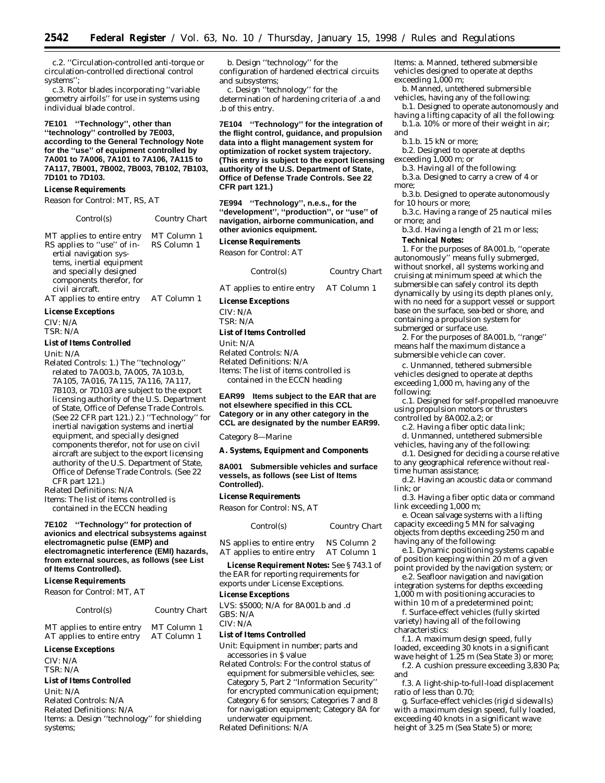c.2. ''Circulation-controlled anti-torque or circulation-controlled directional control systems'';

c.3. Rotor blades incorporating ''variable geometry airfoils'' for use in systems using individual blade control.

**7E101 ''Technology'', other than ''technology'' controlled by 7E003, according to the General Technology Note for the ''use'' of equipment controlled by 7A001 to 7A006, 7A101 to 7A106, 7A115 to 7A117, 7B001, 7B002, 7B003, 7B102, 7B103, 7D101 to 7D103.**

#### **License Requirements**

*Reason for Control:* MT, RS, AT

| Control(s)                                                                                                                                                                              | Country Chart              |
|-----------------------------------------------------------------------------------------------------------------------------------------------------------------------------------------|----------------------------|
| MT applies to entire entry<br>RS applies to "use" of in-<br>ertial navigation sys-<br>tems, inertial equipment<br>and specially designed<br>components therefor, for<br>civil aircraft. | MT Column 1<br>RS Column 1 |
| AT applies to entire entry                                                                                                                                                              | AT Column 1                |

### **License Exceptions**

CIV: N/A

TSR: N/A

# **List of Items Controlled**

*Unit:* N/A

*Related Controls:* 1.) The ''technology'' related to 7A003.b, 7A005, 7A103.b, 7A105, 7A016, 7A115, 7A116, 7A117, 7B103, or 7D103 are subject to the export licensing authority of the U.S. Department of State, Office of Defense Trade Controls. (See 22 CFR part 121.) 2.) ''Technology'' for inertial navigation systems and inertial equipment, and specially designed components therefor, not for use on civil aircraft are subject to the export licensing authority of the U.S. Department of State, Office of Defense Trade Controls. (See 22 CFR part 121.)

*Related Definitions:* N/A

*Items:* The list of items controlled is contained in the ECCN heading

#### **7E102 ''Technology'' for protection of avionics and electrical subsystems against electromagnetic pulse (EMP) and electromagnetic interference (EMI) hazards, from external sources, as follows (see List of Items Controlled).**

#### **License Requirements**

*Reason for Control:* MT, AT

| Control(s)                 | Country Chart |
|----------------------------|---------------|
| MT applies to entire entry | MT Column 1   |
| AT applies to entire entry | AT Column 1   |

#### **License Exceptions**

CIV: N/A TSR: N/A

#### **List of Items Controlled**

*Unit:* N/A *Related Controls:* N/A *Related Definitions:* N/A *Items:* a. Design ''technology'' for shielding systems;

b. Design ''technology'' for the configuration of hardened electrical circuits and subsystems;

c. Design ''technology'' for the determination of hardening criteria of .a and .b of this entry.

**7E104 ''Technology'' for the integration of the flight control, guidance, and propulsion data into a flight management system for optimization of rocket system trajectory. (This entry is subject to the export licensing authority of the U.S. Department of State, Office of Defense Trade Controls. See 22 CFR part 121.)**

**7E994 ''Technology'', n.e.s., for the ''development'', ''production'', or ''use'' of navigation, airborne communication, and other avionics equipment.**

#### **License Requirements**

*Reason for Control:* AT

| Control(s) | Country Chart |  |
|------------|---------------|--|
|------------|---------------|--|

AT applies to entire entry AT Column 1

**License Exceptions**

CIV: N/A TSR: N/A

# **List of Items Controlled**

*Unit:* N/A *Related Controls:* N/A *Related Definitions:* N/A *Items:* The list of items controlled is contained in the ECCN heading

#### **EAR99 Items subject to the EAR that are not elsewhere specified in this CCL Category or in any other category in the CCL are designated by the number EAR99.**

*Category 8—Marine*

#### **A. Systems, Equipment and Components**

**8A001 Submersible vehicles and surface vessels, as follows (see List of Items Controlled).**

#### **License Requirements**

*Reason for Control:* NS, AT

| Control(s)                 | Country Chart |
|----------------------------|---------------|
| NS applies to entire entry | NS Column 2   |
| AT applies to entire entry | AT Column 1   |

**License Requirement Notes:** See § 743.1 of the EAR for reporting requirements for exports under License Exceptions.

#### **License Exceptions**

LVS: \$5000; N/A for 8A001.b and .d GBS: N/A

CIV: N/A

# **List of Items Controlled**

*Unit:* Equipment in number; parts and accessories in \$ value

*Related Controls:* For the control status of equipment for submersible vehicles, see: Category 5, Part 2 ''Information Security'' for encrypted communication equipment; Category 6 for sensors; Categories 7 and 8 for navigation equipment; Category 8A for underwater equipment.

*Related Definitions:* N/A

*Items:* a. Manned, tethered submersible vehicles designed to operate at depths exceeding 1,000 m;

b. Manned, untethered submersible vehicles, having any of the following:

b.1. Designed to operate autonomously and having a lifting capacity of all the following:

b.1.a. 10% or more of their weight in air; *and*

b.1.b. 15 kN or more;

b.2. Designed to operate at depths exceeding 1,000 m; *or*

b.3. Having all of the following:

b.3.a. Designed to carry a crew of 4 or more;

b.3.b. Designed to operate autonomously for 10 hours or more;

b.3.c. Having a range of 25 nautical miles or more; *and*

b.3.d. Having a length of 21 m or less;

# **Technical Notes:**

1. For the purposes of 8A001.b, ''operate autonomously'' means fully submerged, without snorkel, all systems working and cruising at minimum speed at which the submersible can safely control its depth dynamically by using its depth planes only, with no need for a support vessel or support base on the surface, sea-bed or shore, and containing a propulsion system for submerged or surface use.

2. For the purposes of 8A001.b, ''range'' means half the maximum distance a submersible vehicle can cover.

c. Unmanned, tethered submersible vehicles designed to operate at depths exceeding 1,000 m, having any of the following:

c.1. Designed for self-propelled manoeuvre using propulsion motors or thrusters controlled by 8A002.a.2; or

c.2. Having a fiber optic data link;

d. Unmanned, untethered submersible vehicles, having any of the following:

d.1. Designed for deciding a course relative to any geographical reference without real-

time human assistance;

d.2. Having an acoustic data or command link; or

d.3. Having a fiber optic data or command link exceeding 1,000 m;

e. Ocean salvage systems with a lifting capacity exceeding 5 MN for salvaging objects from depths exceeding 250 m and having any of the following:

e.1. Dynamic positioning systems capable of position keeping within 20 m of a given point provided by the navigation system; or

e.2. Seafloor navigation and navigation integration systems for depths exceeding 1,000 m with positioning accuracies to within 10 m of a predetermined point;

f. Surface-effect vehicles (fully skirted variety) having all of the following characteristics:

f.1. A maximum design speed, fully loaded, exceeding 30 knots in a significant wave height of 1.25 m (Sea State 3) or more;

f.2. A cushion pressure exceeding 3,830 Pa; and

f.3. A light-ship-to-full-load displacement ratio of less than 0.70;

g. Surface-effect vehicles (rigid sidewalls) with a maximum design speed, fully loaded, exceeding 40 knots in a significant wave height of 3.25 m (Sea State 5) or more;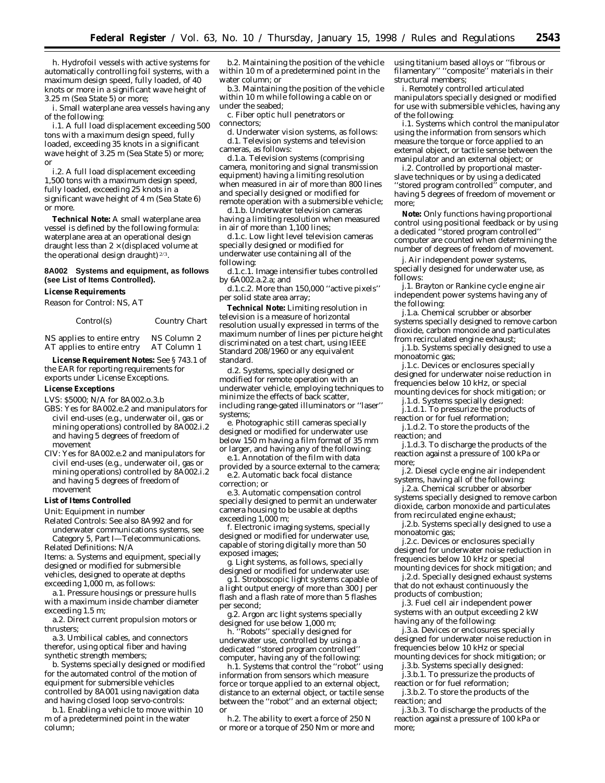h. Hydrofoil vessels with active systems for automatically controlling foil systems, with a maximum design speed, fully loaded, of 40 knots or more in a significant wave height of 3.25 m (Sea State 5) or more;

i. Small waterplane area vessels having any of the following:

i.1. A full load displacement exceeding 500 tons with a maximum design speed, fully loaded, exceeding 35 knots in a significant wave height of 3.25 m (Sea State 5) or more; or

i.2. A full load displacement exceeding 1,500 tons with a maximum design speed, fully loaded, exceeding 25 knots in a significant wave height of 4 m (Sea State 6) or more.

**Technical Note:** A small waterplane area vessel is defined by the following formula: waterplane area at an operational design draught less than  $2 \times$  (displaced volume at the operational design draught) 2/3.

# **8A002 Systems and equipment, as follows (see List of Items Controlled).**

**License Requirements**

*Reason for Control:* NS, AT

| Control(s) | <b>Country Chart</b> |  |
|------------|----------------------|--|
|            |                      |  |

NS applies to entire entry NS Column 2<br>AT applies to entire entry AT Column 1 AT applies to entire entry

**License Requirement Notes:** See § 743.1 of the EAR for reporting requirements for exports under License Exceptions.

#### **License Exceptions**

LVS: \$5000; N/A for 8A002.o.3.b

- GBS: Yes for 8A002.e.2 and manipulators for civil end-uses (e.g., underwater oil, gas or mining operations) controlled by 8A002.i.2 and having 5 degrees of freedom of movement
- CIV: Yes for 8A002.e.2 and manipulators for civil end-uses (e.g., underwater oil, gas or mining operations) controlled by 8A002.i.2 and having 5 degrees of freedom of movement

# **List of Items Controlled**

*Unit:* Equipment in number

*Related Controls:* See also 8A992 and for underwater communications systems, see Category 5, Part I—Telecommunications.

*Related Definitions:* N/A *Items:* a. Systems and equipment, specially designed or modified for submersible vehicles, designed to operate at depths exceeding 1,000 m, as follows:

a.1. Pressure housings or pressure hulls with a maximum inside chamber diameter exceeding 1.5 m;

a.2. Direct current propulsion motors or thrusters;

a.3. Umbilical cables, and connectors therefor, using optical fiber and having synthetic strength members;

b. Systems specially designed or modified for the automated control of the motion of equipment for submersible vehicles controlled by 8A001 using navigation data and having closed loop servo-controls:

b.1. Enabling a vehicle to move within 10 m of a predetermined point in the water column;

b.2. Maintaining the position of the vehicle within 10 m of a predetermined point in the water column; or

b.3. Maintaining the position of the vehicle within 10 m while following a cable on or under the seabed;

c. Fiber optic hull penetrators or

connectors;

d. Underwater vision systems, as follows: d.1. Television systems and television cameras, as follows:

d.1.a. Television systems (comprising camera, monitoring and signal transmission equipment) having a limiting resolution when measured in air of more than 800 lines and specially designed or modified for remote operation with a submersible vehicle;

d.1.b. Underwater television cameras having a limiting resolution when measured in air of more than 1,100 lines;

d.1.c. Low light level television cameras specially designed or modified for underwater use containing all of the following:

d.1.c.1. Image intensifier tubes controlled by 6A002.a.2.a; and

d.1.c.2. More than 150,000 ''active pixels'' per solid state area array;

**Technical Note:** Limiting resolution in television is a measure of horizontal resolution usually expressed in terms of the maximum number of lines per picture height discriminated on a test chart, using IEEE Standard 208/1960 or any equivalent standard.

d.2. Systems, specially designed or modified for remote operation with an underwater vehicle, employing techniques to minimize the effects of back scatter, including range-gated illuminators or ''laser'' systems;

e. Photographic still cameras specially designed or modified for underwater use below 150 m having a film format of 35 mm or larger, and having any of the following:

e.1. Annotation of the film with data provided by a source external to the camera; e.2. Automatic back focal distance correction; or

e.3. Automatic compensation control specially designed to permit an underwater camera housing to be usable at depths exceeding 1,000 m;

f. Electronic imaging systems, specially designed or modified for underwater use, capable of storing digitally more than 50 exposed images;

g. Light systems, as follows, specially designed or modified for underwater use:

g.1. Stroboscopic light systems capable of a light output energy of more than 300 J per flash and a flash rate of more than 5 flashes per second;

g.2. Argon arc light systems specially designed for use below 1,000 m;

h. ''Robots'' specially designed for underwater use, controlled by using a dedicated ''stored program controlled'' computer, having any of the following:

h.1. Systems that control the ''robot'' using information from sensors which measure force or torque applied to an external object, distance to an external object, or tactile sense between the ''robot'' and an external object; or

h.2. The ability to exert a force of 250 N or more or a torque of 250 Nm or more and using titanium based alloys or ''fibrous or filamentary" "composite" materials in their structural members;

i. Remotely controlled articulated manipulators specially designed or modified for use with submersible vehicles, having any of the following:

i.1. Systems which control the manipulator using the information from sensors which measure the torque or force applied to an external object, or tactile sense between the manipulator and an external object; or

i.2. Controlled by proportional masterslave techniques or by using a dedicated ''stored program controlled'' computer, and having 5 degrees of freedom of movement or more;

**Note:** Only functions having proportional control using positional feedback or by using a dedicated ''stored program controlled'' computer are counted when determining the number of degrees of freedom of movement.

j. Air independent power systems, specially designed for underwater use, as follows:

j.1. Brayton or Rankine cycle engine air independent power systems having any of the following:

j.1.a. Chemical scrubber or absorber systems specially designed to remove carbon dioxide, carbon monoxide and particulates from recirculated engine exhaust;

j.1.b. Systems specially designed to use a monoatomic gas;

j.1.c. Devices or enclosures specially designed for underwater noise reduction in frequencies below 10 kHz, or special mounting devices for shock mitigation; or

j.1.d. Systems specially designed: j.1.d.1. To pressurize the products of

reaction or for fuel reformation;

j.1.d.2. To store the products of the reaction; and

j.1.d.3. To discharge the products of the reaction against a pressure of 100 kPa or more;

j.2. Diesel cycle engine air independent systems, having all of the following:

j.2.a. Chemical scrubber or absorber systems specially designed to remove carbon dioxide, carbon monoxide and particulates from recirculated engine exhaust;

j.2.b. Systems specially designed to use a monoatomic gas;

j.2.c. Devices or enclosures specially designed for underwater noise reduction in frequencies below 10 kHz or special mounting devices for shock mitigation; and

j.2.d. Specially designed exhaust systems that do not exhaust continuously the products of combustion;

j.3. Fuel cell air independent power systems with an output exceeding 2 kW having any of the following:

j.3.a. Devices or enclosures specially designed for underwater noise reduction in frequencies below 10 kHz or special mounting devices for shock mitigation; or

j.3.b. Systems specially designed:

j.3.b.1. To pressurize the products of reaction or for fuel reformation;

j.3.b.2. To store the products of the reaction; and

j.3.b.3. To discharge the products of the reaction against a pressure of 100 kPa or more;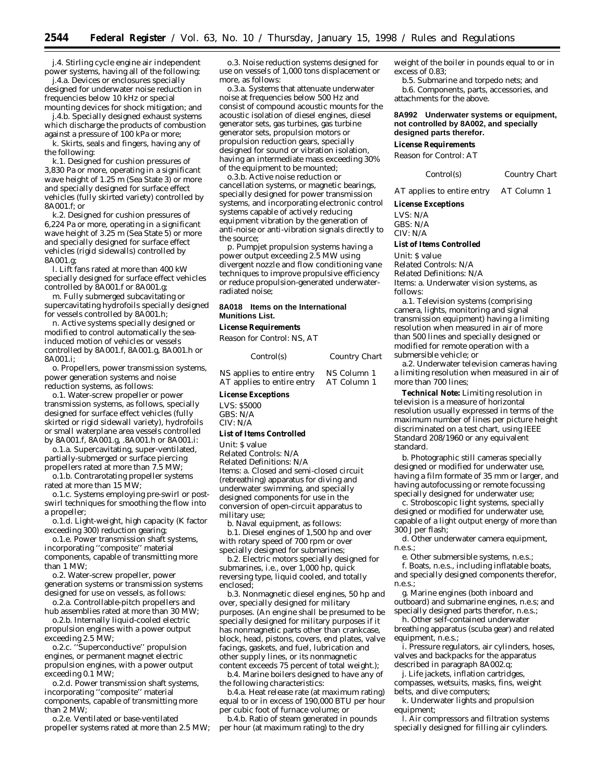j.4. Stirling cycle engine air independent power systems, having all of the following:

j.4.a. Devices or enclosures specially designed for underwater noise reduction in frequencies below 10 kHz or special mounting devices for shock mitigation; and

j.4.b. Specially designed exhaust systems which discharge the products of combustion against a pressure of 100 kPa or more;

k. Skirts, seals and fingers, having any of the following:

k.1. Designed for cushion pressures of 3,830 Pa or more, operating in a significant wave height of 1.25 m (Sea State 3) or more and specially designed for surface effect vehicles (fully skirted variety) controlled by 8A001.f; or

k.2. Designed for cushion pressures of 6,224 Pa or more, operating in a significant wave height of 3.25 m (Sea State 5) or more and specially designed for surface effect vehicles (rigid sidewalls) controlled by 8A001.g;

l. Lift fans rated at more than 400 kW specially designed for surface effect vehicles controlled by 8A001.f or 8A001.g;

m. Fully submerged subcavitating or supercavitating hydrofoils specially designed for vessels controlled by 8A001.h;

n. Active systems specially designed or modified to control automatically the seainduced motion of vehicles or vessels controlled by 8A001.f, 8A001.g, 8A001.h or 8A001.i;

o. Propellers, power transmission systems, power generation systems and noise reduction systems, as follows:

o.1. Water-screw propeller or power transmission systems, as follows, specially designed for surface effect vehicles (fully skirted or rigid sidewall variety), hydrofoils or small waterplane area vessels controlled by 8A001.f, 8A001.g, .8A001.h or 8A001.i:

o.1.a. Supercavitating, super-ventilated, partially-submerged or surface piercing propellers rated at more than 7.5 MW;

o.1.b. Contrarotating propeller systems rated at more than 15 MW;

o.1.c. Systems employing pre-swirl or postswirl techniques for smoothing the flow into a propeller;

o.1.d. Light-weight, high capacity (K factor exceeding 300) reduction gearing;

o.1.e. Power transmission shaft systems, incorporating ''composite'' material components, capable of transmitting more than 1 MW;

o.2. Water-screw propeller, power generation systems or transmission systems designed for use on vessels, as follows:

o.2.a. Controllable-pitch propellers and hub assemblies rated at more than 30 MW;

o.2.b. Internally liquid-cooled electric propulsion engines with a power output exceeding 2.5 MW;

o.2.c. ''Superconductive'' propulsion engines, or permanent magnet electric propulsion engines, with a power output exceeding 0.1 MW;

o.2.d. Power transmission shaft systems, incorporating ''composite'' material components, capable of transmitting more than 2 MW;

o.2.e. Ventilated or base-ventilated propeller systems rated at more than 2.5 MW;

o.3. Noise reduction systems designed for use on vessels of 1,000 tons displacement or more, as follows:

o.3.a. Systems that attenuate underwater noise at frequencies below 500 Hz and consist of compound acoustic mounts for the acoustic isolation of diesel engines, diesel generator sets, gas turbines, gas turbine generator sets, propulsion motors or propulsion reduction gears, specially designed for sound or vibration isolation, having an intermediate mass exceeding 30% of the equipment to be mounted;

o.3.b. Active noise reduction or cancellation systems, or magnetic bearings, specially designed for power transmission systems, and incorporating electronic control systems capable of actively reducing equipment vibration by the generation of anti-noise or anti-vibration signals directly to the source;

p. Pumpjet propulsion systems having a power output exceeding 2.5 MW using divergent nozzle and flow conditioning vane techniques to improve propulsive efficiency or reduce propulsion-generated underwaterradiated noise;

#### **8A018 Items on the International Munitions List.**

#### **License Requirements**

*Reason for Control:* NS, AT

| Control(s)                 | Country Chart |
|----------------------------|---------------|
| NS applies to entire entry | NS Column 1   |
| AT applies to entire entry | AT Column 1   |

### **License Exceptions**

LVS: \$5000 GBS: N/A CIV: N/A

#### **List of Items Controlled**

*Unit:* \$ value

*Related Controls:* N/A

*Related Definitions:* N/A

*Items:* a. Closed and semi-closed circuit (rebreathing) apparatus for diving and underwater swimming, and specially designed components for use in the conversion of open-circuit apparatus to military use;

b. Naval equipment, as follows: b.1. Diesel engines of 1,500 hp and over with rotary speed of 700 rpm or over specially designed for submarines;

b.2. Electric motors specially designed for submarines, i.e., over 1,000 hp, quick reversing type, liquid cooled, and totally enclosed;

b.3. Nonmagnetic diesel engines, 50 hp and over, specially designed for military purposes. (An engine shall be presumed to be specially designed for military purposes if it has nonmagnetic parts other than crankcase, block, head, pistons, covers, end plates, valve facings, gaskets, and fuel, lubrication and other supply lines, or its nonmagnetic content exceeds 75 percent of total weight.);

b.4. Marine boilers designed to have any of the following characteristics:

b.4.a. Heat release rate (at maximum rating) equal to or in excess of 190,000 BTU per hour per cubic foot of furnace volume; or

b.4.b. Ratio of steam generated in pounds per hour (at maximum rating) to the dry

weight of the boiler in pounds equal to or in excess of 0.83;

b.5. Submarine and torpedo nets; and

b.6. Components, parts, accessories, and attachments for the above.

**8A992 Underwater systems or equipment, not controlled by 8A002, and specially designed parts therefor.**

#### **License Requirements**

*Reason for Control:* AT

*Control(s) Country Chart*

AT applies to entire entry AT Column 1

**License Exceptions**

LVS: N/A GBS: N/A CIV: N/A

#### **List of Items Controlled**

*Unit:* \$ value *Related Controls:* N/A *Related Definitions:* N/A *Items:* a. Underwater vision systems, as follows:

a.1. Television systems (comprising camera, lights, monitoring and signal transmission equipment) having a limiting resolution when measured in air of more than 500 lines and specially designed or modified for remote operation with a submersible vehicle; or

a.2. Underwater television cameras having a limiting resolution when measured in air of more than 700 lines;

**Technical Note:** Limiting resolution in television is a measure of horizontal resolution usually expressed in terms of the maximum number of lines per picture height discriminated on a test chart, using IEEE Standard 208/1960 or any equivalent standard.

b. Photographic still cameras specially designed or modified for underwater use, having a film formate of 35 mm or larger, and having autofocussing or remote focussing specially designed for underwater use;

c. Stroboscopic light systems, specially designed or modified for underwater use, capable of a light output energy of more than 300 J per flash;

d. Other underwater camera equipment, n.e.s.;

e. Other submersible systems, n.e.s.;

f. Boats, n.e.s., including inflatable boats, and specially designed components therefor, n.e.s.;

g. Marine engines (both inboard and outboard) and submarine engines, n.e.s; and specially designed parts therefor, n.e.s.;

h. Other self-contained underwater breathing apparatus (scuba gear) and related equipment, n.e.s.;

i. Pressure regulators, air cylinders, hoses, valves and backpacks for the apparatus described in paragraph 8A002.q;

j. Life jackets, inflation cartridges, compasses, wetsuits, masks, fins, weight belts, and dive computers;

k. Underwater lights and propulsion equipment;

l. Air compressors and filtration systems specially designed for filling air cylinders.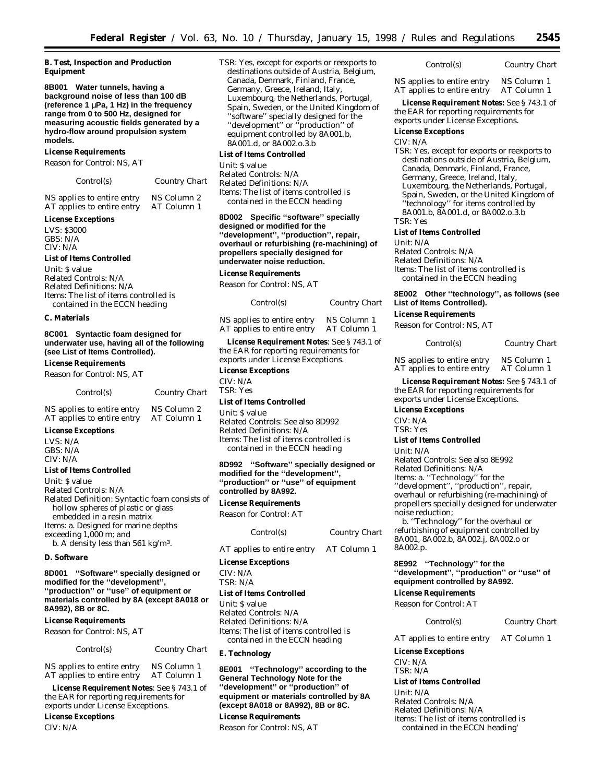#### **B. Test, Inspection and Production Equipment**

**8B001 Water tunnels, having a background noise of less than 100 dB (reference 1** µ**Pa, 1 Hz) in the frequency range from 0 to 500 Hz, designed for measuring acoustic fields generated by a hydro-flow around propulsion system models.**

#### **License Requirements**

*Reason for Control:* NS, AT

#### *Control(s) Country Chart*

NS applies to entire entry NS Column 2<br>AT applies to entire entry AT Column 1 AT applies to entire entry

#### **License Exceptions**

LVS: \$3000 GBS: N/A CIV: N/A

### **List of Items Controlled**

*Unit:* \$ value *Related Controls:* N/A *Related Definitions:* N/A *Items:* The list of items controlled is contained in the ECCN heading

#### **C. Materials**

**8C001 Syntactic foam designed for underwater use, having all of the following (see List of Items Controlled).**

#### **License Requirements**

*Reason for Control*: NS, AT

| Control(s)                 | Country Chart |
|----------------------------|---------------|
| NS applies to entire entry | NS Column 2   |
| AT applies to entire entry | AT Column 1   |

# AT applies to entire entry **License Exceptions**

LVS: N/A  $GRS: N/A$ CIV: N/A

#### **List of Items Controlled**

*Unit*: \$ value *Related Controls*: N/A *Related Definition*: Syntactic foam consists of hollow spheres of plastic or glass embedded in a resin matrix *Items*: a. Designed for marine depths exceeding 1,000 m; *and* b. A density less than 561 kg/m3.

#### **D. Software**

#### **8D001 ''Software'' specially designed or modified for the ''development'', ''production'' or ''use'' of equipment or materials controlled by 8A (except 8A018 or 8A992), 8B or 8C.**

#### **License Requirements**

*Reason for Control*: NS, AT

| Control(s) | Country Chart |
|------------|---------------|
|            |               |

NS applies to entire entry NS Column 1<br>AT applies to entire entry AT Column 1 AT applies to entire entry

**License Requirement Notes**: See § 743.1 of the EAR for reporting requirements for exports under License Exceptions.

**License Exceptions** CIV: N/A

TSR: Yes, except for exports or reexports to destinations outside of Austria, Belgium, Canada, Denmark, Finland, France, Germany, Greece, Ireland, Italy, Luxembourg, the Netherlands, Portugal, Spain, Sweden, or the United Kingdom of ''software'' specially designed for the "development" or "production" of equipment controlled by 8A001.b, 8A001.d, or 8A002.o.3.b

#### **List of Items Controlled**

*Unit*: \$ value *Related Controls*: N/A *Related Definitions*: N/A *Items*: The list of items controlled is contained in the ECCN heading

**8D002 Specific ''software'' specially designed or modified for the ''development'', ''production'', repair, overhaul or refurbishing (re-machining) of propellers specially designed for underwater noise reduction.**

#### **License Requirements**

*Reason for Control*: NS, AT

| Control(s)                 | Country Chart |
|----------------------------|---------------|
| NS applies to entire entry | NS Column 1   |
| AT applies to entire entry | AT Column 1   |

**License Requirement Notes**: See § 743.1 of the EAR for reporting requirements for exports under License Exceptions.

#### **License Exceptions**

CIV: N/A

TSR: Yes

#### **List of Items Controlled**

*Unit*: \$ value *Related Controls*: See also 8D992 *Related Definitions*: N/A *Items*: The list of items controlled is contained in the ECCN heading

**8D992 ''Software'' specially designed or modified for the ''development'', ''production'' or ''use'' of equipment controlled by 8A992.**

# **License Requirements**

*Reason for Control:* AT

| <i>Control(s)</i>          | <b>Country Chart</b> |
|----------------------------|----------------------|
| AT applies to entire entry | AT Column 1          |

**License Exceptions**

CIV: N/A TSR: N/A

#### **List of Items Controlled**

*Unit:* \$ value *Related Controls:* N/A *Related Definitions:* N/A *Items:* The list of items controlled is contained in the ECCN heading

#### **E. Technology**

**8E001 ''Technology'' according to the General Technology Note for the ''development'' or ''production'' of equipment or materials controlled by 8A (except 8A018 or 8A992), 8B or 8C.**

**License Requirements**

*Reason for Control:* NS, AT

*Control(s) Country Chart*

NS applies to entire entry NS Column 1<br>AT applies to entire entry AT Column 1 AT applies to entire entry

**License Requirement Notes:** See § 743.1 of the EAR for reporting requirements for exports under License Exceptions.

#### **License Exceptions**

#### CIV: N/A

TSR: Yes, except for exports or reexports to destinations outside of Austria, Belgium, Canada, Denmark, Finland, France, Germany, Greece, Ireland, Italy, Luxembourg, the Netherlands, Portugal, Spain, Sweden, or the United Kingdom of ''technology'' for items controlled by 8A001.b, 8A001.d, or 8A002.o.3.b TSR: Yes

#### **List of Items Controlled**

*Unit:* N/A *Related Controls:* N/A *Related Definitions:* N/A *Items:* The list of items controlled is contained in the ECCN heading

#### **8E002 Other ''technology'', as follows (see List of Items Controlled).**

#### **License Requirements**

*Reason for Control:* NS, AT

|  | Control(s) | Country Chart |
|--|------------|---------------|
|--|------------|---------------|

NS applies to entire entry NS Column 1<br>AT applies to entire entry AT Column 1 AT applies to entire entry

**License Requirement Notes:** See § 743.1 of the EAR for reporting requirements for exports under License Exceptions.

**License Exceptions** CIV: N/A

TSR: Yes

#### **List of Items Controlled**

*Unit:* N/A *Related Controls:* See also 8E992 *Related Definitions:* N/A *Items:* a. ''Technology'' for the ''development'', ''production'', repair, overhaul or refurbishing (re-machining) of propellers specially designed for underwater noise reduction;

b. ''Technology'' for the overhaul or refurbishing of equipment controlled by 8A001, 8A002.b, 8A002.j, 8A002.o or 8A002.p.

**8E992 ''Technology'' for the ''development'', ''production'' or ''use'' of equipment controlled by 8A992.**

**License Requirements** *Reason for Control:* AT

*Control(s) Country Chart*

AT applies to entire entry AT Column 1

**License Exceptions**

CIV: N/A TSR: N/A

**List of Items Controlled**

*Unit:* N/A *Related Controls:* N/A *Related Definitions:* N/A *Items:* The list of items controlled is contained in the ECCN heading'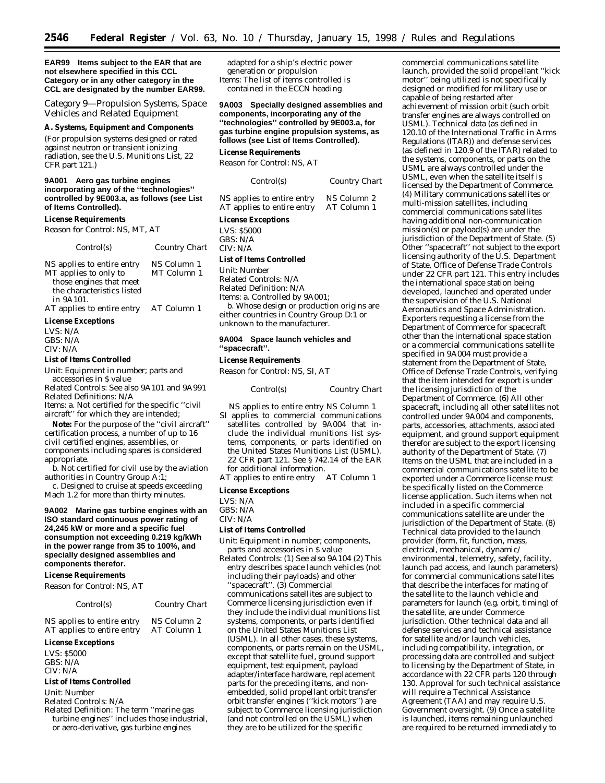**EAR99 Items subject to the EAR that are not elsewhere specified in this CCL Category or in any other category in the CCL are designated by the number EAR99.**

*Category 9—Propulsion Systems, Space Vehicles and Related Equipment*

#### **A. Systems, Equipment and Components**

(For propulsion systems designed or rated against neutron or transient ionizing radiation, see the U.S. Munitions List, 22 CFR part 121.)

#### **9A001 Aero gas turbine engines incorporating any of the ''technologies'' controlled by 9E003.a, as follows (see List of Items Controlled).**

#### **License Requirements**

*Reason for Control:* NS, MT, AT

 $Country$  *Chart* 

| NS applies to entire entry | NS Column 1 |
|----------------------------|-------------|
| MT applies to only to      | MT Column 1 |
| those engines that meet    |             |
| the characteristics listed |             |
| in 9A101.                  |             |
| AT applies to entire entry | AT Column 1 |

#### **License Exceptions**

LVS: N/A GBS: N/A CIV: N/A

#### **List of Items Controlled**

*Unit:* Equipment in number; parts and accessories in \$ value

*Related Controls:* See also 9A101 and 9A991 *Related Definitions:* N/A *Items:* a. Not certified for the specific ''civil

aircraft'' for which they are intended; **Note:** For the purpose of the ''civil aircraft''

certification process, a number of up to 16 civil certified engines, assemblies, or components including spares is considered appropriate.

b. Not certified for civil use by the aviation authorities in Country Group A:1;

c. Designed to cruise at speeds exceeding Mach 1.2 for more than thirty minutes.

**9A002 Marine gas turbine engines with an ISO standard continuous power rating of 24,245 kW or more and a specific fuel consumption not exceeding 0.219 kg/kWh in the power range from 35 to 100%, and specially designed assemblies and components therefor.**

#### **License Requirements**

*Reason for Control:* NS, AT

*Control(s) Country Chart*

NS applies to entire entry NS Column 2<br>AT applies to entire entry AT Column 1 AT applies to entire entry

#### **License Exceptions**

LVS: \$5000 GBS: N/A CIV: N/A

#### **List of Items Controlled**

*Unit:* Number

*Related Controls:* N/A

*Related Definition:* The term ''marine gas turbine engines'' includes those industrial, or aero-derivative, gas turbine engines

adapted for a ship's electric power generation or propulsion *Items:* The list of items controlled is contained in the ECCN heading

#### **9A003 Specially designed assemblies and components, incorporating any of the ''technologies'' controlled by 9E003.a, for gas turbine engine propulsion systems, as follows (see List of Items Controlled).**

#### **License Requirements**

*Reason for Control:* NS, AT

| <b>Country Chart</b> |  |
|----------------------|--|
|                      |  |

NS applies to entire entry NS Column 2<br>AT applies to entire entry AT Column 1 AT applies to entire entry

#### **License Exceptions**

LVS: \$5000 GBS: N/A CIV: N/A

#### **List of Items Controlled**

*Unit:* Number *Related Controls:* N/A *Related Definition:* N/A *Items:* a. Controlled by 9A001; b. Whose design or production origins are

either countries in Country Group D:1 or unknown to the manufacturer.

#### **9A004 Space launch vehicles and ''spacecraft''.**

# **License Requirements**

*Reason for Control:* NS, SI, AT

*Control(s) Country Chart*

NS applies to entire entry NS Column 1 SI applies to commercial communications satellites controlled by 9A004 that include the individual munitions list systems, components, or parts identified on the United States Munitions List (USML). 22 CFR part 121. See § 742.14 of the EAR for additional information.

AT applies to entire entry AT Column 1

#### **License Exceptions**

LVS: N/A

GBS: N/A CIV: N/A

#### **List of Items Controlled**

- *Unit:* Equipment in number; components, parts and accessories in \$ value
- *Related Controls:* (1) See also 9A104 (2) This entry describes space launch vehicles (not including their payloads) and other ''spacecraft''. (3) Commercial communications satellites are subject to Commerce licensing jurisdiction even if they include the individual munitions list systems, components, or parts identified on the United States Munitions List (USML). In all other cases, these systems, components, or parts remain on the USML, except that satellite fuel, ground support equipment, test equipment, payload adapter/interface hardware, replacement parts for the preceding items, and nonembedded, solid propellant orbit transfer orbit transfer engines (''kick motors'') are subject to Commerce licensing jurisdiction (and not controlled on the USML) when they are to be utilized for the specific

commercial communications satellite launch, provided the solid propellant ''kick motor'' being utilized is not specifically designed or modified for military use or capable of being restarted after achievement of mission orbit (such orbit transfer engines are always controlled on USML). Technical data (as defined in 120.10 of the International Traffic in Arms Regulations (ITAR)) and defense services (as defined in 120.9 of the ITAR) related to the systems, components, or parts on the USML are always controlled under the USML, even when the satellite itself is licensed by the Department of Commerce. (4) Military communications satellites or multi-mission satellites, including commercial communications satellites having additional non-communication mission(s) or payload(s) are under the jurisdiction of the Department of State. (5) Other ''spacecraft'' not subject to the export licensing authority of the U.S. Department of State, Office of Defense Trade Controls under 22 CFR part 121. This entry includes the international space station being developed, launched and operated under the supervision of the U.S. National Aeronautics and Space Administration. Exporters requesting a license from the Department of Commerce for spacecraft other than the international space station or a commercial communications satellite specified in 9A004 must provide a statement from the Department of State, Office of Defense Trade Controls, verifying that the item intended for export is under the licensing jurisdiction of the Department of Commerce. (6) All other spacecraft, including all other satellites not controlled under 9A004 and components, parts, accessories, attachments, associated equipment, and ground support equipment therefor are subject to the export licensing authority of the Department of State. (7) Items on the USML that are included in a commercial communications satellite to be exported under a Commerce license must be specifically listed on the Commerce license application. Such items when not included in a specific commercial communications satellite are under the jurisdiction of the Department of State. (8) Technical data provided to the launch provider (form, fit, function, mass, electrical, mechanical, dynamic/ environmental, telemetry, safety, facility, launch pad access, and launch parameters) for commercial communications satellites that describe the interfaces for mating of the satellite to the launch vehicle and parameters for launch (e.g. orbit, timing) of the satellite, are under Commerce jurisdiction. Other technical data and all defense services and technical assistance for satellite and/or launch vehicles, including compatibility, integration, or processing data are controlled and subject to licensing by the Department of State, in accordance with 22 CFR parts 120 through 130. Approval for such technical assistance will require a Technical Assistance Agreement (TAA) and may require U.S. Government oversight. (9) Once a satellite is launched, items remaining unlaunched are required to be returned immediately to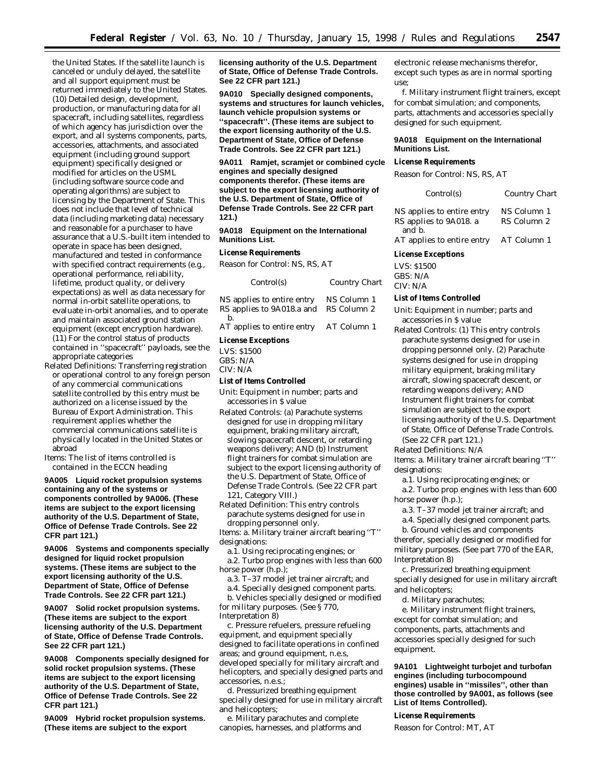the United States. If the satellite launch is canceled or unduly delayed, the satellite and all support equipment must be returned immediately to the United States. (10) Detailed design, development, production, or manufacturing data for all spacecraft, including satellites, regardless of which agency has jurisdiction over the export, and all systems components, parts, accessories, attachments, and associated equipment (including ground support equipment) specifically designed or modified for articles on the USML (including software source code and operating algorithms) are subject to licensing by the Department of State. This does not include that level of technical data (including marketing data) necessary and reasonable for a purchaser to have assurance that a U.S.-built item intended to operate in space has been designed, manufactured and tested in conformance with specified contract requirements (e.g., operational performance, reliability, lifetime, product quality, or delivery expectations) as well as data necessary for normal in-orbit satellite operations, to evaluate in-orbit anomalies, and to operate and maintain associated ground station equipment (except encryption hardware). (11) For the control status of products contained in ''spacecraft'' payloads, see the appropriate categories

- *Related Definitions:* Transferring registration or operational control to any foreign person of any commercial communications satellite controlled by this entry must be authorized on a license issued by the Bureau of Export Administration. This requirement applies whether the commercial communications satellite is physically located in the United States or abroad
- *Items:* The list of items controlled is contained in the ECCN heading

**9A005 Liquid rocket propulsion systems containing any of the systems or components controlled by 9A006. (These items are subject to the export licensing authority of the U.S. Department of State, Office of Defense Trade Controls. See 22 CFR part 121.)**

**9A006 Systems and components specially designed for liquid rocket propulsion systems. (These items are subject to the export licensing authority of the U.S. Department of State, Office of Defense Trade Controls. See 22 CFR part 121.)**

**9A007 Solid rocket propulsion systems. (These items are subject to the export licensing authority of the U.S. Department of State, Office of Defense Trade Controls. See 22 CFR part 121.)**

**9A008 Components specially designed for solid rocket propulsion systems. (These items are subject to the export licensing authority of the U.S. Department of State, Office of Defense Trade Controls. See 22 CFR part 121.)**

**9A009 Hybrid rocket propulsion systems. (These items are subject to the export**

**licensing authority of the U.S. Department of State, Office of Defense Trade Controls. See 22 CFR part 121.)**

**9A010 Specially designed components, systems and structures for launch vehicles, launch vehicle propulsion systems or ''spacecraft''. (These items are subject to the export licensing authority of the U.S. Department of State, Office of Defense Trade Controls. See 22 CFR part 121.)**

**9A011 Ramjet, scramjet or combined cycle engines and specially designed components therefor. (These items are subject to the export licensing authority of the U.S. Department of State, Office of Defense Trade Controls. See 22 CFR part 121.)**

**9A018 Equipment on the International Munitions List.**

#### **License Requirements**

*Reason for Control:* NS, RS, AT

| Control(s)                                                    | Country Chart              |
|---------------------------------------------------------------|----------------------------|
| NS applies to entire entry<br>RS applies to 9A018.a and<br>h. | NS Column 1<br>RS Column 2 |
| AT applies to entire entry                                    | AT Column 1                |

# **License Exceptions**

LVS: \$1500 GBS: N/A CIV: N/A

#### **List of Items Controlled**

*Unit:* Equipment in number; parts and accessories in \$ value

*Related Controls:* (a) Parachute systems designed for use in dropping military equipment, braking military aircraft, slowing spacecraft descent, or retarding weapons delivery; AND (b) Instrument flight trainers for combat simulation are subject to the export licensing authority of the U.S. Department of State, Office of Defense Trade Controls. (See 22 CFR part 121, Category VIII.)

*Related Definition:* This entry controls parachute systems designed for use in dropping personnel only.

*Items:* a. Military trainer aircraft bearing ''T'' designations:

a.1. Using reciprocating engines; or

a.2. Turbo prop engines with less than 600 horse power (h.p.);

a.3. T–37 model jet trainer aircraft; and

a.4. Specially designed component parts. b. Vehicles specially designed or modified for military purposes. (See § 770,

Interpretation 8)

c. Pressure refuelers, pressure refueling equipment, and equipment specially designed to facilitate operations in confined areas; and ground equipment, n.e.s, developed specially for military aircraft and helicopters, and specially designed parts and accessories, n.e.s.;

d. Pressurized breathing equipment specially designed for use in military aircraft and helicopters;

e. Military parachutes and complete canopies, harnesses, and platforms and

electronic release mechanisms therefor, except such types as are in normal sporting use;

f. Military instrument flight trainers, except for combat simulation; and components, parts, attachments and accessories specially designed for such equipment.

#### **9A018 Equipment on the International Munitions List.**

# **License Requirements**

*Reason for Control: NS, RS, AT*

| Control(s)                                                     | Country Chart              |
|----------------------------------------------------------------|----------------------------|
| NS applies to entire entry<br>RS applies to 9A018. a<br>and b. | NS Column 1<br>RS Column 2 |
| AT applies to entire entry                                     | AT Column 1                |

#### **License Exceptions**

LVS: \$1500 GBS: N/A CIV: N/A

#### **List of Items Controlled**

*Unit:* Equipment in number; parts and accessories in \$ value

*Related Controls:* (1) This entry controls parachute systems designed for use in dropping personnel only. (2) Parachute systems designed for use in dropping military equipment, braking military aircraft, slowing spacecraft descent, or retarding weapons delivery; AND Instrument flight trainers for combat simulation are subject to the export licensing authority of the U.S. Department of State, Office of Defense Trade Controls. (See 22 CFR part 121.)

*Related Definitions:* N/A

*Items:* a. Military trainer aircraft bearing ''T'' designations:

a.1. Using reciprocating engines; *or* a.2. Turbo prop engines with less than 600 horse power (h.p.);

a.3. T–37 model jet trainer aircraft; and

a.4. Specially designed component parts.

b. Ground vehicles and components therefor, specially designed or modified for military purposes. (See part 770 of the EAR, Interpretation 8)

c. Pressurized breathing equipment specially designed for use in military aircraft and helicopters;

d. Military parachutes;

e. Military instrument flight trainers, except for combat simulation; and components, parts, attachments and accessories specially designed for such equipment.

**9A101 Lightweight turbojet and turbofan engines (including turbocompound engines) usable in ''missiles'', other than those controlled by 9A001, as follows (see List of Items Controlled).**

# **License Requirements**

*Reason for Control:* MT, AT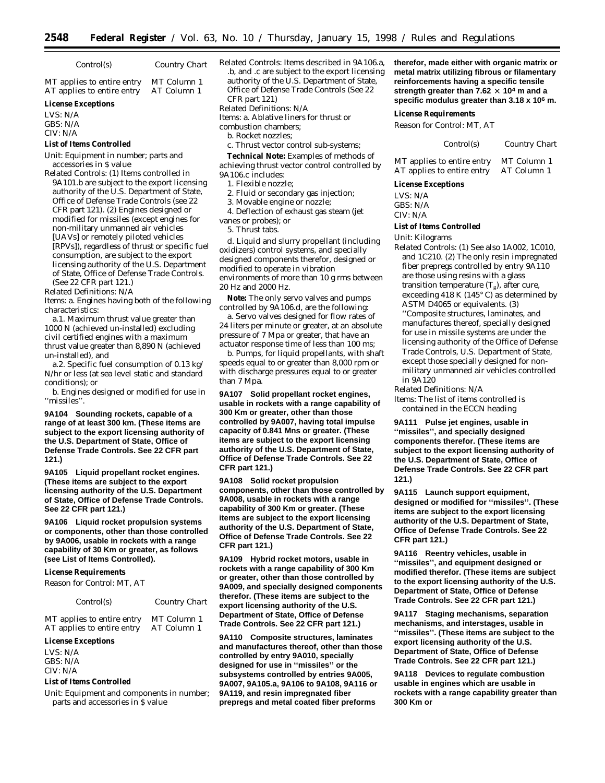*Control(s) Country Chart*

MT applies to entire entry MT Column 1<br>AT applies to entire entry AT Column 1 AT applies to entire entry

# **License Exceptions**

LVS: N/A GBS: N/A CIV: N/A

# **List of Items Controlled**

*Unit:* Equipment in number; parts and accessories in \$ value

*Related Controls:* (1) Items controlled in 9A101.b are subject to the export licensing authority of the U.S. Department of State, Office of Defense Trade Controls (see 22 CFR part 121). (2) Engines designed or modified for missiles (except engines for non-military unmanned air vehicles [UAVs] or remotely piloted vehicles [RPVs]), regardless of thrust or specific fuel consumption, are subject to the export licensing authority of the U.S. Department of State, Office of Defense Trade Controls. (See 22 CFR part 121.)

*Related Definitions:* N/A

*Items:* a. Engines having both of the following characteristics:

a.1. Maximum thrust value greater than 1000 N (achieved un-installed) excluding civil certified engines with a maximum thrust value greater than 8,890 N (achieved un-installed), and

a.2. Specific fuel consumption of 0.13 kg/ N/hr or less (at sea level static and standard conditions); or

b. Engines designed or modified for use in ''missiles''.

**9A104 Sounding rockets, capable of a range of at least 300 km. (These items are subject to the export licensing authority of the U.S. Department of State, Office of Defense Trade Controls. See 22 CFR part 121.)**

**9A105 Liquid propellant rocket engines. (These items are subject to the export licensing authority of the U.S. Department of State, Office of Defense Trade Controls. See 22 CFR part 121.)**

**9A106 Liquid rocket propulsion systems or components, other than those controlled by 9A006, usable in rockets with a range capability of 30 Km or greater, as follows (see List of Items Controlled).**

# **License Requirements**

*Reason for Control:* MT, AT

*Control(s) Country Chart*

MT applies to entire entry MT Column 1 AT applies to entire entry AT Column 1

#### **License Exceptions**

LVS: N/A GBS: N/A CIV: N/A

#### **List of Items Controlled**

*Unit:* Equipment and components in number; parts and accessories in \$ value

*Related Controls:* Items described in 9A106.a, .b, and .c are subject to the export licensing authority of the U.S. Department of State, Office of Defense Trade Controls (See 22 CFR part 121)

*Related Definitions:* N/A

*Items:* a. Ablative liners for thrust or

- combustion chambers;
- b. Rocket nozzles;

c. Thrust vector control sub-systems;

**Technical Note:** Examples of methods of achieving thrust vector control controlled by 9A106.c includes:

- 1. Flexible nozzle;
- 2. Fluid or secondary gas injection;
- 3. Movable engine or nozzle;

4. Deflection of exhaust gas steam (jet

vanes or probes); *or*

5. Thrust tabs.

d. Liquid and slurry propellant (including oxidizers) control systems, and specially designed components therefor, designed or modified to operate in vibration environments of more than 10 g rms between 20 Hz and 2000 Hz.

**Note:** The only servo valves and pumps controlled by 9A106.d, are the following:

a. Servo valves designed for flow rates of 24 liters per minute or greater, at an absolute pressure of 7 Mpa or greater, that have an actuator response time of less than 100 ms;

b. Pumps, for liquid propellants, with shaft speeds equal to or greater than 8,000 rpm or with discharge pressures equal to or greater than 7 Mpa.

**9A107 Solid propellant rocket engines, usable in rockets with a range capability of 300 Km or greater, other than those controlled by 9A007, having total impulse capacity of 0.841 Mns or greater. (These items are subject to the export licensing authority of the U.S. Department of State, Office of Defense Trade Controls. See 22 CFR part 121.)**

**9A108 Solid rocket propulsion components, other than those controlled by 9A008, usable in rockets with a range capability of 300 Km or greater. (These items are subject to the export licensing authority of the U.S. Department of State, Office of Defense Trade Controls. See 22 CFR part 121.)**

**9A109 Hybrid rocket motors, usable in rockets with a range capability of 300 Km or greater, other than those controlled by 9A009, and specially designed components therefor. (These items are subject to the export licensing authority of the U.S. Department of State, Office of Defense Trade Controls. See 22 CFR part 121.)**

**9A110 Composite structures, laminates and manufactures thereof, other than those controlled by entry 9A010, specially designed for use in ''missiles'' or the subsystems controlled by entries 9A005, 9A007, 9A105.a, 9A106 to 9A108, 9A116 or 9A119, and resin impregnated fiber prepregs and metal coated fiber preforms**

**therefor, made either with organic matrix or metal matrix utilizing fibrous or filamentary reinforcements having a specific tensile strength greater than 7.62**  $\times$  **10<sup>4</sup> m and a specific modulus greater than 3.18 x 106 m.**

#### **License Requirements**

*Reason for Control:* MT, AT

*Control(s) Country Chart*

MT applies to entire entry MT Column 1 AT applies to entire entry AT Column 1

#### **License Exceptions**

LVS: N/A GBS: N/A CIV: N/A

#### **List of Items Controlled**

*Unit:* Kilograms

*Related Controls:* (1) See also 1A002, 1C010, and 1C210. (2) The only resin impregnated fiber prepregs controlled by entry 9A110 are those using resins with a glass transition temperature  $(T_g)$ , after cure, exceeding 418 K (145° C) as determined by ASTM D4065 or equivalents. (3) ''Composite structures, laminates, and manufactures thereof, specially designed for use in missile systems are under the licensing authority of the Office of Defense Trade Controls, U.S. Department of State, except those specially designed for nonmilitary unmanned air vehicles controlled in 9A120

*Related Definitions:* N/A

*Items:* The list of items controlled is contained in the ECCN heading

**9A111 Pulse jet engines, usable in ''missiles'', and specially designed components therefor. (These items are subject to the export licensing authority of the U.S. Department of State, Office of Defense Trade Controls. See 22 CFR part 121.)**

**9A115 Launch support equipment, designed or modified for ''missiles''. (These items are subject to the export licensing authority of the U.S. Department of State, Office of Defense Trade Controls. See 22 CFR part 121.)**

**9A116 Reentry vehicles, usable in ''missiles'', and equipment designed or modified therefor. (These items are subject to the export licensing authority of the U.S. Department of State, Office of Defense Trade Controls. See 22 CFR part 121.)**

**9A117 Staging mechanisms, separation mechanisms, and interstages, usable in ''missiles''. (These items are subject to the export licensing authority of the U.S. Department of State, Office of Defense Trade Controls. See 22 CFR part 121.)**

**9A118 Devices to regulate combustion usable in engines which are usable in rockets with a range capability greater than 300 Km or**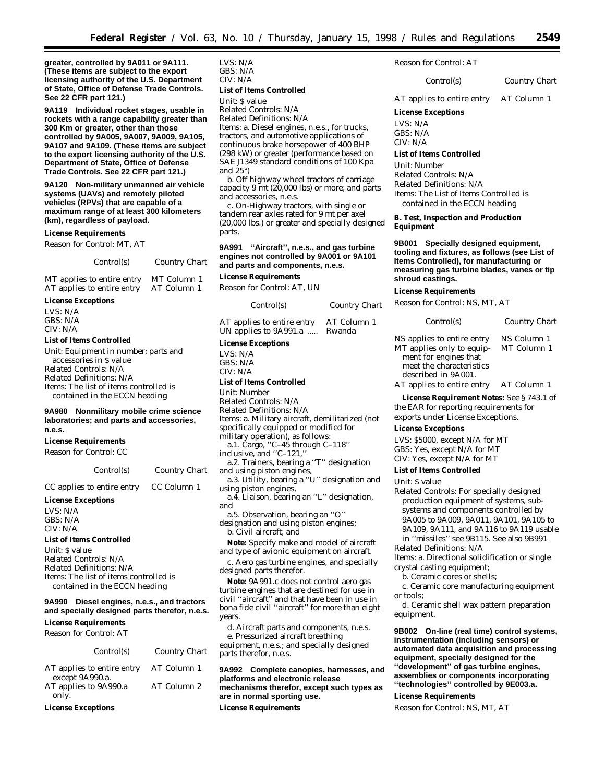**greater, controlled by 9A011 or 9A111. (These items are subject to the export licensing authority of the U.S. Department of State, Office of Defense Trade Controls. See 22 CFR part 121.)**

**9A119 Individual rocket stages, usable in rockets with a range capability greater than 300 Km or greater, other than those controlled by 9A005, 9A007, 9A009, 9A105, 9A107 and 9A109. (These items are subject to the export licensing authority of the U.S. Department of State, Office of Defense Trade Controls. See 22 CFR part 121.)**

**9A120 Non-military unmanned air vehicle systems (UAVs) and remotely piloted vehicles (RPVs) that are capable of a maximum range of at least 300 kilometers (km), regardless of payload.**

#### **License Requirements**

*Reason for Control:* MT, AT

| <i>Control(s)</i> | Country Chart |
|-------------------|---------------|
|-------------------|---------------|

MT applies to entire entry MT Column 1<br>AT applies to entire entry AT Column 1 AT applies to entire entry

#### **License Exceptions**

| LVS: N/A |  |
|----------|--|
| GBS: N/A |  |
| CIV: N/A |  |

#### **List of Items Controlled**

*Unit:* Equipment in number; parts and accessories in \$ value *Related Controls:* N/A *Related Definitions:* N/A *Items:* The list of items controlled is contained in the ECCN heading

#### **9A980 Nonmilitary mobile crime science laboratories; and parts and accessories, n.e.s.**

### **License Requirements**

*Reason for Control:* CC

*Control(s) Country Chart*

# CC applies to entire entry CC Column 1

**License Exceptions** *LVS:* N/A *GBS:* N/A *CIV:* N/A

#### **List of Items Controlled**

*Unit:* \$ value *Related Controls:* N/A *Related Definitions:* N/A *Items:* The list of items controlled is contained in the ECCN heading

# **9A990 Diesel engines, n.e.s., and tractors and specially designed parts therefor, n.e.s.**

**License Requirements**

*Reason for Control:* AT

|                                               | Control(s) | Country Chart |
|-----------------------------------------------|------------|---------------|
| AT applies to entire entry<br>except 9A990.a. |            | AT Column 1   |
| AT applies to 9A990.a                         |            | AT Column 2   |
| only.                                         |            |               |

**License Exceptions**

*LVS:* N/A *GBS:* N/A *CIV:* N/A **List of Items Controlled** *Unit:* \$ value *Related Controls:* N/A *Related Definitions:* N/A

*Items:* a. Diesel engines, n.e.s., for trucks, tractors, and automotive applications of continuous brake horsepower of 400 BHP (298 kW) or greater (performance based on SAE J1349 standard conditions of 100 Kpa and 25°)

b. Off highway wheel tractors of carriage capacity 9 mt (20,000 lbs) or more; and parts and accessories, n.e.s.

c. On-Highway tractors, with single or tandem rear axles rated for 9 mt per axel (20,000 lbs.) or greater and specially designed parts.

#### **9A991 ''Aircraft'', n.e.s., and gas turbine engines not controlled by 9A001 or 9A101 and parts and components, n.e.s.**

#### **License Requirements**

*Reason for Control:* AT, UN

| Control(s)                 | Country Chart |  |
|----------------------------|---------------|--|
| AT applies to entire entry | AT Column 1   |  |
| UN applies to 9A991.a      | Rwanda        |  |

#### **License Exceptions**

LVS: N/A GBS: N/A CIV: N/A

#### **List of Items Controlled**

*Unit:* Number

- *Related Controls:* N/A
- *Related Definitions:* N/A
- *Items:* a. Military aircraft, demilitarized (not
- specifically equipped or modified for
- military operation), as follows:
	- a.1. Cargo, ''C–45 through C–118''
- inclusive, and ''C–121,''
- a.2. Trainers, bearing a ''T'' designation and using piston engines,

a.3. Utility, bearing a ''U'' designation and using piston engines,

- a.4. Liaison, bearing an ''L'' designation, and
- a.5. Observation, bearing an ''O''

designation and using piston engines; b. Civil aircraft; *and*

**Note:** Specify make and model of aircraft and type of avionic equipment on aircraft.

c. Aero gas turbine engines, and specially designed parts therefor.

**Note:** 9A991.c does not control aero gas turbine engines that are destined for use in civil ''aircraft'' and that have been in use in bona fide civil ''aircraft'' for more than eight years.

d. Aircraft parts and components, n.e.s. e. Pressurized aircraft breathing

equipment, n.e.s.; and specially designed parts therefor, n.e.s.

**9A992 Complete canopies, harnesses, and platforms and electronic release mechanisms therefor, except such types as are in normal sporting use.**

**License Requirements**

*Reason for Control:* AT

*Control(s) Country Chart*

AT applies to entire entry AT Column 1

**License Exceptions** LVS: N/A GBS: N/A

CIV: N/A

#### **List of Items Controlled**

*Unit:* Number *Related Controls:* N/A *Related Definitions:* N/A *Items:* The List of Items Controlled is contained in the ECCN heading

**B. Test, Inspection and Production Equipment**

**9B001 Specially designed equipment, tooling and fixtures, as follows (see List of Items Controlled), for manufacturing or measuring gas turbine blades, vanes or tip shroud castings.**

#### **License Requirements**

*Reason for Control:* NS, MT, AT

*Control(s) Country Chart*

NS applies to entire entry NS Column 1 MT applies only to equipment for engines that meet the characteristics described in 9A001. MT Column 1

AT applies to entire entry AT Column 1

**License Requirement Notes:** See § 743.1 of the EAR for reporting requirements for exports under License Exceptions.

# **License Exceptions**

LVS: \$5000, except N/A for MT GBS: Yes, except N/A for MT

CIV: Yes, except N/A for MT **List of Items Controlled**

*Unit:* \$ value *Related Controls:* For specially designed production equipment of systems, subsystems and components controlled by 9A005 to 9A009, 9A011, 9A101, 9A105 to 9A109, 9A111, and 9A116 to 9A119 usable

in ''missiles'' see 9B115. See also 9B991

*Related Definitions:* N/A

*Items:* a. Directional solidification or single crystal casting equipment;

b. Ceramic cores or shells;

c. Ceramic core manufacturing equipment or tools;

d. Ceramic shell wax pattern preparation equipment.

**9B002 On-line (real time) control systems, instrumentation (including sensors) or automated data acquisition and processing equipment, specially designed for the ''development'' of gas turbine engines, assemblies or components incorporating ''technologies'' controlled by 9E003.a.**

#### **License Requirements**

*Reason for Control: NS, MT, AT*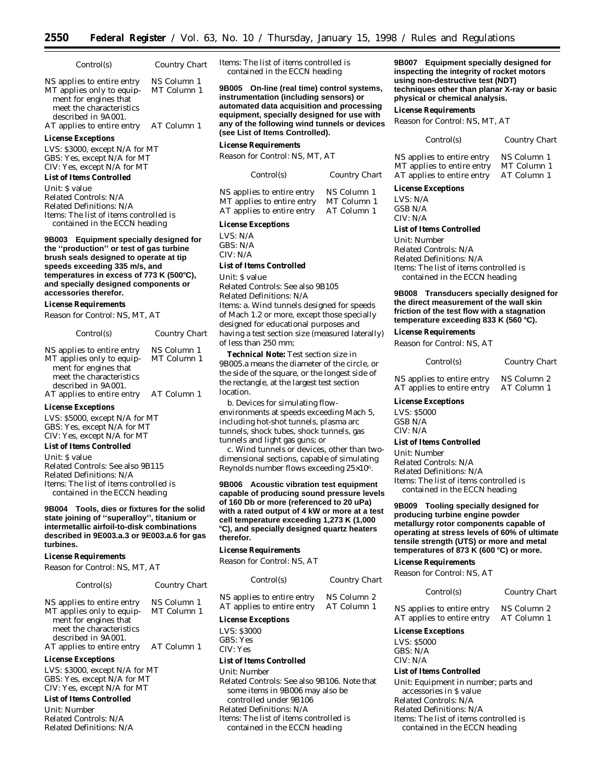| Control(s)                                                                                                                          | Country Chart              |
|-------------------------------------------------------------------------------------------------------------------------------------|----------------------------|
| NS applies to entire entry<br>MT applies only to equip-<br>ment for engines that<br>meet the characteristics<br>described in 9A001. | NS Column 1<br>MT Column 1 |

AT applies to entire entry AT Column 1 **License Exceptions**

LVS: \$3000, except N/A for MT GBS: Yes, except N/A for MT CIV: Yes, except N/A for MT

### **List of Items Controlled**

*Unit:* \$ value *Related Controls:* N/A *Related Definitions:* N/A *Items:* The list of items controlled is contained in the ECCN heading

**9B003 Equipment specially designed for the ''production'' or test of gas turbine brush seals designed to operate at tip speeds exceeding 335 m/s, and temperatures in excess of 773 K (500**≥**C), and specially designed components or accessories therefor.**

#### **License Requirements**

*Reason for Control:* NS, MT, AT

| Control(s)                 | Country Chart |
|----------------------------|---------------|
| NS applies to entire entry | NS Column 1   |
| MT applies only to equip-  | MT Column 1   |
| ment for engines that      |               |
| meet the characteristics   |               |
| described in 9A001.        |               |
| AT applies to entire entry | AT Column 1   |

#### **License Exceptions**

LVS: \$5000, except N/A for MT GBS: Yes, except N/A for MT CIV: Yes, except N/A for MT

# **List of Items Controlled**

*Unit:* \$ value *Related Controls:* See also 9B115 *Related Definitions:* N/A *Items:* The list of items controlled is contained in the ECCN heading

**9B004 Tools, dies or fixtures for the solid state joining of ''superalloy'', titanium or intermetallic airfoil-to-disk combinations described in 9E003.a.3 or 9E003.a.6 for gas turbines.**

#### **License Requirements**

*Reason for Control:* NS, MT, AT

#### *Control(s) Country Chart*

NS applies to entire entry NS Column 1 MT applies only to equipment for engines that meet the characteristics described in 9A001. MT Column 1 AT applies to entire entry AT Column 1

#### **License Exceptions**

LVS: \$3000, except N/A for MT GBS: Yes, except N/A for MT CIV: Yes, except N/A for MT

#### **List of Items Controlled**

*Unit:* Number *Related Controls:* N/A *Related Definitions:* N/A *Items:* The list of items controlled is contained in the ECCN heading

**9B005 On-line (real time) control systems, instrumentation (including sensors) or automated data acquisition and processing equipment, specially designed for use with any of the following wind tunnels or devices (see List of Items Controlled).**

#### **License Requirements**

*Reason for Control:* NS, MT, AT

| Control(s)                 | Country Chart |  |
|----------------------------|---------------|--|
| NS applies to entire entry | NS Column 1   |  |
| MT applies to entire entry | MT Column 1   |  |
| $\overline{a}$             |               |  |

AT applies to entire entry AT Column 1

#### **License Exceptions**

LVS: N/A GBS: N/A CIV: N/A

# **List of Items Controlled**

*Unit:* \$ value

*Related Controls:* See also 9B105 *Related Definitions:* N/A *Items:* a. Wind tunnels designed for speeds of Mach 1.2 or more, except those specially designed for educational purposes and having a test section size (measured laterally) of less than 250 mm;

**Technical Note:** Test section size in 9B005.a means the diameter of the circle, or the side of the square, or the longest side of the rectangle, at the largest test section location.

b. Devices for simulating flowenvironments at speeds exceeding Mach 5, including hot-shot tunnels, plasma arc tunnels, shock tubes, shock tunnels, gas tunnels and light gas guns; *or*

c. Wind tunnels or devices, other than twodimensional sections, capable of simulating Reynolds number flows exceeding 25×106.

**9B006 Acoustic vibration test equipment capable of producing sound pressure levels of 160 Db or more (referenced to 20 uPa) with a rated output of 4 kW or more at a test cell temperature exceeding 1,273 K (1,000** ≥**C), and specially designed quartz heaters therefor.**

#### **License Requirements**

*Reason for Control:* NS, AT

| Control(s)                 | Country Chart |  |
|----------------------------|---------------|--|
| NS applies to entire entry | NS Column 2   |  |
| AT applies to entire entry | AT Column 1   |  |

# **License Exceptions**

LVS: \$3000

GBS: Yes

#### CIV: Yes **List of Items Controlled**

# *Unit:* Number *Related Controls:* See also 9B106. Note that some items in 9B006 may also be controlled under 9B106 *Related Definitions:* N/A *Items:* The list of items controlled is contained in the ECCN heading

**9B007 Equipment specially designed for inspecting the integrity of rocket motors using non-destructive test (NDT) techniques other than planar X-ray or basic physical or chemical analysis.**

#### **License Requirements**

*Reason for Control:* NS, MT, AT

| Control(s) | <b>Country Chart</b> |
|------------|----------------------|
|            |                      |

NS applies to entire entry NS Column 1 MT applies to entire entry MT Column 1<br>AT applies to entire entry AT Column 1 AT applies to entire entry

# **License Exceptions**

 $I V S \cdot N/A$ GSB N/A CIV: N/A

#### **List of Items Controlled**

*Unit:* Number *Related Controls:* N/A *Related Definitions:* N/A *Items:* The list of items controlled is contained in the ECCN heading

#### **9B008 Transducers specially designed for the direct measurement of the wall skin friction of the test flow with a stagnation temperature exceeding 833 K (560** ≥**C).**

#### **License Requirements**

*Reason for Control:* NS, AT

# *Control(s) Country Chart*

NS applies to entire entry NS Column 2 AT applies to entire entry AT Column 1

#### **License Exceptions**

LVS: \$5000 GSB N/A CIV: N/A

#### **List of Items Controlled**

*Unit:* Number *Related Controls:* N/A *Related Definitions:* N/A *Items:* The list of items controlled is contained in the ECCN heading

**9B009 Tooling specially designed for producing turbine engine powder metallurgy rotor components capable of operating at stress levels of 60% of ultimate tensile strength (UTS) or more and metal temperatures of 873 K (600** ≥**C) or more.**

#### **License Requirements**

*Reason for Control:* NS, AT

#### *Control(s) Country Chart*

NS applies to entire entry NS Column 2<br>AT applies to entire entry AT Column 1 AT applies to entire entry

#### **License Exceptions**

LVS: \$5000 GBS: N/A CIV: N/A

# **List of Items Controlled**

*Unit:* Equipment in number; parts and accessories in \$ value *Related Controls:* N/A *Related Definitions:* N/A *Items:* The list of items controlled is contained in the ECCN heading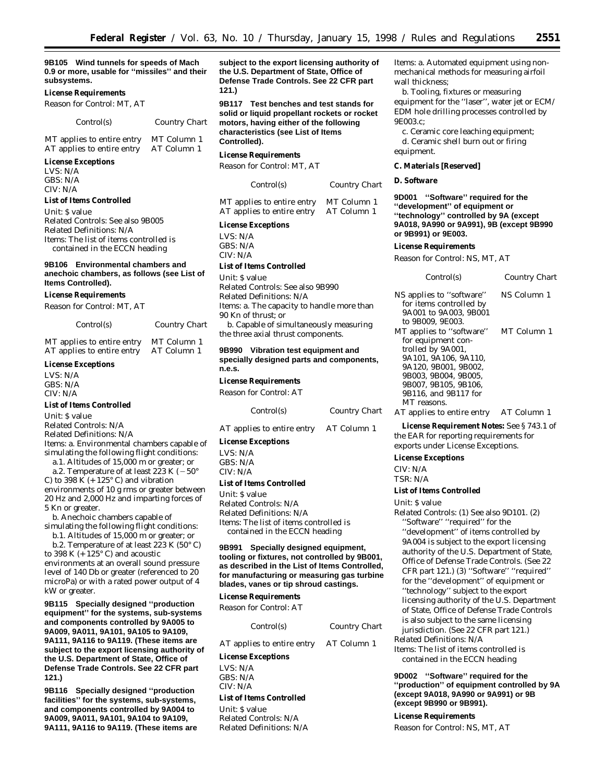**9B105 Wind tunnels for speeds of Mach 0.9 or more, usable for ''missiles'' and their subsystems.**

#### **License Requirements**

*Reason for Control:* MT, AT

#### *Control(s) Country Chart*

| MT applies to entire entry | MT Column 1 |
|----------------------------|-------------|
| AT applies to entire entry | AT Column 1 |

# **License Exceptions**

LVS: N/A GBS: N/A  $CIV·N/A$ 

# **List of Items Controlled**

*Unit:* \$ value *Related Controls:* See also 9B005 *Related Definitions:* N/A *Items:* The list of items controlled is contained in the ECCN heading

#### **9B106 Environmental chambers and anechoic chambers, as follows (see List of Items Controlled).**

#### **License Requirements**

*Reason for Control:* MT, AT

*Control(s) Country Chart*

MT applies to entire entry MT Column 1 AT applies to entire entry AT Column 1

#### **License Exceptions**

LVS: N/A GBS: N/A CIV: N/A

#### **List of Items Controlled**

*Unit:* \$ value

*Related Controls:* N/A

*Related Definitions:* N/A

*Items:* a. Environmental chambers capable of simulating the following flight conditions:

a.1. Altitudes of 15,000 m *or* greater; or

a.2. Temperature of at least 223 K ( $-50^{\circ}$ C) to 398 K  $(+ 125^{\circ}$  C) and vibration environments of 10 g rms or greater between 20 Hz and 2,000 Hz and imparting forces of 5 Kn or greater.

b. Anechoic chambers capable of simulating the following flight conditions:

b.1. Altitudes of 15,000 m or greater; *or* b.2. Temperature of at least 223 K  $(50^{\circ} C)$ to 398 K  $(+125^{\circ}$  C) and acoustic environments at an overall sound pressure level of 140 Db or greater (referenced to 20 microPa) or with a rated power output of 4 kW or greater.

**9B115 Specially designed ''production equipment'' for the systems, sub-systems and components controlled by 9A005 to 9A009, 9A011, 9A101, 9A105 to 9A109, 9A111, 9A116 to 9A119. (These items are subject to the export licensing authority of the U.S. Department of State, Office of Defense Trade Controls. See 22 CFR part 121.)**

**9B116 Specially designed ''production facilities'' for the systems, sub-systems, and components controlled by 9A004 to 9A009, 9A011, 9A101, 9A104 to 9A109, 9A111, 9A116 to 9A119. (These items are** **subject to the export licensing authority of the U.S. Department of State, Office of Defense Trade Controls. See 22 CFR part 121.)**

**9B117 Test benches and test stands for solid or liquid propellant rockets or rocket motors, having either of the following characteristics (see List of Items Controlled).**

#### **License Requirements**

*Reason for Control:* MT, AT

| Control(s) | <b>Country Chart</b> |  |
|------------|----------------------|--|
|------------|----------------------|--|

MT applies to entire entry MT Column 1<br>AT applies to entire entry AT Column 1 AT applies to entire entry

#### **License Exceptions**

LVS: N/A GBS: N/A CIV: N/A

#### **List of Items Controlled**

*Unit:* \$ value *Related Controls:* See also 9B990 *Related Definitions:* N/A *Items:* a. The capacity to handle more than 90 Kn of thrust; *or* b. Capable of simultaneously measuring the three axial thrust components.

#### **9B990 Vibration test equipment and specially designed parts and components, n.e.s.**

**License Requirements**

*Reason for Control:* AT

*Control(s) Country Chart*

AT applies to entire entry AT Column 1

#### **License Exceptions**

LVS: N/A GBS: N/A CIV: N/A

# **List of Items Controlled**

*Unit:* \$ value *Related Controls:* N/A *Related Definitions:* N/A *Items:* The list of items controlled is contained in the ECCN heading

#### **9B991 Specially designed equipment, tooling or fixtures, not controlled by 9B001, as described in the List of Items Controlled, for manufacturing or measuring gas turbine blades, vanes or tip shroud castings.**

#### **License Requirements**

*Reason for Control:* AT

| Control(s)                             | Country Chart | 15<br>ju     |
|----------------------------------------|---------------|--------------|
| AT applies to entire entry AT Column 1 |               | Rel<br>Iten  |
| <b>License Exceptions</b>              |               | $\mathbf{C}$ |
| LVS: N/A<br>GBS: N/A<br>CIV: N/A       |               | 9D0<br>"pr   |
| <b>List of Items Controlled</b>        |               | (ex<br>(ex   |
| <i>Unit:</i> \$ value                  |               |              |

*Related Controls:* N/A *Related Definitions:* N/A

 $\mathsf{G}$ 

*Items:* a. Automated equipment using nonmechanical methods for measuring airfoil wall thickness;

b. Tooling, fixtures or measuring equipment for the ''laser'', water jet or ECM/ EDM hole drilling processes controlled by 9E003.c;

c. Ceramic core leaching equipment; d. Ceramic shell burn out or firing equipment.

#### **C. Materials [Reserved]**

#### **D. Software**

**9D001 ''Software'' required for the ''development'' of equipment or ''technology'' controlled by 9A (except 9A018, 9A990 or 9A991), 9B (except 9B990 or 9B991) or 9E003.**

#### **License Requirements**

*Reason for Control:* NS, MT, AT

| NS applies to "software" | NS Column 1 |
|--------------------------|-------------|
| for items controlled by  |             |
| 9A001 to 9A003, 9B001    |             |
| to 9B009, 9E003.         |             |
| MT applies to "software" | MT Column 1 |
| for equipment con-       |             |
| trolled by 9A001,        |             |
| 9A101, 9A106, 9A110,     |             |
| 9A120, 9B001, 9B002,     |             |
| 9B003, 9B004, 9B005,     |             |
| 9B007, 9B105, 9B106,     |             |
| 9B116, and 9B117 for     |             |
| MT reasons.              |             |
|                          |             |

*Control(s) Country Chart*

AT applies to entire entry AT Column 1

**License Requirement Notes:** See § 743.1 of the EAR for reporting requirements for exports under License Exceptions.

#### **License Exceptions**

CIV: N/A

# TSR: N/A

### **List of Items Controlled**

*Unit:* \$ value

*Related Controls:* (1) See also 9D101. (2) ''Software'' ''required'' for the ''development'' of items controlled by 9A004 is subject to the export licensing authority of the U.S. Department of State, Office of Defense Trade Controls. (See 22 CFR part 121.) (3) ''Software'' ''required'' for the ''development'' of equipment or ''technology'' subject to the export licensing authority of the U.S. Department of State, Office of Defense Trade Controls is also subject to the same licensing jurisdiction. (See 22 CFR part 121.)

*Related Definitions:* N/A ns: The list of items controlled is contained in the ECCN heading

**9D002 ''Software'' required for the** oduction" of equipment controlled by 9A **(except 9A018, 9A990 or 9A991) or 9B (except 9B990 or 9B991).**

# **License Requirements**

*Reason for Control:* NS, MT, AT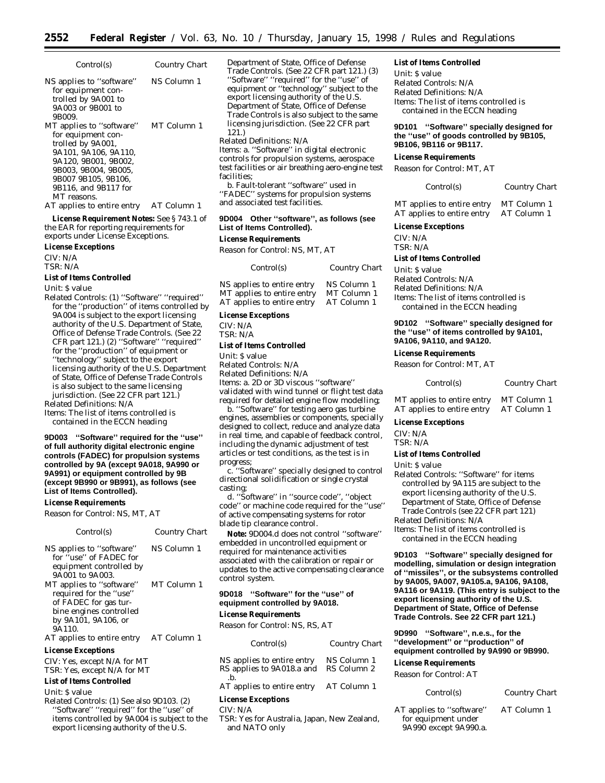| Control(s)                                                                                                                                                                                                | Country Chart |
|-----------------------------------------------------------------------------------------------------------------------------------------------------------------------------------------------------------|---------------|
| NS applies to "software"<br>for equipment con-<br>trolled by 9A001 to<br>9A003 or 9B001 to<br>9B009.                                                                                                      | NS Column 1   |
| MT applies to "software"<br>for equipment con-<br>trolled by 9A001,<br>9A101. 9A106. 9A110.<br>9A120, 9B001, 9B002.<br>9B003. 9B004. 9B005.<br>9B007 9B105, 9B106,<br>9B116, and 9B117 for<br>MT reasons. | MT Column 1   |
| AT applies to entire entry                                                                                                                                                                                | AT Column 1   |

**License Requirement Notes:** See § 743.1 of the EAR for reporting requirements for exports under License Exceptions.

**License Exceptions**

CIV: N/A TSR: N/A

#### **List of Items Controlled**

*Unit:* \$ value

*Related Controls:* (1) ''Software'' ''required'' for the ''production'' of items controlled by 9A004 is subject to the export licensing authority of the U.S. Department of State, Office of Defense Trade Controls. (See 22 CFR part 121.) (2) ''Software'' ''required'' for the ''production'' of equipment or ''technology'' subject to the export licensing authority of the U.S. Department of State, Office of Defense Trade Controls is also subject to the same licensing jurisdiction. (See 22 CFR part 121.) *Related Definitions:* N/A

*Items:* The list of items controlled is contained in the ECCN heading

**9D003 ''Software'' required for the ''use'' of full authority digital electronic engine controls (FADEC) for propulsion systems controlled by 9A (except 9A018, 9A990 or 9A991) or equipment controlled by 9B (except 9B990 or 9B991), as follows (see List of Items Controlled).**

#### **License Requirements**

*Reason for Control:* NS, MT, AT

| Control(s)                                                                                                                    | Country Chart |
|-------------------------------------------------------------------------------------------------------------------------------|---------------|
| NS applies to "software"<br>for "use" of FADEC for<br>equipment controlled by<br>9A001 to 9A003.                              | NS Column 1   |
| MT applies to "software"<br>required for the "use"<br>of FADEC for gas tur-<br>bine engines controlled<br>by 9A101, 9A106, or | MT Column 1   |
| 9A110.<br>AT applies to entire entry                                                                                          | AT Column 1   |

#### **License Exceptions**

CIV: Yes, except N/A for MT TSR: Yes, except N/A for MT

# **List of Items Controlled**

*Unit:* \$ value

*Related Controls:* (1) See also 9D103. (2) ''Software'' ''required'' for the ''use'' of items controlled by 9A004 is subject to the export licensing authority of the U.S.

Department of State, Office of Defense Trade Controls. (See 22 CFR part 121.) (3) ''Software'' ''required'' for the ''use'' of equipment or ''technology'' subject to the export licensing authority of the U.S. Department of State, Office of Defense Trade Controls is also subject to the same licensing jurisdiction. (See 22 CFR part 121.)

#### *Related Definitions:* N/A

*Items:* a. ''Software'' in digital electronic controls for propulsion systems, aerospace test facilities or air breathing aero-engine test facilities;

b. Fault-tolerant ''software'' used in ''FADEC'' systems for propulsion systems and associated test facilities.

# **9D004 Other ''software'', as follows (see List of Items Controlled).**

#### **License Requirements**

*Reason for Control:* NS, MT, AT

| Control(s)                 | Country Chart |
|----------------------------|---------------|
| NS applies to entire entry | NS Column 1   |
| MT applies to entire entry | MT Column 1   |
| AT applies to entire entry | AT Column 1   |

# **License Exceptions**

CIV: N/A TSR: N/A

#### **List of Items Controlled**

*Unit:* \$ value

*Related Controls:* N/A

*Related Definitions:* N/A

*Items:* a. 2D or 3D viscous ''software''

validated with wind tunnel or flight test data required for detailed engine flow modelling;

b. ''Software'' for testing aero gas turbine engines, assemblies or components, specially designed to collect, reduce and analyze data in real time, and capable of feedback control, including the dynamic adjustment of test articles or test conditions, as the test is in progress;

c. ''Software'' specially designed to control directional solidification or single crystal casting;

d. ''Software'' in ''source code'', ''object code'' or machine code required for the ''use'' of active compensating systems for rotor blade tip clearance control.

**Note:** 9D004.d does not control ''software'' embedded in uncontrolled equipment or required for maintenance activities associated with the calibration or repair or updates to the active compensating clearance control system.

#### **9D018 ''Software'' for the ''use'' of equipment controlled by 9A018.**

#### **License Requirements**

*Reason for Control:* NS, RS, AT

| Control(s)                                                          | Country Chart |
|---------------------------------------------------------------------|---------------|
| NS applies to entire entry<br>RS applies to 9A018.a and RS Column 2 | NS Column 1   |
| $h$ .<br>AT applies to entire entry                                 | AT Column 1   |
| <b>License Exceptions</b>                                           |               |

# CIV: N/A

TSR: Yes for Australia, Japan, New Zealand, and NATO only

#### **List of Items Controlled**

*Unit:* \$ value *Related Controls:* N/A *Related Definitions:* N/A *Items:* The list of items controlled is contained in the ECCN heading

#### **9D101 ''Software'' specially designed for the ''use'' of goods controlled by 9B105, 9B106, 9B116 or 9B117.**

#### **License Requirements**

*Reason for Control:* MT, AT

*Control(s) Country Chart*

| MT applies to entire entry | MT Column 1 |
|----------------------------|-------------|
| AT applies to entire entry | AT Column 1 |

# **License Exceptions**

CIV: N/A TSR: N/A

#### **List of Items Controlled**

*Unit:* \$ value *Related Controls:* N/A *Related Definitions:* N/A *Items:* The list of items controlled is contained in the ECCN heading

#### **9D102 ''Software'' specially designed for the ''use'' of items controlled by 9A101, 9A106, 9A110, and 9A120.**

#### **License Requirements**

*Reason for Control:* MT, AT

#### *Control(s) Country Chart*

MT applies to entire entry MT Column 1<br>AT applies to entire entry AT Column 1 AT applies to entire entry

# **License Exceptions**

CIV: N/A TSR: N/A

#### **List of Items Controlled**

*Unit:* \$ value

*Related Controls:* ''Software'' for items controlled by 9A115 are subject to the export licensing authority of the U.S. Department of State, Office of Defense Trade Controls (see 22 CFR part 121)

*Related Definitions:* N/A

*Items:* The list of items controlled is contained in the ECCN heading

**9D103 ''Software'' specially designed for modelling, simulation or design integration of ''missiles'', or the subsystems controlled by 9A005, 9A007, 9A105.a, 9A106, 9A108, 9A116 or 9A119. (This entry is subject to the export licensing authority of the U.S. Department of State, Office of Defense Trade Controls. See 22 CFR part 121.)**

**9D990 ''Software'', n.e.s., for the ''development'' or ''production'' of equipment controlled by 9A990 or 9B990.**

#### **License Requirements**

*Reason for Control:* AT

| <i>Control(s)</i> | Country Chart |
|-------------------|---------------|
|-------------------|---------------|

AT applies to ''software'' for equipment under 9A990 except 9A990.a.

AT Column 1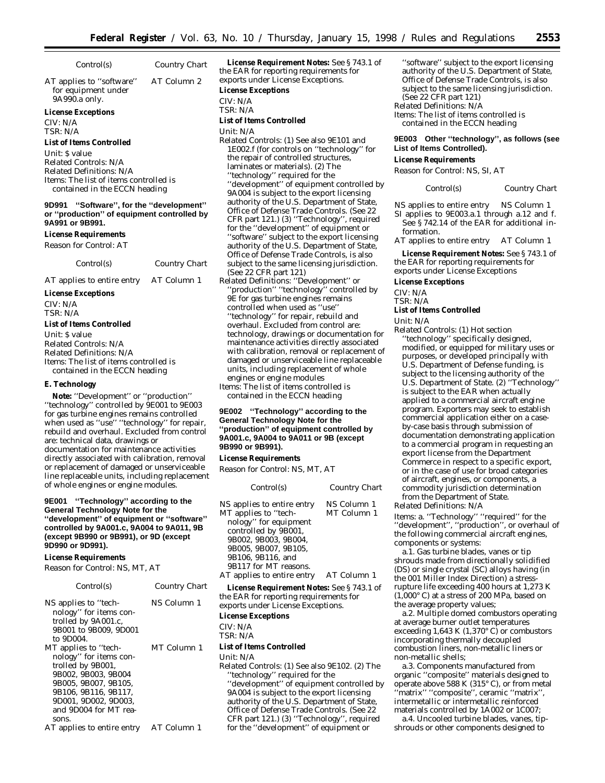*Control(s) Country Chart*

AT applies to ''software'' for equipment under 9A990.a only. AT Column 2

#### **License Exceptions**

CIV: N/A TSR: N/A

#### **List of Items Controlled**

*Unit:* \$ value *Related Controls:* N/A *Related Definitions:* N/A *Items:* The list of items controlled is contained in the ECCN heading

**9D991 ''Software'', for the ''development'' or ''production'' of equipment controlled by 9A991 or 9B991.**

#### **License Requirements**

*Reason for Control:* AT

| Control(s)                 | Country Chart |
|----------------------------|---------------|
| AT applies to entire entry | AT Column 1   |

**License Exceptions**

CIV: N/A

TSR: N/A

#### **List of Items Controlled**

*Unit:* \$ value *Related Controls:* N/A *Related Definitions:* N/A *Items:* The list of items controlled is contained in the ECCN heading

#### **E. Technology**

**Note:** ''Development'' or ''production'' ''technology'' controlled by 9E001 to 9E003 for gas turbine engines remains controlled when used as "use" "technology" for repair, rebuild and overhaul. Excluded from control are: technical data, drawings or documentation for maintenance activities directly associated with calibration, removal or replacement of damaged or unserviceable line replaceable units, including replacement of whole engines or engine modules.

#### **9E001 ''Technology'' according to the General Technology Note for the ''development'' of equipment or ''software'' controlled by 9A001.c, 9A004 to 9A011, 9B (except 9B990 or 9B991), or 9D (except 9D990 or 9D991).**

#### **License Requirements**

*Reason for Control:* NS, MT, AT

| Control(s)                                                                                                                                                                                  | Country Chart |
|---------------------------------------------------------------------------------------------------------------------------------------------------------------------------------------------|---------------|
| NS applies to "tech-<br>nology" for items con-<br>trolled by 9A001.c,<br>9B001 to 9B009, 9D001<br>to 9D004.                                                                                 | NS Column 1   |
| MT applies to "tech-<br>nology" for items con-<br>trolled by 9B001,<br>9B002. 9B003. 9B004<br>9B005. 9B007. 9B105.<br>9B106, 9B116, 9B117,<br>9D001. 9D002. 9D003.<br>and 9D004 for MT rea- | MT Column 1   |
| sons.<br>AT applies to entire entry                                                                                                                                                         | AT Column 1   |

**License Requirement Notes:** See § 743.1 of the EAR for reporting requirements for exports under License Exceptions.

#### **License Exceptions**

 $CIV·N/A$ 

TSR: N/A

# **List of Items Controlled**

*Unit:* N/A

*Related Controls:* (1) See also 9E101 and 1E002.f (for controls on ''technology'' for the repair of controlled structures, laminates or materials). (2) The ''technology'' required for the ''development'' of equipment controlled by 9A004 is subject to the export licensing authority of the U.S. Department of State, Office of Defense Trade Controls. (See 22 CFR part 121.) (3) ''Technology'', required for the ''development'' of equipment or ''software'' subject to the export licensing authority of the U.S. Department of State, Office of Defense Trade Controls, is also subject to the same licensing jurisdiction. (See 22 CFR part 121)

*Related Definitions:* ''Development'' or "production" "technology" controlled by 9E for gas turbine engines remains controlled when used as ''use'' ''technology'' for repair, rebuild and overhaul. Excluded from control are: technology, drawings or documentation for maintenance activities directly associated with calibration, removal or replacement of damaged or unserviceable line replaceable units, including replacement of whole engines or engine modules *Items:* The list of items controlled is

contained in the ECCN heading

#### **9E002 ''Technology'' according to the General Technology Note for the ''production'' of equipment controlled by 9A001.c, 9A004 to 9A011 or 9B (except 9B990 or 9B991).**

#### **License Requirements**

*Reason for Control:* NS, MT, AT

| Control(s)                                                                                                                                                                                                                      | Country Chart                             |
|---------------------------------------------------------------------------------------------------------------------------------------------------------------------------------------------------------------------------------|-------------------------------------------|
| NS applies to entire entry<br>MT applies to "tech-<br>nology" for equipment<br>controlled by 9B001,<br>9B002. 9B003. 9B004.<br>9B005, 9B007, 9B105,<br>9B106, 9B116, and<br>9B117 for MT reasons.<br>AT applies to entire entry | NS Column 1<br>MT Column 1<br>AT Column 1 |
|                                                                                                                                                                                                                                 |                                           |

**License Requirement Notes:** See § 743.1 of the EAR for reporting requirements for exports under License Exceptions.

# **License Exceptions**

CIV: N/A TSR: N/A

#### **List of Items Controlled**

*Unit:* N/A

*Related Controls:* (1) See also 9E102. (2) The ''technology'' required for the ''development'' of equipment controlled by 9A004 is subject to the export licensing authority of the U.S. Department of State, Office of Defense Trade Controls. (See 22 CFR part 121.) (3) ''Technology'', required for the ''development'' of equipment or

''software'' subject to the export licensing authority of the U.S. Department of State, Office of Defense Trade Controls, is also subject to the same licensing jurisdiction. (See 22 CFR part 121) *Related Definitions:* N/A *Items:* The list of items controlled is contained in the ECCN heading

#### **9E003 Other ''technology'', as follows (see List of Items Controlled).**

#### **License Requirements**

*Reason for Control:* NS, SI, AT

*Control(s) Country Chart*

NS applies to entire entry NS Column 1

SI applies to 9E003.a.1 through a.12 and f. See § 742.14 of the EAR for additional information.

AT applies to entire entry AT Column 1

**License Requirement Notes:** See § 743.1 of the EAR for reporting requirements for exports under License Exceptions

### **License Exceptions**

CIV: N/A

# TSR: N/A

# **List of Items Controlled**

*Unit:* N/A

*Related Controls:* (1) Hot section ''technology'' specifically designed, modified, or equipped for military uses or purposes, or developed principally with U.S. Department of Defense funding, is subject to the licensing authority of the U.S. Department of State. (2) ''Technology'' is subject to the EAR when actually applied to a commercial aircraft engine program. Exporters may seek to establish commercial application either on a caseby-case basis through submission of documentation demonstrating application to a commercial program in requesting an export license from the Department Commerce in respect to a specific export, or in the case of use for broad categories of aircraft, engines, or components, a commodity jurisdiction determination from the Department of State.

*Related Definitions:* N/A

*Items:* a. ''Technology'' ''required'' for the ''development'', ''production'', or overhaul of the following commercial aircraft engines, components or systems:

a.1. Gas turbine blades, vanes or tip shrouds made from directionally solidified (DS) or single crystal (SC) alloys having (in the 001 Miller Index Direction) a stressrupture life exceeding 400 hours at 1,273 K  $(1,000\degree C)$  at a stress of 200 MPa, based on the average property values;

a.2. Multiple domed combustors operating at average burner outlet temperatures exceeding 1,643 K (1,370 $\degree$  C) or combustors incorporating thermally decoupled combustion liners, non-metallic liners or non-metallic shells;

a.3. Components manufactured from organic ''composite'' materials designed to operate above 588 K (315° C), or from metal ''matrix'' ''composite'', ceramic ''matrix'', intermetallic or intermetallic reinforced materials controlled by 1A002 or 1C007;

a.4. Uncooled turbine blades, vanes, tipshrouds or other components designed to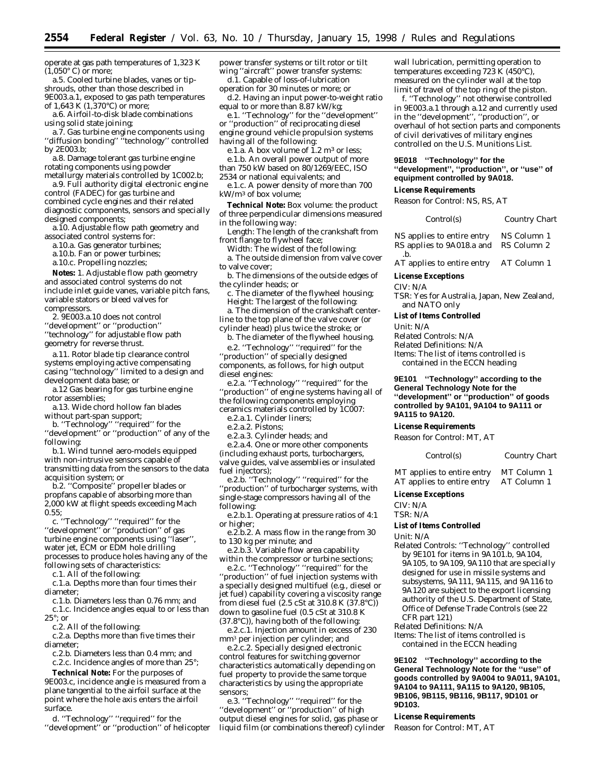operate at gas path temperatures of 1,323 K  $(1,050^{\circ} \text{ C})$  or more;

a.5. Cooled turbine blades, vanes or tipshrouds, other than those described in 9E003.a.1, exposed to gas path temperatures of 1,643 K (1,370°C) or more;

a.6. Airfoil-to-disk blade combinations using solid state joining;

a.7. Gas turbine engine components using ''diffusion bonding'' ''technology'' controlled by 2E003.b;

a.8. Damage tolerant gas turbine engine rotating components using powder metallurgy materials controlled by 1C002.b;

a.9. Full authority digital electronic engine control (FADEC) for gas turbine and combined cycle engines and their related diagnostic components, sensors and specially designed components;

a.10. Adjustable flow path geometry and associated control systems for:

a.10.a. Gas generator turbines;

a.10.b. Fan or power turbines;

a.10.c. Propelling nozzles;

**Notes:** 1. Adjustable flow path geometry and associated control systems do not include inlet guide vanes, variable pitch fans, variable stators or bleed valves for compressors.

2. 9E003.a.10 does not control

''development'' or ''production''

''technology'' for adjustable flow path geometry for reverse thrust.

a.11. Rotor blade tip clearance control systems employing active compensating casing ''technology'' limited to a design and development data base; or

a.12 Gas bearing for gas turbine engine rotor assemblies;

a.13. Wide chord hollow fan blades without part-span support;

b. ''Technology'' ''required'' for the ''development'' or ''production'' of any of the following:

b.1. Wind tunnel aero-models equipped with non-intrusive sensors capable of transmitting data from the sensors to the data acquisition system; or

b.2. ''Composite'' propeller blades or propfans capable of absorbing more than 2,000 kW at flight speeds exceeding Mach 0.55;

c. ''Technology'' ''required'' for the ''development'' or ''production'' of gas turbine engine components using ''laser'', water jet, ECM or EDM hole drilling processes to produce holes having any of the following sets of characteristics:

c.1. All of the following:

c.1.a. Depths more than four times their diameter;

c.1.b. Diameters less than 0.76 mm; and c.1.c. Incidence angles equal to or less than 25°; or

c.2. All of the following:

c.2.a. Depths more than five times their diameter;

c.2.b. Diameters less than 0.4 mm; and

c.2.c. Incidence angles of more than 25°;

**Technical Note:** For the purposes of 9E003.c, incidence angle is measured from a plane tangential to the airfoil surface at the point where the hole axis enters the airfoil surface.

d. ''Technology'' ''required'' for the ''development'' or ''production'' of helicopter power transfer systems or tilt rotor or tilt wing ''aircraft'' power transfer systems:

d.1. Capable of loss-of-lubrication operation for 30 minutes or more; or

d.2. Having an input power-to-weight ratio equal to or more than 8.87 kW/kg;

e.1. ''Technology'' for the ''development'' or ''production'' of reciprocating diesel

engine ground vehicle propulsion systems having all of the following:

e.1.a. A box volume of  $1.2 \text{ m}^3$  or less;

- e.1.b. An overall power output of more than 750 kW based on 80/1269/EEC, ISO
- 2534 or national equivalents; and

e.1.c. A power density of more than 700 kW/m3 of box volume;

**Technical Note:** Box volume: the product of three perpendicular dimensions measured in the following way:

Length: The length of the crankshaft from front flange to flywheel face;

Width: The widest of the following:

a. The outside dimension from valve cover to valve cover;

b. The dimensions of the outside edges of the cylinder heads; or

c. The diameter of the flywheel housing; Height: The largest of the following: a. The dimension of the crankshaft center-

line to the top plane of the valve cover (or cylinder head) plus twice the stroke; or

b. The diameter of the flywheel housing. e.2. ''Technology'' ''required'' for the

''production'' of specially designed components, as follows, for high output diesel engines:

e.2.a. ''Technology'' ''required'' for the ''production'' of engine systems having all of the following components employing ceramics materials controlled by 1C007:

e.2.a.1. Cylinder liners;

e.2.a.2. Pistons;

e.2.a.3. Cylinder heads; and

e.2.a.4. One or more other components (including exhaust ports, turbochargers, valve guides, valve assemblies or insulated fuel injectors);

e.2.b. ''Technology'' ''required'' for the ''production'' of turbocharger systems, with single-stage compressors having all of the following:

e.2.b.1. Operating at pressure ratios of 4:1 or higher;

e.2.b.2. A mass flow in the range from 30 to 130 kg per minute; and

e.2.b.3. Variable flow area capability within the compressor or turbine sections;

e.2.c. ''Technology'' ''required'' for the ''production'' of fuel injection systems with a specially designed multifuel (e.g., diesel or jet fuel) capability covering a viscosity range from diesel fuel  $(2.5 \text{ cSt at } 310.8 \text{ K } (37.8 \text{ °C}))$ down to gasoline fuel (0.5 cSt at 310.8 K (37.8°C)), having both of the following:

e.2.c.1. Injection amount in excess of 230 mm3 per injection per cylinder; and

e.2.c.2. Specially designed electronic control features for switching governor characteristics automatically depending on fuel property to provide the same torque characteristics by using the appropriate sensors;

e.3. ''Technology'' ''required'' for the ''development'' or ''production'' of high output diesel engines for solid, gas phase or liquid film (or combinations thereof) cylinder

wall lubrication, permitting operation to temperatures exceeding 723 K (450°C), measured on the cylinder wall at the top limit of travel of the top ring of the piston.

f. ''Technology'' not otherwise controlled in 9E003.a.1 through a.12 and currently used in the ''development'', ''production'', or overhaul of hot section parts and components of civil derivatives of military engines controlled on the U.S. Munitions List.

### **9E018 ''Technology'' for the ''development'', ''production'', or ''use'' of equipment controlled by 9A018.**

#### **License Requirements**

*Reason for Control:* NS, RS, AT

| Control(s)                 | Country Chart |
|----------------------------|---------------|
| NS applies to entire entry | NS Column 1   |
| RS applies to 9A018.a and  | RS Column 2   |

.b. AT applies to entire entry AT Column 1

**License Exceptions**

CIV: N/A

TSR: Yes for Australia, Japan, New Zealand, and NATO only

#### **List of Items Controlled**

*Unit:* N/A *Related Controls:* N/A *Related Definitions:* N/A *Items:* The list of items controlled is contained in the ECCN heading

**9E101 ''Technology'' according to the General Technology Note for the ''development'' or ''production'' of goods controlled by 9A101, 9A104 to 9A111 or 9A115 to 9A120.**

#### **License Requirements**

*Reason for Control:* MT, AT

*Control(s) Country Chart*

MT applies to entire entry MT Column 1 AT applies to entire entry AT Column 1

#### **License Exceptions**

CIV: N/A TSR: N/A

#### **List of Items Controlled**

*Unit:* N/A

*Related Controls:* ''Technology'' controlled by 9E101 for items in 9A101.b, 9A104, 9A105, to 9A109, 9A110 that are specially designed for use in missile systems and subsystems, 9A111, 9A115, and 9A116 to 9A120 are subject to the export licensing authority of the U.S. Department of State, Office of Defense Trade Controls (see 22 CFR part 121)

*Related Definitions:* N/A

*Items:* The list of items controlled is contained in the ECCN heading

**9E102 ''Technology'' according to the General Technology Note for the ''use'' of goods controlled by 9A004 to 9A011, 9A101, 9A104 to 9A111, 9A115 to 9A120, 9B105, 9B106, 9B115, 9B116, 9B117, 9D101 or 9D103.**

#### **License Requirements**

*Reason for Control:* MT, AT